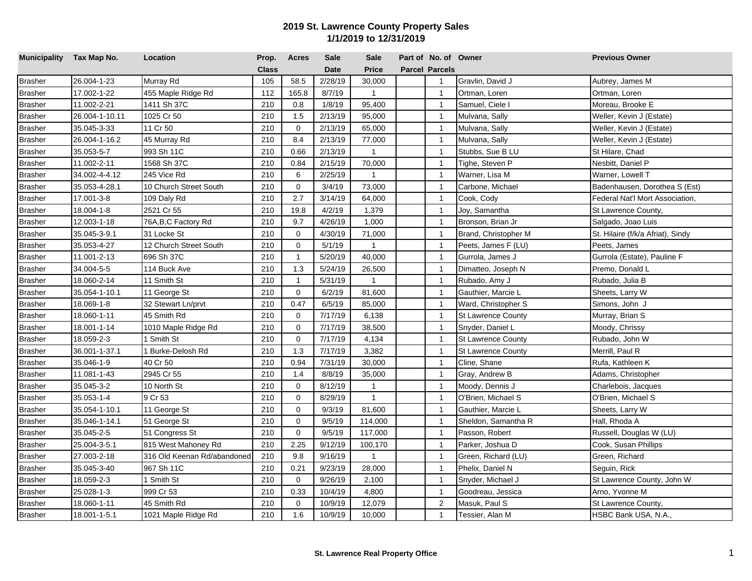| Municipality Tax Map No. |                | Location                    | Prop.        | <b>Acres</b>   | Sale        | <b>Sale</b>  | Part of No. of Owner  |                           | <b>Previous Owner</b>             |
|--------------------------|----------------|-----------------------------|--------------|----------------|-------------|--------------|-----------------------|---------------------------|-----------------------------------|
|                          |                |                             | <b>Class</b> |                | <b>Date</b> | <b>Price</b> | <b>Parcel Parcels</b> |                           |                                   |
| <b>Brasher</b>           | 26.004-1-23    | Murray Rd                   | 105          | 58.5           | 2/28/19     | 30,000       | $\mathbf{1}$          | Gravlin, David J          | Aubrey, James M                   |
| <b>Brasher</b>           | 17.002-1-22    | 455 Maple Ridge Rd          | 112          | 165.8          | 8/7/19      | $\mathbf{1}$ | $\overline{1}$        | Ortman, Loren             | Ortman, Loren                     |
| <b>Brasher</b>           | 11.002-2-21    | 1411 Sh 37C                 | 210          | 0.8            | 1/8/19      | 95,400       | $\mathbf{1}$          | Samuel, Ciele I           | Moreau, Brooke E                  |
| <b>Brasher</b>           | 26.004-1-10.11 | 1025 Cr 50                  | 210          | 1.5            | 2/13/19     | 95,000       | $\mathbf{1}$          | Mulvana, Sally            | Weller, Kevin J (Estate)          |
| <b>Brasher</b>           | 35.045-3-33    | 11 Cr 50                    | 210          | $\mathbf 0$    | 2/13/19     | 65,000       | $\overline{1}$        | Mulvana, Sally            | Weller, Kevin J (Estate)          |
| <b>Brasher</b>           | 26.004-1-16.2  | 45 Murray Rd                | 210          | 8.4            | 2/13/19     | 77,000       | $\overline{1}$        | Mulvana, Sally            | Weller, Kevin J (Estate)          |
| <b>Brasher</b>           | 35.053-5-7     | 993 Sh 11C                  | 210          | 0.66           | 2/13/19     | $\mathbf{1}$ | $\overline{1}$        | Stubbs, Sue B LU          | St Hilare, Chad                   |
| <b>Brasher</b>           | 11.002-2-11    | 1568 Sh 37C                 | 210          | 0.84           | 2/15/19     | 70,000       | $\overline{1}$        | Tighe, Steven P           | Nesbitt, Daniel P                 |
| <b>Brasher</b>           | 34.002-4-4.12  | 245 Vice Rd                 | 210          | 6              | 2/25/19     | $\mathbf{1}$ | $\mathbf{1}$          | Warner, Lisa M            | Warner, Lowell T                  |
| <b>Brasher</b>           | 35.053-4-28.1  | 10 Church Street South      | 210          | $\mathbf 0$    | 3/4/19      | 73,000       | $\overline{1}$        | Carbone, Michael          | Badenhausen, Dorothea S (Est)     |
| <b>Brasher</b>           | 17.001-3-8     | 109 Daly Rd                 | 210          | 2.7            | 3/14/19     | 64,000       | $\mathbf{1}$          | Cook, Cody                | Federal Nat'l Mort Association,   |
| <b>Brasher</b>           | 18.004-1-8     | 2521 Cr 55                  | 210          | 19.8           | 4/2/19      | 1,379        | $\overline{1}$        | Joy, Samantha             | St Lawrence County,               |
| <b>Brasher</b>           | 12.003-1-18    | 76A, B, C Factory Rd        | 210          | 9.7            | 4/26/19     | 1,000        | $\overline{1}$        | Bronson, Brian Jr         | Salgado, Joao Luis                |
| <b>Brasher</b>           | 35.045-3-9.1   | 31 Locke St                 | 210          | $\mathbf 0$    | 4/30/19     | 71,000       | $\overline{1}$        | Brand, Christopher M      | St. Hilaire (f/k/a Afriat), Sindy |
| <b>Brasher</b>           | 35.053-4-27    | 12 Church Street South      | 210          | $\mathbf 0$    | 5/1/19      | $\mathbf{1}$ | $\mathbf{1}$          | Peets, James F (LU)       | Peets, James                      |
| <b>Brasher</b>           | 11.001-2-13    | 696 Sh 37C                  | 210          | $\mathbf{1}$   | 5/20/19     | 40,000       | $\overline{1}$        | Gurrola, James J          | Gurrola (Estate), Pauline F       |
| <b>Brasher</b>           | 34.004-5-5     | 114 Buck Ave                | 210          | 1.3            | 5/24/19     | 26,500       | $\mathbf{1}$          | Dimatteo, Joseph N        | Premo, Donald L                   |
| <b>Brasher</b>           | 18.060-2-14    | 11 Smith St                 | 210          | $\mathbf{1}$   | 5/31/19     | $\mathbf{1}$ | $\mathbf{1}$          | Rubado, Amy J             | Rubado, Julia B                   |
| <b>Brasher</b>           | 35.054-1-10.1  | 11 George St                | 210          | $\mathbf 0$    | 6/2/19      | 81,600       | $\mathbf{1}$          | Gauthier, Marcie L        | Sheets, Larry W                   |
| <b>Brasher</b>           | 18.069-1-8     | 32 Stewart Ln/prvt          | 210          | 0.47           | 6/5/19      | 85,000       | $\overline{1}$        | Ward, Christopher S       | Simons, John J                    |
| <b>Brasher</b>           | 18.060-1-11    | 45 Smith Rd                 | 210          | $\mathbf 0$    | 7/17/19     | 6,138        | $\overline{1}$        | St Lawrence County        | Murray, Brian S                   |
| <b>Brasher</b>           | 18.001-1-14    | 1010 Maple Ridge Rd         | 210          | $\mathbf 0$    | 7/17/19     | 38,500       | $\overline{1}$        | Snyder, Daniel L          | Moody, Chrissy                    |
| <b>Brasher</b>           | 18.059-2-3     | 1 Smith St                  | 210          | $\overline{0}$ | 7/17/19     | 4,134        | $\overline{1}$        | <b>St Lawrence County</b> | Rubado, John W                    |
| <b>Brasher</b>           | 36.001-1-37.1  | Burke-Delosh Rd             | 210          | 1.3            | 7/17/19     | 3,382        | $\overline{1}$        | <b>St Lawrence County</b> | Merrill, Paul R                   |
| <b>Brasher</b>           | 35.046-1-9     | 40 Cr 50                    | 210          | 0.94           | 7/31/19     | 30,000       | $\overline{1}$        | Cline, Shane              | Rufa, Kathleen K                  |
| <b>Brasher</b>           | 11.081-1-43    | 2945 Cr 55                  | 210          | 1.4            | 8/8/19      | 35,000       | $\overline{1}$        | Gray, Andrew B            | Adams, Christopher                |
| Brasher                  | 35.045-3-2     | 10 North St                 | 210          | $\mathbf 0$    | 8/12/19     | $\mathbf{1}$ | $\mathbf{1}$          | Moody, Dennis J           | Charlebois, Jacques               |
| <b>Brasher</b>           | 35.053-1-4     | 9 Cr 53                     | 210          | $\mathbf 0$    | 8/29/19     | $\mathbf{1}$ | $\overline{1}$        | O'Brien, Michael S        | O'Brien, Michael S                |
| <b>Brasher</b>           | 35.054-1-10.1  | 11 George St                | 210          | $\mathbf 0$    | 9/3/19      | 81,600       | $\overline{1}$        | Gauthier, Marcie L        | Sheets, Larry W                   |
| <b>Brasher</b>           | 35.046-1-14.1  | 51 George St                | 210          | $\mathbf 0$    | 9/5/19      | 114,000      | $\overline{1}$        | Sheldon, Samantha R       | Hall, Rhoda A                     |
| <b>Brasher</b>           | 35.045-2-5     | 51 Congress St              | 210          | $\mathbf 0$    | 9/5/19      | 117,000      | $\overline{1}$        | Passon, Robert            | Russell, Douglas W (LU)           |
| <b>Brasher</b>           | 25.004-3-5.1   | 815 West Mahoney Rd         | 210          | 2.25           | 9/12/19     | 100,170      | $\overline{1}$        | Parker, Joshua D          | Cook, Susan Phillips              |
| <b>Brasher</b>           | 27.003-2-18    | 316 Old Keenan Rd/abandoned | 210          | 9.8            | 9/16/19     | $\mathbf{1}$ | $\overline{1}$        | Green, Richard (LU)       | Green, Richard                    |
| <b>Brasher</b>           | 35.045-3-40    | 967 Sh 11C                  | 210          | 0.21           | 9/23/19     | 28,000       | $\overline{1}$        | Phelix, Daniel N          | Seguin, Rick                      |
| <b>Brasher</b>           | 18.059-2-3     | 1 Smith St                  | 210          | $\mathbf 0$    | 9/26/19     | 2,100        | $\mathbf{1}$          | Snyder, Michael J         | St Lawrence County, John W        |
| <b>Brasher</b>           | 25.028-1-3     | 999 Cr 53                   | 210          | 0.33           | 10/4/19     | 4,800        | $\mathbf{1}$          | Goodreau, Jessica         | Arno, Yvonne M                    |
| <b>Brasher</b>           | 18.060-1-11    | 45 Smith Rd                 | 210          | $\mathbf 0$    | 10/9/19     | 12,079       | $\overline{c}$        | Masuk, Paul S             | St Lawrence County,               |
| <b>Brasher</b>           | 18.001-1-5.1   | 1021 Maple Ridge Rd         | 210          | 1.6            | 10/9/19     | 10,000       | $\mathbf{1}$          | Tessier, Alan M           | HSBC Bank USA, N.A.,              |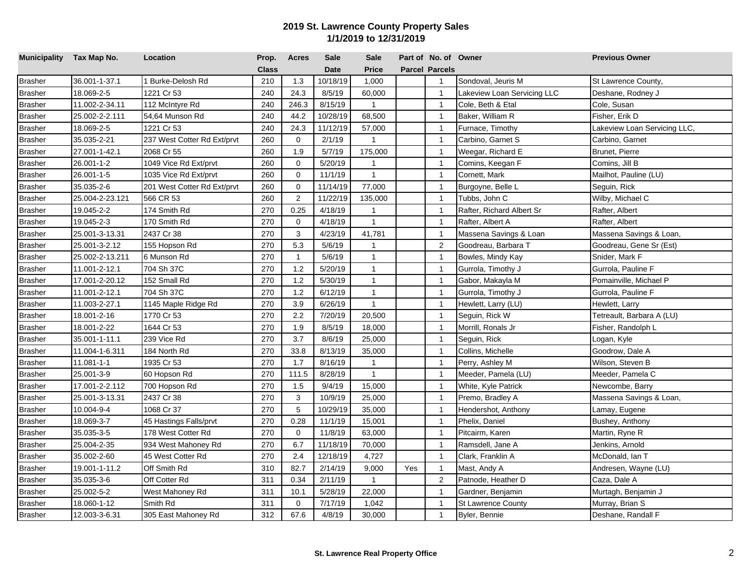| Municipality Tax Map No. |                 | Location                    | Prop.        | <b>Acres</b>   | <b>Sale</b> | <b>Sale</b>    |     | Part of No. of Owner  |                             | <b>Previous Owner</b>        |
|--------------------------|-----------------|-----------------------------|--------------|----------------|-------------|----------------|-----|-----------------------|-----------------------------|------------------------------|
|                          |                 |                             | <b>Class</b> |                | <b>Date</b> | Price          |     | <b>Parcel Parcels</b> |                             |                              |
| <b>Brasher</b>           | 36.001-1-37.1   | 1 Burke-Delosh Rd           | 210          | 1.3            | 10/18/19    | 1,000          |     | $\mathbf{1}$          | Sondoval, Jeuris M          | St Lawrence County,          |
| <b>Brasher</b>           | 18.069-2-5      | 1221 Cr 53                  | 240          | 24.3           | 8/5/19      | 60,000         |     | $\mathbf{1}$          | Lakeview Loan Servicing LLC | Deshane, Rodney J            |
| <b>Brasher</b>           | 11.002-2-34.11  | 112 McIntyre Rd             | 240          | 246.3          | 8/15/19     | $\mathbf{1}$   |     | $\overline{1}$        | Cole, Beth & Etal           | Cole, Susan                  |
| <b>Brasher</b>           | 25.002-2-2.111  | 54,64 Munson Rd             | 240          | 44.2           | 10/28/19    | 68,500         |     | $\mathbf{1}$          | Baker, William R            | Fisher, Erik D               |
| <b>Brasher</b>           | 18.069-2-5      | 1221 Cr 53                  | 240          | 24.3           | 11/12/19    | 57,000         |     | $\overline{1}$        | Furnace, Timothy            | Lakeview Loan Servicing LLC, |
| <b>Brasher</b>           | 35.035-2-21     | 237 West Cotter Rd Ext/prvt | 260          | $\mathbf 0$    | 2/1/19      | $\overline{1}$ |     | $\mathbf{1}$          | Carbino, Garnet S           | Carbino, Garnet              |
| <b>Brasher</b>           | 27.001-1-42.1   | 2068 Cr 55                  | 260          | 1.9            | 5/7/19      | 175,000        |     | $\overline{1}$        | Weegar, Richard E           | Brunet, Pierre               |
| <b>Brasher</b>           | 26.001-1-2      | 1049 Vice Rd Ext/prvt       | 260          | $\mathbf 0$    | 5/20/19     | $\mathbf{1}$   |     | $\overline{1}$        | Comins, Keegan F            | Comins, Jill B               |
| <b>Brasher</b>           | 26.001-1-5      | 1035 Vice Rd Ext/prvt       | 260          | $\Omega$       | 11/1/19     | $\mathbf{1}$   |     | $\overline{1}$        | Cornett, Mark               | Mailhot, Pauline (LU)        |
| <b>Brasher</b>           | 35.035-2-6      | 201 West Cotter Rd Ext/prvt | 260          | 0              | 11/14/19    | 77,000         |     | $\mathbf{1}$          | Burgoyne, Belle L           | Seguin, Rick                 |
| <b>Brasher</b>           | 25.004-2-23.121 | 566 CR 53                   | 260          | $\overline{2}$ | 11/22/19    | 135,000        |     | $\mathbf{1}$          | Tubbs, John C               | Wilby, Michael C             |
| <b>Brasher</b>           | 19.045-2-2      | 174 Smith Rd                | 270          | 0.25           | 4/18/19     | $\mathbf{1}$   |     | $\overline{1}$        | Rafter, Richard Albert Sr   | Rafter, Albert               |
| <b>Brasher</b>           | 19.045-2-3      | 170 Smith Rd                | 270          | $\mathbf 0$    | 4/18/19     | $\mathbf{1}$   |     | $\mathbf{1}$          | Rafter, Albert A            | Rafter, Albert               |
| <b>Brasher</b>           | 25.001-3-13.31  | 2437 Cr 38                  | 270          | 3              | 4/23/19     | 41,781         |     | $\mathbf{1}$          | Massena Savings & Loan      | Massena Savings & Loan,      |
| <b>Brasher</b>           | 25.001-3-2.12   | 155 Hopson Rd               | 270          | 5.3            | 5/6/19      | $\mathbf{1}$   |     | $\overline{2}$        | Goodreau, Barbara T         | Goodreau, Gene Sr (Est)      |
| <b>Brasher</b>           | 25.002-2-13.211 | 6 Munson Rd                 | 270          | $\mathbf{1}$   | 5/6/19      | $\mathbf{1}$   |     | $\overline{1}$        | Bowles, Mindy Kay           | Snider, Mark F               |
| <b>Brasher</b>           | 11.001-2-12.1   | 704 Sh 37C                  | 270          | 1.2            | 5/20/19     | $\mathbf{1}$   |     | $\overline{1}$        | Gurrola, Timothy J          | Gurrola, Pauline F           |
| <b>Brasher</b>           | 17.001-2-20.12  | 152 Small Rd                | 270          | 1.2            | 5/30/19     | $\mathbf{1}$   |     | $\overline{1}$        | Gabor, Makayla M            | Pomainville, Michael P       |
| <b>Brasher</b>           | 11.001-2-12.1   | 704 Sh 37C                  | 270          | 1.2            | 6/12/19     | $\mathbf{1}$   |     | $\mathbf{1}$          | Gurrola, Timothy J          | Gurrola, Pauline F           |
| <b>Brasher</b>           | 11.003-2-27.1   | 1145 Maple Ridge Rd         | 270          | 3.9            | 6/26/19     | $\mathbf{1}$   |     | $\overline{1}$        | Hewlett, Larry (LU)         | Hewlett, Larry               |
| <b>Brasher</b>           | 18.001-2-16     | 1770 Cr 53                  | 270          | 2.2            | 7/20/19     | 20,500         |     | $\mathbf{1}$          | Seguin, Rick W              | Tetreault, Barbara A (LU)    |
| <b>Brasher</b>           | 18.001-2-22     | 1644 Cr 53                  | 270          | 1.9            | 8/5/19      | 18,000         |     | $\overline{1}$        | Morrill, Ronals Jr          | Fisher, Randolph L           |
| <b>Brasher</b>           | 35.001-1-11.1   | 239 Vice Rd                 | 270          | 3.7            | 8/6/19      | 25,000         |     | $\mathbf{1}$          | Seguin, Rick                | Logan, Kyle                  |
| <b>Brasher</b>           | 11.004-1-6.311  | 184 North Rd                | 270          | 33.8           | 8/13/19     | 35,000         |     | $\overline{1}$        | Collins, Michelle           | Goodrow, Dale A              |
| <b>Brasher</b>           | 11.081-1-1      | 1935 Cr 53                  | 270          | 1.7            | 8/16/19     | $\mathbf{1}$   |     | $\mathbf{1}$          | Perry, Ashley M             | Wilson, Steven B             |
| <b>Brasher</b>           | 25.001-3-9      | 60 Hopson Rd                | 270          | 111.5          | 8/28/19     | $\mathbf{1}$   |     | $\overline{1}$        | Meeder, Pamela (LU)         | Meeder, Pamela C             |
| <b>Brasher</b>           | 17.001-2-2.112  | 700 Hopson Rd               | 270          | 1.5            | 9/4/19      | 15,000         |     | $\overline{1}$        | White, Kyle Patrick         | Newcombe, Barry              |
| <b>Brasher</b>           | 25.001-3-13.31  | 2437 Cr 38                  | 270          | 3              | 10/9/19     | 25,000         |     | $\mathbf{1}$          | Premo, Bradley A            | Massena Savings & Loan,      |
| <b>Brasher</b>           | 10.004-9-4      | 1068 Cr 37                  | 270          | 5              | 10/29/19    | 35,000         |     | $\mathbf{1}$          | Hendershot, Anthony         | Lamay, Eugene                |
| <b>Brasher</b>           | 18.069-3-7      | 45 Hastings Falls/prvt      | 270          | 0.28           | 11/1/19     | 15,001         |     | $\mathbf{1}$          | Phelix, Daniel              | Bushey, Anthony              |
| <b>Brasher</b>           | 35.035-3-5      | 178 West Cotter Rd          | 270          | $\mathbf 0$    | 11/8/19     | 63,000         |     | $\overline{1}$        | Pitcairm, Karen             | Martin, Ryne R               |
| <b>Brasher</b>           | 25.004-2-35     | 934 West Mahoney Rd         | 270          | 6.7            | 11/18/19    | 70,000         |     | $\overline{1}$        | Ramsdell, Jane A            | Jenkins, Arnold              |
| <b>Brasher</b>           | 35.002-2-60     | 45 West Cotter Rd           | 270          | 2.4            | 12/18/19    | 4,727          |     | $\mathbf{1}$          | Clark, Franklin A           | McDonald, Ian T              |
| <b>Brasher</b>           | 19.001-1-11.2   | Off Smith Rd                | 310          | 82.7           | 2/14/19     | 9,000          | Yes | $\overline{1}$        | Mast, Andy A                | Andresen, Wayne (LU)         |
| <b>Brasher</b>           | 35.035-3-6      | Off Cotter Rd               | 311          | 0.34           | 2/11/19     | $\mathbf{1}$   |     | 2                     | Patnode, Heather D          | Caza, Dale A                 |
| <b>Brasher</b>           | 25.002-5-2      | West Mahoney Rd             | 311          | 10.1           | 5/28/19     | 22,000         |     | $\mathbf{1}$          | Gardner, Benjamin           | Murtagh, Benjamin J          |
| <b>Brasher</b>           | 18.060-1-12     | Smith Rd                    | 311          | $\mathbf 0$    | 7/17/19     | 1,042          |     | $\mathbf{1}$          | <b>St Lawrence County</b>   | Murray, Brian S              |
| <b>Brasher</b>           | 12.003-3-6.31   | 305 East Mahoney Rd         | 312          | 67.6           | 4/8/19      | 30,000         |     | $\mathbf{1}$          | Byler, Bennie               | Deshane, Randall F           |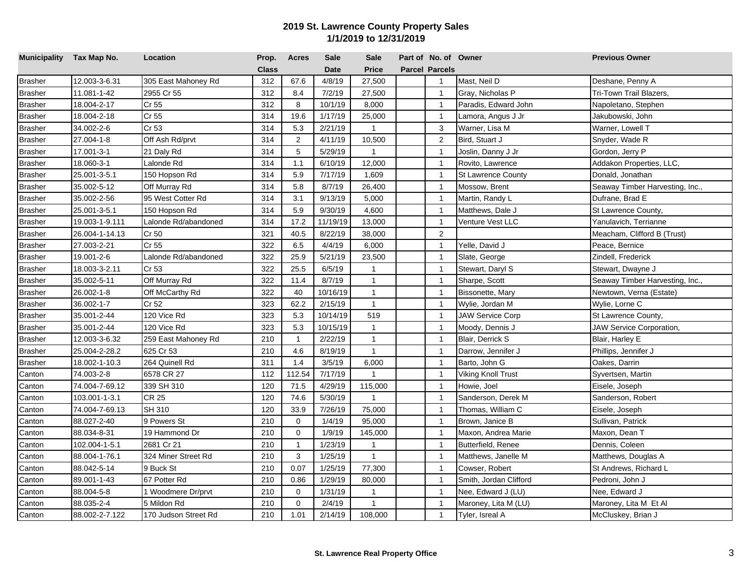| Municipality Tax Map No. |                | Location             | Prop.        | <b>Acres</b>   | <b>Sale</b> | <b>Sale</b>    | Part of No. of Owner  |                           | <b>Previous Owner</b>           |
|--------------------------|----------------|----------------------|--------------|----------------|-------------|----------------|-----------------------|---------------------------|---------------------------------|
|                          |                |                      | <b>Class</b> |                | <b>Date</b> | <b>Price</b>   | <b>Parcel Parcels</b> |                           |                                 |
| <b>Brasher</b>           | 12.003-3-6.31  | 305 East Mahoney Rd  | 312          | 67.6           | 4/8/19      | 27,500         | $\mathbf{1}$          | Mast, Neil D              | Deshane, Penny A                |
| <b>Brasher</b>           | 11.081-1-42    | 2955 Cr 55           | 312          | 8.4            | 7/2/19      | 27,500         | $\overline{1}$        | Gray, Nicholas P          | Tri-Town Trail Blazers,         |
| <b>Brasher</b>           | 18.004-2-17    | Cr 55                | 312          | 8              | 10/1/19     | 8,000          | $\overline{1}$        | Paradis, Edward John      | Napoletano, Stephen             |
| <b>Brasher</b>           | 18.004-2-18    | Cr 55                | 314          | 19.6           | 1/17/19     | 25,000         | $\overline{1}$        | Lamora, Angus J Jr        | Jakubowski, John                |
| <b>Brasher</b>           | 34.002-2-6     | Cr 53                | 314          | 5.3            | 2/21/19     | $\mathbf{1}$   | 3                     | Warner, Lisa M            | Warner, Lowell T                |
| <b>Brasher</b>           | 27.004-1-8     | Off Ash Rd/prvt      | 314          | $\overline{2}$ | 4/11/19     | 10,500         | $\overline{2}$        | Bird, Stuart J            | Snyder, Wade R                  |
| <b>Brasher</b>           | 17.001-3-1     | 21 Daly Rd           | 314          | 5              | 5/29/19     | $\mathbf{1}$   | $\overline{1}$        | Joslin, Danny J Jr        | Gordon, Jerry P                 |
| <b>Brasher</b>           | 18.060-3-1     | Lalonde Rd           | 314          | 1.1            | 6/10/19     | 12,000         | $\overline{1}$        | Rovito, Lawrence          | Addakon Properties, LLC,        |
| <b>Brasher</b>           | 25.001-3-5.1   | 150 Hopson Rd        | 314          | 5.9            | 7/17/19     | 1,609          | $\overline{1}$        | <b>St Lawrence County</b> | Donald, Jonathan                |
| <b>Brasher</b>           | 35.002-5-12    | Off Murray Rd        | 314          | 5.8            | 8/7/19      | 26,400         | $\overline{1}$        | Mossow, Brent             | Seaway Timber Harvesting, Inc., |
| <b>Brasher</b>           | 35.002-2-56    | 95 West Cotter Rd    | 314          | 3.1            | 9/13/19     | 5,000          | $\overline{1}$        | Martin, Randy L           | Dufrane, Brad E                 |
| <b>Brasher</b>           | 25.001-3-5.1   | 150 Hopson Rd        | 314          | 5.9            | 9/30/19     | 4,600          | $\overline{1}$        | Matthews, Dale J          | St Lawrence County,             |
| <b>Brasher</b>           | 19.003-1-9.111 | Lalonde Rd/abandoned | 314          | 17.2           | 11/19/19    | 13,000         | $\mathbf{1}$          | Venture Vest LLC          | Yanulavich, Terrianne           |
| <b>Brasher</b>           | 26.004-1-14.13 | Cr 50                | 321          | 40.5           | 8/22/19     | 38,000         | $\overline{2}$        |                           | Meacham, Clifford B (Trust)     |
| <b>Brasher</b>           | 27.003-2-21    | Cr 55                | 322          | 6.5            | 4/4/19      | 6,000          | $\overline{1}$        | Yelle, David J            | Peace, Bernice                  |
| <b>Brasher</b>           | 19.001-2-6     | Lalonde Rd/abandoned | 322          | 25.9           | 5/21/19     | 23,500         | $\overline{1}$        | Slate, George             | Zindell, Frederick              |
| <b>Brasher</b>           | 18.003-3-2.11  | Cr 53                | 322          | 25.5           | 6/5/19      | $\mathbf{1}$   | $\mathbf{1}$          | Stewart, Daryl S          | Stewart, Dwayne J               |
| <b>Brasher</b>           | 35.002-5-11    | Off Murray Rd        | 322          | 11.4           | 8/7/19      | $\mathbf{1}$   | $\overline{1}$        | Sharpe, Scott             | Seaway Timber Harvesting, Inc., |
| <b>Brasher</b>           | 26.002-1-8     | Off McCarthy Rd      | 322          | 40             | 10/16/19    | $\mathbf{1}$   | $\overline{1}$        | Bissonette, Mary          | Newtown, Verna (Estate)         |
| <b>Brasher</b>           | 36.002-1-7     | Cr 52                | 323          | 62.2           | 2/15/19     | $\mathbf{1}$   | $\overline{1}$        | Wylie, Jordan M           | Wylie, Lorne C                  |
| <b>Brasher</b>           | 35.001-2-44    | 120 Vice Rd          | 323          | 5.3            | 10/14/19    | 519            | $\overline{1}$        | <b>JAW Service Corp</b>   | St Lawrence County,             |
| <b>Brasher</b>           | 35.001-2-44    | 120 Vice Rd          | 323          | 5.3            | 10/15/19    | $\mathbf{1}$   | $\overline{1}$        | Moody, Dennis J           | <b>JAW Service Corporation,</b> |
| <b>Brasher</b>           | 12.003-3-6.32  | 259 East Mahoney Rd  | 210          | $\overline{1}$ | 2/22/19     | $\mathbf{1}$   | $\overline{1}$        | Blair, Derrick S          | Blair, Harley E                 |
| <b>Brasher</b>           | 25.004-2-28.2  | 625 Cr 53            | 210          | 4.6            | 8/19/19     | $\mathbf{1}$   | $\overline{1}$        | Darrow, Jennifer J        | Phillips, Jennifer J            |
| <b>Brasher</b>           | 18.002-1-10.3  | 264 Quinell Rd       | 311          | 1.4            | 3/5/19      | 6,000          | $\overline{1}$        | Barto, John G             | Oakes, Darrin                   |
| Canton                   | 74.003-2-8     | 6578 CR 27           | 112          | 112.54         | 7/17/19     | $\mathbf{1}$   | $\overline{1}$        | Viking Knoll Trust        | Syvertsen, Martin               |
| Canton                   | 74.004-7-69.12 | 339 SH 310           | 120          | 71.5           | 4/29/19     | 115,000        | $\overline{1}$        | Howie, Joel               | Eisele, Joseph                  |
| Canton                   | 103.001-1-3.1  | CR 25                | 120          | 74.6           | 5/30/19     | $\mathbf{1}$   | $\overline{1}$        | Sanderson, Derek M        | Sanderson, Robert               |
| Canton                   | 74.004-7-69.13 | SH 310               | 120          | 33.9           | 7/26/19     | 75,000         | $\overline{1}$        | Thomas, William C         | Eisele, Joseph                  |
| Canton                   | 88.027-2-40    | 9 Powers St          | 210          | $\mathbf 0$    | 1/4/19      | 95,000         | $\overline{1}$        | Brown, Janice B           | Sullivan, Patrick               |
| Canton                   | 88.034-8-31    | 19 Hammond Dr        | 210          | $\mathbf 0$    | 1/9/19      | 145,000        | $\overline{1}$        | Maxon, Andrea Marie       | Maxon, Dean T                   |
| Canton                   | 102.004-1-5.1  | 2681 Cr 21           | 210          | $\mathbf{1}$   | 1/23/19     | $\mathbf{1}$   | $\overline{1}$        | Butterfield, Renee        | Dennis, Coleen                  |
| Canton                   | 88.004-1-76.1  | 324 Miner Street Rd  | 210          | 3              | 1/25/19     | $\mathbf{1}$   | $\overline{1}$        | Matthews, Janelle M       | Matthews, Douglas A             |
| Canton                   | 88.042-5-14    | 9 Buck St            | 210          | 0.07           | 1/25/19     | 77,300         | $\overline{1}$        | Cowser, Robert            | St Andrews, Richard L           |
| Canton                   | 89.001-1-43    | 67 Potter Rd         | 210          | 0.86           | 1/29/19     | 80,000         | $\overline{1}$        | Smith, Jordan Clifford    | Pedroni, John J                 |
| Canton                   | 88.004-5-8     | 1 Woodmere Dr/prvt   | 210          | 0              | 1/31/19     | $\overline{1}$ | $\overline{1}$        | Nee, Edward J (LU)        | Nee, Edward J                   |
| Canton                   | 88.035-2-4     | 5 Mildon Rd          | 210          | $\mathbf 0$    | 2/4/19      | $\mathbf{1}$   | $\overline{1}$        | Maroney, Lita M (LU)      | Maroney, Lita M Et Al           |
| Canton                   | 88.002-2-7.122 | 170 Judson Street Rd | 210          | 1.01           | 2/14/19     | 108,000        | $\mathbf{1}$          | Tyler, Isreal A           | McCluskey, Brian J              |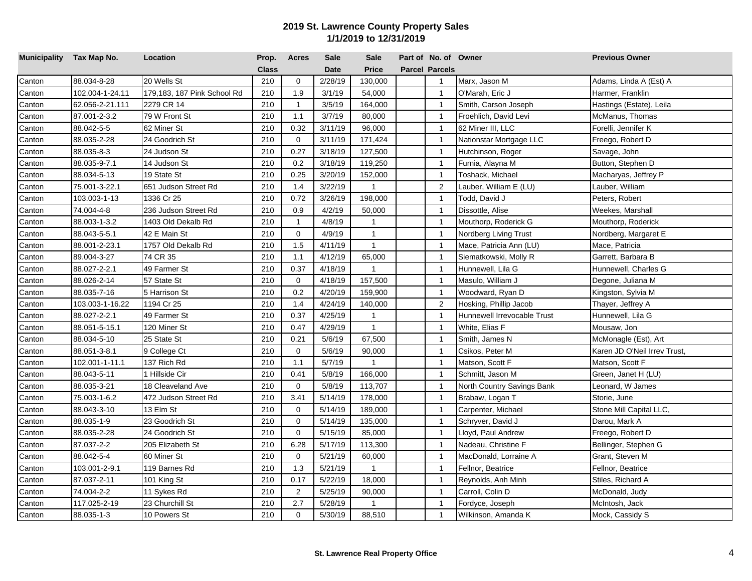| Municipality Tax Map No. |                 | Location                    | Prop.        | <b>Acres</b>   | Sale        | <b>Sale</b>    | Part of No. of Owner  |                             | <b>Previous Owner</b>        |
|--------------------------|-----------------|-----------------------------|--------------|----------------|-------------|----------------|-----------------------|-----------------------------|------------------------------|
|                          |                 |                             | <b>Class</b> |                | <b>Date</b> | <b>Price</b>   | <b>Parcel Parcels</b> |                             |                              |
| Canton                   | 88.034-8-28     | 20 Wells St                 | 210          | $\mathbf 0$    | 2/28/19     | 130,000        | $\mathbf{1}$          | Marx, Jason M               | Adams, Linda A (Est) A       |
| Canton                   | 102.004-1-24.11 | 179,183, 187 Pink School Rd | 210          | 1.9            | 3/1/19      | 54,000         | $\overline{1}$        | O'Marah, Eric J             | Harmer, Franklin             |
| Canton                   | 62.056-2-21.111 | 2279 CR 14                  | 210          | $\overline{1}$ | 3/5/19      | 164,000        | $\overline{1}$        | Smith, Carson Joseph        | Hastings (Estate), Leila     |
| Canton                   | 87.001-2-3.2    | 79 W Front St               | 210          | 1.1            | 3/7/19      | 80,000         | $\overline{1}$        | Froehlich, David Levi       | McManus, Thomas              |
| Canton                   | 88.042-5-5      | 62 Miner St                 | 210          | 0.32           | 3/11/19     | 96,000         | $\overline{1}$        | 62 Miner III, LLC           | Forelli, Jennifer K          |
| Canton                   | 88.035-2-28     | 24 Goodrich St              | 210          | $\mathbf 0$    | 3/11/19     | 171,424        | $\overline{1}$        | Nationstar Mortgage LLC     | Freego, Robert D             |
| Canton                   | 88.035-8-3      | 24 Judson St                | 210          | 0.27           | 3/18/19     | 127,500        | $\overline{1}$        | Hutchinson, Roger           | Savage, John                 |
| Canton                   | 88.035-9-7.1    | 14 Judson St                | 210          | 0.2            | 3/18/19     | 119,250        | $\overline{1}$        | Furnia, Alayna M            | Button, Stephen D            |
| Canton                   | 88.034-5-13     | 19 State St                 | 210          | 0.25           | 3/20/19     | 152,000        | $\overline{1}$        | Toshack, Michael            | Macharyas, Jeffrey P         |
| Canton                   | 75.001-3-22.1   | 651 Judson Street Rd        | 210          | 1.4            | 3/22/19     | $\mathbf{1}$   | 2                     | auber, William E (LU)       | Lauber, William              |
| Canton                   | 103.003-1-13    | 1336 Cr 25                  | 210          | 0.72           | 3/26/19     | 198,000        | $\overline{1}$        | Todd, David J               | Peters, Robert               |
| Canton                   | 74.004-4-8      | 236 Judson Street Rd        | 210          | 0.9            | 4/2/19      | 50,000         | $\overline{1}$        | Dissottle, Alise            | Weekes, Marshall             |
| Canton                   | 88.003-1-3.2    | 1403 Old Dekalb Rd          | 210          | $\mathbf{1}$   | 4/8/19      | $\mathbf{1}$   | $\overline{1}$        | Mouthorp, Roderick G        | Mouthorp, Roderick           |
| Canton                   | 88.043-5-5.1    | 42 E Main St                | 210          | $\mathbf 0$    | 4/9/19      | $\mathbf{1}$   | $\overline{1}$        | Nordberg Living Trust       | Nordberg, Margaret E         |
| Canton                   | 88.001-2-23.1   | 1757 Old Dekalb Rd          | 210          | 1.5            | 4/11/19     | $\mathbf{1}$   | $\overline{1}$        | Mace, Patricia Ann (LU)     | Mace, Patricia               |
| Canton                   | 89.004-3-27     | 74 CR 35                    | 210          | 1.1            | 4/12/19     | 65,000         | $\overline{1}$        | Siematkowski, Molly R       | Garrett, Barbara B           |
| Canton                   | 88.027-2-2.1    | 49 Farmer St                | 210          | 0.37           | 4/18/19     | $\overline{1}$ | $\mathbf{1}$          | Hunnewell, Lila G           | Hunnewell, Charles G         |
| Canton                   | 88.026-2-14     | 57 State St                 | 210          | $\Omega$       | 4/18/19     | 157,500        | $\overline{1}$        | Masulo, William J           | Degone, Juliana M            |
| Canton                   | 88.035-7-16     | 5 Harrison St               | 210          | 0.2            | 4/20/19     | 159,900        | $\overline{1}$        | Woodward, Ryan D            | Kingston, Sylvia M           |
| Canton                   | 103.003-1-16.22 | 1194 Cr 25                  | 210          | 1.4            | 4/24/19     | 140,000        | 2                     | Hosking, Phillip Jacob      | Thayer, Jeffrey A            |
| Canton                   | 88.027-2-2.1    | 49 Farmer St                | 210          | 0.37           | 4/25/19     | $\mathbf{1}$   | $\overline{1}$        | Hunnewell Irrevocable Trust | Hunnewell, Lila G            |
| Canton                   | 88.051-5-15.1   | 120 Miner St                | 210          | 0.47           | 4/29/19     | $\mathbf{1}$   | $\overline{1}$        | White, Elias F              | Mousaw, Jon                  |
| Canton                   | 88.034-5-10     | 25 State St                 | 210          | 0.21           | 5/6/19      | 67,500         | $\overline{1}$        | Smith, James N              | McMonagle (Est), Art         |
| Canton                   | 88.051-3-8.1    | 9 College Ct                | 210          | $\mathbf 0$    | 5/6/19      | 90,000         | $\overline{1}$        | Csikos, Peter M             | Karen JD O'Neil Irrev Trust, |
| Canton                   | 102.001-1-11.1  | 137 Rich Rd                 | 210          | 1.1            | 5/7/19      | $\mathbf{1}$   | $\overline{1}$        | Matson, Scott F             | Matson, Scott F              |
| Canton                   | 88.043-5-11     | 1 Hillside Cir              | 210          | 0.41           | 5/8/19      | 166,000        | $\overline{1}$        | Schmitt, Jason M            | Green, Janet H (LU)          |
| Canton                   | 88.035-3-21     | 18 Cleaveland Ave           | 210          | $\mathbf 0$    | 5/8/19      | 113,707        | $\overline{1}$        | North Country Savings Bank  | Leonard, W James             |
| Canton                   | 75.003-1-6.2    | 472 Judson Street Rd        | 210          | 3.41           | 5/14/19     | 178,000        | $\overline{1}$        | Brabaw, Logan T             | Storie, June                 |
| Canton                   | 88.043-3-10     | 13 Elm St                   | 210          | $\mathbf 0$    | 5/14/19     | 189,000        | $\overline{1}$        | Carpenter, Michael          | Stone Mill Capital LLC,      |
| Canton                   | 88.035-1-9      | 23 Goodrich St              | 210          | $\mathbf 0$    | 5/14/19     | 135,000        | $\overline{1}$        | Schryver, David J           | Darou, Mark A                |
| Canton                   | 88.035-2-28     | 24 Goodrich St              | 210          | $\mathbf 0$    | 5/15/19     | 85,000         | $\overline{1}$        | Lloyd, Paul Andrew          | Freego, Robert D             |
| Canton                   | 87.037-2-2      | 205 Elizabeth St            | 210          | 6.28           | 5/17/19     | 113,300        | $\overline{1}$        | Nadeau, Christine F         | Bellinger, Stephen G         |
| Canton                   | 88.042-5-4      | 60 Miner St                 | 210          | $\mathbf 0$    | 5/21/19     | 60,000         | $\overline{1}$        | MacDonald, Lorraine A       | Grant, Steven M              |
| Canton                   | 103.001-2-9.1   | 119 Barnes Rd               | 210          | 1.3            | 5/21/19     | $\mathbf{1}$   | $\overline{1}$        | Fellnor, Beatrice           | Fellnor, Beatrice            |
| Canton                   | 87.037-2-11     | 101 King St                 | 210          | 0.17           | 5/22/19     | 18,000         | $\overline{1}$        | Reynolds, Anh Minh          | Stiles, Richard A            |
| Canton                   | 74.004-2-2      | 11 Sykes Rd                 | 210          | 2              | 5/25/19     | 90,000         | $\overline{1}$        | Carroll, Colin D            | McDonald, Judy               |
| Canton                   | 117.025-2-19    | 23 Churchill St             | 210          | 2.7            | 5/28/19     | $\overline{1}$ | $\overline{1}$        | Fordyce, Joseph             | McIntosh, Jack               |
| Canton                   | 88.035-1-3      | 10 Powers St                | 210          | $\mathbf 0$    | 5/30/19     | 88,510         | $\mathbf{1}$          | Wilkinson, Amanda K         | Mock, Cassidy S              |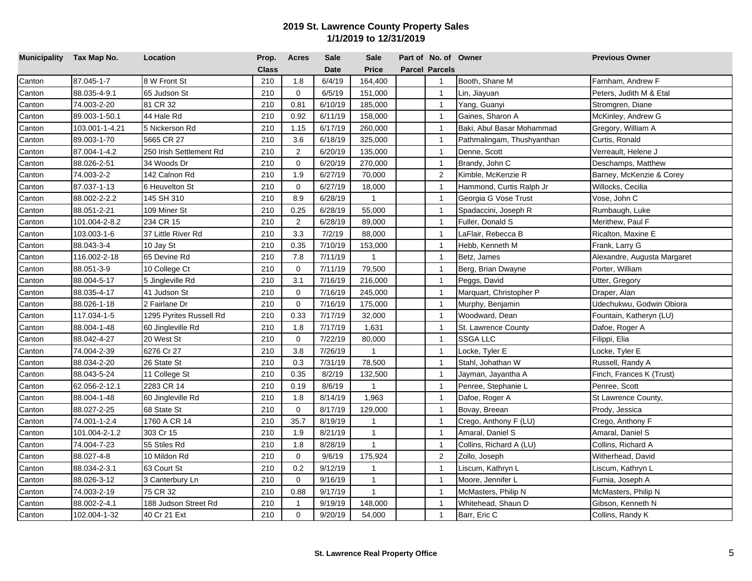| Municipality Tax Map No. |                | Location                | Prop.        | <b>Acres</b>   | <b>Sale</b> | <b>Sale</b>  | Part of No. of Owner  |                            | <b>Previous Owner</b>       |
|--------------------------|----------------|-------------------------|--------------|----------------|-------------|--------------|-----------------------|----------------------------|-----------------------------|
|                          |                |                         | <b>Class</b> |                | <b>Date</b> | Price        | <b>Parcel Parcels</b> |                            |                             |
| Canton                   | 87.045-1-7     | 8 W Front St            | 210          | 1.8            | 6/4/19      | 164,400      | $\overline{1}$        | Booth, Shane M             | Farnham, Andrew F           |
| Canton                   | 88.035-4-9.1   | 65 Judson St            | 210          | $\mathbf 0$    | 6/5/19      | 151,000      | $\overline{1}$        | Lin, Jiayuan               | Peters, Judith M & Etal     |
| Canton                   | 74.003-2-20    | 81 CR 32                | 210          | 0.81           | 6/10/19     | 185,000      | $\overline{1}$        | Yang, Guanyi               | Stromgren, Diane            |
| Canton                   | 89.003-1-50.1  | 44 Hale Rd              | 210          | 0.92           | 6/11/19     | 158,000      | $\overline{1}$        | Gaines, Sharon A           | McKinley, Andrew G          |
| Canton                   | 103.001-1-4.21 | 5 Nickerson Rd          | 210          | 1.15           | 6/17/19     | 260,000      | $\overline{1}$        | Baki, Abul Basar Mohammad  | Gregory, William A          |
| Canton                   | 89.003-1-70    | 5665 CR 27              | 210          | 3.6            | 6/18/19     | 325,000      | $\overline{1}$        | Pathmalingam, Thushyanthan | Curtis, Ronald              |
| Canton                   | 87.004-1-4.2   | 250 Irish Settlement Rd | 210          | $\overline{2}$ | 6/20/19     | 135,000      | $\overline{1}$        | Denne, Scott               | Verreault, Helene J         |
| Canton                   | 88.026-2-51    | 34 Woods Dr             | 210          | $\mathbf 0$    | 6/20/19     | 270,000      | $\overline{1}$        | Brandy, John C             | Deschamps, Matthew          |
| Canton                   | 74.003-2-2     | 142 Calnon Rd           | 210          | 1.9            | 6/27/19     | 70,000       | 2                     | Kimble, McKenzie R         | Barney, McKenzie & Corey    |
| Canton                   | 87.037-1-13    | 6 Heuvelton St          | 210          | $\mathbf 0$    | 6/27/19     | 18,000       | $\overline{1}$        | Hammond, Curtis Ralph Jr   | Willocks, Cecilia           |
| Canton                   | 88.002-2-2.2   | 145 SH 310              | 210          | 8.9            | 6/28/19     | $\mathbf{1}$ | $\overline{1}$        | Georgia G Vose Trust       | Vose, John C                |
| Canton                   | 88.051-2-21    | 109 Miner St            | 210          | 0.25           | 6/28/19     | 55,000       | $\overline{1}$        | Spadaccini, Joseph R       | Rumbaugh, Luke              |
| Canton                   | 101.004-2-8.2  | 234 CR 15               | 210          | 2              | 6/28/19     | 89,000       | $\mathbf{1}$          | Fuller, Donald S           | Merithew, Paul F            |
| Canton                   | 103.003-1-6    | 37 Little River Rd      | 210          | 3.3            | 7/2/19      | 88,000       | $\overline{1}$        | LaFlair, Rebecca B         | Ricalton, Maxine E          |
| Canton                   | 88.043-3-4     | 10 Jay St               | 210          | 0.35           | 7/10/19     | 153,000      | $\overline{1}$        | Hebb, Kenneth M            | Frank, Larry G              |
| Canton                   | 116.002-2-18   | 65 Devine Rd            | 210          | 7.8            | 7/11/19     | $\mathbf{1}$ | $\overline{1}$        | Betz, James                | Alexandre, Augusta Margaret |
| Canton                   | 88.051-3-9     | 10 College Ct           | 210          | $\mathbf 0$    | 7/11/19     | 79,500       | $\overline{1}$        | Berg, Brian Dwayne         | Porter, William             |
| Canton                   | 88.004-5-17    | 5 Jingleville Rd        | 210          | 3.1            | 7/16/19     | 216,000      | $\mathbf{1}$          | Peggs, David               | Utter, Gregory              |
| Canton                   | 88.035-4-17    | 41 Judson St            | 210          | $\mathbf 0$    | 7/16/19     | 245,000      | $\overline{1}$        | Marquart, Christopher P    | Draper, Alan                |
| Canton                   | 88.026-1-18    | 2 Fairlane Dr           | 210          | $\mathbf 0$    | 7/16/19     | 175,000      | $\overline{1}$        | Murphy, Benjamin           | Udechukwu, Godwin Obiora    |
| Canton                   | 117.034-1-5    | 1295 Pyrites Russell Rd | 210          | 0.33           | 7/17/19     | 32,000       | $\overline{1}$        | Woodward, Dean             | Fountain, Katheryn (LU)     |
| Canton                   | 88.004-1-48    | 60 Jingleville Rd       | 210          | 1.8            | 7/17/19     | 1,631        | $\overline{1}$        | St. Lawrence County        | Dafoe, Roger A              |
| Canton                   | 88.042-4-27    | 20 West St              | 210          | $\mathbf 0$    | 7/22/19     | 80,000       | $\overline{1}$        | SSGA LLC                   | Filippi, Elia               |
| Canton                   | 74.004-2-39    | 6276 Cr 27              | 210          | 3.8            | 7/26/19     | $\mathbf{1}$ | $\overline{1}$        | Locke, Tyler E             | Locke, Tyler E              |
| Canton                   | 88.034-2-20    | 26 State St             | 210          | 0.3            | 7/31/19     | 78,500       | $\overline{1}$        | Stahl, Johathan W          | Russell, Randy A            |
| Canton                   | 88.043-5-24    | 11 College St           | 210          | 0.35           | 8/2/19      | 132,500      | $\overline{1}$        | Jayman, Jayantha A         | Finch, Frances K (Trust)    |
| Canton                   | 62.056-2-12.1  | 2283 CR 14              | 210          | 0.19           | 8/6/19      | $\mathbf{1}$ | $\overline{1}$        | Penree, Stephanie L        | Penree, Scott               |
| Canton                   | 88.004-1-48    | 60 Jingleville Rd       | 210          | 1.8            | 8/14/19     | 1,963        | $\overline{1}$        | Dafoe, Roger A             | St Lawrence County,         |
| Canton                   | 88.027-2-25    | 68 State St             | 210          | $\mathbf 0$    | 8/17/19     | 129,000      | $\overline{1}$        | Bovay, Breean              | Prody, Jessica              |
| Canton                   | 74.001-1-2.4   | 1760 A CR 14            | 210          | 35.7           | 8/19/19     | $\mathbf{1}$ | $\overline{1}$        | Crego, Anthony F (LU)      | Crego, Anthony F            |
| Canton                   | 101.004-2-1.2  | 303 Cr 15               | 210          | 1.9            | 8/21/19     | $\mathbf{1}$ | $\overline{1}$        | Amaral, Daniel S           | Amaral, Daniel S            |
| Canton                   | 74.004-7-23    | 55 Stiles Rd            | 210          | 1.8            | 8/28/19     | $\mathbf{1}$ | $\overline{1}$        | Collins, Richard A (LU)    | Collins, Richard A          |
| Canton                   | 88.027-4-8     | 10 Mildon Rd            | 210          | $\Omega$       | 9/6/19      | 175,924      | $\overline{2}$        | Zollo, Joseph              | Witherhead, David           |
| Canton                   | 88.034-2-3.1   | 63 Court St             | 210          | 0.2            | 9/12/19     | $\mathbf{1}$ | $\mathbf{1}$          | Liscum, Kathryn L          | Liscum, Kathryn L           |
| Canton                   | 88.026-3-12    | 3 Canterbury Ln         | 210          | $\mathbf 0$    | 9/16/19     | $\mathbf{1}$ | $\overline{1}$        | Moore, Jennifer L          | Furnia, Joseph A            |
| Canton                   | 74.003-2-19    | 75 CR 32                | 210          | 0.88           | 9/17/19     | $\mathbf{1}$ | $\overline{1}$        | McMasters, Philip N        | McMasters, Philip N         |
| Canton                   | 88.002-2-4.1   | 188 Judson Street Rd    | 210          | $\mathbf{1}$   | 9/19/19     | 148,000      | $\overline{1}$        | Whitehead, Shaun D         | Gibson, Kenneth N           |
| Canton                   | 102.004-1-32   | 40 Cr 21 Ext            | 210          | $\Omega$       | 9/20/19     | 54,000       | $\mathbf{1}$          | Barr, Eric C               | Collins, Randy K            |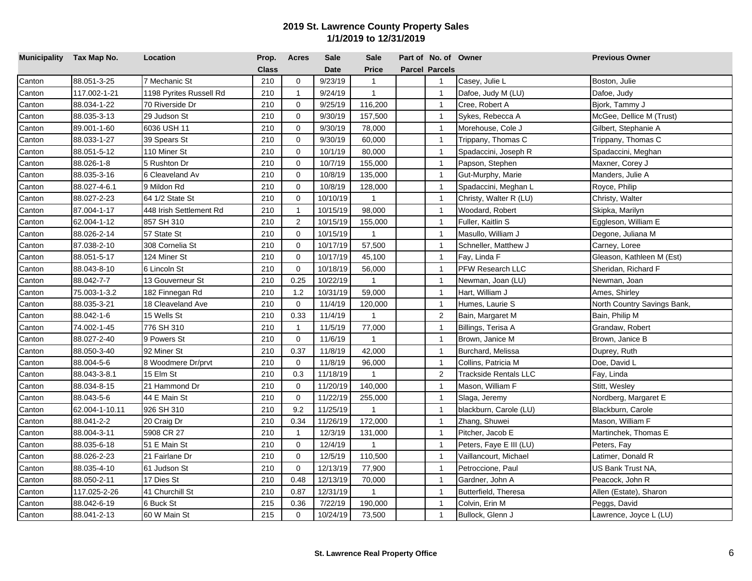| Municipality Tax Map No. |                | Location                | Prop.        | <b>Acres</b>   | Sale        | <b>Sale</b>    | Part of No. of Owner  |                         | <b>Previous Owner</b>       |
|--------------------------|----------------|-------------------------|--------------|----------------|-------------|----------------|-----------------------|-------------------------|-----------------------------|
|                          |                |                         | <b>Class</b> |                | <b>Date</b> | <b>Price</b>   | <b>Parcel Parcels</b> |                         |                             |
| Canton                   | 88.051-3-25    | 7 Mechanic St           | 210          | $\mathbf 0$    | 9/23/19     | $\mathbf{1}$   | $\mathbf{1}$          | Casey, Julie L          | Boston, Julie               |
| Canton                   | 117.002-1-21   | 1198 Pyrites Russell Rd | 210          | $\mathbf{1}$   | 9/24/19     | $\mathbf{1}$   | $\overline{1}$        | Dafoe, Judy M (LU)      | Dafoe, Judy                 |
| Canton                   | 88.034-1-22    | 70 Riverside Dr         | 210          | $\mathbf 0$    | 9/25/19     | 116,200        | $\overline{1}$        | Cree, Robert A          | Bjork, Tammy J              |
| Canton                   | 88.035-3-13    | 29 Judson St            | 210          | $\mathbf 0$    | 9/30/19     | 157,500        | $\overline{1}$        | Sykes, Rebecca A        | McGee, Dellice M (Trust)    |
| Canton                   | 89.001-1-60    | 6036 USH 11             | 210          | $\mathbf 0$    | 9/30/19     | 78,000         | $\overline{1}$        | Morehouse, Cole J       | Gilbert, Stephanie A        |
| Canton                   | 88.033-1-27    | 39 Spears St            | 210          | $\mathbf 0$    | 9/30/19     | 60,000         | $\overline{1}$        | Trippany, Thomas C      | Trippany, Thomas C          |
| Canton                   | 88.051-5-12    | 110 Miner St            | 210          | $\mathbf 0$    | 10/1/19     | 80,000         | $\overline{1}$        | Spadaccini, Joseph R    | Spadaccini, Meghan          |
| Canton                   | 88.026-1-8     | 5 Rushton Dr            | 210          | $\mathbf 0$    | 10/7/19     | 155,000        | $\overline{1}$        | Papson, Stephen         | Maxner, Corey J             |
| Canton                   | 88.035-3-16    | 6 Cleaveland Av         | 210          | $\mathbf 0$    | 10/8/19     | 135,000        | $\overline{1}$        | Gut-Murphy, Marie       | Manders, Julie A            |
| Canton                   | 88.027-4-6.1   | 9 Mildon Rd             | 210          | $\mathbf 0$    | 10/8/19     | 128,000        | $\overline{1}$        | Spadaccini, Meghan L    | Royce, Philip               |
| Canton                   | 88.027-2-23    | 64 1/2 State St         | 210          | $\mathbf 0$    | 10/10/19    | $\mathbf{1}$   | $\overline{1}$        | Christy, Walter R (LU)  | Christy, Walter             |
| Canton                   | 87.004-1-17    | 448 Irish Settlement Rd | 210          | $\mathbf{1}$   | 10/15/19    | 98,000         | $\overline{1}$        | Woodard, Robert         | Skipka, Marilyn             |
| Canton                   | 62.004-1-12    | 857 SH 310              | 210          | $\overline{2}$ | 10/15/19    | 155,000        | $\overline{1}$        | Fuller, Kaitlin S       | Eggleson, William E         |
| Canton                   | 88.026-2-14    | 57 State St             | 210          | $\mathbf 0$    | 10/15/19    | $\mathbf{1}$   | $\overline{1}$        | Masullo, William J      | Degone, Juliana M           |
| Canton                   | 87.038-2-10    | 308 Cornelia St         | 210          | $\mathbf 0$    | 10/17/19    | 57,500         | $\overline{1}$        | Schneller, Matthew J    | Carney, Loree               |
| Canton                   | 88.051-5-17    | 124 Miner St            | 210          | $\mathbf 0$    | 10/17/19    | 45,100         | $\overline{1}$        | Fay, Linda F            | Gleason, Kathleen M (Est)   |
| Canton                   | 88.043-8-10    | 6 Lincoln St            | 210          | $\Omega$       | 10/18/19    | 56,000         | $\mathbf{1}$          | PFW Research LLC        | Sheridan, Richard F         |
| Canton                   | 88.042-7-7     | 13 Gouverneur St        | 210          | 0.25           | 10/22/19    | $\mathbf{1}$   | $\overline{1}$        | Newman, Joan (LU)       | Newman, Joan                |
| Canton                   | 75.003-1-3.2   | 182 Finnegan Rd         | 210          | 1.2            | 10/31/19    | 59,000         | $\overline{1}$        | Hart, William J         | Ames, Shirley               |
| Canton                   | 88.035-3-21    | 18 Cleaveland Ave       | 210          | $\Omega$       | 11/4/19     | 120,000        | $\overline{1}$        | Humes, Laurie S         | North Country Savings Bank, |
| Canton                   | 88.042-1-6     | 15 Wells St             | 210          | 0.33           | 11/4/19     | $\mathbf{1}$   | $\overline{c}$        | Bain, Margaret M        | Bain, Philip M              |
| Canton                   | 74.002-1-45    | 776 SH 310              | 210          | $\overline{1}$ | 11/5/19     | 77,000         | $\overline{1}$        | Billings, Terisa A      | Grandaw, Robert             |
| Canton                   | 88.027-2-40    | 9 Powers St             | 210          | $\mathbf 0$    | 11/6/19     | $\mathbf{1}$   | $\overline{1}$        | Brown, Janice M         | Brown, Janice B             |
| Canton                   | 88.050-3-40    | 92 Miner St             | 210          | 0.37           | 11/8/19     | 42,000         | $\overline{1}$        | Burchard, Melissa       | Duprey, Ruth                |
| Canton                   | 88.004-5-6     | 8 Woodmere Dr/prvt      | 210          | $\mathbf 0$    | 11/8/19     | 96,000         | $\overline{1}$        | Collins, Patricia M     | Doe, David L                |
| Canton                   | 88.043-3-8.1   | 15 Elm St               | 210          | 0.3            | 11/18/19    | $\mathbf{1}$   | $\overline{2}$        | Trackside Rentals LLC   | Fay, Linda                  |
| Canton                   | 88.034-8-15    | 21 Hammond Dr           | 210          | $\overline{0}$ | 11/20/19    | 140,000        | $\overline{1}$        | Mason, William F        | Stitt, Wesley               |
| Canton                   | 88.043-5-6     | 44 E Main St            | 210          | $\mathbf 0$    | 11/22/19    | 255,000        | $\overline{1}$        | Slaga, Jeremy           | Nordberg, Margaret E        |
| Canton                   | 62.004-1-10.11 | 926 SH 310              | 210          | 9.2            | 11/25/19    | $\mathbf{1}$   | $\overline{1}$        | blackburn, Carole (LU)  | Blackburn, Carole           |
| Canton                   | 88.041-2-2     | 20 Craig Dr             | 210          | 0.34           | 11/26/19    | 172,000        | $\overline{1}$        | Zhang, Shuwei           | Mason, William F            |
| Canton                   | 88.004-3-11    | 5908 CR 27              | 210          | $\overline{1}$ | 12/3/19     | 131,000        | $\overline{1}$        | Pitcher, Jacob E        | Martinchek, Thomas E        |
| Canton                   | 88.035-6-18    | 51 E Main St            | 210          | $\mathbf 0$    | 12/4/19     | $\mathbf{1}$   | $\overline{1}$        | Peters, Faye E III (LU) | Peters, Fay                 |
| Canton                   | 88.026-2-23    | 21 Fairlane Dr          | 210          | $\mathbf 0$    | 12/5/19     | 110,500        | $\overline{1}$        | Vaillancourt, Michael   | Latimer, Donald R           |
| Canton                   | 88.035-4-10    | 61 Judson St            | 210          | $\mathbf 0$    | 12/13/19    | 77,900         | $\overline{1}$        | Petroccione, Paul       | US Bank Trust NA.           |
| Canton                   | 88.050-2-11    | 17 Dies St              | 210          | 0.48           | 12/13/19    | 70,000         | $\overline{1}$        | Gardner, John A         | Peacock, John R             |
| Canton                   | 117.025-2-26   | 41 Churchill St         | 210          | 0.87           | 12/31/19    | $\overline{1}$ | $\overline{1}$        | Butterfield, Theresa    | Allen (Estate), Sharon      |
| Canton                   | 88.042-6-19    | 6 Buck St               | 215          | 0.36           | 7/22/19     | 190,000        | $\overline{1}$        | Colvin, Erin M          | Peggs, David                |
| Canton                   | 88.041-2-13    | 60 W Main St            | 215          | $\mathbf 0$    | 10/24/19    | 73,500         | $\mathbf{1}$          | Bullock, Glenn J        | Lawrence, Joyce L (LU)      |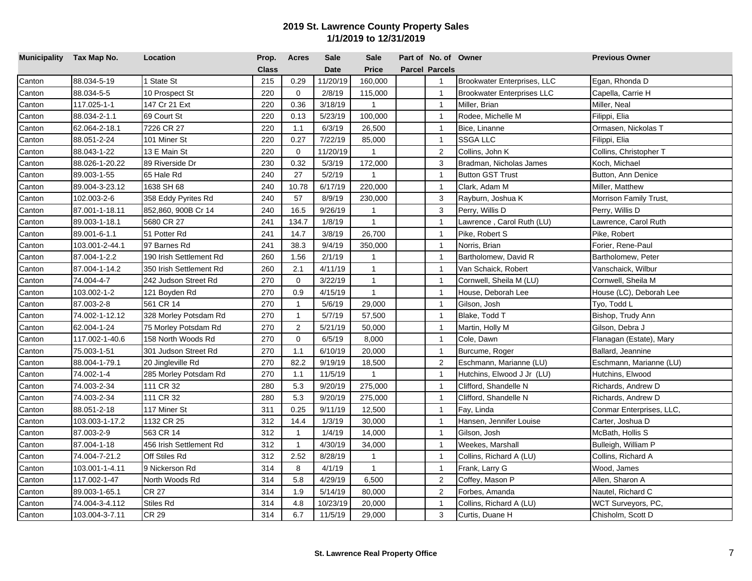| Municipality Tax Map No. |                | Location                | Prop.        | <b>Acres</b>   | <b>Sale</b> | <b>Sale</b>  | Part of No. of Owner  |                                   | <b>Previous Owner</b>    |
|--------------------------|----------------|-------------------------|--------------|----------------|-------------|--------------|-----------------------|-----------------------------------|--------------------------|
|                          |                |                         | <b>Class</b> |                | <b>Date</b> | <b>Price</b> | <b>Parcel Parcels</b> |                                   |                          |
| Canton                   | 88.034-5-19    | 1 State St              | 215          | 0.29           | 11/20/19    | 160,000      | $\overline{1}$        | Brookwater Enterprises, LLC       | Egan, Rhonda D           |
| Canton                   | 88.034-5-5     | 10 Prospect St          | 220          | $\mathbf 0$    | 2/8/19      | 115,000      | $\overline{1}$        | <b>Brookwater Enterprises LLC</b> | Capella, Carrie H        |
| Canton                   | 117.025-1-1    | 147 Cr 21 Ext           | 220          | 0.36           | 3/18/19     | $\mathbf{1}$ | $\overline{1}$        | Miller, Brian                     | Miller, Neal             |
| Canton                   | 88.034-2-1.1   | 69 Court St             | 220          | 0.13           | 5/23/19     | 100,000      | $\overline{1}$        | Rodee, Michelle M                 | Filippi, Elia            |
| Canton                   | 62.064-2-18.1  | 7226 CR 27              | 220          | 1.1            | 6/3/19      | 26,500       | $\overline{1}$        | Bice, Linanne                     | Ormasen, Nickolas T      |
| Canton                   | 88.051-2-24    | 101 Miner St            | 220          | 0.27           | 7/22/19     | 85,000       | $\overline{1}$        | <b>SSGA LLC</b>                   | Filippi, Elia            |
| Canton                   | 88.043-1-22    | 13 E Main St            | 220          | $\mathbf 0$    | 11/20/19    | $\mathbf{1}$ | $\overline{2}$        | Collins, John K                   | Collins, Christopher T   |
| Canton                   | 88.026-1-20.22 | 89 Riverside Dr         | 230          | 0.32           | 5/3/19      | 172,000      | 3                     | Bradman, Nicholas James           | Koch, Michael            |
| Canton                   | 89.003-1-55    | 65 Hale Rd              | 240          | 27             | 5/2/19      | $\mathbf{1}$ | $\overline{1}$        | <b>Button GST Trust</b>           | Button, Ann Denice       |
| Canton                   | 89.004-3-23.12 | 1638 SH 68              | 240          | 10.78          | 6/17/19     | 220,000      | $\overline{1}$        | Clark, Adam M                     | Miller, Matthew          |
| Canton                   | 102.003-2-6    | 358 Eddy Pyrites Rd     | 240          | 57             | 8/9/19      | 230,000      | 3                     | Rayburn, Joshua K                 | Morrison Family Trust,   |
| Canton                   | 87.001-1-18.11 | 852,860, 900B Cr 14     | 240          | 16.5           | 9/26/19     | $\mathbf{1}$ | 3                     | Perry, Willis D                   | Perry, Willis D          |
| Canton                   | 89.003-1-18.1  | 5680 CR 27              | 241          | 134.7          | 1/8/19      | $\mathbf{1}$ | $\mathbf{1}$          | Lawrence, Carol Ruth (LU)         | Lawrence, Carol Ruth     |
| Canton                   | 89.001-6-1.1   | 51 Potter Rd            | 241          | 14.7           | 3/8/19      | 26,700       | $\overline{1}$        | Pike, Robert S                    | Pike, Robert             |
| Canton                   | 103.001-2-44.1 | 97 Barnes Rd            | 241          | 38.3           | 9/4/19      | 350,000      | $\overline{1}$        | Norris, Brian                     | Forier, Rene-Paul        |
| Canton                   | 87.004-1-2.2   | 190 Irish Settlement Rd | 260          | 1.56           | 2/1/19      | $\mathbf{1}$ | $\overline{1}$        | Bartholomew, David R              | Bartholomew, Peter       |
| Canton                   | 87.004-1-14.2  | 350 Irish Settlement Rd | 260          | 2.1            | 4/11/19     | $\mathbf{1}$ | $\overline{1}$        | Van Schaick, Robert               | Vanschaick, Wilbur       |
| Canton                   | 74.004-4-7     | 242 Judson Street Rd    | 270          | $\Omega$       | 3/22/19     | $\mathbf{1}$ | $\overline{1}$        | Cornwell, Sheila M (LU)           | Cornwell, Sheila M       |
| Canton                   | 103.002-1-2    | 121 Boyden Rd           | 270          | 0.9            | 4/15/19     | $\mathbf{1}$ | $\overline{1}$        | House, Deborah Lee                | House (LC), Deborah Lee  |
| Canton                   | 87.003-2-8     | 561 CR 14               | 270          | $\mathbf{1}$   | 5/6/19      | 29,000       | $\overline{1}$        | Gilson, Josh                      | Tyo, Todd L              |
| Canton                   | 74.002-1-12.12 | 328 Morley Potsdam Rd   | 270          | $\mathbf{1}$   | 5/7/19      | 57,500       | $\mathbf{1}$          | Blake, Todd T                     | Bishop, Trudy Ann        |
| Canton                   | 62.004-1-24    | 75 Morley Potsdam Rd    | 270          | $\overline{2}$ | 5/21/19     | 50,000       | $\overline{1}$        | Martin, Holly M                   | Gilson, Debra J          |
| Canton                   | 117.002-1-40.6 | 158 North Woods Rd      | 270          | $\mathbf 0$    | 6/5/19      | 8,000        | $\overline{1}$        | Cole, Dawn                        | Flanagan (Estate), Mary  |
| Canton                   | 75.003-1-51    | 301 Judson Street Rd    | 270          | 1.1            | 6/10/19     | 20,000       | $\overline{1}$        | Burcume, Roger                    | Ballard, Jeannine        |
| Canton                   | 88.004-1-79.1  | 20 Jingleville Rd       | 270          | 82.2           | 9/19/19     | 18,500       | $\overline{2}$        | Eschmann, Marianne (LU)           | Eschmann, Marianne (LU)  |
| Canton                   | 74.002-1-4     | 285 Morley Potsdam Rd   | 270          | 1.1            | 11/5/19     | $\mathbf{1}$ | $\overline{1}$        | Hutchins, Elwood J Jr (LU)        | Hutchins, Elwood         |
| Canton                   | 74.003-2-34    | 111 CR 32               | 280          | 5.3            | 9/20/19     | 275,000      | $\overline{1}$        | Clifford, Shandelle N             | Richards, Andrew D       |
| Canton                   | 74.003-2-34    | 111 CR 32               | 280          | 5.3            | 9/20/19     | 275,000      | $\overline{1}$        | Clifford, Shandelle N             | Richards, Andrew D       |
| Canton                   | 88.051-2-18    | 117 Miner St            | 311          | 0.25           | 9/11/19     | 12,500       | $\mathbf{1}$          | Fay, Linda                        | Conmar Enterprises, LLC, |
| Canton                   | 103.003-1-17.2 | 1132 CR 25              | 312          | 14.4           | 1/3/19      | 30,000       | $\overline{1}$        | Hansen, Jennifer Louise           | Carter, Joshua D         |
| Canton                   | 87.003-2-9     | 563 CR 14               | 312          | $\overline{1}$ | 1/4/19      | 14,000       | $\overline{1}$        | Gilson, Josh                      | McBath, Hollis S         |
| Canton                   | 87.004-1-18    | 456 Irish Settlement Rd | 312          | $\mathbf{1}$   | 4/30/19     | 34,000       | $\overline{1}$        | Weekes, Marshall                  | Bulleigh, William P      |
| Canton                   | 74.004-7-21.2  | Off Stiles Rd           | 312          | 2.52           | 8/28/19     | $\mathbf{1}$ | $\overline{1}$        | Collins, Richard A (LU)           | Collins, Richard A       |
| Canton                   | 103.001-1-4.11 | 9 Nickerson Rd          | 314          | 8              | 4/1/19      | $\mathbf{1}$ | $\overline{1}$        | Frank, Larry G                    | Wood, James              |
| Canton                   | 117.002-1-47   | North Woods Rd          | 314          | 5.8            | 4/29/19     | 6,500        | 2                     | Coffey, Mason P                   | Allen, Sharon A          |
| Canton                   | 89.003-1-65.1  | <b>CR 27</b>            | 314          | 1.9            | 5/14/19     | 80,000       | 2                     | Forbes, Amanda                    | Nautel, Richard C        |
| Canton                   | 74.004-3-4.112 | Stiles Rd               | 314          | 4.8            | 10/23/19    | 20,000       | $\overline{1}$        | Collins, Richard A (LU)           | WCT Surveyors, PC,       |
| Canton                   | 103.004-3-7.11 | <b>CR 29</b>            | 314          | 6.7            | 11/5/19     | 29,000       | 3                     | Curtis, Duane H                   | Chisholm, Scott D        |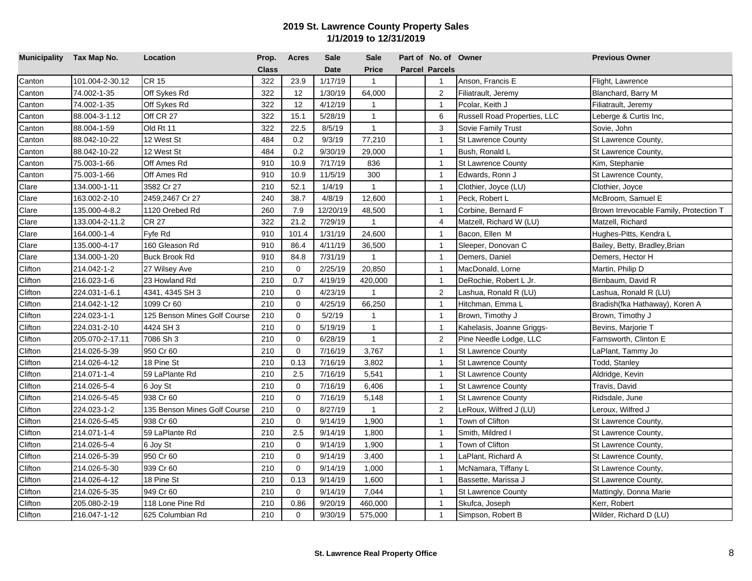| Municipality Tax Map No. |                 | Location                     | Prop.        | <b>Acres</b> | <b>Sale</b> | <b>Sale</b>    | Part of No. of Owner  |                              | <b>Previous Owner</b>                  |
|--------------------------|-----------------|------------------------------|--------------|--------------|-------------|----------------|-----------------------|------------------------------|----------------------------------------|
|                          |                 |                              | <b>Class</b> |              | <b>Date</b> | Price          | <b>Parcel Parcels</b> |                              |                                        |
| Canton                   | 101.004-2-30.12 | <b>CR 15</b>                 | 322          | 23.9         | 1/17/19     | $\mathbf{1}$   | $\mathbf{1}$          | Anson, Francis E             | Flight, Lawrence                       |
| Canton                   | 74.002-1-35     | Off Sykes Rd                 | 322          | 12           | 1/30/19     | 64,000         | $\overline{2}$        | Filiatrault, Jeremy          | Blanchard, Barry M                     |
| Canton                   | 74.002-1-35     | Off Sykes Rd                 | 322          | 12           | 4/12/19     | $\mathbf{1}$   | $\mathbf{1}$          | Pcolar, Keith J              | Filiatrault, Jeremy                    |
| Canton                   | 88.004-3-1.12   | Off CR 27                    | 322          | 15.1         | 5/28/19     | $\mathbf{1}$   | 6                     | Russell Road Properties, LLC | Leberge & Curtis Inc,                  |
| Canton                   | 88.004-1-59     | Old Rt 11                    | 322          | 22.5         | 8/5/19      | $\mathbf{1}$   | 3                     | Sovie Family Trust           | Sovie, John                            |
| Canton                   | 88.042-10-22    | 12 West St                   | 484          | 0.2          | 9/3/19      | 77,210         | $\mathbf{1}$          | <b>St Lawrence County</b>    | St Lawrence County,                    |
| Canton                   | 88.042-10-22    | 12 West St                   | 484          | 0.2          | 9/30/19     | 29,000         | $\overline{1}$        | Bush, Ronald L               | St Lawrence County,                    |
| Canton                   | 75.003-1-66     | Off Ames Rd                  | 910          | 10.9         | 7/17/19     | 836            | $\overline{1}$        | <b>St Lawrence County</b>    | Kim, Stephanie                         |
| Canton                   | 75.003-1-66     | Off Ames Rd                  | 910          | 10.9         | 11/5/19     | 300            | $\overline{1}$        | Edwards, Ronn J              | St Lawrence County,                    |
| Clare                    | 134.000-1-11    | 3582 Cr 27                   | 210          | 52.1         | 1/4/19      | $\mathbf{1}$   | $\mathbf{1}$          | Clothier, Joyce (LU)         | Clothier, Joyce                        |
| Clare                    | 163.002-2-10    | 2459,2467 Cr 27              | 240          | 38.7         | 4/8/19      | 12,600         | $\mathbf{1}$          | Peck, Robert L               | McBroom, Samuel E                      |
| Clare                    | 135.000-4-8.2   | 1120 Orebed Rd               | 260          | 7.9          | 12/20/19    | 48,500         | $\mathbf{1}$          | Corbine, Bernard F           | Brown Irrevocable Family, Protection T |
| Clare                    | 133.004-2-11.2  | <b>CR 27</b>                 | 322          | 21.2         | 7/29/19     | $\mathbf{1}$   | 4                     | Matzell, Richard W (LU)      | Matzell, Richard                       |
| Clare                    | 164.000-1-4     | Fyfe Rd                      | 910          | 101.4        | 1/31/19     | 24,600         | $\mathbf{1}$          | Bacon, Ellen M               | Hughes-Pitts, Kendra L                 |
| Clare                    | 135.000-4-17    | 160 Gleason Rd               | 910          | 86.4         | 4/11/19     | 36,500         | $\overline{1}$        | Sleeper, Donovan C           | Bailey, Betty, Bradley, Brian          |
| Clare                    | 134.000-1-20    | Buck Brook Rd                | 910          | 84.8         | 7/31/19     | $\mathbf{1}$   | $\overline{1}$        | Demers, Daniel               | Demers, Hector H                       |
| <b>Clifton</b>           | 214.042-1-2     | 27 Wilsey Ave                | 210          | 0            | 2/25/19     | 20,850         | $\mathbf{1}$          | MacDonald, Lorne             | Martin, Philip D                       |
| Clifton                  | 216.023-1-6     | 23 Howland Rd                | 210          | 0.7          | 4/19/19     | 420,000        | $\mathbf{1}$          | DeRochie, Robert L Jr.       | Birnbaum, David R                      |
| Clifton                  | 224.031-1-6.1   | 4341, 4345 SH 3              | 210          | $\mathbf 0$  | 4/23/19     | $\overline{1}$ | $\overline{c}$        | Lashua, Ronald R (LU)        | Lashua, Ronald R (LU)                  |
| Clifton                  | 214.042-1-12    | 1099 Cr 60                   | 210          | $\Omega$     | 4/25/19     | 66,250         | $\mathbf{1}$          | Hitchman, Emma L             | Bradish(fka Hathaway), Koren A         |
| Clifton                  | 224.023-1-1     | 125 Benson Mines Golf Course | 210          | $\mathbf 0$  | 5/2/19      | $\overline{1}$ | $\mathbf{1}$          | Brown, Timothy J             | Brown, Timothy J                       |
| Clifton                  | 224.031-2-10    | 4424 SH 3                    | 210          | $\mathbf 0$  | 5/19/19     | $\mathbf{1}$   | $\overline{1}$        | Kahelasis, Joanne Griggs-    | Bevins, Marjorie T                     |
| Clifton                  | 205.070-2-17.11 | 7086 Sh 3                    | 210          | 0            | 6/28/19     | $\mathbf{1}$   | 2                     | Pine Needle Lodge, LLC       | Farnsworth, Clinton E                  |
| Clifton                  | 214.026-5-39    | 950 Cr 60                    | 210          | $\mathbf 0$  | 7/16/19     | 3,767          | $\overline{1}$        | <b>St Lawrence County</b>    | LaPlant, Tammy Jo                      |
| Clifton                  | 214.026-4-12    | 18 Pine St                   | 210          | 0.13         | 7/16/19     | 3,802          | $\mathbf{1}$          | <b>St Lawrence County</b>    | Todd, Stanley                          |
| Clifton                  | 214.071-1-4     | 59 LaPlante Rd               | 210          | 2.5          | 7/16/19     | 5,541          | $\overline{1}$        | <b>St Lawrence County</b>    | Aldridge, Kevin                        |
| Clifton                  | 214.026-5-4     | 6 Joy St                     | 210          | $\mathbf 0$  | 7/16/19     | 6,406          | $\overline{1}$        | <b>St Lawrence County</b>    | Travis, David                          |
| Clifton                  | 214.026-5-45    | 938 Cr 60                    | 210          | $\mathbf 0$  | 7/16/19     | 5,148          | $\overline{1}$        | <b>St Lawrence County</b>    | Ridsdale, June                         |
| Clifton                  | 224.023-1-2     | 135 Benson Mines Golf Course | 210          | $\mathbf 0$  | 8/27/19     | $\mathbf{1}$   | $\overline{2}$        | LeRoux, Wilfred J (LU)       | Leroux, Wilfred J                      |
| Clifton                  | 214.026-5-45    | 938 Cr 60                    | 210          | $\mathbf 0$  | 9/14/19     | 1,900          | $\overline{1}$        | Town of Clifton              | St Lawrence County,                    |
| Clifton                  | 214.071-1-4     | 59 LaPlante Rd               | 210          | 2.5          | 9/14/19     | 1,800          | $\overline{1}$        | Smith, Mildred I             | St Lawrence County,                    |
| Clifton                  | 214.026-5-4     | 6 Joy St                     | 210          | 0            | 9/14/19     | 1,900          | $\overline{1}$        | Town of Clifton              | St Lawrence County,                    |
| Clifton                  | 214.026-5-39    | 950 Cr 60                    | 210          | $\mathbf 0$  | 9/14/19     | 3,400          | $\mathbf{1}$          | LaPlant, Richard A           | St Lawrence County,                    |
| Clifton                  | 214.026-5-30    | 939 Cr 60                    | 210          | 0            | 9/14/19     | 1,000          | $\mathbf{1}$          | McNamara, Tiffany L          | St Lawrence County,                    |
| Clifton                  | 214.026-4-12    | 18 Pine St                   | 210          | 0.13         | 9/14/19     | 1,600          | $\overline{1}$        | Bassette, Marissa J          | St Lawrence County,                    |
| Clifton                  | 214.026-5-35    | 949 Cr 60                    | 210          | 0            | 9/14/19     | 7,044          | $\mathbf{1}$          | <b>St Lawrence County</b>    | Mattingly, Donna Marie                 |
| Clifton                  | 205.080-2-19    | 118 Lone Pine Rd             | 210          | 0.86         | 9/20/19     | 460,000        | $\mathbf{1}$          | Skufca, Joseph               | Kerr, Robert                           |
| Clifton                  | 216.047-1-12    | 625 Columbian Rd             | 210          | $\mathbf 0$  | 9/30/19     | 575,000        | $\mathbf{1}$          | Simpson, Robert B            | Wilder, Richard D (LU)                 |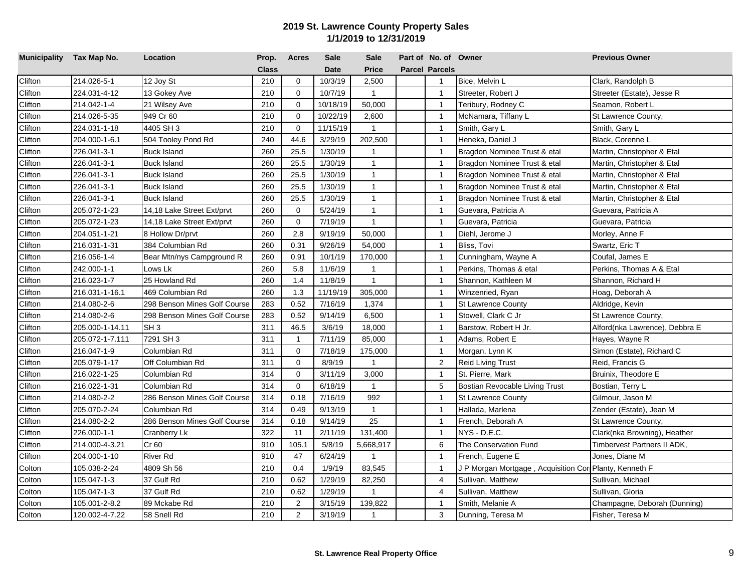| Municipality Tax Map No. |                 | Location                     | Prop.        | <b>Acres</b> | <b>Sale</b> | <b>Sale</b>    | Part of No. of Owner  |                                                        | <b>Previous Owner</b>          |
|--------------------------|-----------------|------------------------------|--------------|--------------|-------------|----------------|-----------------------|--------------------------------------------------------|--------------------------------|
|                          |                 |                              | <b>Class</b> |              | <b>Date</b> | <b>Price</b>   | <b>Parcel Parcels</b> |                                                        |                                |
| Clifton                  | 214.026-5-1     | 12 Joy St                    | 210          | $\mathbf 0$  | 10/3/19     | 2,500          | $\mathbf{1}$          | Bice, Melvin L                                         | Clark, Randolph B              |
| Clifton                  | 224.031-4-12    | 13 Gokey Ave                 | 210          | $\mathbf 0$  | 10/7/19     | $\mathbf{1}$   | $\mathbf{1}$          | Streeter, Robert J                                     | Streeter (Estate), Jesse R     |
| Clifton                  | 214.042-1-4     | 21 Wilsey Ave                | 210          | $\mathbf 0$  | 10/18/19    | 50,000         | $\mathbf{1}$          | Teribury, Rodney C                                     | Seamon, Robert L               |
| Clifton                  | 214.026-5-35    | 949 Cr 60                    | 210          | $\mathbf 0$  | 10/22/19    | 2,600          | $\mathbf{1}$          | McNamara, Tiffany L                                    | St Lawrence County,            |
| Clifton                  | 224.031-1-18    | 4405 SH 3                    | 210          | $\mathbf 0$  | 11/15/19    | $\mathbf{1}$   | $\mathbf{1}$          | Smith, Gary L                                          | Smith, Gary L                  |
| Clifton                  | 204.000-1-6.1   | 504 Tooley Pond Rd           | 240          | 44.6         | 3/29/19     | 202,500        | $\overline{1}$        | Heneka, Daniel J                                       | Black, Corenne L               |
| Clifton                  | 226.041-3-1     | <b>Buck Island</b>           | 260          | 25.5         | 1/30/19     | $\mathbf{1}$   | $\overline{1}$        | Bragdon Nominee Trust & etal                           | Martin, Christopher & Etal     |
| Clifton                  | 226.041-3-1     | <b>Buck Island</b>           | 260          | 25.5         | 1/30/19     | $\mathbf{1}$   | $\overline{1}$        | Bragdon Nominee Trust & etal                           | Martin, Christopher & Etal     |
| Clifton                  | 226.041-3-1     | <b>Buck Island</b>           | 260          | 25.5         | 1/30/19     | $\mathbf{1}$   | $\overline{1}$        | Bragdon Nominee Trust & etal                           | Martin, Christopher & Etal     |
| Clifton                  | 226.041-3-1     | <b>Buck Island</b>           | 260          | 25.5         | 1/30/19     | $\mathbf{1}$   | $\overline{1}$        | Bragdon Nominee Trust & etal                           | Martin, Christopher & Etal     |
| Clifton                  | 226.041-3-1     | <b>Buck Island</b>           | 260          | 25.5         | 1/30/19     | $\mathbf{1}$   | $\overline{1}$        | Bragdon Nominee Trust & etal                           | Martin, Christopher & Etal     |
| Clifton                  | 205.072-1-23    | 14,18 Lake Street Ext/prvt   | 260          | $\mathbf 0$  | 5/24/19     | $\mathbf{1}$   | $\overline{1}$        | Guevara, Patricia A                                    | Guevara, Patricia A            |
| Clifton                  | 205.072-1-23    | 14,18 Lake Street Ext/prvt   | 260          | $\Omega$     | 7/19/19     | $\mathbf{1}$   | $\overline{1}$        | Guevara, Patricia                                      | Guevara, Patricia              |
| Clifton                  | 204.051-1-21    | 8 Hollow Dr/prvt             | 260          | 2.8          | 9/19/19     | 50,000         | $\overline{1}$        | Diehl, Jerome J                                        | Morley, Anne F                 |
| Clifton                  | 216.031-1-31    | 384 Columbian Rd             | 260          | 0.31         | 9/26/19     | 54,000         | $\overline{1}$        | Bliss, Tovi                                            | Swartz, Eric T                 |
| Clifton                  | 216.056-1-4     | Bear Mtn/nys Campground R    | 260          | 0.91         | 10/1/19     | 170,000        | $\overline{1}$        | Cunningham, Wayne A                                    | Coufal. James E                |
| Clifton                  | 242.000-1-1     | Lows Lk                      | 260          | 5.8          | 11/6/19     | $\mathbf{1}$   | $\overline{1}$        | Perkins, Thomas & etal                                 | Perkins, Thomas A & Etal       |
| Clifton                  | 216.023-1-7     | 25 Howland Rd                | 260          | 1.4          | 11/8/19     | $\mathbf{1}$   | $\overline{1}$        | Shannon, Kathleen M                                    | Shannon, Richard H             |
| Clifton                  | 216.031-1-16.1  | 469 Columbian Rd             | 260          | 1.3          | 11/19/19    | 305,000        | $\overline{1}$        | Winzenried, Ryan                                       | Hoag, Deborah A                |
| Clifton                  | 214.080-2-6     | 298 Benson Mines Golf Course | 283          | 0.52         | 7/16/19     | 1,374          | $\overline{1}$        | <b>St Lawrence County</b>                              | Aldridge, Kevin                |
| Clifton                  | 214.080-2-6     | 298 Benson Mines Golf Course | 283          | 0.52         | 9/14/19     | 6,500          | $\overline{1}$        | Stowell, Clark C Jr                                    | St Lawrence County,            |
| Clifton                  | 205.000-1-14.11 | SH <sub>3</sub>              | 311          | 46.5         | 3/6/19      | 18,000         | $\mathbf{1}$          | Barstow, Robert H Jr.                                  | Alford(nka Lawrence), Debbra E |
| Clifton                  | 205.072-1-7.111 | 7291 SH 3                    | 311          | $\mathbf{1}$ | 7/11/19     | 85,000         | $\overline{1}$        | Adams, Robert E                                        | Hayes, Wayne R                 |
| Clifton                  | 216.047-1-9     | Columbian Rd                 | 311          | $\mathbf 0$  | 7/18/19     | 175,000        | $\mathbf{1}$          | Morgan, Lynn K                                         | Simon (Estate), Richard C      |
| Clifton                  | 205.079-1-17    | Off Columbian Rd             | 311          | $\mathbf 0$  | 8/9/19      | $\mathbf{1}$   | $\overline{2}$        | <b>Reid Living Trust</b>                               | Reid, Francis G                |
| Clifton                  | 216.022-1-25    | Columbian Rd                 | 314          | $\mathbf 0$  | 3/11/19     | 3,000          | $\mathbf{1}$          | St. Pierre, Mark                                       | Bruinix, Theodore E            |
| Clifton                  | 216.022-1-31    | Columbian Rd                 | 314          | $\mathbf 0$  | 6/18/19     | $\mathbf{1}$   | $\sqrt{5}$            | Bostian Revocable Living Trust                         | Bostian, Terry L               |
| Clifton                  | 214.080-2-2     | 286 Benson Mines Golf Course | 314          | 0.18         | 7/16/19     | 992            | $\mathbf{1}$          | <b>St Lawrence County</b>                              | Gilmour, Jason M               |
| Clifton                  | 205.070-2-24    | Columbian Rd                 | 314          | 0.49         | 9/13/19     | $\mathbf{1}$   | $\overline{1}$        | Hallada, Marlena                                       | Zender (Estate), Jean M        |
| Clifton                  | 214.080-2-2     | 286 Benson Mines Golf Course | 314          | 0.18         | 9/14/19     | 25             | $\mathbf{1}$          | French, Deborah A                                      | St Lawrence County,            |
| <b>Clifton</b>           | 226.000-1-1     | Cranberry Lk                 | 322          | 11           | 2/11/19     | 131,400        | $\overline{1}$        | NYS - D.E.C.                                           | Clark(nka Browning), Heather   |
| Clifton                  | 214.000-4-3.21  | Cr 60                        | 910          | 105.1        | 5/8/19      | 5,668,917      | 6                     | The Conservation Fund                                  | Timbervest Partners II ADK,    |
| Clifton                  | 204.000-1-10    | <b>River Rd</b>              | 910          | 47           | 6/24/19     | $\mathbf{1}$   | $\overline{1}$        | French, Eugene E                                       | Jones, Diane M                 |
| Colton                   | 105.038-2-24    | 4809 Sh 56                   | 210          | 0.4          | 1/9/19      | 83,545         | $\overline{1}$        | J P Morgan Mortgage, Acquisition Cor Planty, Kenneth F |                                |
| Colton                   | 105.047-1-3     | 37 Gulf Rd                   | 210          | 0.62         | 1/29/19     | 82,250         | $\overline{4}$        | Sullivan, Matthew                                      | Sullivan, Michael              |
| Colton                   | 105.047-1-3     | 37 Gulf Rd                   | 210          | 0.62         | 1/29/19     | $\overline{1}$ | $\overline{4}$        | Sullivan, Matthew                                      | Sullivan, Gloria               |
| Colton                   | 105.001-2-8.2   | 89 Mckabe Rd                 | 210          | 2            | 3/15/19     | 139,822        | $\overline{1}$        | Smith, Melanie A                                       | Champagne, Deborah (Dunning)   |
| Colton                   | 120.002-4-7.22  | 58 Snell Rd                  | 210          | 2            | 3/19/19     | $\mathbf{1}$   | 3                     | Dunning, Teresa M                                      | Fisher, Teresa M               |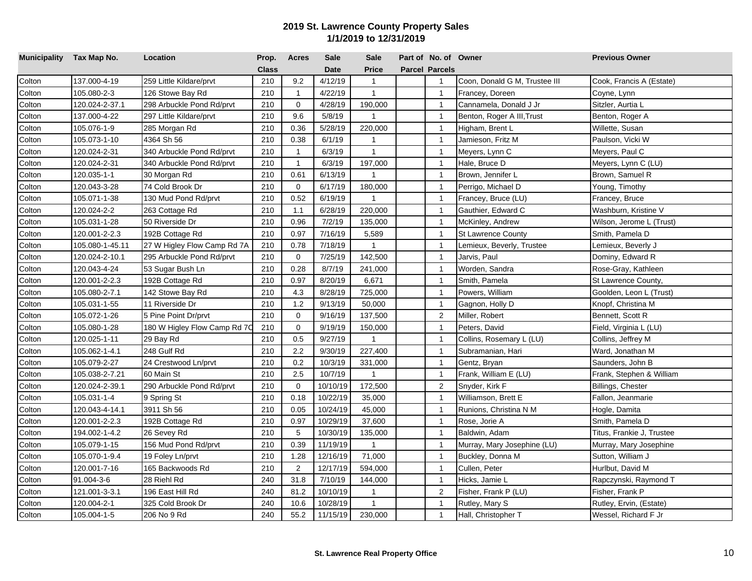| Municipality Tax Map No. |                 | Location                     | Prop.        | <b>Acres</b>   | <b>Sale</b> | <b>Sale</b>    | Part of No. of Owner  |                               | <b>Previous Owner</b>     |
|--------------------------|-----------------|------------------------------|--------------|----------------|-------------|----------------|-----------------------|-------------------------------|---------------------------|
|                          |                 |                              | <b>Class</b> |                | <b>Date</b> | <b>Price</b>   | <b>Parcel Parcels</b> |                               |                           |
| Colton                   | 137.000-4-19    | 259 Little Kildare/prvt      | 210          | 9.2            | 4/12/19     | $\mathbf{1}$   | $\mathbf{1}$          | Coon, Donald G M, Trustee III | Cook, Francis A (Estate)  |
| Colton                   | 105.080-2-3     | 126 Stowe Bay Rd             | 210          | $\overline{1}$ | 4/22/19     | $\mathbf{1}$   | $\overline{1}$        | Francey, Doreen               | Coyne, Lynn               |
| Colton                   | 120.024-2-37.1  | 298 Arbuckle Pond Rd/prvt    | 210          | $\mathbf 0$    | 4/28/19     | 190,000        | $\overline{1}$        | Cannamela, Donald J Jr        | Sitzler, Aurtia L         |
| Colton                   | 137.000-4-22    | 297 Little Kildare/prvt      | 210          | 9.6            | 5/8/19      | $\overline{1}$ | $\overline{1}$        | Benton, Roger A III, Trust    | Benton, Roger A           |
| Colton                   | 105.076-1-9     | 285 Morgan Rd                | 210          | 0.36           | 5/28/19     | 220,000        | $\overline{1}$        | Higham, Brent L               | Willette, Susan           |
| Colton                   | 105.073-1-10    | 4364 Sh 56                   | 210          | 0.38           | 6/1/19      | 1              | $\mathbf{1}$          | Jamieson, Fritz M             | Paulson, Vicki W          |
| Colton                   | 120.024-2-31    | 340 Arbuckle Pond Rd/prvt    | 210          | $\mathbf{1}$   | 6/3/19      | $\mathbf{1}$   | $\overline{1}$        | Meyers, Lynn C                | Meyers, Paul C            |
| Colton                   | 120.024-2-31    | 340 Arbuckle Pond Rd/prvt    | 210          | $\overline{1}$ | 6/3/19      | 197,000        | $\overline{1}$        | Hale, Bruce D                 | Meyers, Lynn C (LU)       |
| Colton                   | 120.035-1-1     | 30 Morgan Rd                 | 210          | 0.61           | 6/13/19     | $\mathbf{1}$   | $\overline{1}$        | Brown, Jennifer L             | Brown, Samuel R           |
| Colton                   | 120.043-3-28    | 74 Cold Brook Dr             | 210          | $\Omega$       | 6/17/19     | 180,000        | $\overline{1}$        | Perrigo, Michael D            | Young, Timothy            |
| Colton                   | 105.071-1-38    | 130 Mud Pond Rd/prvt         | 210          | 0.52           | 6/19/19     | $\mathbf{1}$   | $\overline{1}$        | Francey, Bruce (LU)           | Francey, Bruce            |
| Colton                   | 120.024-2-2     | 263 Cottage Rd               | 210          | 1.1            | 6/28/19     | 220,000        | $\overline{1}$        | Gauthier, Edward C            | Washburn, Kristine V      |
| Colton                   | 105.031-1-28    | 50 Riverside Dr              | 210          | 0.96           | 7/2/19      | 135,000        | $\mathbf{1}$          | McKinley, Andrew              | Wilson, Jerome L (Trust)  |
| Colton                   | 120.001-2-2.3   | 192B Cottage Rd              | 210          | 0.97           | 7/16/19     | 5,589          | $\overline{1}$        | <b>St Lawrence County</b>     | Smith, Pamela D           |
| Colton                   | 105.080-1-45.11 | 27 W Higley Flow Camp Rd 7A  | 210          | 0.78           | 7/18/19     | $\mathbf{1}$   | $\overline{1}$        | Lemieux, Beverly, Trustee     | Lemieux, Beverly J        |
| Colton                   | 120.024-2-10.1  | 295 Arbuckle Pond Rd/prvt    | 210          | $\mathbf 0$    | 7/25/19     | 142,500        | $\overline{1}$        | Jarvis, Paul                  | Dominy, Edward R          |
| Colton                   | 120.043-4-24    | 53 Sugar Bush Ln             | 210          | 0.28           | 8/7/19      | 241,000        | $\mathbf{1}$          | Worden, Sandra                | Rose-Gray, Kathleen       |
| Colton                   | 120.001-2-2.3   | 192B Cottage Rd              | 210          | 0.97           | 8/20/19     | 6,671          | $\overline{1}$        | Smith, Pamela                 | St Lawrence County,       |
| Colton                   | 105.080-2-7.1   | 142 Stowe Bay Rd             | 210          | 4.3            | 8/28/19     | 725,000        | $\overline{1}$        | Powers, William               | Goolden, Leon L (Trust)   |
| Colton                   | 105.031-1-55    | 11 Riverside Dr              | 210          | 1.2            | 9/13/19     | 50,000         | $\overline{1}$        | Gagnon, Holly D               | Knopf, Christina M        |
| Colton                   | 105.072-1-26    | 5 Pine Point Dr/prvt         | 210          | $\mathbf 0$    | 9/16/19     | 137,500        | 2                     | Miller, Robert                | Bennett, Scott R          |
| Colton                   | 105.080-1-28    | 180 W Higley Flow Camp Rd 7C | 210          | $\mathbf 0$    | 9/19/19     | 150,000        | $\overline{1}$        | Peters, David                 | Field, Virginia L (LU)    |
| Colton                   | 120.025-1-11    | 29 Bay Rd                    | 210          | 0.5            | 9/27/19     | $\mathbf{1}$   | $\overline{1}$        | Collins, Rosemary L (LU)      | Collins, Jeffrey M        |
| Colton                   | 105.062-1-4.1   | 248 Gulf Rd                  | 210          | 2.2            | 9/30/19     | 227,400        | $\overline{1}$        | Subramanian, Hari             | Ward, Jonathan M          |
| Colton                   | 105.079-2-27    | 24 Crestwood Ln/prvt         | 210          | 0.2            | 10/3/19     | 331,000        | $\overline{1}$        | Gentz, Bryan                  | Saunders, John B          |
| Colton                   | 105.038-2-7.21  | 60 Main St                   | 210          | 2.5            | 10/7/19     | $\mathbf{1}$   | $\overline{1}$        | Frank, William E (LU)         | Frank, Stephen & William  |
| Colton                   | 120.024-2-39.1  | 290 Arbuckle Pond Rd/prvt    | 210          | $\mathbf 0$    | 10/10/19    | 172,500        | $\overline{2}$        | Snyder, Kirk F                | Billings, Chester         |
| Colton                   | 105.031-1-4     | 9 Spring St                  | 210          | 0.18           | 10/22/19    | 35,000         | $\mathbf{1}$          | Williamson, Brett E           | Fallon, Jeanmarie         |
| Colton                   | 120.043-4-14.1  | 3911 Sh 56                   | 210          | 0.05           | 10/24/19    | 45,000         | $\overline{1}$        | Runions, Christina N M        | Hogle, Damita             |
| Colton                   | 120.001-2-2.3   | 192B Cottage Rd              | 210          | 0.97           | 10/29/19    | 37,600         | $\overline{1}$        | Rose, Jorie A                 | Smith, Pamela D           |
| Colton                   | 194.002-1-4.2   | 26 Sevey Rd                  | 210          | 5              | 10/30/19    | 135,000        | $\overline{1}$        | Baldwin, Adam                 | Titus, Frankie J, Trustee |
| Colton                   | 105.079-1-15    | 156 Mud Pond Rd/prvt         | 210          | 0.39           | 11/19/19    | $\mathbf{1}$   | $\overline{1}$        | Murray, Mary Josephine (LU)   | Murray, Mary Josephine    |
| Colton                   | 105.070-1-9.4   | 19 Foley Ln/prvt             | 210          | 1.28           | 12/16/19    | 71,000         | $\overline{1}$        | Buckley, Donna M              | Sutton, William J         |
| Colton                   | 120.001-7-16    | 165 Backwoods Rd             | 210          | 2              | 12/17/19    | 594,000        | $\overline{1}$        | Cullen, Peter                 | Hurlbut, David M          |
| Colton                   | 91.004-3-6      | 28 Riehl Rd                  | 240          | 31.8           | 7/10/19     | 144,000        | $\overline{1}$        | Hicks, Jamie L                | Rapczynski, Raymond T     |
| Colton                   | 121.001-3-3.1   | 196 East Hill Rd             | 240          | 81.2           | 10/10/19    | $\mathbf{1}$   | $\overline{2}$        | Fisher, Frank P (LU)          | Fisher, Frank P           |
| Colton                   | 120.004-2-1     | 325 Cold Brook Dr            | 240          | 10.6           | 10/28/19    | $\mathbf{1}$   | $\overline{1}$        | Rutley, Mary S                | Rutley, Ervin, (Estate)   |
| Colton                   | 105.004-1-5     | 206 No 9 Rd                  | 240          | 55.2           | 11/15/19    | 230,000        | $\mathbf{1}$          | Hall, Christopher T           | Wessel, Richard F Jr      |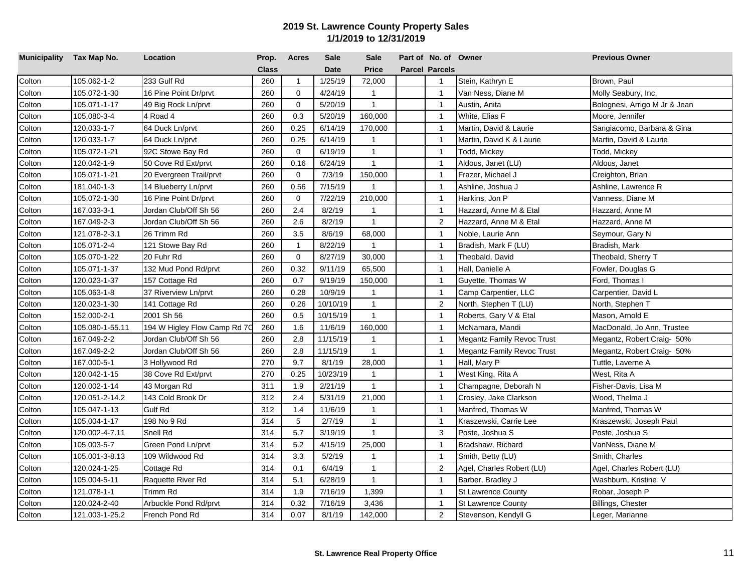| Municipality Tax Map No. |                 | Location                     | Prop.        | <b>Acres</b>   | <b>Sale</b> | <b>Sale</b>    | Part of No. of Owner  |                                   | <b>Previous Owner</b>         |
|--------------------------|-----------------|------------------------------|--------------|----------------|-------------|----------------|-----------------------|-----------------------------------|-------------------------------|
|                          |                 |                              | <b>Class</b> |                | <b>Date</b> | <b>Price</b>   | <b>Parcel Parcels</b> |                                   |                               |
| Colton                   | 105.062-1-2     | 233 Gulf Rd                  | 260          | $\mathbf{1}$   | 1/25/19     | 72,000         | $\overline{1}$        | Stein, Kathryn E                  | Brown, Paul                   |
| Colton                   | 105.072-1-30    | 16 Pine Point Dr/prvt        | 260          | $\mathbf 0$    | 4/24/19     | $\mathbf{1}$   | $\overline{1}$        | Van Ness, Diane M                 | Molly Seabury, Inc,           |
| Colton                   | 105.071-1-17    | 49 Big Rock Ln/prvt          | 260          | $\mathbf 0$    | 5/20/19     | $\mathbf{1}$   | $\overline{1}$        | Austin, Anita                     | Bolognesi, Arrigo M Jr & Jean |
| Colton                   | 105.080-3-4     | 4 Road 4                     | 260          | 0.3            | 5/20/19     | 160,000        | $\overline{1}$        | White, Elias F                    | Moore, Jennifer               |
| Colton                   | 120.033-1-7     | 64 Duck Ln/prvt              | 260          | 0.25           | 6/14/19     | 170,000        | $\mathbf{1}$          | Martin, David & Laurie            | Sangiacomo, Barbara & Gina    |
| Colton                   | 120.033-1-7     | 64 Duck Ln/prvt              | 260          | 0.25           | 6/14/19     | $\overline{1}$ | $\mathbf{1}$          | Martin, David K & Laurie          | Martin, David & Laurie        |
| Colton                   | 105.072-1-21    | 92C Stowe Bay Rd             | 260          | $\mathbf 0$    | 6/19/19     | $\mathbf{1}$   | $\overline{1}$        | Todd, Mickey                      | Todd, Mickey                  |
| Colton                   | 120.042-1-9     | 50 Cove Rd Ext/prvt          | 260          | 0.16           | 6/24/19     | $\mathbf{1}$   | $\overline{1}$        | Aldous, Janet (LU)                | Aldous, Janet                 |
| Colton                   | 105.071-1-21    | 20 Evergreen Trail/prvt      | 260          | $\mathbf 0$    | 7/3/19      | 150,000        | $\overline{1}$        | Frazer, Michael J                 | Creighton, Brian              |
| Colton                   | 181.040-1-3     | 14 Blueberry Ln/prvt         | 260          | 0.56           | 7/15/19     | 1              | $\overline{1}$        | Ashline, Joshua J                 | Ashline, Lawrence R           |
| Colton                   | 105.072-1-30    | 16 Pine Point Dr/prvt        | 260          | $\overline{0}$ | 7/22/19     | 210,000        | $\overline{1}$        | Harkins, Jon P                    | Vanness, Diane M              |
| Colton                   | 167.033-3-1     | Jordan Club/Off Sh 56        | 260          | 2.4            | 8/2/19      | $\mathbf{1}$   | $\mathbf{1}$          | Hazzard, Anne M & Etal            | Hazzard, Anne M               |
| Colton                   | 167.049-2-3     | Jordan Club/Off Sh 56        | 260          | 2.6            | 8/2/19      | $\overline{1}$ | 2                     | Hazzard, Anne M & Etal            | Hazzard, Anne M               |
| Colton                   | 121.078-2-3.1   | 26 Trimm Rd                  | 260          | 3.5            | 8/6/19      | 68,000         | $\overline{1}$        | Noble, Laurie Ann                 | Seymour, Gary N               |
| Colton                   | 105.071-2-4     | 121 Stowe Bay Rd             | 260          | $\mathbf{1}$   | 8/22/19     | $\overline{1}$ | $\overline{1}$        | Bradish, Mark F (LU)              | Bradish, Mark                 |
| Colton                   | 105.070-1-22    | 20 Fuhr Rd                   | 260          | $\mathbf 0$    | 8/27/19     | 30,000         | $\overline{1}$        | Theobald, David                   | Theobald, Sherry T            |
| Colton                   | 105.071-1-37    | 132 Mud Pond Rd/prvt         | 260          | 0.32           | 9/11/19     | 65,500         | $\overline{1}$        | Hall, Danielle A                  | Fowler, Douglas G             |
| Colton                   | 120.023-1-37    | 157 Cottage Rd               | 260          | 0.7            | 9/19/19     | 150,000        | $\overline{1}$        | Guyette, Thomas W                 | Ford, Thomas I                |
| Colton                   | 105.063-1-8     | 37 Riverview Ln/prvt         | 260          | 0.28           | 10/9/19     | $\mathbf{1}$   | $\overline{1}$        | Camp Carpentier, LLC              | Carpentier, David L           |
| Colton                   | 120.023-1-30    | 141 Cottage Rd               | 260          | 0.26           | 10/10/19    | $\mathbf{1}$   | $\overline{2}$        | North, Stephen T (LU)             | North, Stephen T              |
| Colton                   | 152.000-2-1     | 2001 Sh 56                   | 260          | 0.5            | 10/15/19    | $\mathbf{1}$   | $\overline{1}$        | Roberts, Gary V & Etal            | Mason, Arnold E               |
| Colton                   | 105.080-1-55.11 | 194 W Higley Flow Camp Rd 7C | 260          | 1.6            | 11/6/19     | 160,000        | $\overline{1}$        | McNamara, Mandi                   | MacDonald, Jo Ann, Trustee    |
| Colton                   | 167.049-2-2     | Jordan Club/Off Sh 56        | 260          | 2.8            | 11/15/19    | $\mathbf{1}$   | $\overline{1}$        | Megantz Family Revoc Trust        | Megantz, Robert Craig- 50%    |
| Colton                   | 167.049-2-2     | Jordan Club/Off Sh 56        | 260          | 2.8            | 11/15/19    | $\mathbf{1}$   | $\overline{1}$        | <b>Megantz Family Revoc Trust</b> | Megantz, Robert Craig- 50%    |
| Colton                   | 167.000-5-1     | 3 Hollywood Rd               | 270          | 9.7            | 8/1/19      | 28,000         | $\overline{1}$        | Hall, Mary P                      | Tuttle, Laverne A             |
| Colton                   | 120.042-1-15    | 38 Cove Rd Ext/prvt          | 270          | 0.25           | 10/23/19    | $\mathbf{1}$   | $\overline{1}$        | West King, Rita A                 | West, Rita A                  |
| Colton                   | 120.002-1-14    | 43 Morgan Rd                 | 311          | 1.9            | 2/21/19     | $\mathbf{1}$   | $\overline{1}$        | Champagne, Deborah N              | Fisher-Davis, Lisa M          |
| Colton                   | 120.051-2-14.2  | 143 Cold Brook Dr            | 312          | 2.4            | 5/31/19     | 21,000         | $\overline{1}$        | Crosley, Jake Clarkson            | Wood, Thelma J                |
| Colton                   | 105.047-1-13    | Gulf Rd                      | 312          | 1.4            | 11/6/19     | $\mathbf{1}$   | $\overline{1}$        | Manfred, Thomas W                 | Manfred, Thomas W             |
| Colton                   | 105.004-1-17    | 198 No 9 Rd                  | 314          | 5              | 2/7/19      | $\mathbf{1}$   | $\overline{1}$        | Kraszewski, Carrie Lee            | Kraszewski, Joseph Paul       |
| Colton                   | 120.002-4-7.11  | Snell Rd                     | 314          | 5.7            | 3/19/19     | $\mathbf{1}$   | $\mathbf{3}$          | Poste, Joshua S                   | Poste, Joshua S               |
| Colton                   | 105.003-5-7     | Green Pond Ln/prvt           | 314          | 5.2            | 4/15/19     | 25,000         | $\mathbf{1}$          | Bradshaw, Richard                 | VanNess, Diane M              |
| Colton                   | 105.001-3-8.13  | 109 Wildwood Rd              | 314          | 3.3            | 5/2/19      | 1              | $\overline{1}$        | Smith, Betty (LU)                 | Smith, Charles                |
| Colton                   | 120.024-1-25    | Cottage Rd                   | 314          | 0.1            | 6/4/19      | $\mathbf{1}$   | $\overline{2}$        | Agel, Charles Robert (LU)         | Agel, Charles Robert (LU)     |
| Colton                   | 105.004-5-11    | Raquette River Rd            | 314          | 5.1            | 6/28/19     | $\mathbf{1}$   | $\mathbf{1}$          | Barber, Bradley J                 | Washburn, Kristine V          |
| Colton                   | 121.078-1-1     | Trimm Rd                     | 314          | 1.9            | 7/16/19     | 1,399          | $\mathbf{1}$          | <b>St Lawrence County</b>         | Robar, Joseph P               |
| Colton                   | 120.024-2-40    | Arbuckle Pond Rd/prvt        | 314          | 0.32           | 7/16/19     | 3,436          | $\mathbf{1}$          | <b>St Lawrence County</b>         | Billings, Chester             |
| Colton                   | 121.003-1-25.2  | French Pond Rd               | 314          | 0.07           | 8/1/19      | 142,000        | 2                     | Stevenson, Kendyll G              | Leger, Marianne               |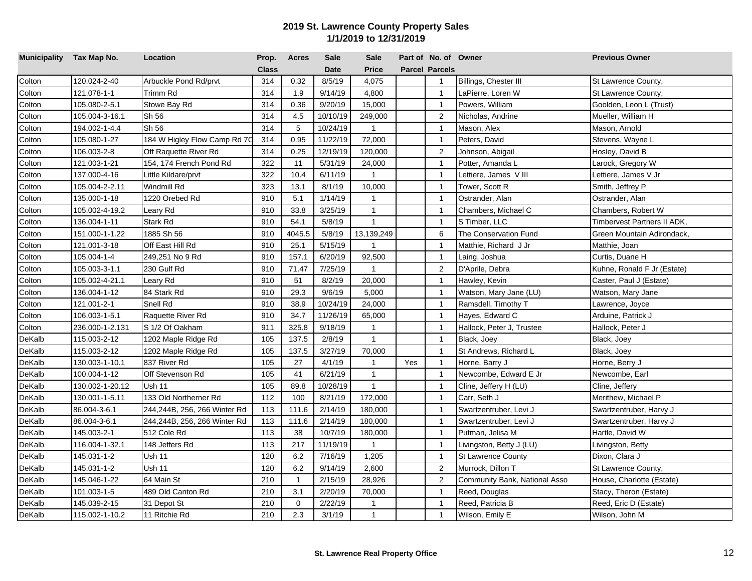| Municipality Tax Map No. |                 | Location                     | Prop.        | <b>Acres</b>   | <b>Sale</b> | <b>Sale</b>    |     | Part of No. of Owner  |                               | <b>Previous Owner</b>       |
|--------------------------|-----------------|------------------------------|--------------|----------------|-------------|----------------|-----|-----------------------|-------------------------------|-----------------------------|
|                          |                 |                              | <b>Class</b> |                | <b>Date</b> | Price          |     | <b>Parcel Parcels</b> |                               |                             |
| Colton                   | 120.024-2-40    | Arbuckle Pond Rd/prvt        | 314          | 0.32           | 8/5/19      | 4,075          |     | $\mathbf{1}$          | Billings, Chester III         | St Lawrence County,         |
| Colton                   | 121.078-1-1     | Trimm Rd                     | 314          | 1.9            | 9/14/19     | 4,800          |     | $\mathbf{1}$          | LaPierre, Loren W             | St Lawrence County,         |
| Colton                   | 105.080-2-5.1   | Stowe Bay Rd                 | 314          | 0.36           | 9/20/19     | 15,000         |     | $\mathbf{1}$          | Powers, William               | Goolden, Leon L (Trust)     |
| Colton                   | 105.004-3-16.1  | Sh 56                        | 314          | 4.5            | 10/10/19    | 249,000        |     | 2                     | Nicholas, Andrine             | Mueller, William H          |
| Colton                   | 194.002-1-4.4   | Sh 56                        | 314          | 5              | 10/24/19    | $\overline{1}$ |     | $\mathbf{1}$          | Mason, Alex                   | Mason, Arnold               |
| Colton                   | 105.080-1-27    | 184 W Higley Flow Camp Rd 7C | 314          | 0.95           | 11/22/19    | 72,000         |     | $\mathbf{1}$          | Peters, David                 | Stevens, Wayne L            |
| Colton                   | 106.003-2-8     | Off Raquette River Rd        | 314          | 0.25           | 12/19/19    | 120,000        |     | $\overline{2}$        | Johnson, Abigail              | Hosley, David B             |
| Colton                   | 121.003-1-21    | 154, 174 French Pond Rd      | 322          | 11             | 5/31/19     | 24,000         |     | $\overline{1}$        | Potter, Amanda L              | Larock, Gregory W           |
| Colton                   | 137.000-4-16    | Little Kildare/prvt          | 322          | 10.4           | 6/11/19     | $\mathbf{1}$   |     | $\mathbf{1}$          | Lettiere, James VIII          | Lettiere, James V Jr        |
| Colton                   | 105.004-2-2.11  | Windmill Rd                  | 323          | 13.1           | 8/1/19      | 10,000         |     | $\mathbf{1}$          | Tower, Scott R                | Smith, Jeffrey P            |
| Colton                   | 135.000-1-18    | 1220 Orebed Rd               | 910          | 5.1            | 1/14/19     | $\mathbf{1}$   |     | $\mathbf{1}$          | Ostrander, Alan               | Ostrander, Alan             |
| Colton                   | 105.002-4-19.2  | Leary Rd                     | 910          | 33.8           | 3/25/19     | $\mathbf{1}$   |     | $\mathbf{1}$          | Chambers, Michael C           | Chambers, Robert W          |
| Colton                   | 136.004-1-11    | Stark Rd                     | 910          | 54.1           | 5/8/19      | $\overline{1}$ |     | $\mathbf{1}$          | S Timber, LLC                 | Timbervest Partners II ADK, |
| Colton                   | 151.000-1-1.22  | 1885 Sh 56                   | 910          | 4045.5         | 5/8/19      | 13,139,249     |     | 6                     | The Conservation Fund         | Green Mountain Adirondack,  |
| Colton                   | 121.001-3-18    | Off East Hill Rd             | 910          | 25.1           | 5/15/19     | $\mathbf{1}$   |     | $\overline{1}$        | Matthie, Richard J Jr         | Matthie, Joan               |
| Colton                   | 105.004-1-4     | 249,251 No 9 Rd              | 910          | 157.1          | 6/20/19     | 92,500         |     | $\overline{1}$        | Laing, Joshua                 | Curtis, Duane H             |
| Colton                   | 105.003-3-1.1   | 230 Gulf Rd                  | 910          | 71.47          | 7/25/19     | $\overline{1}$ |     | $\overline{2}$        | D'Aprile, Debra               | Kuhne, Ronald F Jr (Estate) |
| Colton                   | 105.002-4-21.1  | Leary Rd                     | 910          | 51             | 8/2/19      | 20,000         |     | $\mathbf{1}$          | Hawley, Kevin                 | Caster, Paul J (Estate)     |
| Colton                   | 136.004-1-12    | 84 Stark Rd                  | 910          | 29.3           | 9/6/19      | 5,000          |     | $\overline{1}$        | Watson, Mary Jane (LU)        | Watson, Mary Jane           |
| Colton                   | 121.001-2-1     | Snell Rd                     | 910          | 38.9           | 10/24/19    | 24,000         |     | $\mathbf{1}$          | Ramsdell, Timothy T           | Lawrence, Joyce             |
| Colton                   | 106.003-1-5.1   | Raquette River Rd            | 910          | 34.7           | 11/26/19    | 65,000         |     | $\mathbf{1}$          | Hayes, Edward C               | Arduine, Patrick J          |
| Colton                   | 236.000-1-2.131 | S 1/2 Of Oakham              | 911          | 325.8          | 9/18/19     | $\mathbf{1}$   |     | $\overline{1}$        | Hallock, Peter J, Trustee     | Hallock, Peter J            |
| DeKalb                   | 115.003-2-12    | 1202 Maple Ridge Rd          | 105          | 137.5          | 2/8/19      | $\mathbf{1}$   |     | $\overline{1}$        | Black, Joey                   | Black, Joey                 |
| DeKalb                   | 115.003-2-12    | 1202 Maple Ridge Rd          | 105          | 137.5          | 3/27/19     | 70,000         |     | $\overline{1}$        | St Andrews, Richard L         | Black, Joey                 |
| DeKalb                   | 130.003-1-10.1  | 837 River Rd                 | 105          | 27             | 4/1/19      | $\mathbf{1}$   | Yes | $\mathbf{1}$          | Horne, Barry J                | Horne, Berry J              |
| DeKalb                   | 100.004-1-12    | Off Stevenson Rd             | 105          | 41             | 6/21/19     | $\mathbf{1}$   |     | $\overline{1}$        | Newcombe, Edward E Jr         | Newcombe, Earl              |
| DeKalb                   | 130.002-1-20.12 | Ush 11                       | 105          | 89.8           | 10/28/19    | $\mathbf{1}$   |     | $\overline{1}$        | Cline, Jeffery H (LU)         | Cline, Jeffery              |
| DeKalb                   | 130.001-1-5.11  | 133 Old Northerner Rd        | 112          | 100            | 8/21/19     | 172,000        |     | $\mathbf{1}$          | Carr, Seth J                  | Merithew, Michael P         |
| DeKalb                   | 86.004-3-6.1    | 244,244B, 256, 266 Winter Rd | 113          | 111.6          | 2/14/19     | 180,000        |     | $\mathbf{1}$          | Swartzentruber, Levi J        | Swartzentruber, Harvy J     |
| DeKalb                   | 86.004-3-6.1    | 244,244B, 256, 266 Winter Rd | 113          | 111.6          | 2/14/19     | 180,000        |     | $\overline{1}$        | Swartzentruber, Levi J        | Swartzentruber, Harvy J     |
| DeKalb                   | 145.003-2-1     | 512 Cole Rd                  | 113          | 38             | 10/7/19     | 180,000        |     | $\overline{1}$        | Putman, Jelisa M              | Hartle, David W             |
| DeKalb                   | 116.004-1-32.1  | 148 Jeffers Rd               | 113          | 217            | 11/19/19    | $\overline{1}$ |     | $\mathbf{1}$          | Livingston, Betty J (LU)      | Livingston, Betty           |
| DeKalb                   | 145.031-1-2     | Ush 11                       | 120          | 6.2            | 7/16/19     | 1,205          |     | $\mathbf{1}$          | <b>St Lawrence County</b>     | Dixon, Clara J              |
| DeKalb                   | 145.031-1-2     | Ush 11                       | 120          | 6.2            | 9/14/19     | 2,600          |     | 2                     | Murrock, Dillon T             | St Lawrence County,         |
| DeKalb                   | 145.046-1-22    | 64 Main St                   | 210          | $\overline{1}$ | 2/15/19     | 28,926         |     | $\overline{2}$        | Community Bank, National Asso | House, Charlotte (Estate)   |
| DeKalb                   | 101.003-1-5     | 489 Old Canton Rd            | 210          | 3.1            | 2/20/19     | 70,000         |     | $\mathbf{1}$          | Reed, Douglas                 | Stacy, Theron (Estate)      |
| DeKalb                   | 145.039-2-15    | 31 Depot St                  | 210          | 0              | 2/22/19     | $\mathbf{1}$   |     | $\overline{1}$        | Reed, Patricia B              | Reed, Eric D (Estate)       |
| DeKalb                   | 115.002-1-10.2  | 11 Ritchie Rd                | 210          | 2.3            | 3/1/19      | $\mathbf{1}$   |     | $\mathbf{1}$          | Wilson, Emily E               | Wilson, John M              |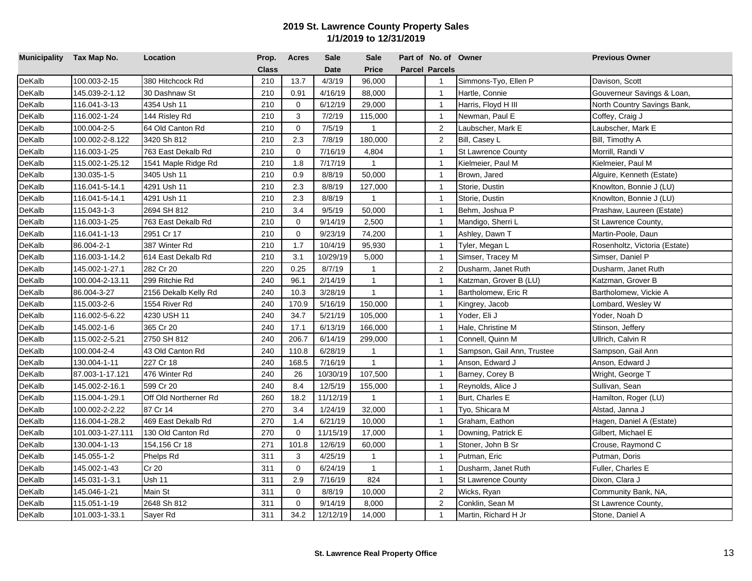| Municipality Tax Map No. |                  | Location              | Prop.        | <b>Acres</b> | Sale        | <b>Sale</b>  | Part of No. of Owner  |                            | <b>Previous Owner</b>         |
|--------------------------|------------------|-----------------------|--------------|--------------|-------------|--------------|-----------------------|----------------------------|-------------------------------|
|                          |                  |                       | <b>Class</b> |              | <b>Date</b> | <b>Price</b> | <b>Parcel Parcels</b> |                            |                               |
| DeKalb                   | 100.003-2-15     | 380 Hitchcock Rd      | 210          | 13.7         | 4/3/19      | 96,000       | $\mathbf{1}$          | Simmons-Tyo, Ellen P       | Davison, Scott                |
| DeKalb                   | 145.039-2-1.12   | 30 Dashnaw St         | 210          | 0.91         | 4/16/19     | 88,000       | $\mathbf{1}$          | Hartle, Connie             | Gouverneur Savings & Loan,    |
| DeKalb                   | 116.041-3-13     | 4354 Ush 11           | 210          | $\mathbf 0$  | 6/12/19     | 29,000       | $\mathbf{1}$          | Harris, Floyd H III        | North Country Savings Bank,   |
| DeKalb                   | 116.002-1-24     | 144 Risley Rd         | 210          | 3            | 7/2/19      | 115,000      | $\mathbf{1}$          | Newman, Paul E             | Coffey, Craig J               |
| DeKalb                   | 100.004-2-5      | 64 Old Canton Rd      | 210          | $\mathbf 0$  | 7/5/19      | $\mathbf{1}$ | 2                     | Laubscher, Mark E          | Laubscher, Mark E             |
| DeKalb                   | 100.002-2-8.122  | 3420 Sh 812           | 210          | 2.3          | 7/8/19      | 180,000      | 2                     | Bill, Casey L              | Bill, Timothy A               |
| DeKalb                   | 116.003-1-25     | 763 East Dekalb Rd    | 210          | $\mathbf 0$  | 7/16/19     | 4,804        | $\overline{1}$        | <b>St Lawrence County</b>  | Morrill, Randi V              |
| DeKalb                   | 115.002-1-25.12  | 1541 Maple Ridge Rd   | 210          | 1.8          | 7/17/19     | $\mathbf{1}$ | $\overline{1}$        | Kielmeier, Paul M          | Kielmeier, Paul M             |
| DeKalb                   | 130.035-1-5      | 3405 Ush 11           | 210          | 0.9          | 8/8/19      | 50,000       | $\overline{1}$        | Brown, Jared               | Alguire, Kenneth (Estate)     |
| DeKalb                   | 116.041-5-14.1   | 4291 Ush 11           | 210          | 2.3          | 8/8/19      | 127,000      | $\overline{1}$        | Storie, Dustin             | Knowlton, Bonnie J (LU)       |
| DeKalb                   | 116.041-5-14.1   | 4291 Ush 11           | 210          | 2.3          | 8/8/19      | $\mathbf{1}$ | $\mathbf{1}$          | Storie, Dustin             | Knowlton, Bonnie J (LU)       |
| DeKalb                   | 115.043-1-3      | 2694 SH 812           | 210          | 3.4          | 9/5/19      | 50,000       | $\overline{1}$        | Behm, Joshua P             | Prashaw, Laureen (Estate)     |
| DeKalb                   | 116.003-1-25     | 763 East Dekalb Rd    | 210          | $\Omega$     | 9/14/19     | 2,500        | $\overline{1}$        | Mandigo, Sherri L          | St Lawrence County,           |
| DeKalb                   | 116.041-1-13     | 2951 Cr 17            | 210          | $\mathbf 0$  | 9/23/19     | 74,200       | $\overline{1}$        | Ashley, Dawn T             | Martin-Poole, Daun            |
| DeKalb                   | 86.004-2-1       | 387 Winter Rd         | 210          | 1.7          | 10/4/19     | 95,930       | $\overline{1}$        | Tyler, Megan L             | Rosenholtz, Victoria (Estate) |
| DeKalb                   | 116.003-1-14.2   | 614 East Dekalb Rd    | 210          | 3.1          | 10/29/19    | 5,000        | $\overline{1}$        | Simser, Tracey M           | Simser, Daniel P              |
| DeKalb                   | 145.002-1-27.1   | 282 Cr 20             | 220          | 0.25         | 8/7/19      | $\mathbf{1}$ | $\overline{2}$        | Dusharm, Janet Ruth        | Dusharm, Janet Ruth           |
| DeKalb                   | 100.004-2-13.11  | 299 Ritchie Rd        | 240          | 96.1         | 2/14/19     | $\mathbf{1}$ | $\overline{1}$        | Katzman, Grover B (LU)     | Katzman, Grover B             |
| DeKalb                   | 86.004-3-27      | 2156 Dekalb Kelly Rd  | 240          | 10.3         | 3/28/19     | $\mathbf{1}$ | $\overline{1}$        | Bartholomew, Eric R        | Bartholomew, Vickie A         |
| DeKalb                   | 115.003-2-6      | 1554 River Rd         | 240          | 170.9        | 5/16/19     | 150,000      | $\mathbf{1}$          | Kingrey, Jacob             | Lombard, Wesley W             |
| DeKalb                   | 116.002-5-6.22   | 4230 USH 11           | 240          | 34.7         | 5/21/19     | 105,000      | $\overline{1}$        | Yoder, Eli J               | Yoder, Noah D                 |
| DeKalb                   | 145.002-1-6      | 365 Cr 20             | 240          | 17.1         | 6/13/19     | 166,000      | $\overline{1}$        | Hale, Christine M          | Stinson, Jeffery              |
| DeKalb                   | 115.002-2-5.21   | 2750 SH 812           | 240          | 206.7        | 6/14/19     | 299,000      | $\overline{1}$        | Connell, Quinn M           | Ullrich, Calvin R             |
| DeKalb                   | 100.004-2-4      | 43 Old Canton Rd      | 240          | 110.8        | 6/28/19     | $\mathbf{1}$ | $\mathbf{1}$          | Sampson, Gail Ann, Trustee | Sampson, Gail Ann             |
| DeKalb                   | 130.004-1-11     | 227 Cr 18             | 240          | 168.5        | 7/16/19     | $\mathbf{1}$ | $\overline{1}$        | Anson, Edward J            | Anson, Edward J               |
| DeKalb                   | 87.003-1-17.121  | 476 Winter Rd         | 240          | 26           | 10/30/19    | 107,500      | $\mathbf{1}$          | Barney, Corey B            | Wright, George T              |
| DeKalb                   | 145.002-2-16.1   | 599 Cr 20             | 240          | 8.4          | 12/5/19     | 155,000      | $\mathbf{1}$          | Reynolds, Alice J          | Sullivan, Sean                |
| DeKalb                   | 115.004-1-29.1   | Off Old Northerner Rd | 260          | 18.2         | 11/12/19    | $\mathbf{1}$ | $\mathbf{1}$          | Burt, Charles E            | Hamilton, Roger (LU)          |
| DeKalb                   | 100.002-2-2.22   | 87 Cr 14              | 270          | 3.4          | 1/24/19     | 32,000       | $\mathbf{1}$          | Tyo, Shicara M             | Alstad, Janna J               |
| DeKalb                   | 116.004-1-28.2   | 469 East Dekalb Rd    | 270          | 1.4          | 6/21/19     | 10,000       | $\mathbf{1}$          | Graham, Eathon             | Hagen, Daniel A (Estate)      |
| DeKalb                   | 101.003-1-27.111 | 130 Old Canton Rd     | 270          | $\mathbf 0$  | 11/15/19    | 17,000       | $\overline{1}$        | Downing, Patrick E         | Gilbert, Michael E            |
| DeKalb                   | 130.004-1-13     | 154,156 Cr 18         | 271          | 101.8        | 12/6/19     | 60,000       | $\mathbf{1}$          | Stoner, John B Sr          | Crouse, Raymond C             |
| DeKalb                   | 145.055-1-2      | Phelps Rd             | 311          | 3            | 4/25/19     | $\mathbf{1}$ | $\overline{1}$        | Putman, Eric               | Putman, Doris                 |
| DeKalb                   | 145.002-1-43     | Cr 20                 | 311          | $\mathbf 0$  | 6/24/19     | $\mathbf{1}$ | $\overline{1}$        | Dusharm, Janet Ruth        | Fuller, Charles E             |
| DeKalb                   | 145.031-1-3.1    | Ush 11                | 311          | 2.9          | 7/16/19     | 824          | $\overline{1}$        | <b>St Lawrence County</b>  | Dixon, Clara J                |
| DeKalb                   | 145.046-1-21     | Main St               | 311          | $\Omega$     | 8/8/19      | 10,000       | 2                     | Wicks, Ryan                | Community Bank, NA,           |
| DeKalb                   | 115.051-1-19     | 2648 Sh 812           | 311          | $\mathbf 0$  | 9/14/19     | 8,000        | $\overline{2}$        | Conklin, Sean M            | St Lawrence County,           |
| DeKalb                   | 101.003-1-33.1   | Sayer Rd              | 311          | 34.2         | 12/12/19    | 14,000       | $\mathbf{1}$          | Martin, Richard H Jr       | Stone, Daniel A               |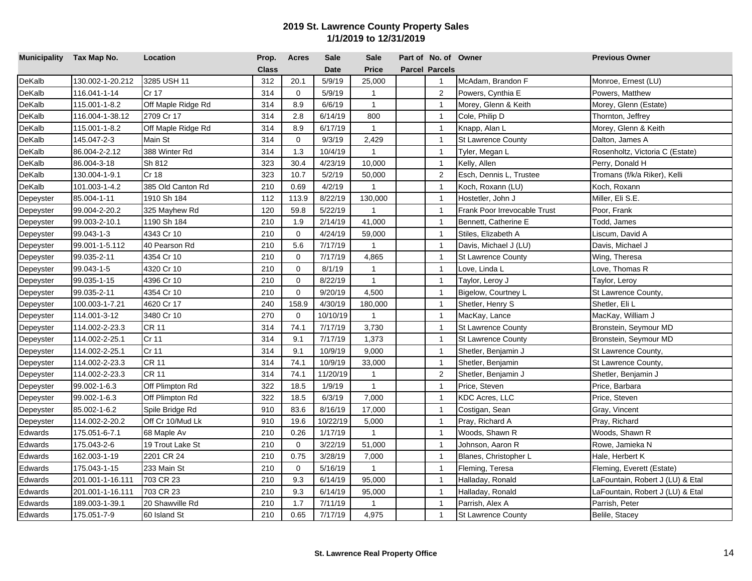| Municipality Tax Map No. |                  | Location           | Prop.        | <b>Acres</b> | <b>Sale</b> | <b>Sale</b>  | Part of No. of Owner  |                              | <b>Previous Owner</b>            |
|--------------------------|------------------|--------------------|--------------|--------------|-------------|--------------|-----------------------|------------------------------|----------------------------------|
|                          |                  |                    | <b>Class</b> |              | <b>Date</b> | <b>Price</b> | <b>Parcel Parcels</b> |                              |                                  |
| DeKalb                   | 130.002-1-20.212 | 3285 USH 11        | 312          | 20.1         | 5/9/19      | 25,000       | $\mathbf{1}$          | McAdam, Brandon F            | Monroe, Ernest (LU)              |
| DeKalb                   | 116.041-1-14     | Cr 17              | 314          | $\mathbf 0$  | 5/9/19      | $\mathbf{1}$ | 2                     | Powers, Cynthia E            | Powers, Matthew                  |
| DeKalb                   | 115.001-1-8.2    | Off Maple Ridge Rd | 314          | 8.9          | 6/6/19      | $\mathbf{1}$ | $\overline{1}$        | Morey, Glenn & Keith         | Morey, Glenn (Estate)            |
| DeKalb                   | 116.004-1-38.12  | 2709 Cr 17         | 314          | 2.8          | 6/14/19     | 800          | $\overline{1}$        | Cole, Philip D               | Thornton, Jeffrey                |
| DeKalb                   | 115.001-1-8.2    | Off Maple Ridge Rd | 314          | 8.9          | 6/17/19     | $\mathbf{1}$ | $\mathbf{1}$          | Knapp, Alan L                | Morey, Glenn & Keith             |
| <b>DeKalb</b>            | 145.047-2-3      | Main St            | 314          | $\mathbf 0$  | 9/3/19      | 2,429        | $\mathbf{1}$          | <b>St Lawrence County</b>    | Dalton, James A                  |
| DeKalb                   | 86.004-2-2.12    | 388 Winter Rd      | 314          | 1.3          | 10/4/19     | $\mathbf{1}$ | $\overline{1}$        | Tyler, Megan L               | Rosenholtz, Victoria C (Estate)  |
| DeKalb                   | 86.004-3-18      | Sh 812             | 323          | 30.4         | 4/23/19     | 10,000       | $\overline{1}$        | Kelly, Allen                 | Perry, Donald H                  |
| DeKalb                   | 130.004-1-9.1    | Cr 18              | 323          | 10.7         | 5/2/19      | 50,000       | $\boldsymbol{2}$      | Esch, Dennis L, Trustee      | Tromans (f/k/a Riker), Kelli     |
| DeKalb                   | 101.003-1-4.2    | 385 Old Canton Rd  | 210          | 0.69         | 4/2/19      | $\mathbf{1}$ | $\overline{1}$        | Koch, Roxann (LU)            | Koch, Roxann                     |
| Depeyster                | 85.004-1-11      | 1910 Sh 184        | 112          | 113.9        | 8/22/19     | 130,000      | $\overline{1}$        | Hostetler, John J            | Miller, Eli S.E.                 |
| Depeyster                | 99.004-2-20.2    | 325 Mayhew Rd      | 120          | 59.8         | 5/22/19     | $\mathbf{1}$ | $\mathbf{1}$          | Frank Poor Irrevocable Trust | Poor, Frank                      |
| Depeyster                | 99.003-2-10.1    | 1190 Sh 184        | 210          | 1.9          | 2/14/19     | 41,000       | $\mathbf{1}$          | Bennett, Catherine E         | Todd, James                      |
| Depeyster                | 99.043-1-3       | 4343 Cr 10         | 210          | $\mathbf 0$  | 4/24/19     | 59,000       | $\mathbf{1}$          | Stiles, Elizabeth A          | Liscum, David A                  |
| Depeyster                | 99.001-1-5.112   | 40 Pearson Rd      | 210          | 5.6          | 7/17/19     | $\mathbf{1}$ | $\overline{1}$        | Davis, Michael J (LU)        | Davis, Michael J                 |
| Depeyster                | 99.035-2-11      | 4354 Cr 10         | 210          | $\mathbf 0$  | 7/17/19     | 4,865        | $\overline{1}$        | <b>St Lawrence County</b>    | Wing, Theresa                    |
| Depeyster                | 99.043-1-5       | 4320 Cr 10         | 210          | $\mathbf 0$  | 8/1/19      | $\mathbf{1}$ | $\mathbf{1}$          | ove, Linda L                 | Love, Thomas R                   |
| Depeyster                | 99.035-1-15      | 4396 Cr 10         | 210          | $\mathbf 0$  | 8/22/19     | $\mathbf{1}$ | $\overline{1}$        | Taylor, Leroy J              | Taylor, Leroy                    |
| Depeyster                | 99.035-2-11      | 4354 Cr 10         | 210          | $\mathbf 0$  | 9/20/19     | 4,500        | $\overline{1}$        | Bigelow, Courtney L          | St Lawrence County,              |
| Depeyster                | 100.003-1-7.21   | 4620 Cr 17         | 240          | 158.9        | 4/30/19     | 180,000      | $\overline{1}$        | Shetler, Henry S             | Shetler, Eli L                   |
| Depeyster                | 114.001-3-12     | 3480 Cr 10         | 270          | $\mathbf 0$  | 10/10/19    | $\mathbf{1}$ | $\mathbf{1}$          | MacKay, Lance                | MacKay, William J                |
| Depeyster                | 114.002-2-23.3   | <b>CR 11</b>       | 314          | 74.1         | 7/17/19     | 3,730        | $\overline{1}$        | <b>St Lawrence County</b>    | Bronstein, Seymour MD            |
| Depeyster                | 114.002-2-25.1   | Cr 11              | 314          | 9.1          | 7/17/19     | 1,373        | $\overline{1}$        | <b>St Lawrence County</b>    | Bronstein, Seymour MD            |
| Depeyster                | 114.002-2-25.1   | Cr 11              | 314          | 9.1          | 10/9/19     | 9,000        | $\overline{1}$        | Shetler, Benjamin J          | St Lawrence County,              |
| Depeyster                | 114.002-2-23.3   | <b>CR 11</b>       | 314          | 74.1         | 10/9/19     | 33,000       | $\overline{1}$        | Shetler, Benjamin            | St Lawrence County,              |
| Depeyster                | 114.002-2-23.3   | CR 11              | 314          | 74.1         | 11/20/19    | $\mathbf{1}$ | $\overline{c}$        | Shetler, Benjamin J          | Shetler, Benjamin J              |
| Depeyster                | 99.002-1-6.3     | Off Plimpton Rd    | 322          | 18.5         | 1/9/19      | $\mathbf{1}$ | $\overline{1}$        | Price, Steven                | Price, Barbara                   |
| Depeyster                | 99.002-1-6.3     | Off Plimpton Rd    | 322          | 18.5         | 6/3/19      | 7,000        | $\overline{1}$        | KDC Acres, LLC               | Price, Steven                    |
| Depeyster                | 85.002-1-6.2     | Spile Bridge Rd    | 910          | 83.6         | 8/16/19     | 17,000       | $\overline{1}$        | Costigan, Sean               | Gray, Vincent                    |
| Depeyster                | 114.002-2-20.2   | Off Cr 10/Mud Lk   | 910          | 19.6         | 10/22/19    | 5,000        | $\overline{1}$        | Pray, Richard A              | Pray, Richard                    |
| Edwards                  | 175.051-6-7.1    | 68 Maple Av        | 210          | 0.26         | 1/17/19     | $\mathbf{1}$ | $\overline{1}$        | Woods, Shawn R               | Woods, Shawn R                   |
| Edwards                  | 175.043-2-6      | 19 Trout Lake St   | 210          | $\mathbf 0$  | 3/22/19     | 51,000       | $\mathbf{1}$          | Johnson, Aaron R             | Rowe, Jamieka N                  |
| Edwards                  | 162.003-1-19     | 2201 CR 24         | 210          | 0.75         | 3/28/19     | 7,000        | $\overline{1}$        | Blanes, Christopher L        | Hale, Herbert K                  |
| Edwards                  | 175.043-1-15     | 233 Main St        | 210          | $\mathbf 0$  | 5/16/19     | $\mathbf{1}$ | $\overline{1}$        | Fleming, Teresa              | Fleming, Everett (Estate)        |
| Edwards                  | 201.001-1-16.111 | 703 CR 23          | 210          | 9.3          | 6/14/19     | 95,000       | $\overline{1}$        | Halladay, Ronald             | LaFountain, Robert J (LU) & Etal |
| Edwards                  | 201.001-1-16.111 | 703 CR 23          | 210          | 9.3          | 6/14/19     | 95,000       | $\mathbf{1}$          | Halladay, Ronald             | LaFountain, Robert J (LU) & Etal |
| Edwards                  | 189.003-1-39.1   | 20 Shawville Rd    | 210          | 1.7          | 7/11/19     | $\mathbf{1}$ | $\overline{1}$        | Parrish, Alex A              | Parrish, Peter                   |
| Edwards                  | 175.051-7-9      | 60 Island St       | 210          | 0.65         | 7/17/19     | 4,975        | $\mathbf{1}$          | <b>St Lawrence County</b>    | Belile, Stacey                   |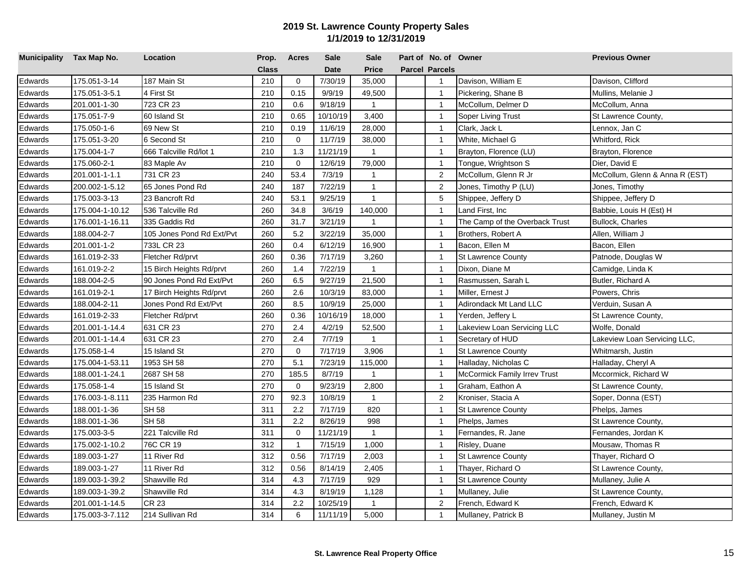| Municipality Tax Map No. |                 | Location                  | Prop.        | <b>Acres</b>   | <b>Sale</b> | <b>Sale</b>    | Part of No. of Owner  |                                | <b>Previous Owner</b>          |
|--------------------------|-----------------|---------------------------|--------------|----------------|-------------|----------------|-----------------------|--------------------------------|--------------------------------|
|                          |                 |                           | <b>Class</b> |                | <b>Date</b> | <b>Price</b>   | <b>Parcel Parcels</b> |                                |                                |
| Edwards                  | 175.051-3-14    | 187 Main St               | 210          | $\mathbf 0$    | 7/30/19     | 35,000         | $\mathbf{1}$          | Davison, William E             | Davison, Clifford              |
| Edwards                  | 175.051-3-5.1   | 4 First St                | 210          | 0.15           | 9/9/19      | 49,500         | $\overline{1}$        | Pickering, Shane B             | Mullins, Melanie J             |
| Edwards                  | 201.001-1-30    | 723 CR 23                 | 210          | 0.6            | 9/18/19     | $\mathbf{1}$   | $\overline{1}$        | McCollum, Delmer D             | McCollum, Anna                 |
| Edwards                  | 175.051-7-9     | 60 Island St              | 210          | 0.65           | 10/10/19    | 3,400          | $\overline{1}$        | Soper Living Trust             | St Lawrence County,            |
| Edwards                  | 175.050-1-6     | 69 New St                 | 210          | 0.19           | 11/6/19     | 28,000         | $\overline{1}$        | Clark, Jack L                  | Lennox, Jan C                  |
| Edwards                  | 175.051-3-20    | 6 Second St               | 210          | $\mathbf 0$    | 11/7/19     | 38,000         | $\mathbf{1}$          | White, Michael G               | Whitford, Rick                 |
| Edwards                  | 175.004-1-7     | 666 Talcville Rd/lot 1    | 210          | 1.3            | 11/21/19    | $\mathbf{1}$   | $\overline{1}$        | Brayton, Florence (LU)         | Brayton, Florence              |
| Edwards                  | 175.060-2-1     | 83 Maple Av               | 210          | $\mathbf 0$    | 12/6/19     | 79,000         | $\overline{1}$        | Tongue, Wrightson S            | Dier, David E                  |
| Edwards                  | 201.001-1-1.1   | 731 CR 23                 | 240          | 53.4           | 7/3/19      | $\mathbf{1}$   | $\overline{2}$        | McCollum, Glenn R Jr           | McCollum, Glenn & Anna R (EST) |
| Edwards                  | 200.002-1-5.12  | 65 Jones Pond Rd          | 240          | 187            | 7/22/19     | $\mathbf{1}$   | $\overline{2}$        | Jones, Timothy P (LU)          | Jones, Timothy                 |
| Edwards                  | 175.003-3-13    | 23 Bancroft Rd            | 240          | 53.1           | 9/25/19     | $\mathbf{1}$   | 5                     | Shippee, Jeffery D             | Shippee, Jeffery D             |
| Edwards                  | 175.004-1-10.12 | 536 Talcville Rd          | 260          | 34.8           | 3/6/19      | 140,000        | $\overline{1}$        | Land First, Inc                | Babbie, Louis H (Est) H        |
| Edwards                  | 176.001-1-16.11 | 335 Gaddis Rd             | 260          | 31.7           | 3/21/19     | $\overline{1}$ | $\mathbf{1}$          | The Camp of the Overback Trust | <b>Bullock, Charles</b>        |
| Edwards                  | 188.004-2-7     | 105 Jones Pond Rd Ext/Pvt | 260          | 5.2            | 3/22/19     | 35,000         | $\overline{1}$        | Brothers, Robert A             | Allen, William J               |
| Edwards                  | 201.001-1-2     | 733L CR 23                | 260          | 0.4            | 6/12/19     | 16,900         | $\overline{1}$        | Bacon, Ellen M                 | Bacon, Ellen                   |
| Edwards                  | 161.019-2-33    | Fletcher Rd/prvt          | 260          | 0.36           | 7/17/19     | 3,260          | $\overline{1}$        | <b>St Lawrence County</b>      | Patnode, Douglas W             |
| Edwards                  | 161.019-2-2     | 15 Birch Heights Rd/prvt  | 260          | 1.4            | 7/22/19     | $\mathbf{1}$   | $\mathbf{1}$          | Dixon, Diane M                 | Camidge, Linda K               |
| Edwards                  | 188.004-2-5     | 90 Jones Pond Rd Ext/Pvt  | 260          | 6.5            | 9/27/19     | 21,500         | $\overline{1}$        | Rasmussen, Sarah L             | Butler, Richard A              |
| Edwards                  | 161.019-2-1     | 17 Birch Heights Rd/prvt  | 260          | 2.6            | 10/3/19     | 83,000         | $\overline{1}$        | Miller, Ernest J               | Powers, Chris                  |
| Edwards                  | 188.004-2-11    | Jones Pond Rd Ext/Pvt     | 260          | 8.5            | 10/9/19     | 25,000         | $\overline{1}$        | Adirondack Mt Land LLC         | Verduin, Susan A               |
| Edwards                  | 161.019-2-33    | Fletcher Rd/prvt          | 260          | 0.36           | 10/16/19    | 18,000         | $\mathbf{1}$          | Yerden, Jeffery L              | St Lawrence County,            |
| Edwards                  | 201.001-1-14.4  | 631 CR 23                 | 270          | 2.4            | 4/2/19      | 52,500         | $\overline{1}$        | akeview Loan Servicing LLC     | Wolfe, Donald                  |
| Edwards                  | 201.001-1-14.4  | 631 CR 23                 | 270          | 2.4            | 7/7/19      | $\mathbf{1}$   | $\overline{1}$        | Secretary of HUD               | Lakeview Loan Servicing LLC,   |
| Edwards                  | 175.058-1-4     | 15 Island St              | 270          | $\mathbf 0$    | 7/17/19     | 3,906          | $\overline{1}$        | St Lawrence County             | Whitmarsh, Justin              |
| Edwards                  | 175.004-1-53.11 | 1953 SH 58                | 270          | 5.1            | 7/23/19     | 115,000        | $\overline{1}$        | Halladay, Nicholas C           | Halladay, Cheryl A             |
| Edwards                  | 188.001-1-24.1  | 2687 SH 58                | 270          | 185.5          | 8/7/19      | $\mathbf{1}$   | $\overline{1}$        | McCormick Family Irrev Trust   | Mccormick, Richard W           |
| Edwards                  | 175.058-1-4     | 15 Island St              | 270          | $\mathbf 0$    | 9/23/19     | 2,800          | $\mathbf{1}$          | Graham, Eathon A               | St Lawrence County,            |
| Edwards                  | 176.003-1-8.111 | 235 Harmon Rd             | 270          | 92.3           | 10/8/19     | $\mathbf{1}$   | 2                     | Kroniser, Stacia A             | Soper, Donna (EST)             |
| Edwards                  | 188.001-1-36    | <b>SH 58</b>              | 311          | 2.2            | 7/17/19     | 820            | $\mathbf{1}$          | <b>St Lawrence County</b>      | Phelps, James                  |
| Edwards                  | 188.001-1-36    | <b>SH 58</b>              | 311          | 2.2            | 8/26/19     | 998            | $\overline{1}$        | Phelps, James                  | St Lawrence County,            |
| Edwards                  | 175.003-3-5     | 221 Talcville Rd          | 311          | $\mathbf 0$    | 11/21/19    | $\mathbf{1}$   | $\overline{1}$        | Fernandes, R. Jane             | Fernandes, Jordan K            |
| Edwards                  | 175.002-1-10.2  | 76C CR 19                 | 312          | $\overline{1}$ | 7/15/19     | 1,000          | $\overline{1}$        | Risley, Duane                  | Mousaw, Thomas R               |
| Edwards                  | 189.003-1-27    | 11 River Rd               | 312          | 0.56           | 7/17/19     | 2,003          | $\overline{1}$        | <b>St Lawrence County</b>      | Thayer, Richard O              |
| Edwards                  | 189.003-1-27    | 11 River Rd               | 312          | 0.56           | 8/14/19     | 2,405          | $\overline{1}$        | Thayer, Richard O              | St Lawrence County,            |
| Edwards                  | 189.003-1-39.2  | Shawville Rd              | 314          | 4.3            | 7/17/19     | 929            | $\overline{1}$        | <b>St Lawrence County</b>      | Mullaney, Julie A              |
| Edwards                  | 189.003-1-39.2  | Shawville Rd              | 314          | 4.3            | 8/19/19     | 1,128          | $\mathbf{1}$          | Mullaney, Julie                | St Lawrence County,            |
| Edwards                  | 201.001-1-14.5  | CR 23                     | 314          | 2.2            | 10/25/19    | $\mathbf{1}$   | 2                     | French, Edward K               | French, Edward K               |
| Edwards                  | 175.003-3-7.112 | 214 Sullivan Rd           | 314          | 6              | 11/11/19    | 5,000          | $\mathbf{1}$          | Mullaney, Patrick B            | Mullaney, Justin M             |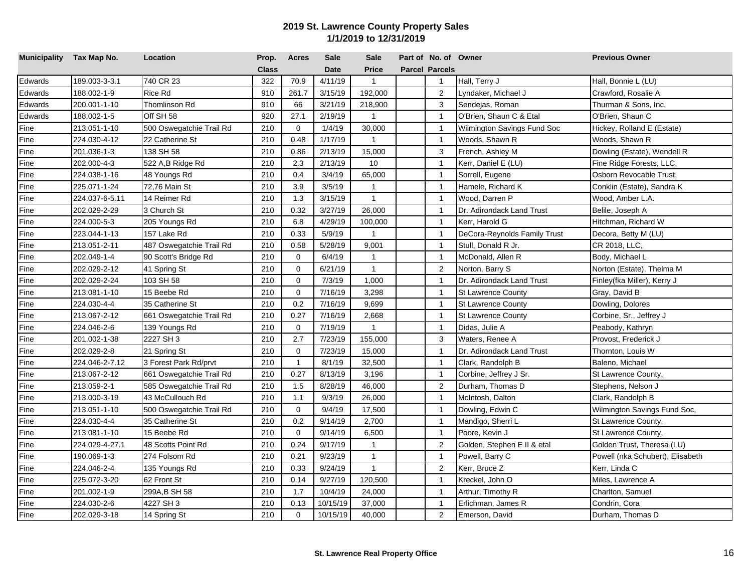| Municipality Tax Map No. |                | Location                 | Prop.        | <b>Acres</b> | <b>Sale</b> | <b>Sale</b>    | Part of No. of Owner  |                              | <b>Previous Owner</b>            |
|--------------------------|----------------|--------------------------|--------------|--------------|-------------|----------------|-----------------------|------------------------------|----------------------------------|
|                          |                |                          | <b>Class</b> |              | <b>Date</b> | Price          | <b>Parcel Parcels</b> |                              |                                  |
| Edwards                  | 189.003-3-3.1  | 740 CR 23                | 322          | 70.9         | 4/11/19     | $\mathbf{1}$   | $\mathbf{1}$          | Hall, Terry J                | Hall, Bonnie L (LU)              |
| Edwards                  | 188.002-1-9    | Rice Rd                  | 910          | 261.7        | 3/15/19     | 192,000        | $\overline{2}$        | _yndaker, Michael J          | Crawford, Rosalie A              |
| Edwards                  | 200.001-1-10   | Thomlinson Rd            | 910          | 66           | 3/21/19     | 218,900        | 3                     | Sendejas, Roman              | Thurman & Sons, Inc,             |
| Edwards                  | 188.002-1-5    | Off SH 58                | 920          | 27.1         | 2/19/19     | $\mathbf{1}$   | $\overline{1}$        | O'Brien, Shaun C & Etal      | O'Brien, Shaun C                 |
| Fine                     | 213.051-1-10   | 500 Oswegatchie Trail Rd | 210          | $\mathbf 0$  | 1/4/19      | 30,000         | $\overline{1}$        | Wilmington Savings Fund Soc  | Hickey, Rolland E (Estate)       |
| Fine                     | 224.030-4-12   | 22 Catherine St          | 210          | 0.48         | 1/17/19     | $\overline{1}$ | $\overline{1}$        | Woods, Shawn R               | Woods, Shawn R                   |
| Fine                     | 201.036-1-3    | 138 SH 58                | 210          | 0.86         | 2/13/19     | 15,000         | 3                     | French, Ashley M             | Dowling (Estate), Wendell R      |
| Fine                     | 202.000-4-3    | 522 A,B Ridge Rd         | 210          | 2.3          | 2/13/19     | 10             | $\overline{1}$        | Kerr, Daniel E (LU)          | Fine Ridge Forests, LLC,         |
| Fine                     | 224.038-1-16   | 48 Youngs Rd             | 210          | 0.4          | 3/4/19      | 65,000         | $\overline{1}$        | Sorrell, Eugene              | Osborn Revocable Trust,          |
| Fine                     | 225.071-1-24   | 72,76 Main St            | 210          | 3.9          | 3/5/19      | $\mathbf{1}$   | $\mathbf{1}$          | Hamele, Richard K            | Conklin (Estate), Sandra K       |
| Fine                     | 224.037-6-5.11 | 14 Reimer Rd             | 210          | 1.3          | 3/15/19     | $\overline{1}$ | $\overline{1}$        | Wood, Darren P               | Wood, Amber L.A.                 |
| Fine                     | 202.029-2-29   | 3 Church St              | 210          | 0.32         | 3/27/19     | 26,000         | $\overline{1}$        | Dr. Adirondack Land Trust    | Belile, Joseph A                 |
| Fine                     | 224.000-5-3    | 205 Youngs Rd            | 210          | 6.8          | 4/29/19     | 100,000        | $\mathbf{1}$          | Kerr, Harold G               | Hitchman, Richard W              |
| Fine                     | 223.044-1-13   | 157 Lake Rd              | 210          | 0.33         | 5/9/19      | $\mathbf{1}$   | $\overline{1}$        | DeCora-Reynolds Family Trust | Decora, Betty M (LU)             |
| Fine                     | 213.051-2-11   | 487 Oswegatchie Trail Rd | 210          | 0.58         | 5/28/19     | 9,001          | $\overline{1}$        | Stull, Donald R Jr.          | CR 2018, LLC,                    |
| Fine                     | 202.049-1-4    | 90 Scott's Bridge Rd     | 210          | $\mathbf 0$  | 6/4/19      | $\mathbf{1}$   | $\overline{1}$        | McDonald, Allen R            | Body, Michael L                  |
| Fine                     | 202.029-2-12   | 41 Spring St             | 210          | $\mathbf 0$  | 6/21/19     | $\mathbf{1}$   | $\overline{2}$        | Norton, Barry S              | Norton (Estate), Thelma M        |
| Fine                     | 202.029-2-24   | 103 SH 58                | 210          | $\Omega$     | 7/3/19      | 1,000          | $\overline{1}$        | Dr. Adirondack Land Trust    | Finley(fka Miller), Kerry J      |
| Fine                     | 213.081-1-10   | 15 Beebe Rd              | 210          | $\mathbf 0$  | 7/16/19     | 3,298          | $\overline{1}$        | <b>St Lawrence County</b>    | Gray, David B                    |
| Fine                     | 224.030-4-4    | 35 Catherine St          | 210          | 0.2          | 7/16/19     | 9,699          | $\overline{1}$        | <b>St Lawrence County</b>    | Dowling, Dolores                 |
| Fine                     | 213.067-2-12   | 661 Oswegatchie Trail Rd | 210          | 0.27         | 7/16/19     | 2,668          | $\mathbf{1}$          | <b>St Lawrence County</b>    | Corbine, Sr., Jeffrey J          |
| Fine                     | 224.046-2-6    | 139 Youngs Rd            | 210          | $\mathbf 0$  | 7/19/19     | $\mathbf{1}$   | $\overline{1}$        | Didas, Julie A               | Peabody, Kathryn                 |
| Fine                     | 201.002-1-38   | 2227 SH 3                | 210          | 2.7          | 7/23/19     | 155,000        | 3                     | Waters, Renee A              | Provost, Frederick J             |
| Fine                     | 202.029-2-8    | 21 Spring St             | 210          | $\mathbf 0$  | 7/23/19     | 15,000         | $\overline{1}$        | Dr. Adirondack Land Trust    | Thornton, Louis W                |
| Fine                     | 224.046-2-7.12 | 3 Forest Park Rd/prvt    | 210          | $\mathbf{1}$ | 8/1/19      | 32,500         | $\overline{1}$        | Clark, Randolph B            | Baleno, Michael                  |
| Fine                     | 213.067-2-12   | 661 Oswegatchie Trail Rd | 210          | 0.27         | 8/13/19     | 3,196          | $\overline{1}$        | Corbine, Jeffrey J Sr.       | St Lawrence County,              |
| Fine                     | 213.059-2-1    | 585 Oswegatchie Trail Rd | 210          | 1.5          | 8/28/19     | 46,000         | 2                     | Durham, Thomas D             | Stephens, Nelson J               |
| Fine                     | 213.000-3-19   | 43 McCullouch Rd         | 210          | 1.1          | 9/3/19      | 26,000         | $\overline{1}$        | McIntosh, Dalton             | Clark, Randolph B                |
| Fine                     | 213.051-1-10   | 500 Oswegatchie Trail Rd | 210          | $\mathbf 0$  | 9/4/19      | 17,500         | $\overline{1}$        | Dowling, Edwin C             | Wilmington Savings Fund Soc,     |
| Fine                     | 224.030-4-4    | 35 Catherine St          | 210          | 0.2          | 9/14/19     | 2,700          | $\overline{1}$        | Mandigo, Sherri L            | St Lawrence County,              |
| Fine                     | 213.081-1-10   | 15 Beebe Rd              | 210          | $\mathbf 0$  | 9/14/19     | 6,500          | $\overline{1}$        | Poore, Kevin J               | St Lawrence County,              |
| Fine                     | 224.029-4-27.1 | 48 Scotts Point Rd       | 210          | 0.24         | 9/17/19     | $\overline{1}$ | $\overline{2}$        | Golden, Stephen E II & etal  | Golden Trust, Theresa (LU)       |
| Fine                     | 190.069-1-3    | 274 Folsom Rd            | 210          | 0.21         | 9/23/19     | $\mathbf{1}$   | $\mathbf{1}$          | Powell, Barry C              | Powell (nka Schubert), Elisabeth |
| Fine                     | 224.046-2-4    | 135 Youngs Rd            | 210          | 0.33         | 9/24/19     | $\mathbf{1}$   | $\overline{2}$        | Kerr, Bruce Z                | Kerr, Linda C                    |
| Fine                     | 225.072-3-20   | 62 Front St              | 210          | 0.14         | 9/27/19     | 120,500        | $\overline{1}$        | Kreckel, John O              | Miles, Lawrence A                |
| Fine                     | 201.002-1-9    | 299A, B SH 58            | 210          | 1.7          | 10/4/19     | 24,000         | $\mathbf{1}$          | Arthur, Timothy R            | Charlton, Samuel                 |
| Fine                     | 224.030-2-6    | 4227 SH 3                | 210          | 0.13         | 10/15/19    | 37,000         | $\mathbf{1}$          | Erlichman, James R           | Condrin, Cora                    |
| Fine                     | 202.029-3-18   | 14 Spring St             | 210          | $\mathbf 0$  | 10/15/19    | 40,000         | 2                     | Emerson, David               | Durham, Thomas D                 |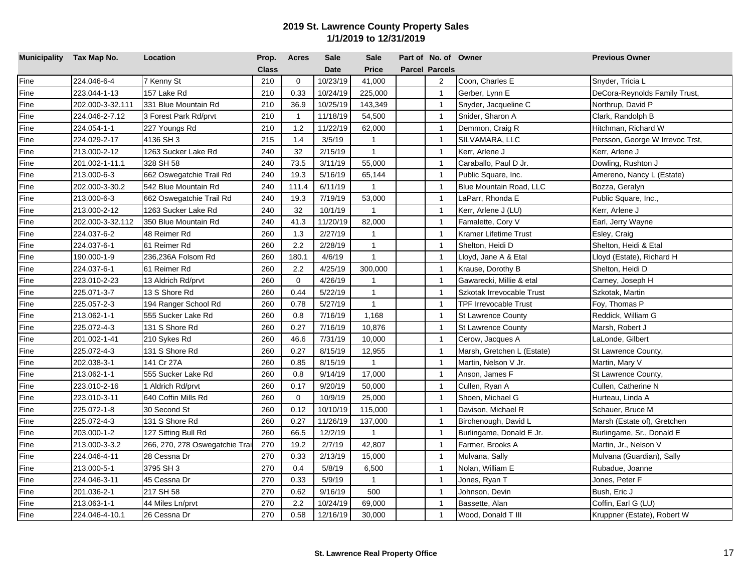| Municipality Tax Map No. |                  | Location                       | Prop.        | <b>Acres</b>   | Sale        | <b>Sale</b>  | Part of No. of Owner  |                              | <b>Previous Owner</b>           |
|--------------------------|------------------|--------------------------------|--------------|----------------|-------------|--------------|-----------------------|------------------------------|---------------------------------|
|                          |                  |                                | <b>Class</b> |                | <b>Date</b> | <b>Price</b> | <b>Parcel Parcels</b> |                              |                                 |
| Fine                     | 224.046-6-4      | 7 Kenny St                     | 210          | $\mathbf 0$    | 10/23/19    | 41,000       | 2                     | Coon, Charles E              | Snyder, Tricia L                |
| Fine                     | 223.044-1-13     | 157 Lake Rd                    | 210          | 0.33           | 10/24/19    | 225,000      | $\overline{1}$        | Gerber, Lynn E               | DeCora-Reynolds Family Trust,   |
| Fine                     | 202.000-3-32.111 | 331 Blue Mountain Rd           | 210          | 36.9           | 10/25/19    | 143,349      | $\mathbf{1}$          | Snyder, Jacqueline C         | Northrup, David P               |
| Fine                     | 224.046-2-7.12   | 3 Forest Park Rd/prvt          | 210          | $\overline{1}$ | 11/18/19    | 54,500       | $\mathbf{1}$          | Snider, Sharon A             | Clark, Randolph B               |
| Fine                     | 224.054-1-1      | 227 Youngs Rd                  | 210          | 1.2            | 11/22/19    | 62,000       | $\mathbf{1}$          | Demmon, Craig R              | Hitchman, Richard W             |
| Fine                     | 224.029-2-17     | 4136 SH 3                      | 215          | 1.4            | 3/5/19      | $\mathbf{1}$ | $\overline{1}$        | SILVAMARA, LLC               | Persson, George W Irrevoc Trst, |
| Fine                     | 213.000-2-12     | 1263 Sucker Lake Rd            | 240          | 32             | 2/15/19     | $\mathbf{1}$ | $\overline{1}$        | Kerr, Arlene J               | Kerr, Arlene J                  |
| Fine                     | 201.002-1-11.1   | 328 SH 58                      | 240          | 73.5           | 3/11/19     | 55,000       | $\overline{1}$        | Caraballo, Paul D Jr.        | Dowling, Rushton J              |
| Fine                     | 213.000-6-3      | 662 Oswegatchie Trail Rd       | 240          | 19.3           | 5/16/19     | 65,144       | $\overline{1}$        | Public Square, Inc.          | Amereno, Nancy L (Estate)       |
| Fine                     | 202.000-3-30.2   | 542 Blue Mountain Rd           | 240          | 111.4          | 6/11/19     | $\mathbf{1}$ | $\overline{1}$        | Blue Mountain Road, LLC      | Bozza, Geralyn                  |
| Fine                     | 213.000-6-3      | 662 Oswegatchie Trail Rd       | 240          | 19.3           | 7/19/19     | 53,000       | $\overline{1}$        | LaParr, Rhonda E             | Public Square, Inc.,            |
| Fine                     | 213.000-2-12     | 1263 Sucker Lake Rd            | 240          | 32             | 10/1/19     | $\mathbf{1}$ | $\overline{1}$        | Kerr, Arlene J (LU)          | Kerr, Arlene J                  |
| Fine                     | 202.000-3-32.112 | 350 Blue Mountain Rd           | 240          | 41.3           | 11/20/19    | 82,000       | $\overline{1}$        | Famalette, Cory V            | Earl, Jerry Wayne               |
| Fine                     | 224.037-6-2      | 48 Reimer Rd                   | 260          | 1.3            | 2/27/19     | $\mathbf{1}$ | $\overline{1}$        | <b>Kramer Lifetime Trust</b> | Esley, Craig                    |
| Fine                     | 224.037-6-1      | 61 Reimer Rd                   | 260          | 2.2            | 2/28/19     | $\mathbf{1}$ | $\overline{1}$        | Shelton, Heidi D             | Shelton, Heidi & Etal           |
| Fine                     | 190.000-1-9      | 236,236A Folsom Rd             | 260          | 180.1          | 4/6/19      | $\mathbf{1}$ | $\overline{1}$        | Lloyd, Jane A & Etal         | Lloyd (Estate), Richard H       |
| Fine                     | 224.037-6-1      | 61 Reimer Rd                   | 260          | 2.2            | 4/25/19     | 300,000      | $\overline{1}$        | Krause, Dorothy B            | Shelton, Heidi D                |
| Fine                     | 223.010-2-23     | 13 Aldrich Rd/prvt             | 260          | $\mathbf{0}$   | 4/26/19     | $\mathbf{1}$ | $\overline{1}$        | Gawarecki, Millie & etal     | Carney, Joseph H                |
| Fine                     | 225.071-3-7      | 13 S Shore Rd                  | 260          | 0.44           | 5/22/19     | $\mathbf{1}$ | $\overline{1}$        | Szkotak Irrevocable Trust    | Szkotak, Martin                 |
| Fine                     | 225.057-2-3      | 194 Ranger School Rd           | 260          | 0.78           | 5/27/19     | $\mathbf{1}$ | $\overline{1}$        | <b>TPF Irrevocable Trust</b> | Foy, Thomas P                   |
| Fine                     | 213.062-1-1      | 555 Sucker Lake Rd             | 260          | 0.8            | 7/16/19     | 1,168        | $\overline{1}$        | <b>St Lawrence County</b>    | Reddick, William G              |
| Fine                     | 225.072-4-3      | 131 S Shore Rd                 | 260          | 0.27           | 7/16/19     | 10,876       | $\overline{1}$        | <b>St Lawrence County</b>    | Marsh, Robert J                 |
| Fine                     | 201.002-1-41     | 210 Sykes Rd                   | 260          | 46.6           | 7/31/19     | 10,000       | $\overline{1}$        | Cerow, Jacques A             | LaLonde, Gilbert                |
| Fine                     | 225.072-4-3      | 131 S Shore Rd                 | 260          | 0.27           | 8/15/19     | 12,955       | $\mathbf{1}$          | Marsh, Gretchen L (Estate)   | St Lawrence County,             |
| Fine                     | 202.038-3-1      | 141 Cr 27A                     | 260          | 0.85           | 8/15/19     | $\mathbf{1}$ | $\mathbf{1}$          | Martin, Nelson V Jr.         | Martin, Mary V                  |
| Fine                     | 213.062-1-1      | 555 Sucker Lake Rd             | 260          | 0.8            | 9/14/19     | 17,000       | $\mathbf{1}$          | Anson, James F               | St Lawrence County,             |
| Fine                     | 223.010-2-16     | 1 Aldrich Rd/prvt              | 260          | 0.17           | 9/20/19     | 50,000       | $\mathbf{1}$          | Cullen, Ryan A               | Cullen, Catherine N             |
| Fine                     | 223.010-3-11     | 640 Coffin Mills Rd            | 260          | $\mathbf 0$    | 10/9/19     | 25,000       | $\mathbf{1}$          | Shoen, Michael G             | Hurteau, Linda A                |
| Fine                     | 225.072-1-8      | 30 Second St                   | 260          | 0.12           | 10/10/19    | 115,000      | $\mathbf{1}$          | Davison, Michael R           | Schauer, Bruce M                |
| Fine                     | 225.072-4-3      | 131 S Shore Rd                 | 260          | 0.27           | 11/26/19    | 137,000      | $\mathbf{1}$          | Birchenough, David L         | Marsh (Estate of), Gretchen     |
| Fine                     | 203.000-1-2      | 127 Sitting Bull Rd            | 260          | 66.5           | 12/2/19     | $\mathbf{1}$ | $\overline{1}$        | Burlingame, Donald E Jr.     | Burlingame, Sr., Donald E       |
| Fine                     | 213.000-3-3.2    | 266, 270, 278 Oswegatchie Trai | 270          | 19.2           | 2/7/19      | 42,807       | $\mathbf{1}$          | Farmer, Brooks A             | Martin, Jr., Nelson V           |
| Fine                     | 224.046-4-11     | 28 Cessna Dr                   | 270          | 0.33           | 2/13/19     | 15,000       | $\overline{1}$        | Mulvana, Sally               | Mulvana (Guardian), Sally       |
| Fine                     | 213.000-5-1      | 3795 SH 3                      | 270          | 0.4            | 5/8/19      | 6,500        | $\overline{1}$        | Nolan, William E             | Rubadue, Joanne                 |
| Fine                     | 224.046-3-11     | 45 Cessna Dr                   | 270          | 0.33           | 5/9/19      | $\mathbf{1}$ | $\overline{1}$        | Jones, Ryan T                | Jones, Peter F                  |
| Fine                     | 201.036-2-1      | 217 SH 58                      | 270          | 0.62           | 9/16/19     | 500          | $\overline{1}$        | Johnson, Devin               | Bush, Eric J                    |
| Fine                     | 213.063-1-1      | 44 Miles Ln/prvt               | 270          | 2.2            | 10/24/19    | 69,000       | $\overline{1}$        | Bassette, Alan               | Coffin, Earl G (LU)             |
| Fine                     | 224.046-4-10.1   | 26 Cessna Dr                   | 270          | 0.58           | 12/16/19    | 30,000       | $\mathbf{1}$          | Wood, Donald T III           | Kruppner (Estate), Robert W     |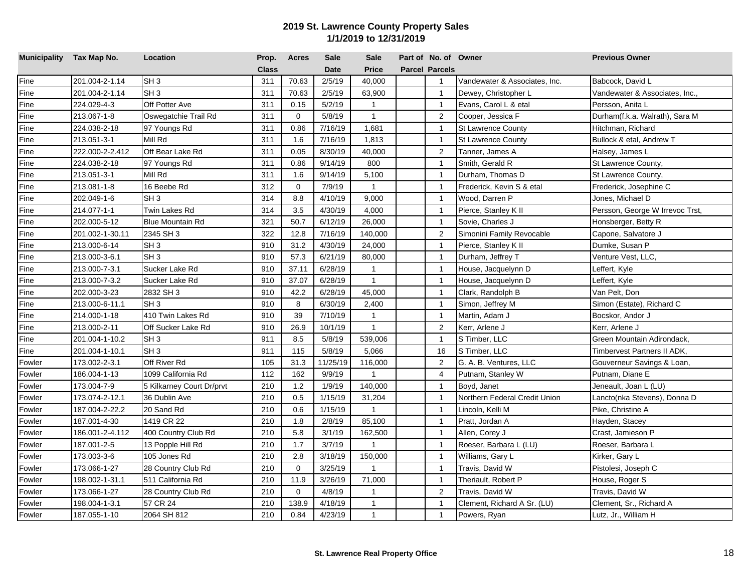| Municipality Tax Map No. |                 | Location                  | Prop.        | <b>Acres</b> | <b>Sale</b> | <b>Sale</b>  | Part of No. of Owner  |                               | <b>Previous Owner</b>           |
|--------------------------|-----------------|---------------------------|--------------|--------------|-------------|--------------|-----------------------|-------------------------------|---------------------------------|
|                          |                 |                           | <b>Class</b> |              | <b>Date</b> | <b>Price</b> | <b>Parcel Parcels</b> |                               |                                 |
| Fine                     | 201.004-2-1.14  | SH <sub>3</sub>           | 311          | 70.63        | 2/5/19      | 40,000       | $\mathbf{1}$          | Vandewater & Associates, Inc. | Babcock, David L                |
| Fine                     | 201.004-2-1.14  | SH <sub>3</sub>           | 311          | 70.63        | 2/5/19      | 63,900       | $\mathbf{1}$          | Dewey, Christopher L          | Vandewater & Associates, Inc.,  |
| Fine                     | 224.029-4-3     | Off Potter Ave            | 311          | 0.15         | 5/2/19      | $\mathbf{1}$ | $\mathbf{1}$          | Evans, Carol L & etal         | Persson, Anita L                |
| Fine                     | 213.067-1-8     | Oswegatchie Trail Rd      | 311          | $\mathbf 0$  | 5/8/19      | $\mathbf{1}$ | $\overline{2}$        | Cooper, Jessica F             | Durham(f.k.a. Walrath), Sara M  |
| Fine                     | 224.038-2-18    | 97 Youngs Rd              | 311          | 0.86         | 7/16/19     | 1,681        | $\overline{1}$        | <b>St Lawrence County</b>     | Hitchman, Richard               |
| Fine                     | 213.051-3-1     | Mill Rd                   | 311          | 1.6          | 7/16/19     | 1,813        | $\overline{1}$        | <b>St Lawrence County</b>     | Bullock & etal, Andrew T        |
| Fine                     | 222.000-2-2.412 | Off Bear Lake Rd          | 311          | 0.05         | 8/30/19     | 40,000       | 2                     | Tanner, James A               | Halsey, James L                 |
| Fine                     | 224.038-2-18    | 97 Youngs Rd              | 311          | 0.86         | 9/14/19     | 800          | $\overline{1}$        | Smith, Gerald R               | St Lawrence County,             |
| Fine                     | 213.051-3-1     | Mill Rd                   | 311          | 1.6          | 9/14/19     | 5,100        | $\overline{1}$        | Durham, Thomas D              | St Lawrence County,             |
| Fine                     | 213.081-1-8     | 16 Beebe Rd               | 312          | $\mathbf{0}$ | 7/9/19      | $\mathbf{1}$ | $\overline{1}$        | Frederick, Kevin S & etal     | Frederick, Josephine C          |
| Fine                     | 202.049-1-6     | SH <sub>3</sub>           | 314          | 8.8          | 4/10/19     | 9,000        | $\overline{1}$        | Wood, Darren P                | Jones, Michael D                |
| Fine                     | 214.077-1-1     | Twin Lakes Rd             | 314          | 3.5          | 4/30/19     | 4,000        | $\overline{1}$        | Pierce, Stanley K II          | Persson, George W Irrevoc Trst, |
| Fine                     | 202.000-5-12    | <b>Blue Mountain Rd</b>   | 321          | 50.7         | 6/12/19     | 26,000       | $\overline{1}$        | Sovie, Charles J              | Honsberger, Betty R             |
| Fine                     | 201.002-1-30.11 | 2345 SH 3                 | 322          | 12.8         | 7/16/19     | 140,000      | $\overline{2}$        | Simonini Family Revocable     | Capone, Salvatore J             |
| Fine                     | 213.000-6-14    | SH <sub>3</sub>           | 910          | 31.2         | 4/30/19     | 24,000       | $\overline{1}$        | Pierce, Stanley K II          | Dumke, Susan P                  |
| Fine                     | 213.000-3-6.1   | SH <sub>3</sub>           | 910          | 57.3         | 6/21/19     | 80,000       | $\overline{1}$        | Durham, Jeffrey T             | Venture Vest, LLC,              |
| Fine                     | 213.000-7-3.1   | Sucker Lake Rd            | 910          | 37.11        | 6/28/19     | $\mathbf{1}$ | $\mathbf{1}$          | House, Jacquelynn D           | Leffert, Kyle                   |
| Fine                     | 213.000-7-3.2   | Sucker Lake Rd            | 910          | 37.07        | 6/28/19     | $\mathbf{1}$ | $\mathbf{1}$          | House, Jacquelynn D           | Leffert, Kyle                   |
| Fine                     | 202.000-3-23    | 2832 SH 3                 | 910          | 42.2         | 6/28/19     | 45,000       | $\mathbf{1}$          | Clark, Randolph B             | Van Pelt, Don                   |
| Fine                     | 213.000-6-11.1  | SH <sub>3</sub>           | 910          | 8            | 6/30/19     | 2,400        | $\mathbf{1}$          | Simon, Jeffrey M              | Simon (Estate), Richard C       |
| Fine                     | 214.000-1-18    | 410 Twin Lakes Rd         | 910          | 39           | 7/10/19     | $\mathbf{1}$ | $\overline{1}$        | Martin, Adam J                | Bocskor, Andor J                |
| Fine                     | 213.000-2-11    | Off Sucker Lake Rd        | 910          | 26.9         | 10/1/19     | $\mathbf{1}$ | 2                     | Kerr, Arlene J                | Kerr, Arlene J                  |
| Fine                     | 201.004-1-10.2  | SH <sub>3</sub>           | 911          | 8.5          | 5/8/19      | 539,006      | $\overline{1}$        | S Timber, LLC                 | Green Mountain Adirondack,      |
| Fine                     | 201.004-1-10.1  | SH <sub>3</sub>           | 911          | 115          | 5/8/19      | 5,066        | 16                    | S Timber, LLC                 | Timbervest Partners II ADK,     |
| Fowler                   | 173.002-2-3.1   | Off River Rd              | 105          | 31.3         | 11/25/19    | 116,000      | $\overline{2}$        | G. A. B. Ventures, LLC        | Gouverneur Savings & Loan,      |
| Fowler                   | 186.004-1-13    | 1099 California Rd        | 112          | 162          | 9/9/19      | $\mathbf{1}$ | $\overline{4}$        | Putnam, Stanley W             | Putnam, Diane E                 |
| Fowler                   | 173.004-7-9     | 5 Kilkarney Court Dr/prvt | 210          | 1.2          | 1/9/19      | 140,000      | $\mathbf{1}$          | Boyd, Janet                   | Jeneault, Joan L (LU)           |
| Fowler                   | 173.074-2-12.1  | 36 Dublin Ave             | 210          | 0.5          | 1/15/19     | 31,204       | $\overline{1}$        | Northern Federal Credit Union | Lancto(nka Stevens), Donna D    |
| Fowler                   | 187.004-2-22.2  | 20 Sand Rd                | 210          | 0.6          | 1/15/19     | $\mathbf{1}$ | $\overline{1}$        | Lincoln, Kelli M              | Pike, Christine A               |
| Fowler                   | 187.001-4-30    | 1419 CR 22                | 210          | 1.8          | 2/8/19      | 85,100       | $\mathbf{1}$          | Pratt, Jordan A               | Hayden, Stacey                  |
| Fowler                   | 186.001-2-4.112 | 400 Country Club Rd       | 210          | 5.8          | 3/1/19      | 162,500      | $\overline{1}$        | Allen, Corey J                | Crast, Jamieson P               |
| Fowler                   | 187.001-2-5     | 13 Popple Hill Rd         | 210          | 1.7          | 3/7/19      | $\mathbf{1}$ | $\overline{1}$        | Roeser, Barbara L (LU)        | Roeser, Barbara L               |
| Fowler                   | 173.003-3-6     | 105 Jones Rd              | 210          | 2.8          | 3/18/19     | 150,000      | $\overline{1}$        | Williams, Gary L              | Kirker, Gary L                  |
| Fowler                   | 173.066-1-27    | 28 Country Club Rd        | 210          | $\mathbf 0$  | 3/25/19     | -1           | $\mathbf{1}$          | Travis, David W               | Pistolesi, Joseph C             |
| Fowler                   | 198.002-1-31.1  | 511 California Rd         | 210          | 11.9         | 3/26/19     | 71,000       | $\overline{1}$        | Theriault, Robert P           | House, Roger S                  |
| Fowler                   | 173.066-1-27    | 28 Country Club Rd        | 210          | $\mathbf 0$  | 4/8/19      | $\mathbf{1}$ | 2                     | Travis, David W               | Travis, David W                 |
| Fowler                   | 198.004-1-3.1   | 57 CR 24                  | 210          | 138.9        | 4/18/19     | $\mathbf{1}$ | $\mathbf{1}$          | Clement, Richard A Sr. (LU)   | Clement, Sr., Richard A         |
| Fowler                   | 187.055-1-10    | 2064 SH 812               | 210          | 0.84         | 4/23/19     | $\mathbf{1}$ | $\mathbf{1}$          | Powers, Ryan                  | Lutz, Jr., William H            |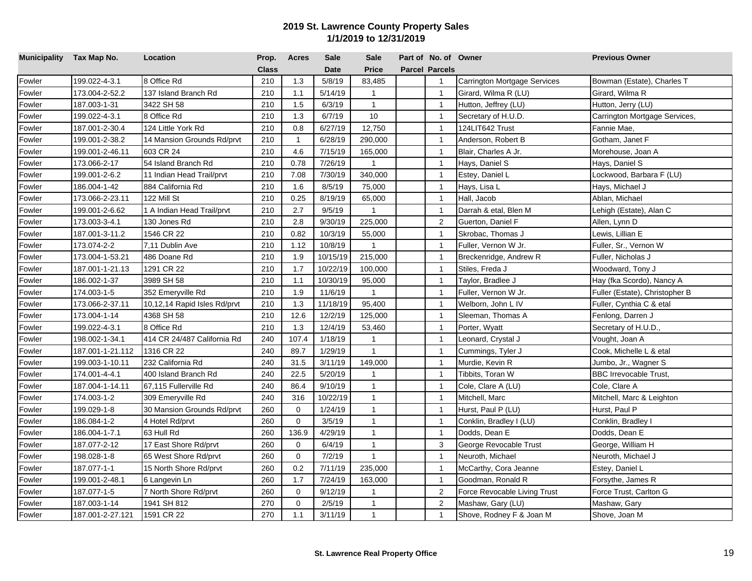| Municipality Tax Map No. |                  | Location                     | Prop.        | <b>Acres</b> | <b>Sale</b> | <b>Sale</b>    | Part of No. of Owner  |                                     | <b>Previous Owner</b>          |
|--------------------------|------------------|------------------------------|--------------|--------------|-------------|----------------|-----------------------|-------------------------------------|--------------------------------|
|                          |                  |                              | <b>Class</b> |              | <b>Date</b> | <b>Price</b>   | <b>Parcel Parcels</b> |                                     |                                |
| Fowler                   | 199.022-4-3.1    | 8 Office Rd                  | 210          | 1.3          | 5/8/19      | 83,485         | $\mathbf{1}$          | <b>Carrington Mortgage Services</b> | Bowman (Estate), Charles T     |
| Fowler                   | 173.004-2-52.2   | 137 Island Branch Rd         | 210          | 1.1          | 5/14/19     | $\mathbf{1}$   | $\overline{1}$        | Girard, Wilma R (LU)                | Girard, Wilma R                |
| Fowler                   | 187.003-1-31     | 3422 SH 58                   | 210          | 1.5          | 6/3/19      | $\mathbf{1}$   | $\overline{1}$        | Hutton, Jeffrey (LU)                | Hutton, Jerry (LU)             |
| Fowler                   | 199.022-4-3.1    | 8 Office Rd                  | 210          | 1.3          | 6/7/19      | 10             | $\overline{1}$        | Secretary of H.U.D.                 | Carrington Mortgage Services,  |
| Fowler                   | 187.001-2-30.4   | 124 Little York Rd           | 210          | 0.8          | 6/27/19     | 12,750         | $\overline{1}$        | 124LIT642 Trust                     | Fannie Mae,                    |
| Fowler                   | 199.001-2-38.2   | 14 Mansion Grounds Rd/prvt   | 210          | $\mathbf{1}$ | 6/28/19     | 290,000        | $\overline{1}$        | Anderson, Robert B                  | Gotham, Janet F                |
| Fowler                   | 199.001-2-46.11  | 603 CR 24                    | 210          | 4.6          | 7/15/19     | 165,000        | $\overline{1}$        | Blair, Charles A Jr.                | Morehouse, Joan A              |
| Fowler                   | 173.066-2-17     | 54 Island Branch Rd          | 210          | 0.78         | 7/26/19     | $\mathbf{1}$   | $\overline{1}$        | Hays, Daniel S                      | Hays, Daniel S                 |
| Fowler                   | 199.001-2-6.2    | 11 Indian Head Trail/prvt    | 210          | 7.08         | 7/30/19     | 340,000        | $\overline{1}$        | Estey, Daniel L                     | Lockwood, Barbara F (LU)       |
| Fowler                   | 186.004-1-42     | 884 California Rd            | 210          | 1.6          | 8/5/19      | 75,000         | $\overline{1}$        | Hays, Lisa L                        | Hays, Michael J                |
| Fowler                   | 173.066-2-23.11  | 122 Mill St                  | 210          | 0.25         | 8/19/19     | 65,000         | $\overline{1}$        | Hall, Jacob                         | Ablan, Michael                 |
| Fowler                   | 199.001-2-6.62   | 1 A Indian Head Trail/prvt   | 210          | 2.7          | 9/5/19      | $\mathbf{1}$   | $\overline{1}$        | Darrah & etal, Blen M               | Lehigh (Estate), Alan C        |
| Fowler                   | 173.003-3-4.1    | 130 Jones Rd                 | 210          | 2.8          | 9/30/19     | 225,000        | 2                     | Guerton, Daniel F                   | Allen, Lynn D                  |
| Fowler                   | 187.001-3-11.2   | 1546 CR 22                   | 210          | 0.82         | 10/3/19     | 55,000         | $\overline{1}$        | Skrobac, Thomas J                   | Lewis, Lillian E               |
| Fowler                   | 173.074-2-2      | 7,11 Dublin Ave              | 210          | 1.12         | 10/8/19     | $\mathbf{1}$   | $\overline{1}$        | Fuller, Vernon W Jr.                | Fuller, Sr., Vernon W          |
| Fowler                   | 173.004-1-53.21  | 486 Doane Rd                 | 210          | 1.9          | 10/15/19    | 215,000        | $\overline{1}$        | Breckenridge, Andrew R              | Fuller, Nicholas J             |
| Fowler                   | 187.001-1-21.13  | 1291 CR 22                   | 210          | 1.7          | 10/22/19    | 100,000        | $\overline{1}$        | Stiles, Freda J                     | Woodward, Tony J               |
| Fowler                   | 186.002-1-37     | 3989 SH 58                   | 210          | 1.1          | 10/30/19    | 95,000         | $\overline{1}$        | Taylor, Bradlee J                   | Hay (fka Scordo), Nancy A      |
| Fowler                   | 174.003-1-5      | 352 Emeryville Rd            | 210          | 1.9          | 11/6/19     | $\mathbf{1}$   | $\overline{1}$        | Fuller, Vernon W Jr.                | Fuller (Estate), Christopher B |
| Fowler                   | 173.066-2-37.11  | 10,12,14 Rapid Isles Rd/prvt | 210          | 1.3          | 11/18/19    | 95,400         | $\overline{1}$        | Welborn, John L IV                  | Fuller, Cynthia C & etal       |
| Fowler                   | 173.004-1-14     | 4368 SH 58                   | 210          | 12.6         | 12/2/19     | 125,000        | $\overline{1}$        | Sleeman, Thomas A                   | Fenlong, Darren J              |
| Fowler                   | 199.022-4-3.1    | 8 Office Rd                  | 210          | 1.3          | 12/4/19     | 53,460         | $\overline{1}$        | Porter, Wyatt                       | Secretary of H.U.D.,           |
| Fowler                   | 198.002-1-34.1   | 414 CR 24/487 California Rd  | 240          | 107.4        | 1/18/19     | $\mathbf{1}$   | $\overline{1}$        | Leonard, Crystal J                  | Vought, Joan A                 |
| Fowler                   | 187.001-1-21.112 | 1316 CR 22                   | 240          | 89.7         | 1/29/19     | $\mathbf{1}$   | $\overline{1}$        | Cummings, Tyler J                   | Cook, Michelle L & etal        |
| Fowler                   | 199.003-1-10.11  | 232 California Rd            | 240          | 31.5         | 3/11/19     | 149,000        | $\overline{1}$        | Murdie, Kevin R                     | Jumbo, Jr., Wagner S           |
| Fowler                   | 174.001-4-4.1    | 400 Island Branch Rd         | 240          | 22.5         | 5/20/19     | $\mathbf{1}$   | $\overline{1}$        | Tibbits, Toran W                    | <b>BBC Irrevocable Trust,</b>  |
| Fowler                   | 187.004-1-14.11  | 67,115 Fullerville Rd        | 240          | 86.4         | 9/10/19     | $\mathbf{1}$   | $\overline{1}$        | Cole, Clare A (LU)                  | Cole, Clare A                  |
| Fowler                   | 174.003-1-2      | 309 Emeryville Rd            | 240          | 316          | 10/22/19    | $\mathbf{1}$   | $\overline{1}$        | Mitchell, Marc                      | Mitchell, Marc & Leighton      |
| Fowler                   | 199.029-1-8      | 30 Mansion Grounds Rd/prvt   | 260          | $\mathbf 0$  | 1/24/19     | $\mathbf{1}$   | $\overline{1}$        | Hurst, Paul P (LU)                  | Hurst, Paul P                  |
| Fowler                   | 186.084-1-2      | 4 Hotel Rd/prvt              | 260          | $\mathbf 0$  | 3/5/19      | $\mathbf{1}$   | $\overline{1}$        | Conklin, Bradley I (LU)             | Conklin, Bradley I             |
| Fowler                   | 186.004-1-7.1    | 63 Hull Rd                   | 260          | 136.9        | 4/29/19     | $\mathbf{1}$   | $\overline{1}$        | Dodds, Dean E                       | Dodds, Dean E                  |
| Fowler                   | 187.077-2-12     | 17 East Shore Rd/prvt        | 260          | $\mathbf 0$  | 6/4/19      | $\mathbf{1}$   | 3                     | George Revocable Trust              | George, William H              |
| Fowler                   | 198.028-1-8      | 65 West Shore Rd/prvt        | 260          | $\mathbf 0$  | 7/2/19      | $\mathbf{1}$   | $\overline{1}$        | Neuroth, Michael                    | Neuroth, Michael J             |
| Fowler                   | 187.077-1-1      | 15 North Shore Rd/prvt       | 260          | 0.2          | 7/11/19     | 235,000        | $\overline{1}$        | McCarthy, Cora Jeanne               | Estey, Daniel L                |
| Fowler                   | 199.001-2-48.1   | 6 Langevin Ln                | 260          | 1.7          | 7/24/19     | 163,000        | $\overline{1}$        | Goodman, Ronald R                   | Forsythe, James R              |
| Fowler                   | 187.077-1-5      | 7 North Shore Rd/prvt        | 260          | 0            | 9/12/19     | $\overline{1}$ | 2                     | Force Revocable Living Trust        | Force Trust, Carlton G         |
| Fowler                   | 187.003-1-14     | 1941 SH 812                  | 270          | $\mathbf 0$  | 2/5/19      | $\mathbf{1}$   | $\overline{2}$        | Mashaw, Gary (LU)                   | Mashaw, Gary                   |
| Fowler                   | 187.001-2-27.121 | 1591 CR 22                   | 270          | 1.1          | 3/11/19     | $\mathbf{1}$   | $\mathbf{1}$          | Shove, Rodney F & Joan M            | Shove, Joan M                  |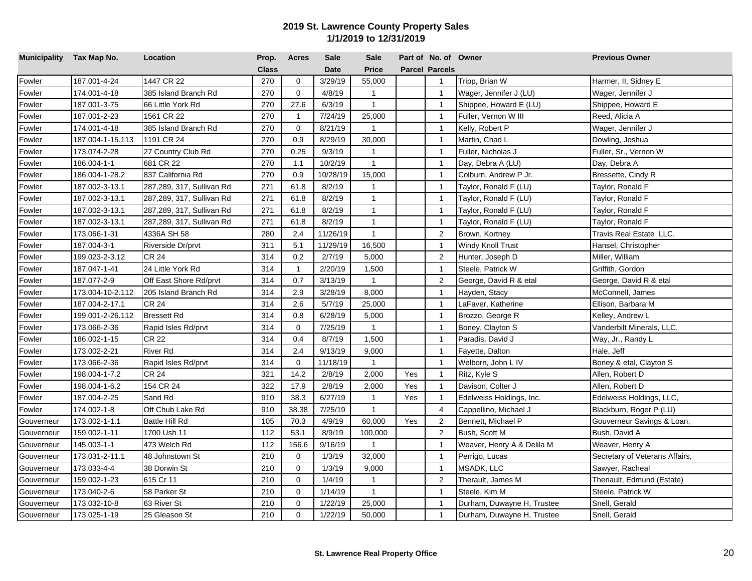| Municipality Tax Map No. |                  | Location                  | Prop.        | <b>Acres</b> | <b>Sale</b> | <b>Sale</b>  |     | Part of No. of Owner  |                            | <b>Previous Owner</b>          |
|--------------------------|------------------|---------------------------|--------------|--------------|-------------|--------------|-----|-----------------------|----------------------------|--------------------------------|
|                          |                  |                           | <b>Class</b> |              | <b>Date</b> | <b>Price</b> |     | <b>Parcel Parcels</b> |                            |                                |
| Fowler                   | 187.001-4-24     | 1447 CR 22                | 270          | $\mathbf 0$  | 3/29/19     | 55,000       |     | $\overline{1}$        | Tripp, Brian W             | Harmer, II, Sidney E           |
| Fowler                   | 174.001-4-18     | 385 Island Branch Rd      | 270          | $\mathbf{0}$ | 4/8/19      | $\mathbf{1}$ |     | $\mathbf{1}$          | Wager, Jennifer J (LU)     | Wager, Jennifer J              |
| Fowler                   | 187.001-3-75     | 66 Little York Rd         | 270          | 27.6         | 6/3/19      | $\mathbf{1}$ |     | $\overline{1}$        | Shippee, Howard E (LU)     | Shippee, Howard E              |
| Fowler                   | 187.001-2-23     | 1561 CR 22                | 270          | $\mathbf{1}$ | 7/24/19     | 25,000       |     | $\mathbf{1}$          | Fuller, Vernon W III       | Reed, Alicia A                 |
| Fowler                   | 174.001-4-18     | 385 Island Branch Rd      | 270          | $\mathbf 0$  | 8/21/19     | 1            |     | $\overline{1}$        | Kelly, Robert P            | Wager, Jennifer J              |
| Fowler                   | 187.004-1-15.113 | 1191 CR 24                | 270          | 0.9          | 8/29/19     | 30,000       |     | $\overline{1}$        | Martin, Chad L             | Dowling, Joshua                |
| Fowler                   | 173.074-2-28     | 27 Country Club Rd        | 270          | 0.25         | 9/3/19      | $\mathbf{1}$ |     | $\overline{1}$        | Fuller, Nicholas J         | Fuller, Sr., Vernon W          |
| Fowler                   | 186.004-1-1      | 681 CR 22                 | 270          | 1.1          | 10/2/19     | $\mathbf{1}$ |     | $\overline{1}$        | Day, Debra A (LU)          | Day, Debra A                   |
| Fowler                   | 186.004-1-28.2   | 837 California Rd         | 270          | 0.9          | 10/28/19    | 15,000       |     | $\overline{1}$        | Colburn, Andrew P Jr.      | Bressette, Cindy R             |
| Fowler                   | 187.002-3-13.1   | 287,289, 317, Sullivan Rd | 271          | 61.8         | 8/2/19      | $\mathbf{1}$ |     | $\overline{1}$        | Taylor, Ronald F (LU)      | Taylor, Ronald F               |
| Fowler                   | 187.002-3-13.1   | 287,289, 317, Sullivan Rd | 271          | 61.8         | 8/2/19      | $\mathbf{1}$ |     | $\overline{1}$        | Taylor, Ronald F (LU)      | Taylor, Ronald F               |
| Fowler                   | 187.002-3-13.1   | 287,289, 317, Sullivan Rd | 271          | 61.8         | 8/2/19      | $\mathbf{1}$ |     | $\overline{1}$        | Taylor, Ronald F (LU)      | Taylor, Ronald F               |
| Fowler                   | 187.002-3-13.1   | 287,289, 317, Sullivan Rd | 271          | 61.8         | 8/2/19      | $\mathbf{1}$ |     | $\overline{1}$        | Taylor, Ronald F (LU)      | Taylor, Ronald F               |
| Fowler                   | 173.066-1-31     | 4336A SH 58               | 280          | 2.4          | 11/26/19    | $\mathbf{1}$ |     | $\sqrt{2}$            | Brown, Kortney             | Travis Real Estate LLC,        |
| Fowler                   | 187.004-3-1      | Riverside Dr/prvt         | 311          | 5.1          | 11/29/19    | 16,500       |     | $\overline{1}$        | Windy Knoll Trust          | Hansel, Christopher            |
| Fowler                   | 199.023-2-3.12   | <b>CR 24</b>              | 314          | 0.2          | 2/7/19      | 5,000        |     | $\overline{2}$        | Hunter, Joseph D           | Miller, William                |
| Fowler                   | 187.047-1-41     | 24 Little York Rd         | 314          | $\mathbf{1}$ | 2/20/19     | 1,500        |     | $\overline{1}$        | Steele, Patrick W          | Griffith, Gordon               |
| Fowler                   | 187.077-2-9      | Off East Shore Rd/prvt    | 314          | 0.7          | 3/13/19     | $\mathbf{1}$ |     | $\overline{2}$        | George, David R & etal     | George, David R & etal         |
| Fowler                   | 173.004-10-2.112 | 205 Island Branch Rd      | 314          | 2.9          | 3/28/19     | 8,000        |     | $\mathbf{1}$          | Hayden, Stacy              | McConnell, James               |
| Fowler                   | 187.004-2-17.1   | <b>CR 24</b>              | 314          | 2.6          | 5/7/19      | 25,000       |     | $\overline{1}$        | LaFaver, Katherine         | Ellison, Barbara M             |
| Fowler                   | 199.001-2-26.112 | <b>Bressett Rd</b>        | 314          | 0.8          | 6/28/19     | 5,000        |     | $\overline{1}$        | Brozzo, George R           | Kelley, Andrew L               |
| Fowler                   | 173.066-2-36     | Rapid Isles Rd/prvt       | 314          | $\mathbf 0$  | 7/25/19     | $\mathbf{1}$ |     | $\overline{1}$        | Boney, Clayton S           | Vanderbilt Minerals, LLC,      |
| Fowler                   | 186.002-1-15     | <b>CR 22</b>              | 314          | 0.4          | 8/7/19      | 1,500        |     | $\overline{1}$        | Paradis, David J           | Way, Jr., Randy L              |
| Fowler                   | 173.002-2-21     | <b>River Rd</b>           | 314          | 2.4          | 9/13/19     | 9,000        |     | $\overline{1}$        | Fayette, Dalton            | Hale, Jeff                     |
| Fowler                   | 173.066-2-36     | Rapid Isles Rd/prvt       | 314          | $\Omega$     | 11/18/19    | $\mathbf{1}$ |     | $\mathbf{1}$          | Welborn, John L IV         | Boney & etal, Clayton S        |
| Fowler                   | 198.004-1-7.2    | <b>CR 24</b>              | 321          | 14.2         | 2/8/19      | 2,000        | Yes | $\overline{1}$        | Ritz, Kyle S               | Allen, Robert D                |
| Fowler                   | 198.004-1-6.2    | 154 CR 24                 | 322          | 17.9         | 2/8/19      | 2,000        | Yes | $\overline{1}$        | Davison, Colter J          | Allen, Robert D                |
| Fowler                   | 187.004-2-25     | Sand Rd                   | 910          | 38.3         | 6/27/19     | $\mathbf{1}$ | Yes | $\overline{1}$        | Edelweiss Holdings, Inc.   | Edelweiss Holdings, LLC,       |
| Fowler                   | 174.002-1-8      | Off Chub Lake Rd          | 910          | 38.38        | 7/25/19     | $\mathbf{1}$ |     | $\overline{4}$        | Cappellino, Michael J      | Blackburn, Roger P (LU)        |
| Gouverneur               | 173.002-1-1.1    | <b>Battle Hill Rd</b>     | 105          | 70.3         | 4/9/19      | 60,000       | Yes | $\overline{2}$        | Bennett, Michael P         | Gouverneur Savings & Loan,     |
| Gouverneur               | 159.002-1-11     | 1700 Ush 11               | 112          | 53.1         | 8/9/19      | 100,000      |     | 2                     | Bush, Scott M              | Bush, David A                  |
| Gouverneur               | 145.003-1-1      | 473 Welch Rd              | 112          | 156.6        | 9/16/19     | $\mathbf{1}$ |     | $\overline{1}$        | Weaver, Henry A & Delila M | Weaver, Henry A                |
| Gouverneur               | 173.031-2-11.1   | 48 Johnstown St           | 210          | $\mathbf 0$  | 1/3/19      | 32,000       |     | $\overline{1}$        | Perrigo, Lucas             | Secretary of Veterans Affairs, |
| Gouverneur               | 173.033-4-4      | 38 Dorwin St              | 210          | $\mathbf 0$  | 1/3/19      | 9,000        |     | $\overline{1}$        | MSADK, LLC                 | Sawyer, Racheal                |
| Gouverneur               | 159.002-1-23     | 615 Cr 11                 | 210          | $\Omega$     | 1/4/19      | $\mathbf{1}$ |     | 2                     | Therault, James M          | Theriault, Edmund (Estate)     |
| Gouverneur               | 173.040-2-6      | 58 Parker St              | 210          | 0            | 1/14/19     | $\mathbf{1}$ |     | $\mathbf{1}$          | Steele, Kim M              | Steele, Patrick W              |
| Gouverneur               | 173.032-10-8     | 63 River St               | 210          | $\Omega$     | 1/22/19     | 25,000       |     | $\overline{1}$        | Durham, Duwayne H, Trustee | Snell, Gerald                  |
| Gouverneur               | 173.025-1-19     | 25 Gleason St             | 210          | $\mathbf 0$  | 1/22/19     | 50,000       |     | $\mathbf{1}$          | Durham, Duwayne H, Trustee | Snell, Gerald                  |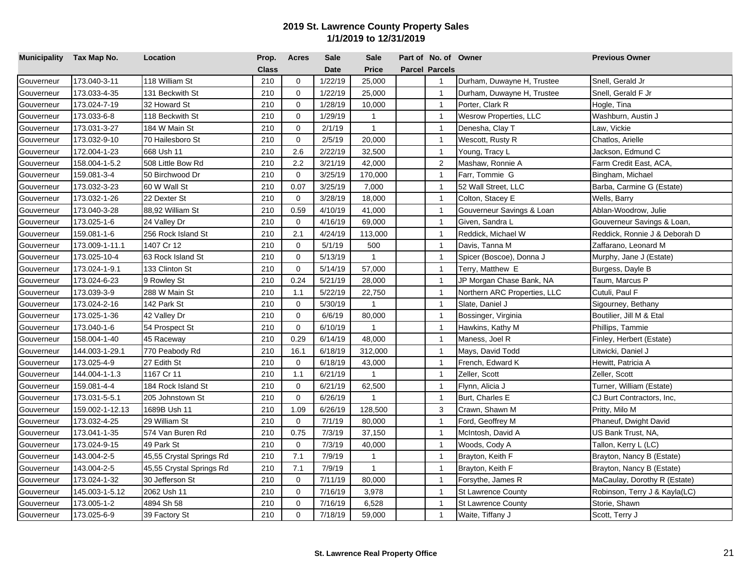| Municipality Tax Map No. |                 | Location                 | Prop. | Acres       | Sale        | <b>Sale</b>  | Part of No. of Owner  |                              | <b>Previous Owner</b>         |
|--------------------------|-----------------|--------------------------|-------|-------------|-------------|--------------|-----------------------|------------------------------|-------------------------------|
|                          |                 |                          | Class |             | <b>Date</b> | <b>Price</b> | <b>Parcel Parcels</b> |                              |                               |
| Gouverneur               | 173.040-3-11    | 118 William St           | 210   | $\mathbf 0$ | 1/22/19     | 25,000       | $\overline{1}$        | Durham, Duwayne H, Trustee   | Snell, Gerald Jr              |
| Gouverneur               | 173.033-4-35    | 131 Beckwith St          | 210   | $\mathbf 0$ | 1/22/19     | 25,000       | $\mathbf{1}$          | Durham, Duwayne H, Trustee   | Snell, Gerald F Jr            |
| Gouverneur               | 173.024-7-19    | 32 Howard St             | 210   | $\mathbf 0$ | 1/28/19     | 10,000       | $\mathbf{1}$          | Porter, Clark R              | Hogle, Tina                   |
| Gouverneur               | 173.033-6-8     | 118 Beckwith St          | 210   | $\mathbf 0$ | 1/29/19     | $\mathbf{1}$ | $\mathbf{1}$          | Wesrow Properties, LLC       | Washburn, Austin J            |
| Gouverneur               | 173.031-3-27    | 184 W Main St            | 210   | $\mathbf 0$ | 2/1/19      | $\mathbf{1}$ | $\mathbf{1}$          | Denesha, Clay T              | Law, Vickie                   |
| Gouverneur               | 173.032-9-10    | 70 Hailesboro St         | 210   | $\mathbf 0$ | 2/5/19      | 20,000       | $\overline{1}$        | Wescott, Rusty R             | Chatlos, Arielle              |
| Gouverneur               | 172.004-1-23    | 668 Ush 11               | 210   | 2.6         | 2/22/19     | 32,500       | $\mathbf{1}$          | Young, Tracy L               | Jackson, Edmund C             |
| Gouverneur               | 158.004-1-5.2   | 508 Little Bow Rd        | 210   | 2.2         | 3/21/19     | 42,000       | 2                     | Mashaw, Ronnie A             | Farm Credit East, ACA,        |
| Gouverneur               | 159.081-3-4     | 50 Birchwood Dr          | 210   | $\mathbf 0$ | 3/25/19     | 170,000      | $\mathbf{1}$          | Farr, Tommie G               | Bingham, Michael              |
| Gouverneur               | 173.032-3-23    | 60 W Wall St             | 210   | 0.07        | 3/25/19     | 7,000        | $\mathbf{1}$          | 52 Wall Street, LLC          | Barba, Carmine G (Estate)     |
| Gouverneur               | 173.032-1-26    | 22 Dexter St             | 210   | $\mathbf 0$ | 3/28/19     | 18,000       | $\mathbf{1}$          | Colton, Stacey E             | Wells, Barry                  |
| Gouverneur               | 173.040-3-28    | 88,92 William St         | 210   | 0.59        | 4/10/19     | 41,000       | $\mathbf{1}$          | Gouverneur Savings & Loan    | Ablan-Woodrow, Julie          |
| Gouverneur               | 173.025-1-6     | 24 Valley Dr             | 210   | $\mathbf 0$ | 4/16/19     | 69,000       | $\mathbf{1}$          | Given, Sandra L              | Gouverneur Savings & Loan,    |
| Gouverneur               | 159.081-1-6     | 256 Rock Island St       | 210   | 2.1         | 4/24/19     | 113,000      | $\overline{1}$        | Reddick, Michael W           | Reddick, Ronnie J & Deborah D |
| Gouverneur               | 173.009-1-11.1  | 1407 Cr 12               | 210   | $\mathbf 0$ | 5/1/19      | 500          | $\mathbf{1}$          | Davis, Tanna M               | Zaffarano, Leonard M          |
| Gouverneur               | 173.025-10-4    | 63 Rock Island St        | 210   | $\Omega$    | 5/13/19     | $\mathbf{1}$ | $\mathbf{1}$          | Spicer (Boscoe), Donna J     | Murphy, Jane J (Estate)       |
| Gouverneur               | 173.024-1-9.1   | 133 Clinton St           | 210   | $\Omega$    | 5/14/19     | 57,000       | $\mathbf{1}$          | Terry, Matthew E             | Burgess, Dayle B              |
| Gouverneur               | 173.024-6-23    | 9 Rowley St              | 210   | 0.24        | 5/21/19     | 28,000       | $\mathbf{1}$          | JP Morgan Chase Bank, NA     | Taum, Marcus P                |
| Gouverneur               | 173.039-3-9     | 288 W Main St            | 210   | 1.1         | 5/22/19     | 22,750       | $\mathbf{1}$          | Northern ARC Properties, LLC | Cutuli, Paul F                |
| Gouverneur               | 173.024-2-16    | 142 Park St              | 210   | $\Omega$    | 5/30/19     | $\mathbf{1}$ | $\overline{1}$        | Slate, Daniel J              | Sigourney, Bethany            |
| Gouverneur               | 173.025-1-36    | 42 Valley Dr             | 210   | $\mathbf 0$ | 6/6/19      | 80,000       | $\mathbf{1}$          | Bossinger, Virginia          | Boutilier, Jill M & Etal      |
| Gouverneur               | 173.040-1-6     | 54 Prospect St           | 210   | $\mathbf 0$ | 6/10/19     | $\mathbf{1}$ | $\overline{1}$        | Hawkins, Kathy M             | Phillips, Tammie              |
| Gouverneur               | 158.004-1-40    | 45 Raceway               | 210   | 0.29        | 6/14/19     | 48,000       | $\overline{1}$        | Maness, Joel R               | Finley, Herbert (Estate)      |
| Gouverneur               | 144.003-1-29.1  | 770 Peabody Rd           | 210   | 16.1        | 6/18/19     | 312,000      | $\mathbf{1}$          | Mays, David Todd             | Litwicki, Daniel J            |
| Gouverneur               | 173.025-4-9     | 27 Edith St              | 210   | $\mathbf 0$ | 6/18/19     | 43,000       | $\mathbf{1}$          | French, Edward K             | Hewitt, Patricia A            |
| Gouverneur               | 144.004-1-1.3   | 1167 Cr 11               | 210   | 1.1         | 6/21/19     | $\mathbf{1}$ | $\mathbf{1}$          | Zeller, Scott                | Zeller, Scott                 |
| Gouverneur               | 159.081-4-4     | 184 Rock Island St       | 210   | $\mathbf 0$ | 6/21/19     | 62,500       | $\mathbf{1}$          | Flynn, Alicia J              | Turner, William (Estate)      |
| Gouverneur               | 173.031-5-5.1   | 205 Johnstown St         | 210   | $\mathbf 0$ | 6/26/19     | $\mathbf{1}$ | $\mathbf{1}$          | Burt, Charles E              | CJ Burt Contractors, Inc,     |
| Gouverneur               | 159.002-1-12.13 | 1689B Ush 11             | 210   | 1.09        | 6/26/19     | 128,500      | 3                     | Crawn, Shawn M               | Pritty, Milo M                |
| Gouverneur               | 173.032-4-25    | 29 William St            | 210   | $\mathbf 0$ | 7/1/19      | 80,000       | $\mathbf{1}$          | Ford, Geoffrey M             | Phaneuf, Dwight David         |
| Gouverneur               | 173.041-1-35    | 574 Van Buren Rd         | 210   | 0.75        | 7/3/19      | 37,150       | $\mathbf{1}$          | McIntosh, David A            | US Bank Trust, NA,            |
| Gouverneur               | 173.024-9-15    | 49 Park St               | 210   | $\mathbf 0$ | 7/3/19      | 40,000       | $\mathbf{1}$          | Woods, Cody A                | Tallon, Kerry L (LC)          |
| Gouverneur               | 143.004-2-5     | 45,55 Crystal Springs Rd | 210   | 7.1         | 7/9/19      | 1            | $\mathbf{1}$          | Brayton, Keith F             | Brayton, Nancy B (Estate)     |
| Gouverneur               | 143.004-2-5     | 45,55 Crystal Springs Rd | 210   | 7.1         | 7/9/19      | $\mathbf{1}$ | $\mathbf{1}$          | Brayton, Keith F             | Brayton, Nancy B (Estate)     |
| Gouverneur               | 173.024-1-32    | 30 Jefferson St          | 210   | $\mathbf 0$ | 7/11/19     | 80,000       | $\mathbf{1}$          | Forsythe, James R            | MaCaulay, Dorothy R (Estate)  |
| Gouverneur               | 145.003-1-5.12  | 2062 Ush 11              | 210   | $\mathbf 0$ | 7/16/19     | 3,978        | $\mathbf{1}$          | <b>St Lawrence County</b>    | Robinson, Terry J & Kayla(LC) |
| Gouverneur               | 173.005-1-2     | 4894 Sh 58               | 210   | $\mathbf 0$ | 7/16/19     | 6,528        | $\overline{1}$        | <b>St Lawrence County</b>    | Storie, Shawn                 |
| Gouverneur               | 173.025-6-9     | 39 Factory St            | 210   | $\mathbf 0$ | 7/18/19     | 59,000       | $\mathbf{1}$          | Waite, Tiffany J             | Scott, Terry J                |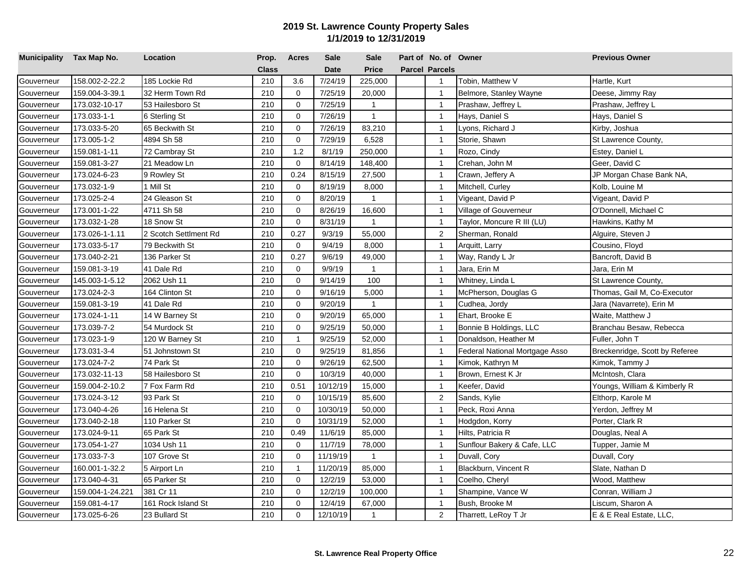| Municipality Tax Map No. |                  | Location              | Prop. | <b>Acres</b> | <b>Sale</b> | <b>Sale</b>  | Part of No. of Owner  |                                | <b>Previous Owner</b>          |
|--------------------------|------------------|-----------------------|-------|--------------|-------------|--------------|-----------------------|--------------------------------|--------------------------------|
|                          |                  |                       | Class |              | <b>Date</b> | <b>Price</b> | <b>Parcel Parcels</b> |                                |                                |
| Gouverneur               | 158.002-2-22.2   | 185 Lockie Rd         | 210   | 3.6          | 7/24/19     | 225,000      | $\overline{1}$        | Tobin, Matthew V               | Hartle, Kurt                   |
| Gouverneur               | 159.004-3-39.1   | 32 Herm Town Rd       | 210   | $\mathbf 0$  | 7/25/19     | 20,000       | $\mathbf{1}$          | Belmore, Stanley Wayne         | Deese, Jimmy Ray               |
| Gouverneur               | 173.032-10-17    | 53 Hailesboro St      | 210   | $\mathbf 0$  | 7/25/19     | $\mathbf{1}$ | $\overline{1}$        | Prashaw, Jeffrey L             | Prashaw, Jeffrey L             |
| Gouverneur               | 173.033-1-1      | 6 Sterling St         | 210   | $\mathbf 0$  | 7/26/19     | $\mathbf{1}$ | $\overline{1}$        | Hays, Daniel S                 | Hays, Daniel S                 |
| Gouverneur               | 173.033-5-20     | 65 Beckwith St        | 210   | $\mathbf 0$  | 7/26/19     | 83,210       | $\mathbf{1}$          | yons, Richard J                | Kirby, Joshua                  |
| Gouverneur               | 173.005-1-2      | 4894 Sh 58            | 210   | $\mathbf 0$  | 7/29/19     | 6,528        | $\overline{1}$        | Storie, Shawn                  | St Lawrence County,            |
| Gouverneur               | 159.081-1-11     | 72 Cambray St         | 210   | 1.2          | 8/1/19      | 250,000      | $\overline{1}$        | Rozo, Cindy                    | Estey, Daniel L                |
| Gouverneur               | 159.081-3-27     | 21 Meadow Ln          | 210   | 0            | 8/14/19     | 148,400      | $\overline{1}$        | Crehan, John M                 | Geer, David C                  |
| Gouverneur               | 173.024-6-23     | 9 Rowley St           | 210   | 0.24         | 8/15/19     | 27,500       | $\overline{1}$        | Crawn, Jeffery A               | JP Morgan Chase Bank NA,       |
| Gouverneur               | 173.032-1-9      | 1 Mill St             | 210   | $\Omega$     | 8/19/19     | 8,000        | $\overline{1}$        | Mitchell, Curley               | Kolb, Louine M                 |
| Gouverneur               | 173.025-2-4      | 24 Gleason St         | 210   | 0            | 8/20/19     | $\mathbf{1}$ | $\overline{1}$        | Vigeant, David P               | Vigeant, David P               |
| Gouverneur               | 173.001-1-22     | 4711 Sh 58            | 210   | $\Omega$     | 8/26/19     | 16,600       | $\mathbf{1}$          | Village of Gouverneur          | O'Donnell, Michael C           |
| Gouverneur               | 173.032-1-28     | 18 Snow St            | 210   | $\mathbf 0$  | 8/31/19     | $\mathbf{1}$ | $\mathbf{1}$          | Taylor, Moncure R III (LU)     | Hawkins, Kathy M               |
| Gouverneur               | 173.026-1-1.11   | 2 Scotch Settlment Rd | 210   | 0.27         | 9/3/19      | 55,000       | $\overline{2}$        | Sherman, Ronald                | Alguire, Steven J              |
| Gouverneur               | 173.033-5-17     | 79 Beckwith St        | 210   | $\mathbf 0$  | 9/4/19      | 8,000        | $\overline{1}$        | Arquitt, Larry                 | Cousino, Floyd                 |
| Gouverneur               | 173.040-2-21     | 136 Parker St         | 210   | 0.27         | 9/6/19      | 49,000       | $\overline{1}$        | Way, Randy L Jr                | Bancroft, David B              |
| Gouverneur               | 159.081-3-19     | 41 Dale Rd            | 210   | $\Omega$     | 9/9/19      | $\mathbf{1}$ | $\overline{1}$        | Jara, Erin M                   | Jara, Erin M                   |
| Gouverneur               | 145.003-1-5.12   | 2062 Ush 11           | 210   | $\Omega$     | 9/14/19     | 100          | $\overline{1}$        | Whitney, Linda L               | St Lawrence County,            |
| Gouverneur               | 173.024-2-3      | 164 Clinton St        | 210   | $\Omega$     | 9/16/19     | 5,000        | $\overline{1}$        | McPherson, Douglas G           | Thomas, Gail M, Co-Executor    |
| Gouverneur               | 159.081-3-19     | 41 Dale Rd            | 210   | $\Omega$     | 9/20/19     | $\mathbf{1}$ | $\overline{1}$        | Cudhea, Jordy                  | Jara (Navarrete), Erin M       |
| Gouverneur               | 173.024-1-11     | 14 W Barney St        | 210   | $\mathbf 0$  | 9/20/19     | 65,000       | $\mathbf{1}$          | Ehart, Brooke E                | Waite, Matthew J               |
| Gouverneur               | 173.039-7-2      | 54 Murdock St         | 210   | $\mathbf 0$  | 9/25/19     | 50,000       | $\overline{1}$        | Bonnie B Holdings, LLC         | Branchau Besaw, Rebecca        |
| Gouverneur               | 173.023-1-9      | 120 W Barney St       | 210   | $\mathbf{1}$ | 9/25/19     | 52,000       | $\overline{1}$        | Donaldson, Heather M           | Fuller, John T                 |
| Gouverneur               | 173.031-3-4      | 51 Johnstown St       | 210   | $\mathbf 0$  | 9/25/19     | 81,856       | $\overline{1}$        | Federal National Mortgage Asso | Breckenridge, Scott by Referee |
| Gouverneur               | 173.024-7-2      | 74 Park St            | 210   | $\mathbf 0$  | 9/26/19     | 62,500       | $\overline{1}$        | Kimok, Kathryn M               | Kimok, Tammy J                 |
| Gouverneur               | 173.032-11-13    | 58 Hailesboro St      | 210   | $\mathbf 0$  | 10/3/19     | 40,000       | $\overline{1}$        | Brown, Ernest K Jr             | McIntosh, Clara                |
| Gouverneur               | 159.004-2-10.2   | 7 Fox Farm Rd         | 210   | 0.51         | 10/12/19    | 15,000       | $\overline{1}$        | Keefer, David                  | Youngs, William & Kimberly R   |
| Gouverneur               | 173.024-3-12     | 93 Park St            | 210   | $\mathbf 0$  | 10/15/19    | 85,600       | $\overline{2}$        | Sands, Kylie                   | Elthorp, Karole M              |
| Gouverneur               | 173.040-4-26     | 16 Helena St          | 210   | $\mathbf 0$  | 10/30/19    | 50,000       | $\overline{1}$        | Peck, Roxi Anna                | Yerdon, Jeffrey M              |
| Gouverneur               | 173.040-2-18     | 110 Parker St         | 210   | $\mathbf 0$  | 10/31/19    | 52,000       | $\overline{1}$        | Hodgdon, Korry                 | Porter, Clark R                |
| Gouverneur               | 173.024-9-11     | 65 Park St            | 210   | 0.49         | 11/6/19     | 85,000       | $\overline{1}$        | Hilts, Patricia R              | Douglas, Neal A                |
| Gouverneur               | 173.054-1-27     | 1034 Ush 11           | 210   | $\mathbf 0$  | 11/7/19     | 78,000       | $\overline{1}$        | Sunflour Bakery & Cafe, LLC    | Tupper, Jamie M                |
| Gouverneur               | 173.033-7-3      | 107 Grove St          | 210   | $\mathbf 0$  | 11/19/19    | $\mathbf{1}$ | $\overline{1}$        | Duvall, Cory                   | Duvall, Cory                   |
| Gouverneur               | 160.001-1-32.2   | 5 Airport Ln          | 210   | $\mathbf{1}$ | 11/20/19    | 85,000       | $\overline{1}$        | Blackburn, Vincent R           | Slate, Nathan D                |
| Gouverneur               | 173.040-4-31     | 65 Parker St          | 210   | $\Omega$     | 12/2/19     | 53,000       | $\mathbf{1}$          | Coelho, Cheryl                 | Wood, Matthew                  |
| Gouverneur               | 159.004-1-24.221 | 381 Cr 11             | 210   | $\mathbf 0$  | 12/2/19     | 100,000      | $\mathbf{1}$          | Shampine, Vance W              | Conran, William J              |
| Gouverneur               | 159.081-4-17     | 161 Rock Island St    | 210   | $\Omega$     | 12/4/19     | 67,000       | $\overline{1}$        | Bush, Brooke M                 | Liscum, Sharon A               |
| Gouverneur               | 173.025-6-26     | 23 Bullard St         | 210   | $\mathbf 0$  | 12/10/19    | $\mathbf{1}$ | $\overline{2}$        | Tharrett, LeRoy T Jr           | E & E Real Estate, LLC,        |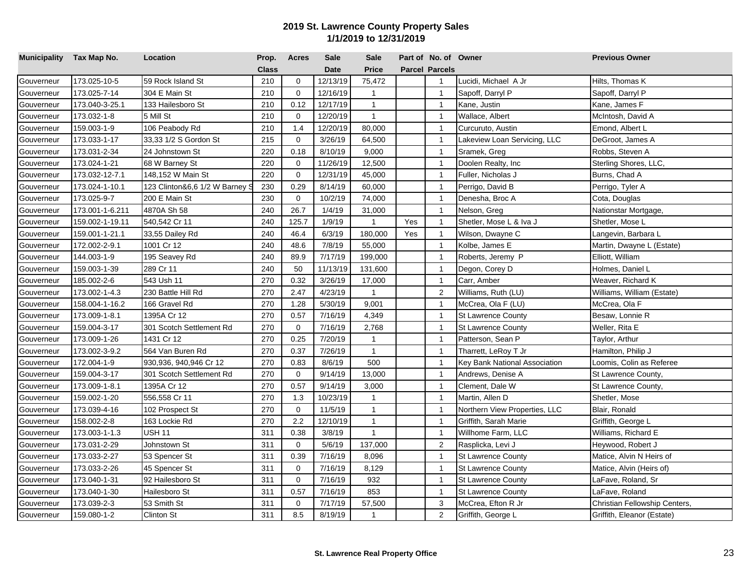| Municipality Tax Map No. |                 | Location                     | Prop.        | <b>Acres</b> | <b>Sale</b> | <b>Sale</b>  |     | Part of No. of Owner  |                               | <b>Previous Owner</b>         |
|--------------------------|-----------------|------------------------------|--------------|--------------|-------------|--------------|-----|-----------------------|-------------------------------|-------------------------------|
|                          |                 |                              | <b>Class</b> |              | <b>Date</b> | <b>Price</b> |     | <b>Parcel Parcels</b> |                               |                               |
| Gouverneur               | 173.025-10-5    | 59 Rock Island St            | 210          | 0            | 12/13/19    | 75,472       |     | $\overline{1}$        | Lucidi, Michael A Jr          | Hilts, Thomas K               |
| Gouverneur               | 173.025-7-14    | 304 E Main St                | 210          | $\mathbf 0$  | 12/16/19    | $\mathbf{1}$ |     | $\mathbf{1}$          | Sapoff, Darryl P              | Sapoff, Darryl P              |
| Gouverneur               | 173.040-3-25.1  | 133 Hailesboro St            | 210          | 0.12         | 12/17/19    | $\mathbf{1}$ |     | $\overline{1}$        | Kane, Justin                  | Kane, James F                 |
| Gouverneur               | 173.032-1-8     | 5 Mill St                    | 210          | $\mathbf 0$  | 12/20/19    | $\mathbf{1}$ |     | $\overline{1}$        | Wallace, Albert               | McIntosh, David A             |
| Gouverneur               | 159.003-1-9     | 106 Peabody Rd               | 210          | 1.4          | 12/20/19    | 80,000       |     | $\mathbf{1}$          | Curcuruto, Austin             | Emond, Albert L               |
| Gouverneur               | 173.033-1-17    | 33,33 1/2 S Gordon St        | 215          | $\mathbf 0$  | 3/26/19     | 64,500       |     | $\mathbf{1}$          | Lakeview Loan Servicing, LLC  | DeGroot, James A              |
| Gouverneur               | 173.031-2-34    | 24 Johnstown St              | 220          | 0.18         | 8/10/19     | 9,000        |     | $\overline{1}$        | Sramek, Greg                  | Robbs, Steven A               |
| Gouverneur               | 173.024-1-21    | 68 W Barney St               | 220          | $\mathbf 0$  | 11/26/19    | 12,500       |     | $\overline{1}$        | Doolen Realty, Inc.           | Sterling Shores, LLC,         |
| Gouverneur               | 173.032-12-7.1  | 148,152 W Main St            | 220          | $\mathbf 0$  | 12/31/19    | 45,000       |     | $\overline{1}$        | Fuller, Nicholas J            | Burns, Chad A                 |
| Gouverneur               | 173.024-1-10.1  | 123 Clinton&6,6 1/2 W Barney | 230          | 0.29         | 8/14/19     | 60,000       |     | $\overline{1}$        | Perrigo, David B              | Perrigo, Tyler A              |
| Gouverneur               | 173.025-9-7     | 200 E Main St                | 230          | $\mathbf 0$  | 10/2/19     | 74,000       |     | $\overline{1}$        | Denesha, Broc A               | Cota, Douglas                 |
| Gouverneur               | 173.001-1-6.211 | 4870A Sh 58                  | 240          | 26.7         | 1/4/19      | 31,000       |     | $\overline{1}$        | Nelson, Greg                  | Nationstar Mortgage,          |
| Gouverneur               | 159.002-1-19.11 | 540,542 Cr 11                | 240          | 125.7        | 1/9/19      | $\mathbf{1}$ | Yes | $\mathbf{1}$          | Shetler, Mose L & Iva J       | Shetler, Mose L               |
| Gouverneur               | 159.001-1-21.1  | 33,55 Dailey Rd              | 240          | 46.4         | 6/3/19      | 180,000      | Yes | $\mathbf{1}$          | Wilson, Dwayne C              | Langevin, Barbara L           |
| Gouverneur               | 172.002-2-9.1   | 1001 Cr 12                   | 240          | 48.6         | 7/8/19      | 55,000       |     | $\overline{1}$        | Kolbe, James E                | Martin, Dwayne L (Estate)     |
| Gouverneur               | 144.003-1-9     | 195 Seavey Rd                | 240          | 89.9         | 7/17/19     | 199,000      |     | $\overline{1}$        | Roberts, Jeremy P             | Elliott, William              |
| Gouverneur               | 159.003-1-39    | 289 Cr 11                    | 240          | 50           | 11/13/19    | 131,600      |     | $\overline{1}$        | Degon, Corey D                | Holmes, Daniel L              |
| Gouverneur               | 185.002-2-6     | 543 Ush 11                   | 270          | 0.32         | 3/26/19     | 17,000       |     | $\overline{1}$        | Carr, Amber                   | Weaver, Richard K             |
| Gouverneur               | 173.002-1-4.3   | 230 Battle Hill Rd           | 270          | 2.47         | 4/23/19     | $\mathbf{1}$ |     | $\overline{2}$        | Williams, Ruth (LU)           | Williams, William (Estate)    |
| Gouverneur               | 158.004-1-16.2  | 166 Gravel Rd                | 270          | 1.28         | 5/30/19     | 9,001        |     | $\overline{1}$        | McCrea, Ola F (LU)            | McCrea, Ola F                 |
| Gouverneur               | 173.009-1-8.1   | 1395A Cr 12                  | 270          | 0.57         | 7/16/19     | 4,349        |     | $\mathbf{1}$          | <b>St Lawrence County</b>     | Besaw, Lonnie R               |
| Gouverneur               | 159.004-3-17    | 301 Scotch Settlement Rd     | 270          | $\mathbf 0$  | 7/16/19     | 2,768        |     | $\overline{1}$        | <b>St Lawrence County</b>     | Weller, Rita E                |
| Gouverneur               | 173.009-1-26    | 1431 Cr 12                   | 270          | 0.25         | 7/20/19     | $\mathbf{1}$ |     | $\overline{1}$        | Patterson, Sean P             | Taylor, Arthur                |
| Gouverneur               | 173.002-3-9.2   | 564 Van Buren Rd             | 270          | 0.37         | 7/26/19     | $\mathbf{1}$ |     | $\overline{1}$        | Tharrett, LeRoy T Jr          | Hamilton, Philip J            |
| Gouverneur               | 172.004-1-9     | 930,936, 940,946 Cr 12       | 270          | 0.83         | 8/6/19      | 500          |     | $\mathbf{1}$          | Key Bank National Association | Loomis, Colin as Referee      |
| Gouverneur               | 159.004-3-17    | 301 Scotch Settlement Rd     | 270          | 0            | 9/14/19     | 13,000       |     | $\mathbf{1}$          | Andrews, Denise A             | St Lawrence County,           |
| Gouverneur               | 173.009-1-8.1   | 1395A Cr 12                  | 270          | 0.57         | 9/14/19     | 3,000        |     | $\mathbf{1}$          | Clement, Dale W               | St Lawrence County,           |
| Gouverneur               | 159.002-1-20    | 556,558 Cr 11                | 270          | 1.3          | 10/23/19    | $\mathbf{1}$ |     | $\mathbf{1}$          | Martin, Allen D               | Shetler, Mose                 |
| Gouverneur               | 173.039-4-16    | 102 Prospect St              | 270          | $\Omega$     | 11/5/19     | $\mathbf{1}$ |     | $\overline{1}$        | Northern View Properties, LLC | Blair, Ronald                 |
| Gouverneur               | 158.002-2-8     | 163 Lockie Rd                | 270          | 2.2          | 12/10/19    | $\mathbf{1}$ |     | $\overline{1}$        | Griffith, Sarah Marie         | Griffith, George L            |
| Gouverneur               | 173.003-1-1.3   | USH 11                       | 311          | 0.38         | 3/8/19      | $\mathbf{1}$ |     | $\overline{1}$        | Willhome Farm, LLC            | Williams, Richard E           |
| Gouverneur               | 173.031-2-29    | Johnstown St                 | 311          | $\mathbf 0$  | 5/6/19      | 137,000      |     | $\overline{2}$        | Rasplicka, Levi J             | Heywood, Robert J             |
| Gouverneur               | 173.033-2-27    | 53 Spencer St                | 311          | 0.39         | 7/16/19     | 8,096        |     | $\overline{1}$        | <b>St Lawrence County</b>     | Matice, Alvin N Heirs of      |
| Gouverneur               | 173.033-2-26    | 45 Spencer St                | 311          | $\mathbf 0$  | 7/16/19     | 8,129        |     | $\mathbf{1}$          | <b>St Lawrence County</b>     | Matice, Alvin (Heirs of)      |
| Gouverneur               | 173.040-1-31    | 92 Hailesboro St             | 311          | 0            | 7/16/19     | 932          |     | $\mathbf{1}$          | <b>St Lawrence County</b>     | LaFave, Roland, Sr            |
| Gouverneur               | 173.040-1-30    | Hailesboro St                | 311          | 0.57         | 7/16/19     | 853          |     | $\mathbf{1}$          | <b>St Lawrence County</b>     | LaFave, Roland                |
| Gouverneur               | 173.039-2-3     | 53 Smith St                  | 311          | 0            | 7/17/19     | 57,500       |     | 3                     | McCrea, Efton R Jr            | Christian Fellowship Centers, |
| Gouverneur               | 159.080-1-2     | <b>Clinton St</b>            | 311          | 8.5          | 8/19/19     | $\mathbf{1}$ |     | $\overline{2}$        | Griffith, George L            | Griffith, Eleanor (Estate)    |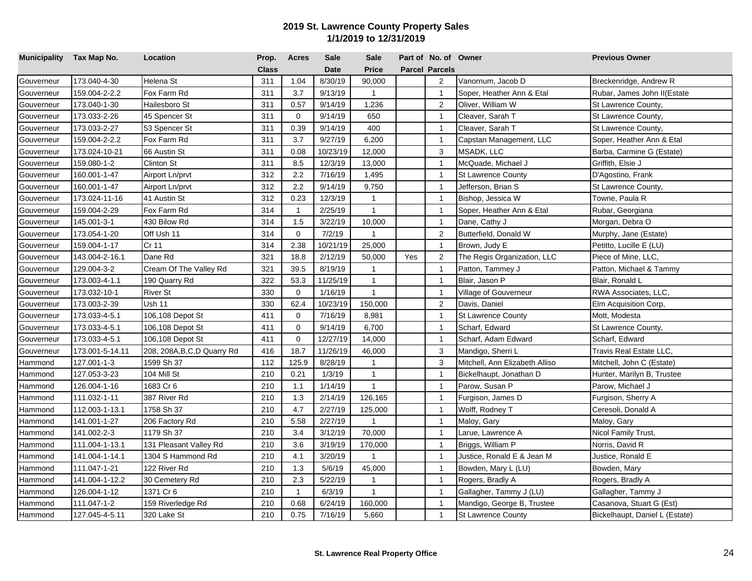| Municipality Tax Map No. |                 | Location                     | Prop.        | <b>Acres</b>   | <b>Sale</b> | <b>Sale</b>  |     | Part of No. of Owner  |                                | <b>Previous Owner</b>          |
|--------------------------|-----------------|------------------------------|--------------|----------------|-------------|--------------|-----|-----------------------|--------------------------------|--------------------------------|
|                          |                 |                              | <b>Class</b> |                | <b>Date</b> | <b>Price</b> |     | <b>Parcel Parcels</b> |                                |                                |
| Gouverneur               | 173.040-4-30    | Helena St                    | 311          | 1.04           | 8/30/19     | 90,000       |     | $\overline{2}$        | Vanornum, Jacob D              | Breckenridge, Andrew R         |
| Gouverneur               | 159.004-2-2.2   | Fox Farm Rd                  | 311          | 3.7            | 9/13/19     | $\mathbf{1}$ |     | $\overline{1}$        | Soper, Heather Ann & Etal      | Rubar, James John II(Estate    |
| Gouverneur               | 173.040-1-30    | Hailesboro St                | 311          | 0.57           | 9/14/19     | 1,236        |     | $\overline{2}$        | Oliver, William W              | St Lawrence County,            |
| Gouverneur               | 173.033-2-26    | 45 Spencer St                | 311          | $\mathbf 0$    | 9/14/19     | 650          |     | $\overline{1}$        | Cleaver, Sarah T               | St Lawrence County,            |
| Gouverneur               | 173.033-2-27    | 53 Spencer St                | 311          | 0.39           | 9/14/19     | 400          |     | $\mathbf{1}$          | Cleaver, Sarah T               | St Lawrence County,            |
| Gouverneur               | 159.004-2-2.2   | Fox Farm Rd                  | 311          | 3.7            | 9/27/19     | 6,200        |     | $\overline{1}$        | Capstan Management, LLC        | Soper, Heather Ann & Etal      |
| Gouverneur               | 173.024-10-21   | 66 Austin St                 | 311          | 0.08           | 10/23/19    | 12,000       |     | 3                     | <b>MSADK, LLC</b>              | Barba, Carmine G (Estate)      |
| Gouverneur               | 159.080-1-2     | <b>Clinton St</b>            | 311          | 8.5            | 12/3/19     | 13,000       |     | $\overline{1}$        | McQuade, Michael J             | Griffith, Elsie J              |
| Gouverneur               | 160.001-1-47    | Airport Ln/prvt              | 312          | 2.2            | 7/16/19     | 1,495        |     | $\mathbf{1}$          | <b>St Lawrence County</b>      | D'Agostino, Frank              |
| Gouverneur               | 160.001-1-47    | Airport Ln/prvt              | 312          | 2.2            | 9/14/19     | 9,750        |     | $\overline{1}$        | Jefferson, Brian S             | St Lawrence County,            |
| Gouverneur               | 173.024-11-16   | 41 Austin St                 | 312          | 0.23           | 12/3/19     | $\mathbf{1}$ |     | $\overline{1}$        | Bishop, Jessica W              | Towne, Paula R                 |
| Gouverneur               | 159.004-2-29    | Fox Farm Rd                  | 314          | $\overline{1}$ | 2/25/19     | $\mathbf{1}$ |     | $\mathbf{1}$          | Soper, Heather Ann & Etal      | Rubar, Georgiana               |
| Gouverneur               | 145.001-3-1     | 430 Bilow Rd                 | 314          | 1.5            | 3/22/19     | 10,000       |     | $\mathbf{1}$          | Dane, Cathy J                  | Morgan, Debra O                |
| Gouverneur               | 173.054-1-20    | Off Ush 11                   | 314          | $\mathbf 0$    | 7/2/19      | $\mathbf{1}$ |     | $\overline{2}$        | Butterfield, Donald W          | Murphy, Jane (Estate)          |
| Gouverneur               | 159.004-1-17    | Cr 11                        | 314          | 2.38           | 10/21/19    | 25,000       |     | $\overline{1}$        | Brown, Judy E                  | Petitto, Lucille E (LU)        |
| Gouverneur               | 143.004-2-16.1  | Dane Rd                      | 321          | 18.8           | 2/12/19     | 50,000       | Yes | $\overline{c}$        | The Regis Organization, LLC    | Piece of Mine, LLC,            |
| Gouverneur               | 129.004-3-2     | Cream Of The Valley Rd       | 321          | 39.5           | 8/19/19     | $\mathbf{1}$ |     | $\overline{1}$        | Patton, Tammey J               | Patton, Michael & Tammy        |
| Gouverneur               | 173.003-4-1.1   | 190 Quarry Rd                | 322          | 53.3           | 11/25/19    | $\mathbf{1}$ |     | $\overline{1}$        | Blair, Jason P                 | Blair, Ronald L                |
| Gouverneur               | 173.032-10-1    | <b>River St</b>              | 330          | $\mathbf 0$    | 1/16/19     | $\mathbf{1}$ |     | $\overline{1}$        | Village of Gouverneur          | RWA Associates, LLC,           |
| Gouverneur               | 173.003-2-39    | <b>Ush 11</b>                | 330          | 62.4           | 10/23/19    | 150,000      |     | $\overline{2}$        | Davis, Daniel                  | Elm Acquisition Corp,          |
| Gouverneur               | 173.033-4-5.1   | 106,108 Depot St             | 411          | $\mathbf 0$    | 7/16/19     | 8,981        |     | $\overline{1}$        | <b>St Lawrence County</b>      | Mott, Modesta                  |
| Gouverneur               | 173.033-4-5.1   | 106,108 Depot St             | 411          | $\mathbf 0$    | 9/14/19     | 6,700        |     | $\overline{1}$        | Scharf, Edward                 | St Lawrence County,            |
| Gouverneur               | 173.033-4-5.1   | 106,108 Depot St             | 411          | $\mathbf 0$    | 12/27/19    | 14,000       |     | $\overline{1}$        | Scharf, Adam Edward            | Scharf, Edward                 |
| Gouverneur               | 173.001-5-14.11 | 208, 208A, B, C, D Quarry Rd | 416          | 18.7           | 11/26/19    | 46,000       |     | 3                     | Mandigo, Sherri L              | Travis Real Estate LLC,        |
| Hammond                  | 127.001-1-3     | 1599 Sh 37                   | 112          | 125.9          | 8/28/19     | $\mathbf{1}$ |     | $\mathbf{3}$          | Mitchell, Ann Elizabeth Alliso | Mitchell, John C (Estate)      |
| Hammond                  | 127.053-3-23    | 104 Mill St                  | 210          | 0.21           | 1/3/19      | $\mathbf{1}$ |     | $\overline{1}$        | Bickelhaupt, Jonathan D        | Hunter, Marilyn B, Trustee     |
| Hammond                  | 126.004-1-16    | 1683 Cr 6                    | 210          | 1.1            | 1/14/19     | $\mathbf{1}$ |     | $\overline{1}$        | Parow, Susan P                 | Parow, Michael J               |
| Hammond                  | 111.032-1-11    | 387 River Rd                 | 210          | 1.3            | 2/14/19     | 126,165      |     | $\mathbf{1}$          | Furgison, James D              | Furgison, Sherry A             |
| Hammond                  | 112.003-1-13.1  | 1758 Sh 37                   | 210          | 4.7            | 2/27/19     | 125,000      |     | $\overline{1}$        | Wolff, Rodney T                | Ceresoli, Donald A             |
| Hammond                  | 141.001-1-27    | 206 Factory Rd               | 210          | 5.58           | 2/27/19     | $\mathbf{1}$ |     | $\overline{1}$        | Maloy, Gary                    | Maloy, Gary                    |
| Hammond                  | 141.002-2-3     | 1179 Sh 37                   | 210          | 3.4            | 3/12/19     | 70,000       |     | $\overline{1}$        | Larue, Lawrence A              | Nicol Family Trust,            |
| Hammond                  | 111.004-1-13.1  | 131 Pleasant Valley Rd       | 210          | 3.6            | 3/19/19     | 170,000      |     | $\overline{1}$        | Briggs, William P              | Norris, David R                |
| Hammond                  | 141.004-1-14.1  | 1304 S Hammond Rd            | 210          | 4.1            | 3/20/19     | 1            |     | $\overline{1}$        | Justice, Ronald E & Jean M     | Justice, Ronald E              |
| Hammond                  | 111.047-1-21    | 122 River Rd                 | 210          | 1.3            | 5/6/19      | 45,000       |     | $\overline{1}$        | Bowden, Mary L (LU)            | Bowden, Mary                   |
| Hammond                  | 141.004-1-12.2  | 30 Cemetery Rd               | 210          | 2.3            | 5/22/19     | $\mathbf{1}$ |     | $\mathbf{1}$          | Rogers, Bradly A               | Rogers, Bradly A               |
| Hammond                  | 126.004-1-12    | 1371 Cr 6                    | 210          | $\mathbf{1}$   | 6/3/19      | $\mathbf{1}$ |     | $\mathbf{1}$          | Gallagher, Tammy J (LU)        | Gallagher, Tammy J             |
| Hammond                  | 111.047-1-2     | 159 Riverledge Rd            | 210          | 0.68           | 6/24/19     | 160,000      |     | $\overline{1}$        | Mandigo, George B, Trustee     | Casanova, Stuart G (Est)       |
| Hammond                  | 127.045-4-5.11  | 320 Lake St                  | 210          | 0.75           | 7/16/19     | 5,660        |     | $\mathbf{1}$          | <b>St Lawrence County</b>      | Bickelhaupt, Daniel L (Estate) |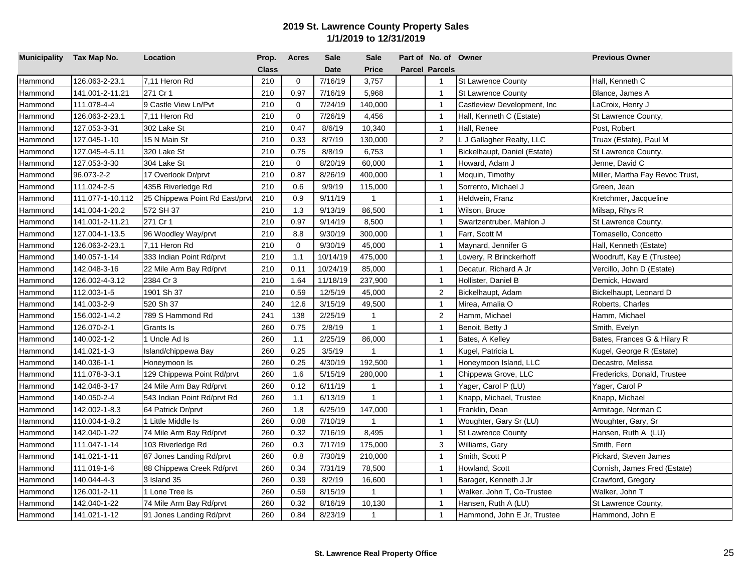| Municipality Tax Map No. |                  | Location                      | Prop.        | <b>Acres</b> | <b>Sale</b> | <b>Sale</b>  | Part of No. of Owner  |                              | <b>Previous Owner</b>           |
|--------------------------|------------------|-------------------------------|--------------|--------------|-------------|--------------|-----------------------|------------------------------|---------------------------------|
|                          |                  |                               | <b>Class</b> |              | <b>Date</b> | <b>Price</b> | <b>Parcel Parcels</b> |                              |                                 |
| Hammond                  | 126.063-2-23.1   | 7,11 Heron Rd                 | 210          | $\mathbf 0$  | 7/16/19     | 3,757        | $\mathbf{1}$          | <b>St Lawrence County</b>    | Hall, Kenneth C                 |
| Hammond                  | 141.001-2-11.21  | 271 Cr 1                      | 210          | 0.97         | 7/16/19     | 5,968        | $\mathbf{1}$          | <b>St Lawrence County</b>    | Blance, James A                 |
| Hammond                  | 111.078-4-4      | 9 Castle View Ln/Pvt          | 210          | $\mathbf 0$  | 7/24/19     | 140,000      | $\overline{1}$        | Castleview Development, Inc. | LaCroix, Henry J                |
| Hammond                  | 126.063-2-23.1   | 7,11 Heron Rd                 | 210          | $\mathbf 0$  | 7/26/19     | 4,456        | $\overline{1}$        | Hall, Kenneth C (Estate)     | St Lawrence County,             |
| Hammond                  | 127.053-3-31     | 302 Lake St                   | 210          | 0.47         | 8/6/19      | 10,340       | $\mathbf{1}$          | Hall, Renee                  | Post, Robert                    |
| Hammond                  | 127.045-1-10     | 15 N Main St                  | 210          | 0.33         | 8/7/19      | 130,000      | 2                     | L J Gallagher Realty, LLC    | Truax (Estate), Paul M          |
| Hammond                  | 127.045-4-5.11   | 320 Lake St                   | 210          | 0.75         | 8/8/19      | 6,753        | $\overline{1}$        | Bickelhaupt, Daniel (Estate) | St Lawrence County,             |
| Hammond                  | 127.053-3-30     | 304 Lake St                   | 210          | $\mathbf{0}$ | 8/20/19     | 60,000       | $\overline{1}$        | Howard, Adam J               | Jenne, David C                  |
| Hammond                  | 96.073-2-2       | 17 Overlook Dr/prvt           | 210          | 0.87         | 8/26/19     | 400,000      | $\overline{1}$        | Moquin, Timothy              | Miller, Martha Fay Revoc Trust, |
| Hammond                  | 111.024-2-5      | 435B Riverledge Rd            | 210          | 0.6          | 9/9/19      | 115,000      | $\overline{1}$        | Sorrento, Michael J          | Green, Jean                     |
| Hammond                  | 111.077-1-10.112 | 25 Chippewa Point Rd East/prv | 210          | 0.9          | 9/11/19     | $\mathbf{1}$ | $\overline{1}$        | Heldwein, Franz              | Kretchmer, Jacqueline           |
| Hammond                  | 141.004-1-20.2   | 572 SH 37                     | 210          | 1.3          | 9/13/19     | 86,500       | $\mathbf{1}$          | Wilson, Bruce                | Milsap, Rhys R                  |
| Hammond                  | 141.001-2-11.21  | 271 Cr 1                      | 210          | 0.97         | 9/14/19     | 8,500        | $\mathbf{1}$          | Swartzentruber, Mahlon J     | St Lawrence County,             |
| Hammond                  | 127.004-1-13.5   | 96 Woodley Way/prvt           | 210          | 8.8          | 9/30/19     | 300,000      | $\overline{1}$        | Farr, Scott M                | Tomasello, Concetto             |
| Hammond                  | 126.063-2-23.1   | 7,11 Heron Rd                 | 210          | $\mathbf 0$  | 9/30/19     | 45,000       | $\overline{1}$        | Maynard, Jennifer G          | Hall, Kenneth (Estate)          |
| Hammond                  | 140.057-1-14     | 333 Indian Point Rd/prvt      | 210          | 1.1          | 10/14/19    | 475,000      | $\overline{1}$        | Lowery, R Brinckerhoff       | Woodruff, Kay E (Trustee)       |
| Hammond                  | 142.048-3-16     | 22 Mile Arm Bay Rd/prvt       | 210          | 0.11         | 10/24/19    | 85,000       | $\mathbf{1}$          | Decatur, Richard A Jr        | Vercillo, John D (Estate)       |
| Hammond                  | 126.002-4-3.12   | 2384 Cr 3                     | 210          | 1.64         | 11/18/19    | 237,900      | $\overline{1}$        | Hollister, Daniel B          | Demick, Howard                  |
| Hammond                  | 112.003-1-5      | 1901 Sh 37                    | 210          | 0.59         | 12/5/19     | 45,000       | $\overline{2}$        | Bickelhaupt, Adam            | Bickelhaupt, Leonard D          |
| Hammond                  | 141.003-2-9      | 520 Sh 37                     | 240          | 12.6         | 3/15/19     | 49,500       | $\overline{1}$        | Mirea, Amalia O              | Roberts, Charles                |
| Hammond                  | 156.002-1-4.2    | 789 S Hammond Rd              | 241          | 138          | 2/25/19     | 1            | $\overline{c}$        | Hamm, Michael                | Hamm, Michael                   |
| Hammond                  | 126.070-2-1      | Grants Is                     | 260          | 0.75         | 2/8/19      | $\mathbf{1}$ | $\overline{1}$        | Benoit, Betty J              | Smith, Evelyn                   |
| Hammond                  | 140.002-1-2      | 1 Uncle Ad Is                 | 260          | 1.1          | 2/25/19     | 86,000       | $\overline{1}$        | Bates, A Kelley              | Bates, Frances G & Hilary R     |
| Hammond                  | 141.021-1-3      | Island/chippewa Bay           | 260          | 0.25         | 3/5/19      | $\mathbf{1}$ | $\overline{1}$        | Kugel, Patricia L            | Kugel, George R (Estate)        |
| Hammond                  | 140.036-1-1      | Honeymoon Is                  | 260          | 0.25         | 4/30/19     | 192,500      | $\overline{1}$        | Honeymoon Island, LLC        | Decastro, Melissa               |
| Hammond                  | 111.078-3-3.1    | 129 Chippewa Point Rd/prvt    | 260          | 1.6          | 5/15/19     | 280,000      | $\overline{1}$        | Chippewa Grove, LLC          | Fredericks, Donald, Trustee     |
| Hammond                  | 142.048-3-17     | 24 Mile Arm Bay Rd/prvt       | 260          | 0.12         | 6/11/19     | $\mathbf{1}$ | $\overline{1}$        | Yager, Carol P (LU)          | Yager, Carol P                  |
| Hammond                  | 140.050-2-4      | 543 Indian Point Rd/prvt Rd   | 260          | 1.1          | 6/13/19     | $\mathbf{1}$ | $\mathbf{1}$          | Knapp, Michael, Trustee      | Knapp, Michael                  |
| Hammond                  | 142.002-1-8.3    | 64 Patrick Dr/prvt            | 260          | 1.8          | 6/25/19     | 147,000      | $\overline{1}$        | Franklin, Dean               | Armitage, Norman C              |
| Hammond                  | 110.004-1-8.2    | 1 Little Middle Is            | 260          | 0.08         | 7/10/19     | $\mathbf{1}$ | $\overline{1}$        | Woughter, Gary Sr (LU)       | Woughter, Gary, Sr              |
| Hammond                  | 142.040-1-22     | 74 Mile Arm Bay Rd/prvt       | 260          | 0.32         | 7/16/19     | 8,495        | $\overline{1}$        | <b>St Lawrence County</b>    | Hansen, Ruth A (LU)             |
| Hammond                  | 111.047-1-14     | 103 Riverledge Rd             | 260          | 0.3          | 7/17/19     | 175,000      | 3                     | Williams, Gary               | Smith, Fern                     |
| Hammond                  | 141.021-1-11     | 87 Jones Landing Rd/prvt      | 260          | 0.8          | 7/30/19     | 210,000      | $\overline{1}$        | Smith, Scott P               | Pickard, Steven James           |
| Hammond                  | 111.019-1-6      | 88 Chippewa Creek Rd/prvt     | 260          | 0.34         | 7/31/19     | 78,500       | $\overline{1}$        | Howland, Scott               | Cornish, James Fred (Estate)    |
| Hammond                  | 140.044-4-3      | 3 Island 35                   | 260          | 0.39         | 8/2/19      | 16,600       | $\mathbf{1}$          | Barager, Kenneth J Jr        | Crawford, Gregory               |
| Hammond                  | 126.001-2-11     | 1 Lone Tree Is                | 260          | 0.59         | 8/15/19     | $\mathbf{1}$ | $\mathbf{1}$          | Walker, John T, Co-Trustee   | Walker, John T                  |
| Hammond                  | 142.040-1-22     | 74 Mile Arm Bay Rd/prvt       | 260          | 0.32         | 8/16/19     | 10,130       | $\overline{1}$        | Hansen, Ruth A (LU)          | St Lawrence County,             |
| Hammond                  | 141.021-1-12     | 91 Jones Landing Rd/prvt      | 260          | 0.84         | 8/23/19     | $\mathbf{1}$ | $\mathbf{1}$          | Hammond, John E Jr, Trustee  | Hammond, John E                 |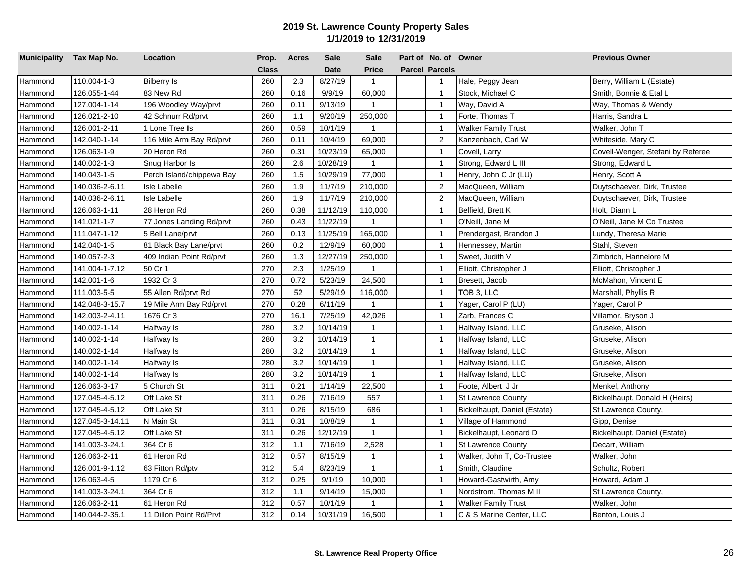| Municipality Tax Map No. |                 | Location                  | Prop.        | <b>Acres</b> | Sale        | <b>Sale</b>    | Part of No. of Owner  |                              | <b>Previous Owner</b>             |
|--------------------------|-----------------|---------------------------|--------------|--------------|-------------|----------------|-----------------------|------------------------------|-----------------------------------|
|                          |                 |                           | <b>Class</b> |              | <b>Date</b> | <b>Price</b>   | <b>Parcel Parcels</b> |                              |                                   |
| Hammond                  | 110.004-1-3     | <b>Bilberry Is</b>        | 260          | 2.3          | 8/27/19     | $\mathbf{1}$   | $\mathbf{1}$          | Hale, Peggy Jean             | Berry, William L (Estate)         |
| Hammond                  | 126.055-1-44    | 83 New Rd                 | 260          | 0.16         | 9/9/19      | 60,000         | $\mathbf{1}$          | Stock, Michael C             | Smith, Bonnie & Etal L            |
| Hammond                  | 127.004-1-14    | 196 Woodley Way/prvt      | 260          | 0.11         | 9/13/19     | $\mathbf{1}$   | $\overline{1}$        | Way, David A                 | Way, Thomas & Wendy               |
| Hammond                  | 126.021-2-10    | 42 Schnurr Rd/prvt        | 260          | 1.1          | 9/20/19     | 250,000        | $\overline{1}$        | Forte, Thomas T              | Harris, Sandra L                  |
| Hammond                  | 126.001-2-11    | 1 Lone Tree Is            | 260          | 0.59         | 10/1/19     | $\mathbf{1}$   | $\mathbf{1}$          | Walker Family Trust          | Walker, John T                    |
| Hammond                  | 142.040-1-14    | 116 Mile Arm Bay Rd/prvt  | 260          | 0.11         | 10/4/19     | 69,000         | $\overline{2}$        | Kanzenbach, Carl W           | Whiteside, Mary C                 |
| Hammond                  | 126.063-1-9     | 20 Heron Rd               | 260          | 0.31         | 10/23/19    | 65,000         | $\overline{1}$        | Covell, Larry                | Covell-Wenger, Stefani by Referee |
| Hammond                  | 140.002-1-3     | Snug Harbor Is            | 260          | 2.6          | 10/28/19    | $\mathbf{1}$   | $\overline{1}$        | Strong, Edward L III         | Strong, Edward L                  |
| Hammond                  | 140.043-1-5     | Perch Island/chippewa Bay | 260          | 1.5          | 10/29/19    | 77,000         | $\overline{1}$        | Henry, John C Jr (LU)        | Henry, Scott A                    |
| Hammond                  | 140.036-2-6.11  | <b>Isle Labelle</b>       | 260          | 1.9          | 11/7/19     | 210,000        | $\overline{2}$        | MacQueen, William            | Duytschaever, Dirk, Trustee       |
| Hammond                  | 140.036-2-6.11  | <b>Isle Labelle</b>       | 260          | 1.9          | 11/7/19     | 210,000        | $\overline{c}$        | MacQueen, William            | Duytschaever, Dirk, Trustee       |
| Hammond                  | 126.063-1-11    | 28 Heron Rd               | 260          | 0.38         | 11/12/19    | 110,000        | $\overline{1}$        | Belfield, Brett K            | Holt, Diann L                     |
| Hammond                  | 141.021-1-7     | 77 Jones Landing Rd/prvt  | 260          | 0.43         | 11/22/19    | $\mathbf{1}$   | $\mathbf{1}$          | O'Neill, Jane M              | O'Neill, Jane M Co Trustee        |
| Hammond                  | 111.047-1-12    | 5 Bell Lane/prvt          | 260          | 0.13         | 11/25/19    | 165,000        | $\overline{1}$        | Prendergast, Brandon J       | Lundy, Theresa Marie              |
| Hammond                  | 142.040-1-5     | 81 Black Bay Lane/prvt    | 260          | 0.2          | 12/9/19     | 60,000         | $\overline{1}$        | Hennessey, Martin            | Stahl, Steven                     |
| Hammond                  | 140.057-2-3     | 409 Indian Point Rd/prvt  | 260          | 1.3          | 12/27/19    | 250,000        | $\overline{1}$        | Sweet, Judith V              | Zimbrich, Hannelore M             |
| Hammond                  | 141.004-1-7.12  | 50 Cr 1                   | 270          | 2.3          | 1/25/19     | $\mathbf{1}$   | $\mathbf{1}$          | Elliott, Christopher J       | Elliott, Christopher J            |
| Hammond                  | 142.001-1-6     | 1932 Cr 3                 | 270          | 0.72         | 5/23/19     | 24,500         | $\mathbf{1}$          | Bresett, Jacob               | McMahon, Vincent E                |
| Hammond                  | 111.003-5-5     | 55 Allen Rd/prvt Rd       | 270          | 52           | 5/29/19     | 116,000        | $\mathbf{1}$          | TOB 3, LLC                   | Marshall, Phyllis R               |
| Hammond                  | 142.048-3-15.7  | 19 Mile Arm Bay Rd/prvt   | 270          | 0.28         | 6/11/19     | $\mathbf{1}$   | $\mathbf{1}$          | Yager, Carol P (LU)          | Yager, Carol P                    |
| Hammond                  | 142.003-2-4.11  | 1676 Cr 3                 | 270          | 16.1         | 7/25/19     | 42,026         | $\mathbf{1}$          | Zarb, Frances C              | Villamor, Bryson J                |
| Hammond                  | 140.002-1-14    | Halfway Is                | 280          | 3.2          | 10/14/19    | $\mathbf{1}$   | $\overline{1}$        | Halfway Island, LLC          | Gruseke, Alison                   |
| Hammond                  | 140.002-1-14    | Halfway Is                | 280          | 3.2          | 10/14/19    | $\mathbf{1}$   | $\overline{1}$        | Halfway Island, LLC          | Gruseke, Alison                   |
| Hammond                  | 140.002-1-14    | Halfway Is                | 280          | 3.2          | 10/14/19    | $\mathbf{1}$   | $\overline{1}$        | Halfway Island, LLC          | Gruseke, Alison                   |
| Hammond                  | 140.002-1-14    | Halfway Is                | 280          | 3.2          | 10/14/19    | $\mathbf{1}$   | $\overline{1}$        | Halfway Island, LLC          | Gruseke, Alison                   |
| Hammond                  | 140.002-1-14    | Halfway Is                | 280          | 3.2          | 10/14/19    | $\mathbf{1}$   | $\overline{1}$        | Halfway Island, LLC          | Gruseke, Alison                   |
| Hammond                  | 126.063-3-17    | 5 Church St               | 311          | 0.21         | 1/14/19     | 22,500         | $\overline{1}$        | Foote, Albert J Jr           | Menkel, Anthony                   |
| Hammond                  | 127.045-4-5.12  | Off Lake St               | 311          | 0.26         | 7/16/19     | 557            | $\overline{1}$        | <b>St Lawrence County</b>    | Bickelhaupt, Donald H (Heirs)     |
| Hammond                  | 127.045-4-5.12  | Off Lake St               | 311          | 0.26         | 8/15/19     | 686            | $\overline{1}$        | Bickelhaupt, Daniel (Estate) | St Lawrence County,               |
| Hammond                  | 127.045-3-14.11 | N Main St                 | 311          | 0.31         | 10/8/19     | $\mathbf{1}$   | $\overline{1}$        | Village of Hammond           | Gipp, Denise                      |
| Hammond                  | 127.045-4-5.12  | <b>Off Lake St</b>        | 311          | 0.26         | 12/12/19    | $\mathbf{1}$   | $\overline{1}$        | Bickelhaupt, Leonard D       | Bickelhaupt, Daniel (Estate)      |
| Hammond                  | 141.003-3-24.1  | 364 Cr 6                  | 312          | 1.1          | 7/16/19     | 2,528          | $\overline{1}$        | <b>St Lawrence County</b>    | Decarr, William                   |
| Hammond                  | 126.063-2-11    | 61 Heron Rd               | 312          | 0.57         | 8/15/19     | $\mathbf{1}$   | $\mathbf{1}$          | Walker, John T, Co-Trustee   | Walker, John                      |
| Hammond                  | 126.001-9-1.12  | 63 Fitton Rd/ptv          | 312          | 5.4          | 8/23/19     | $\mathbf{1}$   | $\overline{1}$        | Smith, Claudine              | Schultz, Robert                   |
| Hammond                  | 126.063-4-5     | 1179 Cr 6                 | 312          | 0.25         | 9/1/19      | 10,000         | $\overline{1}$        | Howard-Gastwirth, Amy        | Howard, Adam J                    |
| Hammond                  | 141.003-3-24.1  | 364 Cr 6                  | 312          | 1.1          | 9/14/19     | 15,000         | $\mathbf{1}$          | Nordstrom, Thomas M II       | St Lawrence County,               |
| Hammond                  | 126.063-2-11    | 61 Heron Rd               | 312          | 0.57         | 10/1/19     | $\overline{1}$ | $\mathbf{1}$          | <b>Walker Family Trust</b>   | Walker, John                      |
| Hammond                  | 140.044-2-35.1  | 11 Dillon Point Rd/Prvt   | 312          | 0.14         | 10/31/19    | 16,500         | $\mathbf{1}$          | C & S Marine Center, LLC     | Benton, Louis J                   |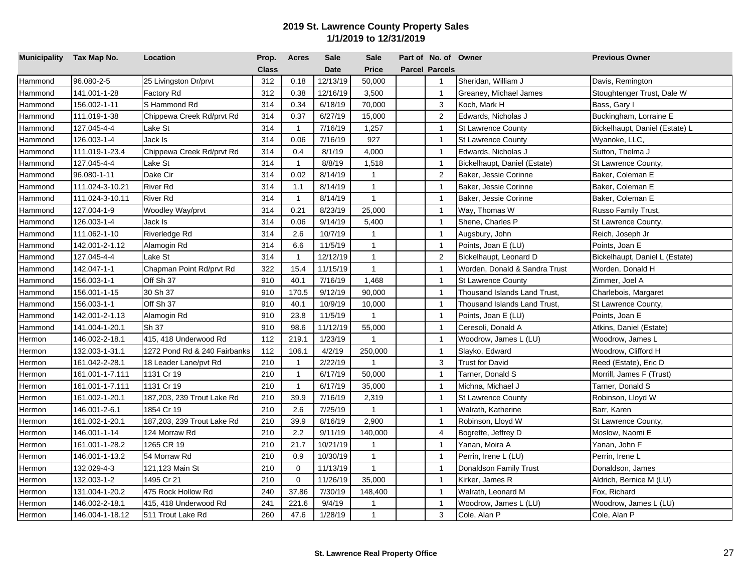| Municipality Tax Map No. |                 | Location                     | Prop.        | <b>Acres</b> | Sale        | <b>Sale</b>  | Part of No. of Owner  |                               | <b>Previous Owner</b>          |
|--------------------------|-----------------|------------------------------|--------------|--------------|-------------|--------------|-----------------------|-------------------------------|--------------------------------|
|                          |                 |                              | <b>Class</b> |              | <b>Date</b> | <b>Price</b> | <b>Parcel Parcels</b> |                               |                                |
| Hammond                  | 96.080-2-5      | 25 Livingston Dr/prvt        | 312          | 0.18         | 12/13/19    | 50,000       | $\mathbf{1}$          | Sheridan, William J           | Davis, Remington               |
| Hammond                  | 141.001-1-28    | Factory Rd                   | 312          | 0.38         | 12/16/19    | 3,500        | $\mathbf{1}$          | Greaney, Michael James        | Stoughtenger Trust, Dale W     |
| Hammond                  | 156.002-1-11    | S Hammond Rd                 | 314          | 0.34         | 6/18/19     | 70,000       | 3                     | Koch, Mark H                  | Bass, Gary I                   |
| Hammond                  | 111.019-1-38    | Chippewa Creek Rd/prvt Rd    | 314          | 0.37         | 6/27/19     | 15,000       | 2                     | Edwards, Nicholas J           | Buckingham, Lorraine E         |
| Hammond                  | 127.045-4-4     | Lake St                      | 314          | $\mathbf{1}$ | 7/16/19     | 1,257        | $\mathbf{1}$          | <b>St Lawrence County</b>     | Bickelhaupt, Daniel (Estate) L |
| Hammond                  | 126.003-1-4     | Jack Is                      | 314          | 0.06         | 7/16/19     | 927          | $\mathbf{1}$          | <b>St Lawrence County</b>     | Wyanoke, LLC,                  |
| Hammond                  | 111.019-1-23.4  | Chippewa Creek Rd/prvt Rd    | 314          | 0.4          | 8/1/19      | 4,000        | $\overline{1}$        | Edwards, Nicholas J           | Sutton, Thelma J               |
| Hammond                  | 127.045-4-4     | Lake St                      | 314          | $\mathbf{1}$ | 8/8/19      | 1,518        | $\overline{1}$        | Bickelhaupt, Daniel (Estate)  | St Lawrence County,            |
| Hammond                  | 96.080-1-11     | Dake Cir                     | 314          | 0.02         | 8/14/19     | $\mathbf{1}$ | $\overline{2}$        | Baker, Jessie Corinne         | Baker, Coleman E               |
| Hammond                  | 111.024-3-10.21 | <b>River Rd</b>              | 314          | 1.1          | 8/14/19     | $\mathbf{1}$ | $\mathbf{1}$          | Baker, Jessie Corinne         | Baker, Coleman E               |
| Hammond                  | 111.024-3-10.11 | <b>River Rd</b>              | 314          | $\mathbf{1}$ | 8/14/19     | $\mathbf{1}$ | $\overline{1}$        | Baker, Jessie Corinne         | Baker, Coleman E               |
| Hammond                  | 127.004-1-9     | Woodley Way/prvt             | 314          | 0.21         | 8/23/19     | 25,000       | $\mathbf{1}$          | Way, Thomas W                 | Russo Family Trust,            |
| Hammond                  | 126.003-1-4     | Jack Is                      | 314          | 0.06         | 9/14/19     | 5,400        | $\mathbf{1}$          | Shene, Charles P              | St Lawrence County,            |
| Hammond                  | 111.062-1-10    | Riverledge Rd                | 314          | 2.6          | 10/7/19     | $\mathbf{1}$ | $\overline{1}$        | Augsbury, John                | Reich, Joseph Jr               |
| Hammond                  | 142.001-2-1.12  | Alamogin Rd                  | 314          | 6.6          | 11/5/19     | $\mathbf{1}$ | $\overline{1}$        | Points, Joan E (LU)           | Points, Joan E                 |
| Hammond                  | 127.045-4-4     | Lake St                      | 314          | $\mathbf{1}$ | 12/12/19    | $\mathbf{1}$ | 2                     | Bickelhaupt, Leonard D        | Bickelhaupt, Daniel L (Estate) |
| Hammond                  | 142.047-1-1     | Chapman Point Rd/prvt Rd     | 322          | 15.4         | 11/15/19    | $\mathbf{1}$ | $\mathbf{1}$          | Worden, Donald & Sandra Trust | Worden, Donald H               |
| Hammond                  | 156.003-1-1     | Off Sh 37                    | 910          | 40.1         | 7/16/19     | 1,468        | $\overline{1}$        | <b>St Lawrence County</b>     | Zimmer, Joel A                 |
| Hammond                  | 156.001-1-15    | 30 Sh 37                     | 910          | 170.5        | 9/12/19     | 90,000       | $\mathbf{1}$          | Thousand Islands Land Trust,  | Charlebois, Margaret           |
| Hammond                  | 156.003-1-1     | Off Sh 37                    | 910          | 40.1         | 10/9/19     | 10,000       | $\mathbf{1}$          | Thousand Islands Land Trust,  | St Lawrence County,            |
| Hammond                  | 142.001-2-1.13  | Alamogin Rd                  | 910          | 23.8         | 11/5/19     | $\mathbf{1}$ | $\mathbf{1}$          | Points, Joan E (LU)           | Points, Joan E                 |
| Hammond                  | 141.004-1-20.1  | Sh 37                        | 910          | 98.6         | 11/12/19    | 55,000       | $\overline{1}$        | Ceresoli, Donald A            | Atkins, Daniel (Estate)        |
| Hermon                   | 146.002-2-18.1  | 415, 418 Underwood Rd        | 112          | 219.1        | 1/23/19     | $\mathbf{1}$ | $\overline{1}$        | Woodrow, James L (LU)         | Woodrow, James L               |
| Hermon                   | 132.003-1-31.1  | 1272 Pond Rd & 240 Fairbanks | 112          | 106.1        | 4/2/19      | 250,000      | $\overline{1}$        | Slayko, Edward                | Woodrow, Clifford H            |
| Hermon                   | 161.042-2-28.1  | 18 Leader Lane/pvt Rd        | 210          | $\mathbf{1}$ | 2/22/19     | $\mathbf{1}$ | $\sqrt{3}$            | <b>Trust for David</b>        | Reed (Estate), Eric D          |
| Hermon                   | 161.001-1-7.111 | 1131 Cr 19                   | 210          | $\mathbf{1}$ | 6/17/19     | 50,000       | $\overline{1}$        | Tarner, Donald S              | Morrill, James F (Trust)       |
| Hermon                   | 161.001-1-7.111 | 1131 Cr 19                   | 210          | $\mathbf{1}$ | 6/17/19     | 35,000       | $\overline{1}$        | Michna, Michael J             | Tarner, Donald S               |
| Hermon                   | 161.002-1-20.1  | 187,203, 239 Trout Lake Rd   | 210          | 39.9         | 7/16/19     | 2,319        | $\overline{1}$        | <b>St Lawrence County</b>     | Robinson, Lloyd W              |
| Hermon                   | 146.001-2-6.1   | 1854 Cr 19                   | 210          | 2.6          | 7/25/19     | $\mathbf{1}$ | $\mathbf{1}$          | Walrath, Katherine            | Barr, Karen                    |
| Hermon                   | 161.002-1-20.1  | 187,203, 239 Trout Lake Rd   | 210          | 39.9         | 8/16/19     | 2,900        | $\overline{1}$        | Robinson, Lloyd W             | St Lawrence County,            |
| Hermon                   | 146.001-1-14    | 124 Morraw Rd                | 210          | 2.2          | 9/11/19     | 140,000      | $\overline{4}$        | Bogrette, Jeffrey D           | Moslow, Naomi E                |
| Hermon                   | 161.001-1-28.2  | 1265 CR 19                   | 210          | 21.7         | 10/21/19    | $\mathbf{1}$ | $\mathbf{1}$          | Ƴanan, Moira A                | Yanan, John F                  |
| Hermon                   | 146.001-1-13.2  | 54 Morraw Rd                 | 210          | 0.9          | 10/30/19    | $\mathbf{1}$ | $\mathbf{1}$          | Perrin, Irene L (LU)          | Perrin, Irene L                |
| Hermon                   | 132.029-4-3     | 121,123 Main St              | 210          | $\mathbf 0$  | 11/13/19    | $\mathbf{1}$ | $\overline{1}$        | Donaldson Family Trust        | Donaldson, James               |
| Hermon                   | 132.003-1-2     | 1495 Cr 21                   | 210          | $\mathbf 0$  | 11/26/19    | 35,000       | $\overline{1}$        | Kirker, James R               | Aldrich, Bernice M (LU)        |
| Hermon                   | 131.004-1-20.2  | 475 Rock Hollow Rd           | 240          | 37.86        | 7/30/19     | 148,400      | $\mathbf{1}$          | Walrath, Leonard M            | Fox, Richard                   |
| Hermon                   | 146.002-2-18.1  | 415, 418 Underwood Rd        | 241          | 221.6        | 9/4/19      | $\mathbf{1}$ | $\overline{1}$        | Woodrow, James L (LU)         | Woodrow, James L (LU)          |
| Hermon                   | 146.004-1-18.12 | 511 Trout Lake Rd            | 260          | 47.6         | 1/28/19     | $\mathbf{1}$ | 3                     | Cole, Alan P                  | Cole, Alan P                   |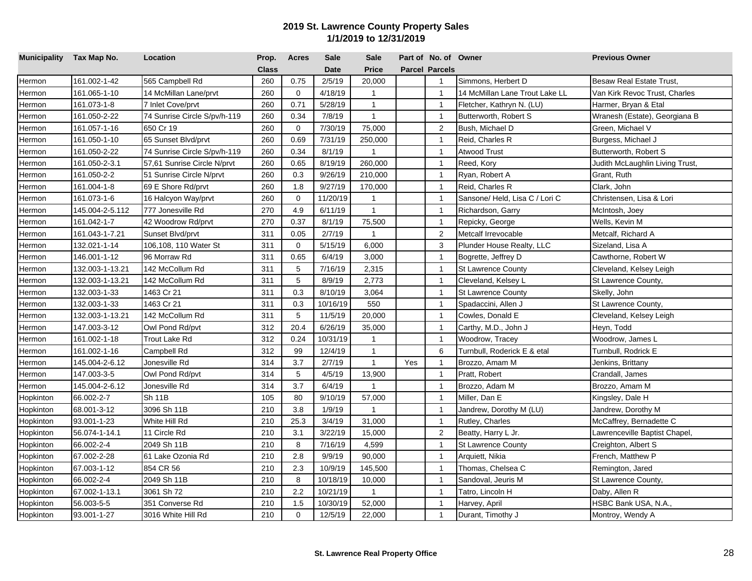| Municipality Tax Map No. |                 | Location                     | Prop.        | <b>Acres</b> | <b>Sale</b> | <b>Sale</b>  |     | Part of No. of Owner  |                                | <b>Previous Owner</b>           |
|--------------------------|-----------------|------------------------------|--------------|--------------|-------------|--------------|-----|-----------------------|--------------------------------|---------------------------------|
|                          |                 |                              | <b>Class</b> |              | <b>Date</b> | <b>Price</b> |     | <b>Parcel Parcels</b> |                                |                                 |
| Hermon                   | 161.002-1-42    | 565 Campbell Rd              | 260          | 0.75         | 2/5/19      | 20,000       |     | $\mathbf{1}$          | Simmons, Herbert D             | <b>Besaw Real Estate Trust,</b> |
| Hermon                   | 161.065-1-10    | 14 McMillan Lane/prvt        | 260          | $\mathbf 0$  | 4/18/19     | $\mathbf{1}$ |     | $\mathbf{1}$          | 14 McMillan Lane Trout Lake LL | Van Kirk Revoc Trust, Charles   |
| Hermon                   | 161.073-1-8     | 7 Inlet Cove/prvt            | 260          | 0.71         | 5/28/19     | $\mathbf{1}$ |     | $\mathbf{1}$          | Fletcher, Kathryn N. (LU)      | Harmer, Bryan & Etal            |
| Hermon                   | 161.050-2-22    | 74 Sunrise Circle S/pv/h-119 | 260          | 0.34         | 7/8/19      | $\mathbf{1}$ |     | $\overline{1}$        | Butterworth, Robert S          | Wranesh (Estate), Georgiana B   |
| Hermon                   | 161.057-1-16    | 650 Cr 19                    | 260          | $\mathbf 0$  | 7/30/19     | 75,000       |     | 2                     | Bush, Michael D                | Green, Michael V                |
| Hermon                   | 161.050-1-10    | 65 Sunset Blvd/prvt          | 260          | 0.69         | 7/31/19     | 250,000      |     | $\mathbf{1}$          | Reid, Charles R                | Burgess, Michael J              |
| Hermon                   | 161.050-2-22    | 74 Sunrise Circle S/pv/h-119 | 260          | 0.34         | 8/1/19      | $\mathbf{1}$ |     | $\overline{1}$        | <b>Atwood Trust</b>            | Butterworth, Robert S           |
| Hermon                   | 161.050-2-3.1   | 57,61 Sunrise Circle N/prvt  | 260          | 0.65         | 8/19/19     | 260,000      |     | $\overline{1}$        | Reed, Kory                     | Judith McLaughlin Living Trust, |
| Hermon                   | 161.050-2-2     | 51 Sunrise Circle N/prvt     | 260          | 0.3          | 9/26/19     | 210,000      |     | $\overline{1}$        | Ryan, Robert A                 | Grant, Ruth                     |
| Hermon                   | 161.004-1-8     | 69 E Shore Rd/prvt           | 260          | 1.8          | 9/27/19     | 170,000      |     | $\mathbf{1}$          | Reid, Charles R                | Clark, John                     |
| Hermon                   | 161.073-1-6     | 16 Halcyon Way/prvt          | 260          | $\mathbf 0$  | 11/20/19    | $\mathbf{1}$ |     | $\overline{1}$        | Sansone/Held, Lisa C / Lori C  | Christensen, Lisa & Lori        |
| Hermon                   | 145.004-2-5.112 | 777 Jonesville Rd            | 270          | 4.9          | 6/11/19     | $\mathbf{1}$ |     | $\overline{1}$        | Richardson, Garry              | McIntosh, Joey                  |
| Hermon                   | 161.042-1-7     | 42 Woodrow Rd/prvt           | 270          | 0.37         | 8/1/19      | 75,500       |     | $\overline{1}$        | Repicky, George                | Wells, Kevin M                  |
| Hermon                   | 161.043-1-7.21  | Sunset Blvd/prvt             | 311          | 0.05         | 2/7/19      | $\mathbf{1}$ |     | 2                     | Metcalf Irrevocable            | Metcalf, Richard A              |
| Hermon                   | 132.021-1-14    | 106,108, 110 Water St        | 311          | $\mathbf 0$  | 5/15/19     | 6,000        |     | 3                     | Plunder House Realty, LLC      | Sizeland, Lisa A                |
| Hermon                   | 146.001-1-12    | 96 Morraw Rd                 | 311          | 0.65         | 6/4/19      | 3,000        |     | $\overline{1}$        | Bogrette, Jeffrey D            | Cawthorne, Robert W             |
| Hermon                   | 132.003-1-13.21 | 142 McCollum Rd              | 311          | 5            | 7/16/19     | 2,315        |     | $\mathbf{1}$          | <b>St Lawrence County</b>      | Cleveland, Kelsey Leigh         |
| Hermon                   | 132.003-1-13.21 | 142 McCollum Rd              | 311          | 5            | 8/9/19      | 2,773        |     | $\overline{1}$        | Cleveland, Kelsey L            | St Lawrence County,             |
| Hermon                   | 132.003-1-33    | 1463 Cr 21                   | 311          | 0.3          | 8/10/19     | 3,064        |     | $\overline{1}$        | <b>St Lawrence County</b>      | Skelly, John                    |
| Hermon                   | 132.003-1-33    | 1463 Cr 21                   | 311          | 0.3          | 10/16/19    | 550          |     | $\mathbf{1}$          | Spadaccini, Allen J            | St Lawrence County,             |
| Hermon                   | 132.003-1-13.21 | 142 McCollum Rd              | 311          | 5            | 11/5/19     | 20,000       |     | $\mathbf{1}$          | Cowles, Donald E               | Cleveland, Kelsey Leigh         |
| Hermon                   | 147.003-3-12    | Owl Pond Rd/pvt              | 312          | 20.4         | 6/26/19     | 35,000       |     | $\mathbf{1}$          | Carthy, M.D., John J           | Heyn, Todd                      |
| Hermon                   | 161.002-1-18    | Trout Lake Rd                | 312          | 0.24         | 10/31/19    | $\mathbf{1}$ |     | $\overline{1}$        | Woodrow, Tracey                | Woodrow, James L                |
| Hermon                   | 161.002-1-16    | Campbell Rd                  | 312          | 99           | 12/4/19     | $\mathbf{1}$ |     | 6                     | Turnbull, Roderick E & etal    | Turnbull, Rodrick E             |
| Hermon                   | 145.004-2-6.12  | Jonesville Rd                | 314          | 3.7          | 2/7/19      | $\mathbf{1}$ | Yes | $\mathbf{1}$          | Brozzo, Amam M                 | Jenkins, Brittany               |
| Hermon                   | 147.003-3-5     | Owl Pond Rd/pvt              | 314          | 5            | 4/5/19      | 13,900       |     | $\mathbf{1}$          | Pratt, Robert                  | Crandall, James                 |
| Hermon                   | 145.004-2-6.12  | Jonesville Rd                | 314          | 3.7          | 6/4/19      | $\mathbf{1}$ |     | $\overline{1}$        | Brozzo, Adam M                 | Brozzo, Amam M                  |
| Hopkinton                | 66.002-2-7      | Sh 11B                       | 105          | 80           | 9/10/19     | 57,000       |     | $\overline{1}$        | Miller, Dan E                  | Kingsley, Dale H                |
| Hopkinton                | 68.001-3-12     | 3096 Sh 11B                  | 210          | 3.8          | 1/9/19      | $\mathbf{1}$ |     | $\overline{1}$        | Jandrew, Dorothy M (LU)        | Jandrew, Dorothy M              |
| Hopkinton                | 93.001-1-23     | White Hill Rd                | 210          | 25.3         | 3/4/19      | 31,000       |     | $\mathbf{1}$          | Rutley, Charles                | McCaffrey, Bernadette C         |
| Hopkinton                | 56.074-1-14.1   | 11 Circle Rd                 | 210          | 3.1          | 3/22/19     | 15,000       |     | $\overline{2}$        | Beatty, Harry L Jr.            | Lawrenceville Baptist Chapel,   |
| Hopkinton                | 66.002-2-4      | 2049 Sh 11B                  | 210          | 8            | 7/16/19     | 4,599        |     | $\mathbf{1}$          | <b>St Lawrence County</b>      | Creighton, Albert S             |
| Hopkinton                | 67.002-2-28     | 61 Lake Ozonia Rd            | 210          | 2.8          | 9/9/19      | 90,000       |     | $\overline{1}$        | Arquiett, Nikia                | French, Matthew P               |
| Hopkinton                | 67.003-1-12     | 854 CR 56                    | 210          | 2.3          | 10/9/19     | 145,500      |     | $\overline{1}$        | Thomas, Chelsea C              | Remington, Jared                |
| Hopkinton                | 66.002-2-4      | 2049 Sh 11B                  | 210          | 8            | 10/18/19    | 10,000       |     | $\overline{1}$        | Sandoval, Jeuris M             | St Lawrence County,             |
| Hopkinton                | 67.002-1-13.1   | 3061 Sh 72                   | 210          | 2.2          | 10/21/19    | $\mathbf{1}$ |     | $\overline{1}$        | Tatro, Lincoln H               | Daby, Allen R                   |
| Hopkinton                | 56.003-5-5      | 351 Converse Rd              | 210          | 1.5          | 10/30/19    | 52,000       |     | $\mathbf{1}$          | Harvey, April                  | HSBC Bank USA, N.A.,            |
| Hopkinton                | 93.001-1-27     | 3016 White Hill Rd           | 210          | $\mathbf 0$  | 12/5/19     | 22,000       |     | $\mathbf{1}$          | Durant, Timothy J              | Montroy, Wendy A                |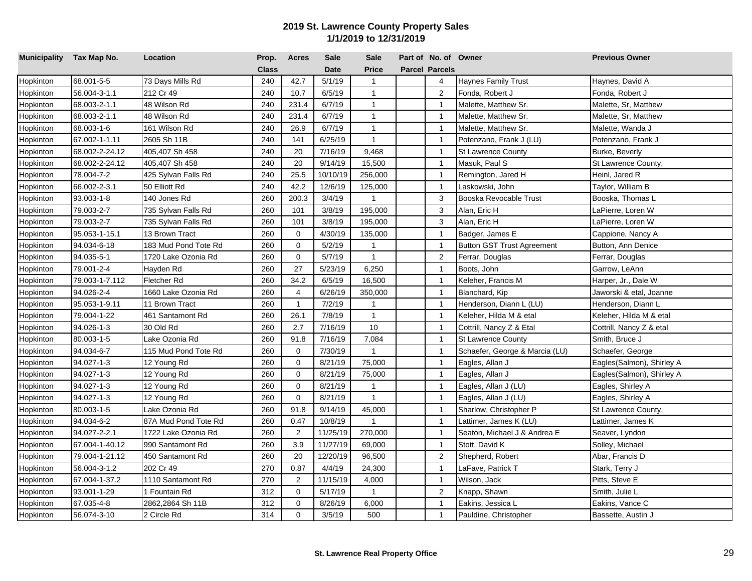| Municipality Tax Map No. |                | Location             | Prop.        | <b>Acres</b>   | Sale        | <b>Sale</b>  | Part of No. of Owner  |                                   | <b>Previous Owner</b>     |
|--------------------------|----------------|----------------------|--------------|----------------|-------------|--------------|-----------------------|-----------------------------------|---------------------------|
|                          |                |                      | <b>Class</b> |                | <b>Date</b> | <b>Price</b> | <b>Parcel Parcels</b> |                                   |                           |
| Hopkinton                | 68.001-5-5     | 73 Days Mills Rd     | 240          | 42.7           | 5/1/19      | $\mathbf{1}$ | $\overline{4}$        | <b>Haynes Family Trust</b>        | Haynes, David A           |
| Hopkinton                | 56.004-3-1.1   | 212 Cr 49            | 240          | 10.7           | 6/5/19      | $\mathbf{1}$ | $\overline{2}$        | Fonda, Robert J                   | Fonda, Robert J           |
| Hopkinton                | 68.003-2-1.1   | 48 Wilson Rd         | 240          | 231.4          | 6/7/19      | $\mathbf{1}$ | $\overline{1}$        | Malette, Matthew Sr.              | Malette, Sr, Matthew      |
| Hopkinton                | 68.003-2-1.1   | 48 Wilson Rd         | 240          | 231.4          | 6/7/19      | $\mathbf{1}$ | $\overline{1}$        | Malette, Matthew Sr.              | Malette, Sr, Matthew      |
| Hopkinton                | 68.003-1-6     | 161 Wilson Rd        | 240          | 26.9           | 6/7/19      | $\mathbf{1}$ | $\overline{1}$        | Malette, Matthew Sr.              | Malette, Wanda J          |
| Hopkinton                | 67.002-1-1.11  | 2605 Sh 11B          | 240          | 141            | 6/25/19     | $\mathbf{1}$ | $\mathbf{1}$          | Potenzano, Frank J (LU)           | Potenzano, Frank J        |
| Hopkinton                | 68.002-2-24.12 | 405,407 Sh 458       | 240          | 20             | 7/16/19     | 9,468        | $\overline{1}$        | <b>St Lawrence County</b>         | Burke, Beverly            |
| Hopkinton                | 68.002-2-24.12 | 405,407 Sh 458       | 240          | 20             | 9/14/19     | 15,500       | $\overline{1}$        | Masuk, Paul S                     | St Lawrence County,       |
| Hopkinton                | 78.004-7-2     | 425 Sylvan Falls Rd  | 240          | 25.5           | 10/10/19    | 256,000      | $\overline{1}$        | Remington, Jared H                | Heinl, Jared R            |
| Hopkinton                | 66.002-2-3.1   | 50 Elliott Rd        | 240          | 42.2           | 12/6/19     | 125,000      | $\overline{1}$        | Laskowski, John                   | Taylor, William B         |
| Hopkinton                | 93.003-1-8     | 140 Jones Rd         | 260          | 200.3          | 3/4/19      | $\mathbf{1}$ | 3                     | Booska Revocable Trust            | Booska, Thomas L          |
| Hopkinton                | 79.003-2-7     | 735 Sylvan Falls Rd  | 260          | 101            | 3/8/19      | 195,000      | 3                     | Alan, Eric H                      | LaPierre, Loren W         |
| Hopkinton                | 79.003-2-7     | 735 Sylvan Falls Rd  | 260          | 101            | 3/8/19      | 195,000      | 3                     | Alan, Eric H                      | LaPierre, Loren W         |
| Hopkinton                | 95.053-1-15.1  | 13 Brown Tract       | 260          | 0              | 4/30/19     | 135,000      | $\overline{1}$        | Badger, James E                   | Cappione, Nancy A         |
| Hopkinton                | 94.034-6-18    | 183 Mud Pond Tote Rd | 260          | $\mathbf 0$    | 5/2/19      | $\mathbf{1}$ | $\overline{1}$        | <b>Button GST Trust Agreement</b> | Button, Ann Denice        |
| <b>Hopkinton</b>         | 94.035-5-1     | 1720 Lake Ozonia Rd  | 260          | $\Omega$       | 5/7/19      | $\mathbf{1}$ | $\sqrt{2}$            | Ferrar, Douglas                   | Ferrar, Douglas           |
| Hopkinton                | 79.001-2-4     | Hayden Rd            | 260          | 27             | 5/23/19     | 6,250        | $\overline{1}$        | Boots, John                       | Garrow, LeAnn             |
| Hopkinton                | 79.003-1-7.112 | Fletcher Rd          | 260          | 34.2           | 6/5/19      | 16,500       | $\overline{1}$        | Keleher, Francis M                | Harper, Jr., Dale W       |
| Hopkinton                | 94.026-2-4     | 1660 Lake Ozonia Rd  | 260          | 4              | 6/26/19     | 350,000      | $\overline{1}$        | Blanchard, Kip                    | Jaworski & etal, Joanne   |
| Hopkinton                | 95.053-1-9.11  | 11 Brown Tract       | 260          | $\overline{1}$ | 7/2/19      | 1            | $\overline{1}$        | Henderson, Diann L (LU)           | Henderson, Diann L        |
| Hopkinton                | 79.004-1-22    | 461 Santamont Rd     | 260          | 26.1           | 7/8/19      | $\mathbf{1}$ | $\overline{1}$        | Keleher, Hilda M & etal           | Keleher, Hilda M & etal   |
| Hopkinton                | 94.026-1-3     | 30 Old Rd            | 260          | 2.7            | 7/16/19     | 10           | $\overline{1}$        | Cottrill, Nancy Z & Etal          | Cottrill, Nancy Z & etal  |
| <b>Hopkinton</b>         | 80.003-1-5     | Lake Ozonia Rd       | 260          | 91.8           | 7/16/19     | 7,084        | $\overline{1}$        | <b>St Lawrence County</b>         | Smith, Bruce J            |
| Hopkinton                | 94.034-6-7     | 115 Mud Pond Tote Rd | 260          | $\mathbf 0$    | 7/30/19     | $\mathbf{1}$ | $\overline{1}$        | Schaefer, George & Marcia (LU)    | Schaefer, George          |
| Hopkinton                | 94.027-1-3     | 12 Young Rd          | 260          | $\mathbf 0$    | 8/21/19     | 75,000       | $\overline{1}$        | Eagles, Allan J                   | Eagles(Salmon), Shirley A |
| Hopkinton                | 94.027-1-3     | 12 Young Rd          | 260          | $\mathbf 0$    | 8/21/19     | 75,000       | $\overline{1}$        | Eagles, Allan J                   | Eagles(Salmon), Shirley A |
| Hopkinton                | 94.027-1-3     | 12 Young Rd          | 260          | $\mathbf 0$    | 8/21/19     | $\mathbf{1}$ | $\overline{1}$        | Eagles, Allan J (LU)              | Eagles, Shirley A         |
| Hopkinton                | 94.027-1-3     | 12 Young Rd          | 260          | $\mathbf 0$    | 8/21/19     | $\mathbf{1}$ | $\overline{1}$        | Eagles, Allan J (LU)              | Eagles, Shirley A         |
| Hopkinton                | 80.003-1-5     | Lake Ozonia Rd       | 260          | 91.8           | 9/14/19     | 45,000       | $\overline{1}$        | Sharlow, Christopher P            | St Lawrence County,       |
| Hopkinton                | 94.034-6-2     | 87A Mud Pond Tote Rd | 260          | 0.47           | 10/8/19     | $\mathbf{1}$ | $\overline{1}$        | Lattimer, James K (LU)            | Lattimer, James K         |
| Hopkinton                | 94.027-2-2.1   | 1722 Lake Ozonia Rd  | 260          | 2              | 11/25/19    | 270,000      | $\overline{1}$        | Seaton, Michael J & Andrea E      | Seaver, Lyndon            |
| Hopkinton                | 67.004-1-40.12 | 990 Santamont Rd     | 260          | 3.9            | 11/27/19    | 69,000       | $\overline{1}$        | Stott, David K                    | Solley, Michael           |
| Hopkinton                | 79.004-1-21.12 | 450 Santamont Rd     | 260          | 20             | 12/20/19    | 96,500       | $\overline{2}$        | Shepherd, Robert                  | Abar, Francis D           |
| Hopkinton                | 56.004-3-1.2   | 202 Cr 49            | 270          | 0.87           | 4/4/19      | 24,300       | $\mathbf{1}$          | <sub>-</sub> aFave, Patrick T     | Stark, Terry J            |
| Hopkinton                | 67.004-1-37.2  | 1110 Santamont Rd    | 270          | $\overline{2}$ | 11/15/19    | 4,000        | $\overline{1}$        | Wilson, Jack                      | Pitts, Steve E            |
| Hopkinton                | 93.001-1-29    | 1 Fountain Rd        | 312          | 0              | 5/17/19     | $\mathbf{1}$ | $\overline{2}$        | Knapp, Shawn                      | Smith, Julie L            |
| Hopkinton                | 67.035-4-8     | 2862,2864 Sh 11B     | 312          | $\Omega$       | 8/26/19     | 6,000        | $\overline{1}$        | Eakins, Jessica L                 | Eakins, Vance C           |
| Hopkinton                | 56.074-3-10    | 2 Circle Rd          | 314          | $\mathbf 0$    | 3/5/19      | 500          | $\mathbf{1}$          | Pauldine, Christopher             | Bassette, Austin J        |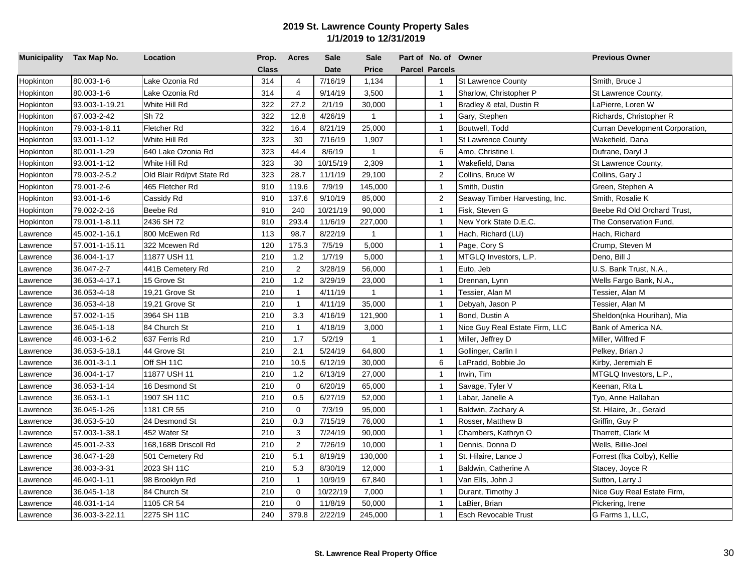| Municipality Tax Map No. |                | Location                  | Prop.        | <b>Acres</b>   | <b>Sale</b> | <b>Sale</b>    | Part of No. of Owner  |                                | <b>Previous Owner</b>           |
|--------------------------|----------------|---------------------------|--------------|----------------|-------------|----------------|-----------------------|--------------------------------|---------------------------------|
|                          |                |                           | <b>Class</b> |                | <b>Date</b> | <b>Price</b>   | <b>Parcel Parcels</b> |                                |                                 |
| Hopkinton                | 80.003-1-6     | Lake Ozonia Rd            | 314          | $\overline{4}$ | 7/16/19     | 1,134          | $\mathbf{1}$          | <b>St Lawrence County</b>      | Smith, Bruce J                  |
| Hopkinton                | 80.003-1-6     | Lake Ozonia Rd            | 314          | $\overline{4}$ | 9/14/19     | 3,500          | $\mathbf{1}$          | Sharlow, Christopher P         | St Lawrence County,             |
| Hopkinton                | 93.003-1-19.21 | White Hill Rd             | 322          | 27.2           | 2/1/19      | 30,000         | $\overline{1}$        | Bradley & etal, Dustin R       | LaPierre, Loren W               |
| Hopkinton                | 67.003-2-42    | Sh 72                     | 322          | 12.8           | 4/26/19     | $\overline{1}$ | $\mathbf{1}$          | Gary, Stephen                  | Richards, Christopher R         |
| Hopkinton                | 79.003-1-8.11  | Fletcher Rd               | 322          | 16.4           | 8/21/19     | 25,000         | $\overline{1}$        | Boutwell, Todd                 | Curran Development Corporation, |
| Hopkinton                | 93.001-1-12    | White Hill Rd             | 323          | 30             | 7/16/19     | 1,907          | $\mathbf{1}$          | St Lawrence County             | Wakefield, Dana                 |
| Hopkinton                | 80.001-1-29    | 640 Lake Ozonia Rd        | 323          | 44.4           | 8/6/19      | $\mathbf{1}$   | 6                     | Amo, Christine L               | Dufrane, Daryl J                |
| Hopkinton                | 93.001-1-12    | White Hill Rd             | 323          | 30             | 10/15/19    | 2,309          | $\overline{1}$        | Wakefield, Dana                | St Lawrence County,             |
| <b>Hopkinton</b>         | 79.003-2-5.2   | Old Blair Rd/pvt State Rd | 323          | 28.7           | 11/1/19     | 29,100         | $\overline{2}$        | Collins, Bruce W               | Collins, Gary J                 |
| Hopkinton                | 79.001-2-6     | 465 Fletcher Rd           | 910          | 119.6          | 7/9/19      | 145,000        | $\mathbf{1}$          | Smith, Dustin                  | Green, Stephen A                |
| Hopkinton                | 93.001-1-6     | Cassidy Rd                | 910          | 137.6          | 9/10/19     | 85,000         | $\overline{2}$        | Seaway Timber Harvesting, Inc. | Smith, Rosalie K                |
| Hopkinton                | 79.002-2-16    | Beebe Rd                  | 910          | 240            | 10/21/19    | 90,000         | $\overline{1}$        | Fisk, Steven G                 | Beebe Rd Old Orchard Trust,     |
| Hopkinton                | 79.001-1-8.11  | 2436 SH 72                | 910          | 293.4          | 11/6/19     | 227,000        | $\mathbf{1}$          | New York State D.E.C.          | The Conservation Fund,          |
| awrence                  | 45.002-1-16.1  | 800 McEwen Rd             | 113          | 98.7           | 8/22/19     | $\mathbf{1}$   | $\mathbf{1}$          | Hach, Richard (LU)             | Hach, Richard                   |
| Lawrence                 | 57.001-1-15.11 | 322 Mcewen Rd             | 120          | 175.3          | 7/5/19      | 5,000          | $\mathbf{1}$          | Page, Cory S                   | Crump, Steven M                 |
| Lawrence                 | 36.004-1-17    | 11877 USH 11              | 210          | 1.2            | 1/7/19      | 5,000          | $\overline{1}$        | MTGLQ Investors, L.P.          | Deno, Bill J                    |
| Lawrence                 | 36.047-2-7     | 441B Cemetery Rd          | 210          | $\overline{2}$ | 3/28/19     | 56,000         | $\overline{1}$        | Euto, Jeb                      | U.S. Bank Trust, N.A.           |
| awrence                  | 36.053-4-17.1  | 15 Grove St               | 210          | 1.2            | 3/29/19     | 23,000         | $\mathbf{1}$          | Drennan, Lynn                  | Wells Fargo Bank, N.A.,         |
| awrence                  | 36.053-4-18    | 19,21 Grove St            | 210          | $\mathbf{1}$   | 4/11/19     | $\overline{1}$ | $\mathbf{1}$          | <sup>r</sup> essier, Alan M    | Гessier, Alan M                 |
| awrence                  | 36.053-4-18    | 19,21 Grove St            | 210          | $\mathbf{1}$   | 4/11/19     | 35,000         | $\mathbf{1}$          | Debyah, Jason P                | Tessier, Alan M                 |
| awrence                  | 57.002-1-15    | 3964 SH 11B               | 210          | 3.3            | 4/16/19     | 121,900        | $\mathbf{1}$          | Bond, Dustin A                 | Sheldon(nka Hourihan), Mia      |
| awrence                  | 36.045-1-18    | 84 Church St              | 210          | $\mathbf{1}$   | 4/18/19     | 3,000          | $\overline{1}$        | Nice Guy Real Estate Firm, LLC | Bank of America NA,             |
| Lawrence                 | 46.003-1-6.2   | 637 Ferris Rd             | 210          | 1.7            | 5/2/19      | $\mathbf{1}$   | $\overline{1}$        | Miller, Jeffrey D              | Miller, Wilfred F               |
| Lawrence                 | 36.053-5-18.1  | 44 Grove St               | 210          | 2.1            | 5/24/19     | 64,800         | $\overline{1}$        | Gollinger, Carlin I            | Pelkey, Brian J                 |
| awrence                  | 36.001-3-1.1   | Off SH 11C                | 210          | 10.5           | 6/12/19     | 30,000         | $\,6\,$               | aPradd, Bobbie Jo              | Kirby, Jeremiah E               |
| awrence                  | 36.004-1-17    | 11877 USH 11              | 210          | 1.2            | 6/13/19     | 27,000         | $\overline{1}$        | Irwin, Tim                     | MTGLQ Investors, L.P.,          |
| awrence                  | 36.053-1-14    | 16 Desmond St             | 210          | $\mathbf 0$    | 6/20/19     | 65,000         | $\mathbf{1}$          | Savage, Tyler V                | Keenan, Rita L                  |
| awrence                  | 36.053-1-1     | 1907 SH 11C               | 210          | 0.5            | 6/27/19     | 52,000         | $\mathbf{1}$          | Labar, Janelle A               | Tyo, Anne Hallahan              |
| awrence                  | 36.045-1-26    | 1181 CR 55                | 210          | $\mathbf 0$    | 7/3/19      | 95,000         | $\mathbf{1}$          | Baldwin, Zachary A             | St. Hilaire, Jr., Gerald        |
| awrence                  | 36.053-5-10    | 24 Desmond St             | 210          | 0.3            | 7/15/19     | 76,000         | $\mathbf{1}$          | Rosser, Matthew B              | Griffin, Guy P                  |
| Lawrence                 | 57.003-1-38.1  | 452 Water St              | 210          | 3              | 7/24/19     | 90,000         | $\overline{1}$        | Chambers, Kathryn O            | Tharrett, Clark M               |
| Lawrence                 | 45.001-2-33    | 168,168B Driscoll Rd      | 210          | $\overline{2}$ | 7/26/19     | 10,000         | $\mathbf{1}$          | Dennis, Donna D                | Wells, Billie-Joel              |
| awrence                  | 36.047-1-28    | 501 Cemetery Rd           | 210          | 5.1            | 8/19/19     | 130,000        | $\mathbf{1}$          | St. Hilaire, Lance J           | Forrest (fka Colby), Kellie     |
| awrence                  | 36.003-3-31    | 2023 SH 11C               | 210          | 5.3            | 8/30/19     | 12,000         | $\mathbf{1}$          | Baldwin, Catherine A           | Stacey, Joyce R                 |
| Lawrence                 | 46.040-1-11    | 98 Brooklyn Rd            | 210          | $\mathbf{1}$   | 10/9/19     | 67,840         | $\mathbf{1}$          | √an Ells, John J               | Sutton, Larry J                 |
| awrence                  | 36.045-1-18    | 84 Church St              | 210          | $\mathbf 0$    | 10/22/19    | 7,000          | $\mathbf{1}$          | Durant, Timothy J              | Nice Guy Real Estate Firm,      |
| awrence                  | 46.031-1-14    | 1105 CR 54                | 210          | $\mathbf 0$    | 11/8/19     | 50,000         | $\mathbf{1}$          | .aBier, Brian                  | Pickering, Irene                |
| Lawrence                 | 36.003-3-22.11 | 2275 SH 11C               | 240          | 379.8          | 2/22/19     | 245,000        | $\mathbf{1}$          | <b>Esch Revocable Trust</b>    | G Farms 1, LLC.                 |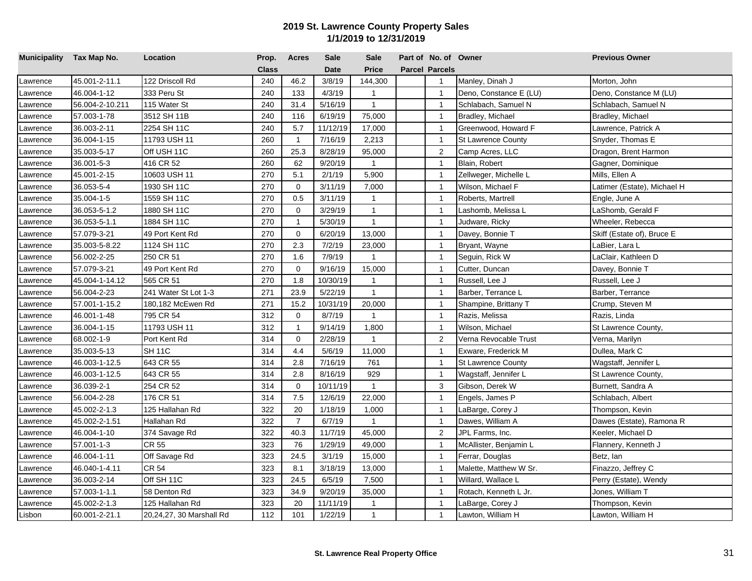| Municipality Tax Map No. |                 | Location                 | Prop.        | Acres          | <b>Sale</b> | <b>Sale</b>  | Part of No. of Owner  |                           | <b>Previous Owner</b>       |
|--------------------------|-----------------|--------------------------|--------------|----------------|-------------|--------------|-----------------------|---------------------------|-----------------------------|
|                          |                 |                          | <b>Class</b> |                | <b>Date</b> | <b>Price</b> | <b>Parcel Parcels</b> |                           |                             |
| Lawrence                 | 45.001-2-11.1   | 122 Driscoll Rd          | 240          | 46.2           | 3/8/19      | 144,300      | $\overline{1}$        | Manley, Dinah J           | Morton, John                |
| _awrence                 | 46.004-1-12     | 333 Peru St              | 240          | 133            | 4/3/19      | $\mathbf{1}$ | $\mathbf{1}$          | Deno, Constance E (LU)    | Deno, Constance M (LU)      |
| Lawrence                 | 56.004-2-10.211 | 115 Water St             | 240          | 31.4           | 5/16/19     | $\mathbf{1}$ | $\mathbf{1}$          | Schlabach, Samuel N       | Schlabach, Samuel N         |
| Lawrence                 | 57.003-1-78     | 3512 SH 11B              | 240          | 116            | 6/19/19     | 75,000       | $\mathbf{1}$          | Bradley, Michael          | Bradley, Michael            |
| _awrence                 | 36.003-2-11     | 2254 SH 11C              | 240          | 5.7            | 11/12/19    | 17,000       | $\mathbf{1}$          | Greenwood, Howard F       | Lawrence, Patrick A         |
| _awrence                 | 36.004-1-15     | 11793 USH 11             | 260          | $\mathbf{1}$   | 7/16/19     | 2,213        | $\overline{1}$        | <b>St Lawrence County</b> | Snyder, Thomas E            |
| Lawrence                 | 35.003-5-17     | Off USH 11C              | 260          | 25.3           | 8/28/19     | 95,000       | 2                     | Camp Acres, LLC           | Dragon, Brent Harmon        |
| Lawrence                 | 36.001-5-3      | 416 CR 52                | 260          | 62             | 9/20/19     | $\mathbf{1}$ | $\mathbf{1}$          | Blain, Robert             | Gagner, Dominique           |
| Lawrence                 | 45.001-2-15     | 10603 USH 11             | 270          | 5.1            | 2/1/19      | 5,900        | $\mathbf{1}$          | Zellweger, Michelle L     | Mills, Ellen A              |
| Lawrence                 | 36.053-5-4      | 1930 SH 11C              | 270          | $\mathbf 0$    | 3/11/19     | 7,000        | $\mathbf{1}$          | Wilson, Michael F         | Latimer (Estate), Michael H |
| Lawrence                 | 35.004-1-5      | 1559 SH 11C              | 270          | 0.5            | 3/11/19     | $\mathbf{1}$ | $\mathbf{1}$          | Roberts, Martrell         | Engle, June A               |
| Lawrence                 | 36.053-5-1.2    | 1880 SH 11C              | 270          | $\mathbf{0}$   | 3/29/19     | $\mathbf{1}$ | $\mathbf{1}$          | _ashomb, Melissa L        | LaShomb, Gerald F           |
| Lawrence                 | 36.053-5-1.1    | 1884 SH 11C              | 270          | $\mathbf{1}$   | 5/30/19     | $\mathbf{1}$ | $\mathbf{1}$          | Judware, Ricky            | Wheeler, Rebecca            |
| Lawrence                 | 57.079-3-21     | 49 Port Kent Rd          | 270          | $\mathbf 0$    | 6/20/19     | 13,000       | $\overline{1}$        | Davey, Bonnie T           | Skiff (Estate of), Bruce E  |
| Lawrence                 | 35.003-5-8.22   | 1124 SH 11C              | 270          | 2.3            | 7/2/19      | 23,000       | $\mathbf{1}$          | Bryant, Wayne             | LaBier, Lara L              |
| Lawrence                 | 56.002-2-25     | 250 CR 51                | 270          | 1.6            | 7/9/19      | $\mathbf{1}$ | $\overline{1}$        | Seguin, Rick W            | LaClair, Kathleen D         |
| Lawrence                 | 57.079-3-21     | 49 Port Kent Rd          | 270          | $\Omega$       | 9/16/19     | 15,000       | $\mathbf{1}$          | Cutter, Duncan            | Davey, Bonnie T             |
| _awrence                 | 45.004-1-14.12  | 565 CR 51                | 270          | 1.8            | 10/30/19    | 1            | $\mathbf{1}$          | Russell, Lee J            | Russell, Lee J              |
| _awrence                 | 56.004-2-23     | 241 Water St Lot 1-3     | 271          | 23.9           | 5/22/19     | $\mathbf{1}$ | $\mathbf{1}$          | Barber, Terrance L        | Barber, Terrance            |
| _awrence                 | 57.001-1-15.2   | 180,182 McEwen Rd        | 271          | 15.2           | 10/31/19    | 20,000       | $\overline{1}$        | Shampine, Brittany T      | Crump, Steven M             |
| _awrence                 | 46.001-1-48     | 795 CR 54                | 312          | $\mathbf 0$    | 8/7/19      | 1            | $\overline{1}$        | Razis, Melissa            | Razis, Linda                |
| Lawrence                 | 36.004-1-15     | 11793 USH 11             | 312          | $\mathbf{1}$   | 9/14/19     | 1,800        | $\overline{1}$        | Wilson, Michael           | St Lawrence County,         |
| Lawrence                 | 68.002-1-9      | Port Kent Rd             | 314          | $\mathbf 0$    | 2/28/19     | $\mathbf{1}$ | 2                     | Verna Revocable Trust     | Verna, Marilyn              |
| Lawrence                 | 35.003-5-13     | SH 11C                   | 314          | 4.4            | 5/6/19      | 11,000       | $\mathbf{1}$          | Exware, Frederick M       | Dullea, Mark C              |
| awrence                  | 46.003-1-12.5   | 643 CR 55                | 314          | 2.8            | 7/16/19     | 761          | $\mathbf{1}$          | <b>St Lawrence County</b> | Wagstaff, Jennifer L        |
| Lawrence                 | 46.003-1-12.5   | 643 CR 55                | 314          | 2.8            | 8/16/19     | 929          | $\overline{1}$        | Wagstaff, Jennifer L      | St Lawrence County,         |
| _awrence                 | 36.039-2-1      | 254 CR 52                | 314          | $\mathbf 0$    | 10/11/19    | $\mathbf{1}$ | 3                     | Gibson, Derek W           | Burnett, Sandra A           |
| _awrence                 | 56.004-2-28     | 176 CR 51                | 314          | 7.5            | 12/6/19     | 22,000       | $\mathbf{1}$          | Engels, James P           | Schlabach, Albert           |
| Lawrence                 | 45.002-2-1.3    | 125 Hallahan Rd          | 322          | 20             | 1/18/19     | 1,000        | $\mathbf{1}$          | LaBarge, Corey J          | Thompson, Kevin             |
| Lawrence                 | 45.002-2-1.51   | Hallahan Rd              | 322          | $\overline{7}$ | 6/7/19      | $\mathbf{1}$ | $\mathbf{1}$          | Dawes, William A          | Dawes (Estate), Ramona R    |
| Lawrence                 | 46.004-1-10     | 374 Savage Rd            | 322          | 40.3           | 11/7/19     | 45,000       | $\overline{2}$        | JPL Farms, Inc.           | Keeler, Michael D           |
| Lawrence                 | 57.001-1-3      | CR 55                    | 323          | 76             | 1/29/19     | 49,000       | $\mathbf{1}$          | McAllister, Benjamin L    | Flannery, Kenneth J         |
| Lawrence                 | 46.004-1-11     | Off Savage Rd            | 323          | 24.5           | 3/1/19      | 15,000       | $\mathbf{1}$          | Ferrar, Douglas           | Betz, lan                   |
| Lawrence                 | 46.040-1-4.11   | CR 54                    | 323          | 8.1            | 3/18/19     | 13,000       | $\mathbf{1}$          | Malette, Matthew W Sr.    | Finazzo, Jeffrey C          |
| Lawrence                 | 36.003-2-14     | Off SH 11C               | 323          | 24.5           | 6/5/19      | 7,500        | $\mathbf{1}$          | Willard, Wallace L        | Perry (Estate), Wendy       |
| Lawrence                 | 57.003-1-1.1    | 58 Denton Rd             | 323          | 34.9           | 9/20/19     | 35,000       | $\mathbf{1}$          | Rotach, Kenneth L Jr.     | Jones, William T            |
| Lawrence                 | 45.002-2-1.3    | 125 Hallahan Rd          | 323          | 20             | 11/11/19    | 1            | $\overline{1}$        | LaBarge, Corey J          | Thompson, Kevin             |
| Lisbon                   | 60.001-2-21.1   | 20,24,27, 30 Marshall Rd | 112          | 101            | 1/22/19     | $\mathbf{1}$ | $\mathbf{1}$          | Lawton, William H         | Lawton, William H           |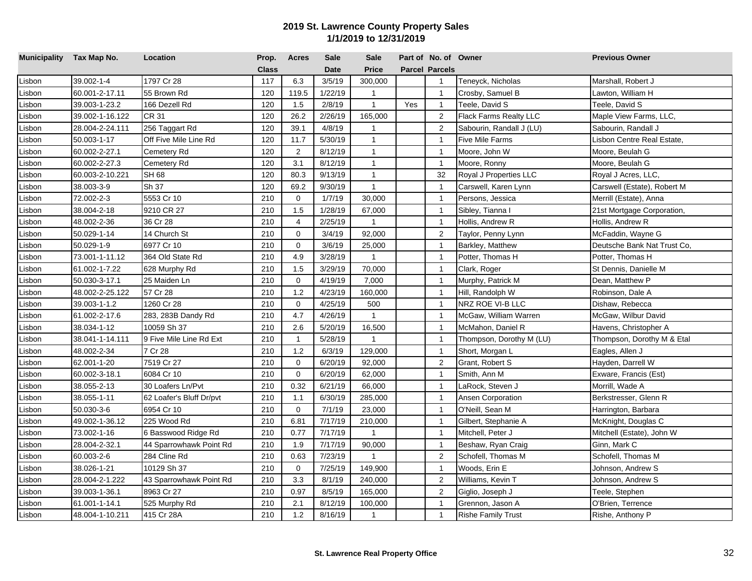| Municipality Tax Map No. |                 | Location                 | Prop.        | <b>Acres</b> | <b>Sale</b> | <b>Sale</b>    |     | Part of No. of Owner  |                           | <b>Previous Owner</b>       |
|--------------------------|-----------------|--------------------------|--------------|--------------|-------------|----------------|-----|-----------------------|---------------------------|-----------------------------|
|                          |                 |                          | <b>Class</b> |              | <b>Date</b> | Price          |     | <b>Parcel Parcels</b> |                           |                             |
| Lisbon                   | 39.002-1-4      | 1797 Cr 28               | 117          | 6.3          | 3/5/19      | 300,000        |     | $\mathbf{1}$          | Teneyck, Nicholas         | Marshall, Robert J          |
| Lisbon                   | 60.001-2-17.11  | 55 Brown Rd              | 120          | 119.5        | 1/22/19     | $\mathbf{1}$   |     | $\mathbf{1}$          | Crosby, Samuel B          | Lawton, William H           |
| Lisbon                   | 39.003-1-23.2   | 166 Dezell Rd            | 120          | 1.5          | 2/8/19      | $\mathbf{1}$   | Yes | $\overline{1}$        | <b>Teele, David S</b>     | Teele, David S              |
| Lisbon                   | 39.002-1-16.122 | <b>CR 31</b>             | 120          | 26.2         | 2/26/19     | 165,000        |     | 2                     | Flack Farms Realty LLC    | Maple View Farms, LLC,      |
| Lisbon                   | 28.004-2-24.111 | 256 Taggart Rd           | 120          | 39.1         | 4/8/19      | $\mathbf{1}$   |     | $\overline{2}$        | Sabourin, Randall J (LU)  | Sabourin, Randall J         |
| Lisbon                   | 50.003-1-17     | Off Five Mile Line Rd    | 120          | 11.7         | 5/30/19     | $\mathbf{1}$   |     | $\overline{1}$        | Five Mile Farms           | Lisbon Centre Real Estate,  |
| Lisbon                   | 60.002-2-27.1   | Cemetery Rd              | 120          | 2            | 8/12/19     | $\mathbf{1}$   |     | $\overline{1}$        | Moore, John W             | Moore, Beulah G             |
| Lisbon                   | 60.002-2-27.3   | Cemetery Rd              | 120          | 3.1          | 8/12/19     | $\mathbf{1}$   |     | $\overline{1}$        | Moore, Ronny              | Moore, Beulah G             |
| Lisbon                   | 60.003-2-10.221 | <b>SH 68</b>             | 120          | 80.3         | 9/13/19     | $\overline{1}$ |     | 32                    | Royal J Properties LLC    | Royal J Acres, LLC,         |
| Lisbon                   | 38.003-3-9      | Sh 37                    | 120          | 69.2         | 9/30/19     | $\mathbf{1}$   |     | $\mathbf{1}$          | Carswell, Karen Lynn      | Carswell (Estate), Robert M |
| Lisbon                   | 72.002-2-3      | 5553 Cr 10               | 210          | $\mathbf 0$  | 1/7/19      | 30,000         |     | $\overline{1}$        | Persons, Jessica          | Merrill (Estate), Anna      |
| Lisbon                   | 38.004-2-18     | 9210 CR 27               | 210          | 1.5          | 1/28/19     | 67,000         |     | $\overline{1}$        | Sibley, Tianna I          | 21st Mortgage Corporation,  |
| Lisbon                   | 48.002-2-36     | 36 Cr 28                 | 210          | 4            | 2/25/19     | $\mathbf{1}$   |     | $\mathbf{1}$          | Hollis, Andrew R          | Hollis, Andrew R            |
| Lisbon                   | 50.029-1-14     | 14 Church St             | 210          | $\mathbf 0$  | 3/4/19      | 92,000         |     | $\overline{2}$        | Taylor, Penny Lynn        | McFaddin, Wayne G           |
| Lisbon                   | 50.029-1-9      | 6977 Cr 10               | 210          | $\mathbf 0$  | 3/6/19      | 25,000         |     | $\overline{1}$        | Barkley, Matthew          | Deutsche Bank Nat Trust Co, |
| Lisbon                   | 73.001-1-11.12  | 364 Old State Rd         | 210          | 4.9          | 3/28/19     | $\mathbf{1}$   |     | $\overline{1}$        | Potter, Thomas H          | Potter, Thomas H            |
| Lisbon                   | 61.002-1-7.22   | 628 Murphy Rd            | 210          | 1.5          | 3/29/19     | 70,000         |     | $\overline{1}$        | Clark, Roger              | St Dennis, Danielle M       |
| Lisbon                   | 50.030-3-17.1   | 25 Maiden Ln             | 210          | $\Omega$     | 4/19/19     | 7,000          |     | $\overline{1}$        | Murphy, Patrick M         | Dean, Matthew P             |
| Lisbon                   | 48.002-2-25.122 | 57 Cr 28                 | 210          | 1.2          | 4/23/19     | 160,000        |     | $\overline{1}$        | Hill, Randolph W          | Robinson, Dale A            |
| Lisbon                   | 39.003-1-1.2    | 1260 Cr 28               | 210          | $\Omega$     | 4/25/19     | 500            |     | $\overline{1}$        | NRZ ROE VI-B LLC          | Dishaw, Rebecca             |
| Lisbon                   | 61.002-2-17.6   | 283, 283B Dandy Rd       | 210          | 4.7          | 4/26/19     | $\mathbf{1}$   |     | $\mathbf{1}$          | McGaw, William Warren     | McGaw, Wilbur David         |
| Lisbon                   | 38.034-1-12     | 10059 Sh 37              | 210          | 2.6          | 5/20/19     | 16,500         |     | $\overline{1}$        | McMahon, Daniel R         | Havens, Christopher A       |
| Lisbon                   | 38.041-1-14.111 | 9 Five Mile Line Rd Ext  | 210          | $\mathbf{1}$ | 5/28/19     | $\mathbf{1}$   |     | $\overline{1}$        | Thompson, Dorothy M (LU)  | Thompson, Dorothy M & Etal  |
| Lisbon                   | 48.002-2-34     | 7 Cr 28                  | 210          | 1.2          | 6/3/19      | 129,000        |     | $\overline{1}$        | Short, Morgan L           | Eagles, Allen J             |
| Lisbon                   | 62.001-1-20     | 7519 Cr 27               | 210          | $\mathbf 0$  | 6/20/19     | 92,000         |     | $\overline{2}$        | Grant, Robert S           | Hayden, Darrell W           |
| Lisbon                   | 60.002-3-18.1   | 6084 Cr 10               | 210          | $\mathbf 0$  | 6/20/19     | 62,000         |     | $\overline{1}$        | Smith, Ann M              | Exware, Francis (Est)       |
| Lisbon                   | 38.055-2-13     | 30 Loafers Ln/Pvt        | 210          | 0.32         | 6/21/19     | 66,000         |     | $\overline{1}$        | LaRock, Steven J          | Morrill, Wade A             |
| Lisbon                   | 38.055-1-11     | 62 Loafer's Bluff Dr/pvt | 210          | 1.1          | 6/30/19     | 285,000        |     | $\overline{1}$        | Ansen Corporation         | Berkstresser, Glenn R       |
| Lisbon                   | 50.030-3-6      | 6954 Cr 10               | 210          | $\mathbf 0$  | 7/1/19      | 23,000         |     | $\overline{1}$        | O'Neill, Sean M           | Harrington, Barbara         |
| Lisbon                   | 49.002-1-36.12  | 225 Wood Rd              | 210          | 6.81         | 7/17/19     | 210,000        |     | $\overline{1}$        | Gilbert, Stephanie A      | McKnight, Douglas C         |
| Lisbon                   | 73.002-1-16     | 6 Basswood Ridge Rd      | 210          | 0.77         | 7/17/19     | $\mathbf{1}$   |     | $\overline{1}$        | Mitchell, Peter J         | Mitchell (Estate), John W   |
| Lisbon                   | 28.004-2-32.1   | 44 Sparrowhawk Point Rd  | 210          | 1.9          | 7/17/19     | 90,000         |     | $\overline{1}$        | Beshaw, Ryan Craig        | Ginn, Mark C                |
| Lisbon                   | 60.003-2-6      | 284 Cline Rd             | 210          | 0.63         | 7/23/19     | $\overline{1}$ |     | $\overline{2}$        | Schofell, Thomas M        | Schofell, Thomas M          |
| Lisbon                   | 38.026-1-21     | 10129 Sh 37              | 210          | $\mathbf{0}$ | 7/25/19     | 149,900        |     | $\overline{1}$        | Woods, Erin E             | Johnson, Andrew S           |
| Lisbon                   | 28.004-2-1.222  | 43 Sparrowhawk Point Rd  | 210          | 3.3          | 8/1/19      | 240,000        |     | $\overline{2}$        | Williams, Kevin T         | Johnson, Andrew S           |
| Lisbon                   | 39.003-1-36.1   | 8963 Cr 27               | 210          | 0.97         | 8/5/19      | 165,000        |     | $\overline{2}$        | Giglio, Joseph J          | Teele, Stephen              |
| Lisbon                   | 61.001-1-14.1   | 525 Murphy Rd            | 210          | 2.1          | 8/12/19     | 100,000        |     | $\overline{1}$        | Grennon, Jason A          | O'Brien, Terrence           |
| Lisbon                   | 48.004-1-10.211 | 415 Cr 28A               | 210          | 1.2          | 8/16/19     | $\mathbf{1}$   |     | $\mathbf{1}$          | <b>Rishe Family Trust</b> | Rishe, Anthony P            |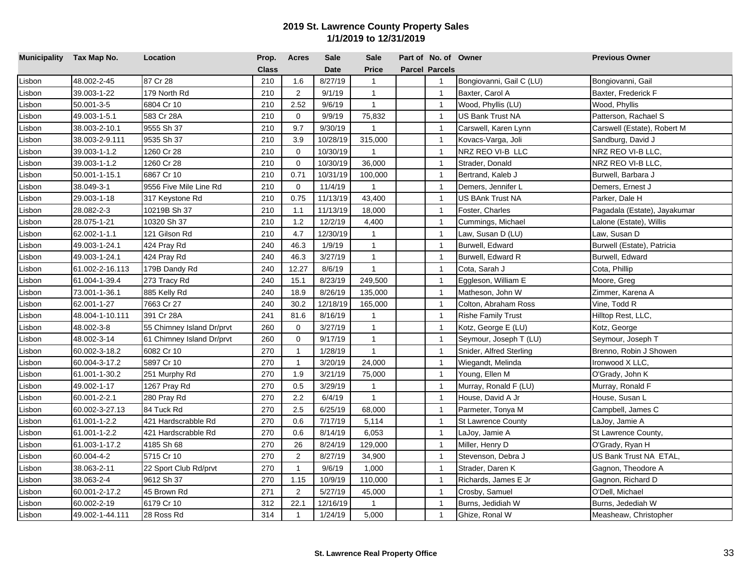| Municipality Tax Map No. |                 | Location                  | Prop.        | <b>Acres</b>   | <b>Sale</b> | <b>Sale</b>  | Part of No. of Owner  |                           | <b>Previous Owner</b>        |
|--------------------------|-----------------|---------------------------|--------------|----------------|-------------|--------------|-----------------------|---------------------------|------------------------------|
|                          |                 |                           | <b>Class</b> |                | <b>Date</b> | <b>Price</b> | <b>Parcel Parcels</b> |                           |                              |
| Lisbon                   | 48.002-2-45     | 87 Cr 28                  | 210          | 1.6            | 8/27/19     | $\mathbf{1}$ | $\mathbf{1}$          | Bongiovanni, Gail C (LU)  | Bongiovanni, Gail            |
| Lisbon                   | 39.003-1-22     | 179 North Rd              | 210          | 2              | 9/1/19      | $\mathbf{1}$ | $\overline{1}$        | Baxter, Carol A           | Baxter, Frederick F          |
| Lisbon                   | 50.001-3-5      | 6804 Cr 10                | 210          | 2.52           | 9/6/19      | $\mathbf{1}$ | $\overline{1}$        | Wood, Phyllis (LU)        | Wood, Phyllis                |
| Lisbon                   | 49.003-1-5.1    | 583 Cr 28A                | 210          | $\mathbf 0$    | 9/9/19      | 75,832       | $\overline{1}$        | US Bank Trust NA          | Patterson, Rachael S         |
| Lisbon                   | 38.003-2-10.1   | 9555 Sh 37                | 210          | 9.7            | 9/30/19     | $\mathbf{1}$ | $\overline{1}$        | Carswell, Karen Lynn      | Carswell (Estate), Robert M  |
| Lisbon                   | 38.003-2-9.111  | 9535 Sh 37                | 210          | 3.9            | 10/28/19    | 315,000      | $\overline{1}$        | Kovacs-Varga, Joli        | Sandburg, David J            |
| Lisbon                   | 39.003-1-1.2    | 1260 Cr 28                | 210          | $\mathbf 0$    | 10/30/19    | $\mathbf{1}$ | $\overline{1}$        | NRZ REO VI-B LLC          | NRZ REO VI-B LLC,            |
| Lisbon                   | 39.003-1-1.2    | 1260 Cr 28                | 210          | $\mathbf 0$    | 10/30/19    | 36,000       | $\overline{1}$        | Strader, Donald           | NRZ REO VI-B LLC.            |
| Lisbon                   | 50.001-1-15.1   | 6867 Cr 10                | 210          | 0.71           | 10/31/19    | 100,000      | $\overline{1}$        | Bertrand, Kaleb J         | Burwell, Barbara J           |
| Lisbon                   | 38.049-3-1      | 9556 Five Mile Line Rd    | 210          | $\mathbf 0$    | 11/4/19     | $\mathbf{1}$ | $\overline{1}$        | Demers, Jennifer L        | Demers, Ernest J             |
| Lisbon                   | 29.003-1-18     | 317 Keystone Rd           | 210          | 0.75           | 11/13/19    | 43,400       | $\overline{1}$        | US BAnk Trust NA          | Parker, Dale H               |
| Lisbon                   | 28.082-2-3      | 10219B Sh 37              | 210          | 1.1            | 11/13/19    | 18,000       | $\overline{1}$        | Foster, Charles           | Pagadala (Estate), Jayakumar |
| Lisbon                   | 28.075-1-21     | 10320 Sh 37               | 210          | 1.2            | 12/2/19     | 4,400        | $\overline{1}$        | Cummings, Michael         | Lalone (Estate), Willis      |
| Lisbon                   | 62.002-1-1.1    | 121 Gilson Rd             | 210          | 4.7            | 12/30/19    | $\mathbf{1}$ | $\overline{1}$        | Law, Susan D (LU)         | Law, Susan D                 |
| Lisbon                   | 49.003-1-24.1   | 424 Pray Rd               | 240          | 46.3           | 1/9/19      | $\mathbf{1}$ | $\overline{1}$        | Burwell, Edward           | Burwell (Estate), Patricia   |
| Lisbon                   | 49.003-1-24.1   | 424 Pray Rd               | 240          | 46.3           | 3/27/19     | $\mathbf{1}$ | $\overline{1}$        | Burwell, Edward R         | Burwell, Edward              |
| Lisbon                   | 61.002-2-16.113 | 179B Dandy Rd             | 240          | 12.27          | 8/6/19      | $\mathbf{1}$ | $\overline{1}$        | Cota, Sarah J             | Cota, Phillip                |
| Lisbon                   | 61.004-1-39.4   | 273 Tracy Rd              | 240          | 15.1           | 8/23/19     | 249,500      | $\overline{1}$        | Eggleson, William E       | Moore, Greg                  |
| Lisbon                   | 73.001-1-36.1   | 885 Kelly Rd              | 240          | 18.9           | 8/26/19     | 135,000      | $\overline{1}$        | Matheson, John W          | Zimmer, Karena A             |
| Lisbon                   | 62.001-1-27     | 7663 Cr 27                | 240          | 30.2           | 12/18/19    | 165,000      | $\overline{1}$        | Colton, Abraham Ross      | Vine, Todd R                 |
| Lisbon                   | 48.004-1-10.111 | 391 Cr 28A                | 241          | 81.6           | 8/16/19     | $\mathbf{1}$ | $\overline{1}$        | <b>Rishe Family Trust</b> | Hilltop Rest, LLC,           |
| Lisbon                   | 48.002-3-8      | 55 Chimney Island Dr/prvt | 260          | $\mathbf 0$    | 3/27/19     | $\mathbf{1}$ | $\overline{1}$        | Kotz, George E (LU)       | Kotz, George                 |
| Lisbon                   | 48.002-3-14     | 61 Chimney Island Dr/prvt | 260          | $\mathbf 0$    | 9/17/19     | $\mathbf{1}$ | $\overline{1}$        | Seymour, Joseph T (LU)    | Seymour, Joseph T            |
| Lisbon                   | 60.002-3-18.2   | 6082 Cr 10                | 270          | $\overline{1}$ | 1/28/19     | $\mathbf{1}$ | $\overline{1}$        | Snider, Alfred Sterling   | Brenno, Robin J Showen       |
| Lisbon                   | 60.004-3-17.2   | 5897 Cr 10                | 270          | $\overline{1}$ | 3/20/19     | 24,000       | $\overline{1}$        | Wiegandt, Melinda         | Ironwood X LLC,              |
| Lisbon                   | 61.001-1-30.2   | 251 Murphy Rd             | 270          | 1.9            | 3/21/19     | 75,000       | $\overline{1}$        | Young, Ellen M            | O'Grady, John K              |
| Lisbon                   | 49.002-1-17     | 1267 Pray Rd              | 270          | 0.5            | 3/29/19     | $\mathbf{1}$ | $\overline{1}$        | Murray, Ronald F (LU)     | Murray, Ronald F             |
| Lisbon                   | 60.001-2-2.1    | 280 Pray Rd               | 270          | 2.2            | 6/4/19      | $\mathbf{1}$ | $\overline{1}$        | House, David A Jr         | House, Susan L               |
| Lisbon                   | 60.002-3-27.13  | 84 Tuck Rd                | 270          | 2.5            | 6/25/19     | 68,000       | $\overline{1}$        | Parmeter, Tonya M         | Campbell, James C            |
| Lisbon                   | 61.001-1-2.2    | 421 Hardscrabble Rd       | 270          | 0.6            | 7/17/19     | 5,114        | $\overline{1}$        | <b>St Lawrence County</b> | LaJoy, Jamie A               |
| Lisbon                   | 61.001-1-2.2    | 421 Hardscrabble Rd       | 270          | 0.6            | 8/14/19     | 6,053        | $\overline{1}$        | LaJoy, Jamie A            | St Lawrence County,          |
| Lisbon                   | 61.003-1-17.2   | 4185 Sh 68                | 270          | 26             | 8/24/19     | 129,000      | $\overline{1}$        | Miller, Henry D           | O'Grady, Ryan H              |
| Lisbon                   | 60.004-4-2      | 5715 Cr 10                | 270          | $\overline{2}$ | 8/27/19     | 34,900       | $\overline{1}$        | Stevenson, Debra J        | US Bank Trust NA ETAL,       |
| Lisbon                   | 38.063-2-11     | 22 Sport Club Rd/prvt     | 270          | $\mathbf{1}$   | 9/6/19      | 1,000        | $\overline{1}$        | Strader, Daren K          | Gagnon, Theodore A           |
| Lisbon                   | 38.063-2-4      | 9612 Sh 37                | 270          | 1.15           | 10/9/19     | 110,000      | $\overline{1}$        | Richards, James E Jr      | Gagnon, Richard D            |
| Lisbon                   | 60.001-2-17.2   | 45 Brown Rd               | 271          | 2              | 5/27/19     | 45,000       | $\overline{1}$        | Crosby, Samuel            | O'Dell, Michael              |
| Lisbon                   | 60.002-2-19     | 6179 Cr 10                | 312          | 22.1           | 12/16/19    | $\mathbf{1}$ | $\overline{1}$        | Burns, Jedidiah W         | Burns, Jedediah W            |
| Lisbon                   | 49.002-1-44.111 | 28 Ross Rd                | 314          | $\overline{1}$ | 1/24/19     | 5,000        | $\mathbf{1}$          | Ghize, Ronal W            | Measheaw, Christopher        |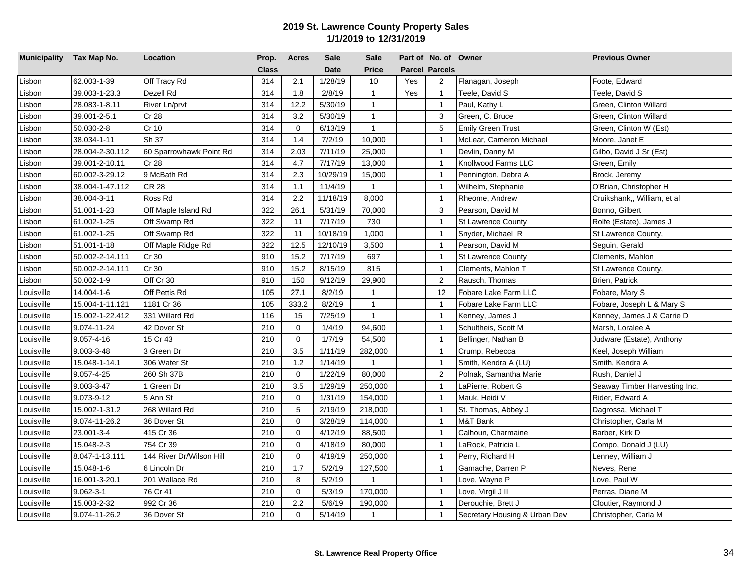| Municipality Tax Map No. |                 | Location                 | Prop.        | <b>Acres</b> | Sale        | <b>Sale</b>    |     | Part of No. of Owner  |                               | <b>Previous Owner</b>         |
|--------------------------|-----------------|--------------------------|--------------|--------------|-------------|----------------|-----|-----------------------|-------------------------------|-------------------------------|
|                          |                 |                          | <b>Class</b> |              | <b>Date</b> | <b>Price</b>   |     | <b>Parcel Parcels</b> |                               |                               |
| Lisbon                   | 62.003-1-39     | Off Tracy Rd             | 314          | 2.1          | 1/28/19     | 10             | Yes | $\overline{2}$        | Flanagan, Joseph              | Foote, Edward                 |
| Lisbon                   | 39.003-1-23.3   | Dezell Rd                | 314          | 1.8          | 2/8/19      | $\mathbf{1}$   | Yes | $\overline{1}$        | Teele, David S                | Teele, David S                |
| Lisbon                   | 28.083-1-8.11   | River Ln/prvt            | 314          | 12.2         | 5/30/19     | $\mathbf{1}$   |     | $\overline{1}$        | Paul, Kathy L                 | Green, Clinton Willard        |
| Lisbon                   | 39.001-2-5.1    | Cr 28                    | 314          | 3.2          | 5/30/19     | $\mathbf{1}$   |     | $\mathbf{3}$          | Green, C. Bruce               | Green, Clinton Willard        |
| Lisbon                   | 50.030-2-8      | Cr 10                    | 314          | $\mathbf 0$  | 6/13/19     | $\mathbf{1}$   |     | 5                     | <b>Emily Green Trust</b>      | Green, Clinton W (Est)        |
| Lisbon                   | 38.034-1-11     | Sh 37                    | 314          | 1.4          | 7/2/19      | 10,000         |     | $\overline{1}$        | McLear, Cameron Michael       | Moore, Janet E                |
| Lisbon                   | 28.004-2-30.112 | 60 Sparrowhawk Point Rd  | 314          | 2.03         | 7/11/19     | 25,000         |     | $\overline{1}$        | Devlin, Danny M               | Gilbo, David J Sr (Est)       |
| Lisbon                   | 39.001-2-10.11  | Cr 28                    | 314          | 4.7          | 7/17/19     | 13,000         |     | $\overline{1}$        | Knollwood Farms LLC           | Green, Emily                  |
| Lisbon                   | 60.002-3-29.12  | 9 McBath Rd              | 314          | 2.3          | 10/29/19    | 15,000         |     | $\overline{1}$        | Pennington, Debra A           | Brock, Jeremy                 |
| Lisbon                   | 38.004-1-47.112 | <b>CR 28</b>             | 314          | 1.1          | 11/4/19     | $\mathbf{1}$   |     | $\overline{1}$        | Wilhelm, Stephanie            | O'Brian, Christopher H        |
| Lisbon                   | 38.004-3-11     | Ross Rd                  | 314          | 2.2          | 11/18/19    | 8,000          |     | $\overline{1}$        | Rheome, Andrew                | Cruikshank,, William, et al   |
| Lisbon                   | 51.001-1-23     | Off Maple Island Rd      | 322          | 26.1         | 5/31/19     | 70,000         |     | 3                     | Pearson, David M              | Bonno, Gilbert                |
| Lisbon                   | 61.002-1-25     | Off Swamp Rd             | 322          | 11           | 7/17/19     | 730            |     | $\overline{1}$        | <b>St Lawrence County</b>     | Rolfe (Estate), James J       |
| Lisbon                   | 61.002-1-25     | Off Swamp Rd             | 322          | 11           | 10/18/19    | 1,000          |     | $\mathbf{1}$          | Snyder, Michael R             | St Lawrence County,           |
| Lisbon                   | 51.001-1-18     | Off Maple Ridge Rd       | 322          | 12.5         | 12/10/19    | 3,500          |     | $\overline{1}$        | Pearson, David M              | Seguin, Gerald                |
| Lisbon                   | 50.002-2-14.111 | Cr 30                    | 910          | 15.2         | 7/17/19     | 697            |     | $\overline{1}$        | <b>St Lawrence County</b>     | Clements, Mahlon              |
| Lisbon                   | 50.002-2-14.111 | Cr 30                    | 910          | 15.2         | 8/15/19     | 815            |     | $\overline{1}$        | Clements, Mahlon T            | St Lawrence County,           |
| Lisbon                   | 50.002-1-9      | Off Cr 30                | 910          | 150          | 9/12/19     | 29,900         |     | $\overline{c}$        | Rausch, Thomas                | Brien, Patrick                |
| Louisville               | 14.004-1-6      | Off Pettis Rd            | 105          | 27.1         | 8/2/19      | $\mathbf{1}$   |     | 12                    | Fobare Lake Farm LLC          | Fobare, Mary S                |
| Louisville               | 15.004-1-11.121 | 1181 Cr 36               | 105          | 333.2        | 8/2/19      | $\mathbf{1}$   |     | $\overline{1}$        | Fobare Lake Farm LLC          | Fobare, Joseph L & Mary S     |
| Louisville               | 15.002-1-22.412 | 331 Willard Rd           | 116          | 15           | 7/25/19     | $\mathbf{1}$   |     | $\mathbf{1}$          | Kenney, James J               | Kenney, James J & Carrie D    |
| Louisville               | 9.074-11-24     | 42 Dover St              | 210          | $\mathbf 0$  | 1/4/19      | 94,600         |     | $\overline{1}$        | Schultheis, Scott M           | Marsh, Loralee A              |
| Louisville               | 9.057-4-16      | 15 Cr 43                 | 210          | $\mathbf 0$  | 1/7/19      | 54,500         |     | $\overline{1}$        | Bellinger, Nathan B           | Judware (Estate), Anthony     |
| Louisville               | 9.003-3-48      | 3 Green Dr               | 210          | 3.5          | 1/11/19     | 282,000        |     | $\overline{1}$        | Crump, Rebecca                | Keel, Joseph William          |
| Louisville               | 15.048-1-14.1   | 306 Water St             | 210          | 1.2          | 1/14/19     | $\overline{1}$ |     | $\overline{1}$        | Smith, Kendra A (LU)          | Smith, Kendra A               |
| Louisville               | 9.057-4-25      | 260 Sh 37B               | 210          | $\mathbf 0$  | 1/22/19     | 80,000         |     | 2                     | Polnak, Samantha Marie        | Rush, Daniel J                |
| Louisville               | 9.003-3-47      | 1 Green Dr               | 210          | 3.5          | 1/29/19     | 250,000        |     | $\overline{1}$        | LaPierre, Robert G            | Seaway Timber Harvesting Inc, |
| Louisville               | 9.073-9-12      | 5 Ann St                 | 210          | $\mathbf 0$  | 1/31/19     | 154,000        |     | $\overline{1}$        | Mauk, Heidi V                 | Rider, Edward A               |
| Louisville               | 15.002-1-31.2   | 268 Willard Rd           | 210          | 5            | 2/19/19     | 218,000        |     | $\overline{1}$        | St. Thomas, Abbey J           | Dagrossa, Michael T           |
| Louisville               | 9.074-11-26.2   | 36 Dover St              | 210          | $\mathbf 0$  | 3/28/19     | 114,000        |     | $\overline{1}$        | M&T Bank                      | Christopher, Carla M          |
| Louisville               | 23.001-3-4      | 415 Cr 36                | 210          | $\mathbf 0$  | 4/12/19     | 88,500         |     | $\overline{1}$        | Calhoun, Charmaine            | Barber, Kirk D                |
| Louisville               | 15.048-2-3      | 754 Cr 39                | 210          | $\mathbf 0$  | 4/18/19     | 80,000         |     | $\overline{1}$        | LaRock, Patricia L            | Compo, Donald J (LU)          |
| Louisville               | 8.047-1-13.111  | 144 River Dr/Wilson Hill | 210          | $\mathbf 0$  | 4/19/19     | 250,000        |     | $\overline{1}$        | Perry, Richard H              | Lenney, William J             |
| Louisville               | 15.048-1-6      | 6 Lincoln Dr             | 210          | 1.7          | 5/2/19      | 127,500        |     | $\overline{1}$        | Gamache, Darren P             | Neves, Rene                   |
| Louisville               | 16.001-3-20.1   | 201 Wallace Rd           | 210          | 8            | 5/2/19      | $\overline{1}$ |     | $\overline{1}$        | ove, Wayne P                  | Love, Paul W                  |
| Louisville               | 9.062-3-1       | 76 Cr 41                 | 210          | $\mathbf 0$  | 5/3/19      | 170,000        |     | $\overline{1}$        | _ove, Virgil J II             | Perras, Diane M               |
| Louisville               | 15.003-2-32     | 992 Cr 36                | 210          | 2.2          | 5/6/19      | 190,000        |     | $\overline{1}$        | Derouchie, Brett J            | Cloutier, Raymond J           |
| Louisville               | 9.074-11-26.2   | 36 Dover St              | 210          | $\Omega$     | 5/14/19     | $\mathbf{1}$   |     | $\mathbf{1}$          | Secretary Housing & Urban Dev | Christopher, Carla M          |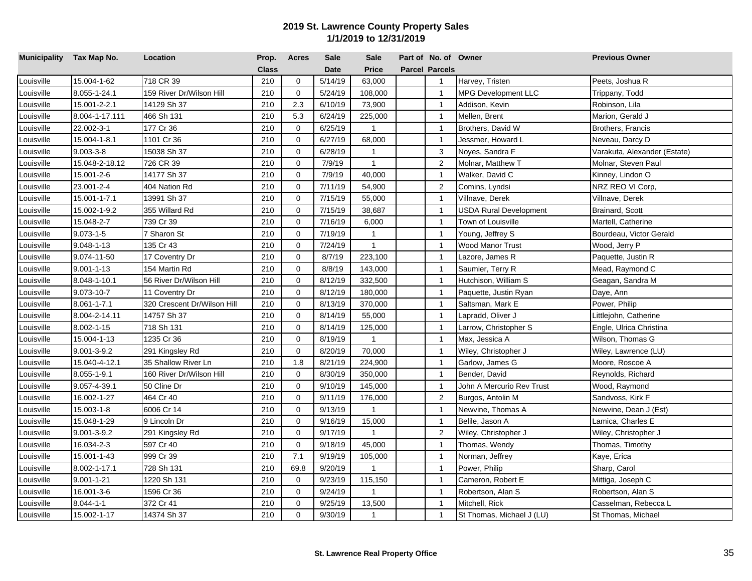| Municipality Tax Map No. |                  | Location                    | Prop.        | <b>Acres</b> | Sale        | <b>Sale</b>  | Part of No. of Owner  |                            | <b>Previous Owner</b>        |
|--------------------------|------------------|-----------------------------|--------------|--------------|-------------|--------------|-----------------------|----------------------------|------------------------------|
|                          |                  |                             | <b>Class</b> |              | <b>Date</b> | <b>Price</b> | <b>Parcel Parcels</b> |                            |                              |
| Louisville               | 15.004-1-62      | 718 CR 39                   | 210          | $\mathbf 0$  | 5/14/19     | 63,000       | $\mathbf{1}$          | Harvey, Tristen            | Peets, Joshua R              |
| Louisville               | 8.055-1-24.1     | 159 River Dr/Wilson Hill    | 210          | $\mathbf 0$  | 5/24/19     | 108,000      | $\mathbf{1}$          | <b>MPG Development LLC</b> | Trippany, Todd               |
| Louisville               | 15.001-2-2.1     | 14129 Sh 37                 | 210          | 2.3          | 6/10/19     | 73,900       | $\overline{1}$        | Addison, Kevin             | Robinson, Lila               |
| Louisville               | 8.004-1-17.111   | 466 Sh 131                  | 210          | 5.3          | 6/24/19     | 225,000      | $\overline{1}$        | Mellen, Brent              | Marion, Gerald J             |
| Louisville               | 22.002-3-1       | 177 Cr 36                   | 210          | $\mathbf 0$  | 6/25/19     | $\mathbf{1}$ | $\overline{1}$        | Brothers, David W          | Brothers, Francis            |
| Louisville               | 15.004-1-8.1     | 1101 Cr 36                  | 210          | $\Omega$     | 6/27/19     | 68,000       | $\overline{1}$        | Jessmer, Howard L          | Neveau, Darcy D              |
| Louisville               | $9.003 - 3 - 8$  | 15038 Sh 37                 | 210          | 0            | 6/28/19     | $\mathbf{1}$ | 3                     | Noyes, Sandra F            | Varakuta, Alexander (Estate) |
| Louisville               | 15.048-2-18.12   | 726 CR 39                   | 210          | $\mathbf 0$  | 7/9/19      | $\mathbf{1}$ | 2                     | Molnar, Matthew T          | Molnar, Steven Paul          |
| Louisville               | 15.001-2-6       | 14177 Sh 37                 | 210          | $\mathbf 0$  | 7/9/19      | 40,000       | $\overline{1}$        | Walker, David C            | Kinney, Lindon O             |
| Louisville               | 23.001-2-4       | 404 Nation Rd               | 210          | $\Omega$     | 7/11/19     | 54,900       | $\overline{2}$        | Comins, Lyndsi             | NRZ REO VI Corp,             |
| Louisville               | 15.001-1-7.1     | 13991 Sh 37                 | 210          | 0            | 7/15/19     | 55,000       | $\overline{1}$        | Villnave, Derek            | Villnave, Derek              |
| Louisville               | 15.002-1-9.2     | 355 Willard Rd              | 210          | $\Omega$     | 7/15/19     | 38,687       | $\overline{1}$        | USDA Rural Development     | Brainard, Scott              |
| Louisville               | 15.048-2-7       | 739 Cr 39                   | 210          | $\Omega$     | 7/16/19     | 6,000        | $\overline{1}$        | Town of Louisville         | Martell, Catherine           |
| Louisville               | $9.073 - 1 - 5$  | 7 Sharon St                 | 210          | $\Omega$     | 7/19/19     | $\mathbf{1}$ | $\overline{1}$        | Young, Jeffrey S           | Bourdeau, Victor Gerald      |
| Louisville               | 9.048-1-13       | 135 Cr 43                   | 210          | $\mathbf 0$  | 7/24/19     | $\mathbf{1}$ | $\overline{1}$        | Wood Manor Trust           | Wood, Jerry P                |
| Louisville               | 9.074-11-50      | 17 Coventry Dr              | 210          | $\Omega$     | 8/7/19      | 223,100      | $\overline{1}$        | Lazore, James R            | Paquette, Justin R           |
| Louisville               | $9.001 - 1 - 13$ | 154 Martin Rd               | 210          | $\Omega$     | 8/8/19      | 143,000      | $\overline{1}$        | Saumier, Terry R           | Mead, Raymond C              |
| Louisville               | 8.048-1-10.1     | 56 River Dr/Wilson Hill     | 210          | $\Omega$     | 8/12/19     | 332,500      | $\overline{1}$        | Hutchison, William S       | Geagan, Sandra M             |
| Louisville               | 9.073-10-7       | 11 Coventry Dr              | 210          | $\Omega$     | 8/12/19     | 180,000      | $\overline{1}$        | Paquette, Justin Ryan      | Daye, Ann                    |
| Louisville               | 8.061-1-7.1      | 320 Crescent Dr/Wilson Hill | 210          | $\Omega$     | 8/13/19     | 370,000      | $\overline{1}$        | Saltsman, Mark E           | Power, Philip                |
| Louisville               | 8.004-2-14.11    | 14757 Sh 37                 | 210          | $\mathbf 0$  | 8/14/19     | 55,000       | $\mathbf{1}$          | _apradd, Oliver J          | Littlejohn, Catherine        |
| Louisville               | 8.002-1-15       | 718 Sh 131                  | 210          | $\mathbf 0$  | 8/14/19     | 125,000      | $\overline{1}$        | Larrow, Christopher S      | Engle, Ulrica Christina      |
| Louisville               | 15.004-1-13      | 1235 Cr 36                  | 210          | $\mathbf 0$  | 8/19/19     | $\mathbf{1}$ | $\overline{1}$        | Max, Jessica A             | Wilson, Thomas G             |
| Louisville               | 9.001-3-9.2      | 291 Kingsley Rd             | 210          | $\mathbf 0$  | 8/20/19     | 70,000       | $\overline{1}$        | Wiley, Christopher J       | Wiley, Lawrence (LU)         |
| Louisville               | 15.040-4-12.1    | 35 Shallow River Ln         | 210          | 1.8          | 8/21/19     | 224,900      | $\overline{1}$        | Garlow, James G            | Moore, Roscoe A              |
| Louisville               | 8.055-1-9.1      | 160 River Dr/Wilson Hill    | 210          | $\mathbf 0$  | 8/30/19     | 350,000      | $\overline{1}$        | Bender, David              | Reynolds, Richard            |
| Louisville               | 9.057-4-39.1     | 50 Cline Dr                 | 210          | $\mathbf 0$  | 9/10/19     | 145,000      | $\overline{1}$        | John A Mercurio Rev Trust  | Wood, Raymond                |
| Louisville               | 16.002-1-27      | 464 Cr 40                   | 210          | $\mathbf 0$  | 9/11/19     | 176,000      | $\overline{2}$        | Burgos, Antolin M          | Sandvoss, Kirk F             |
| Louisville               | 15.003-1-8       | 6006 Cr 14                  | 210          | $\mathbf 0$  | 9/13/19     | $\mathbf{1}$ | $\overline{1}$        | Newvine, Thomas A          | Newvine, Dean J (Est)        |
| Louisville               | 15.048-1-29      | 9 Lincoln Dr                | 210          | $\mathbf 0$  | 9/16/19     | 15,000       | $\overline{1}$        | Belile, Jason A            | Lamica, Charles E            |
| Louisville               | 9.001-3-9.2      | 291 Kingsley Rd             | 210          | $\Omega$     | 9/17/19     | $\mathbf{1}$ | $\overline{2}$        | Wiley, Christopher J       | Wiley, Christopher J         |
| Louisville               | 16.034-2-3       | 597 Cr 40                   | 210          | $\mathbf 0$  | 9/18/19     | 45,000       | $\overline{1}$        | Thomas, Wendy              | Thomas, Timothy              |
| Louisville               | 15.001-1-43      | 999 Cr 39                   | 210          | 7.1          | 9/19/19     | 105,000      | $\overline{1}$        | Norman, Jeffrey            | Kaye, Erica                  |
| Louisville               | 8.002-1-17.1     | 728 Sh 131                  | 210          | 69.8         | 9/20/19     | 1            | $\overline{1}$        | Power, Philip              | Sharp, Carol                 |
| Louisville               | 9.001-1-21       | 220 Sh 131                  | 210          | $\Omega$     | 9/23/19     | 115,150      | $\overline{1}$        | Cameron, Robert E          | Mittiga, Joseph C            |
| Louisville               | 16.001-3-6       | 1596 Cr 36                  | 210          | 0            | 9/24/19     | $\mathbf{1}$ | $\mathbf{1}$          | Robertson, Alan S          | Robertson, Alan S            |
| Louisville               | $8.044 - 1 - 1$  | 372 Cr 41                   | 210          | $\Omega$     | 9/25/19     | 13,500       | $\overline{1}$        | Mitchell, Rick             | Casselman, Rebecca L         |
| Louisville               | 15.002-1-17      | 14374 Sh 37                 | 210          | $\Omega$     | 9/30/19     | $\mathbf{1}$ | $\mathbf{1}$          | St Thomas, Michael J (LU)  | St Thomas, Michael           |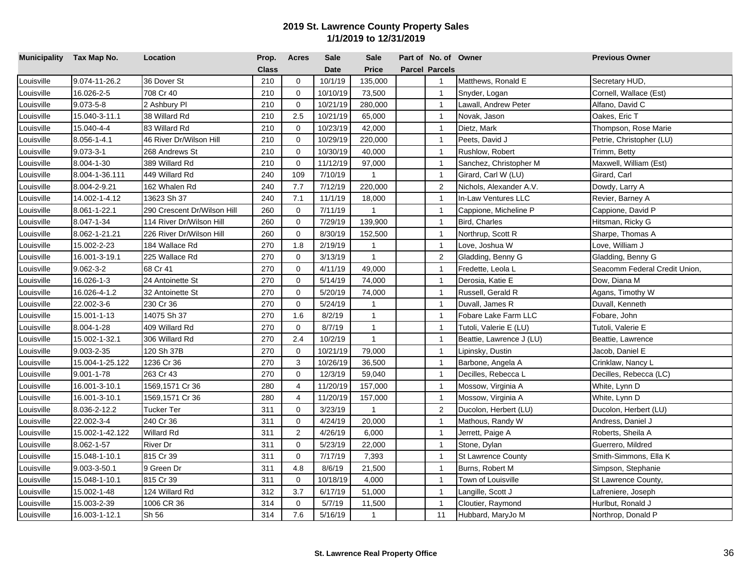| Municipality Tax Map No. |                  | Location                    | Prop. | <b>Acres</b>   | <b>Sale</b> | <b>Sale</b>  | Part of No. of Owner  |                           | <b>Previous Owner</b>         |
|--------------------------|------------------|-----------------------------|-------|----------------|-------------|--------------|-----------------------|---------------------------|-------------------------------|
|                          |                  |                             | Class |                | <b>Date</b> | <b>Price</b> | <b>Parcel Parcels</b> |                           |                               |
| Louisville               | 9.074-11-26.2    | 36 Dover St                 | 210   | $\mathbf 0$    | 10/1/19     | 135,000      | $\overline{1}$        | Matthews, Ronald E        | Secretary HUD,                |
| ouisville                | 16.026-2-5       | 708 Cr 40                   | 210   | $\mathbf 0$    | 10/10/19    | 73,500       | $\overline{1}$        | Snyder, Logan             | Cornell, Wallace (Est)        |
| ouisville                | $9.073 - 5 - 8$  | 2 Ashbury Pl                | 210   | $\mathbf 0$    | 10/21/19    | 280,000      | $\overline{1}$        | awall, Andrew Peter       | Alfano, David C               |
| _ouisville               | 15.040-3-11.1    | 38 Willard Rd               | 210   | 2.5            | 10/21/19    | 65,000       | $\overline{1}$        | Novak, Jason              | Oakes, Eric T                 |
| ouisville                | 15.040-4-4       | 83 Willard Rd               | 210   | $\mathbf 0$    | 10/23/19    | 42,000       | $\mathbf{1}$          | Dietz, Mark               | Thompson, Rose Marie          |
| Louisville               | 8.056-1-4.1      | 46 River Dr/Wilson Hill     | 210   | $\mathbf 0$    | 10/29/19    | 220,000      | $\overline{1}$        | Peets, David J            | Petrie, Christopher (LU)      |
| Louisville               | $9.073 - 3 - 1$  | 268 Andrews St              | 210   | $\mathbf 0$    | 10/30/19    | 40,000       | $\overline{1}$        | Rushlow, Robert           | Trimm, Betty                  |
| Louisville               | 8.004-1-30       | 389 Willard Rd              | 210   | $\mathbf 0$    | 11/12/19    | 97,000       | $\overline{1}$        | Sanchez, Christopher M    | Maxwell, William (Est)        |
| Louisville               | 8.004-1-36.111   | 449 Willard Rd              | 240   | 109            | 7/10/19     | $\mathbf{1}$ | $\overline{1}$        | Girard, Carl W (LU)       | Girard, Carl                  |
| Louisville               | 8.004-2-9.21     | 162 Whalen Rd               | 240   | 7.7            | 7/12/19     | 220,000      | $\overline{2}$        | Nichols, Alexander A.V.   | Dowdy, Larry A                |
| _ouisville               | 14.002-1-4.12    | 13623 Sh 37                 | 240   | 7.1            | 11/1/19     | 18,000       | $\overline{1}$        | In-Law Ventures LLC       | Revier, Barney A              |
| Louisville               | 8.061-1-22.1     | 290 Crescent Dr/Wilson Hill | 260   | 0              | 7/11/19     | $\mathbf{1}$ | $\mathbf{1}$          | Cappione, Micheline P     | Cappione, David P             |
| Louisville               | 8.047-1-34       | 114 River Dr/Wilson Hill    | 260   | $\mathbf 0$    | 7/29/19     | 139,900      | $\mathbf{1}$          | Bird, Charles             | Hitsman, Ricky G              |
| Louisville               | 8.062-1-21.21    | 226 River Dr/Wilson Hill    | 260   | $\mathbf 0$    | 8/30/19     | 152,500      | $\overline{1}$        | Northrup, Scott R         | Sharpe, Thomas A              |
| Louisville               | 15.002-2-23      | 184 Wallace Rd              | 270   | 1.8            | 2/19/19     | $\mathbf{1}$ | $\overline{1}$        | Love, Joshua W            | Love, William J               |
| Louisville               | 16.001-3-19.1    | 225 Wallace Rd              | 270   | $\Omega$       | 3/13/19     | $\mathbf{1}$ | 2                     | Gladding, Benny G         | Gladding, Benny G             |
| Louisville               | $9.062 - 3 - 2$  | 68 Cr 41                    | 270   | $\Omega$       | 4/11/19     | 49,000       | $\mathbf{1}$          | Fredette, Leola L         | Seacomm Federal Credit Union, |
| ouisville                | 16.026-1-3       | 24 Antoinette St            | 270   | $\Omega$       | 5/14/19     | 74,000       | $\overline{1}$        | Derosia. Katie E          | Dow, Diana M                  |
| ouisville                | 16.026-4-1.2     | 32 Antoinette St            | 270   | $\Omega$       | 5/20/19     | 74,000       | $\overline{1}$        | Russell, Gerald R         | Agans, Timothy W              |
| Louisville               | 22.002-3-6       | 230 Cr 36                   | 270   | $\Omega$       | 5/24/19     | $\mathbf{1}$ | $\mathbf{1}$          | Duvall, James R           | Duvall, Kenneth               |
| _ouisville               | 15.001-1-13      | 14075 Sh 37                 | 270   | 1.6            | 8/2/19      | $\mathbf{1}$ | $\overline{1}$        | Fobare Lake Farm LLC      | Fobare, John                  |
| Louisville               | 8.004-1-28       | 409 Willard Rd              | 270   | $\mathbf 0$    | 8/7/19      | $\mathbf{1}$ | $\overline{1}$        | Tutoli, Valerie E (LU)    | Tutoli, Valerie E             |
| Louisville               | 15.002-1-32.1    | 306 Willard Rd              | 270   | 2.4            | 10/2/19     | $\mathbf{1}$ | $\overline{1}$        | Beattie, Lawrence J (LU)  | Beattie, Lawrence             |
| Louisville               | 9.003-2-35       | 120 Sh 37B                  | 270   | $\mathbf 0$    | 10/21/19    | 79,000       | $\overline{1}$        | Lipinsky, Dustin          | Jacob, Daniel E               |
| ouisville                | 15.004-1-25.122  | 1236 Cr 36                  | 270   | 3              | 10/26/19    | 36,500       | $\overline{1}$        | Barbone, Angela A         | Crinklaw, Nancy L             |
| ouisville                | $9.001 - 1 - 78$ | 263 Cr 43                   | 270   | $\mathbf 0$    | 12/3/19     | 59,040       | $\overline{1}$        | Decilles, Rebecca L       | Decilles, Rebecca (LC)        |
| _ouisville               | 16.001-3-10.1    | 1569,1571 Cr 36             | 280   | 4              | 11/20/19    | 157,000      | $\overline{1}$        | Mossow, Virginia A        | White, Lynn D                 |
| ouisville                | 16.001-3-10.1    | 1569,1571 Cr 36             | 280   | $\overline{4}$ | 11/20/19    | 157,000      | $\mathbf{1}$          | Mossow, Virginia A        | White, Lynn D                 |
| Louisville               | 8.036-2-12.2     | Tucker Ter                  | 311   | $\mathbf 0$    | 3/23/19     | $\mathbf{1}$ | 2                     | Ducolon, Herbert (LU)     | Ducolon, Herbert (LU)         |
| Louisville               | 22.002-3-4       | 240 Cr 36                   | 311   | $\mathbf 0$    | 4/24/19     | 20,000       | $\overline{1}$        | Mathous, Randy W          | Andress, Daniel J             |
| Louisville               | 15.002-1-42.122  | <b>Willard Rd</b>           | 311   | 2              | 4/26/19     | 6,000        | $\overline{1}$        | Jerrett, Paige A          | Roberts, Sheila A             |
| Louisville               | 8.062-1-57       | <b>River Dr</b>             | 311   | $\mathbf 0$    | 5/23/19     | 22,000       | $\overline{1}$        | Stone, Dylan              | Guerrero, Mildred             |
| Louisville               | 15.048-1-10.1    | 815 Cr 39                   | 311   | $\mathbf 0$    | 7/17/19     | 7,393        | $\overline{1}$        | <b>St Lawrence County</b> | Smith-Simmons, Ella K         |
| _ouisville               | 9.003-3-50.1     | 9 Green Dr                  | 311   | 4.8            | 8/6/19      | 21,500       | $\overline{1}$        | Burns, Robert M           | Simpson, Stephanie            |
| Louisville               | 15.048-1-10.1    | 815 Cr 39                   | 311   | $\mathbf 0$    | 10/18/19    | 4,000        | $\mathbf{1}$          | Town of Louisville        | St Lawrence County,           |
| Louisville               | 15.002-1-48      | 124 Willard Rd              | 312   | 3.7            | 6/17/19     | 51,000       | $\mathbf{1}$          | Langille, Scott J         | Lafreniere, Joseph            |
| Louisville               | 15.003-2-39      | 1006 CR 36                  | 314   | $\mathbf 0$    | 5/7/19      | 11,500       | $\overline{1}$        | Cloutier, Raymond         | Hurlbut, Ronald J             |
| Louisville               | 16.003-1-12.1    | Sh 56                       | 314   | 7.6            | 5/16/19     | $\mathbf{1}$ | 11                    | Hubbard, MaryJo M         | Northrop, Donald P            |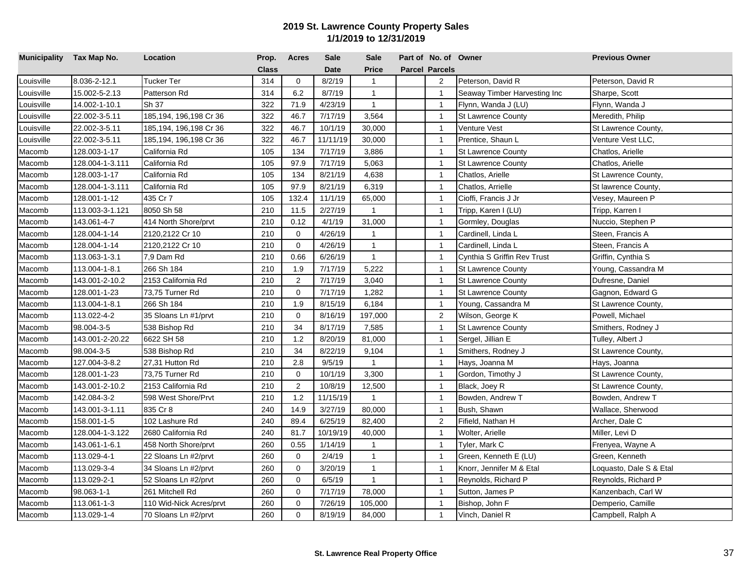| Municipality Tax Map No. |                 | Location                | Prop. | <b>Acres</b>   | <b>Sale</b> | <b>Sale</b>  | Part of No. of Owner  |                              | <b>Previous Owner</b>   |
|--------------------------|-----------------|-------------------------|-------|----------------|-------------|--------------|-----------------------|------------------------------|-------------------------|
|                          |                 |                         | Class |                | <b>Date</b> | <b>Price</b> | <b>Parcel Parcels</b> |                              |                         |
| Louisville               | 8.036-2-12.1    | Tucker Ter              | 314   | $\mathbf 0$    | 8/2/19      | $\mathbf{1}$ | $\overline{2}$        | Peterson, David R            | Peterson, David R       |
| ouisville                | 15.002-5-2.13   | Patterson Rd            | 314   | 6.2            | 8/7/19      | $\mathbf{1}$ | $\mathbf{1}$          | Seaway Timber Harvesting Inc | Sharpe, Scott           |
| ouisville                | 14.002-1-10.1   | Sh 37                   | 322   | 71.9           | 4/23/19     | $\mathbf{1}$ | $\overline{1}$        | Flynn, Wanda J (LU)          | Flynn, Wanda J          |
| Louisville               | 22.002-3-5.11   | 185,194, 196,198 Cr 36  | 322   | 46.7           | 7/17/19     | 3,564        | $\overline{1}$        | <b>St Lawrence County</b>    | Meredith, Philip        |
| ouisville                | 22.002-3-5.11   | 185,194, 196,198 Cr 36  | 322   | 46.7           | 10/1/19     | 30,000       | $\mathbf{1}$          | Venture Vest                 | St Lawrence County,     |
| Louisville               | 22.002-3-5.11   | 185,194, 196,198 Cr 36  | 322   | 46.7           | 11/11/19    | 30,000       | $\overline{1}$        | Prentice, Shaun L            | Venture Vest LLC,       |
| Macomb                   | 128.003-1-17    | California Rd           | 105   | 134            | 7/17/19     | 3,886        | $\overline{1}$        | <b>St Lawrence County</b>    | Chatlos, Arielle        |
| Macomb                   | 128.004-1-3.111 | California Rd           | 105   | 97.9           | 7/17/19     | 5,063        | $\overline{1}$        | <b>St Lawrence County</b>    | Chatlos, Arielle        |
| Macomb                   | 128.003-1-17    | California Rd           | 105   | 134            | 8/21/19     | 4,638        | $\overline{1}$        | Chatlos, Arielle             | St Lawrence County,     |
| Macomb                   | 128.004-1-3.111 | California Rd           | 105   | 97.9           | 8/21/19     | 6,319        | $\overline{1}$        | Chatlos, Arrielle            | St lawrence County,     |
| Macomb                   | 128.001-1-12    | 435 Cr 7                | 105   | 132.4          | 11/1/19     | 65,000       | $\overline{1}$        | Cioffi, Francis J Jr         | Vesey, Maureen P        |
| Macomb                   | 113.003-3-1.121 | 8050 Sh 58              | 210   | 11.5           | 2/27/19     | $\mathbf{1}$ | $\mathbf{1}$          | Tripp, Karen I (LU)          | Tripp, Karren I         |
| Macomb                   | 143.061-4-7     | 414 North Shore/prvt    | 210   | 0.12           | 4/1/19      | 31,000       | $\mathbf{1}$          | Gormley, Douglas             | Nuccio, Stephen P       |
| Macomb                   | 128.004-1-14    | 2120,2122 Cr 10         | 210   | $\mathbf 0$    | 4/26/19     | $\mathbf{1}$ | $\overline{1}$        | Cardinell, Linda L           | Steen, Francis A        |
| Macomb                   | 128.004-1-14    | 2120,2122 Cr 10         | 210   | $\mathbf 0$    | 4/26/19     | $\mathbf{1}$ | $\overline{1}$        | Cardinell, Linda L           | Steen, Francis A        |
| Macomb                   | 113.063-1-3.1   | 7,9 Dam Rd              | 210   | 0.66           | 6/26/19     | $\mathbf{1}$ | $\overline{1}$        | Cynthia S Griffin Rev Trust  | Griffin, Cynthia S      |
| Macomb                   | 113.004-1-8.1   | 266 Sh 184              | 210   | 1.9            | 7/17/19     | 5,222        | $\mathbf{1}$          | <b>St Lawrence County</b>    | Young, Cassandra M      |
| Macomb                   | 143.001-2-10.2  | 2153 California Rd      | 210   | 2              | 7/17/19     | 3,040        | $\overline{1}$        | <b>St Lawrence County</b>    | Dufresne, Daniel        |
| Macomb                   | 128.001-1-23    | 73,75 Turner Rd         | 210   | $\Omega$       | 7/17/19     | 1,282        | $\overline{1}$        | <b>St Lawrence County</b>    | Gagnon, Edward G        |
| Macomb                   | 113.004-1-8.1   | 266 Sh 184              | 210   | 1.9            | 8/15/19     | 6,184        | $\mathbf{1}$          | Young, Cassandra M           | St Lawrence County,     |
| Macomb                   | 113.022-4-2     | 35 Sloans Ln #1/prvt    | 210   | $\mathbf 0$    | 8/16/19     | 197,000      | $\overline{c}$        | Wilson, George K             | Powell, Michael         |
| Macomb                   | 98.004-3-5      | 538 Bishop Rd           | 210   | 34             | 8/17/19     | 7,585        | $\overline{1}$        | <b>St Lawrence County</b>    | Smithers, Rodney J      |
| Macomb                   | 143.001-2-20.22 | 6622 SH 58              | 210   | 1.2            | 8/20/19     | 81,000       | $\overline{1}$        | Sergel, Jillian E            | Tulley, Albert J        |
| Macomb                   | 98.004-3-5      | 538 Bishop Rd           | 210   | 34             | 8/22/19     | 9,104        | $\overline{1}$        | Smithers, Rodney J           | St Lawrence County,     |
| Macomb                   | 127.004-3-8.2   | 27,31 Hutton Rd         | 210   | 2.8            | 9/5/19      | $\mathbf{1}$ | $\overline{1}$        | Hays, Joanna M               | Hays, Joanna            |
| Macomb                   | 128.001-1-23    | 73,75 Turner Rd         | 210   | $\mathbf 0$    | 10/1/19     | 3,300        | $\overline{1}$        | Gordon, Timothy J            | St Lawrence County,     |
| Macomb                   | 143.001-2-10.2  | 2153 California Rd      | 210   | $\overline{2}$ | 10/8/19     | 12,500       | $\overline{1}$        | Black, Joey R                | St Lawrence County,     |
| Macomb                   | 142.084-3-2     | 598 West Shore/Prvt     | 210   | 1.2            | 11/15/19    | $\mathbf{1}$ | $\mathbf{1}$          | Bowden, Andrew T             | Bowden, Andrew T        |
| Macomb                   | 143.001-3-1.11  | 835 Cr 8                | 240   | 14.9           | 3/27/19     | 80,000       | $\overline{1}$        | Bush, Shawn                  | Wallace, Sherwood       |
| Macomb                   | 158.001-1-5     | 102 Lashure Rd          | 240   | 89.4           | 6/25/19     | 82,400       | $\overline{2}$        | Fifield, Nathan H            | Archer, Dale C          |
| Macomb                   | 128.004-1-3.122 | 2680 California Rd      | 240   | 81.7           | 10/19/19    | 40,000       | $\overline{1}$        | Wolter, Arielle              | Miller, Levi D          |
| Macomb                   | 143.061-1-6.1   | 458 North Shore/prvt    | 260   | 0.55           | 1/14/19     | $\mathbf{1}$ | $\overline{1}$        | Tyler, Mark C                | Frenyea, Wayne A        |
| Macomb                   | 113.029-4-1     | 22 Sloans Ln #2/prvt    | 260   | $\mathbf 0$    | 2/4/19      | $\mathbf{1}$ | $\overline{1}$        | Green, Kenneth E (LU)        | Green, Kenneth          |
| Macomb                   | 113.029-3-4     | 34 Sloans Ln #2/prvt    | 260   | 0              | 3/20/19     | $\mathbf{1}$ | $\overline{1}$        | Knorr, Jennifer M & Etal     | Loquasto, Dale S & Etal |
| Macomb                   | 113.029-2-1     | 52 Sloans Ln #2/prvt    | 260   | $\Omega$       | 6/5/19      | $\mathbf{1}$ | $\mathbf{1}$          | Reynolds, Richard P          | Reynolds, Richard P     |
| Macomb                   | 98.063-1-1      | 261 Mitchell Rd         | 260   | $\mathbf 0$    | 7/17/19     | 78,000       | $\mathbf{1}$          | Sutton, James P              | Kanzenbach, Carl W      |
| Macomb                   | 113.061-1-3     | 110 Wid-Nick Acres/prvt | 260   | $\Omega$       | 7/26/19     | 105,000      | $\overline{1}$        | Bishop, John F               | Demperio, Camille       |
| Macomb                   | 113.029-1-4     | 70 Sloans Ln #2/prvt    | 260   | $\Omega$       | 8/19/19     | 84,000       | $\mathbf{1}$          | Vinch, Daniel R              | Campbell, Ralph A       |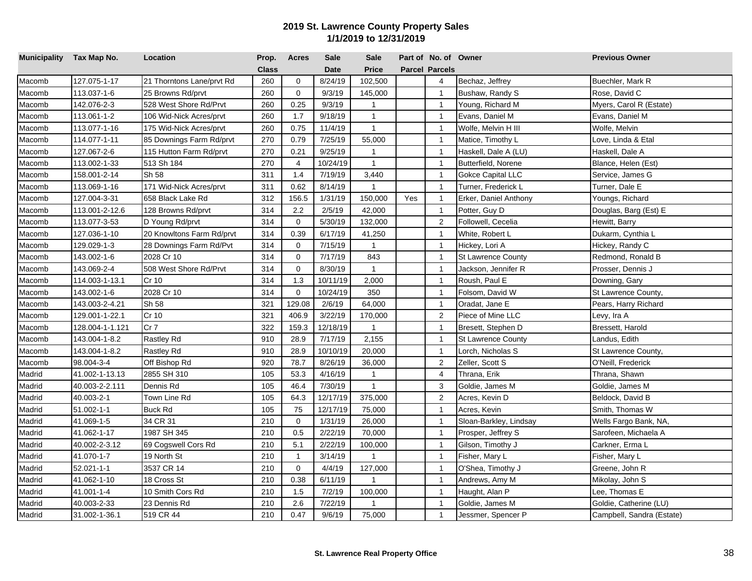| Municipality Tax Map No. |                 | Location                  | Prop.        | <b>Acres</b>   | <b>Sale</b> | <b>Sale</b>  |     | Part of No. of Owner  |                           | <b>Previous Owner</b>     |
|--------------------------|-----------------|---------------------------|--------------|----------------|-------------|--------------|-----|-----------------------|---------------------------|---------------------------|
|                          |                 |                           | <b>Class</b> |                | <b>Date</b> | <b>Price</b> |     | <b>Parcel Parcels</b> |                           |                           |
| Macomb                   | 127.075-1-17    | 21 Thorntons Lane/prvt Rd | 260          | $\mathbf 0$    | 8/24/19     | 102,500      |     | 4                     | Bechaz, Jeffrey           | Buechler, Mark R          |
| Macomb                   | 113.037-1-6     | 25 Browns Rd/prvt         | 260          | $\mathbf 0$    | 9/3/19      | 145,000      |     | $\mathbf{1}$          | Bushaw, Randy S           | Rose, David C             |
| Macomb                   | 142.076-2-3     | 528 West Shore Rd/Prvt    | 260          | 0.25           | 9/3/19      | 1            |     | $\overline{1}$        | Young, Richard M          | Myers, Carol R (Estate)   |
| Macomb                   | 113.061-1-2     | 106 Wid-Nick Acres/prvt   | 260          | 1.7            | 9/18/19     | $\mathbf{1}$ |     | $\mathbf{1}$          | Evans, Daniel M           | Evans, Daniel M           |
| Macomb                   | 113.077-1-16    | 175 Wid-Nick Acres/prvt   | 260          | 0.75           | 11/4/19     | $\mathbf{1}$ |     | $\overline{1}$        | Wolfe, Melvin H III       | Wolfe, Melvin             |
| Macomb                   | 114.077-1-11    | 85 Downings Farm Rd/prvt  | 270          | 0.79           | 7/25/19     | 55,000       |     | $\overline{1}$        | Matice, Timothy L         | Love, Linda & Etal        |
| Macomb                   | 127.067-2-6     | 115 Hutton Farm Rd/prvt   | 270          | 0.21           | 9/25/19     | $\mathbf{1}$ |     | $\overline{1}$        | Haskell, Dale A (LU)      | Haskell, Dale A           |
| Macomb                   | 113.002-1-33    | 513 Sh 184                | 270          | $\overline{4}$ | 10/24/19    | $\mathbf{1}$ |     | $\overline{1}$        | Butterfield, Norene       | Blance, Helen (Est)       |
| Macomb                   | 158.001-2-14    | Sh 58                     | 311          | 1.4            | 7/19/19     | 3,440        |     | $\overline{1}$        | <b>Gokce Capital LLC</b>  | Service, James G          |
| Macomb                   | 113.069-1-16    | 171 Wid-Nick Acres/prvt   | 311          | 0.62           | 8/14/19     | $\mathbf{1}$ |     | $\overline{1}$        | Turner, Frederick L       | Turner, Dale E            |
| Macomb                   | 127.004-3-31    | 658 Black Lake Rd         | 312          | 156.5          | 1/31/19     | 150,000      | Yes | $\overline{1}$        | Erker, Daniel Anthony     | Youngs, Richard           |
| Macomb                   | 113.001-2-12.6  | 128 Browns Rd/prvt        | 314          | 2.2            | 2/5/19      | 42,000       |     | $\overline{1}$        | Potter, Guy D             | Douglas, Barg (Est) E     |
| Macomb                   | 113.077-3-53    | D Young Rd/prvt           | 314          | $\mathbf 0$    | 5/30/19     | 132,000      |     | $\overline{2}$        | Followell, Cecelia        | Hewitt, Barry             |
| Macomb                   | 127.036-1-10    | 20 Knowltons Farm Rd/prvt | 314          | 0.39           | 6/17/19     | 41,250       |     | $\overline{1}$        | White, Robert L           | Dukarm, Cynthia L         |
| Macomb                   | 129.029-1-3     | 28 Downings Farm Rd/Pvt   | 314          | $\mathbf 0$    | 7/15/19     | $\mathbf{1}$ |     | $\overline{1}$        | Hickey, Lori A            | Hickey, Randy C           |
| Macomb                   | 143.002-1-6     | 2028 Cr 10                | 314          | $\mathbf 0$    | 7/17/19     | 843          |     | $\overline{1}$        | <b>St Lawrence County</b> | Redmond, Ronald B         |
| Macomb                   | 143.069-2-4     | 508 West Shore Rd/Prvt    | 314          | $\mathbf 0$    | 8/30/19     | $\mathbf{1}$ |     | $\overline{1}$        | Jackson, Jennifer R       | Prosser, Dennis J         |
| Macomb                   | 114.003-1-13.1  | Cr 10                     | 314          | 1.3            | 10/11/19    | 2,000        |     | $\overline{1}$        | Roush, Paul E             | Downing, Gary             |
| Macomb                   | 143.002-1-6     | 2028 Cr 10                | 314          | $\mathbf 0$    | 10/24/19    | 350          |     | $\mathbf{1}$          | Folsom, David W           | St Lawrence County,       |
| Macomb                   | 143.003-2-4.21  | Sh 58                     | 321          | 129.08         | 2/6/19      | 64,000       |     | $\overline{1}$        | Oradat, Jane E            | Pears, Harry Richard      |
| Macomb                   | 129.001-1-22.1  | Cr 10                     | 321          | 406.9          | 3/22/19     | 170,000      |     | $\overline{2}$        | Piece of Mine LLC         | Levy, Ira A               |
| Macomb                   | 128.004-1-1.121 | Cr <sub>7</sub>           | 322          | 159.3          | 12/18/19    | $\mathbf{1}$ |     | $\overline{1}$        | Bresett, Stephen D        | Bressett, Harold          |
| Macomb                   | 143.004-1-8.2   | Rastley Rd                | 910          | 28.9           | 7/17/19     | 2,155        |     | $\overline{1}$        | <b>St Lawrence County</b> | Landus, Edith             |
| Macomb                   | 143.004-1-8.2   | <b>Rastley Rd</b>         | 910          | 28.9           | 10/10/19    | 20,000       |     | $\overline{1}$        | Lorch, Nicholas S         | St Lawrence County,       |
| Macomb                   | 98.004-3-4      | Off Bishop Rd             | 920          | 78.7           | 8/26/19     | 36,000       |     | $\sqrt{2}$            | Zeller, Scott S           | O'Neill, Frederick        |
| Madrid                   | 41.002-1-13.13  | 2855 SH 310               | 105          | 53.3           | 4/16/19     | $\mathbf{1}$ |     | 4                     | Thrana, Erik              | Thrana, Shawn             |
| Madrid                   | 40.003-2-2.111  | Dennis Rd                 | 105          | 46.4           | 7/30/19     | $\mathbf{1}$ |     | $\sqrt{3}$            | Goldie, James M           | Goldie, James M           |
| Madrid                   | 40.003-2-1      | Town Line Rd              | 105          | 64.3           | 12/17/19    | 375,000      |     | $\overline{2}$        | Acres, Kevin D            | Beldock, David B          |
| Madrid                   | 51.002-1-1      | <b>Buck Rd</b>            | 105          | 75             | 12/17/19    | 75,000       |     | $\mathbf{1}$          | Acres, Kevin              | Smith, Thomas W           |
| Madrid                   | 41.069-1-5      | 34 CR 31                  | 210          | $\mathbf 0$    | 1/31/19     | 26,000       |     | $\overline{1}$        | Sloan-Barkley, Lindsay    | Wells Fargo Bank, NA,     |
| Madrid                   | 41.062-1-17     | 1987 SH 345               | 210          | 0.5            | 2/22/19     | 70,000       |     | $\overline{1}$        | Prosper, Jeffrey S        | Sarofeen, Michaela A      |
| Madrid                   | 40.002-2-3.12   | 69 Cogswell Cors Rd       | 210          | 5.1            | 2/22/19     | 100,000      |     | $\mathbf{1}$          | Gilson, Timothy J         | Carkner, Erma L           |
| Madrid                   | 41.070-1-7      | 19 North St               | 210          | $\mathbf{1}$   | 3/14/19     | 1            |     | $\overline{1}$        | Fisher, Mary L            | Fisher, Mary L            |
| Madrid                   | 52.021-1-1      | 3537 CR 14                | 210          | $\mathbf 0$    | 4/4/19      | 127,000      |     | $\overline{1}$        | O'Shea, Timothy J         | Greene, John R            |
| Madrid                   | 41.062-1-10     | 18 Cross St               | 210          | 0.38           | 6/11/19     | $\mathbf 1$  |     | $\overline{1}$        | Andrews, Amy M            | Mikolay, John S           |
| Madrid                   | 41.001-1-4      | 10 Smith Cors Rd          | 210          | 1.5            | 7/2/19      | 100,000      |     | $\overline{1}$        | Haught, Alan P            | Lee, Thomas E             |
| Madrid                   | 40.003-2-33     | 23 Dennis Rd              | 210          | 2.6            | 7/22/19     | 1            |     | $\mathbf{1}$          | Goldie, James M           | Goldie, Catherine (LU)    |
| Madrid                   | 31.002-1-36.1   | 519 CR 44                 | 210          | 0.47           | 9/6/19      | 75,000       |     | $\mathbf{1}$          | Jessmer, Spencer P        | Campbell, Sandra (Estate) |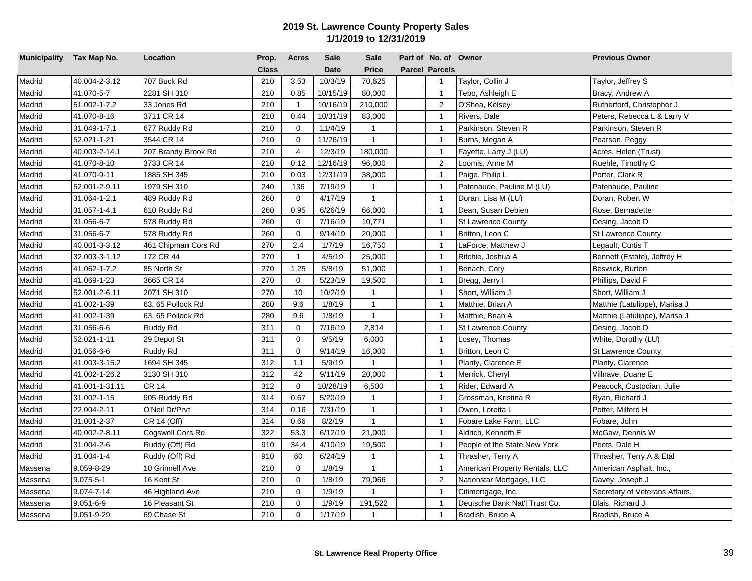| Municipality Tax Map No. |                | Location            | Prop.        | <b>Acres</b>   | <b>Sale</b> | <b>Sale</b>    | Part of No. of Owner  |                                | <b>Previous Owner</b>          |
|--------------------------|----------------|---------------------|--------------|----------------|-------------|----------------|-----------------------|--------------------------------|--------------------------------|
|                          |                |                     | <b>Class</b> |                | <b>Date</b> | Price          | <b>Parcel Parcels</b> |                                |                                |
| Madrid                   | 40.004-2-3.12  | 707 Buck Rd         | 210          | 3.53           | 10/3/19     | 70,625         | $\overline{1}$        | Taylor, Collin J               | Taylor, Jeffrey S              |
| Madrid                   | 41.070-5-7     | 2281 SH 310         | 210          | 0.85           | 10/15/19    | 80,000         | $\overline{1}$        | Tebo, Ashleigh E               | Bracy, Andrew A                |
| Madrid                   | 51.002-1-7.2   | 33 Jones Rd         | 210          | $\overline{1}$ | 10/16/19    | 210,000        | $\overline{2}$        | O'Shea, Kelsey                 | Rutherford, Christopher J      |
| Madrid                   | 41.070-8-16    | 3711 CR 14          | 210          | 0.44           | 10/31/19    | 83,000         | $\overline{1}$        | Rivers, Dale                   | Peters, Rebecca L & Larry V    |
| Madrid                   | 31.049-1-7.1   | 677 Ruddy Rd        | 210          | $\mathbf 0$    | 11/4/19     | $\mathbf{1}$   | $\overline{1}$        | Parkinson, Steven R            | Parkinson, Steven R            |
| Madrid                   | 52.021-1-21    | 3544 CR 14          | 210          | $\mathbf 0$    | 11/26/19    | $\mathbf{1}$   | $\mathbf{1}$          | Burns, Megan A                 | Pearson, Peggy                 |
| Madrid                   | 40.003-2-14.1  | 207 Brandy Brook Rd | 210          | 4              | 12/3/19     | 180,000        | $\overline{1}$        | Fayette, Larry J (LU)          | Acres, Helen (Trust)           |
| Madrid                   | 41.070-8-10    | 3733 CR 14          | 210          | 0.12           | 12/16/19    | 96,000         | $\overline{2}$        | Loomis, Anne M                 | Ruehle, Timothy C              |
| Madrid                   | 41.070-9-11    | 1885 SH 345         | 210          | 0.03           | 12/31/19    | 38,000         | $\overline{1}$        | Paige, Philip L                | Porter, Clark R                |
| Madrid                   | 52.001-2-9.11  | 1979 SH 310         | 240          | 136            | 7/19/19     | $\mathbf{1}$   | $\mathbf{1}$          | Patenaude, Pauline M (LU)      | Patenaude, Pauline             |
| Madrid                   | 31.064-1-2.1   | 489 Ruddy Rd        | 260          | $\Omega$       | 4/17/19     | $\mathbf{1}$   | $\overline{1}$        | Doran, Lisa M (LU)             | Doran, Robert W                |
| Madrid                   | 31.057-1-4.1   | 610 Ruddy Rd        | 260          | 0.95           | 6/26/19     | 66,000         | $\overline{1}$        | Dean, Susan Debien             | Rose, Bernadette               |
| Madrid                   | 31.056-6-7     | 578 Ruddy Rd        | 260          | $\mathbf 0$    | 7/16/19     | 10,771         | $\overline{1}$        | <b>St Lawrence County</b>      | Desing, Jacob D                |
| Madrid                   | 31.056-6-7     | 578 Ruddy Rd        | 260          | $\mathbf 0$    | 9/14/19     | 20,000         | $\mathbf{1}$          | Britton, Leon C                | St Lawrence County,            |
| Madrid                   | 40.001-3-3.12  | 461 Chipman Cors Rd | 270          | 2.4            | 1/7/19      | 16,750         | $\overline{1}$        | LaForce, Matthew J             | Legault, Curtis T              |
| Madrid                   | 32.003-3-1.12  | 172 CR 44           | 270          | $\mathbf{1}$   | 4/5/19      | 25,000         | $\overline{1}$        | Ritchie, Joshua A              | Bennett (Estate), Jeffrey H    |
| Madrid                   | 41.062-1-7.2   | 85 North St         | 270          | 1.25           | 5/8/19      | 51,000         | $\overline{1}$        | Benach, Cory                   | Beswick, Burton                |
| Madrid                   | 41.069-1-23    | 3665 CR 14          | 270          | $\mathbf 0$    | 5/23/19     | 19,500         | $\mathbf{1}$          | Bregg, Jerry I                 | Phillips, David F              |
| Madrid                   | 52.001-2-6.11  | 2071 SH 310         | 270          | 10             | 10/2/19     | $\mathbf{1}$   | $\overline{1}$        | Short, William J               | Short, William J               |
| Madrid                   | 41.002-1-39    | 63, 65 Pollock Rd   | 280          | 9.6            | 1/8/19      | $\mathbf{1}$   | $\overline{1}$        | Matthie, Brian A               | Matthie (Latulippe), Marisa J  |
| Madrid                   | 41.002-1-39    | 63, 65 Pollock Rd   | 280          | 9.6            | 1/8/19      | $\mathbf{1}$   | $\overline{1}$        | Matthie, Brian A               | Matthie (Latulippe), Marisa J  |
| Madrid                   | 31.056-6-6     | Ruddy Rd            | 311          | $\mathbf 0$    | 7/16/19     | 2,814          | $\mathbf{1}$          | <b>St Lawrence County</b>      | Desing, Jacob D                |
| Madrid                   | 52.021-1-11    | 29 Depot St         | 311          | $\mathbf 0$    | 9/5/19      | 6,000          | $\overline{1}$        | Losey, Thomas                  | White, Dorothy (LU)            |
| Madrid                   | 31.056-6-6     | Ruddy Rd            | 311          | $\mathbf 0$    | 9/14/19     | 16,000         | $\overline{1}$        | Britton, Leon C                | St Lawrence County,            |
| Madrid                   | 41.003-3-15.2  | 1694 SH 345         | 312          | 1.1            | 5/9/19      | $\mathbf{1}$   | $\overline{1}$        | Planty, Clarence E             | Planty, Clarence               |
| Madrid                   | 41.002-1-26.2  | 3130 SH 310         | 312          | 42             | 9/11/19     | 20,000         | $\overline{1}$        | Merrick, Cheryl                | Villnave, Duane E              |
| Madrid                   | 41.001-1-31.11 | CR 14               | 312          | $\mathbf 0$    | 10/28/19    | 6,500          | $\overline{1}$        | Rider, Edward A                | Peacock, Custodian, Julie      |
| Madrid                   | 31.002-1-15    | 905 Ruddy Rd        | 314          | 0.67           | 5/20/19     | $\mathbf{1}$   | $\overline{1}$        | Grossman, Kristina R           | Ryan, Richard J                |
| Madrid                   | 22.004-2-11    | O'Neil Dr/Prvt      | 314          | 0.16           | 7/31/19     | $\mathbf{1}$   | $\mathbf{1}$          | Owen, Loretta L                | Potter, Milferd H              |
| Madrid                   | 31.001-2-37    | CR 14 (Off)         | 314          | 0.66           | 8/2/19      | $\mathbf{1}$   | $\overline{1}$        | Fobare Lake Farm, LLC          | Fobare, John                   |
| Madrid                   | 40.002-2-8.11  | Cogswell Cors Rd    | 322          | 53.3           | 6/12/19     | 21,000         | $\overline{1}$        | Aldrich, Kenneth E             | McGaw, Dennis W                |
| Madrid                   | 31.004-2-6     | Ruddy (Off) Rd      | 910          | 34.4           | 4/10/19     | 19,500         | $\overline{1}$        | People of the State New York   | Peets, Dale H                  |
| Madrid                   | 31.004-1-4     | Ruddy (Off) Rd      | 910          | 60             | 6/24/19     | $\mathbf{1}$   | $\mathbf{1}$          | Thrasher, Terry A              | Thrasher, Terry A & Etal       |
| Massena                  | 9.059-8-29     | 10 Grinnell Ave     | 210          | $\Omega$       | 1/8/19      | $\mathbf{1}$   | $\overline{1}$        | American Property Rentals, LLC | American Asphalt, Inc.,        |
| Massena                  | 9.075-5-1      | 16 Kent St          | 210          | $\mathbf 0$    | 1/8/19      | 79,066         | 2                     | Nationstar Mortgage, LLC       | Davey, Joseph J                |
| Massena                  | 9.074-7-14     | 46 Highland Ave     | 210          | $\mathbf 0$    | 1/9/19      | $\overline{1}$ | $\overline{1}$        | Citimortgage, Inc.             | Secretary of Veterans Affairs, |
| Massena                  | 9.051-6-9      | 16 Pleasant St      | 210          | $\mathbf 0$    | 1/9/19      | 191,522        | $\mathbf{1}$          | Deutsche Bank Nat'l Trust Co.  | Blais, Richard J               |
| Massena                  | 9.051-9-29     | 69 Chase St         | 210          | $\Omega$       | 1/17/19     | $\mathbf{1}$   | $\mathbf{1}$          | Bradish, Bruce A               | Bradish, Bruce A               |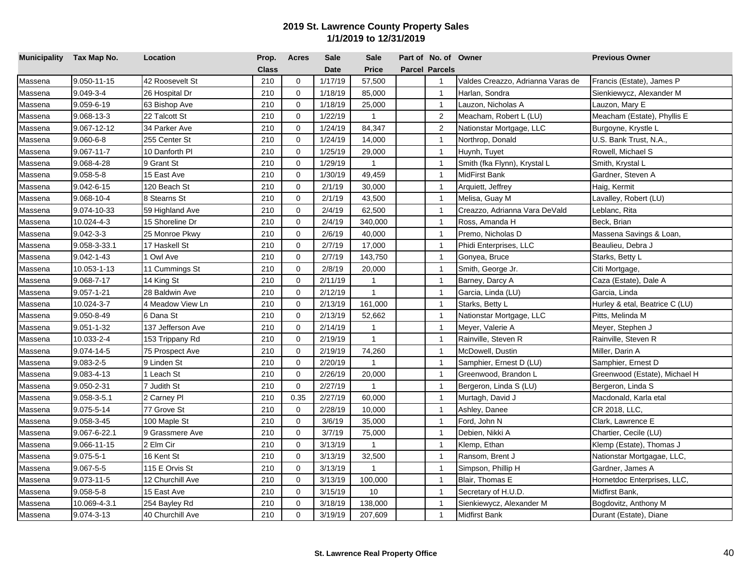| Municipality Tax Map No. |                  | Location          | Prop.        | <b>Acres</b> | <b>Sale</b> | <b>Sale</b>    | Part of No. of Owner  |                                   | <b>Previous Owner</b>          |
|--------------------------|------------------|-------------------|--------------|--------------|-------------|----------------|-----------------------|-----------------------------------|--------------------------------|
|                          |                  |                   | <b>Class</b> |              | <b>Date</b> | <b>Price</b>   | <b>Parcel Parcels</b> |                                   |                                |
| Massena                  | 9.050-11-15      | 42 Roosevelt St   | 210          | $\mathbf 0$  | 1/17/19     | 57,500         | $\mathbf{1}$          | Valdes Creazzo, Adrianna Varas de | Francis (Estate), James P      |
| Massena                  | $9.049 - 3 - 4$  | 26 Hospital Dr    | 210          | $\mathbf 0$  | 1/18/19     | 85,000         | $\mathbf{1}$          | Harlan, Sondra                    | Sienkiewycz, Alexander M       |
| Massena                  | 9.059-6-19       | 63 Bishop Ave     | 210          | $\mathbf 0$  | 1/18/19     | 25,000         | $\mathbf{1}$          | Lauzon, Nicholas A                | Lauzon, Mary E                 |
| Massena                  | 9.068-13-3       | 22 Talcott St     | 210          | $\Omega$     | 1/22/19     | $\mathbf{1}$   | 2                     | Meacham, Robert L (LU)            | Meacham (Estate), Phyllis E    |
| Massena                  | 9.067-12-12      | 34 Parker Ave     | 210          | $\Omega$     | 1/24/19     | 84,347         | $\overline{2}$        | Nationstar Mortgage, LLC          | Burgoyne, Krystle L            |
| Massena                  | $9.060 - 6 - 8$  | 255 Center St     | 210          | $\Omega$     | 1/24/19     | 14,000         | $\overline{1}$        | Northrop, Donald                  | U.S. Bank Trust, N.A.,         |
| Massena                  | $9.067 - 11 - 7$ | 10 Danforth Pl    | 210          | 0            | 1/25/19     | 29,000         | $\overline{1}$        | Huynh, Tuyet                      | Rowell, Michael S              |
| Massena                  | 9.068-4-28       | 9 Grant St        | 210          | $\Omega$     | 1/29/19     | $\mathbf{1}$   | $\overline{1}$        | Smith (fka Flynn), Krystal L      | Smith, Krystal L               |
| Massena                  | $9.058 - 5 - 8$  | 15 East Ave       | 210          | $\Omega$     | 1/30/19     | 49,459         | $\mathbf{1}$          | MidFirst Bank                     | Gardner, Steven A              |
| Massena                  | 9.042-6-15       | 120 Beach St      | 210          | $\Omega$     | 2/1/19      | 30,000         | $\mathbf{1}$          | Arquiett, Jeffrey                 | Haig, Kermit                   |
| Massena                  | 9.068-10-4       | 8 Stearns St      | 210          | 0            | 2/1/19      | 43,500         | $\mathbf{1}$          | Melisa, Guay M                    | Lavalley, Robert (LU)          |
| Massena                  | 9.074-10-33      | 59 Highland Ave   | 210          | $\mathbf 0$  | 2/4/19      | 62,500         | $\mathbf{1}$          | Creazzo, Adrianna Vara DeVald     | Leblanc, Rita                  |
| Massena                  | 10.024-4-3       | 15 Shoreline Dr   | 210          | $\mathbf 0$  | 2/4/19      | 340,000        | $\mathbf{1}$          | Ross, Amanda H                    | Beck, Brian                    |
| Massena                  | $9.042 - 3 - 3$  | 25 Monroe Pkwy    | 210          | $\mathbf 0$  | 2/6/19      | 40,000         | $\mathbf{1}$          | Premo, Nicholas D                 | Massena Savings & Loan,        |
| Massena                  | 9.058-3-33.1     | 17 Haskell St     | 210          | $\mathbf 0$  | 2/7/19      | 17,000         | $\overline{1}$        | Phidi Enterprises, LLC            | Beaulieu, Debra J              |
| Massena                  | $9.042 - 1 - 43$ | 1 Owl Ave         | 210          | $\mathbf 0$  | 2/7/19      | 143,750        | $\overline{1}$        | Gonyea, Bruce                     | Starks, Betty L                |
| Massena                  | 10.053-1-13      | 11 Cummings St    | 210          | $\mathbf 0$  | 2/8/19      | 20,000         | $\mathbf{1}$          | Smith, George Jr.                 | Citi Mortgage,                 |
| Massena                  | 9.068-7-17       | 14 King St        | 210          | $\mathbf 0$  | 2/11/19     | $\mathbf{1}$   | $\mathbf{1}$          | Barney, Darcy A                   | Caza (Estate), Dale A          |
| Massena                  | $9.057 - 1 - 21$ | 28 Baldwin Ave    | 210          | $\Omega$     | 2/12/19     | $\mathbf{1}$   | $\overline{1}$        | Garcia, Linda (LU)                | Garcia, Linda                  |
| Massena                  | 10.024-3-7       | 4 Meadow View Ln  | 210          | $\mathbf 0$  | 2/13/19     | 161,000        | $\mathbf{1}$          | Starks, Betty L                   | Hurley & etal, Beatrice C (LU) |
| Massena                  | 9.050-8-49       | 6 Dana St         | 210          | 0            | 2/13/19     | 52,662         | $\mathbf{1}$          | Nationstar Mortgage, LLC          | Pitts, Melinda M               |
| Massena                  | $9.051 - 1.32$   | 137 Jefferson Ave | 210          | 0            | 2/14/19     | $\mathbf{1}$   | $\overline{1}$        | Meyer, Valerie A                  | Meyer, Stephen J               |
| Massena                  | 10.033-2-4       | 153 Trippany Rd   | 210          | $\mathbf 0$  | 2/19/19     | $\mathbf{1}$   | $\overline{1}$        | Rainville, Steven R               | Rainville, Steven R            |
| Massena                  | 9.074-14-5       | 75 Prospect Ave   | 210          | $\Omega$     | 2/19/19     | 74,260         | $\overline{1}$        | McDowell, Dustin                  | Miller, Darin A                |
| Massena                  | 9.083-2-5        | 9 Linden St       | 210          | $\mathbf 0$  | 2/20/19     | $\mathbf{1}$   | $\mathbf{1}$          | Samphier, Ernest D (LU)           | Samphier, Ernest D             |
| Massena                  | 9.083-4-13       | 1 Leach St        | 210          | $\Omega$     | 2/26/19     | 20,000         | $\mathbf{1}$          | Greenwood, Brandon L              | Greenwood (Estate), Michael H  |
| Massena                  | 9.050-2-31       | 7 Judith St       | 210          | $\mathbf{0}$ | 2/27/19     | $\overline{1}$ | $\overline{1}$        | Bergeron, Linda S (LU)            | Bergeron, Linda S              |
| Massena                  | 9.058-3-5.1      | 2 Carney Pl       | 210          | 0.35         | 2/27/19     | 60,000         | $\mathbf{1}$          | Murtagh, David J                  | Macdonald, Karla etal          |
| Massena                  | 9.075-5-14       | 77 Grove St       | 210          | $\mathbf 0$  | 2/28/19     | 10,000         | $\mathbf{1}$          | Ashley, Danee                     | CR 2018, LLC,                  |
| Massena                  | 9.058-3-45       | 100 Maple St      | 210          | $\mathbf 0$  | 3/6/19      | 35,000         | $\overline{1}$        | Ford, John N                      | Clark, Lawrence E              |
| Massena                  | 9.067-6-22.1     | 9 Grassmere Ave   | 210          | $\mathbf 0$  | 3/7/19      | 75,000         | $\mathbf{1}$          | Debien, Nikki A                   | Chartier, Cecile (LU)          |
| Massena                  | 9.066-11-15      | 2 Elm Cir         | 210          | $\mathbf 0$  | 3/13/19     | $\mathbf{1}$   | $\mathbf{1}$          | Klemp, Ethan                      | Klemp (Estate), Thomas J       |
| Massena                  | $9.075 - 5 - 1$  | 16 Kent St        | 210          | $\mathbf 0$  | 3/13/19     | 32,500         | $\mathbf{1}$          | Ransom, Brent J                   | Nationstar Mortgagae, LLC,     |
| Massena                  | 9.067-5-5        | 115 E Orvis St    | 210          | $\mathbf 0$  | 3/13/19     | $\overline{1}$ | $\mathbf{1}$          | Simpson, Phillip H                | Gardner, James A               |
| Massena                  | 9.073-11-5       | 12 Churchill Ave  | 210          | 0            | 3/13/19     | 100,000        | $\mathbf{1}$          | Blair, Thomas E                   | Hornetdoc Enterprises, LLC,    |
| Massena                  | $9.058 - 5 - 8$  | 15 East Ave       | 210          | $\Omega$     | 3/15/19     | 10             | $\mathbf{1}$          | Secretary of H.U.D.               | Midfirst Bank,                 |
| Massena                  | 10.069-4-3.1     | 254 Bayley Rd     | 210          | 0            | 3/18/19     | 138,000        | $\mathbf{1}$          | Sienkiewycz, Alexander M          | Bogdovitz, Anthony M           |
| Massena                  | 9.074-3-13       | 40 Churchill Ave  | 210          | $\Omega$     | 3/19/19     | 207,609        | $\mathbf{1}$          | Midfirst Bank                     | Durant (Estate), Diane         |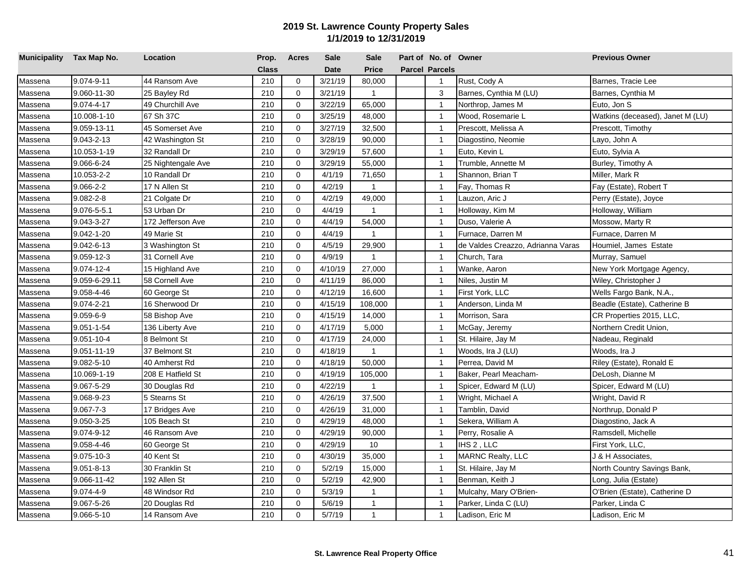| Municipality Tax Map No. |                  | Location           | Prop. | Acres       | <b>Sale</b> | <b>Sale</b>  | Part of No. of Owner  |                                   | <b>Previous Owner</b>            |
|--------------------------|------------------|--------------------|-------|-------------|-------------|--------------|-----------------------|-----------------------------------|----------------------------------|
|                          |                  |                    | Class |             | <b>Date</b> | <b>Price</b> | <b>Parcel Parcels</b> |                                   |                                  |
| Massena                  | 9.074-9-11       | 44 Ransom Ave      | 210   | $\mathbf 0$ | 3/21/19     | 80,000       | $\mathbf{1}$          | Rust, Cody A                      | Barnes, Tracie Lee               |
| Massena                  | 9.060-11-30      | 25 Bayley Rd       | 210   | $\mathbf 0$ | 3/21/19     | $\mathbf{1}$ | 3                     | Barnes, Cynthia M (LU)            | Barnes, Cynthia M                |
| Massena                  | 9.074-4-17       | 49 Churchill Ave   | 210   | $\mathbf 0$ | 3/22/19     | 65,000       | $\overline{1}$        | Northrop, James M                 | Euto, Jon S                      |
| Massena                  | 10.008-1-10      | 67 Sh 37C          | 210   | $\Omega$    | 3/25/19     | 48,000       | $\overline{1}$        | Wood, Rosemarie L                 | Watkins (deceased), Janet M (LU) |
| Massena                  | 9.059-13-11      | 45 Somerset Ave    | 210   | $\mathbf 0$ | 3/27/19     | 32,500       | $\overline{1}$        | Prescott, Melissa A               | Prescott, Timothy                |
| Massena                  | 9.043-2-13       | 42 Washington St   | 210   | $\Omega$    | 3/28/19     | 90,000       | $\overline{1}$        | Diagostino, Neomie                | Layo, John A                     |
| Massena                  | 10.053-1-19      | 32 Randall Dr      | 210   | $\mathbf 0$ | 3/29/19     | 57,600       | $\overline{1}$        | Euto, Kevin L                     | Euto, Sylvia A                   |
| Massena                  | 9.066-6-24       | 25 Nightengale Ave | 210   | $\Omega$    | 3/29/19     | 55,000       | $\overline{1}$        | Trumble, Annette M                | Burley, Timothy A                |
| Massena                  | 10.053-2-2       | 10 Randall Dr      | 210   | $\mathbf 0$ | 4/1/19      | 71,650       | $\overline{1}$        | Shannon, Brian T                  | Miller, Mark R                   |
| Massena                  | 9.066-2-2        | 17 N Allen St      | 210   | $\Omega$    | 4/2/19      | $\mathbf{1}$ | $\overline{1}$        | Fay, Thomas R                     | Fay (Estate), Robert T           |
| Massena                  | $9.082 - 2 - 8$  | 21 Colgate Dr      | 210   | $\mathbf 0$ | 4/2/19      | 49,000       | $\overline{1}$        | Lauzon, Aric J                    | Perry (Estate), Joyce            |
| Massena                  | 9.076-5-5.1      | 53 Urban Dr        | 210   | $\Omega$    | 4/4/19      | 1            | $\overline{1}$        | Holloway, Kim M                   | Holloway, William                |
| Massena                  | 9.043-3-27       | 172 Jefferson Ave  | 210   | $\Omega$    | 4/4/19      | 54,000       | $\mathbf{1}$          | Duso, Valerie A                   | Mossow, Marty R                  |
| Massena                  | 9.042-1-20       | 49 Marie St        | 210   | $\Omega$    | 4/4/19      | $\mathbf{1}$ | $\overline{1}$        | Furnace. Darren M                 | Furnace, Darren M                |
| Massena                  | 9.042-6-13       | 3 Washington St    | 210   | $\mathbf 0$ | 4/5/19      | 29,900       | $\overline{1}$        | de Valdes Creazzo, Adrianna Varas | Houmiel, James Estate            |
| Massena                  | $9.059 - 12 - 3$ | 31 Cornell Ave     | 210   | $\Omega$    | 4/9/19      | $\mathbf{1}$ | $\overline{1}$        | Church, Tara                      | Murray, Samuel                   |
| Massena                  | 9.074-12-4       | 15 Highland Ave    | 210   | $\Omega$    | 4/10/19     | 27,000       | $\overline{1}$        | Wanke, Aaron                      | New York Mortgage Agency,        |
| Massena                  | 9.059-6-29.11    | 58 Cornell Ave     | 210   | $\Omega$    | 4/11/19     | 86,000       | $\overline{1}$        | Niles, Justin M                   | Wiley, Christopher J             |
| Massena                  | 9.058-4-46       | 60 George St       | 210   | $\Omega$    | 4/12/19     | 16,600       | $\overline{1}$        | First York, LLC                   | Wells Fargo Bank, N.A.,          |
| Massena                  | 9.074-2-21       | 16 Sherwood Dr     | 210   | $\Omega$    | 4/15/19     | 108,000      | $\overline{1}$        | Anderson, Linda M                 | Beadle (Estate), Catherine B     |
| Massena                  | 9.059-6-9        | 58 Bishop Ave      | 210   | $\mathbf 0$ | 4/15/19     | 14,000       | $\overline{1}$        | Morrison, Sara                    | CR Properties 2015, LLC,         |
| Massena                  | $9.051 - 1 - 54$ | 136 Liberty Ave    | 210   | $\mathbf 0$ | 4/17/19     | 5,000        | $\overline{1}$        | McGay, Jeremy                     | Northern Credit Union,           |
| Massena                  | $9.051 - 10 - 4$ | 8 Belmont St       | 210   | $\mathbf 0$ | 4/17/19     | 24,000       | $\overline{1}$        | St. Hilaire, Jay M                | Nadeau, Reginald                 |
| Massena                  | 9.051-11-19      | 37 Belmont St      | 210   | $\mathbf 0$ | 4/18/19     | $\mathbf{1}$ | $\mathbf{1}$          | Woods, Ira J (LU)                 | Woods, Ira J                     |
| Massena                  | 9.082-5-10       | 40 Amherst Rd      | 210   | $\mathbf 0$ | 4/18/19     | 50,000       | $\overline{1}$        | Perrea, David M                   | Riley (Estate), Ronald E         |
| Massena                  | 10.069-1-19      | 208 E Hatfield St  | 210   | $\mathbf 0$ | 4/19/19     | 105,000      | $\overline{1}$        | Baker, Pearl Meacham-             | DeLosh, Dianne M                 |
| Massena                  | 9.067-5-29       | 30 Douglas Rd      | 210   | $\mathbf 0$ | 4/22/19     | $\mathbf{1}$ | $\mathbf{1}$          | Spicer, Edward M (LU)             | Spicer, Edward M (LU)            |
| Massena                  | 9.068-9-23       | 5 Stearns St       | 210   | $\mathbf 0$ | 4/26/19     | 37,500       | $\overline{1}$        | Wright, Michael A                 | Wright, David R                  |
| Massena                  | $9.067 - 7 - 3$  | 17 Bridges Ave     | 210   | $\mathbf 0$ | 4/26/19     | 31,000       | $\overline{1}$        | Tamblin, David                    | Northrup, Donald P               |
| Massena                  | 9.050-3-25       | 105 Beach St       | 210   | $\mathbf 0$ | 4/29/19     | 48,000       | $\overline{1}$        | Sekera, William A                 | Diagostino, Jack A               |
| Massena                  | 9.074-9-12       | 46 Ransom Ave      | 210   | $\Omega$    | 4/29/19     | 90,000       | $\overline{1}$        | Perry, Rosalie A                  | Ramsdell, Michelle               |
| Massena                  | 9.058-4-46       | 60 George St       | 210   | $\mathbf 0$ | 4/29/19     | 10           | $\overline{1}$        | IHS 2, LLC                        | First York, LLC,                 |
| Massena                  | $9.075 - 10 - 3$ | 40 Kent St         | 210   | $\mathbf 0$ | 4/30/19     | 35,000       | $\overline{1}$        | <b>MARNC Realty, LLC</b>          | J & H Associates.                |
| Massena                  | $9.051 - 8 - 13$ | 30 Franklin St     | 210   | $\mathbf 0$ | 5/2/19      | 15,000       | $\overline{1}$        | St. Hilaire, Jay M                | North Country Savings Bank,      |
| Massena                  | 9.066-11-42      | 192 Allen St       | 210   | $\Omega$    | 5/2/19      | 42,900       | $\overline{1}$        | Benman, Keith J                   | Long, Julia (Estate)             |
| Massena                  | $9.074 - 4 - 9$  | 48 Windsor Rd      | 210   | $\Omega$    | 5/3/19      | 1            | $\overline{1}$        | Mulcahy, Mary O'Brien-            | O'Brien (Estate), Catherine D    |
| Massena                  | 9.067-5-26       | 20 Douglas Rd      | 210   | $\Omega$    | 5/6/19      | $\mathbf{1}$ | $\overline{1}$        | Parker, Linda C (LU)              | Parker, Linda C                  |
| Massena                  | 9.066-5-10       | 14 Ransom Ave      | 210   | $\Omega$    | 5/7/19      | $\mathbf{1}$ | $\mathbf{1}$          | Ladison, Eric M                   | Ladison, Eric M                  |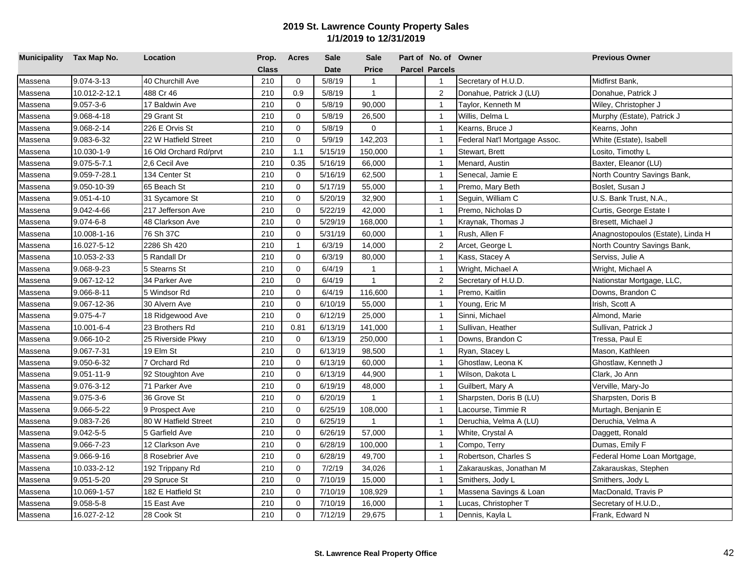| Municipality Tax Map No. |                   | Location               | Prop.        | <b>Acres</b> | <b>Sale</b> | <b>Sale</b>  | Part of No. of Owner  |                               | <b>Previous Owner</b>             |
|--------------------------|-------------------|------------------------|--------------|--------------|-------------|--------------|-----------------------|-------------------------------|-----------------------------------|
|                          |                   |                        | <b>Class</b> |              | <b>Date</b> | <b>Price</b> | <b>Parcel Parcels</b> |                               |                                   |
| Massena                  | 9.074-3-13        | 40 Churchill Ave       | 210          | $\mathbf 0$  | 5/8/19      | $\mathbf{1}$ | $\overline{1}$        | Secretary of H.U.D.           | Midfirst Bank,                    |
| Massena                  | 10.012-2-12.1     | 488 Cr 46              | 210          | 0.9          | 5/8/19      | $\mathbf{1}$ | $\overline{2}$        | Donahue, Patrick J (LU)       | Donahue, Patrick J                |
| Massena                  | $9.057 - 3 - 6$   | 17 Baldwin Ave         | 210          | $\mathbf 0$  | 5/8/19      | 90,000       | $\overline{1}$        | Taylor, Kenneth M             | Wiley, Christopher J              |
| Massena                  | 9.068-4-18        | 29 Grant St            | 210          | $\mathbf 0$  | 5/8/19      | 26,500       | $\overline{1}$        | Willis, Delma L               | Murphy (Estate), Patrick J        |
| Massena                  | 9.068-2-14        | 226 E Orvis St         | 210          | $\mathbf 0$  | 5/8/19      | $\mathbf 0$  | $\overline{1}$        | Kearns, Bruce J               | Kearns, John                      |
| Massena                  | 9.083-6-32        | 22 W Hatfield Street   | 210          | $\Omega$     | 5/9/19      | 142,203      | $\overline{1}$        | Federal Nat'l Mortgage Assoc. | White (Estate), Isabell           |
| Massena                  | 10.030-1-9        | 16 Old Orchard Rd/prvt | 210          | 1.1          | 5/15/19     | 150,000      | $\overline{1}$        | Stewart, Brett                | Losito, Timothy L                 |
| Massena                  | $9.075 - 5 - 7.1$ | 2,6 Cecil Ave          | 210          | 0.35         | 5/16/19     | 66,000       | $\overline{1}$        | Menard, Austin                | Baxter, Eleanor (LU)              |
| Massena                  | 9.059-7-28.1      | 134 Center St          | 210          | $\Omega$     | 5/16/19     | 62,500       | $\overline{1}$        | Senecal, Jamie E              | North Country Savings Bank,       |
| Massena                  | 9.050-10-39       | 65 Beach St            | 210          | $\Omega$     | 5/17/19     | 55,000       | $\overline{1}$        | Premo, Mary Beth              | Boslet, Susan J                   |
| Massena                  | $9.051 - 4 - 10$  | 31 Sycamore St         | 210          | $\Omega$     | 5/20/19     | 32,900       | $\overline{1}$        | Sequin, William C             | U.S. Bank Trust, N.A.,            |
| Massena                  | 9.042-4-66        | 217 Jefferson Ave      | 210          | $\Omega$     | 5/22/19     | 42,000       | $\overline{1}$        | Premo, Nicholas D             | Curtis, George Estate I           |
| Massena                  | 9.074-6-8         | 48 Clarkson Ave        | 210          | $\Omega$     | 5/29/19     | 168,000      | $\overline{1}$        | Kraynak, Thomas J             | Bresett, Michael J                |
| Massena                  | 10.008-1-16       | 76 Sh 37C              | 210          | $\Omega$     | 5/31/19     | 60,000       | $\overline{1}$        | Rush, Allen F                 | Anagnostopoulos (Estate), Linda H |
| Massena                  | 16.027-5-12       | 2286 Sh 420            | 210          | $\mathbf{1}$ | 6/3/19      | 14,000       | $\overline{2}$        | Arcet, George L               | North Country Savings Bank,       |
| Massena                  | 10.053-2-33       | 5 Randall Dr           | 210          | $\Omega$     | 6/3/19      | 80,000       | $\overline{1}$        | Kass, Stacey A                | Serviss, Julie A                  |
| Massena                  | 9.068-9-23        | 5 Stearns St           | 210          | $\mathbf 0$  | 6/4/19      | $\mathbf{1}$ | $\overline{1}$        | Wright, Michael A             | Wright, Michael A                 |
| Massena                  | 9.067-12-12       | 34 Parker Ave          | 210          | $\Omega$     | 6/4/19      | $\mathbf{1}$ | $\overline{c}$        | Secretary of H.U.D.           | Nationstar Mortgage, LLC,         |
| Massena                  | 9.066-8-11        | 5 Windsor Rd           | 210          | $\mathbf 0$  | 6/4/19      | 116,600      | $\overline{1}$        | Premo, Kaitlin                | Downs, Brandon C                  |
| Massena                  | 9.067-12-36       | 30 Alvern Ave          | 210          | $\mathbf 0$  | 6/10/19     | 55,000       | $\overline{1}$        | Young, Eric M                 | Irish, Scott A                    |
| Massena                  | 9.075-4-7         | 18 Ridgewood Ave       | 210          | $\mathbf 0$  | 6/12/19     | 25,000       | $\mathbf{1}$          | Sinni, Michael                | Almond, Marie                     |
| Massena                  | 10.001-6-4        | 23 Brothers Rd         | 210          | 0.81         | 6/13/19     | 141,000      | $\overline{1}$        | Sullivan, Heather             | Sullivan, Patrick J               |
| Massena                  | 9.066-10-2        | 25 Riverside Pkwy      | 210          | $\mathbf 0$  | 6/13/19     | 250,000      | $\mathbf{1}$          | Downs, Brandon C              | Tressa, Paul E                    |
| Massena                  | 9.067-7-31        | 19 Elm St              | 210          | $\mathbf 0$  | 6/13/19     | 98,500       | $\overline{1}$        | Ryan, Stacey L                | Mason, Kathleen                   |
| Massena                  | 9.050-6-32        | 7 Orchard Rd           | 210          | $\mathbf 0$  | 6/13/19     | 60,000       | $\mathbf{1}$          | Ghostlaw, Leona K             | Ghostlaw, Kenneth J               |
| Massena                  | $9.051 - 11 - 9$  | 92 Stoughton Ave       | 210          | $\mathbf 0$  | 6/13/19     | 44,900       | $\overline{1}$        | Wilson, Dakota L              | Clark, Jo Ann                     |
| Massena                  | 9.076-3-12        | 71 Parker Ave          | 210          | $\mathbf 0$  | 6/19/19     | 48,000       | $\overline{1}$        | Guilbert, Mary A              | Verville, Mary-Jo                 |
| Massena                  | $9.075 - 3 - 6$   | 36 Grove St            | 210          | $\Omega$     | 6/20/19     | $\mathbf{1}$ | $\overline{1}$        | Sharpsten, Doris B (LU)       | Sharpsten, Doris B                |
| Massena                  | 9.066-5-22        | 9 Prospect Ave         | 210          | $\Omega$     | 6/25/19     | 108,000      | $\mathbf{1}$          | .acourse, Timmie R            | Murtagh, Benjanin E               |
| Massena                  | 9.083-7-26        | 80 W Hatfield Street   | 210          | 0            | 6/25/19     | $\mathbf{1}$ | $\overline{1}$        | Deruchia, Velma A (LU)        | Deruchia, Velma A                 |
| Massena                  | $9.042 - 5 - 5$   | 5 Garfield Ave         | 210          | $\mathbf 0$  | 6/26/19     | 57,000       | $\overline{1}$        | White, Crystal A              | Daggett, Ronald                   |
| Massena                  | 9.066-7-23        | 12 Clarkson Ave        | 210          | $\Omega$     | 6/28/19     | 100,000      | $\overline{1}$        | Compo, Terry                  | Dumas, Emily F                    |
| Massena                  | 9.066-9-16        | 8 Rosebrier Ave        | 210          | $\Omega$     | 6/28/19     | 49,700       | $\overline{1}$        | Robertson, Charles S          | Federal Home Loan Mortgage,       |
| Massena                  | 10.033-2-12       | 192 Trippany Rd        | 210          | $\Omega$     | 7/2/19      | 34,026       | $\overline{1}$        | Zakarauskas, Jonathan M       | Zakarauskas, Stephen              |
| Massena                  | 9.051-5-20        | 29 Spruce St           | 210          | $\Omega$     | 7/10/19     | 15,000       | $\overline{1}$        | Smithers, Jody L              | Smithers, Jody L                  |
| Massena                  | 10.069-1-57       | 182 E Hatfield St      | 210          | $\Omega$     | 7/10/19     | 108,929      | $\overline{1}$        | Massena Savings & Loan        | MacDonald, Travis P               |
| Massena                  | $9.058 - 5 - 8$   | 15 East Ave            | 210          | $\Omega$     | 7/10/19     | 16,000       | $\overline{1}$        | Lucas, Christopher T          | Secretary of H.U.D.,              |
| Massena                  | 16.027-2-12       | 28 Cook St             | 210          | $\Omega$     | 7/12/19     | 29,675       | $\mathbf{1}$          | Dennis, Kayla L               | Frank, Edward N                   |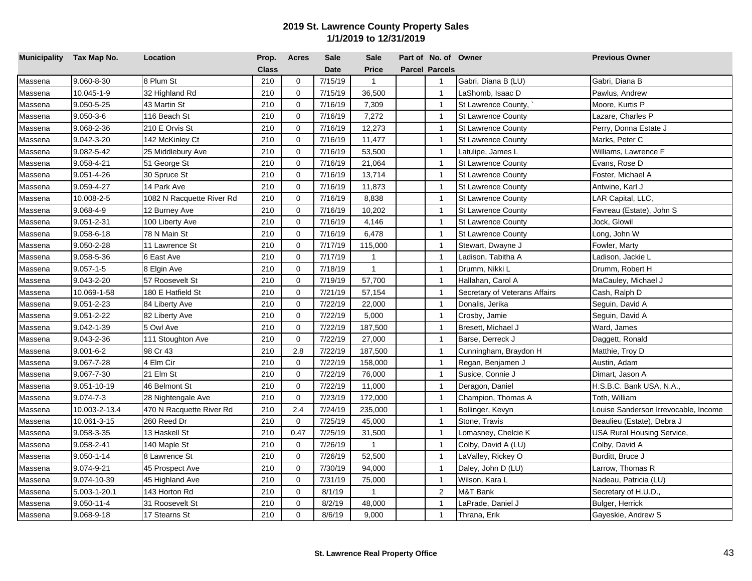| Municipality Tax Map No. |                  | Location                  | Prop.        | <b>Acres</b> | <b>Sale</b> | <b>Sale</b>  | Part of No. of Owner  |                               | <b>Previous Owner</b>                |
|--------------------------|------------------|---------------------------|--------------|--------------|-------------|--------------|-----------------------|-------------------------------|--------------------------------------|
|                          |                  |                           | <b>Class</b> |              | <b>Date</b> | <b>Price</b> | <b>Parcel Parcels</b> |                               |                                      |
| Massena                  | 9.060-8-30       | 8 Plum St                 | 210          | $\mathbf 0$  | 7/15/19     | $\mathbf{1}$ | $\mathbf 1$           | Gabri, Diana B (LU)           | Gabri, Diana B                       |
| Massena                  | 10.045-1-9       | 32 Highland Rd            | 210          | $\mathbf 0$  | 7/15/19     | 36,500       | $\mathbf{1}$          | LaShomb, Isaac D              | Pawlus, Andrew                       |
| Massena                  | 9.050-5-25       | 43 Martin St              | 210          | $\mathbf 0$  | 7/16/19     | 7,309        | $\mathbf{1}$          | St Lawrence County,           | Moore, Kurtis P                      |
| Massena                  | $9.050 - 3 - 6$  | 116 Beach St              | 210          | $\mathbf 0$  | 7/16/19     | 7,272        | $\mathbf{1}$          | <b>St Lawrence County</b>     | Lazare, Charles P                    |
| Massena                  | 9.068-2-36       | 210 E Orvis St            | 210          | $\mathbf 0$  | 7/16/19     | 12,273       | $\mathbf{1}$          | <b>St Lawrence County</b>     | Perry, Donna Estate J                |
| Massena                  | 9.042-3-20       | 142 McKinley Ct           | 210          | $\mathbf 0$  | 7/16/19     | 11,477       | $\mathbf{1}$          | St Lawrence County            | Marks, Peter C                       |
| Massena                  | 9.082-5-42       | 25 Middlebury Ave         | 210          | $\mathbf 0$  | 7/16/19     | 53,500       | $\mathbf{1}$          | Latulipe, James L             | Williams, Lawrence F                 |
| Massena                  | 9.058-4-21       | 51 George St              | 210          | $\mathbf 0$  | 7/16/19     | 21,064       | $\mathbf{1}$          | <b>St Lawrence County</b>     | Evans, Rose D                        |
| Massena                  | 9.051-4-26       | 30 Spruce St              | 210          | $\mathbf 0$  | 7/16/19     | 13,714       | $\mathbf{1}$          | St Lawrence County            | Foster, Michael A                    |
| Massena                  | 9.059-4-27       | 14 Park Ave               | 210          | $\mathbf 0$  | 7/16/19     | 11,873       | $\mathbf{1}$          | <b>St Lawrence County</b>     | Antwine, Karl J                      |
| Massena                  | 10.008-2-5       | 1082 N Racquette River Rd | 210          | $\mathbf 0$  | 7/16/19     | 8,838        | $\mathbf{1}$          | <b>St Lawrence County</b>     | LAR Capital, LLC,                    |
| Massena                  | 9.068-4-9        | 12 Burney Ave             | 210          | $\Omega$     | 7/16/19     | 10,202       | $\mathbf{1}$          | <b>St Lawrence County</b>     | Favreau (Estate), John S             |
| Massena                  | 9.051-2-31       | 100 Liberty Ave           | 210          | $\mathbf 0$  | 7/16/19     | 4,146        | $\mathbf{1}$          | <b>St Lawrence County</b>     | Jock, Glowil                         |
| Massena                  | 9.058-6-18       | 78 N Main St              | 210          | $\mathbf 0$  | 7/16/19     | 6,478        | $\overline{1}$        | <b>St Lawrence County</b>     | Long, John W                         |
| Massena                  | 9.050-2-28       | 11 Lawrence St            | 210          | $\mathbf 0$  | 7/17/19     | 115,000      | $\mathbf{1}$          | Stewart, Dwayne J             | Fowler, Marty                        |
| Massena                  | 9.058-5-36       | 6 East Ave                | 210          | $\Omega$     | 7/17/19     | $\mathbf{1}$ | $\overline{1}$        | Ladison, Tabitha A            | Ladison, Jackie L                    |
| Massena                  | $9.057 - 1 - 5$  | 8 Elgin Ave               | 210          | $\Omega$     | 7/18/19     | $\mathbf{1}$ | $\mathbf{1}$          | Drumm, Nikki L                | Drumm, Robert H                      |
| Massena                  | 9.043-2-20       | 57 Roosevelt St           | 210          | $\Omega$     | 7/19/19     | 57,700       | $\mathbf{1}$          | Hallahan, Carol A             | MaCauley, Michael J                  |
| Massena                  | 10.069-1-58      | 180 E Hatfield St         | 210          | $\Omega$     | 7/21/19     | 57,154       | $\mathbf{1}$          | Secretary of Veterans Affairs | Cash, Ralph D                        |
| Massena                  | 9.051-2-23       | 84 Liberty Ave            | 210          | $\Omega$     | 7/22/19     | 22,000       | $\mathbf{1}$          | Donalis, Jerika               | Seguin, David A                      |
| Massena                  | 9.051-2-22       | 82 Liberty Ave            | 210          | $\mathbf 0$  | 7/22/19     | 5,000        | $\mathbf{1}$          | Crosby, Jamie                 | Seguin, David A                      |
| Massena                  | 9.042-1-39       | 5 Owl Ave                 | 210          | $\mathbf 0$  | 7/22/19     | 187,500      | $\mathbf{1}$          | Bresett, Michael J            | Ward, James                          |
| Massena                  | 9.043-2-36       | 111 Stoughton Ave         | 210          | $\mathbf 0$  | 7/22/19     | 27,000       | $\mathbf{1}$          | Barse, Derreck J              | Daggett, Ronald                      |
| Massena                  | $9.001 - 6 - 2$  | 98 Cr 43                  | 210          | 2.8          | 7/22/19     | 187,500      | $\mathbf{1}$          | Cunningham, Braydon H         | Matthie, Troy D                      |
| Massena                  | 9.067-7-28       | 4 Elm Cir                 | 210          | $\mathbf 0$  | 7/22/19     | 158,000      | $\mathbf{1}$          | Regan, Benjamen J             | Austin, Adam                         |
| Massena                  | 9.067-7-30       | 21 Elm St                 | 210          | $\mathbf 0$  | 7/22/19     | 76,000       | $\mathbf{1}$          | Susice, Connie J              | Dimart, Jason A                      |
| Massena                  | 9.051-10-19      | 46 Belmont St             | 210          | $\mathbf 0$  | 7/22/19     | 11,000       | $\mathbf{1}$          | Deragon, Daniel               | H.S.B.C. Bank USA, N.A.,             |
| Massena                  | $9.074 - 7 - 3$  | 28 Nightengale Ave        | 210          | $\mathbf 0$  | 7/23/19     | 172,000      | $\mathbf{1}$          | Champion, Thomas A            | Toth, William                        |
| Massena                  | 10.003-2-13.4    | 470 N Racquette River Rd  | 210          | 2.4          | 7/24/19     | 235,000      | $\mathbf{1}$          | Bollinger, Kevyn              | Louise Sanderson Irrevocable, Income |
| Massena                  | 10.061-3-15      | 260 Reed Dr               | 210          | $\mathbf 0$  | 7/25/19     | 45,000       | $\mathbf{1}$          | Stone, Travis                 | Beaulieu (Estate), Debra J           |
| Massena                  | 9.058-3-35       | 13 Haskell St             | 210          | 0.47         | 7/25/19     | 31,500       | $\mathbf{1}$          | Lomasney, Chelcie K           | USA Rural Housing Service,           |
| Massena                  | 9.058-2-41       | 140 Maple St              | 210          | $\mathbf 0$  | 7/26/19     | $\mathbf{1}$ | $\mathbf{1}$          | Colby, David A (LU)           | Colby, David A                       |
| Massena                  | 9.050-1-14       | 8 Lawrence St             | 210          | $\mathbf 0$  | 7/26/19     | 52,500       | $\mathbf{1}$          | LaValley, Rickey O            | Burditt, Bruce J                     |
| Massena                  | 9.074-9-21       | 45 Prospect Ave           | 210          | $\mathbf 0$  | 7/30/19     | 94,000       | $\mathbf{1}$          | Daley, John D (LU)            | Larrow, Thomas R                     |
| Massena                  | 9.074-10-39      | 45 Highland Ave           | 210          | $\mathbf 0$  | 7/31/19     | 75,000       | $\mathbf{1}$          | Wilson, Kara L                | Nadeau, Patricia (LU)                |
| Massena                  | 5.003-1-20.1     | 143 Horton Rd             | 210          | $\mathbf 0$  | 8/1/19      | 1            | 2                     | M&T Bank                      | Secretary of H.U.D.,                 |
| Massena                  | $9.050 - 11 - 4$ | 31 Roosevelt St           | 210          | $\mathbf 0$  | 8/2/19      | 48,000       | $\overline{1}$        | aPrade, Daniel J              | Bulger, Herrick                      |
| Massena                  | 9.068-9-18       | 17 Stearns St             | 210          | $\Omega$     | 8/6/19      | 9,000        | $\mathbf{1}$          | Thrana, Erik                  | Gayeskie, Andrew S                   |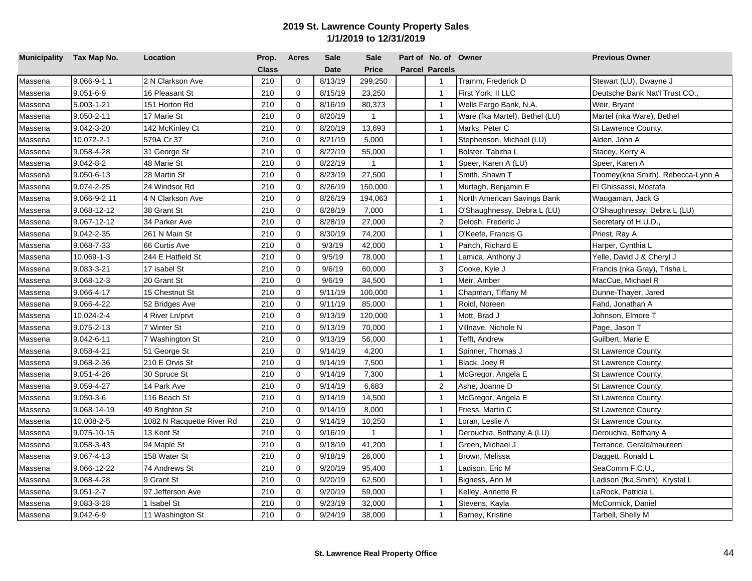| Municipality Tax Map No. |                   | Location                  | Prop.        | <b>Acres</b> | <b>Sale</b> | <b>Sale</b>  | Part of No. of Owner  |                                | <b>Previous Owner</b>             |
|--------------------------|-------------------|---------------------------|--------------|--------------|-------------|--------------|-----------------------|--------------------------------|-----------------------------------|
|                          |                   |                           | <b>Class</b> |              | <b>Date</b> | <b>Price</b> | <b>Parcel Parcels</b> |                                |                                   |
| Massena                  | $9.066 - 9 - 1.1$ | 2 N Clarkson Ave          | 210          | $\mathbf 0$  | 8/13/19     | 299,250      | $\overline{1}$        | Tramm, Frederick D             | Stewart (LU), Dwayne J            |
| Massena                  | $9.051 - 6 - 9$   | 16 Pleasant St            | 210          | $\mathbf 0$  | 8/15/19     | 23,250       | $\overline{1}$        | First York. II LLC             | Deutsche Bank Nat'l Trust CO.,    |
| Massena                  | 5.003-1-21        | 151 Horton Rd             | 210          | $\mathbf 0$  | 8/16/19     | 80,373       | $\overline{1}$        | Wells Fargo Bank, N.A.         | Weir, Bryant                      |
| Massena                  | 9.050-2-11        | 17 Marie St               | 210          | $\mathbf 0$  | 8/20/19     | $\mathbf{1}$ | $\overline{1}$        | Ware (fka Martel), Bethel (LU) | Martel (nka Ware), Bethel         |
| Massena                  | 9.042-3-20        | 142 McKinley Ct           | 210          | $\mathbf 0$  | 8/20/19     | 13,693       | $\overline{1}$        | Marks, Peter C                 | St Lawrence County,               |
| Massena                  | 10.072-2-1        | 579A Cr 37                | 210          | $\mathbf 0$  | 8/21/19     | 5,000        | $\overline{1}$        | Stephenson, Michael (LU)       | Alden, John A                     |
| Massena                  | 9.058-4-28        | 31 George St              | 210          | $\mathbf 0$  | 8/22/19     | 55,000       | $\overline{1}$        | Bolster, Tabitha L             | Stacey, Kerry A                   |
| Massena                  | $9.042 - 8 - 2$   | 48 Marie St               | 210          | $\mathbf 0$  | 8/22/19     | $\mathbf{1}$ | $\overline{1}$        | Speer, Karen A (LU)            | Speer, Karen A                    |
| Massena                  | 9.050-6-13        | 28 Martin St              | 210          | $\mathbf 0$  | 8/23/19     | 27,500       | $\mathbf{1}$          | Smith, Shawn T                 | Toomey(kna Smith), Rebecca-Lynn A |
| Massena                  | 9.074-2-25        | 24 Windsor Rd             | 210          | $\mathbf 0$  | 8/26/19     | 150,000      | $\overline{1}$        | Murtagh, Benjamin E            | El Ghissassi, Mostafa             |
| Massena                  | 9.066-9-2.11      | 4 N Clarkson Ave          | 210          | $\mathbf 0$  | 8/26/19     | 194,063      | $\overline{1}$        | North American Savings Bank    | Waugaman, Jack G                  |
| Massena                  | 9.068-12-12       | 38 Grant St               | 210          | $\mathbf 0$  | 8/28/19     | 7,000        | $\overline{1}$        | O'Shaughnessy, Debra L (LU)    | O'Shaughnessy, Debra L (LU)       |
| Massena                  | 9.067-12-12       | 34 Parker Ave             | 210          | $\mathbf 0$  | 8/28/19     | 27,000       | 2                     | Delosh, Frederic J             | Secretary of H.U.D.,              |
| Massena                  | 9.042-2-35        | 261 N Main St             | 210          | $\Omega$     | 8/30/19     | 74,200       | $\overline{1}$        | O'Keefe, Francis G             | Priest, Ray A                     |
| Massena                  | 9.068-7-33        | 66 Curtis Ave             | 210          | $\mathbf 0$  | 9/3/19      | 42,000       | $\overline{1}$        | Partch, Richard E              | Harper, Cynthia L                 |
| Massena                  | 10.069-1-3        | 244 E Hatfield St         | 210          | $\mathbf 0$  | 9/5/19      | 78,000       | $\overline{1}$        | Lamica, Anthony J              | Yelle, David J & Cheryl J         |
| Massena                  | 9.083-3-21        | 17 Isabel St              | 210          | $\Omega$     | 9/6/19      | 60,000       | $\mathbf{3}$          | Cooke, Kyle J                  | Francis (nka Gray), Trisha L      |
| Massena                  | 9.068-12-3        | 20 Grant St               | 210          | $\Omega$     | 9/6/19      | 34,500       | $\overline{1}$        | Meir, Amber                    | MacCue, Michael R                 |
| Massena                  | 9.066-4-17        | 15 Chestnut St            | 210          | $\mathbf 0$  | 9/11/19     | 100,000      | $\overline{1}$        | Chapman, Tiffany M             | Dunne-Thayer, Jared               |
| Massena                  | 9.066-4-22        | 52 Bridges Ave            | 210          | $\Omega$     | 9/11/19     | 85,000       | $\mathbf{1}$          | Roidl, Noreen                  | Fahd, Jonathan A                  |
| Massena                  | 10.024-2-4        | 4 River Ln/prvt           | 210          | $\mathbf 0$  | 9/13/19     | 120,000      | $\overline{1}$        | Mott, Brad J                   | Johnson, Elmore T                 |
| Massena                  | 9.075-2-13        | 7 Winter St               | 210          | $\mathbf 0$  | 9/13/19     | 70,000       | $\overline{1}$        | Villnave, Nichole N            | Page, Jason T                     |
| Massena                  | 9.042-6-11        | 7 Washington St           | 210          | $\mathbf 0$  | 9/13/19     | 56,000       | $\overline{1}$        | Tefft, Andrew                  | Guilbert, Marie E                 |
| Massena                  | 9.058-4-21        | 51 George St              | 210          | $\mathbf 0$  | 9/14/19     | 4,200        | $\overline{1}$        | Spinner, Thomas J              | St Lawrence County,               |
| Massena                  | 9.068-2-36        | 210 E Orvis St            | 210          | $\mathbf 0$  | 9/14/19     | 7,500        | $\overline{1}$        | Black, Joey R                  | St Lawrence County,               |
| Massena                  | 9.051-4-26        | 30 Spruce St              | 210          | $\mathbf 0$  | 9/14/19     | 7,300        | $\overline{1}$        | McGregor, Angela E             | St Lawrence County,               |
| Massena                  | 9.059-4-27        | 14 Park Ave               | 210          | $\mathbf 0$  | 9/14/19     | 6,683        | 2                     | Ashe, Joanne D                 | St Lawrence County,               |
| Massena                  | $9.050 - 3 - 6$   | 116 Beach St              | 210          | $\mathbf 0$  | 9/14/19     | 14,500       | $\mathbf{1}$          | McGregor, Angela E             | St Lawrence County,               |
| Massena                  | 9.068-14-19       | 49 Brighton St            | 210          | $\mathbf 0$  | 9/14/19     | 8,000        | $\overline{1}$        | Friess, Martin C               | St Lawrence County,               |
| Massena                  | 10.008-2-5        | 1082 N Racquette River Rd | 210          | $\mathbf 0$  | 9/14/19     | 10,250       | $\overline{1}$        | Loran, Leslie A                | St Lawrence County,               |
| Massena                  | 9.075-10-15       | 13 Kent St                | 210          | $\mathbf 0$  | 9/16/19     | $\mathbf{1}$ | $\overline{1}$        | Derouchia, Bethany A (LU)      | Derouchia, Bethany A              |
| Massena                  | 9.058-3-43        | 94 Maple St               | 210          | $\mathbf 0$  | 9/18/19     | 41,200       | $\overline{1}$        | Green, Michael J               | Terrance, Gerald/maureen          |
| Massena                  | $9.067 - 4 - 13$  | 158 Water St              | 210          | $\mathbf 0$  | 9/18/19     | 26,000       | $\overline{1}$        | Brown, Melissa                 | Daggett, Ronald L                 |
| Massena                  | 9.066-12-22       | 74 Andrews St             | 210          | $\mathbf 0$  | 9/20/19     | 95,400       | $\overline{1}$        | Ladison, Eric M                | SeaComm F.C.U.,                   |
| Massena                  | 9.068-4-28        | 9 Grant St                | 210          | $\mathbf 0$  | 9/20/19     | 62,500       | $\overline{1}$        | Bigness, Ann M                 | Ladison (fka Smith), Krystal L    |
| Massena                  | $9.051 - 2 - 7$   | 97 Jefferson Ave          | 210          | $\mathbf 0$  | 9/20/19     | 59,000       | $\mathbf{1}$          | Kelley, Annette R              | LaRock, Patricia L                |
| Massena                  | 9.083-3-28        | 1 Isabel St               | 210          | $\mathbf 0$  | 9/23/19     | 32,000       | $\overline{1}$        | Stevens, Kayla                 | McCormick, Daniel                 |
| Massena                  | $9.042 - 6 - 9$   | 11 Washington St          | 210          | $\mathbf 0$  | 9/24/19     | 38,000       | $\mathbf{1}$          | Barney, Kristine               | Tarbell, Shelly M                 |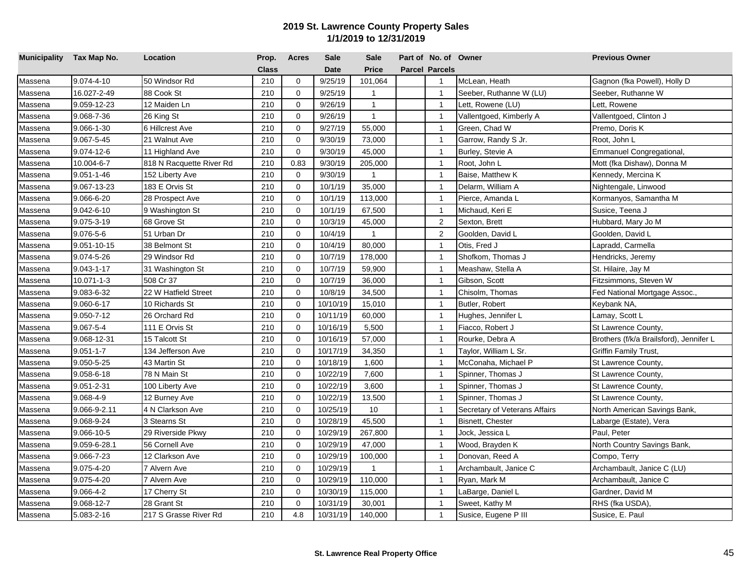| Municipality Tax Map No. |                  | Location                 | Prop.        | <b>Acres</b> | <b>Sale</b> | <b>Sale</b>  | Part of No. of Owner  |                               | <b>Previous Owner</b>                   |
|--------------------------|------------------|--------------------------|--------------|--------------|-------------|--------------|-----------------------|-------------------------------|-----------------------------------------|
|                          |                  |                          | <b>Class</b> |              | <b>Date</b> | Price        | <b>Parcel Parcels</b> |                               |                                         |
| Massena                  | 9.074-4-10       | 50 Windsor Rd            | 210          | $\mathbf 0$  | 9/25/19     | 101,064      | $\mathbf{1}$          | McLean, Heath                 | Gagnon (fka Powell), Holly D            |
| Massena                  | 16.027-2-49      | 88 Cook St               | 210          | $\mathbf 0$  | 9/25/19     | $\mathbf{1}$ | $\mathbf{1}$          | Seeber, Ruthanne W (LU)       | Seeber, Ruthanne W                      |
| Massena                  | 9.059-12-23      | 12 Maiden Ln             | 210          | $\mathbf 0$  | 9/26/19     | $\mathbf{1}$ | $\overline{1}$        | Lett, Rowene (LU)             | Lett, Rowene                            |
| Massena                  | 9.068-7-36       | 26 King St               | 210          | $\mathbf 0$  | 9/26/19     | $\mathbf{1}$ | $\overline{1}$        | Vallentgoed, Kimberly A       | Vallentgoed, Clinton J                  |
| Massena                  | 9.066-1-30       | 6 Hillcrest Ave          | 210          | $\mathbf 0$  | 9/27/19     | 55,000       | $\overline{1}$        | Green, Chad W                 | Premo, Doris K                          |
| Massena                  | 9.067-5-45       | 21 Walnut Ave            | 210          | $\mathbf 0$  | 9/30/19     | 73,000       | $\overline{1}$        | Garrow, Randy S Jr.           | Root, John L                            |
| Massena                  | 9.074-12-6       | 11 Highland Ave          | 210          | 0            | 9/30/19     | 45,000       | $\overline{1}$        | Burley, Stevie A              | Emmanuel Congregational,                |
| Massena                  | 10.004-6-7       | 818 N Racquette River Rd | 210          | 0.83         | 9/30/19     | 205,000      | $\overline{1}$        | Root, John L                  | Mott (fka Dishaw), Donna M              |
| Massena                  | $9.051 - 1 - 46$ | 152 Liberty Ave          | 210          | $\mathbf 0$  | 9/30/19     | $\mathbf{1}$ | $\overline{1}$        | Baise, Matthew K              | Kennedy, Mercina K                      |
| Massena                  | 9.067-13-23      | 183 E Orvis St           | 210          | $\mathbf 0$  | 10/1/19     | 35,000       | $\overline{1}$        | Delarm, William A             | Nightengale, Linwood                    |
| Massena                  | 9.066-6-20       | 28 Prospect Ave          | 210          | 0            | 10/1/19     | 113,000      | $\overline{1}$        | Pierce, Amanda L              | Kormanyos, Samantha M                   |
| Massena                  | 9.042-6-10       | 9 Washington St          | 210          | $\mathbf 0$  | 10/1/19     | 67,500       | $\overline{1}$        | Michaud, Keri E               | Susice, Teena J                         |
| Massena                  | 9.075-3-19       | 68 Grove St              | 210          | $\mathbf 0$  | 10/3/19     | 45,000       | 2                     | Sexton, Brett                 | Hubbard, Mary Jo M                      |
| Massena                  | 9.076-5-6        | 51 Urban Dr              | 210          | $\Omega$     | 10/4/19     | $\mathbf{1}$ | $\overline{2}$        | Goolden, David L              | Goolden, David L                        |
| Massena                  | 9.051-10-15      | 38 Belmont St            | 210          | $\mathbf 0$  | 10/4/19     | 80,000       | $\overline{1}$        | Otis, Fred J                  | Lapradd, Carmella                       |
| Massena                  | 9.074-5-26       | 29 Windsor Rd            | 210          | $\Omega$     | 10/7/19     | 178,000      | $\overline{1}$        | Shofkom, Thomas J             | Hendricks, Jeremy                       |
| Massena                  | 9.043-1-17       | 31 Washington St         | 210          | $\Omega$     | 10/7/19     | 59,900       | $\overline{1}$        | Meashaw, Stella A             | St. Hilaire, Jay M                      |
| Massena                  | 10.071-1-3       | 508 Cr 37                | 210          | $\Omega$     | 10/7/19     | 36,000       | $\overline{1}$        | Gibson, Scott                 | Fitzsimmons, Steven W                   |
| Massena                  | 9.083-6-32       | 22 W Hatfield Street     | 210          | $\mathbf 0$  | 10/8/19     | 34,500       | $\overline{1}$        | Chisolm, Thomas               | Fed National Mortgage Assoc.,           |
| Massena                  | 9.060-6-17       | 10 Richards St           | 210          | $\Omega$     | 10/10/19    | 15,010       | $\overline{1}$        | Butler, Robert                | Keybank NA,                             |
| Massena                  | 9.050-7-12       | 26 Orchard Rd            | 210          | $\mathbf 0$  | 10/11/19    | 60,000       | $\overline{1}$        | Hughes, Jennifer L            | Lamay, Scott L                          |
| Massena                  | 9.067-5-4        | 111 E Orvis St           | 210          | $\mathbf 0$  | 10/16/19    | 5,500        | $\overline{1}$        | Fiacco, Robert J              | St Lawrence County,                     |
| Massena                  | 9.068-12-31      | 15 Talcott St            | 210          | $\mathbf 0$  | 10/16/19    | 57,000       | $\overline{1}$        | Rourke, Debra A               | Brothers (f/k/a Brailsford), Jennifer L |
| Massena                  | $9.051 - 1 - 7$  | 134 Jefferson Ave        | 210          | $\mathbf 0$  | 10/17/19    | 34,350       | $\overline{1}$        | Taylor, William L Sr.         | <b>Griffin Family Trust,</b>            |
| Massena                  | 9.050-5-25       | 43 Martin St             | 210          | $\mathbf 0$  | 10/18/19    | 1,600        | $\overline{1}$        | McConaha, Michael P           | St Lawrence County,                     |
| Massena                  | 9.058-6-18       | 78 N Main St             | 210          | $\mathbf 0$  | 10/22/19    | 7,600        | $\overline{1}$        | Spinner, Thomas J             | St Lawrence County,                     |
| Massena                  | 9.051-2-31       | 100 Liberty Ave          | 210          | $\mathbf 0$  | 10/22/19    | 3,600        | $\mathbf{1}$          | Spinner, Thomas J             | St Lawrence County,                     |
| Massena                  | 9.068-4-9        | 12 Burney Ave            | 210          | $\mathbf 0$  | 10/22/19    | 13,500       | $\overline{1}$        | Spinner, Thomas J             | St Lawrence County,                     |
| Massena                  | 9.066-9-2.11     | 4 N Clarkson Ave         | 210          | $\mathbf 0$  | 10/25/19    | 10           | $\overline{1}$        | Secretary of Veterans Affairs | North American Savings Bank,            |
| Massena                  | 9.068-9-24       | 3 Stearns St             | 210          | $\mathbf 0$  | 10/28/19    | 45,500       | $\overline{1}$        | Bisnett, Chester              | Labarge (Estate), Vera                  |
| Massena                  | 9.066-10-5       | 29 Riverside Pkwy        | 210          | $\mathbf 0$  | 10/29/19    | 267,800      | $\overline{1}$        | Jock, Jessica L               | Paul, Peter                             |
| Massena                  | 9.059-6-28.1     | 56 Cornell Ave           | 210          | $\mathbf 0$  | 10/29/19    | 47,000       | $\overline{1}$        | Wood, Brayden K               | North Country Savings Bank,             |
| Massena                  | 9.066-7-23       | 12 Clarkson Ave          | 210          | $\mathbf 0$  | 10/29/19    | 100,000      | $\overline{1}$        | Donovan, Reed A               | Compo, Terry                            |
| Massena                  | 9.075-4-20       | 7 Alvern Ave             | 210          | 0            | 10/29/19    | 1            | $\overline{1}$        | Archambault, Janice C         | Archambault, Janice C (LU)              |
| Massena                  | 9.075-4-20       | 7 Alvern Ave             | 210          | $\mathbf 0$  | 10/29/19    | 110,000      | $\overline{1}$        | Ryan, Mark M                  | Archambault, Janice C                   |
| Massena                  | 9.066-4-2        | 17 Cherry St             | 210          | $\mathbf 0$  | 10/30/19    | 115,000      | $\mathbf{1}$          | LaBarge, Daniel L             | Gardner, David M                        |
| Massena                  | 9.068-12-7       | 28 Grant St              | 210          | $\mathbf 0$  | 10/31/19    | 30,001       | $\overline{1}$        | Sweet, Kathy M                | RHS (fka USDA),                         |
| Massena                  | 5.083-2-16       | 217 S Grasse River Rd    | 210          | 4.8          | 10/31/19    | 140,000      | $\mathbf{1}$          | Susice, Eugene P III          | Susice, E. Paul                         |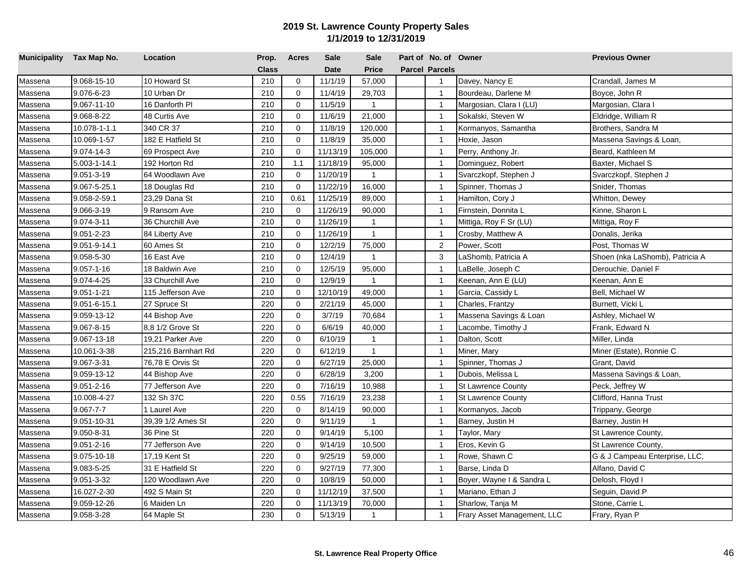| Municipality Tax Map No. |                  | Location            | Prop.        | <b>Acres</b> | <b>Sale</b> | <b>Sale</b>  | Part of No. of Owner  |                             | <b>Previous Owner</b>           |
|--------------------------|------------------|---------------------|--------------|--------------|-------------|--------------|-----------------------|-----------------------------|---------------------------------|
|                          |                  |                     | <b>Class</b> |              | <b>Date</b> | <b>Price</b> | <b>Parcel Parcels</b> |                             |                                 |
| Massena                  | 9.068-15-10      | 10 Howard St        | 210          | $\mathbf 0$  | 11/1/19     | 57,000       | $\overline{1}$        | Davey, Nancy E              | Crandall, James M               |
| Massena                  | 9.076-6-23       | 10 Urban Dr         | 210          | $\mathbf 0$  | 11/4/19     | 29,703       | $\mathbf{1}$          | Bourdeau, Darlene M         | Boyce, John R                   |
| Massena                  | 9.067-11-10      | 16 Danforth Pl      | 210          | 0            | 11/5/19     | $\mathbf{1}$ | $\overline{1}$        | Margosian, Clara I (LU)     | Margosian, Clara I              |
| Massena                  | 9.068-8-22       | 48 Curtis Ave       | 210          | 0            | 11/6/19     | 21,000       | $\overline{1}$        | Sokalski, Steven W          | Eldridge, William R             |
| Massena                  | 10.078-1-1.1     | 340 CR 37           | 210          | $\Omega$     | 11/8/19     | 120,000      | $\overline{1}$        | Kormanyos, Samantha         | Brothers, Sandra M              |
| Massena                  | 10.069-1-57      | 182 E Hatfield St   | 210          | $\Omega$     | 11/8/19     | 35,000       | $\overline{1}$        | Hoxie, Jason                | Massena Savings & Loan,         |
| Massena                  | 9.074-14-3       | 69 Prospect Ave     | 210          | 0            | 11/13/19    | 105,000      | $\overline{1}$        | Perry, Anthony Jr.          | Beard, Kathleen M               |
| Massena                  | 5.003-1-14.1     | 192 Horton Rd       | 210          | 1.1          | 11/18/19    | 95,000       | $\overline{1}$        | Dominguez, Robert           | Baxter, Michael S               |
| Massena                  | 9.051-3-19       | 64 Woodlawn Ave     | 210          | $\Omega$     | 11/20/19    | $\mathbf{1}$ | $\overline{1}$        | Svarczkopf, Stephen J       | Svarczkopf, Stephen J           |
| Massena                  | 9.067-5-25.1     | 18 Douglas Rd       | 210          | $\Omega$     | 11/22/19    | 16,000       | $\overline{1}$        | Spinner, Thomas J           | Snider, Thomas                  |
| Massena                  | 9.058-2-59.1     | 23,29 Dana St       | 210          | 0.61         | 11/25/19    | 89,000       | $\overline{1}$        | Hamilton, Cory J            | Whitton, Dewey                  |
| Massena                  | 9.066-3-19       | 9 Ransom Ave        | 210          | $\mathbf 0$  | 11/26/19    | 90,000       | $\overline{1}$        | Firnstein, Donnita L        | Kinne, Sharon L                 |
| Massena                  | 9.074-3-11       | 36 Churchill Ave    | 210          | $\mathbf 0$  | 11/26/19    | $\mathbf{1}$ | $\overline{1}$        | Mittiga, Roy F Sr (LU)      | Mittiga, Roy F                  |
| Massena                  | 9.051-2-23       | 84 Liberty Ave      | 210          | $\mathbf 0$  | 11/26/19    | $\mathbf{1}$ | $\mathbf{1}$          | Crosby, Matthew A           | Donalis, Jerika                 |
| Massena                  | 9.051-9-14.1     | 60 Ames St          | 210          | $\mathbf 0$  | 12/2/19     | 75,000       | $\overline{2}$        | Power, Scott                | Post, Thomas W                  |
| Massena                  | 9.058-5-30       | 16 East Ave         | 210          | $\mathbf 0$  | 12/4/19     | $\mathbf{1}$ | 3                     | LaShomb, Patricia A         | Shoen (nka LaShomb), Patricia A |
| Massena                  | $9.057 - 1 - 16$ | 18 Baldwin Ave      | 210          | $\mathbf 0$  | 12/5/19     | 95,000       | $\overline{1}$        | LaBelle, Joseph C           | Derouchie, Daniel F             |
| Massena                  | 9.074-4-25       | 33 Churchill Ave    | 210          | $\mathbf 0$  | 12/9/19     | 1            | $\overline{1}$        | Keenan, Ann E (LU)          | Keenan, Ann E                   |
| Massena                  | 9.051-1-21       | 115 Jefferson Ave   | 210          | 0            | 12/10/19    | 49,000       | $\mathbf{1}$          | Garcia, Cassidy L           | Bell, Michael W                 |
| Massena                  | 9.051-6-15.1     | 27 Spruce St        | 220          | $\Omega$     | 2/21/19     | 45,000       | $\overline{1}$        | Charles, Frantzy            | Burnett, Vicki L                |
| Massena                  | 9.059-13-12      | 44 Bishop Ave       | 220          | $\Omega$     | 3/7/19      | 70,684       | $\overline{1}$        | Massena Savings & Loan      | Ashley, Michael W               |
| Massena                  | $9.067 - 8 - 15$ | 8.8 1/2 Grove St    | 220          | $\mathbf 0$  | 6/6/19      | 40,000       | $\overline{1}$        | Lacombe, Timothy J          | Frank, Edward N                 |
| Massena                  | 9.067-13-18      | 19,21 Parker Ave    | 220          | $\mathbf 0$  | 6/10/19     | $\mathbf{1}$ | $\overline{1}$        | Dalton, Scott               | Miller, Linda                   |
| Massena                  | 10.061-3-38      | 215,216 Barnhart Rd | 220          | $\Omega$     | 6/12/19     | $\mathbf{1}$ | $\overline{1}$        | Miner, Mary                 | Miner (Estate), Ronnie C        |
| Massena                  | 9.067-3-31       | 76,78 E Orvis St    | 220          | $\Omega$     | 6/27/19     | 25,000       | $\mathbf{1}$          | Spinner, Thomas J           | Grant, David                    |
| Massena                  | 9.059-13-12      | 44 Bishop Ave       | 220          | $\Omega$     | 6/28/19     | 3,200        | $\overline{1}$        | Dubois, Melissa L           | Massena Savings & Loan,         |
| Massena                  | 9.051-2-16       | 77 Jefferson Ave    | 220          | $\mathbf 0$  | 7/16/19     | 10,988       | $\overline{1}$        | <b>St Lawrence County</b>   | Peck, Jeffrey W                 |
| Massena                  | 10.008-4-27      | 132 Sh 37C          | 220          | 0.55         | 7/16/19     | 23,238       | $\overline{1}$        | <b>St Lawrence County</b>   | Clifford, Hanna Trust           |
| Massena                  | 9.067-7-7        | 1 Laurel Ave        | 220          | $\mathbf 0$  | 8/14/19     | 90,000       | $\overline{1}$        | Kormanyos, Jacob            | Trippany, George                |
| Massena                  | 9.051-10-31      | 39,39 1/2 Ames St   | 220          | $\mathbf 0$  | 9/11/19     | $\mathbf{1}$ | $\overline{1}$        | Barney, Justin H            | Barney, Justin H                |
| Massena                  | 9.050-8-31       | 36 Pine St          | 220          | $\mathbf 0$  | 9/14/19     | 5,100        | $\overline{1}$        | Taylor, Mary                | St Lawrence County,             |
| Massena                  | 9.051-2-16       | 77 Jefferson Ave    | 220          | $\mathbf 0$  | 9/14/19     | 10,500       | $\overline{1}$        | Eros, Kevin G               | St Lawrence County,             |
| Massena                  | 9.075-10-18      | 17,19 Kent St       | 220          | $\mathbf 0$  | 9/25/19     | 59,000       | $\mathbf{1}$          | Rowe, Shawn C               | G & J Campeau Enterprise, LLC,  |
| Massena                  | 9.083-5-25       | 31 E Hatfield St    | 220          | 0            | 9/27/19     | 77,300       | $\overline{1}$        | Barse, Linda D              | Alfano, David C                 |
| Massena                  | 9.051-3-32       | 120 Woodlawn Ave    | 220          | $\Omega$     | 10/8/19     | 50,000       | $\overline{1}$        | Boyer, Wayne I & Sandra L   | Delosh, Floyd I                 |
| Massena                  | 16.027-2-30      | 492 S Main St       | 220          | 0            | 11/12/19    | 37,500       | $\mathbf{1}$          | Mariano, Ethan J            | Seguin, David P                 |
| Massena                  | 9.059-12-26      | 6 Maiden Ln         | 220          | $\Omega$     | 11/13/19    | 70,000       | $\mathbf{1}$          | Sharlow, Tanja M            | Stone, Carrie L                 |
| Massena                  | 9.058-3-28       | 64 Maple St         | 230          | $\Omega$     | 5/13/19     | $\mathbf{1}$ | $\mathbf{1}$          | Frary Asset Management, LLC | Frary, Ryan P                   |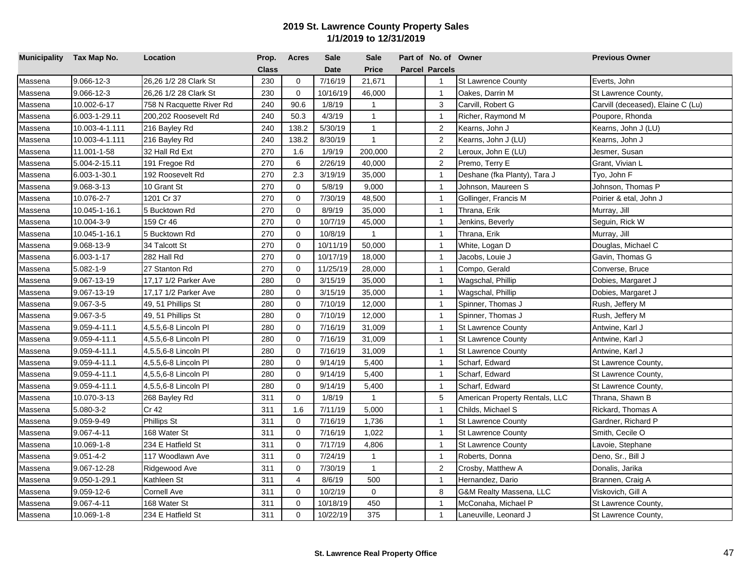| Municipality Tax Map No. |                  | Location                 | Prop. | <b>Acres</b> | <b>Sale</b> | <b>Sale</b>  | Part of No. of Owner  |                                | <b>Previous Owner</b>             |
|--------------------------|------------------|--------------------------|-------|--------------|-------------|--------------|-----------------------|--------------------------------|-----------------------------------|
|                          |                  |                          | Class |              | <b>Date</b> | <b>Price</b> | <b>Parcel Parcels</b> |                                |                                   |
| Massena                  | $9.066 - 12 - 3$ | 26,26 1/2 28 Clark St    | 230   | $\mathbf 0$  | 7/16/19     | 21,671       | $\overline{1}$        | <b>St Lawrence County</b>      | Everts, John                      |
| Massena                  | 9.066-12-3       | 26,26 1/2 28 Clark St    | 230   | $\mathbf 0$  | 10/16/19    | 46,000       | $\mathbf{1}$          | Oakes, Darrin M                | St Lawrence County,               |
| Massena                  | 10.002-6-17      | 758 N Racquette River Rd | 240   | 90.6         | 1/8/19      | $\mathbf{1}$ | 3                     | Carvill, Robert G              | Carvill (deceased), Elaine C (Lu) |
| Massena                  | 6.003-1-29.11    | 200,202 Roosevelt Rd     | 240   | 50.3         | 4/3/19      | $\mathbf{1}$ | $\mathbf{1}$          | Richer, Raymond M              | Poupore, Rhonda                   |
| Massena                  | 10.003-4-1.111   | 216 Bayley Rd            | 240   | 138.2        | 5/30/19     | $\mathbf{1}$ | 2                     | Kearns, John J                 | Kearns, John J (LU)               |
| Massena                  | 10.003-4-1.111   | 216 Bayley Rd            | 240   | 138.2        | 8/30/19     | $\mathbf{1}$ | $\overline{2}$        | Kearns, John J (LU)            | Kearns, John J                    |
| Massena                  | 11.001-1-58      | 32 Hall Rd Ext           | 270   | 1.6          | 1/9/19      | 200,000      | 2                     | Leroux, John E (LU)            | Jesmer, Susan                     |
| Massena                  | 5.004-2-15.11    | 191 Fregoe Rd            | 270   | 6            | 2/26/19     | 40,000       | $\overline{c}$        | Premo, Terry E                 | Grant, Vivian L                   |
| Massena                  | 6.003-1-30.1     | 192 Roosevelt Rd         | 270   | 2.3          | 3/19/19     | 35,000       | $\overline{1}$        | Deshane (fka Planty), Tara J   | Tyo, John F                       |
| Massena                  | 9.068-3-13       | 10 Grant St              | 270   | $\mathbf 0$  | 5/8/19      | 9,000        | $\overline{1}$        | Johnson, Maureen S             | Johnson, Thomas P                 |
| Massena                  | 10.076-2-7       | 1201 Cr 37               | 270   | $\mathbf 0$  | 7/30/19     | 48,500       | $\overline{1}$        | Gollinger, Francis M           | Poirier & etal, John J            |
| Massena                  | 10.045-1-16.1    | 5 Bucktown Rd            | 270   | $\mathbf 0$  | 8/9/19      | 35,000       | $\overline{1}$        | Thrana, Erik                   | Murray, Jill                      |
| Massena                  | 10.004-3-9       | 159 Cr 46                | 270   | $\mathbf 0$  | 10/7/19     | 45,000       | $\mathbf{1}$          | Jenkins, Beverly               | Seguin, Rick W                    |
| Massena                  | 10.045-1-16.1    | 5 Bucktown Rd            | 270   | $\mathbf 0$  | 10/8/19     | $\mathbf{1}$ | $\overline{1}$        | Thrana, Erik                   | Murray, Jill                      |
| Massena                  | 9.068-13-9       | 34 Talcott St            | 270   | $\mathbf 0$  | 10/11/19    | 50,000       | $\overline{1}$        | White, Logan D                 | Douglas, Michael C                |
| Massena                  | 6.003-1-17       | 282 Hall Rd              | 270   | $\mathbf 0$  | 10/17/19    | 18,000       | $\overline{1}$        | Jacobs, Louie J                | Gavin, Thomas G                   |
| Massena                  | 5.082-1-9        | 27 Stanton Rd            | 270   | $\mathbf 0$  | 11/25/19    | 28,000       | $\overline{1}$        | Compo, Gerald                  | Converse, Bruce                   |
| Massena                  | 9.067-13-19      | 17,17 1/2 Parker Ave     | 280   | $\mathbf 0$  | 3/15/19     | 35,000       | $\overline{1}$        | Wagschal, Phillip              | Dobies, Margaret J                |
| Massena                  | 9.067-13-19      | 17,17 1/2 Parker Ave     | 280   | $\mathbf 0$  | 3/15/19     | 35,000       | $\overline{1}$        | Wagschal, Phillip              | Dobies, Margaret J                |
| Massena                  | 9.067-3-5        | 49, 51 Phillips St       | 280   | 0            | 7/10/19     | 12,000       | $\mathbf{1}$          | Spinner, Thomas J              | Rush, Jeffery M                   |
| Massena                  | $9.067 - 3 - 5$  | 49, 51 Phillips St       | 280   | $\mathbf 0$  | 7/10/19     | 12,000       | $\mathbf{1}$          | Spinner, Thomas J              | Rush, Jeffery M                   |
| Massena                  | 9.059-4-11.1     | 4,5.5,6-8 Lincoln Pl     | 280   | 0            | 7/16/19     | 31,009       | $\overline{1}$        | <b>St Lawrence County</b>      | Antwine, Karl J                   |
| Massena                  | 9.059-4-11.1     | 4,5.5,6-8 Lincoln Pl     | 280   | $\mathbf 0$  | 7/16/19     | 31,009       | $\overline{1}$        | <b>St Lawrence County</b>      | Antwine, Karl J                   |
| Massena                  | 9.059-4-11.1     | 4,5.5,6-8 Lincoln Pl     | 280   | $\Omega$     | 7/16/19     | 31,009       | $\overline{1}$        | St Lawrence County             | Antwine, Karl J                   |
| Massena                  | 9.059-4-11.1     | 4,5.5,6-8 Lincoln Pl     | 280   | $\Omega$     | 9/14/19     | 5,400        | $\overline{1}$        | Scharf, Edward                 | St Lawrence County,               |
| Massena                  | 9.059-4-11.1     | 4,5.5,6-8 Lincoln PI     | 280   | $\Omega$     | 9/14/19     | 5,400        | $\overline{1}$        | Scharf, Edward                 | St Lawrence County,               |
| Massena                  | 9.059-4-11.1     | 4,5.5,6-8 Lincoln Pl     | 280   | $\mathbf 0$  | 9/14/19     | 5,400        | $\overline{1}$        | Scharf, Edward                 | St Lawrence County,               |
| Massena                  | 10.070-3-13      | 268 Bayley Rd            | 311   | $\mathbf 0$  | 1/8/19      | $\mathbf{1}$ | 5                     | American Property Rentals, LLC | Thrana, Shawn B                   |
| Massena                  | 5.080-3-2        | Cr 42                    | 311   | 1.6          | 7/11/19     | 5,000        | $\mathbf{1}$          | Childs, Michael S              | Rickard, Thomas A                 |
| Massena                  | 9.059-9-49       | Phillips St              | 311   | $\mathbf 0$  | 7/16/19     | 1,736        | $\overline{1}$        | <b>St Lawrence County</b>      | Gardner, Richard P                |
| Massena                  | 9.067-4-11       | 168 Water St             | 311   | $\mathbf 0$  | 7/16/19     | 1,022        | $\overline{1}$        | <b>St Lawrence County</b>      | Smith, Cecile O                   |
| Massena                  | 10.069-1-8       | 234 E Hatfield St        | 311   | $\mathbf 0$  | 7/17/19     | 4,806        | $\overline{1}$        | <b>St Lawrence County</b>      | Lavoie, Stephane                  |
| Massena                  | 9.051-4-2        | 117 Woodlawn Ave         | 311   | $\mathbf 0$  | 7/24/19     | $\mathbf{1}$ | $\mathbf{1}$          | Roberts, Donna                 | Deno, Sr., Bill J                 |
| Massena                  | 9.067-12-28      | Ridgewood Ave            | 311   | 0            | 7/30/19     | $\mathbf{1}$ | $\overline{2}$        | Crosby, Matthew A              | Donalis, Jarika                   |
| Massena                  | 9.050-1-29.1     | Kathleen St              | 311   | 4            | 8/6/19      | 500          | $\overline{1}$        | Hernandez, Dario               | Brannen, Craig A                  |
| Massena                  | 9.059-12-6       | Cornell Ave              | 311   | 0            | 10/2/19     | $\mathbf 0$  | 8                     | G&M Realty Massena, LLC        | Viskovich, Gill A                 |
| Massena                  | 9.067-4-11       | 168 Water St             | 311   | 0            | 10/18/19    | 450          | $\overline{1}$        | McConaha, Michael P            | St Lawrence County,               |
| Massena                  | 10.069-1-8       | 234 E Hatfield St        | 311   | $\mathbf 0$  | 10/22/19    | 375          | $\mathbf{1}$          | Laneuville, Leonard J          | St Lawrence County,               |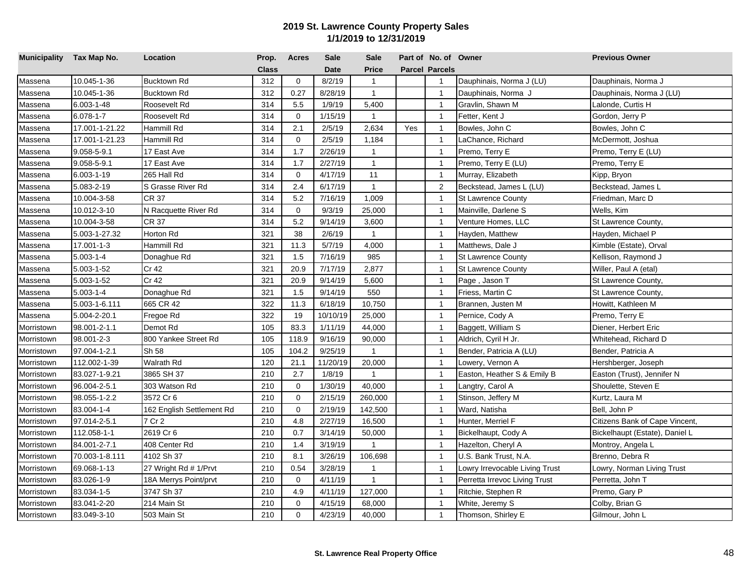| Municipality Tax Map No. |                 | Location                  | Prop.        | <b>Acres</b> | <b>Sale</b> | <b>Sale</b>  |     | Part of No. of Owner  |                                | <b>Previous Owner</b>          |
|--------------------------|-----------------|---------------------------|--------------|--------------|-------------|--------------|-----|-----------------------|--------------------------------|--------------------------------|
|                          |                 |                           | <b>Class</b> |              | <b>Date</b> | <b>Price</b> |     | <b>Parcel Parcels</b> |                                |                                |
| Massena                  | 10.045-1-36     | <b>Bucktown Rd</b>        | 312          | $\mathbf 0$  | 8/2/19      | $\mathbf{1}$ |     | $\mathbf{1}$          | Dauphinais, Norma J (LU)       | Dauphinais, Norma J            |
| Massena                  | 10.045-1-36     | <b>Bucktown Rd</b>        | 312          | 0.27         | 8/28/19     | $\mathbf{1}$ |     | $\overline{1}$        | Dauphinais, Norma J            | Dauphinais, Norma J (LU)       |
| Massena                  | 6.003-1-48      | Roosevelt Rd              | 314          | 5.5          | 1/9/19      | 5,400        |     | $\overline{1}$        | Gravlin, Shawn M               | Lalonde, Curtis H              |
| Massena                  | $6.078 - 1 - 7$ | Roosevelt Rd              | 314          | $\mathbf 0$  | 1/15/19     | $\mathbf{1}$ |     | $\overline{1}$        | Fetter, Kent J                 | Gordon, Jerry P                |
| Massena                  | 17.001-1-21.22  | Hammill Rd                | 314          | 2.1          | 2/5/19      | 2,634        | Yes | $\overline{1}$        | Bowles, John C                 | Bowles, John C                 |
| Massena                  | 17.001-1-21.23  | Hammill Rd                | 314          | $\mathbf 0$  | 2/5/19      | 1,184        |     | $\overline{1}$        | .aChance, Richard              | McDermott, Joshua              |
| Massena                  | 9.058-5-9.1     | 17 East Ave               | 314          | 1.7          | 2/26/19     | $\mathbf{1}$ |     | $\overline{1}$        | Premo, Terry E                 | Premo, Terry E (LU)            |
| Massena                  | 9.058-5-9.1     | 17 East Ave               | 314          | 1.7          | 2/27/19     | $\mathbf{1}$ |     | $\overline{1}$        | Premo, Terry E (LU)            | Premo, Terry E                 |
| Massena                  | 6.003-1-19      | 265 Hall Rd               | 314          | $\mathbf 0$  | 4/17/19     | 11           |     | $\overline{1}$        | Murray, Elizabeth              | Kipp, Bryon                    |
| Massena                  | 5.083-2-19      | S Grasse River Rd         | 314          | 2.4          | 6/17/19     | $\mathbf{1}$ |     | 2                     | Beckstead, James L (LU)        | Beckstead, James L             |
| Massena                  | 10.004-3-58     | <b>CR 37</b>              | 314          | 5.2          | 7/16/19     | 1,009        |     | $\overline{1}$        | <b>St Lawrence County</b>      | Friedman, Marc D               |
| Massena                  | 10.012-3-10     | N Racquette River Rd      | 314          | $\mathbf 0$  | 9/3/19      | 25,000       |     | $\overline{1}$        | Mainville, Darlene S           | Wells, Kim                     |
| Massena                  | 10.004-3-58     | CR 37                     | 314          | 5.2          | 9/14/19     | 3,600        |     | $\mathbf{1}$          | Venture Homes, LLC             | St Lawrence County,            |
| Massena                  | 5.003-1-27.32   | Horton Rd                 | 321          | 38           | 2/6/19      | $\mathbf{1}$ |     | $\overline{1}$        | Hayden, Matthew                | Hayden, Michael P              |
| Massena                  | 17.001-1-3      | Hammill Rd                | 321          | 11.3         | 5/7/19      | 4,000        |     | $\overline{1}$        | Matthews, Dale J               | Kimble (Estate), Orval         |
| Massena                  | $5.003 - 1 - 4$ | Donaghue Rd               | 321          | 1.5          | 7/16/19     | 985          |     | $\overline{1}$        | <b>St Lawrence County</b>      | Kellison, Raymond J            |
| Massena                  | 5.003-1-52      | Cr 42                     | 321          | 20.9         | 7/17/19     | 2,877        |     | $\overline{1}$        | St Lawrence County             | Willer, Paul A (etal)          |
| Massena                  | 5.003-1-52      | Cr 42                     | 321          | 20.9         | 9/14/19     | 5,600        |     | $\overline{1}$        | Page , Jason T                 | St Lawrence County,            |
| Massena                  | $5.003 - 1 - 4$ | Donaghue Rd               | 321          | 1.5          | 9/14/19     | 550          |     | $\overline{1}$        | Friess, Martin C               | St Lawrence County,            |
| Massena                  | 5.003-1-6.111   | 665 CR 42                 | 322          | 11.3         | 6/18/19     | 10,750       |     | $\overline{1}$        | Brannen, Justen M              | Howitt, Kathleen M             |
| Massena                  | 5.004-2-20.1    | Fregoe Rd                 | 322          | 19           | 10/10/19    | 25,000       |     | $\overline{1}$        | Pernice, Cody A                | Premo, Terry E                 |
| Morristown               | 98.001-2-1.1    | Demot Rd                  | 105          | 83.3         | 1/11/19     | 44,000       |     | $\overline{1}$        | Baggett, William S             | Diener, Herbert Eric           |
| Morristown               | 98.001-2-3      | 800 Yankee Street Rd      | 105          | 118.9        | 9/16/19     | 90,000       |     | $\overline{1}$        | Aldrich, Cyril H Jr.           | Whitehead, Richard D           |
| Morristown               | 97.004-1-2.1    | Sh 58                     | 105          | 104.2        | 9/25/19     | $\mathbf{1}$ |     | $\overline{1}$        | Bender, Patricia A (LU)        | Bender, Patricia A             |
| Morristown               | 112.002-1-39    | Walrath Rd                | 120          | 21.1         | 11/20/19    | 20,000       |     | $\overline{1}$        | Lowery, Vernon A               | Hershberger, Joseph            |
| Morristown               | 83.027-1-9.21   | 3865 SH 37                | 210          | 2.7          | 1/8/19      | $\mathbf{1}$ |     | $\overline{1}$        | Easton, Heather S & Emily B    | Easton (Trust), Jennifer N     |
| Morristown               | 96.004-2-5.1    | 303 Watson Rd             | 210          | $\mathbf 0$  | 1/30/19     | 40,000       |     | $\mathbf{1}$          | Langtry, Carol A               | Shoulette, Steven E            |
| Morristown               | 98.055-1-2.2    | 3572 Cr 6                 | 210          | $\mathbf 0$  | 2/15/19     | 260,000      |     | $\overline{1}$        | Stinson, Jeffery M             | Kurtz, Laura M                 |
| Morristown               | 83.004-1-4      | 162 English Settlement Rd | 210          | $\mathbf 0$  | 2/19/19     | 142,500      |     | $\overline{1}$        | Ward, Natisha                  | Bell, John P                   |
| Morristown               | 97.014-2-5.1    | 7 Cr 2                    | 210          | 4.8          | 2/27/19     | 16,500       |     | $\mathbf{1}$          | Hunter, Merriel F              | Citizens Bank of Cape Vincent, |
| Morristown               | 112.058-1-1     | 2619 Cr 6                 | 210          | 0.7          | 3/14/19     | 50,000       |     | $\overline{1}$        | Bickelhaupt, Cody A            | Bickelhaupt (Estate), Daniel L |
| Morristown               | 84.001-2-7.1    | 408 Center Rd             | 210          | 1.4          | 3/19/19     | $\mathbf{1}$ |     | $\overline{1}$        | Hazelton, Cheryl A             | Montroy, Angela L              |
| Morristown               | 70.003-1-8.111  | 4102 Sh 37                | 210          | 8.1          | 3/26/19     | 106,698      |     | $\overline{1}$        | U.S. Bank Trust, N.A.          | Brenno, Debra R                |
| Morristown               | 69.068-1-13     | 27 Wright Rd # 1/Prvt     | 210          | 0.54         | 3/28/19     | 1            |     | $\overline{1}$        | Lowry Irrevocable Living Trust | Lowry, Norman Living Trust     |
| Morristown               | 83.026-1-9      | 18A Merrys Point/prvt     | 210          | $\mathbf 0$  | 4/11/19     | 1            |     | $\overline{1}$        | Perretta Irrevoc Living Trust  | Perretta, John T               |
| Morristown               | 83.034-1-5      | 3747 Sh 37                | 210          | 4.9          | 4/11/19     | 127,000      |     | $\mathbf{1}$          | Ritchie, Stephen R             | Premo, Gary P                  |
| Morristown               | 83.041-2-20     | 214 Main St               | 210          | $\Omega$     | 4/15/19     | 68,000       |     | $\mathbf{1}$          | White, Jeremy S                | Colby, Brian G                 |
| Morristown               | 83.049-3-10     | 503 Main St               | 210          | $\mathbf 0$  | 4/23/19     | 40,000       |     | $\mathbf{1}$          | Thomson, Shirley E             | Gilmour, John L                |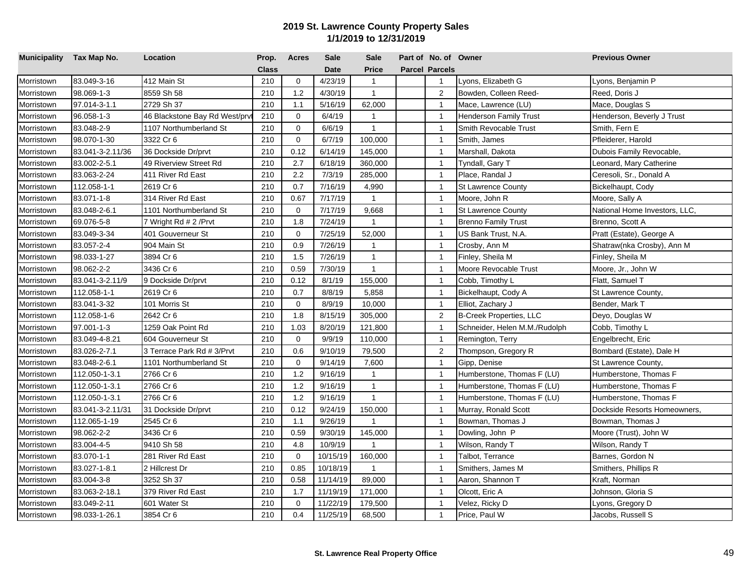| Municipality Tax Map No. |                  | Location                      | Prop.        | <b>Acres</b> | <b>Sale</b> | <b>Sale</b>  | Part of No. of Owner  |                                | <b>Previous Owner</b>         |
|--------------------------|------------------|-------------------------------|--------------|--------------|-------------|--------------|-----------------------|--------------------------------|-------------------------------|
|                          |                  |                               | <b>Class</b> |              | <b>Date</b> | <b>Price</b> | <b>Parcel Parcels</b> |                                |                               |
| Morristown               | 83.049-3-16      | 412 Main St                   | 210          | $\mathbf 0$  | 4/23/19     | $\mathbf{1}$ | $\overline{1}$        | Lyons, Elizabeth G             | Lyons, Benjamin P             |
| Morristown               | 98.069-1-3       | 8559 Sh 58                    | 210          | 1.2          | 4/30/19     | $\mathbf{1}$ | $\overline{2}$        | Bowden, Colleen Reed-          | Reed, Doris J                 |
| Morristown               | 97.014-3-1.1     | 2729 Sh 37                    | 210          | 1.1          | 5/16/19     | 62,000       | $\overline{1}$        | Mace, Lawrence (LU)            | Mace, Douglas S               |
| Morristown               | 96.058-1-3       | 46 Blackstone Bay Rd West/prv | 210          | $\mathbf 0$  | 6/4/19      | $\mathbf{1}$ | $\mathbf{1}$          | Henderson Family Trust         | Henderson, Beverly J Trust    |
| Morristown               | 83.048-2-9       | 1107 Northumberland St        | 210          | $\mathbf 0$  | 6/6/19      | $\mathbf{1}$ | $\overline{1}$        | Smith Revocable Trust          | Smith, Fern E                 |
| Morristown               | 98.070-1-30      | 3322 Cr 6                     | 210          | $\mathbf 0$  | 6/7/19      | 100,000      | $\overline{1}$        | Smith, James                   | Pfleiderer, Harold            |
| Morristown               | 83.041-3-2.11/36 | 36 Dockside Dr/prvt           | 210          | 0.12         | 6/14/19     | 145,000      | $\overline{1}$        | Marshall, Dakota               | Dubois Family Revocable,      |
| Morristown               | 83.002-2-5.1     | 49 Riverview Street Rd        | 210          | 2.7          | 6/18/19     | 360,000      | $\overline{1}$        | Tyndall, Gary T                | Leonard, Mary Catherine       |
| Morristown               | 83.063-2-24      | 411 River Rd East             | 210          | 2.2          | 7/3/19      | 285,000      | $\overline{1}$        | Place, Randal J                | Ceresoli, Sr., Donald A       |
| Morristown               | 112.058-1-1      | 2619 Cr 6                     | 210          | 0.7          | 7/16/19     | 4,990        | $\overline{1}$        | St Lawrence County             | Bickelhaupt, Cody             |
| Morristown               | 83.071-1-8       | 314 River Rd East             | 210          | 0.67         | 7/17/19     | $\mathbf{1}$ | $\overline{1}$        | Moore, John R                  | Moore, Sally A                |
| Morristown               | 83.048-2-6.1     | 1101 Northumberland St        | 210          | $\mathbf 0$  | 7/17/19     | 9,668        | $\overline{1}$        | St Lawrence County             | National Home Investors, LLC, |
| Morristown               | 69.076-5-8       | 7 Wright Rd # 2 / Prvt        | 210          | 1.8          | 7/24/19     | $\mathbf{1}$ | $\overline{1}$        | <b>Brenno Family Trust</b>     | Brenno, Scott A               |
| Morristown               | 83.049-3-34      | 401 Gouverneur St             | 210          | $\mathbf 0$  | 7/25/19     | 52,000       | $\overline{1}$        | US Bank Trust, N.A.            | Pratt (Estate), George A      |
| Morristown               | 83.057-2-4       | 904 Main St                   | 210          | 0.9          | 7/26/19     | $\mathbf{1}$ | $\overline{1}$        | Crosby, Ann M                  | Shatraw(nka Crosby), Ann M    |
| Morristown               | 98.033-1-27      | 3894 Cr 6                     | 210          | 1.5          | 7/26/19     | $\mathbf{1}$ | $\overline{1}$        | Finley, Sheila M               | Finley, Sheila M              |
| Morristown               | 98.062-2-2       | 3436 Cr 6                     | 210          | 0.59         | 7/30/19     | $\mathbf{1}$ | $\overline{1}$        | Moore Revocable Trust          | Moore, Jr., John W            |
| Morristown               | 83.041-3-2.11/9  | 9 Dockside Dr/prvt            | 210          | 0.12         | 8/1/19      | 155,000      | $\overline{1}$        | Cobb, Timothy L                | Flatt, Samuel T               |
| Morristown               | 112.058-1-1      | 2619 Cr 6                     | 210          | 0.7          | 8/8/19      | 5,858        | $\mathbf{1}$          | Bickelhaupt, Cody A            | St Lawrence County,           |
| Morristown               | 83.041-3-32      | 101 Morris St                 | 210          | $\mathbf 0$  | 8/9/19      | 10,000       | $\overline{1}$        | Elliot, Zachary J              | Bender, Mark T                |
| Morristown               | 112.058-1-6      | 2642 Cr 6                     | 210          | 1.8          | 8/15/19     | 305,000      | $\overline{2}$        | <b>B-Creek Properties, LLC</b> | Deyo, Douglas W               |
| Morristown               | 97.001-1-3       | 1259 Oak Point Rd             | 210          | 1.03         | 8/20/19     | 121,800      | $\overline{1}$        | Schneider, Helen M.M./Rudolph  | Cobb, Timothy L               |
| Morristown               | 83.049-4-8.21    | 604 Gouverneur St             | 210          | $\mathbf 0$  | 9/9/19      | 110,000      | $\overline{1}$        | Remington, Terry               | Engelbrecht, Eric             |
| Morristown               | 83.026-2-7.1     | 3 Terrace Park Rd # 3/Prvt    | 210          | 0.6          | 9/10/19     | 79,500       | 2                     | Thompson, Gregory R            | Bombard (Estate), Dale H      |
| Morristown               | 83.048-2-6.1     | 1101 Northumberland St        | 210          | $\Omega$     | 9/14/19     | 7,600        | $\overline{1}$        | Gipp, Denise                   | St Lawrence County,           |
| Morristown               | 112.050-1-3.1    | 2766 Cr 6                     | 210          | 1.2          | 9/16/19     | $\mathbf{1}$ | $\overline{1}$        | Humberstone, Thomas F (LU)     | Humberstone, Thomas F         |
| Morristown               | 112.050-1-3.1    | 2766 Cr 6                     | 210          | 1.2          | 9/16/19     | $\mathbf{1}$ | $\overline{1}$        | Humberstone, Thomas F (LU)     | Humberstone, Thomas F         |
| Morristown               | 112.050-1-3.1    | 2766 Cr 6                     | 210          | 1.2          | 9/16/19     | $\mathbf{1}$ | $\overline{1}$        | Humberstone, Thomas F (LU)     | Humberstone, Thomas F         |
| Morristown               | 83.041-3-2.11/31 | 31 Dockside Dr/prvt           | 210          | 0.12         | 9/24/19     | 150,000      | $\mathbf{1}$          | Murray, Ronald Scott           | Dockside Resorts Homeowners,  |
| Morristown               | 112.065-1-19     | 2545 Cr 6                     | 210          | 1.1          | 9/26/19     | $\mathbf{1}$ | $\overline{1}$        | Bowman, Thomas J               | Bowman, Thomas J              |
| Morristown               | 98.062-2-2       | 3436 Cr 6                     | 210          | 0.59         | 9/30/19     | 145,000      | $\overline{1}$        | Dowling, John P                | Moore (Trust), John W         |
| Morristown               | 83.004-4-5       | 9410 Sh 58                    | 210          | 4.8          | 10/9/19     | $\mathbf{1}$ | $\overline{1}$        | Wilson, Randy T                | Wilson, Randy T               |
| Morristown               | 83.070-1-1       | 281 River Rd East             | 210          | $\mathbf 0$  | 10/15/19    | 160,000      | $\mathbf{1}$          | Talbot, Terrance               | Barnes, Gordon N              |
| Morristown               | 83.027-1-8.1     | 2 Hillcrest Dr                | 210          | 0.85         | 10/18/19    | $\mathbf{1}$ | $\overline{1}$        | Smithers, James M              | Smithers, Phillips R          |
| Morristown               | 83.004-3-8       | 3252 Sh 37                    | 210          | 0.58         | 11/14/19    | 89,000       | $\overline{1}$        | Aaron, Shannon T               | Kraft, Norman                 |
| Morristown               | 83.063-2-18.1    | 379 River Rd East             | 210          | 1.7          | 11/19/19    | 171,000      | $\overline{1}$        | Olcott, Eric A                 | Johnson, Gloria S             |
| Morristown               | 83.049-2-11      | 601 Water St                  | 210          | $\mathbf 0$  | 11/22/19    | 179,500      | $\mathbf{1}$          | Velez, Ricky D                 | Lyons, Gregory D              |
| Morristown               | 98.033-1-26.1    | 3854 Cr 6                     | 210          | 0.4          | 11/25/19    | 68,500       | $\mathbf{1}$          | Price, Paul W                  | Jacobs, Russell S             |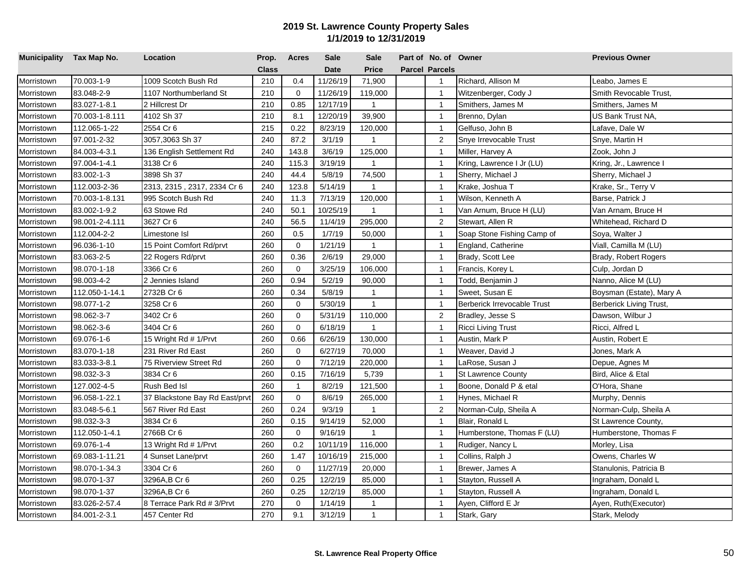| Municipality Tax Map No. |                | Location                       | Prop.        | <b>Acres</b>   | <b>Sale</b> | <b>Sale</b>  | Part of No. of Owner  |                                    | <b>Previous Owner</b>    |
|--------------------------|----------------|--------------------------------|--------------|----------------|-------------|--------------|-----------------------|------------------------------------|--------------------------|
|                          |                |                                | <b>Class</b> |                | <b>Date</b> | <b>Price</b> | <b>Parcel Parcels</b> |                                    |                          |
| Morristown               | 70.003-1-9     | 1009 Scotch Bush Rd            | 210          | 0.4            | 11/26/19    | 71,900       | $\overline{1}$        | Richard, Allison M                 | Leabo, James E           |
| Morristown               | 83.048-2-9     | 1107 Northumberland St         | 210          | $\mathbf 0$    | 11/26/19    | 119,000      | $\mathbf{1}$          | Witzenberger, Cody J               | Smith Revocable Trust,   |
| Morristown               | 83.027-1-8.1   | 2 Hillcrest Dr                 | 210          | 0.85           | 12/17/19    | 1            | $\mathbf{1}$          | Smithers, James M                  | Smithers, James M        |
| Morristown               | 70.003-1-8.111 | 4102 Sh 37                     | 210          | 8.1            | 12/20/19    | 39,900       | $\mathbf{1}$          | Brenno, Dylan                      | US Bank Trust NA,        |
| Morristown               | 112.065-1-22   | 2554 Cr 6                      | 215          | 0.22           | 8/23/19     | 120,000      | $\mathbf{1}$          | Gelfuso, John B                    | Lafave, Dale W           |
| Morristown               | 97.001-2-32    | 3057,3063 Sh 37                | 240          | 87.2           | 3/1/19      | 1            | $\overline{2}$        | Snye Irrevocable Trust             | Snye, Martin H           |
| Morristown               | 84.003-4-3.1   | 136 English Settlement Rd      | 240          | 143.8          | 3/6/19      | 125,000      | $\overline{1}$        | Miller, Harvey A                   | Zook, John J             |
| Morristown               | 97.004-1-4.1   | 3138 Cr 6                      | 240          | 115.3          | 3/19/19     | $\mathbf{1}$ | $\overline{1}$        | Kring, Lawrence I Jr (LU)          | Kring, Jr., Lawrence I   |
| Morristown               | 83.002-1-3     | 3898 Sh 37                     | 240          | 44.4           | 5/8/19      | 74,500       | $\mathbf{1}$          | Sherry, Michael J                  | Sherry, Michael J        |
| Morristown               | 112.003-2-36   | 2313, 2315, 2317, 2334 Cr 6    | 240          | 123.8          | 5/14/19     | $\mathbf{1}$ | $\mathbf{1}$          | Krake, Joshua T                    | Krake, Sr., Terry V      |
| Morristown               | 70.003-1-8.131 | 995 Scotch Bush Rd             | 240          | 11.3           | 7/13/19     | 120,000      | $\mathbf{1}$          | Wilson, Kenneth A                  | Barse, Patrick J         |
| Morristown               | 83.002-1-9.2   | 63 Stowe Rd                    | 240          | 50.1           | 10/25/19    | $\mathbf{1}$ | $\mathbf{1}$          | Van Arnum, Bruce H (LU)            | Van Arnam, Bruce H       |
| Morristown               | 98.001-2-4.111 | 3627 Cr 6                      | 240          | 56.5           | 11/4/19     | 295,000      | 2                     | Stewart, Allen R                   | Whitehead, Richard D     |
| Morristown               | 112.004-2-2    | Limestone Isl                  | 260          | 0.5            | 1/7/19      | 50,000       | $\overline{1}$        | Soap Stone Fishing Camp of         | Soya, Walter J           |
| Morristown               | 96.036-1-10    | 15 Point Comfort Rd/prvt       | 260          | $\mathbf 0$    | 1/21/19     | $\mathbf{1}$ | $\mathbf{1}$          | England, Catherine                 | Viall, Camilla M (LU)    |
| Morristown               | 83.063-2-5     | 22 Rogers Rd/prvt              | 260          | 0.36           | 2/6/19      | 29,000       | $\mathbf{1}$          | Brady, Scott Lee                   | Brady, Robert Rogers     |
| Morristown               | 98.070-1-18    | 3366 Cr 6                      | 260          | $\mathbf 0$    | 3/25/19     | 106,000      | $\mathbf{1}$          | Francis, Korey L                   | Culp, Jordan D           |
| Morristown               | 98.003-4-2     | 2 Jennies Island               | 260          | 0.94           | 5/2/19      | 90,000       | $\mathbf{1}$          | Todd, Benjamin J                   | Nanno, Alice M (LU)      |
| Morristown               | 112.050-1-14.1 | 2732B Cr 6                     | 260          | 0.34           | 5/8/19      | 1            | $\mathbf{1}$          | Sweet, Susan E                     | Boysman (Estate), Mary A |
| Morristown               | 98.077-1-2     | 3258 Cr 6                      | 260          | $\mathbf 0$    | 5/30/19     | $\mathbf{1}$ | $\overline{1}$        | <b>Berberick Irrevocable Trust</b> | Berberick Living Trust,  |
| Morristown               | 98.062-3-7     | 3402 Cr 6                      | 260          | $\mathbf 0$    | 5/31/19     | 110,000      | $\overline{2}$        | Bradley, Jesse S                   | Dawson, Wilbur J         |
| Morristown               | 98.062-3-6     | 3404 Cr 6                      | 260          | $\mathbf 0$    | 6/18/19     | $\mathbf{1}$ | $\overline{1}$        | Ricci Living Trust                 | Ricci, Alfred L          |
| Morristown               | 69.076-1-6     | 15 Wright Rd # 1/Prvt          | 260          | 0.66           | 6/26/19     | 130,000      | $\mathbf{1}$          | Austin, Mark P                     | Austin, Robert E         |
| Morristown               | 83.070-1-18    | 231 River Rd East              | 260          | $\mathbf{0}$   | 6/27/19     | 70,000       | $\mathbf{1}$          | Weaver, David J                    | Jones, Mark A            |
| Morristown               | 83.033-3-8.1   | 75 Riverview Street Rd         | 260          | $\Omega$       | 7/12/19     | 220,000      | $\mathbf{1}$          | LaRose, Susan J                    | Depue, Agnes M           |
| Morristown               | 98.032-3-3     | 3834 Cr 6                      | 260          | 0.15           | 7/16/19     | 5,739        | $\mathbf{1}$          | <b>St Lawrence County</b>          | Bird, Alice & Etal       |
| Morristown               | 127.002-4-5    | Rush Bed Isl                   | 260          | $\overline{1}$ | 8/2/19      | 121,500      | $\mathbf{1}$          | Boone, Donald P & etal             | O'Hora, Shane            |
| Morristown               | 96.058-1-22.1  | 37 Blackstone Bay Rd East/prvt | 260          | $\mathbf 0$    | 8/6/19      | 265,000      | $\mathbf{1}$          | Hynes, Michael R                   | Murphy, Dennis           |
| Morristown               | 83.048-5-6.1   | 567 River Rd East              | 260          | 0.24           | 9/3/19      | $\mathbf{1}$ | $\overline{2}$        | Norman-Culp, Sheila A              | Norman-Culp, Sheila A    |
| Morristown               | 98.032-3-3     | 3834 Cr 6                      | 260          | 0.15           | 9/14/19     | 52,000       | $\mathbf{1}$          | Blair, Ronald L                    | St Lawrence County,      |
| Morristown               | 112.050-1-4.1  | 2766B Cr 6                     | 260          | $\mathbf 0$    | 9/16/19     | 1            | $\mathbf{1}$          | Humberstone, Thomas F (LU)         | Humberstone, Thomas F    |
| Morristown               | 69.076-1-4     | 13 Wright Rd # 1/Prvt          | 260          | 0.2            | 10/11/19    | 116,000      | $\mathbf{1}$          | Rudiger, Nancy L                   | Morley, Lisa             |
| Morristown               | 69.083-1-11.21 | 4 Sunset Lane/prvt             | 260          | 1.47           | 10/16/19    | 215,000      | $\mathbf{1}$          | Collins, Ralph J                   | Owens, Charles W         |
| Morristown               | 98.070-1-34.3  | 3304 Cr 6                      | 260          | $\mathbf 0$    | 11/27/19    | 20,000       | $\mathbf{1}$          | Brewer, James A                    | Stanulonis, Patricia B   |
| Morristown               | 98.070-1-37    | 3296A,B Cr 6                   | 260          | 0.25           | 12/2/19     | 85,000       | $\mathbf{1}$          | Stayton, Russell A                 | Ingraham, Donald L       |
| Morristown               | 98.070-1-37    | 3296A,B Cr 6                   | 260          | 0.25           | 12/2/19     | 85,000       | $\mathbf{1}$          | Stayton, Russell A                 | Ingraham, Donald L       |
| Morristown               | 83.026-2-57.4  | 8 Terrace Park Rd # 3/Prvt     | 270          | $\mathbf 0$    | 1/14/19     | 1            | $\overline{1}$        | Ayen, Clifford E Jr                | Ayen, Ruth(Executor)     |
| Morristown               | 84.001-2-3.1   | 457 Center Rd                  | 270          | 9.1            | 3/12/19     | $\mathbf{1}$ | $\mathbf{1}$          | Stark, Gary                        | Stark, Melody            |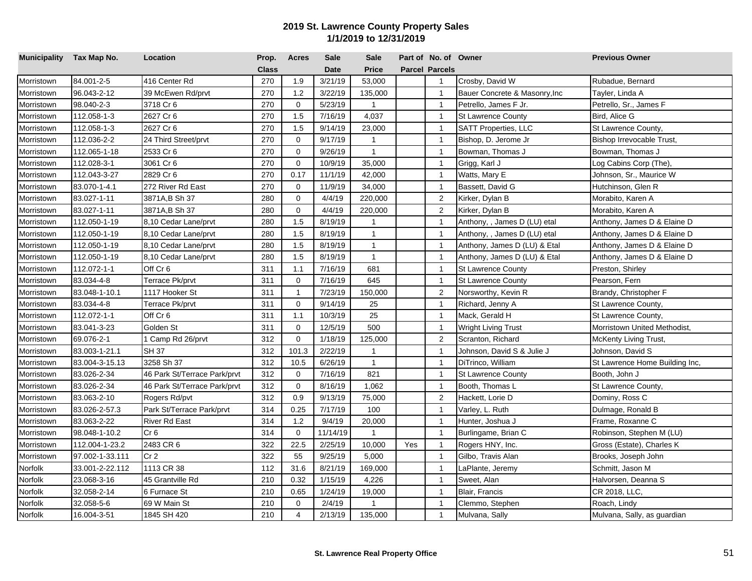|            | Municipality Tax Map No. | Location                     | Prop.        | <b>Acres</b>   | <b>Sale</b> | <b>Sale</b>  |     | Part of No. of Owner  |                               | <b>Previous Owner</b>          |
|------------|--------------------------|------------------------------|--------------|----------------|-------------|--------------|-----|-----------------------|-------------------------------|--------------------------------|
|            |                          |                              | <b>Class</b> |                | <b>Date</b> | <b>Price</b> |     | <b>Parcel Parcels</b> |                               |                                |
| Morristown | 84.001-2-5               | 416 Center Rd                | 270          | 1.9            | 3/21/19     | 53,000       |     | $\overline{1}$        | Crosby, David W               | Rubadue, Bernard               |
| Morristown | 96.043-2-12              | 39 McEwen Rd/prvt            | 270          | 1.2            | 3/22/19     | 135,000      |     | $\mathbf{1}$          | Bauer Concrete & Masonry, Inc | Tayler, Linda A                |
| Morristown | 98.040-2-3               | 3718 Cr 6                    | 270          | $\mathbf 0$    | 5/23/19     | $\mathbf{1}$ |     | $\overline{1}$        | Petrello, James F Jr.         | Petrello, Sr., James F         |
| Morristown | 112.058-1-3              | 2627 Cr 6                    | 270          | 1.5            | 7/16/19     | 4,037        |     | $\overline{1}$        | <b>St Lawrence County</b>     | Bird, Alice G                  |
| Morristown | 112.058-1-3              | 2627 Cr 6                    | 270          | 1.5            | 9/14/19     | 23,000       |     | $\overline{1}$        | <b>SATT Properties, LLC</b>   | St Lawrence County,            |
| Morristown | 112.036-2-2              | 24 Third Street/prvt         | 270          | $\mathbf 0$    | 9/17/19     | $\mathbf{1}$ |     | $\overline{1}$        | Bishop, D. Jerome Jr          | Bishop Irrevocable Trust,      |
| Morristown | 112.065-1-18             | 2533 Cr 6                    | 270          | $\mathbf 0$    | 9/26/19     | $\mathbf{1}$ |     | $\overline{1}$        | Bowman, Thomas J              | Bowman, Thomas J               |
| Morristown | 112.028-3-1              | 3061 Cr 6                    | 270          | $\mathbf 0$    | 10/9/19     | 35,000       |     | $\overline{1}$        | Grigg, Karl J                 | Log Cabins Corp (The),         |
| Morristown | 112.043-3-27             | 2829 Cr 6                    | 270          | 0.17           | 11/1/19     | 42,000       |     | $\overline{1}$        | Watts, Mary E                 | Johnson, Sr., Maurice W        |
| Morristown | 83.070-1-4.1             | 272 River Rd East            | 270          | $\mathbf 0$    | 11/9/19     | 34,000       |     | $\overline{1}$        | Bassett, David G              | Hutchinson, Glen R             |
| Morristown | 83.027-1-11              | 3871A,B Sh 37                | 280          | $\mathbf 0$    | 4/4/19      | 220,000      |     | $\overline{2}$        | Kirker, Dylan B               | Morabito, Karen A              |
| Morristown | 83.027-1-11              | 3871A,B Sh 37                | 280          | $\Omega$       | 4/4/19      | 220,000      |     | 2                     | Kirker, Dylan B               | Morabito, Karen A              |
| Morristown | 112.050-1-19             | 8,10 Cedar Lane/prvt         | 280          | 1.5            | 8/19/19     | $\mathbf{1}$ |     | $\mathbf{1}$          | Anthony, , James D (LU) etal  | Anthony, James D & Elaine D    |
| Morristown | 112.050-1-19             | 8,10 Cedar Lane/prvt         | 280          | 1.5            | 8/19/19     | $\mathbf{1}$ |     | $\overline{1}$        | Anthony, , James D (LU) etal  | Anthony, James D & Elaine D    |
| Morristown | 112.050-1-19             | 8,10 Cedar Lane/prvt         | 280          | 1.5            | 8/19/19     | $\mathbf{1}$ |     | $\overline{1}$        | Anthony, James D (LU) & Etal  | Anthony, James D & Elaine D    |
| Morristown | 112.050-1-19             | 8,10 Cedar Lane/prvt         | 280          | 1.5            | 8/19/19     | $\mathbf{1}$ |     | $\overline{1}$        | Anthony, James D (LU) & Etal  | Anthony, James D & Elaine D    |
| Morristown | 112.072-1-1              | Off Cr 6                     | 311          | 1.1            | 7/16/19     | 681          |     | $\overline{1}$        | St Lawrence County            | Preston, Shirley               |
| Morristown | 83.034-4-8               | Terrace Pk/prvt              | 311          | $\Omega$       | 7/16/19     | 645          |     | $\overline{1}$        | <b>St Lawrence County</b>     | Pearson, Fern                  |
| Morristown | 83.048-1-10.1            | 1117 Hooker St               | 311          | $\mathbf{1}$   | 7/23/19     | 150,000      |     | $\overline{2}$        | Norsworthy, Kevin R           | Brandy, Christopher F          |
| Morristown | 83.034-4-8               | Terrace Pk/prvt              | 311          | $\Omega$       | 9/14/19     | 25           |     | $\overline{1}$        | Richard, Jenny A              | St Lawrence County,            |
| Morristown | 112.072-1-1              | Off Cr 6                     | 311          | 1.1            | 10/3/19     | 25           |     | $\mathbf{1}$          | Mack, Gerald H                | St Lawrence County,            |
| Morristown | 83.041-3-23              | Golden St                    | 311          | $\mathbf 0$    | 12/5/19     | 500          |     | $\overline{1}$        | Wright Living Trust           | Morristown United Methodist,   |
| Morristown | 69.076-2-1               | 1 Camp Rd 26/prvt            | 312          | $\mathbf 0$    | 1/18/19     | 125,000      |     | 2                     | Scranton, Richard             | McKenty Living Trust,          |
| Morristown | 83.003-1-21.1            | SH 37                        | 312          | 101.3          | 2/22/19     | $\mathbf{1}$ |     | $\overline{1}$        | Johnson, David S & Julie J    | Johnson, David S               |
| Morristown | 83.004-3-15.13           | 3258 Sh 37                   | 312          | 10.5           | 6/26/19     | $\mathbf{1}$ |     | $\overline{1}$        | DiTrinco, William             | St Lawrence Home Building Inc, |
| Morristown | 83.026-2-34              | 46 Park St/Terrace Park/prvt | 312          | $\mathbf 0$    | 7/16/19     | 821          |     | $\overline{1}$        | <b>St Lawrence County</b>     | Booth, John J                  |
| Morristown | 83.026-2-34              | 46 Park St/Terrace Park/prvt | 312          | $\mathbf 0$    | 8/16/19     | 1,062        |     | $\mathbf{1}$          | Booth, Thomas L               | St Lawrence County,            |
| Morristown | 83.063-2-10              | Rogers Rd/pvt                | 312          | 0.9            | 9/13/19     | 75,000       |     | $\overline{2}$        | Hackett, Lorie D              | Dominy, Ross C                 |
| Morristown | 83.026-2-57.3            | Park St/Terrace Park/prvt    | 314          | 0.25           | 7/17/19     | 100          |     | $\mathbf{1}$          | Varley, L. Ruth               | Dulmage, Ronald B              |
| Morristown | 83.063-2-22              | <b>River Rd East</b>         | 314          | 1.2            | 9/4/19      | 20,000       |     | $\overline{1}$        | Hunter, Joshua J              | Frame, Roxanne C               |
| Morristown | 98.048-1-10.2            | Cr <sub>6</sub>              | 314          | $\mathbf 0$    | 11/14/19    | $\mathbf{1}$ |     | $\overline{1}$        | Burlingame, Brian C           | Robinson, Stephen M (LU)       |
| Morristown | 112.004-1-23.2           | 2483 CR 6                    | 322          | 22.5           | 2/25/19     | 10,000       | Yes | $\overline{1}$        | Rogers HNY, Inc.              | Gross (Estate), Charles K      |
| Morristown | 97.002-1-33.111          | Cr <sub>2</sub>              | 322          | 55             | 9/25/19     | 5,000        |     | $\overline{1}$        | Gilbo, Travis Alan            | Brooks, Joseph John            |
| Norfolk    | 33.001-2-22.112          | 1113 CR 38                   | 112          | 31.6           | 8/21/19     | 169,000      |     | $\mathbf{1}$          | _aPlante, Jeremy              | Schmitt, Jason M               |
| Norfolk    | 23.068-3-16              | 45 Grantville Rd             | 210          | 0.32           | 1/15/19     | 4,226        |     | $\mathbf{1}$          | Sweet, Alan                   | Halvorsen, Deanna S            |
| Norfolk    | 32.058-2-14              | 6 Furnace St                 | 210          | 0.65           | 1/24/19     | 19,000       |     | $\mathbf{1}$          | Blair, Francis                | CR 2018, LLC,                  |
| Norfolk    | 32.058-5-6               | 69 W Main St                 | 210          | $\mathbf 0$    | 2/4/19      |              |     | $\overline{1}$        | Clemmo, Stephen               | Roach, Lindy                   |
| Norfolk    | 16.004-3-51              | 1845 SH 420                  | 210          | $\overline{4}$ | 2/13/19     | 135,000      |     | $\mathbf{1}$          | Mulvana, Sally                | Mulvana, Sally, as guardian    |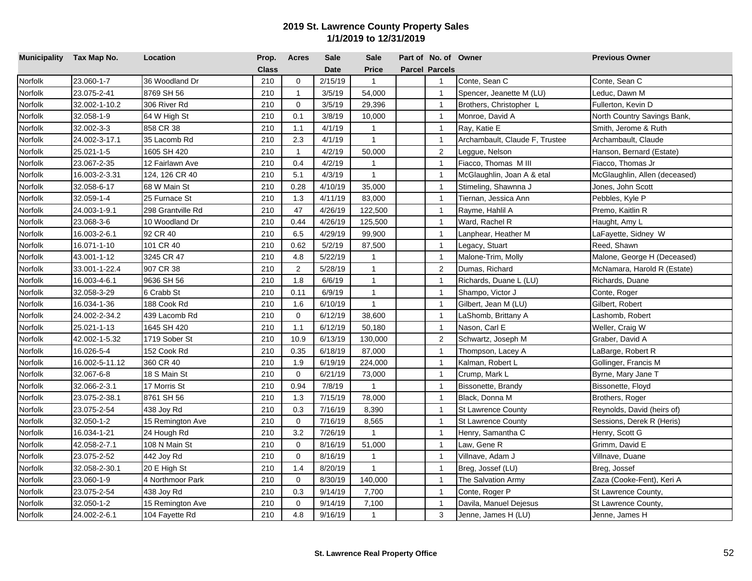| Municipality Tax Map No. |                | Location          | Prop.        | <b>Acres</b> | <b>Sale</b> | <b>Sale</b>  | Part of No. of Owner  |                                | <b>Previous Owner</b>         |
|--------------------------|----------------|-------------------|--------------|--------------|-------------|--------------|-----------------------|--------------------------------|-------------------------------|
|                          |                |                   | <b>Class</b> |              | <b>Date</b> | Price        | <b>Parcel Parcels</b> |                                |                               |
| Norfolk                  | 23.060-1-7     | 36 Woodland Dr    | 210          | $\mathbf 0$  | 2/15/19     | $\mathbf{1}$ | $\mathbf{1}$          | Conte, Sean C                  | Conte, Sean C                 |
| Norfolk                  | 23.075-2-41    | 8769 SH 56        | 210          | $\mathbf{1}$ | 3/5/19      | 54,000       | $\mathbf{1}$          | Spencer, Jeanette M (LU)       | Leduc, Dawn M                 |
| Norfolk                  | 32.002-1-10.2  | 306 River Rd      | 210          | $\mathbf 0$  | 3/5/19      | 29,396       | $\overline{1}$        | Brothers, Christopher L        | Fullerton, Kevin D            |
| Norfolk                  | 32.058-1-9     | 64 W High St      | 210          | 0.1          | 3/8/19      | 10,000       | $\overline{1}$        | Monroe, David A                | North Country Savings Bank,   |
| Norfolk                  | 32.002-3-3     | 858 CR 38         | 210          | 1.1          | 4/1/19      | $\mathbf{1}$ | $\overline{1}$        | Ray, Katie E                   | Smith, Jerome & Ruth          |
| Norfolk                  | 24.002-3-17.1  | 35 Lacomb Rd      | 210          | 2.3          | 4/1/19      | $\mathbf{1}$ | $\mathbf{1}$          | Archambault, Claude F, Trustee | Archambault, Claude           |
| Norfolk                  | 25.021-1-5     | 1605 SH 420       | 210          | $\mathbf{1}$ | 4/2/19      | 50,000       | 2                     | Leggue, Nelson                 | Hanson, Bernard (Estate)      |
| Norfolk                  | 23.067-2-35    | 12 Fairlawn Ave   | 210          | 0.4          | 4/2/19      | $\mathbf{1}$ | $\overline{1}$        | Fiacco, Thomas M III           | Fiacco, Thomas Jr             |
| Norfolk                  | 16.003-2-3.31  | 124, 126 CR 40    | 210          | 5.1          | 4/3/19      | $\mathbf{1}$ | $\overline{1}$        | McGlaughlin, Joan A & etal     | McGlaughlin, Allen (deceased) |
| Norfolk                  | 32.058-6-17    | 68 W Main St      | 210          | 0.28         | 4/10/19     | 35,000       | $\mathbf{1}$          | Stimeling, Shawnna J           | Jones, John Scott             |
| Norfolk                  | 32.059-1-4     | 25 Furnace St     | 210          | 1.3          | 4/11/19     | 83,000       | $\overline{1}$        | Tiernan, Jessica Ann           | Pebbles, Kyle P               |
| Norfolk                  | 24.003-1-9.1   | 298 Grantville Rd | 210          | 47           | 4/26/19     | 122,500      | $\overline{1}$        | Rayme, Hahlil A                | Premo, Kaitlin R              |
| Norfolk                  | 23.068-3-6     | 10 Woodland Dr    | 210          | 0.44         | 4/26/19     | 125,500      | $\mathbf{1}$          | Ward, Rachel R                 | Haught, Amy L                 |
| Norfolk                  | 16.003-2-6.1   | 92 CR 40          | 210          | 6.5          | 4/29/19     | 99,900       | $\overline{1}$        | Lanphear, Heather M            | LaFayette, Sidney W           |
| Norfolk                  | 16.071-1-10    | 101 CR 40         | 210          | 0.62         | 5/2/19      | 87,500       | $\overline{1}$        | Legacy, Stuart                 | Reed, Shawn                   |
| Norfolk                  | 43.001-1-12    | 3245 CR 47        | 210          | 4.8          | 5/22/19     | $\mathbf{1}$ | $\overline{1}$        | Malone-Trim, Molly             | Malone, George H (Deceased)   |
| Norfolk                  | 33.001-1-22.4  | 907 CR 38         | 210          | 2            | 5/28/19     | $\mathbf{1}$ | $\overline{2}$        | Dumas, Richard                 | McNamara, Harold R (Estate)   |
| Norfolk                  | 16.003-4-6.1   | 9636 SH 56        | 210          | 1.8          | 6/6/19      | $\mathbf{1}$ | $\overline{1}$        | Richards, Duane L (LU)         | Richards, Duane               |
| Norfolk                  | 32.058-3-29    | 6 Crabb St        | 210          | 0.11         | 6/9/19      | $\mathbf{1}$ | $\overline{1}$        | Shampo, Victor J               | Conte, Roger                  |
| Norfolk                  | 16.034-1-36    | 188 Cook Rd       | 210          | 1.6          | 6/10/19     | $\mathbf{1}$ | $\overline{1}$        | Gilbert, Jean M (LU)           | Gilbert, Robert               |
| Norfolk                  | 24.002-2-34.2  | 439 Lacomb Rd     | 210          | $\mathbf 0$  | 6/12/19     | 38,600       | $\mathbf{1}$          | _aShomb, Brittany A            | _ashomb, Robert               |
| Norfolk                  | 25.021-1-13    | 1645 SH 420       | 210          | 1.1          | 6/12/19     | 50,180       | $\overline{1}$        | Nason, Carl E                  | Weller, Craig W               |
| Norfolk                  | 42.002-1-5.32  | 1719 Sober St     | 210          | 10.9         | 6/13/19     | 130,000      | 2                     | Schwartz, Joseph M             | Graber, David A               |
| Norfolk                  | 16.026-5-4     | 152 Cook Rd       | 210          | 0.35         | 6/18/19     | 87,000       | $\overline{1}$        | Thompson, Lacey A              | LaBarge, Robert R             |
| Norfolk                  | 16.002-5-11.12 | 360 CR 40         | 210          | 1.9          | 6/19/19     | 224,000      | $\overline{1}$        | Kalman, Robert L               | Gollinger, Francis M          |
| Norfolk                  | 32.067-6-8     | 18 S Main St      | 210          | $\mathbf 0$  | 6/21/19     | 73,000       | $\overline{1}$        | Crump, Mark L                  | Byrne, Mary Jane T            |
| Norfolk                  | 32.066-2-3.1   | 17 Morris St      | 210          | 0.94         | 7/8/19      | $\mathbf{1}$ | $\overline{1}$        | Bissonette, Brandy             | Bissonette, Floyd             |
| Norfolk                  | 23.075-2-38.1  | 8761 SH 56        | 210          | 1.3          | 7/15/19     | 78,000       | $\overline{1}$        | Black, Donna M                 | Brothers, Roger               |
| Norfolk                  | 23.075-2-54    | 438 Joy Rd        | 210          | 0.3          | 7/16/19     | 8,390        | $\mathbf{1}$          | <b>St Lawrence County</b>      | Reynolds, David (heirs of)    |
| Norfolk                  | 32.050-1-2     | 15 Remington Ave  | 210          | $\mathbf 0$  | 7/16/19     | 8,565        | $\overline{1}$        | <b>St Lawrence County</b>      | Sessions, Derek R (Heris)     |
| Norfolk                  | 16.034-1-21    | 24 Hough Rd       | 210          | 3.2          | 7/26/19     | $\mathbf{1}$ | $\overline{1}$        | Henry, Samantha C              | Henry, Scott G                |
| Norfolk                  | 42.058-2-7.1   | 108 N Main St     | 210          | $\mathbf 0$  | 8/16/19     | 51,000       | $\overline{1}$        | Law, Gene R                    | Grimm, David E                |
| Norfolk                  | 23.075-2-52    | 442 Joy Rd        | 210          | $\mathbf 0$  | 8/16/19     | $\mathbf{1}$ | $\mathbf{1}$          | Villnave, Adam J               | Villnave, Duane               |
| Norfolk                  | 32.058-2-30.1  | 20 E High St      | 210          | 1.4          | 8/20/19     | $\mathbf{1}$ | $\mathbf{1}$          | Breg, Jossef (LU)              | Breg, Jossef                  |
| Norfolk                  | 23.060-1-9     | 4 Northmoor Park  | 210          | $\mathbf{0}$ | 8/30/19     | 140,000      | $\overline{1}$        | The Salvation Army             | Zaza (Cooke-Fent), Keri A     |
| Norfolk                  | 23.075-2-54    | 438 Joy Rd        | 210          | 0.3          | 9/14/19     | 7,700        | $\mathbf{1}$          | Conte, Roger P                 | St Lawrence County,           |
| Norfolk                  | 32.050-1-2     | 15 Remington Ave  | 210          | 0            | 9/14/19     | 7,100        | $\overline{1}$        | Davila, Manuel Dejesus         | St Lawrence County,           |
| Norfolk                  | 24.002-2-6.1   | 104 Fayette Rd    | 210          | 4.8          | 9/16/19     | $\mathbf{1}$ | 3                     | Jenne, James H (LU)            | Jenne, James H                |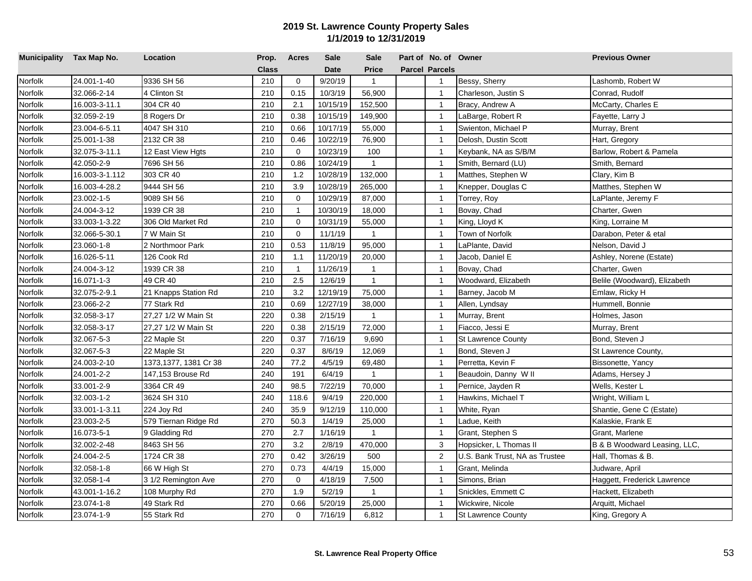| Municipality Tax Map No. |                | Location              | Prop.        | Acres          | <b>Sale</b> | <b>Sale</b>  | Part of No. of Owner  |                                | <b>Previous Owner</b>        |
|--------------------------|----------------|-----------------------|--------------|----------------|-------------|--------------|-----------------------|--------------------------------|------------------------------|
|                          |                |                       | <b>Class</b> |                | <b>Date</b> | Price        | <b>Parcel Parcels</b> |                                |                              |
| Norfolk                  | 24.001-1-40    | 9336 SH 56            | 210          | $\mathbf 0$    | 9/20/19     | $\mathbf{1}$ | $\mathbf{1}$          | Bessy, Sherry                  | Lashomb, Robert W            |
| Norfolk                  | 32.066-2-14    | 4 Clinton St          | 210          | 0.15           | 10/3/19     | 56,900       | $\mathbf{1}$          | Charleson, Justin S            | Conrad, Rudolf               |
| Norfolk                  | 16.003-3-11.1  | 304 CR 40             | 210          | 2.1            | 10/15/19    | 152,500      | $\overline{1}$        | Bracy, Andrew A                | McCarty, Charles E           |
| Norfolk                  | 32.059-2-19    | 8 Rogers Dr           | 210          | 0.38           | 10/15/19    | 149,900      | $\overline{1}$        | LaBarge, Robert R              | Fayette, Larry J             |
| Norfolk                  | 23.004-6-5.11  | 4047 SH 310           | 210          | 0.66           | 10/17/19    | 55,000       | $\overline{1}$        | Swienton, Michael P            | Murray, Brent                |
| Norfolk                  | 25.001-1-38    | 2132 CR 38            | 210          | 0.46           | 10/22/19    | 76,900       | $\mathbf{1}$          | Delosh, Dustin Scott           | Hart, Gregory                |
| Norfolk                  | 32.075-3-11.1  | 12 East View Hgts     | 210          | $\mathbf 0$    | 10/23/19    | 100          | $\overline{1}$        | Keybank, NA as S/B/M           | Barlow, Robert & Pamela      |
| Norfolk                  | 42.050-2-9     | 7696 SH 56            | 210          | 0.86           | 10/24/19    | $\mathbf{1}$ | $\overline{1}$        | Smith, Bernard (LU)            | Smith, Bernard               |
| Norfolk                  | 16.003-3-1.112 | 303 CR 40             | 210          | 1.2            | 10/28/19    | 132,000      | $\overline{1}$        | Matthes, Stephen W             | Clary, Kim B                 |
| Norfolk                  | 16.003-4-28.2  | 9444 SH 56            | 210          | 3.9            | 10/28/19    | 265,000      | $\mathbf{1}$          | Knepper, Douglas C             | Matthes, Stephen W           |
| Norfolk                  | 23.002-1-5     | 9089 SH 56            | 210          | $\mathbf 0$    | 10/29/19    | 87,000       | $\mathbf{1}$          | Torrey, Roy                    | LaPlante, Jeremy F           |
| Norfolk                  | 24.004-3-12    | 1939 CR 38            | 210          | $\mathbf{1}$   | 10/30/19    | 18,000       | $\overline{1}$        | Bovay, Chad                    | Charter, Gwen                |
| Norfolk                  | 33.003-1-3.22  | 306 Old Market Rd     | 210          | 0              | 10/31/19    | 55,000       | $\mathbf{1}$          | King, Lloyd K                  | King, Lorraine M             |
| Norfolk                  | 32.066-5-30.1  | 7 W Main St           | 210          | $\mathbf 0$    | 11/1/19     | $\mathbf{1}$ | $\mathbf{1}$          | Town of Norfolk                | Darabon, Peter & etal        |
| Norfolk                  | 23.060-1-8     | 2 Northmoor Park      | 210          | 0.53           | 11/8/19     | 95,000       | $\overline{1}$        | LaPlante, David                | Nelson, David J              |
| Norfolk                  | 16.026-5-11    | 126 Cook Rd           | 210          | 1.1            | 11/20/19    | 20,000       | $\overline{1}$        | Jacob, Daniel E                | Ashley, Norene (Estate)      |
| Norfolk                  | 24.004-3-12    | 1939 CR 38            | 210          | $\overline{1}$ | 11/26/19    | $\mathbf{1}$ | $\mathbf{1}$          | Bovay, Chad                    | Charter, Gwen                |
| Norfolk                  | 16.071-1-3     | 49 CR 40              | 210          | 2.5            | 12/6/19     | $\mathbf{1}$ | $\overline{1}$        | Woodward, Elizabeth            | Belile (Woodward), Elizabeth |
| Norfolk                  | 32.075-2-9.1   | 21 Knapps Station Rd  | 210          | 3.2            | 12/19/19    | 75,000       | $\mathbf{1}$          | Barney, Jacob M                | Emlaw, Ricky H               |
| Norfolk                  | 23.066-2-2     | 77 Stark Rd           | 210          | 0.69           | 12/27/19    | 38,000       | $\mathbf{1}$          | Allen, Lyndsay                 | Hummell, Bonnie              |
| Norfolk                  | 32.058-3-17    | 27,27 1/2 W Main St   | 220          | 0.38           | 2/15/19     | $\mathbf{1}$ | $\mathbf{1}$          | Murray, Brent                  | Holmes, Jason                |
| Norfolk                  | 32.058-3-17    | 27,27 1/2 W Main St   | 220          | 0.38           | 2/15/19     | 72,000       | $\overline{1}$        | Fiacco, Jessi E                | Murray, Brent                |
| Norfolk                  | 32.067-5-3     | 22 Maple St           | 220          | 0.37           | 7/16/19     | 9,690        | $\overline{1}$        | <b>St Lawrence County</b>      | Bond, Steven J               |
| Norfolk                  | 32.067-5-3     | 22 Maple St           | 220          | 0.37           | 8/6/19      | 12,069       | $\overline{1}$        | Bond, Steven J                 | St Lawrence County,          |
| Norfolk                  | 24.003-2-10    | 1373,1377, 1381 Cr 38 | 240          | 77.2           | 4/5/19      | 69,480       | $\overline{1}$        | Perretta, Kevin F              | Bissonette, Yancy            |
| Norfolk                  | 24.001-2-2     | 147,153 Brouse Rd     | 240          | 191            | 6/4/19      | $\mathbf{1}$ | $\overline{1}$        | Beaudoin, Danny W II           | Adams, Hersey J              |
| Norfolk                  | 33.001-2-9     | 3364 CR 49            | 240          | 98.5           | 7/22/19     | 70,000       | $\overline{1}$        | Pernice, Jayden R              | Wells, Kester L              |
| Norfolk                  | 32.003-1-2     | 3624 SH 310           | 240          | 118.6          | 9/4/19      | 220,000      | $\overline{1}$        | Hawkins, Michael T             | Wright, William L            |
| Norfolk                  | 33.001-1-3.11  | 224 Joy Rd            | 240          | 35.9           | 9/12/19     | 110,000      | $\mathbf{1}$          | White, Ryan                    | Shantie, Gene C (Estate)     |
| Norfolk                  | 23.003-2-5     | 579 Tiernan Ridge Rd  | 270          | 50.3           | 1/4/19      | 25,000       | $\overline{1}$        | Ladue, Keith                   | Kalaskie, Frank E            |
| Norfolk                  | 16.073-5-1     | 9 Gladding Rd         | 270          | 2.7            | 1/16/19     | $\mathbf{1}$ | $\overline{1}$        | Grant, Stephen S               | Grant, Marlene               |
| Norfolk                  | 32.002-2-48    | 8463 SH 56            | 270          | 3.2            | 2/8/19      | 470,000      | 3                     | Hopsicker, L Thomas II         | B & B Woodward Leasing, LLC, |
| Norfolk                  | 24.004-2-5     | 1724 CR 38            | 270          | 0.42           | 3/26/19     | 500          | $\overline{2}$        | U.S. Bank Trust, NA as Trustee | Hall, Thomas & B.            |
| Norfolk                  | 32.058-1-8     | 66 W High St          | 270          | 0.73           | 4/4/19      | 15,000       | $\mathbf{1}$          | Grant, Melinda                 | Judware, April               |
| Norfolk                  | 32.058-1-4     | 3 1/2 Remington Ave   | 270          | $\mathbf 0$    | 4/18/19     | 7,500        | $\overline{1}$        | Simons, Brian                  | Haggett, Frederick Lawrence  |
| Norfolk                  | 43.001-1-16.2  | 108 Murphy Rd         | 270          | 1.9            | 5/2/19      | $\mathbf{1}$ | $\mathbf{1}$          | Snickles, Emmett C             | Hackett, Elizabeth           |
| Norfolk                  | 23.074-1-8     | 49 Stark Rd           | 270          | 0.66           | 5/20/19     | 25,000       | $\overline{1}$        | Wickwire, Nicole               | Arquitt, Michael             |
| Norfolk                  | 23.074-1-9     | 55 Stark Rd           | 270          | $\mathbf 0$    | 7/16/19     | 6,812        | $\mathbf{1}$          | <b>St Lawrence County</b>      | King, Gregory A              |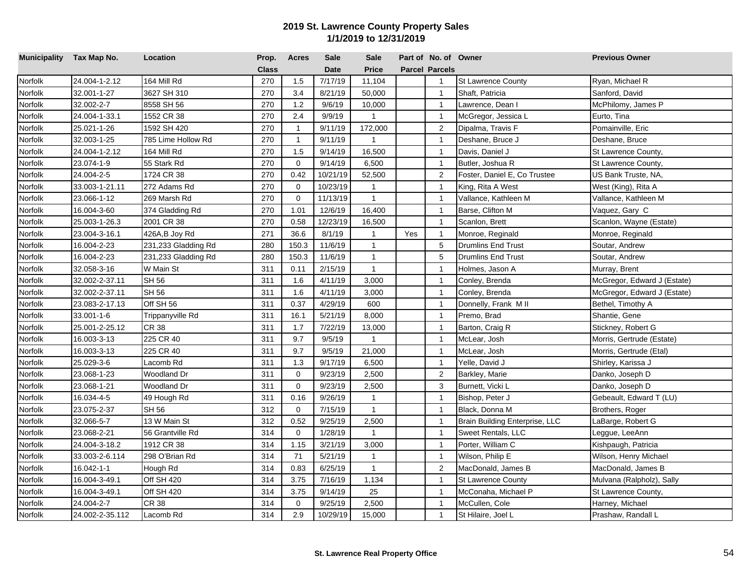| Municipality Tax Map No. |                 | Location            | Prop.        | <b>Acres</b>   | <b>Sale</b> | <b>Sale</b>    |     | Part of No. of Owner  |                                | <b>Previous Owner</b>       |
|--------------------------|-----------------|---------------------|--------------|----------------|-------------|----------------|-----|-----------------------|--------------------------------|-----------------------------|
|                          |                 |                     | <b>Class</b> |                | <b>Date</b> | Price          |     | <b>Parcel Parcels</b> |                                |                             |
| Norfolk                  | 24.004-1-2.12   | 164 Mill Rd         | 270          | 1.5            | 7/17/19     | 11,104         |     | $\mathbf{1}$          | <b>St Lawrence County</b>      | Ryan, Michael R             |
| Norfolk                  | 32.001-1-27     | 3627 SH 310         | 270          | 3.4            | 8/21/19     | 50,000         |     | $\mathbf{1}$          | Shaft, Patricia                | Sanford, David              |
| Norfolk                  | 32.002-2-7      | 8558 SH 56          | 270          | 1.2            | 9/6/19      | 10,000         |     | $\mathbf{1}$          | Lawrence, Dean I               | McPhilomy, James P          |
| Norfolk                  | 24.004-1-33.1   | 1552 CR 38          | 270          | 2.4            | 9/9/19      | $\mathbf{1}$   |     | $\overline{1}$        | McGregor, Jessica L            | Eurto, Tina                 |
| Norfolk                  | 25.021-1-26     | 1592 SH 420         | 270          | $\overline{1}$ | 9/11/19     | 172,000        |     | 2                     | Dipalma, Travis F              | Pomainville, Eric           |
| Norfolk                  | 32.003-1-25     | 785 Lime Hollow Rd  | 270          | $\mathbf{1}$   | 9/11/19     | $\overline{1}$ |     | $\mathbf{1}$          | Deshane, Bruce J               | Deshane, Bruce              |
| Norfolk                  | 24.004-1-2.12   | 164 Mill Rd         | 270          | 1.5            | 9/14/19     | 16,500         |     | $\overline{1}$        | Davis, Daniel J                | St Lawrence County,         |
| Norfolk                  | 23.074-1-9      | 55 Stark Rd         | 270          | $\mathbf 0$    | 9/14/19     | 6,500          |     | $\overline{1}$        | Butler, Joshua R               | St Lawrence County,         |
| Norfolk                  | 24.004-2-5      | 1724 CR 38          | 270          | 0.42           | 10/21/19    | 52,500         |     | $\overline{2}$        | Foster, Daniel E, Co Trustee   | US Bank Truste, NA,         |
| Norfolk                  | 33.003-1-21.11  | 272 Adams Rd        | 270          | $\mathbf 0$    | 10/23/19    | $\mathbf{1}$   |     | $\mathbf{1}$          | King, Rita A West              | West (King), Rita A         |
| Norfolk                  | 23.066-1-12     | 269 Marsh Rd        | 270          | $\mathbf 0$    | 11/13/19    | $\mathbf{1}$   |     | $\mathbf{1}$          | Vallance, Kathleen M           | Vallance, Kathleen M        |
| Norfolk                  | 16.004-3-60     | 374 Gladding Rd     | 270          | 1.01           | 12/6/19     | 16,400         |     | $\overline{1}$        | Barse, Clifton M               | Vaquez, Gary C              |
| Norfolk                  | 25.003-1-26.3   | 2001 CR 38          | 270          | 0.58           | 12/23/19    | 16,500         |     | $\mathbf{1}$          | Scanlon, Brett                 | Scanlon, Wayne (Estate)     |
| Norfolk                  | 23.004-3-16.1   | 426A,B Joy Rd       | 271          | 36.6           | 8/1/19      | $\mathbf{1}$   | Yes | $\mathbf{1}$          | Monroe, Reginald               | Monroe, Reginald            |
| Norfolk                  | 16.004-2-23     | 231,233 Gladding Rd | 280          | 150.3          | 11/6/19     | $\overline{1}$ |     | $\,$ 5 $\,$           | <b>Drumlins End Trust</b>      | Soutar, Andrew              |
| Norfolk                  | 16.004-2-23     | 231,233 Gladding Rd | 280          | 150.3          | 11/6/19     | $\mathbf{1}$   |     | 5                     | <b>Drumlins End Trust</b>      | Soutar, Andrew              |
| Norfolk                  | 32.058-3-16     | W Main St           | 311          | 0.11           | 2/15/19     | $\mathbf{1}$   |     | $\mathbf{1}$          | Holmes, Jason A                | Murray, Brent               |
| Norfolk                  | 32.002-2-37.11  | SH 56               | 311          | 1.6            | 4/11/19     | 3,000          |     | $\overline{1}$        | Conley, Brenda                 | McGregor, Edward J (Estate) |
| Norfolk                  | 32.002-2-37.11  | <b>SH 56</b>        | 311          | 1.6            | 4/11/19     | 3,000          |     | $\overline{1}$        | Conley, Brenda                 | McGregor, Edward J (Estate) |
| Norfolk                  | 23.083-2-17.13  | Off SH 56           | 311          | 0.37           | 4/29/19     | 600            |     | $\mathbf{1}$          | Donnelly, Frank M II           | Bethel, Timothy A           |
| Norfolk                  | 33.001-1-6      | Trippanyville Rd    | 311          | 16.1           | 5/21/19     | 8,000          |     | $\mathbf{1}$          | Premo, Brad                    | Shantie, Gene               |
| Norfolk                  | 25.001-2-25.12  | CR 38               | 311          | 1.7            | 7/22/19     | 13,000         |     | $\overline{1}$        | Barton, Craig R                | Stickney, Robert G          |
| Norfolk                  | 16.003-3-13     | 225 CR 40           | 311          | 9.7            | 9/5/19      | $\mathbf{1}$   |     | $\overline{1}$        | McLear, Josh                   | Morris, Gertrude (Estate)   |
| Norfolk                  | 16.003-3-13     | 225 CR 40           | 311          | 9.7            | 9/5/19      | 21,000         |     | $\overline{1}$        | McLear, Josh                   | Morris, Gertrude (Etal)     |
| Norfolk                  | 25.029-3-6      | _acomb Rd           | 311          | 1.3            | 9/17/19     | 6,500          |     | $\mathbf{1}$          | Yelle, David J                 | Shirley, Karissa J          |
| Norfolk                  | 23.068-1-23     | Woodland Dr         | 311          | $\mathbf 0$    | 9/23/19     | 2,500          |     | $\overline{c}$        | Barkley, Marie                 | Danko, Joseph D             |
| Norfolk                  | 23.068-1-21     | Woodland Dr         | 311          | $\mathbf 0$    | 9/23/19     | 2,500          |     | 3                     | Burnett, Vicki L               | Danko, Joseph D             |
| Norfolk                  | 16.034-4-5      | 49 Hough Rd         | 311          | 0.16           | 9/26/19     | $\mathbf{1}$   |     | $\overline{1}$        | Bishop, Peter J                | Gebeault, Edward T (LU)     |
| Norfolk                  | 23.075-2-37     | <b>SH 56</b>        | 312          | $\mathbf 0$    | 7/15/19     | $\mathbf{1}$   |     | $\mathbf{1}$          | Black, Donna M                 | Brothers, Roger             |
| Norfolk                  | 32.066-5-7      | 13 W Main St        | 312          | 0.52           | 9/25/19     | 2,500          |     | $\overline{1}$        | Brain Building Enterprise, LLC | LaBarge, Robert G           |
| Norfolk                  | 23.068-2-21     | 56 Grantville Rd    | 314          | $\mathbf 0$    | 1/28/19     | $\mathbf{1}$   |     | $\overline{1}$        | Sweet Rentals, LLC             | Leggue, LeeAnn              |
| Norfolk                  | 24.004-3-18.2   | 1912 CR 38          | 314          | 1.15           | 3/21/19     | 3,000          |     | $\overline{1}$        | Porter, William C              | Kishpaugh, Patricia         |
| Norfolk                  | 33.003-2-6.114  | 298 O'Brian Rd      | 314          | 71             | 5/21/19     | $\mathbf{1}$   |     | $\mathbf{1}$          | Wilson, Philip E               | Wilson, Henry Michael       |
| Norfolk                  | 16.042-1-1      | Hough Rd            | 314          | 0.83           | 6/25/19     | $\mathbf{1}$   |     | $\overline{2}$        | MacDonald, James B             | MacDonald, James B          |
| Norfolk                  | 16.004-3-49.1   | Off SH 420          | 314          | 3.75           | 7/16/19     | 1,134          |     | $\overline{1}$        | <b>St Lawrence County</b>      | Mulvana (Ralpholz), Sally   |
| Norfolk                  | 16.004-3-49.1   | Off SH 420          | 314          | 3.75           | 9/14/19     | 25             |     | $\mathbf{1}$          | McConaha, Michael P            | St Lawrence County,         |
| Norfolk                  | 24.004-2-7      | CR 38               | 314          | 0              | 9/25/19     | 2,500          |     | $\overline{1}$        | McCullen, Cole                 | Harney, Michael             |
| Norfolk                  | 24.002-2-35.112 | Lacomb Rd           | 314          | 2.9            | 10/29/19    | 15,000         |     | $\mathbf{1}$          | St Hilaire, Joel L             | Prashaw, Randall L          |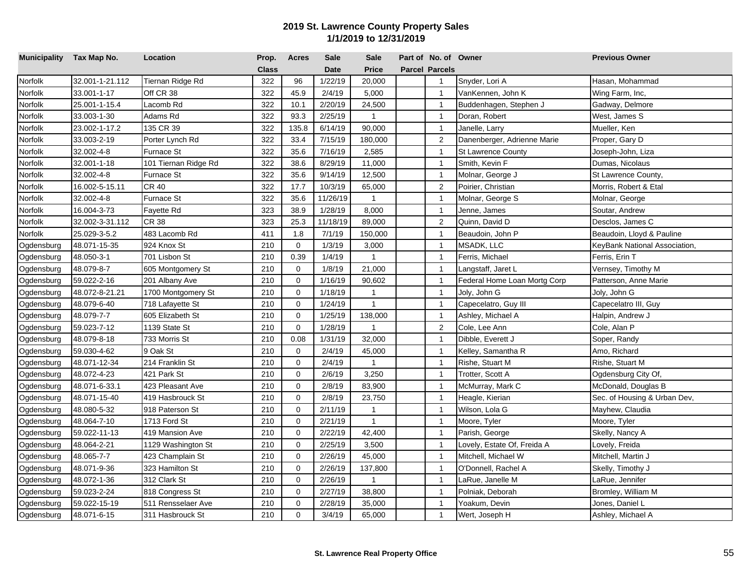| Municipality Tax Map No. |                 | Location             | Prop.        | <b>Acres</b> | <b>Sale</b> | <b>Sale</b>    | Part of No. of Owner  |                              | <b>Previous Owner</b>         |
|--------------------------|-----------------|----------------------|--------------|--------------|-------------|----------------|-----------------------|------------------------------|-------------------------------|
|                          |                 |                      | <b>Class</b> |              | <b>Date</b> | <b>Price</b>   | <b>Parcel Parcels</b> |                              |                               |
| Norfolk                  | 32.001-1-21.112 | Tiernan Ridge Rd     | 322          | 96           | 1/22/19     | 20,000         | $\mathbf{1}$          | Snyder, Lori A               | Hasan, Mohammad               |
| Norfolk                  | 33.001-1-17     | Off CR 38            | 322          | 45.9         | 2/4/19      | 5,000          | $\overline{1}$        | VanKennen, John K            | Wing Farm, Inc,               |
| Norfolk                  | 25.001-1-15.4   | Lacomb Rd            | 322          | 10.1         | 2/20/19     | 24,500         | $\overline{1}$        | Buddenhagen, Stephen J       | Gadway, Delmore               |
| Norfolk                  | 33.003-1-30     | Adams Rd             | 322          | 93.3         | 2/25/19     | $\mathbf{1}$   | $\overline{1}$        | Doran, Robert                | West, James S                 |
| Norfolk                  | 23.002-1-17.2   | 135 CR 39            | 322          | 135.8        | 6/14/19     | 90,000         | $\overline{1}$        | Janelle, Larry               | Mueller, Ken                  |
| Norfolk                  | 33.003-2-19     | Porter Lynch Rd      | 322          | 33.4         | 7/15/19     | 180,000        | 2                     | Danenberger, Adrienne Marie  | Proper, Gary D                |
| Norfolk                  | 32.002-4-8      | <b>Furnace St</b>    | 322          | 35.6         | 7/16/19     | 2,585          | $\overline{1}$        | <b>St Lawrence County</b>    | Joseph-John, Liza             |
| Norfolk                  | 32.001-1-18     | 101 Tiernan Ridge Rd | 322          | 38.6         | 8/29/19     | 11,000         | $\overline{1}$        | Smith, Kevin F               | Dumas, Nicolaus               |
| Norfolk                  | 32.002-4-8      | Furnace St           | 322          | 35.6         | 9/14/19     | 12,500         | $\overline{1}$        | Molnar, George J             | St Lawrence County,           |
| Norfolk                  | 16.002-5-15.11  | CR 40                | 322          | 17.7         | 10/3/19     | 65,000         | $\overline{2}$        | Poirier, Christian           | Morris, Robert & Etal         |
| Norfolk                  | 32.002-4-8      | Furnace St           | 322          | 35.6         | 11/26/19    | $\mathbf{1}$   | $\overline{1}$        | Molnar, George S             | Molnar, George                |
| Norfolk                  | 16.004-3-73     | Fayette Rd           | 323          | 38.9         | 1/28/19     | 8,000          | $\overline{1}$        | Jenne, James                 | Soutar, Andrew                |
| Norfolk                  | 32.002-3-31.112 | CR 38                | 323          | 25.3         | 11/18/19    | 89,000         | $\overline{2}$        | Quinn, David D               | Desclos, James C              |
| Norfolk                  | 25.029-3-5.2    | 483 Lacomb Rd        | 411          | 1.8          | 7/1/19      | 150,000        | $\overline{1}$        | Beaudoin, John P             | Beaudoin, Lloyd & Pauline     |
| Ogdensburg               | 48.071-15-35    | 924 Knox St          | 210          | $\mathbf 0$  | 1/3/19      | 3,000          | $\overline{1}$        | MSADK, LLC                   | KeyBank National Association, |
| Ogdensburg               | 48.050-3-1      | 701 Lisbon St        | 210          | 0.39         | 1/4/19      | $\mathbf{1}$   | $\overline{1}$        | Ferris, Michael              | Ferris, Erin T                |
| Ogdensburg               | 48.079-8-7      | 605 Montgomery St    | 210          | $\mathbf 0$  | 1/8/19      | 21,000         | $\mathbf{1}$          | Langstaff, Jaret L           | Vernsey, Timothy M            |
| Ogdensburg               | 59.022-2-16     | 201 Albany Ave       | 210          | $\mathbf 0$  | 1/16/19     | 90,602         | $\overline{1}$        | Federal Home Loan Mortg Corp | Patterson, Anne Marie         |
| Ogdensburg               | 48.072-8-21.21  | 1700 Montgomery St   | 210          | $\mathbf 0$  | 1/18/19     | $\mathbf{1}$   | $\overline{1}$        | Joly, John G                 | Joly, John G                  |
| Ogdensburg               | 48.079-6-40     | 718 Lafayette St     | 210          | $\Omega$     | 1/24/19     | $\mathbf{1}$   | $\overline{1}$        | Capecelatro, Guy III         | Capecelatro III, Guy          |
| Ogdensburg               | 48.079-7-7      | 605 Elizabeth St     | 210          | $\mathbf 0$  | 1/25/19     | 138,000        | $\overline{1}$        | Ashley, Michael A            | Halpin, Andrew J              |
| Ogdensburg               | 59.023-7-12     | 1139 State St        | 210          | $\mathbf 0$  | 1/28/19     | $\mathbf{1}$   | $\overline{2}$        | Cole, Lee Ann                | Cole, Alan P                  |
| Ogdensburg               | 48.079-8-18     | 733 Morris St        | 210          | 0.08         | 1/31/19     | 32,000         | $\overline{1}$        | Dibble, Everett J            | Soper, Randy                  |
| Ogdensburg               | 59.030-4-62     | 9 Oak St             | 210          | $\mathbf 0$  | 2/4/19      | 45,000         | $\overline{1}$        | Kelley, Samantha R           | Amo, Richard                  |
| Ogdensburg               | 48.071-12-34    | 214 Franklin St      | 210          | $\mathbf 0$  | 2/4/19      | $\mathbf{1}$   | $\overline{1}$        | Rishe, Stuart M              | Rishe, Stuart M               |
| Ogdensburg               | 48.072-4-23     | 421 Park St          | 210          | $\mathbf 0$  | 2/6/19      | 3,250          | $\overline{1}$        | Trotter, Scott A             | Ogdensburg City Of,           |
| Ogdensburg               | 48.071-6-33.1   | 423 Pleasant Ave     | 210          | $\mathbf 0$  | 2/8/19      | 83,900         | $\overline{1}$        | McMurray, Mark C             | McDonald, Douglas B           |
| Ogdensburg               | 48.071-15-40    | 419 Hasbrouck St     | 210          | $\mathbf 0$  | 2/8/19      | 23,750         | $\overline{1}$        | Heagle, Kierian              | Sec. of Housing & Urban Dev,  |
| Ogdensburg               | 48.080-5-32     | 918 Paterson St      | 210          | $\mathbf 0$  | 2/11/19     | $\mathbf{1}$   | $\overline{1}$        | Wilson, Lola G               | Mayhew, Claudia               |
| Ogdensburg               | 48.064-7-10     | 1713 Ford St         | 210          | $\mathbf 0$  | 2/21/19     | $\mathbf{1}$   | $\mathbf{1}$          | Moore, Tyler                 | Moore, Tyler                  |
| Ogdensburg               | 59.022-11-13    | 419 Mansion Ave      | 210          | $\mathbf 0$  | 2/22/19     | 42,400         | $\overline{1}$        | Parish, George               | Skelly, Nancy A               |
| Ogdensburg               | 48.064-2-21     | 1129 Washington St   | 210          | $\mathbf 0$  | 2/25/19     | 3,500          | $\overline{1}$        | Lovely, Estate Of, Freida A  | Lovely, Freida                |
| Ogdensburg               | 48.065-7-7      | 423 Champlain St     | 210          | $\mathbf 0$  | 2/26/19     | 45,000         | $\overline{1}$        | Mitchell, Michael W          | Mitchell, Martin J            |
| Ogdensburg               | 48.071-9-36     | 323 Hamilton St      | 210          | $\mathbf 0$  | 2/26/19     | 137,800        | $\overline{1}$        | O'Donnell, Rachel A          | Skelly, Timothy J             |
| Ogdensburg               | 48.072-1-36     | 312 Clark St         | 210          | $\mathbf 0$  | 2/26/19     | $\overline{1}$ | $\overline{1}$        | LaRue, Janelle M             | LaRue, Jennifer               |
| Ogdensburg               | 59.023-2-24     | 818 Congress St      | 210          | $\mathbf 0$  | 2/27/19     | 38,800         | $\mathbf{1}$          | Polniak, Deborah             | Bromley, William M            |
| Ogdensburg               | 59.022-15-19    | 511 Rensselaer Ave   | 210          | $\mathbf 0$  | 2/28/19     | 35,000         | $\mathbf{1}$          | Yoakum, Devin                | Jones, Daniel L               |
| Ogdensburg               | 48.071-6-15     | 311 Hasbrouck St     | 210          | $\mathbf 0$  | 3/4/19      | 65,000         | $\mathbf{1}$          | Wert, Joseph H               | Ashley, Michael A             |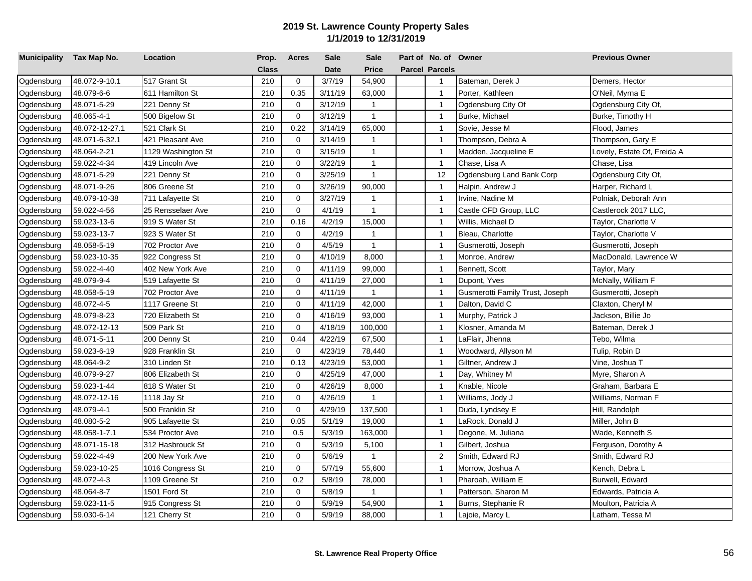| Municipality Tax Map No. |                | Location           | Prop. | <b>Acres</b> | <b>Sale</b> | <b>Sale</b>  | Part of No. of Owner  |                                 | <b>Previous Owner</b>       |
|--------------------------|----------------|--------------------|-------|--------------|-------------|--------------|-----------------------|---------------------------------|-----------------------------|
|                          |                |                    | Class |              | <b>Date</b> | <b>Price</b> | <b>Parcel Parcels</b> |                                 |                             |
| Ogdensburg               | 48.072-9-10.1  | 517 Grant St       | 210   | $\mathbf 0$  | 3/7/19      | 54,900       | $\overline{1}$        | Bateman, Derek J                | Demers, Hector              |
| Ogdensburg               | 48.079-6-6     | 611 Hamilton St    | 210   | 0.35         | 3/11/19     | 63,000       | $\overline{1}$        | Porter, Kathleen                | O'Neil, Myrna E             |
| Ogdensburg               | 48.071-5-29    | 221 Denny St       | 210   | 0            | 3/12/19     | $\mathbf{1}$ | $\overline{1}$        | Ogdensburg City Of              | Ogdensburg City Of,         |
| Ogdensburg               | 48.065-4-1     | 500 Bigelow St     | 210   | $\mathbf 0$  | 3/12/19     | $\mathbf{1}$ | $\overline{1}$        | Burke, Michael                  | Burke, Timothy H            |
| Ogdensburg               | 48.072-12-27.1 | 521 Clark St       | 210   | 0.22         | 3/14/19     | 65,000       | $\mathbf{1}$          | Sovie, Jesse M                  | Flood, James                |
| Ogdensburg               | 48.071-6-32.1  | 421 Pleasant Ave   | 210   | $\mathbf 0$  | 3/14/19     | 1            | $\mathbf{1}$          | Thompson, Debra A               | Thompson, Gary E            |
| Ogdensburg               | 48.064-2-21    | 1129 Washington St | 210   | $\mathbf 0$  | 3/15/19     | $\mathbf{1}$ | $\overline{1}$        | Madden, Jacqueline E            | Lovely, Estate Of, Freida A |
| Ogdensburg               | 59.022-4-34    | 419 Lincoln Ave    | 210   | $\mathbf 0$  | 3/22/19     | $\mathbf{1}$ | $\overline{1}$        | Chase, Lisa A                   | Chase, Lisa                 |
| Ogdensburg               | 48.071-5-29    | 221 Denny St       | 210   | $\mathbf 0$  | 3/25/19     | $\mathbf{1}$ | 12                    | Ogdensburg Land Bank Corp       | Ogdensburg City Of,         |
| Ogdensburg               | 48.071-9-26    | 806 Greene St      | 210   | $\mathbf 0$  | 3/26/19     | 90,000       | $\overline{1}$        | Halpin, Andrew J                | Harper, Richard L           |
| Ogdensburg               | 48.079-10-38   | 711 Lafayette St   | 210   | $\mathbf 0$  | 3/27/19     | $\mathbf{1}$ | $\overline{1}$        | Irvine, Nadine M                | Polniak, Deborah Ann        |
| Ogdensburg               | 59.022-4-56    | 25 Rensselaer Ave  | 210   | $\mathbf 0$  | 4/1/19      | $\mathbf{1}$ | $\overline{1}$        | Castle CFD Group, LLC           | Castlerock 2017 LLC,        |
| Ogdensburg               | 59.023-13-6    | 919 S Water St     | 210   | 0.16         | 4/2/19      | 15,000       | $\mathbf{1}$          | Willis, Michael D               | Taylor, Charlotte V         |
| Ogdensburg               | 59.023-13-7    | 923 S Water St     | 210   | $\mathbf 0$  | 4/2/19      | $\mathbf{1}$ | $\overline{1}$        | Bleau, Charlotte                | Taylor, Charlotte V         |
| Ogdensburg               | 48.058-5-19    | 702 Proctor Ave    | 210   | $\mathbf 0$  | 4/5/19      | $\mathbf{1}$ | $\overline{1}$        | Gusmerotti, Joseph              | Gusmerotti, Joseph          |
| Ogdensburg               | 59.023-10-35   | 922 Congress St    | 210   | $\mathbf 0$  | 4/10/19     | 8,000        | $\overline{1}$        | Monroe, Andrew                  | MacDonald, Lawrence W       |
| Ogdensburg               | 59.022-4-40    | 402 New York Ave   | 210   | $\mathbf 0$  | 4/11/19     | 99,000       | $\overline{1}$        | Bennett, Scott                  | Taylor, Mary                |
| Ogdensburg               | 48.079-9-4     | 519 Lafayette St   | 210   | $\mathbf 0$  | 4/11/19     | 27,000       | $\overline{1}$        | Dupont, Yves                    | McNally, William F          |
| Ogdensburg               | 48.058-5-19    | 702 Proctor Ave    | 210   | $\mathbf 0$  | 4/11/19     | $\mathbf{1}$ | $\overline{1}$        | Gusmerotti Family Trust, Joseph | Gusmerotti, Joseph          |
| Ogdensburg               | 48.072-4-5     | 1117 Greene St     | 210   | 0            | 4/11/19     | 42,000       | $\overline{1}$        | Dalton, David C                 | Claxton, Cheryl M           |
| Ogdensburg               | 48.079-8-23    | 720 Elizabeth St   | 210   | $\mathbf 0$  | 4/16/19     | 93,000       | $\mathbf{1}$          | Murphy, Patrick J               | Jackson, Billie Jo          |
| Ogdensburg               | 48.072-12-13   | 509 Park St        | 210   | $\mathbf 0$  | 4/18/19     | 100,000      | $\overline{1}$        | Klosner, Amanda M               | Bateman, Derek J            |
| Ogdensburg               | 48.071-5-11    | 200 Denny St       | 210   | 0.44         | 4/22/19     | 67,500       | $\overline{1}$        | LaFlair, Jhenna                 | Tebo, Wilma                 |
| Ogdensburg               | 59.023-6-19    | 928 Franklin St    | 210   | $\Omega$     | 4/23/19     | 78,440       | $\overline{1}$        | Woodward, Allyson M             | Tulip, Robin D              |
| Ogdensburg               | 48.064-9-2     | 310 Linden St      | 210   | 0.13         | 4/23/19     | 53,000       | $\overline{1}$        | Giltner, Andrew J               | Vine, Joshua T              |
| Ogdensburg               | 48.079-9-27    | 806 Elizabeth St   | 210   | 0            | 4/25/19     | 47,000       | $\overline{1}$        | Day, Whitney M                  | Myre, Sharon A              |
| Ogdensburg               | 59.023-1-44    | 818 S Water St     | 210   | $\mathbf 0$  | 4/26/19     | 8,000        | $\overline{1}$        | Knable, Nicole                  | Graham, Barbara E           |
| Ogdensburg               | 48.072-12-16   | 1118 Jay St        | 210   | $\mathbf 0$  | 4/26/19     | $\mathbf{1}$ | $\mathbf{1}$          | Williams, Jody J                | Williams, Norman F          |
| Ogdensburg               | 48.079-4-1     | 500 Franklin St    | 210   | $\mathbf 0$  | 4/29/19     | 137,500      | $\overline{1}$        | Duda, Lyndsey E                 | Hill, Randolph              |
| Ogdensburg               | 48.080-5-2     | 905 Lafayette St   | 210   | 0.05         | 5/1/19      | 19,000       | $\overline{1}$        | LaRock, Donald J                | Miller, John B              |
| Ogdensburg               | 48.058-1-7.1   | 534 Proctor Ave    | 210   | 0.5          | 5/3/19      | 163,000      | $\overline{1}$        | Degone, M. Juliana              | Wade, Kenneth S             |
| Ogdensburg               | 48.071-15-18   | 312 Hasbrouck St   | 210   | $\mathbf 0$  | 5/3/19      | 5,100        | $\overline{1}$        | Gilbert, Joshua                 | Ferguson, Dorothy A         |
| Ogdensburg               | 59.022-4-49    | 200 New York Ave   | 210   | $\mathbf 0$  | 5/6/19      | $\mathbf{1}$ | $\overline{c}$        | Smith, Edward RJ                | Smith, Edward RJ            |
| Ogdensburg               | 59.023-10-25   | 1016 Congress St   | 210   | 0            | 5/7/19      | 55,600       | $\mathbf{1}$          | Morrow, Joshua A                | Kench, Debra L              |
| Ogdensburg               | 48.072-4-3     | 1109 Greene St     | 210   | 0.2          | 5/8/19      | 78,000       | $\mathbf{1}$          | Pharoah, William E              | Burwell, Edward             |
| Ogdensburg               | 48.064-8-7     | 1501 Ford St       | 210   | 0            | 5/8/19      | $\mathbf{1}$ | $\mathbf{1}$          | Patterson, Sharon M             | Edwards, Patricia A         |
| Ogdensburg               | 59.023-11-5    | 915 Congress St    | 210   | $\mathbf 0$  | 5/9/19      | 54,900       | $\overline{1}$        | Burns, Stephanie R              | Moulton, Patricia A         |
| Ogdensburg               | 59.030-6-14    | 121 Cherry St      | 210   | $\mathbf 0$  | 5/9/19      | 88,000       | $\mathbf{1}$          | Lajoie, Marcy L                 | Latham, Tessa M             |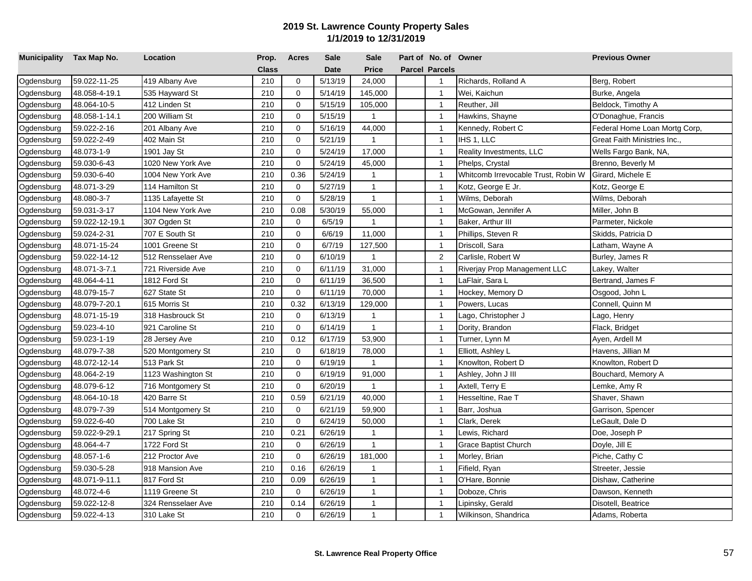| Municipality Tax Map No. |                | Location           | Prop.        | <b>Acres</b> | <b>Sale</b> | <b>Sale</b>  | Part of No. of Owner  |                                     | <b>Previous Owner</b>         |
|--------------------------|----------------|--------------------|--------------|--------------|-------------|--------------|-----------------------|-------------------------------------|-------------------------------|
|                          |                |                    | <b>Class</b> |              | <b>Date</b> | <b>Price</b> | <b>Parcel Parcels</b> |                                     |                               |
| Ogdensburg               | 59.022-11-25   | 419 Albany Ave     | 210          | $\mathbf 0$  | 5/13/19     | 24,000       | $\overline{1}$        | Richards, Rolland A                 | Berg, Robert                  |
| Ogdensburg               | 48.058-4-19.1  | 535 Hayward St     | 210          | $\mathbf 0$  | 5/14/19     | 145,000      | $\mathbf{1}$          | Wei, Kaichun                        | Burke, Angela                 |
| Ogdensburg               | 48.064-10-5    | 412 Linden St      | 210          | 0            | 5/15/19     | 105,000      | $\overline{1}$        | Reuther, Jill                       | Beldock, Timothy A            |
| Ogdensburg               | 48.058-1-14.1  | 200 William St     | 210          | $\mathbf 0$  | 5/15/19     | $\mathbf{1}$ | $\overline{1}$        | Hawkins, Shayne                     | O'Donaghue, Francis           |
| Ogdensburg               | 59.022-2-16    | 201 Albany Ave     | 210          | $\Omega$     | 5/16/19     | 44,000       | $\mathbf{1}$          | Kennedy, Robert C                   | Federal Home Loan Mortg Corp, |
| Ogdensburg               | 59.022-2-49    | 402 Main St        | 210          | $\mathbf 0$  | 5/21/19     | $\mathbf{1}$ | $\overline{1}$        | IHS 1, LLC                          | Great Faith Ministries Inc.,  |
| Ogdensburg               | 48.073-1-9     | 1901 Jay St        | 210          | $\mathbf 0$  | 5/24/19     | 17,000       | $\overline{1}$        | Reality Investments, LLC            | Wells Fargo Bank, NA,         |
| Ogdensburg               | 59.030-6-43    | 1020 New York Ave  | 210          | $\mathbf 0$  | 5/24/19     | 45,000       | $\overline{1}$        | Phelps, Crystal                     | Brenno, Beverly M             |
| Ogdensburg               | 59.030-6-40    | 1004 New York Ave  | 210          | 0.36         | 5/24/19     | $\mathbf{1}$ | $\overline{1}$        | Whitcomb Irrevocable Trust, Robin W | Girard, Michele E             |
| Ogdensburg               | 48.071-3-29    | 114 Hamilton St    | 210          | 0            | 5/27/19     | $\mathbf{1}$ | $\overline{1}$        | Kotz, George E Jr.                  | Kotz, George E                |
| Ogdensburg               | 48.080-3-7     | 1135 Lafayette St  | 210          | 0            | 5/28/19     | $\mathbf{1}$ | $\mathbf{1}$          | Wilms, Deborah                      | Wilms, Deborah                |
| Ogdensburg               | 59.031-3-17    | 1104 New York Ave  | 210          | 0.08         | 5/30/19     | 55,000       | $\mathbf{1}$          | McGowan, Jennifer A                 | Miller, John B                |
| Ogdensburg               | 59.022-12-19.1 | 307 Ogden St       | 210          | $\Omega$     | 6/5/19      | $\mathbf{1}$ | $\overline{1}$        | Baker, Arthur III                   | Parmeter, Nickole             |
| Ogdensburg               | 59.024-2-31    | 707 E South St     | 210          | $\Omega$     | 6/6/19      | 11,000       | $\overline{1}$        | Phillips, Steven R                  | Skidds, Patricia D            |
| Ogdensburg               | 48.071-15-24   | 1001 Greene St     | 210          | $\mathbf 0$  | 6/7/19      | 127,500      | $\overline{1}$        | Driscoll, Sara                      | Latham, Wayne A               |
| Ogdensburg               | 59.022-14-12   | 512 Rensselaer Ave | 210          | $\mathbf 0$  | 6/10/19     | $\mathbf{1}$ | $\overline{2}$        | Carlisle, Robert W                  | Burley, James R               |
| Ogdensburg               | 48.071-3-7.1   | 721 Riverside Ave  | 210          | $\mathbf 0$  | 6/11/19     | 31,000       | $\overline{1}$        | Riverjay Prop Management LLC        | Lakey, Walter                 |
| Ogdensburg               | 48.064-4-11    | 1812 Ford St       | 210          | $\mathbf 0$  | 6/11/19     | 36,500       | $\mathbf{1}$          | LaFlair, Sara L                     | Bertrand, James F             |
| Ogdensburg               | 48.079-15-7    | 627 State St       | 210          | $\mathbf 0$  | 6/11/19     | 70,000       | $\mathbf{1}$          | Hockey, Memory D                    | Osgood, John L                |
| Ogdensburg               | 48.079-7-20.1  | 615 Morris St      | 210          | 0.32         | 6/13/19     | 129,000      | $\mathbf{1}$          | Powers, Lucas                       | Connell, Quinn M              |
| Ogdensburg               | 48.071-15-19   | 318 Hasbrouck St   | 210          | 0            | 6/13/19     | 1            | $\overline{1}$        | ago, Christopher J                  | Lago, Henry                   |
| Ogdensburg               | 59.023-4-10    | 921 Caroline St    | 210          | $\mathbf 0$  | 6/14/19     | $\mathbf{1}$ | $\overline{1}$        | Dority, Brandon                     | Flack, Bridget                |
| Ogdensburg               | 59.023-1-19    | 28 Jersey Ave      | 210          | 0.12         | 6/17/19     | 53,900       | $\overline{1}$        | Turner, Lynn M                      | Ayen, Ardell M                |
| Ogdensburg               | 48.079-7-38    | 520 Montgomery St  | 210          | $\mathbf 0$  | 6/18/19     | 78,000       | $\overline{1}$        | Elliott, Ashley L                   | Havens, Jillian M             |
| Ogdensburg               | 48.072-12-14   | 513 Park St        | 210          | $\mathbf 0$  | 6/19/19     | $\mathbf{1}$ | $\overline{1}$        | Knowlton, Robert D                  | Knowlton, Robert D            |
| Ogdensburg               | 48.064-2-19    | 1123 Washington St | 210          | $\mathbf 0$  | 6/19/19     | 91,000       | $\overline{1}$        | Ashley, John J III                  | Bouchard, Memory A            |
| Ogdensburg               | 48.079-6-12    | 716 Montgomery St  | 210          | $\mathbf 0$  | 6/20/19     | $\mathbf{1}$ | $\mathbf{1}$          | Axtell, Terry E                     | Lemke, Amy R                  |
| Ogdensburg               | 48.064-10-18   | 420 Barre St       | 210          | 0.59         | 6/21/19     | 40,000       | $\overline{1}$        | Hesseltine, Rae T                   | Shaver, Shawn                 |
| Ogdensburg               | 48.079-7-39    | 514 Montgomery St  | 210          | 0            | 6/21/19     | 59,900       | $\mathbf{1}$          | Barr, Joshua                        | Garrison, Spencer             |
| Ogdensburg               | 59.022-6-40    | 700 Lake St        | 210          | $\mathbf 0$  | 6/24/19     | 50,000       | $\overline{1}$        | Clark, Derek                        | LeGault, Dale D               |
| Ogdensburg               | 59.022-9-29.1  | 217 Spring St      | 210          | 0.21         | 6/26/19     | $\mathbf{1}$ | $\mathbf{1}$          | Lewis, Richard                      | Doe, Joseph P                 |
| Ogdensburg               | 48.064-4-7     | 1722 Ford St       | 210          | $\mathbf 0$  | 6/26/19     | 1            | $\mathbf{1}$          | Grace Baptist Church                | Doyle, Jill E                 |
| Ogdensburg               | 48.057-1-6     | 212 Proctor Ave    | 210          | $\mathbf 0$  | 6/26/19     | 181,000      | $\mathbf{1}$          | Morley, Brian                       | Piche, Cathy C                |
| Ogdensburg               | 59.030-5-28    | 918 Mansion Ave    | 210          | 0.16         | 6/26/19     | 1            | $\overline{1}$        | Fifield, Ryan                       | Streeter, Jessie              |
| Ogdensburg               | 48.071-9-11.1  | 817 Ford St        | 210          | 0.09         | 6/26/19     | $\mathbf{1}$ | $\mathbf{1}$          | O'Hare, Bonnie                      | Dishaw, Catherine             |
| Ogdensburg               | 48.072-4-6     | 1119 Greene St     | 210          | $\mathbf 0$  | 6/26/19     | $\mathbf{1}$ | $\overline{1}$        | Doboze, Chris                       | Dawson, Kenneth               |
| Ogdensburg               | 59.022-12-8    | 324 Rensselaer Ave | 210          | 0.14         | 6/26/19     | $\mathbf{1}$ | $\mathbf{1}$          | Lipinsky, Gerald                    | Disotell, Beatrice            |
| Ogdensburg               | 59.022-4-13    | 310 Lake St        | 210          | $\Omega$     | 6/26/19     | $\mathbf{1}$ | $\overline{1}$        | Wilkinson, Shandrica                | Adams, Roberta                |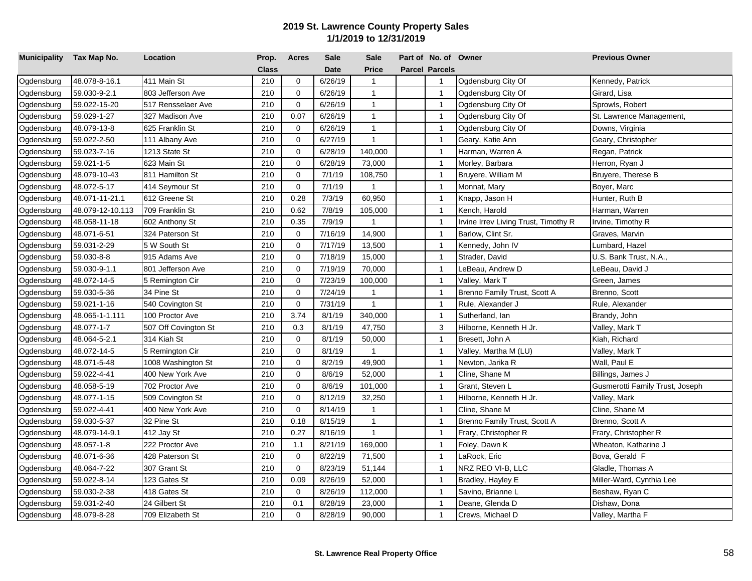| Municipality Tax Map No. |                  | Location             | Prop.        | <b>Acres</b> | <b>Sale</b> | <b>Sale</b>  | Part of No. of Owner  |                                      | <b>Previous Owner</b>           |
|--------------------------|------------------|----------------------|--------------|--------------|-------------|--------------|-----------------------|--------------------------------------|---------------------------------|
|                          |                  |                      | <b>Class</b> |              | <b>Date</b> | <b>Price</b> | <b>Parcel Parcels</b> |                                      |                                 |
| Ogdensburg               | 48.078-8-16.1    | 411 Main St          | 210          | $\mathbf 0$  | 6/26/19     | $\mathbf{1}$ | $\overline{1}$        | Ogdensburg City Of                   | Kennedy, Patrick                |
| Ogdensburg               | 59.030-9-2.1     | 803 Jefferson Ave    | 210          | $\mathbf 0$  | 6/26/19     | $\mathbf{1}$ | $\mathbf{1}$          | Ogdensburg City Of                   | Girard, Lisa                    |
| Ogdensburg               | 59.022-15-20     | 517 Rensselaer Ave   | 210          | 0            | 6/26/19     | $\mathbf{1}$ | $\overline{1}$        | Ogdensburg City Of                   | Sprowls, Robert                 |
| Ogdensburg               | 59.029-1-27      | 327 Madison Ave      | 210          | 0.07         | 6/26/19     | $\mathbf{1}$ | $\mathbf{1}$          | Ogdensburg City Of                   | St. Lawrence Management,        |
| Ogdensburg               | 48.079-13-8      | 625 Franklin St      | 210          | 0            | 6/26/19     | $\mathbf{1}$ | $\mathbf{1}$          | Ogdensburg City Of                   | Downs, Virginia                 |
| Ogdensburg               | 59.022-2-50      | 111 Albany Ave       | 210          | $\mathbf 0$  | 6/27/19     | $\mathbf{1}$ | $\mathbf{1}$          | Geary, Katie Ann                     | Geary, Christopher              |
| Ogdensburg               | 59.023-7-16      | 1213 State St        | 210          | $\mathbf 0$  | 6/28/19     | 140,000      | $\overline{1}$        | Harman, Warren A                     | Regan, Patrick                  |
| Ogdensburg               | 59.021-1-5       | 623 Main St          | 210          | $\mathbf 0$  | 6/28/19     | 73,000       | $\overline{1}$        | Morley, Barbara                      | Herron, Ryan J                  |
| Ogdensburg               | 48.079-10-43     | 811 Hamilton St      | 210          | $\mathbf 0$  | 7/1/19      | 108,750      | $\overline{1}$        | Bruyere, William M                   | Bruyere, Therese B              |
| Ogdensburg               | 48.072-5-17      | 414 Seymour St       | 210          | $\mathbf 0$  | 7/1/19      | $\mathbf{1}$ | $\overline{1}$        | Monnat, Mary                         | Boyer, Marc                     |
| Ogdensburg               | 48.071-11-21.1   | 612 Greene St        | 210          | 0.28         | 7/3/19      | 60,950       | $\mathbf{1}$          | Knapp, Jason H                       | Hunter, Ruth B                  |
| Ogdensburg               | 48.079-12-10.113 | 709 Franklin St      | 210          | 0.62         | 7/8/19      | 105,000      | $\overline{1}$        | Kench, Harold                        | Harman, Warren                  |
| Ogdensburg               | 48.058-11-18     | 602 Anthony St       | 210          | 0.35         | 7/9/19      | $\mathbf{1}$ | $\mathbf{1}$          | Irvine Irrev Living Trust, Timothy R | Irvine, Timothy R               |
| Ogdensburg               | 48.071-6-51      | 324 Paterson St      | 210          | $\mathbf 0$  | 7/16/19     | 14,900       | $\overline{1}$        | Barlow, Clint Sr.                    | Graves, Marvin                  |
| Ogdensburg               | 59.031-2-29      | 5 W South St         | 210          | $\mathbf 0$  | 7/17/19     | 13,500       | $\overline{1}$        | Kennedy, John IV                     | Lumbard, Hazel                  |
| Ogdensburg               | 59.030-8-8       | 915 Adams Ave        | 210          | $\mathbf 0$  | 7/18/19     | 15,000       | $\overline{1}$        | Strader, David                       | U.S. Bank Trust, N.A.,          |
| Ogdensburg               | 59.030-9-1.1     | 801 Jefferson Ave    | 210          | $\mathbf 0$  | 7/19/19     | 70,000       | $\overline{1}$        | LeBeau, Andrew D                     | LeBeau, David J                 |
| Ogdensburg               | 48.072-14-5      | 5 Remington Cir      | 210          | $\mathbf 0$  | 7/23/19     | 100,000      | $\mathbf{1}$          | Valley, Mark T                       | Green, James                    |
| Ogdensburg               | 59.030-5-36      | 34 Pine St           | 210          | $\mathbf 0$  | 7/24/19     | $\mathbf{1}$ | $\overline{1}$        | Brenno Family Trust, Scott A         | Brenno, Scott                   |
| Ogdensburg               | 59.021-1-16      | 540 Covington St     | 210          | $\mathbf 0$  | 7/31/19     | $\mathbf{1}$ | $\overline{1}$        | Rule, Alexander J                    | Rule, Alexander                 |
| Ogdensburg               | 48.065-1-1.111   | 100 Proctor Ave      | 210          | 3.74         | 8/1/19      | 340,000      | $\mathbf{1}$          | Sutherland, lan                      | Brandy, John                    |
| Ogdensburg               | 48.077-1-7       | 507 Off Covington St | 210          | 0.3          | 8/1/19      | 47,750       | 3                     | Hilborne, Kenneth H Jr.              | Valley, Mark T                  |
| Ogdensburg               | 48.064-5-2.1     | 314 Kiah St          | 210          | $\mathbf 0$  | 8/1/19      | 50,000       | $\overline{1}$        | Bresett, John A                      | Kiah, Richard                   |
| Ogdensburg               | 48.072-14-5      | 5 Remington Cir      | 210          | $\mathbf 0$  | 8/1/19      | $\mathbf{1}$ | $\overline{1}$        | Valley, Martha M (LU)                | Valley, Mark T                  |
| Ogdensburg               | 48.071-5-48      | 1008 Washington St   | 210          | $\mathbf 0$  | 8/2/19      | 49,900       | $\overline{1}$        | Newton, Jarika R                     | Wall, Paul E                    |
| Ogdensburg               | 59.022-4-41      | 400 New York Ave     | 210          | $\mathbf 0$  | 8/6/19      | 52,000       | $\overline{1}$        | Cline, Shane M                       | Billings, James J               |
| Ogdensburg               | 48.058-5-19      | 702 Proctor Ave      | 210          | $\mathbf 0$  | 8/6/19      | 101,000      | $\overline{1}$        | Grant, Steven L                      | Gusmerotti Family Trust, Joseph |
| Ogdensburg               | 48.077-1-15      | 509 Covington St     | 210          | $\mathbf 0$  | 8/12/19     | 32,250       | $\mathbf{1}$          | Hilborne, Kenneth H Jr.              | Valley, Mark                    |
| Ogdensburg               | 59.022-4-41      | 400 New York Ave     | 210          | $\mathbf 0$  | 8/14/19     | $\mathbf{1}$ | $\overline{1}$        | Cline, Shane M                       | Cline, Shane M                  |
| Ogdensburg               | 59.030-5-37      | 32 Pine St           | 210          | 0.18         | 8/15/19     | $\mathbf{1}$ | $\overline{1}$        | Brenno Family Trust, Scott A         | Brenno, Scott A                 |
| Ogdensburg               | 48.079-14-9.1    | 412 Jay St           | 210          | 0.27         | 8/16/19     | $\mathbf{1}$ | $\overline{1}$        | Frary, Christopher R                 | Frary, Christopher R            |
| Ogdensburg               | 48.057-1-8       | 222 Proctor Ave      | 210          | 1.1          | 8/21/19     | 169,000      | $\overline{1}$        | Foley, Dawn K                        | Wheaton, Katharine J            |
| Ogdensburg               | 48.071-6-36      | 428 Paterson St      | 210          | $\mathbf 0$  | 8/22/19     | 71,500       | $\overline{1}$        | _aRock, Eric                         | Bova, Gerald F                  |
| Ogdensburg               | 48.064-7-22      | 307 Grant St         | 210          | 0            | 8/23/19     | 51,144       | $\mathbf{1}$          | NRZ REO VI-B, LLC                    | Gladle, Thomas A                |
| Ogdensburg               | 59.022-8-14      | 123 Gates St         | 210          | 0.09         | 8/26/19     | 52,000       | $\mathbf{1}$          | Bradley, Hayley E                    | Miller-Ward, Cynthia Lee        |
| Ogdensburg               | 59.030-2-38      | 418 Gates St         | 210          | 0            | 8/26/19     | 112,000      | $\mathbf{1}$          | Savino, Brianne L                    | Beshaw, Ryan C                  |
| Ogdensburg               | 59.031-2-40      | 24 Gilbert St        | 210          | 0.1          | 8/28/19     | 23,000       | $\overline{1}$        | Deane, Glenda D                      | Dishaw, Dona                    |
| Ogdensburg               | 48.079-8-28      | 709 Elizabeth St     | 210          | $\mathbf 0$  | 8/28/19     | 90,000       | $\mathbf{1}$          | Crews, Michael D                     | Valley, Martha F                |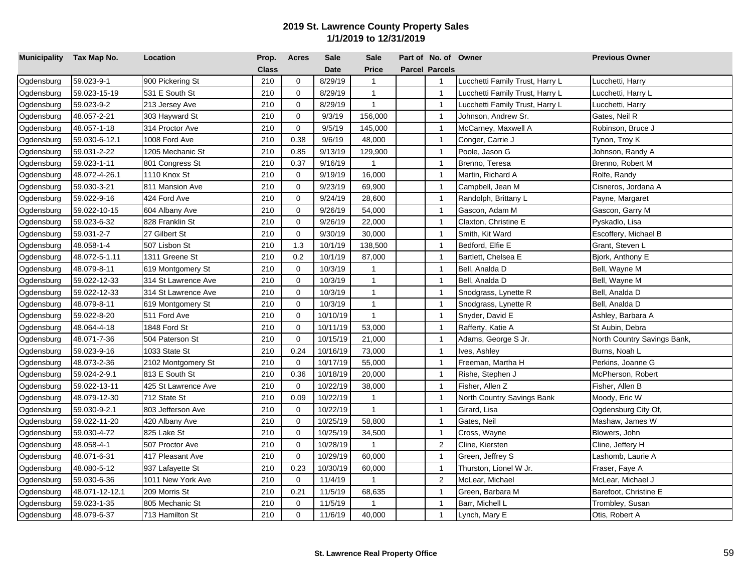| Municipality Tax Map No. |                | Location            | Prop.        | <b>Acres</b> | Sale        | <b>Sale</b>  | Part of No. of Owner  |                                 | <b>Previous Owner</b>       |
|--------------------------|----------------|---------------------|--------------|--------------|-------------|--------------|-----------------------|---------------------------------|-----------------------------|
|                          |                |                     | <b>Class</b> |              | <b>Date</b> | <b>Price</b> | <b>Parcel Parcels</b> |                                 |                             |
| Ogdensburg               | 59.023-9-1     | 900 Pickering St    | 210          | $\mathbf 0$  | 8/29/19     | $\mathbf{1}$ | $\overline{1}$        | Lucchetti Family Trust, Harry L | Lucchetti, Harry            |
| Ogdensburg               | 59.023-15-19   | 531 E South St      | 210          | $\mathbf 0$  | 8/29/19     | $\mathbf{1}$ | $\overline{1}$        | ucchetti Family Trust, Harry L  | _ucchetti, Harry L          |
| Ogdensburg               | 59.023-9-2     | 213 Jersey Ave      | 210          | $\mathbf 0$  | 8/29/19     | $\mathbf{1}$ | $\overline{1}$        | ucchetti Family Trust, Harry L  | _ucchetti, Harry            |
| Ogdensburg               | 48.057-2-21    | 303 Hayward St      | 210          | $\mathbf 0$  | 9/3/19      | 156,000      | $\overline{1}$        | Johnson, Andrew Sr.             | Gates, Neil R               |
| Ogdensburg               | 48.057-1-18    | 314 Proctor Ave     | 210          | $\mathbf 0$  | 9/5/19      | 145,000      | $\mathbf{1}$          | McCarney, Maxwell A             | Robinson, Bruce J           |
| Ogdensburg               | 59.030-6-12.1  | 1008 Ford Ave       | 210          | 0.38         | 9/6/19      | 48,000       | $\overline{1}$        | Conger, Carrie J                | Tynon, Troy K               |
| Ogdensburg               | 59.031-2-22    | 1205 Mechanic St    | 210          | 0.85         | 9/13/19     | 129,900      | $\overline{1}$        | Poole, Jason G                  | Johnson, Randy A            |
| Ogdensburg               | 59.023-1-11    | 801 Congress St     | 210          | 0.37         | 9/16/19     | $\mathbf{1}$ | $\overline{1}$        | Brenno, Teresa                  | Brenno, Robert M            |
| Ogdensburg               | 48.072-4-26.1  | 1110 Knox St        | 210          | $\mathbf 0$  | 9/19/19     | 16,000       | $\overline{1}$        | Martin, Richard A               | Rolfe, Randy                |
| Ogdensburg               | 59.030-3-21    | 811 Mansion Ave     | 210          | $\mathbf 0$  | 9/23/19     | 69,900       | $\mathbf{1}$          | Campbell, Jean M                | Cisneros, Jordana A         |
| Ogdensburg               | 59.022-9-16    | 424 Ford Ave        | 210          | $\mathbf 0$  | 9/24/19     | 28,600       | $\overline{1}$        | Randolph, Brittany L            | Payne, Margaret             |
| Ogdensburg               | 59.022-10-15   | 604 Albany Ave      | 210          | $\mathbf 0$  | 9/26/19     | 54,000       | $\mathbf{1}$          | Gascon, Adam M                  | Gascon, Garry M             |
| Ogdensburg               | 59.023-6-32    | 828 Franklin St     | 210          | $\mathbf 0$  | 9/26/19     | 22,000       | $\mathbf 1$           | Claxton, Christine E            | Pyskadlo, Lisa              |
| Ogdensburg               | 59.031-2-7     | 27 Gilbert St       | 210          | $\mathbf 0$  | 9/30/19     | 30,000       | $\overline{1}$        | Smith, Kit Ward                 | Escoffery, Michael B        |
| Ogdensburg               | 48.058-1-4     | 507 Lisbon St       | 210          | 1.3          | 10/1/19     | 138,500      | $\overline{1}$        | Bedford, Elfie E                | Grant, Steven L             |
| Ogdensburg               | 48.072-5-1.11  | 1311 Greene St      | 210          | 0.2          | 10/1/19     | 87,000       | $\overline{1}$        | Bartlett, Chelsea E             | Bjork, Anthony E            |
| Ogdensburg               | 48.079-8-11    | 619 Montgomery St   | 210          | $\Omega$     | 10/3/19     | $\mathbf{1}$ | $\overline{1}$        | Bell, Analda D                  | Bell, Wayne M               |
| Ogdensburg               | 59.022-12-33   | 314 St Lawrence Ave | 210          | $\Omega$     | 10/3/19     | $\mathbf{1}$ | $\overline{1}$        | Bell, Analda D                  | Bell, Wayne M               |
| Ogdensburg               | 59.022-12-33   | 314 St Lawrence Ave | 210          | $\mathbf 0$  | 10/3/19     | $\mathbf{1}$ | $\overline{1}$        | Snodgrass, Lynette R            | Bell, Analda D              |
| Ogdensburg               | 48.079-8-11    | 619 Montgomery St   | 210          | $\Omega$     | 10/3/19     | $\mathbf{1}$ | $\mathbf{1}$          | Snodgrass, Lynette R            | Bell, Analda D              |
| Ogdensburg               | 59.022-8-20    | 511 Ford Ave        | 210          | $\mathbf 0$  | 10/10/19    | $\mathbf{1}$ | $\overline{1}$        | Snyder, David E                 | Ashley, Barbara A           |
| Ogdensburg               | 48.064-4-18    | 1848 Ford St        | 210          | $\mathbf 0$  | 10/11/19    | 53,000       | $\overline{1}$        | Rafferty, Katie A               | St Aubin, Debra             |
| Ogdensburg               | 48.071-7-36    | 504 Paterson St     | 210          | $\mathbf 0$  | 10/15/19    | 21,000       | $\mathbf{1}$          | Adams, George S Jr.             | North Country Savings Bank, |
| Ogdensburg               | 59.023-9-16    | 1033 State St       | 210          | 0.24         | 10/16/19    | 73,000       | $\mathbf{1}$          | Ives, Ashley                    | Burns, Noah L               |
| Ogdensburg               | 48.073-2-36    | 2102 Montgomery St  | 210          | $\mathbf 0$  | 10/17/19    | 55,000       | $\overline{1}$        | Freeman, Martha H               | Perkins, Joanne G           |
| Ogdensburg               | 59.024-2-9.1   | 813 E South St      | 210          | 0.36         | 10/18/19    | 20,000       | $\overline{1}$        | Rishe, Stephen J                | McPherson, Robert           |
| Ogdensburg               | 59.022-13-11   | 425 St Lawrence Ave | 210          | $\mathbf 0$  | 10/22/19    | 38,000       | $\mathbf{1}$          | Fisher, Allen Z                 | Fisher, Allen B             |
| Ogdensburg               | 48.079-12-30   | 712 State St        | 210          | 0.09         | 10/22/19    | $\mathbf{1}$ | $\overline{1}$        | North Country Savings Bank      | Moody, Eric W               |
| Ogdensburg               | 59.030-9-2.1   | 803 Jefferson Ave   | 210          | $\mathbf 0$  | 10/22/19    | $\mathbf{1}$ | $\overline{1}$        | Girard, Lisa                    | Ogdensburg City Of,         |
| Ogdensburg               | 59.022-11-20   | 420 Albany Ave      | 210          | $\mathbf 0$  | 10/25/19    | 58,800       | $\overline{1}$        | Gates, Neil                     | Mashaw, James W             |
| Ogdensburg               | 59.030-4-72    | 825 Lake St         | 210          | $\mathbf 0$  | 10/25/19    | 34,500       | $\overline{1}$        | Cross, Wayne                    | Blowers, John               |
| Ogdensburg               | 48.058-4-1     | 507 Proctor Ave     | 210          | $\mathbf 0$  | 10/28/19    | $\mathbf{1}$ | $\overline{2}$        | Cline, Kiersten                 | Cline, Jeffery H            |
| Ogdensburg               | 48.071-6-31    | 417 Pleasant Ave    | 210          | $\mathbf 0$  | 10/29/19    | 60,000       | $\mathbf{1}$          | Green, Jeffrey S                | Lashomb, Laurie A           |
| Ogdensburg               | 48.080-5-12    | 937 Lafayette St    | 210          | 0.23         | 10/30/19    | 60,000       | $\overline{1}$        | Thurston, Lionel W Jr.          | Fraser, Faye A              |
| Ogdensburg               | 59.030-6-36    | 1011 New York Ave   | 210          | $\mathbf 0$  | 11/4/19     | $\mathbf{1}$ | 2                     | McLear, Michael                 | McLear, Michael J           |
| Ogdensburg               | 48.071-12-12.1 | 209 Morris St       | 210          | 0.21         | 11/5/19     | 68,635       | $\mathbf 1$           | Green, Barbara M                | Barefoot, Christine E       |
| Ogdensburg               | 59.023-1-35    | 805 Mechanic St     | 210          | 0            | 11/5/19     |              | $\overline{1}$        | Barr, Michell L                 | Trombley, Susan             |
| Ogdensburg               | 48.079-6-37    | 713 Hamilton St     | 210          | $\mathbf 0$  | 11/6/19     | 40,000       | $\mathbf{1}$          | Lynch, Mary E                   | Otis, Robert A              |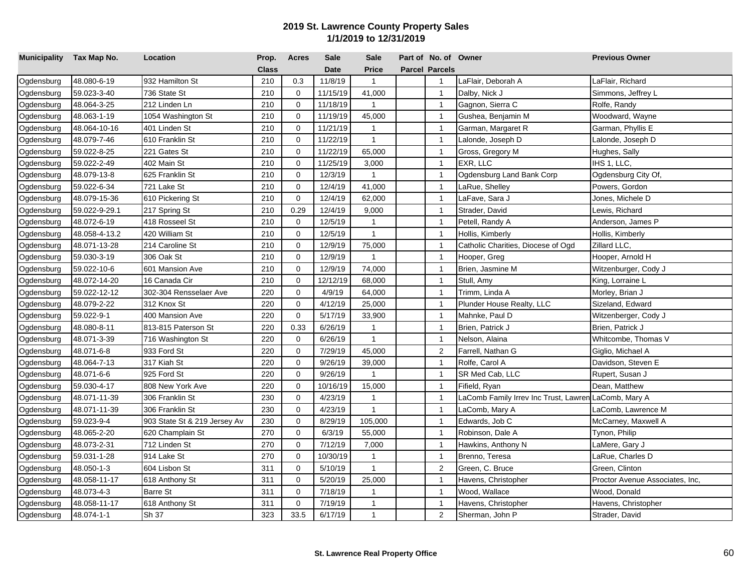| Municipality Tax Map No. |               | Location                     | Prop.        | <b>Acres</b> | Sale        | <b>Sale</b>  | Part of No. of Owner  |                                                      | <b>Previous Owner</b>           |
|--------------------------|---------------|------------------------------|--------------|--------------|-------------|--------------|-----------------------|------------------------------------------------------|---------------------------------|
|                          |               |                              | <b>Class</b> |              | <b>Date</b> | <b>Price</b> | <b>Parcel Parcels</b> |                                                      |                                 |
| Ogdensburg               | 48.080-6-19   | 932 Hamilton St              | 210          | 0.3          | 11/8/19     | $\mathbf{1}$ | $\mathbf 1$           | LaFlair, Deborah A                                   | LaFlair, Richard                |
| Ogdensburg               | 59.023-3-40   | 736 State St                 | 210          | $\mathbf 0$  | 11/15/19    | 41,000       | $\overline{1}$        | Dalby, Nick J                                        | Simmons, Jeffrey L              |
| Ogdensburg               | 48.064-3-25   | 212 Linden Ln                | 210          | $\mathbf 0$  | 11/18/19    | $\mathbf{1}$ | $\overline{1}$        | Gagnon, Sierra C                                     | Rolfe, Randy                    |
| Ogdensburg               | 48.063-1-19   | 1054 Washington St           | 210          | $\mathbf 0$  | 11/19/19    | 45,000       | $\overline{1}$        | Gushea, Benjamin M                                   | Woodward, Wayne                 |
| Ogdensburg               | 48.064-10-16  | 401 Linden St                | 210          | $\mathbf 0$  | 11/21/19    | $\mathbf{1}$ | $\overline{1}$        | Garman, Margaret R                                   | Garman, Phyllis E               |
| Ogdensburg               | 48.079-7-46   | 610 Franklin St              | 210          | $\mathbf 0$  | 11/22/19    | $\mathbf{1}$ | $\overline{1}$        | alonde, Joseph D                                     | Lalonde, Joseph D               |
| Ogdensburg               | 59.022-8-25   | 221 Gates St                 | 210          | $\mathbf 0$  | 11/22/19    | 65,000       | $\overline{1}$        | Gross, Gregory M                                     | Hughes, Sally                   |
| Ogdensburg               | 59.022-2-49   | 402 Main St                  | 210          | $\mathbf 0$  | 11/25/19    | 3,000        | $\mathbf{1}$          | EXR, LLC                                             | IHS 1, LLC,                     |
| Ogdensburg               | 48.079-13-8   | 625 Franklin St              | 210          | $\mathbf 0$  | 12/3/19     | $\mathbf{1}$ | $\overline{1}$        | Ogdensburg Land Bank Corp                            | Ogdensburg City Of,             |
| Ogdensburg               | 59.022-6-34   | 721 Lake St                  | 210          | $\mathbf 0$  | 12/4/19     | 41,000       | $\mathbf 1$           | aRue, Shelley                                        | Powers, Gordon                  |
| Ogdensburg               | 48.079-15-36  | 610 Pickering St             | 210          | $\mathbf 0$  | 12/4/19     | 62,000       | $\overline{1}$        | LaFave, Sara J                                       | Jones, Michele D                |
| Ogdensburg               | 59.022-9-29.1 | 217 Spring St                | 210          | 0.29         | 12/4/19     | 9,000        | $\overline{1}$        | Strader, David                                       | Lewis, Richard                  |
| Ogdensburg               | 48.072-6-19   | 418 Rosseel St               | 210          | $\mathbf 0$  | 12/5/19     | $\mathbf{1}$ | $\mathbf{1}$          | Petell, Randy A                                      | Anderson, James P               |
| Ogdensburg               | 48.058-4-13.2 | 420 William St               | 210          | $\mathbf 0$  | 12/5/19     | $\mathbf{1}$ | $\overline{1}$        | Hollis, Kimberly                                     | Hollis, Kimberly                |
| Ogdensburg               | 48.071-13-28  | 214 Caroline St              | 210          | $\mathbf 0$  | 12/9/19     | 75,000       | $\overline{1}$        | Catholic Charities, Diocese of Ogd                   | Zillard LLC,                    |
| Ogdensburg               | 59.030-3-19   | 306 Oak St                   | 210          | $\Omega$     | 12/9/19     | $\mathbf{1}$ | $\overline{1}$        | Hooper, Greg                                         | Hooper, Arnold H                |
| Ogdensburg               | 59.022-10-6   | 601 Mansion Ave              | 210          | $\Omega$     | 12/9/19     | 74,000       | $\overline{1}$        | Brien, Jasmine M                                     | Witzenburger, Cody J            |
| Ogdensburg               | 48.072-14-20  | 16 Canada Cir                | 210          | $\mathbf 0$  | 12/12/19    | 68,000       | $\overline{1}$        | Stull, Amy                                           | King, Lorraine L                |
| Ogdensburg               | 59.022-12-12  | 302-304 Rensselaer Ave       | 220          | $\mathbf 0$  | 4/9/19      | 64,000       | $\overline{1}$        | Trimm, Linda A                                       | Morley, Brian J                 |
| Ogdensburg               | 48.079-2-22   | 312 Knox St                  | 220          | $\Omega$     | 4/12/19     | 25,000       | $\mathbf{1}$          | Plunder House Realty, LLC                            | Sizeland, Edward                |
| Ogdensburg               | 59.022-9-1    | 400 Mansion Ave              | 220          | $\mathbf 0$  | 5/17/19     | 33,900       | $\mathbf{1}$          | Mahnke, Paul D                                       | Witzenberger, Cody J            |
| Ogdensburg               | 48.080-8-11   | 813-815 Paterson St          | 220          | 0.33         | 6/26/19     | $\mathbf{1}$ | $\overline{1}$        | Brien, Patrick J                                     | Brien, Patrick J                |
| Ogdensburg               | 48.071-3-39   | 716 Washington St            | 220          | $\mathbf 0$  | 6/26/19     | $\mathbf{1}$ | $\mathbf{1}$          | Nelson, Alaina                                       | Whitcombe, Thomas V             |
| Ogdensburg               | 48.071-6-8    | 933 Ford St                  | 220          | $\mathbf 0$  | 7/29/19     | 45,000       | 2                     | Farrell, Nathan G                                    | Giglio, Michael A               |
| Ogdensburg               | 48.064-7-13   | 317 Kiah St                  | 220          | $\mathbf 0$  | 9/26/19     | 39,000       | $\overline{1}$        | Rolfe, Carol A                                       | Davidson, Steven E              |
| Ogdensburg               | 48.071-6-6    | 925 Ford St                  | 220          | $\mathbf 0$  | 9/26/19     | $\mathbf{1}$ | $\overline{1}$        | SR Med Cab, LLC                                      | Rupert, Susan J                 |
| Ogdensburg               | 59.030-4-17   | 808 New York Ave             | 220          | $\mathbf 0$  | 10/16/19    | 15,000       | $\mathbf{1}$          | Fifield, Ryan                                        | Dean, Matthew                   |
| Ogdensburg               | 48.071-11-39  | 306 Franklin St              | 230          | $\mathbf 0$  | 4/23/19     | $\mathbf{1}$ | $\overline{1}$        | LaComb Family Irrev Inc Trust, Lawren LaComb, Mary A |                                 |
| Ogdensburg               | 48.071-11-39  | 306 Franklin St              | 230          | $\mathbf 0$  | 4/23/19     | $\mathbf{1}$ | $\overline{1}$        | _aComb, Mary A                                       | LaComb, Lawrence M              |
| Ogdensburg               | 59.023-9-4    | 903 State St & 219 Jersey Av | 230          | $\mathbf 0$  | 8/29/19     | 105,000      | $\overline{1}$        | Edwards, Job C                                       | McCarney, Maxwell A             |
| Ogdensburg               | 48.065-2-20   | 620 Champlain St             | 270          | $\mathbf 0$  | 6/3/19      | 55,000       | $\overline{1}$        | Robinson, Dale A                                     | Tynon, Philip                   |
| Ogdensburg               | 48.073-2-31   | 712 Linden St                | 270          | $\mathbf 0$  | 7/12/19     | 7,000        | $\mathbf{1}$          | Hawkins, Anthony N                                   | LaMere, Gary J                  |
| Ogdensburg               | 59.031-1-28   | 914 Lake St                  | 270          | $\mathbf 0$  | 10/30/19    | $\mathbf{1}$ | $\overline{1}$        | Brenno, Teresa                                       | LaRue, Charles D                |
| Ogdensburg               | 48.050-1-3    | 604 Lisbon St                | 311          | $\mathbf 0$  | 5/10/19     | $\mathbf{1}$ | 2                     | Green, C. Bruce                                      | Green, Clinton                  |
| Ogdensburg               | 48.058-11-17  | 618 Anthony St               | 311          | $\mathbf 0$  | 5/20/19     | 25,000       | $\mathbf{1}$          | Havens, Christopher                                  | Proctor Avenue Associates, Inc. |
| Ogdensburg               | 48.073-4-3    | Barre St                     | 311          | $\mathbf 0$  | 7/18/19     | $\mathbf{1}$ | $\mathbf{1}$          | Wood, Wallace                                        | Wood, Donald                    |
| Ogdensburg               | 48.058-11-17  | 618 Anthony St               | 311          | $\mathbf 0$  | 7/19/19     | $\mathbf{1}$ | $\overline{1}$        | Havens, Christopher                                  | Havens, Christopher             |
| Ogdensburg               | 48.074-1-1    | Sh 37                        | 323          | 33.5         | 6/17/19     | $\mathbf{1}$ | $\overline{2}$        | Sherman, John P                                      | Strader, David                  |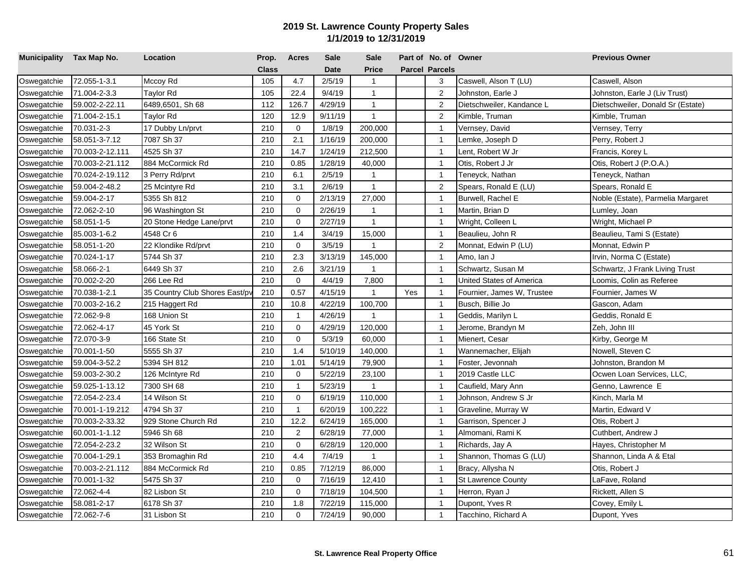| Municipality Tax Map No. |                 | Location                       | Prop.        | <b>Acres</b> | <b>Sale</b> | <b>Sale</b>    |     | Part of No. of Owner  |                            | <b>Previous Owner</b>             |
|--------------------------|-----------------|--------------------------------|--------------|--------------|-------------|----------------|-----|-----------------------|----------------------------|-----------------------------------|
|                          |                 |                                | <b>Class</b> |              | <b>Date</b> | <b>Price</b>   |     | <b>Parcel Parcels</b> |                            |                                   |
| Oswegatchie              | 72.055-1-3.1    | Mccoy Rd                       | 105          | 4.7          | 2/5/19      | $\mathbf{1}$   |     | 3                     | Caswell, Alson T (LU)      | Caswell, Alson                    |
| Oswegatchie              | 71.004-2-3.3    | <b>Taylor Rd</b>               | 105          | 22.4         | 9/4/19      | $\mathbf{1}$   |     | $\overline{2}$        | Johnston, Earle J          | Johnston, Earle J (Liv Trust)     |
| Oswegatchie              | 59.002-2-22.11  | 6489,6501, Sh 68               | 112          | 126.7        | 4/29/19     | $\mathbf{1}$   |     | $\overline{2}$        | Dietschweiler, Kandance L  | Dietschweiler, Donald Sr (Estate) |
| Oswegatchie              | 71.004-2-15.1   | Taylor Rd                      | 120          | 12.9         | 9/11/19     | $\mathbf{1}$   |     | 2                     | Kimble, Truman             | Kimble, Truman                    |
| Oswegatchie              | 70.031-2-3      | 17 Dubby Ln/prvt               | 210          | $\mathbf 0$  | 1/8/19      | 200,000        |     | $\overline{1}$        | Vernsey, David             | Vernsey, Terry                    |
| Oswegatchie              | 58.051-3-7.12   | 7087 Sh 37                     | 210          | 2.1          | 1/16/19     | 200,000        |     | $\mathbf{1}$          | emke, Joseph D             | Perry, Robert J                   |
| Oswegatchie              | 70.003-2-12.111 | 4525 Sh 37                     | 210          | 14.7         | 1/24/19     | 212,500        |     | $\overline{1}$        | Lent, Robert W Jr          | Francis, Korey L                  |
| Oswegatchie              | 70.003-2-21.112 | 884 McCormick Rd               | 210          | 0.85         | 1/28/19     | 40,000         |     | $\overline{1}$        | Otis, Robert J Jr          | Otis, Robert J (P.O.A.)           |
| Oswegatchie              | 70.024-2-19.112 | 3 Perry Rd/prvt                | 210          | 6.1          | 2/5/19      | $\mathbf{1}$   |     | $\mathbf{1}$          | Teneyck, Nathan            | Teneyck, Nathan                   |
| Oswegatchie              | 59.004-2-48.2   | 25 Mcintyre Rd                 | 210          | 3.1          | 2/6/19      | $\mathbf{1}$   |     | $\overline{2}$        | Spears, Ronald E (LU)      | Spears, Ronald E                  |
| Oswegatchie              | 59.004-2-17     | 5355 Sh 812                    | 210          | $\mathbf 0$  | 2/13/19     | 27,000         |     | $\mathbf{1}$          | Burwell, Rachel E          | Noble (Estate), Parmelia Margaret |
| Oswegatchie              | 72.062-2-10     | 96 Washington St               | 210          | $\Omega$     | 2/26/19     | $\overline{1}$ |     | $\overline{1}$        | Martin, Brian D            | Lumley, Joan                      |
| Oswegatchie              | 58.051-1-5      | 20 Stone Hedge Lane/prvt       | 210          | $\mathbf 0$  | 2/27/19     | $\mathbf{1}$   |     | $\mathbf{1}$          | Wright, Colleen L          | Wright, Michael P                 |
| Oswegatchie              | 85.003-1-6.2    | 4548 Cr 6                      | 210          | 1.4          | 3/4/19      | 15,000         |     | $\overline{1}$        | Beaulieu, John R           | Beaulieu, Tami S (Estate)         |
| Oswegatchie              | 58.051-1-20     | 22 Klondike Rd/prvt            | 210          | $\mathbf 0$  | 3/5/19      | $\overline{1}$ |     | $\sqrt{2}$            | Monnat, Edwin P (LU)       | Monnat, Edwin P                   |
| Oswegatchie              | 70.024-1-17     | 5744 Sh 37                     | 210          | 2.3          | 3/13/19     | 145,000        |     | $\overline{1}$        | Amo, lan J                 | Irvin, Norma C (Estate)           |
| Oswegatchie              | 58.066-2-1      | 6449 Sh 37                     | 210          | 2.6          | 3/21/19     | $\overline{1}$ |     | $\mathbf{1}$          | Schwartz, Susan M          | Schwartz, J Frank Living Trust    |
| Oswegatchie              | 70.002-2-20     | 266 Lee Rd                     | 210          | $\Omega$     | 4/4/19      | 7,800          |     | $\overline{1}$        | United States of America   | Loomis, Colin as Referee          |
| Oswegatchie              | 70.038-1-2.1    | 35 Country Club Shores East/py | 210          | 0.57         | 4/15/19     | $\mathbf{1}$   | Yes | $\mathbf{1}$          | Fournier, James W, Trustee | Fournier, James W                 |
| Oswegatchie              | 70.003-2-16.2   | 215 Haggert Rd                 | 210          | 10.8         | 4/22/19     | 100,700        |     | $\mathbf{1}$          | Busch, Billie Jo           | Gascon, Adam                      |
| Oswegatchie              | 72.062-9-8      | 168 Union St                   | 210          | $\mathbf{1}$ | 4/26/19     | $\overline{1}$ |     | $\mathbf{1}$          | Geddis, Marilyn L          | Geddis, Ronald E                  |
| Oswegatchie              | 72.062-4-17     | 45 York St                     | 210          | $\mathbf 0$  | 4/29/19     | 120,000        |     | $\overline{1}$        | Jerome, Brandyn M          | Zeh, John III                     |
| Oswegatchie              | 72.070-3-9      | 166 State St                   | 210          | 0            | 5/3/19      | 60,000         |     | $\overline{1}$        | Mienert, Cesar             | Kirby, George M                   |
| Oswegatchie              | 70.001-1-50     | 5555 Sh 37                     | 210          | 1.4          | 5/10/19     | 140,000        |     | $\mathbf{1}$          | Wannemacher, Elijah        | Nowell, Steven C                  |
| Oswegatchie              | 59.004-3-52.2   | 5394 SH 812                    | 210          | 1.01         | 5/14/19     | 79,900         |     | $\mathbf{1}$          | Foster, Jevonnah           | Johnston, Brandon M               |
| Oswegatchie              | 59.003-2-30.2   | 126 McIntyre Rd                | 210          | $\mathbf 0$  | 5/22/19     | 23,100         |     | $\overline{1}$        | 2019 Castle LLC            | Ocwen Loan Services, LLC,         |
| Oswegatchie              | 59.025-1-13.12  | 7300 SH 68                     | 210          | $\mathbf{1}$ | 5/23/19     | $\mathbf{1}$   |     | $\overline{1}$        | Caufield, Mary Ann         | Genno, Lawrence E                 |
| Oswegatchie              | 72.054-2-23.4   | 14 Wilson St                   | 210          | $\mathbf 0$  | 6/19/19     | 110,000        |     | $\mathbf{1}$          | Johnson, Andrew S Jr       | Kinch, Marla M                    |
| Oswegatchie              | 70.001-1-19.212 | 4794 Sh 37                     | 210          | $\mathbf{1}$ | 6/20/19     | 100,222        |     | $\mathbf{1}$          | Graveline, Murray W        | Martin, Edward V                  |
| Oswegatchie              | 70.003-2-33.32  | 929 Stone Church Rd            | 210          | 12.2         | 6/24/19     | 165,000        |     | $\overline{1}$        | Garrison, Spencer J        | Otis, Robert J                    |
| Oswegatchie              | 60.001-1-1.12   | 5946 Sh 68                     | 210          | 2            | 6/28/19     | 77,000         |     | $\overline{1}$        | Almomani, Rami K           | Cuthbert, Andrew J                |
| Oswegatchie              | 72.054-2-23.2   | 32 Wilson St                   | 210          | $\mathbf 0$  | 6/28/19     | 120,000        |     | $\overline{1}$        | Richards, Jay A            | Hayes, Christopher M              |
| Oswegatchie              | 70.004-1-29.1   | 353 Bromaghin Rd               | 210          | 4.4          | 7/4/19      | $\overline{1}$ |     | $\mathbf{1}$          | Shannon, Thomas G (LU)     | Shannon, Linda A & Etal           |
| Oswegatchie              | 70.003-2-21.112 | 884 McCormick Rd               | 210          | 0.85         | 7/12/19     | 86,000         |     | $\mathbf{1}$          | Bracy, Allysha N           | Otis, Robert J                    |
| Oswegatchie              | 70.001-1-32     | 5475 Sh 37                     | 210          | $\mathbf 0$  | 7/16/19     | 12,410         |     | $\mathbf{1}$          | <b>St Lawrence County</b>  | LaFave, Roland                    |
| Oswegatchie              | 72.062-4-4      | 82 Lisbon St                   | 210          | 0            | 7/18/19     | 104,500        |     | $\mathbf{1}$          | Herron, Ryan J             | Rickett, Allen S                  |
| Oswegatchie              | 58.081-2-17     | 6178 Sh 37                     | 210          | 1.8          | 7/22/19     | 115,000        |     | $\mathbf{1}$          | Dupont, Yves R             | Covey, Emily L                    |
| Oswegatchie              | 72.062-7-6      | 31 Lisbon St                   | 210          | $\mathbf 0$  | 7/24/19     | 90,000         |     | $\mathbf{1}$          | Tacchino, Richard A        | Dupont, Yves                      |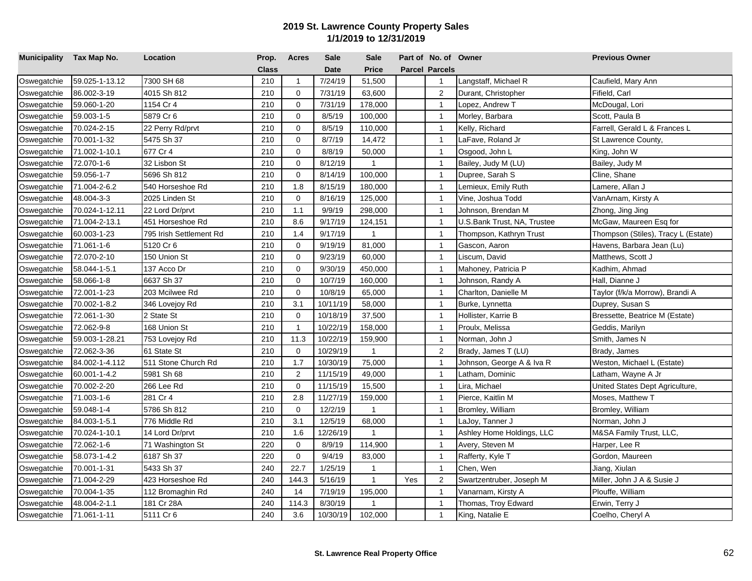| Municipality Tax Map No. |                | Location                | Prop.        | <b>Acres</b>   | <b>Sale</b> | <b>Sale</b>  |     | Part of No. of Owner  |                             | <b>Previous Owner</b>               |
|--------------------------|----------------|-------------------------|--------------|----------------|-------------|--------------|-----|-----------------------|-----------------------------|-------------------------------------|
|                          |                |                         | <b>Class</b> |                | <b>Date</b> | <b>Price</b> |     | <b>Parcel Parcels</b> |                             |                                     |
| Oswegatchie              | 59.025-1-13.12 | 7300 SH 68              | 210          | $\mathbf{1}$   | 7/24/19     | 51,500       |     | $\mathbf{1}$          | Langstaff, Michael R        | Caufield, Mary Ann                  |
| Oswegatchie              | 86.002-3-19    | 4015 Sh 812             | 210          | $\mathbf 0$    | 7/31/19     | 63,600       |     | 2                     | Durant, Christopher         | Fifield, Carl                       |
| Oswegatchie              | 59.060-1-20    | 1154 Cr 4               | 210          | 0              | 7/31/19     | 178,000      |     | $\overline{1}$        | _opez, Andrew T             | McDougal, Lori                      |
| Oswegatchie              | 59.003-1-5     | 5879 Cr 6               | 210          | $\Omega$       | 8/5/19      | 100,000      |     | $\overline{1}$        | Morley, Barbara             | Scott, Paula B                      |
| Oswegatchie              | 70.024-2-15    | 22 Perry Rd/prvt        | 210          | $\Omega$       | 8/5/19      | 110,000      |     | $\overline{1}$        | Kelly, Richard              | Farrell, Gerald L & Frances L       |
| Oswegatchie              | 70.001-1-32    | 5475 Sh 37              | 210          | $\Omega$       | 8/7/19      | 14,472       |     | $\overline{1}$        | LaFave, Roland Jr           | St Lawrence County,                 |
| Oswegatchie              | 71.002-1-10.1  | 677 Cr 4                | 210          | $\Omega$       | 8/8/19      | 50,000       |     | $\overline{1}$        | Osgood, John L              | King, John W                        |
| Oswegatchie              | 72.070-1-6     | 32 Lisbon St            | 210          | $\Omega$       | 8/12/19     | $\mathbf{1}$ |     | $\overline{1}$        | Bailey, Judy M (LU)         | Bailey, Judy M                      |
| Oswegatchie              | 59.056-1-7     | 5696 Sh 812             | 210          | $\mathbf 0$    | 8/14/19     | 100,000      |     | $\mathbf{1}$          | Dupree, Sarah S             | Cline, Shane                        |
| Oswegatchie              | 71.004-2-6.2   | 540 Horseshoe Rd        | 210          | 1.8            | 8/15/19     | 180,000      |     | $\overline{1}$        | emieux, Emily Ruth          | Lamere, Allan J                     |
| Oswegatchie              | 48.004-3-3     | 2025 Linden St          | 210          | $\mathbf 0$    | 8/16/19     | 125,000      |     | $\overline{1}$        | √ine, Joshua Todd           | VanArnam, Kirsty A                  |
| Oswegatchie              | 70.024-1-12.11 | 22 Lord Dr/prvt         | 210          | 1.1            | 9/9/19      | 298,000      |     | $\mathbf{1}$          | Johnson, Brendan M          | Zhong, Jing Jing                    |
| Oswegatchie              | 71.004-2-13.1  | 451 Horseshoe Rd        | 210          | 8.6            | 9/17/19     | 124,151      |     | $\mathbf{1}$          | U.S.Bank Trust, NA, Trustee | McGaw, Maureen Esq for              |
| Oswegatchie              | 60.003-1-23    | 795 Irish Settlement Rd | 210          | 1.4            | 9/17/19     | $\mathbf{1}$ |     | $\overline{1}$        | Thompson, Kathryn Trust     | Thompson (Stiles), Tracy L (Estate) |
| Oswegatchie              | 71.061-1-6     | 5120 Cr 6               | 210          | $\mathbf 0$    | 9/19/19     | 81,000       |     | $\overline{1}$        | Gascon, Aaron               | Havens, Barbara Jean (Lu)           |
| Oswegatchie              | 72.070-2-10    | 150 Union St            | 210          | $\Omega$       | 9/23/19     | 60,000       |     | $\overline{1}$        | Liscum, David               | Matthews, Scott J                   |
| Oswegatchie              | 58.044-1-5.1   | 137 Acco Dr             | 210          | $\Omega$       | 9/30/19     | 450,000      |     | $\overline{1}$        | Mahoney, Patricia P         | Kadhim, Ahmad                       |
| Oswegatchie              | 58.066-1-8     | 6637 Sh 37              | 210          | $\Omega$       | 10/7/19     | 160,000      |     | $\overline{1}$        | Johnson, Randy A            | Hall, Dianne J                      |
| Oswegatchie              | 72.001-1-23    | 203 Mcilwee Rd          | 210          | $\Omega$       | 10/8/19     | 65,000       |     | $\overline{1}$        | Charlton, Danielle M        | Taylor (f/k/a Morrow), Brandi A     |
| Oswegatchie              | 70.002-1-8.2   | 346 Lovejoy Rd          | 210          | 3.1            | 10/11/19    | 58,000       |     | $\overline{1}$        | Burke, Lynnetta             | Duprey, Susan S                     |
| Oswegatchie              | 72.061-1-30    | 2 State St              | 210          | $\mathbf 0$    | 10/18/19    | 37,500       |     | $\overline{1}$        | Hollister, Karrie B         | Bressette, Beatrice M (Estate)      |
| Oswegatchie              | 72.062-9-8     | 168 Union St            | 210          | $\mathbf{1}$   | 10/22/19    | 158,000      |     | $\overline{1}$        | Proulx, Melissa             | Geddis, Marilyn                     |
| Oswegatchie              | 59.003-1-28.21 | 753 Lovejoy Rd          | 210          | 11.3           | 10/22/19    | 159,900      |     | $\overline{1}$        | Norman, John J              | Smith, James N                      |
| Oswegatchie              | 72.062-3-36    | 61 State St             | 210          | $\mathbf 0$    | 10/29/19    | $\mathbf{1}$ |     | $\overline{2}$        | Brady, James T (LU)         | Brady, James                        |
| Oswegatchie              | 84.002-1-4.112 | 511 Stone Church Rd     | 210          | 1.7            | 10/30/19    | 75,000       |     | $\overline{1}$        | Johnson, George A & Iva R   | Weston, Michael L (Estate)          |
| Oswegatchie              | 60.001-1-4.2   | 5981 Sh 68              | 210          | $\overline{2}$ | 11/15/19    | 49,000       |     | $\mathbf{1}$          | Latham, Dominic             | Latham, Wayne A Jr                  |
| Oswegatchie              | 70.002-2-20    | 266 Lee Rd              | 210          | $\mathbf 0$    | 11/15/19    | 15,500       |     | $\overline{1}$        | Lira, Michael               | United States Dept Agriculture,     |
| Oswegatchie              | 71.003-1-6     | 281 Cr 4                | 210          | 2.8            | 11/27/19    | 159,000      |     | $\mathbf{1}$          | Pierce, Kaitlin M           | Moses, Matthew T                    |
| Oswegatchie              | 59.048-1-4     | 5786 Sh 812             | 210          | $\Omega$       | 12/2/19     | $\mathbf{1}$ |     | $\overline{1}$        | Bromley, William            | Bromley, William                    |
| Oswegatchie              | 84.003-1-5.1   | 776 Middle Rd           | 210          | 3.1            | 12/5/19     | 68,000       |     | $\overline{1}$        | LaJoy, Tanner J             | Norman, John J                      |
| Oswegatchie              | 70.024-1-10.1  | 14 Lord Dr/prvt         | 210          | 1.6            | 12/26/19    | $\mathbf{1}$ |     | $\overline{1}$        | Ashley Home Holdings, LLC   | M&SA Family Trust, LLC,             |
| Oswegatchie              | 72.062-1-6     | 71 Washington St        | 220          | $\mathbf 0$    | 8/9/19      | 114,900      |     | $\overline{1}$        | Avery, Steven M             | Harper, Lee R                       |
| Oswegatchie              | 58.073-1-4.2   | 6187 Sh 37              | 220          | $\mathbf 0$    | 9/4/19      | 83,000       |     | $\overline{1}$        | Rafferty, Kyle T            | Gordon, Maureen                     |
| Oswegatchie              | 70.001-1-31    | 5433 Sh 37              | 240          | 22.7           | 1/25/19     | $\mathbf{1}$ |     | $\mathbf{1}$          | Chen, Wen                   | Jiang, Xiulan                       |
| Oswegatchie              | 71.004-2-29    | 423 Horseshoe Rd        | 240          | 144.3          | 5/16/19     | $\mathbf{1}$ | Yes | $\overline{2}$        | Swartzentruber, Joseph M    | Miller, John J A & Susie J          |
| Oswegatchie              | 70.004-1-35    | 112 Bromaghin Rd        | 240          | 14             | 7/19/19     | 195,000      |     | $\overline{1}$        | Vanarnam, Kirsty A          | Plouffe, William                    |
| Oswegatchie              | 48.004-2-1.1   | 181 Cr 28A              | 240          | 114.3          | 8/30/19     | 1            |     | $\mathbf{1}$          | Thomas, Troy Edward         | Erwin, Terry J                      |
| Oswegatchie              | 71.061-1-11    | 5111 Cr 6               | 240          | 3.6            | 10/30/19    | 102,000      |     | $\mathbf{1}$          | King, Natalie E             | Coelho, Cheryl A                    |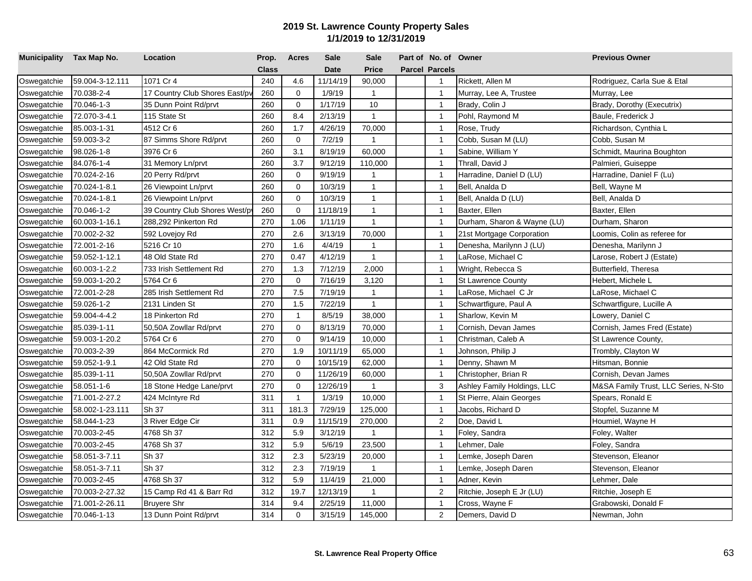| Municipality Tax Map No. |                 | Location                      | Prop.        | <b>Acres</b>   | <b>Sale</b> | <b>Sale</b>    | Part of No. of Owner  |                             | <b>Previous Owner</b>                |
|--------------------------|-----------------|-------------------------------|--------------|----------------|-------------|----------------|-----------------------|-----------------------------|--------------------------------------|
|                          |                 |                               | <b>Class</b> |                | <b>Date</b> | <b>Price</b>   | <b>Parcel Parcels</b> |                             |                                      |
| Oswegatchie              | 59.004-3-12.111 | 1071 Cr 4                     | 240          | 4.6            | 11/14/19    | 90,000         | $\mathbf{1}$          | Rickett, Allen M            | Rodriguez, Carla Sue & Etal          |
| Oswegatchie              | 70.038-2-4      | 17 Country Club Shores East/p | 260          | $\mathbf 0$    | 1/9/19      | $\mathbf{1}$   | $\mathbf{1}$          | Murray, Lee A, Trustee      | Murray, Lee                          |
| Oswegatchie              | 70.046-1-3      | 35 Dunn Point Rd/prvt         | 260          | $\mathbf 0$    | 1/17/19     | 10             | $\overline{1}$        | Brady, Colin J              | Brady, Dorothy (Executrix)           |
| Oswegatchie              | 72.070-3-4.1    | 115 State St                  | 260          | 8.4            | 2/13/19     | $\mathbf{1}$   | $\overline{1}$        | Pohl, Raymond M             | Baule, Frederick J                   |
| Oswegatchie              | 85.003-1-31     | 4512 Cr 6                     | 260          | 1.7            | 4/26/19     | 70,000         | $\mathbf{1}$          | Rose, Trudy                 | Richardson, Cynthia L                |
| Oswegatchie              | 59.003-3-2      | 87 Simms Shore Rd/prvt        | 260          | $\mathbf 0$    | 7/2/19      | $\overline{1}$ | $\mathbf{1}$          | Cobb, Susan M (LU)          | Cobb, Susan M                        |
| Oswegatchie              | 98.026-1-8      | 3976 Cr 6                     | 260          | 3.1            | 8/19/19     | 60,000         | $\overline{1}$        | Sabine, William Y           | Schmidt, Maurina Boughton            |
| Oswegatchie              | 84.076-1-4      | 31 Memory Ln/prvt             | 260          | 3.7            | 9/12/19     | 110,000        | $\overline{1}$        | Thrall, David J             | Palmieri, Guiseppe                   |
| Oswegatchie              | 70.024-2-16     | 20 Perry Rd/prvt              | 260          | $\mathbf 0$    | 9/19/19     | $\mathbf{1}$   | $\mathbf{1}$          | Harradine, Daniel D (LU)    | Harradine, Daniel F (Lu)             |
| Oswegatchie              | 70.024-1-8.1    | 26 Viewpoint Ln/prvt          | 260          | $\mathbf 0$    | 10/3/19     | $\mathbf{1}$   | $\mathbf{1}$          | Bell, Analda D              | Bell, Wayne M                        |
| Oswegatchie              | 70.024-1-8.1    | 26 Viewpoint Ln/prvt          | 260          | $\mathbf 0$    | 10/3/19     | $\mathbf{1}$   | $\overline{1}$        | Bell, Analda D (LU)         | Bell, Analda D                       |
| Oswegatchie              | 70.046-1-2      | 39 Country Club Shores West/p | 260          | $\mathbf 0$    | 11/18/19    | $\mathbf{1}$   | $\mathbf{1}$          | Baxter, Ellen               | Baxter, Ellen                        |
| Oswegatchie              | 60.003-1-16.1   | 288,292 Pinkerton Rd          | 270          | 1.06           | 1/11/19     | $\mathbf{1}$   | $\mathbf{1}$          | Durham, Sharon & Wayne (LU) | Durham, Sharon                       |
| Oswegatchie              | 70.002-2-32     | 592 Lovejoy Rd                | 270          | 2.6            | 3/13/19     | 70,000         | $\overline{1}$        | 21st Mortgage Corporation   | Loomis, Colin as referee for         |
| Oswegatchie              | 72.001-2-16     | 5216 Cr 10                    | 270          | 1.6            | 4/4/19      | $\mathbf{1}$   | $\mathbf{1}$          | Denesha, Marilynn J (LU)    | Denesha, Marilynn J                  |
| Oswegatchie              | 59.052-1-12.1   | 48 Old State Rd               | 270          | 0.47           | 4/12/19     | $\mathbf{1}$   | $\overline{1}$        | LaRose, Michael C           | Larose, Robert J (Estate)            |
| Oswegatchie              | 60.003-1-2.2    | 733 Irish Settlement Rd       | 270          | 1.3            | 7/12/19     | 2,000          | $\mathbf{1}$          | Wright, Rebecca S           | Butterfield, Theresa                 |
| Oswegatchie              | 59.003-1-20.2   | 5764 Cr 6                     | 270          | $\mathbf 0$    | 7/16/19     | 3,120          | $\mathbf{1}$          | <b>St Lawrence County</b>   | Hebert, Michele L                    |
| Oswegatchie              | 72.001-2-28     | 285 Irish Settlement Rd       | 270          | 7.5            | 7/19/19     | $\mathbf{1}$   | $\mathbf{1}$          | LaRose, Michael C Jr        | LaRose, Michael C                    |
| Oswegatchie              | 59.026-1-2      | 2131 Linden St                | 270          | 1.5            | 7/22/19     | $\mathbf{1}$   | $\mathbf{1}$          | Schwartfigure, Paul A       | Schwartfigure, Lucille A             |
| Oswegatchie              | 59.004-4-4.2    | 18 Pinkerton Rd               | 270          | $\overline{1}$ | 8/5/19      | 38,000         | $\mathbf{1}$          | Sharlow, Kevin M            | Lowery, Daniel C                     |
| Oswegatchie              | 85.039-1-11     | 50,50A Zowllar Rd/prvt        | 270          | 0              | 8/13/19     | 70,000         | $\overline{1}$        | Cornish, Devan James        | Cornish, James Fred (Estate)         |
| Oswegatchie              | 59.003-1-20.2   | 5764 Cr 6                     | 270          | $\mathbf 0$    | 9/14/19     | 10,000         | $\overline{1}$        | Christman, Caleb A          | St Lawrence County,                  |
| Oswegatchie              | 70.003-2-39     | 864 McCormick Rd              | 270          | 1.9            | 10/11/19    | 65,000         | $\mathbf{1}$          | Johnson, Philip J           | Trombly, Clayton W                   |
| Oswegatchie              | 59.052-1-9.1    | 42 Old State Rd               | 270          | $\mathbf 0$    | 10/15/19    | 62,000         | $\mathbf{1}$          | Denny, Shawn M              | Hitsman, Bonnie                      |
| Oswegatchie              | 85.039-1-11     | 50,50A Zowllar Rd/prvt        | 270          | $\mathbf 0$    | 11/26/19    | 60,000         | $\overline{1}$        | Christopher, Brian R        | Cornish, Devan James                 |
| Oswegatchie              | 58.051-1-6      | 18 Stone Hedge Lane/prvt      | 270          | $\mathbf 0$    | 12/26/19    | $\mathbf{1}$   | 3                     | Ashley Family Holdings, LLC | M&SA Family Trust, LLC Series, N-Sto |
| Oswegatchie              | 71.001-2-27.2   | 424 McIntyre Rd               | 311          | $\mathbf{1}$   | 1/3/19      | 10,000         | $\mathbf{1}$          | St Pierre, Alain Georges    | Spears, Ronald E                     |
| Oswegatchie              | 58.002-1-23.111 | Sh 37                         | 311          | 181.3          | 7/29/19     | 125,000        | $\mathbf{1}$          | Jacobs, Richard D           | Stopfel, Suzanne M                   |
| Oswegatchie              | 58.044-1-23     | 3 River Edge Cir              | 311          | 0.9            | 11/15/19    | 270,000        | $\overline{2}$        | Doe, David L                | Houmiel, Wayne H                     |
| Oswegatchie              | 70.003-2-45     | 4768 Sh 37                    | 312          | 5.9            | 3/12/19     | $\overline{1}$ | $\overline{1}$        | Foley, Sandra               | Foley, Walter                        |
| Oswegatchie              | 70.003-2-45     | 4768 Sh 37                    | 312          | 5.9            | 5/6/19      | 23,500         | $\mathbf{1}$          | Lehmer, Dale                | Foley, Sandra                        |
| Oswegatchie              | 58.051-3-7.11   | Sh 37                         | 312          | 2.3            | 5/23/19     | 20,000         | $\mathbf{1}$          | Lemke, Joseph Daren         | Stevenson, Eleanor                   |
| Oswegatchie              | 58.051-3-7.11   | Sh 37                         | 312          | 2.3            | 7/19/19     | $\overline{1}$ | $\mathbf{1}$          | emke, Joseph Daren          | Stevenson, Eleanor                   |
| Oswegatchie              | 70.003-2-45     | 4768 Sh 37                    | 312          | 5.9            | 11/4/19     | 21,000         | $\mathbf{1}$          | Adner, Kevin                | Lehmer, Dale                         |
| Oswegatchie              | 70.003-2-27.32  | 15 Camp Rd 41 & Barr Rd       | 312          | 19.7           | 12/13/19    | $\overline{1}$ | $\overline{2}$        | Ritchie, Joseph E Jr (LU)   | Ritchie, Joseph E                    |
| Oswegatchie              | 71.001-2-26.11  | <b>Bruyere Shr</b>            | 314          | 9.4            | 2/25/19     | 11,000         | $\mathbf{1}$          | Cross, Wayne F              | Grabowski, Donald F                  |
| Oswegatchie              | 70.046-1-13     | 13 Dunn Point Rd/prvt         | 314          | $\mathbf 0$    | 3/15/19     | 145,000        | 2                     | Demers, David D             | Newman, John                         |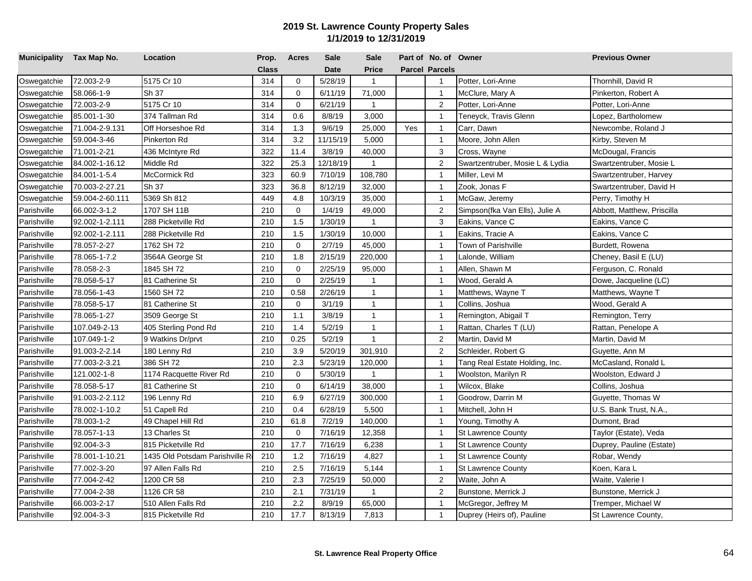| Municipality Tax Map No. |                 | Location                       | Prop. | <b>Acres</b> | <b>Sale</b> | <b>Sale</b>  |     | Part of No. of Owner  |                                 | <b>Previous Owner</b>      |
|--------------------------|-----------------|--------------------------------|-------|--------------|-------------|--------------|-----|-----------------------|---------------------------------|----------------------------|
|                          |                 |                                | Class |              | <b>Date</b> | <b>Price</b> |     | <b>Parcel Parcels</b> |                                 |                            |
| Oswegatchie              | 72.003-2-9      | 5175 Cr 10                     | 314   | $\mathbf 0$  | 5/28/19     | $\mathbf{1}$ |     | $\overline{1}$        | Potter, Lori-Anne               | Thornhill, David R         |
| Oswegatchie              | 58.066-1-9      | Sh 37                          | 314   | $\mathbf 0$  | 6/11/19     | 71,000       |     | $\overline{1}$        | McClure, Mary A                 | Pinkerton, Robert A        |
| Oswegatchie              | 72.003-2-9      | 5175 Cr 10                     | 314   | $\mathbf 0$  | 6/21/19     | $\mathbf{1}$ |     | 2                     | Potter, Lori-Anne               | Potter, Lori-Anne          |
| Oswegatchie              | 85.001-1-30     | 374 Tallman Rd                 | 314   | 0.6          | 8/8/19      | 3,000        |     | $\overline{1}$        | Teneyck, Travis Glenn           | Lopez, Bartholomew         |
| Oswegatchie              | 71.004-2-9.131  | Off Horseshoe Rd               | 314   | 1.3          | 9/6/19      | 25,000       | Yes | $\mathbf{1}$          | Carr, Dawn                      | Newcombe, Roland J         |
| Oswegatchie              | 59.004-3-46     | Pinkerton Rd                   | 314   | 3.2          | 11/15/19    | 5,000        |     | $\overline{1}$        | Moore, John Allen               | Kirby, Steven M            |
| Oswegatchie              | 71.001-2-21     | 436 McIntyre Rd                | 322   | 11.4         | 3/8/19      | 40,000       |     | 3                     | Cross, Wayne                    | McDougal, Francis          |
| Oswegatchie              | 84.002-1-16.12  | Middle Rd                      | 322   | 25.3         | 12/18/19    | $\mathbf{1}$ |     | 2                     | Swartzentruber, Mosie L & Lydia | Swartzentruber, Mosie L    |
| Oswegatchie              | 84.001-1-5.4    | McCormick Rd                   | 323   | 60.9         | 7/10/19     | 108,780      |     | $\mathbf{1}$          | Miller, Levi M                  | Swartzentruber, Harvey     |
| Oswegatchie              | 70.003-2-27.21  | Sh 37                          | 323   | 36.8         | 8/12/19     | 32,000       |     | $\overline{1}$        | Zook, Jonas F                   | Swartzentruber, David H    |
| Oswegatchie              | 59.004-2-60.111 | 5369 Sh 812                    | 449   | 4.8          | 10/3/19     | 35,000       |     | $\overline{1}$        | McGaw, Jeremy                   | Perry, Timothy H           |
| Parishville              | 66.002-3-1.2    | 1707 SH 11B                    | 210   | $\mathbf 0$  | 1/4/19      | 49,000       |     | $\overline{2}$        | Simpson(fka Van Ells), Julie A  | Abbott, Matthew, Priscilla |
| Parishville              | 92.002-1-2.111  | 288 Picketville Rd             | 210   | 1.5          | 1/30/19     | $\mathbf{1}$ |     | 3                     | Eakins, Vance C                 | Eakins, Vance C            |
| Parishville              | 92.002-1-2.111  | 288 Picketville Rd             | 210   | 1.5          | 1/30/19     | 10,000       |     | $\overline{1}$        | Eakins, Tracie A                | Eakins, Vance C            |
| Parishville              | 78.057-2-27     | 1762 SH 72                     | 210   | $\mathbf 0$  | 2/7/19      | 45,000       |     | $\overline{1}$        | Town of Parishville             | Burdett, Rowena            |
| Parishville              | 78.065-1-7.2    | 3564A George St                | 210   | 1.8          | 2/15/19     | 220,000      |     | $\overline{1}$        | Lalonde, William                | Cheney, Basil E (LU)       |
| Parishville              | 78.058-2-3      | 1845 SH 72                     | 210   | $\Omega$     | 2/25/19     | 95,000       |     | $\mathbf{1}$          | Allen, Shawn M                  | Ferguson, C. Ronald        |
| Parishville              | 78.058-5-17     | 81 Catherine St                | 210   | $\Omega$     | 2/25/19     | $\mathbf{1}$ |     | $\overline{1}$        | Wood, Gerald A                  | Dowe, Jacqueline (LC)      |
| Parishville              | 78.056-1-43     | 1560 SH 72                     | 210   | 0.58         | 2/26/19     | $\mathbf{1}$ |     | $\overline{1}$        | Matthews, Wayne T               | Matthews, Wayne T          |
| Parishville              | 78.058-5-17     | 81 Catherine St                | 210   | $\mathbf 0$  | 3/1/19      | $\mathbf{1}$ |     | $\mathbf{1}$          | Collins, Joshua                 | Wood, Gerald A             |
| Parishville              | 78.065-1-27     | 3509 George St                 | 210   | 1.1          | 3/8/19      | $\mathbf{1}$ |     | $\overline{1}$        | Remington, Abigail T            | Remington, Terry           |
| Parishville              | 107.049-2-13    | 405 Sterling Pond Rd           | 210   | 1.4          | 5/2/19      | $\mathbf{1}$ |     | $\overline{1}$        | Rattan, Charles T (LU)          | Rattan, Penelope A         |
| Parishville              | 107.049-1-2     | 9 Watkins Dr/prvt              | 210   | 0.25         | 5/2/19      | $\mathbf{1}$ |     | 2                     | Martin, David M                 | Martin, David M            |
| Parishville              | 91.003-2-2.14   | 180 Lenny Rd                   | 210   | 3.9          | 5/20/19     | 301,910      |     | $\overline{2}$        | Schleider, Robert G             | Guyette, Ann M             |
| Parishville              | 77.003-2-3.21   | 386 SH 72                      | 210   | 2.3          | 5/23/19     | 120,000      |     | $\overline{1}$        | Tang Real Estate Holding, Inc.  | McCasland, Ronald L        |
| Parishville              | 121.002-1-8     | 1174 Racquette River Rd        | 210   | $\mathbf 0$  | 5/30/19     | $\mathbf{1}$ |     | $\overline{1}$        | Woolston, Marilyn R             | Woolston, Edward J         |
| Parishville              | 78.058-5-17     | 81 Catherine St                | 210   | $\mathbf 0$  | 6/14/19     | 38,000       |     | $\overline{1}$        | Wilcox, Blake                   | Collins, Joshua            |
| Parishville              | 91.003-2-2.112  | 196 Lenny Rd                   | 210   | 6.9          | 6/27/19     | 300,000      |     | $\mathbf{1}$          | Goodrow, Darrin M               | Guyette, Thomas W          |
| Parishville              | 78.002-1-10.2   | 51 Capell Rd                   | 210   | 0.4          | 6/28/19     | 5,500        |     | $\overline{1}$        | Mitchell, John H                | U.S. Bank Trust, N.A.,     |
| Parishville              | 78.003-1-2      | 49 Chapel Hill Rd              | 210   | 61.8         | 7/2/19      | 140,000      |     | $\overline{1}$        | Young, Timothy A                | Dumont, Brad               |
| Parishville              | 78.057-1-13     | 13 Charles St                  | 210   | $\mathbf 0$  | 7/16/19     | 12,358       |     | $\overline{1}$        | <b>St Lawrence County</b>       | Taylor (Estate), Veda      |
| Parishville              | 92.004-3-3      | 815 Picketville Rd             | 210   | 17.7         | 7/16/19     | 6,238        |     | $\overline{1}$        | <b>St Lawrence County</b>       | Duprey, Pauline (Estate)   |
| Parishville              | 78.001-1-10.21  | 1435 Old Potsdam Parishville R | 210   | 1.2          | 7/16/19     | 4,827        |     | $\overline{1}$        | <b>St Lawrence County</b>       | Robar, Wendy               |
| Parishville              | 77.002-3-20     | 97 Allen Falls Rd              | 210   | 2.5          | 7/16/19     | 5,144        |     | $\mathbf{1}$          | <b>St Lawrence County</b>       | Koen, Kara L               |
| Parishville              | 77.004-2-42     | 1200 CR 58                     | 210   | 2.3          | 7/25/19     | 50,000       |     | 2                     | Waite, John A                   | Waite, Valerie I           |
| Parishville              | 77.004-2-38     | 1126 CR 58                     | 210   | 2.1          | 7/31/19     | $\mathbf{1}$ |     | $\overline{2}$        | Bunstone, Merrick J             | Bunstone, Merrick J        |
| Parishville              | 66.003-2-17     | 510 Allen Falls Rd             | 210   | 2.2          | 8/9/19      | 65,000       |     | $\overline{1}$        | McGregor, Jeffrey M             | Tremper, Michael W         |
| Parishville              | 92.004-3-3      | 815 Picketville Rd             | 210   | 17.7         | 8/13/19     | 7,813        |     | $\mathbf{1}$          | Duprey (Heirs of), Pauline      | St Lawrence County,        |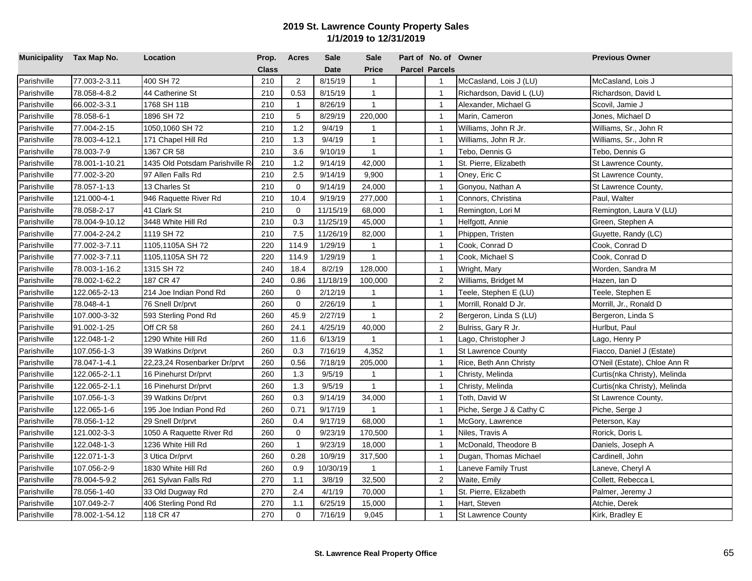| Municipality Tax Map No. |                | Location                       | Prop.        | <b>Acres</b>   | Sale        | <b>Sale</b>  | Part of No. of Owner  |                           | <b>Previous Owner</b>        |
|--------------------------|----------------|--------------------------------|--------------|----------------|-------------|--------------|-----------------------|---------------------------|------------------------------|
|                          |                |                                | <b>Class</b> |                | <b>Date</b> | <b>Price</b> | <b>Parcel Parcels</b> |                           |                              |
| Parishville              | 77.003-2-3.11  | 400 SH 72                      | 210          | 2              | 8/15/19     | $\mathbf{1}$ | $\mathbf{1}$          | McCasland, Lois J (LU)    | McCasland, Lois J            |
| Parishville              | 78.058-4-8.2   | 44 Catherine St                | 210          | 0.53           | 8/15/19     | $\mathbf{1}$ | $\overline{1}$        | Richardson, David L (LU)  | Richardson, David L          |
| Parishville              | 66.002-3-3.1   | 1768 SH 11B                    | 210          | $\overline{1}$ | 8/26/19     | $\mathbf{1}$ | $\overline{1}$        | Alexander, Michael G      | Scovil, Jamie J              |
| Parishville              | 78.058-6-1     | 1896 SH 72                     | 210          | 5              | 8/29/19     | 220,000      | $\overline{1}$        | Marin, Cameron            | Jones, Michael D             |
| Parishville              | 77.004-2-15    | 1050,1060 SH 72                | 210          | 1.2            | 9/4/19      | $\mathbf{1}$ | $\overline{1}$        | Williams, John R Jr.      | Williams, Sr., John R        |
| Parishville              | 78.003-4-12.1  | 171 Chapel Hill Rd             | 210          | 1.3            | 9/4/19      | $\mathbf{1}$ | $\overline{1}$        | Williams, John R Jr.      | Williams, Sr., John R        |
| Parishville              | 78.003-7-9     | 1367 CR 58                     | 210          | 3.6            | 9/10/19     | $\mathbf{1}$ | $\overline{1}$        | Tebo, Dennis G            | Tebo, Dennis G               |
| Parishville              | 78.001-1-10.21 | 1435 Old Potsdam Parishville R | 210          | 1.2            | 9/14/19     | 42,000       | $\overline{1}$        | St. Pierre, Elizabeth     | St Lawrence County,          |
| Parishville              | 77.002-3-20    | 97 Allen Falls Rd              | 210          | 2.5            | 9/14/19     | 9,900        | $\overline{1}$        | Oney, Eric C              | St Lawrence County,          |
| Parishville              | 78.057-1-13    | 13 Charles St                  | 210          | $\mathbf 0$    | 9/14/19     | 24,000       | $\overline{1}$        | Gonyou, Nathan A          | St Lawrence County,          |
| Parishville              | 121.000-4-1    | 946 Raquette River Rd          | 210          | 10.4           | 9/19/19     | 277,000      | $\overline{1}$        | Connors, Christina        | Paul, Walter                 |
| Parishville              | 78.058-2-17    | 41 Clark St                    | 210          | $\mathbf 0$    | 11/15/19    | 68,000       | $\overline{1}$        | Remington, Lori M         | Remington, Laura V (LU)      |
| Parishville              | 78.004-9-10.12 | 3448 White Hill Rd             | 210          | 0.3            | 11/25/19    | 45,000       | $\mathbf{1}$          | Helfgott, Annie           | Green, Stephen A             |
| Parishville              | 77.004-2-24.2  | 1119 SH 72                     | 210          | 7.5            | 11/26/19    | 82,000       | $\overline{1}$        | Phippen, Tristen          | Guyette, Randy (LC)          |
| Parishville              | 77.002-3-7.11  | 1105,1105A SH 72               | 220          | 114.9          | 1/29/19     | $\mathbf{1}$ | $\overline{1}$        | Cook, Conrad D            | Cook, Conrad D               |
| Parishville              | 77.002-3-7.11  | 1105,1105A SH 72               | 220          | 114.9          | 1/29/19     | $\mathbf{1}$ | $\overline{1}$        | Cook, Michael S           | Cook, Conrad D               |
| Parishville              | 78.003-1-16.2  | 1315 SH 72                     | 240          | 18.4           | 8/2/19      | 128,000      | $\overline{1}$        | Wright, Mary              | Worden, Sandra M             |
| Parishville              | 78.002-1-62.2  | 187 CR 47                      | 240          | 0.86           | 11/18/19    | 100,000      | $\overline{2}$        | Williams, Bridget M       | Hazen, Ian D                 |
| Parishville              | 122.065-2-13   | 214 Joe Indian Pond Rd         | 260          | $\Omega$       | 2/12/19     | 1            | $\overline{1}$        | Teele, Stephen E (LU)     | Teele, Stephen E             |
| Parishville              | 78.048-4-1     | 76 Snell Dr/prvt               | 260          | $\Omega$       | 2/26/19     | $\mathbf{1}$ | $\overline{1}$        | Morrill, Ronald D Jr.     | Morrill, Jr., Ronald D       |
| Parishville              | 107.000-3-32   | 593 Sterling Pond Rd           | 260          | 45.9           | 2/27/19     | $\mathbf{1}$ | $\sqrt{2}$            | Bergeron, Linda S (LU)    | Bergeron, Linda S            |
| Parishville              | 91.002-1-25    | Off CR 58                      | 260          | 24.1           | 4/25/19     | 40,000       | $\overline{2}$        | Bulriss, Gary R Jr.       | Hurlbut, Paul                |
| Parishville              | 122.048-1-2    | 1290 White Hill Rd             | 260          | 11.6           | 6/13/19     | $\mathbf{1}$ | $\overline{1}$        | Lago, Christopher J       | Lago, Henry P                |
| Parishville              | 107.056-1-3    | 39 Watkins Dr/prvt             | 260          | 0.3            | 7/16/19     | 4,352        | $\overline{1}$        | <b>St Lawrence County</b> | Fiacco, Daniel J (Estate)    |
| Parishville              | 78.047-1-4.1   | 22,23,24 Rosenbarker Dr/prvt   | 260          | 0.56           | 7/18/19     | 205,000      | $\overline{1}$        | Rice, Beth Ann Christy    | O'Neil (Estate), Chloe Ann R |
| Parishville              | 122.065-2-1.1  | 16 Pinehurst Dr/prvt           | 260          | 1.3            | 9/5/19      | $\mathbf{1}$ | $\overline{1}$        | Christy, Melinda          | Curtis(nka Christy), Melinda |
| Parishville              | 122.065-2-1.1  | 16 Pinehurst Dr/prvt           | 260          | 1.3            | 9/5/19      | $\mathbf{1}$ | $\overline{1}$        | Christy, Melinda          | Curtis(nka Christy), Melinda |
| Parishville              | 107.056-1-3    | 39 Watkins Dr/prvt             | 260          | 0.3            | 9/14/19     | 34,000       | $\overline{1}$        | Toth, David W             | St Lawrence County,          |
| Parishville              | 122.065-1-6    | 195 Joe Indian Pond Rd         | 260          | 0.71           | 9/17/19     | $\mathbf{1}$ | $\overline{1}$        | Piche, Serge J & Cathy C  | Piche, Serge J               |
| Parishville              | 78.056-1-12    | 29 Snell Dr/prvt               | 260          | 0.4            | 9/17/19     | 68,000       | $\overline{1}$        | McGory, Lawrence          | Peterson, Kay                |
| Parishville              | 121.002-3-3    | 1050 A Raquette River Rd       | 260          | 0              | 9/23/19     | 170,500      | $\overline{1}$        | Niles, Travis A           | Rorick, Doris L              |
| Parishville              | 122.048-1-3    | 1236 White Hill Rd             | 260          | $\overline{1}$ | 9/23/19     | 18,000       | $\overline{1}$        | McDonald, Theodore B      | Daniels, Joseph A            |
| Parishville              | 122.071-1-3    | 3 Utica Dr/prvt                | 260          | 0.28           | 10/9/19     | 317,500      | $\overline{1}$        | Dugan, Thomas Michael     | Cardinell, John              |
| Parishville              | 107.056-2-9    | 1830 White Hill Rd             | 260          | 0.9            | 10/30/19    | 1            | $\overline{1}$        | Laneve Family Trust       | Laneve, Cheryl A             |
| Parishville              | 78.004-5-9.2   | 261 Sylvan Falls Rd            | 270          | 1.1            | 3/8/19      | 32,500       | 2                     | Waite, Emily              | Collett, Rebecca L           |
| Parishville              | 78.056-1-40    | 33 Old Dugway Rd               | 270          | 2.4            | 4/1/19      | 70,000       | $\mathbf{1}$          | St. Pierre, Elizabeth     | Palmer, Jeremy J             |
| Parishville              | 107.049-2-7    | 406 Sterling Pond Rd           | 270          | 1.1            | 6/25/19     | 15,000       | $\mathbf{1}$          | Hart, Steven              | Atchie, Derek                |
| Parishville              | 78.002-1-54.12 | 118 CR 47                      | 270          | $\mathbf 0$    | 7/16/19     | 9,045        | $\mathbf{1}$          | <b>St Lawrence County</b> | Kirk, Bradley E              |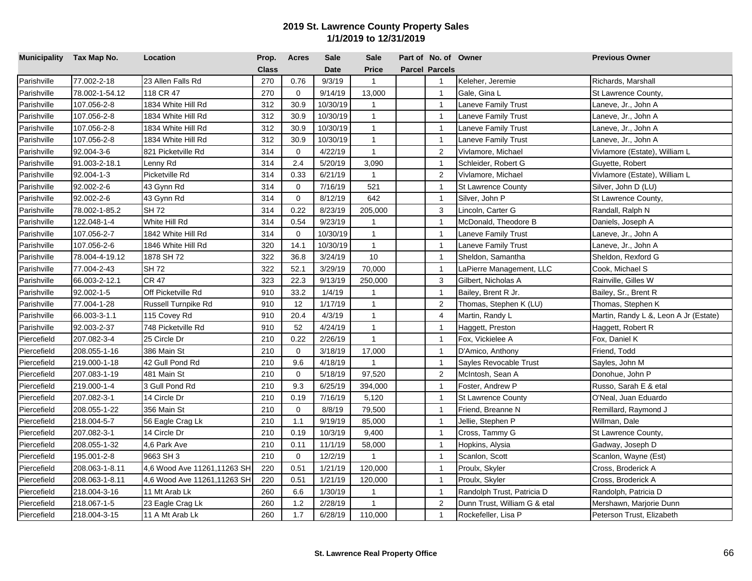| Municipality Tax Map No. |                | Location                    | Prop.        | <b>Acres</b> | Sale        | <b>Sale</b>    | Part of No. of Owner  |                              | <b>Previous Owner</b>                 |
|--------------------------|----------------|-----------------------------|--------------|--------------|-------------|----------------|-----------------------|------------------------------|---------------------------------------|
|                          |                |                             | <b>Class</b> |              | <b>Date</b> | <b>Price</b>   | <b>Parcel Parcels</b> |                              |                                       |
| Parishville              | 77.002-2-18    | 23 Allen Falls Rd           | 270          | 0.76         | 9/3/19      | $\mathbf{1}$   | $\mathbf{1}$          | Keleher, Jeremie             | Richards, Marshall                    |
| Parishville              | 78.002-1-54.12 | 118 CR 47                   | 270          | $\mathbf 0$  | 9/14/19     | 13,000         | $\mathbf{1}$          | Gale, Gina L                 | St Lawrence County,                   |
| Parishville              | 107.056-2-8    | 1834 White Hill Rd          | 312          | 30.9         | 10/30/19    | $\mathbf{1}$   | $\overline{1}$        | Laneve Family Trust          | Laneve, Jr., John A                   |
| Parishville              | 107.056-2-8    | 1834 White Hill Rd          | 312          | 30.9         | 10/30/19    | $\mathbf{1}$   | $\overline{1}$        | Laneve Family Trust          | Laneve, Jr., John A                   |
| Parishville              | 107.056-2-8    | 1834 White Hill Rd          | 312          | 30.9         | 10/30/19    | $\mathbf{1}$   | $\mathbf{1}$          | aneve Family Trust           | Laneve, Jr., John A                   |
| Parishville              | 107.056-2-8    | 1834 White Hill Rd          | 312          | 30.9         | 10/30/19    | $\mathbf{1}$   | $\mathbf{1}$          | Laneve Family Trust          | Laneve, Jr., John A                   |
| Parishville              | 92.004-3-6     | 821 Picketville Rd          | 314          | $\mathbf 0$  | 4/22/19     | $\mathbf{1}$   | $\overline{2}$        | Vivlamore, Michael           | Vivlamore (Estate), William L         |
| Parishville              | 91.003-2-18.1  | Lenny Rd                    | 314          | 2.4          | 5/20/19     | 3,090          | $\overline{1}$        | Schleider, Robert G          | Guyette, Robert                       |
| Parishville              | 92.004-1-3     | Picketville Rd              | 314          | 0.33         | 6/21/19     | $\overline{1}$ | $\overline{2}$        | Vivlamore, Michael           | Vivlamore (Estate), William L         |
| Parishville              | 92.002-2-6     | 43 Gynn Rd                  | 314          | $\mathbf 0$  | 7/16/19     | 521            | $\mathbf{1}$          | <b>St Lawrence County</b>    | Silver, John D (LU)                   |
| Parishville              | 92.002-2-6     | 43 Gynn Rd                  | 314          | $\mathbf 0$  | 8/12/19     | 642            | $\overline{1}$        | Silver, John P               | St Lawrence County,                   |
| Parishville              | 78.002-1-85.2  | SH 72                       | 314          | 0.22         | 8/23/19     | 205,000        | 3                     | Lincoln, Carter G            | Randall, Ralph N                      |
| Parishville              | 122.048-1-4    | White Hill Rd               | 314          | 0.54         | 9/23/19     | $\mathbf{1}$   | $\mathbf{1}$          | McDonald, Theodore B         | Daniels, Joseph A                     |
| Parishville              | 107.056-2-7    | 1842 White Hill Rd          | 314          | $\mathbf 0$  | 10/30/19    | $\mathbf{1}$   | $\overline{1}$        | Laneve Family Trust          | Laneve, Jr., John A                   |
| Parishville              | 107.056-2-6    | 1846 White Hill Rd          | 320          | 14.1         | 10/30/19    | $\mathbf{1}$   | $\overline{1}$        | Laneve Family Trust          | Laneve, Jr., John A                   |
| Parishville              | 78.004-4-19.12 | 1878 SH 72                  | 322          | 36.8         | 3/24/19     | $10$           | $\overline{1}$        | Sheldon, Samantha            | Sheldon, Rexford G                    |
| Parishville              | 77.004-2-43    | SH 72                       | 322          | 52.1         | 3/29/19     | 70,000         | $\mathbf{1}$          | LaPierre Management, LLC     | Cook, Michael S                       |
| Parishville              | 66.003-2-12.1  | <b>CR 47</b>                | 323          | 22.3         | 9/13/19     | 250,000        | 3                     | Gilbert, Nicholas A          | Rainville, Gilles W                   |
| Parishville              | 92.002-1-5     | Off Picketville Rd          | 910          | 33.2         | 1/4/19      | $\mathbf{1}$   | $\mathbf{1}$          | Bailey, Brent R Jr.          | Bailey, Sr., Brent R                  |
| Parishville              | 77.004-1-28    | Russell Turnpike Rd         | 910          | 12           | 1/17/19     | $\mathbf{1}$   | $\overline{2}$        | Thomas, Stephen K (LU)       | Thomas, Stephen K                     |
| Parishville              | 66.003-3-1.1   | 115 Covey Rd                | 910          | 20.4         | 4/3/19      | $\mathbf{1}$   | 4                     | Martin, Randy L              | Martin, Randy L &, Leon A Jr (Estate) |
| Parishville              | 92.003-2-37    | 748 Picketville Rd          | 910          | 52           | 4/24/19     | $\mathbf{1}$   | $\overline{1}$        | Haggett, Preston             | Haggett, Robert R                     |
| Piercefield              | 207.082-3-4    | 25 Circle Dr                | 210          | 0.22         | 2/26/19     | $\mathbf{1}$   | $\overline{1}$        | Fox, Vickielee A             | Fox, Daniel K                         |
| Piercefield              | 208.055-1-16   | 386 Main St                 | 210          | $\mathbf 0$  | 3/18/19     | 17,000         | $\overline{1}$        | D'Amico, Anthony             | Friend, Todd                          |
| Piercefield              | 219.000-1-18   | 42 Gull Pond Rd             | 210          | 9.6          | 4/18/19     | $\mathbf{1}$   | $\mathbf{1}$          | Sayles Revocable Trust       | Sayles, John M                        |
| Piercefield              | 207.083-1-19   | 481 Main St                 | 210          | $\mathbf 0$  | 5/18/19     | 97,520         | $\overline{2}$        | McIntosh, Sean A             | Donohue, John P                       |
| Piercefield              | 219.000-1-4    | 3 Gull Pond Rd              | 210          | 9.3          | 6/25/19     | 394,000        | $\overline{1}$        | Foster, Andrew P             | Russo, Sarah E & etal                 |
| Piercefield              | 207.082-3-1    | 14 Circle Dr                | 210          | 0.19         | 7/16/19     | 5,120          | $\mathbf{1}$          | <b>St Lawrence County</b>    | O'Neal, Juan Eduardo                  |
| Piercefield              | 208.055-1-22   | 356 Main St                 | 210          | $\mathbf 0$  | 8/8/19      | 79,500         | $\mathbf{1}$          | Friend, Breanne N            | Remillard, Raymond J                  |
| Piercefield              | 218.004-5-7    | 56 Eagle Crag Lk            | 210          | 1.1          | 9/19/19     | 85,000         | $\overline{1}$        | Jellie, Stephen P            | Willman, Dale                         |
| Piercefield              | 207.082-3-1    | 14 Circle Dr                | 210          | 0.19         | 10/3/19     | 9,400          | $\overline{1}$        | Cross, Tammy G               | St Lawrence County,                   |
| Piercefield              | 208.055-1-32   | 4,6 Park Ave                | 210          | 0.11         | 11/1/19     | 58,000         | $\overline{1}$        | Hopkins, Alysia              | Gadway, Joseph D                      |
| Piercefield              | 195.001-2-8    | 9663 SH 3                   | 210          | $\mathbf 0$  | 12/2/19     | $\mathbf{1}$   | $\mathbf{1}$          | Scanlon, Scott               | Scanlon, Wayne (Est)                  |
| Piercefield              | 208.063-1-8.11 | 4,6 Wood Ave 11261,11263 SH | 220          | 0.51         | 1/21/19     | 120,000        | $\mathbf{1}$          | Proulx, Skyler               | Cross, Broderick A                    |
| Piercefield              | 208.063-1-8.11 | 4,6 Wood Ave 11261,11263 SH | 220          | 0.51         | 1/21/19     | 120,000        | $\overline{1}$        | Proulx, Skyler               | Cross, Broderick A                    |
| Piercefield              | 218.004-3-16   | 11 Mt Arab Lk               | 260          | 6.6          | 1/30/19     | $\mathbf{1}$   | $\mathbf{1}$          | Randolph Trust, Patricia D   | Randolph, Patricia D                  |
| Piercefield              | 218.067-1-5    | 23 Eagle Crag Lk            | 260          | 1.2          | 2/28/19     | $\mathbf{1}$   | 2                     | Dunn Trust, William G & etal | Mershawn, Marjorie Dunn               |
| Piercefield              | 218.004-3-15   | 11 A Mt Arab Lk             | 260          | 1.7          | 6/28/19     | 110,000        | $\mathbf{1}$          | Rockefeller, Lisa P          | Peterson Trust, Elizabeth             |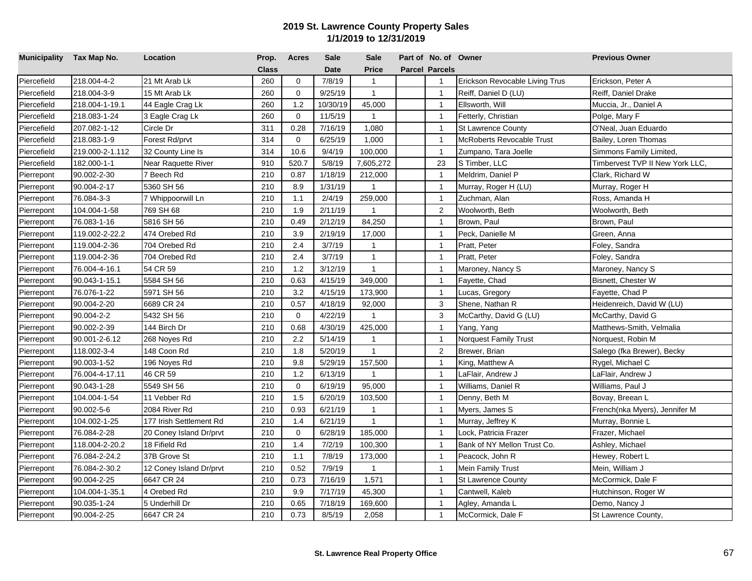| Municipality Tax Map No. |                 | Location                | Prop.        | <b>Acres</b> | <b>Sale</b> | <b>Sale</b>  | Part of No. of Owner  |                                  | <b>Previous Owner</b>           |
|--------------------------|-----------------|-------------------------|--------------|--------------|-------------|--------------|-----------------------|----------------------------------|---------------------------------|
|                          |                 |                         | <b>Class</b> |              | <b>Date</b> | <b>Price</b> | <b>Parcel Parcels</b> |                                  |                                 |
| Piercefield              | 218.004-4-2     | 21 Mt Arab Lk           | 260          | $\mathbf 0$  | 7/8/19      | $\mathbf{1}$ | $\mathbf{1}$          | Erickson Revocable Living Trus   | Erickson, Peter A               |
| Piercefield              | 218.004-3-9     | 15 Mt Arab Lk           | 260          | $\mathbf 0$  | 9/25/19     | $\mathbf{1}$ | $\mathbf{1}$          | Reiff, Daniel D (LU)             | Reiff, Daniel Drake             |
| Piercefield              | 218.004-1-19.1  | 44 Eagle Crag Lk        | 260          | 1.2          | 10/30/19    | 45,000       | $\overline{1}$        | Ellsworth, Will                  | Muccia, Jr., Daniel A           |
| Piercefield              | 218.083-1-24    | 3 Eagle Crag Lk         | 260          | $\mathbf 0$  | 11/5/19     | $\mathbf{1}$ | $\overline{1}$        | Fetterly, Christian              | Polge, Mary F                   |
| Piercefield              | 207.082-1-12    | Circle Dr               | 311          | 0.28         | 7/16/19     | 1,080        | $\mathbf{1}$          | <b>St Lawrence County</b>        | O'Neal, Juan Eduardo            |
| Piercefield              | 218.083-1-9     | Forest Rd/prvt          | 314          | $\mathbf 0$  | 6/25/19     | 1,000        | $\overline{1}$        | <b>McRoberts Revocable Trust</b> | Bailey, Loren Thomas            |
| Piercefield              | 219.000-2-1.112 | 32 County Line Is       | 314          | 10.6         | 9/4/19      | 100,000      | $\overline{1}$        | Zumpano, Tara Joelle             | Simmons Family Limited,         |
| Piercefield              | 182.000-1-1     | Near Raquette River     | 910          | 520.7        | 5/8/19      | 7,605,272    | 23                    | S Timber, LLC                    | Timbervest TVP II New York LLC, |
| Pierrepont               | 90.002-2-30     | 7 Beech Rd              | 210          | 0.87         | 1/18/19     | 212,000      | $\mathbf{1}$          | Meldrim, Daniel P                | Clark, Richard W                |
| Pierrepont               | 90.004-2-17     | 5360 SH 56              | 210          | 8.9          | 1/31/19     | 1            | $\overline{1}$        | Murray, Roger H (LU)             | Murray, Roger H                 |
| Pierrepont               | 76.084-3-3      | 7 Whippoorwill Ln       | 210          | 1.1          | 2/4/19      | 259,000      | $\overline{1}$        | Zuchman, Alan                    | Ross, Amanda H                  |
| Pierrepont               | 104.004-1-58    | 769 SH 68               | 210          | 1.9          | 2/11/19     | $\mathbf{1}$ | $\overline{2}$        | Woolworth, Beth                  | Woolworth, Beth                 |
| Pierrepont               | 76.083-1-16     | 5816 SH 56              | 210          | 0.49         | 2/12/19     | 84,250       | $\overline{1}$        | Brown, Paul                      | Brown, Paul                     |
| Pierrepont               | 119.002-2-22.2  | 474 Orebed Rd           | 210          | 3.9          | 2/19/19     | 17,000       | $\overline{1}$        | Peck, Danielle M                 | Green, Anna                     |
| Pierrepont               | 119.004-2-36    | 704 Orebed Rd           | 210          | 2.4          | 3/7/19      | $\mathbf{1}$ | $\overline{1}$        | Pratt, Peter                     | Foley, Sandra                   |
| Pierrepont               | 119.004-2-36    | 704 Orebed Rd           | 210          | 2.4          | 3/7/19      | $\mathbf{1}$ | $\overline{1}$        | Pratt, Peter                     | Foley, Sandra                   |
| Pierrepont               | 76.004-4-16.1   | 54 CR 59                | 210          | 1.2          | 3/12/19     | $\mathbf{1}$ | $\overline{1}$        | Maroney, Nancy S                 | Maroney, Nancy S                |
| Pierrepont               | 90.043-1-15.1   | 5584 SH 56              | 210          | 0.63         | 4/15/19     | 349,000      | $\overline{1}$        | Fayette, Chad                    | Bisnett, Chester W              |
| Pierrepont               | 76.076-1-22     | 5971 SH 56              | 210          | 3.2          | 4/15/19     | 173,900      | $\mathbf{1}$          | Lucas, Gregory                   | Fayette, Chad P                 |
| Pierrepont               | 90.004-2-20     | 6689 CR 24              | 210          | 0.57         | 4/18/19     | 92,000       | 3                     | Shene, Nathan R                  | Heidenreich, David W (LU)       |
| Pierrepont               | 90.004-2-2      | 5432 SH 56              | 210          | $\mathbf 0$  | 4/22/19     | 1            | 3                     | McCarthy, David G (LU)           | McCarthy, David G               |
| Pierrepont               | 90.002-2-39     | 144 Birch Dr            | 210          | 0.68         | 4/30/19     | 425,000      | $\overline{1}$        | Yang, Yang                       | Matthews-Smith, Velmalia        |
| Pierrepont               | 90.001-2-6.12   | 268 Noyes Rd            | 210          | 2.2          | 5/14/19     | $\mathbf{1}$ | $\overline{1}$        | Norquest Family Trust            | Norquest, Robin M               |
| Pierrepont               | 118.002-3-4     | 148 Coon Rd             | 210          | 1.8          | 5/20/19     | $\mathbf{1}$ | $\overline{2}$        | Brewer, Brian                    | Salego (fka Brewer), Becky      |
| Pierrepont               | 90.003-1-52     | 196 Noyes Rd            | 210          | 9.8          | 5/29/19     | 157,500      | $\overline{1}$        | King, Matthew A                  | Rygel, Michael C                |
| Pierrepont               | 76.004-4-17.11  | 46 CR 59                | 210          | 1.2          | 6/13/19     | $\mathbf{1}$ | $\overline{1}$        | LaFlair, Andrew J                | LaFlair, Andrew J               |
| Pierrepont               | 90.043-1-28     | 5549 SH 56              | 210          | $\mathbf 0$  | 6/19/19     | 95,000       | $\overline{1}$        | Williams, Daniel R               | Williams, Paul J                |
| Pierrepont               | 104.004-1-54    | 11 Vebber Rd            | 210          | 1.5          | 6/20/19     | 103,500      | $\mathbf{1}$          | Denny, Beth M                    | Bovay, Breean L                 |
| Pierrepont               | 90.002-5-6      | 2084 River Rd           | 210          | 0.93         | 6/21/19     | $\mathbf{1}$ | $\overline{1}$        | Myers, James S                   | French(nka Myers), Jennifer M   |
| Pierrepont               | 104.002-1-25    | 177 Irish Settlement Rd | 210          | 1.4          | 6/21/19     | $\mathbf{1}$ | $\overline{1}$        | Murray, Jeffrey K                | Murray, Bonnie L                |
| Pierrepont               | 76.084-2-28     | 20 Coney Island Dr/prvt | 210          | $\mathbf 0$  | 6/28/19     | 185,000      | $\overline{1}$        | Lock, Patricia Frazer            | Frazer, Michael                 |
| Pierrepont               | 118.004-2-20.2  | 18 Fifield Rd           | 210          | 1.4          | 7/2/19      | 100,300      | $\mathbf{1}$          | Bank of NY Mellon Trust Co.      | Ashley, Michael                 |
| Pierrepont               | 76.084-2-24.2   | 37B Grove St            | 210          | 1.1          | 7/8/19      | 173,000      | $\overline{1}$        | Peacock, John R                  | Hewey, Robert L                 |
| Pierrepont               | 76.084-2-30.2   | 12 Coney Island Dr/prvt | 210          | 0.52         | 7/9/19      | 1            | $\mathbf{1}$          | Mein Family Trust                | Mein, William J                 |
| Pierrepont               | 90.004-2-25     | 6647 CR 24              | 210          | 0.73         | 7/16/19     | 1,571        | $\mathbf{1}$          | St Lawrence County               | McCormick, Dale F               |
| Pierrepont               | 104.004-1-35.1  | 4 Orebed Rd             | 210          | 9.9          | 7/17/19     | 45,300       | $\mathbf{1}$          | Cantwell, Kaleb                  | Hutchinson, Roger W             |
| Pierrepont               | 90.035-1-24     | 5 Underhill Dr          | 210          | 0.65         | 7/18/19     | 169,600      | $\overline{1}$        | Agley, Amanda L                  | Demo, Nancy J                   |
| Pierrepont               | 90.004-2-25     | 6647 CR 24              | 210          | 0.73         | 8/5/19      | 2,058        | $\mathbf{1}$          | McCormick, Dale F                | St Lawrence County,             |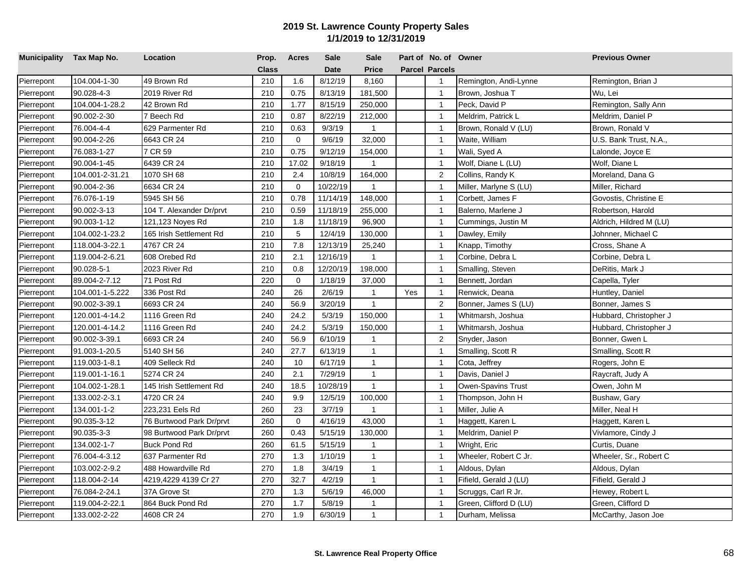| Municipality Tax Map No. |                 | Location                 | Prop.        | <b>Acres</b> | <b>Sale</b> | <b>Sale</b>  |     | Part of No. of Owner  |                        | <b>Previous Owner</b>   |
|--------------------------|-----------------|--------------------------|--------------|--------------|-------------|--------------|-----|-----------------------|------------------------|-------------------------|
|                          |                 |                          | <b>Class</b> |              | <b>Date</b> | <b>Price</b> |     | <b>Parcel Parcels</b> |                        |                         |
| Pierrepont               | 104.004-1-30    | 49 Brown Rd              | 210          | 1.6          | 8/12/19     | 8,160        |     | $\mathbf{1}$          | Remington, Andi-Lynne  | Remington, Brian J      |
| Pierrepont               | 90.028-4-3      | 2019 River Rd            | 210          | 0.75         | 8/13/19     | 181,500      |     | $\overline{1}$        | Brown, Joshua T        | Wu, Lei                 |
| Pierrepont               | 104.004-1-28.2  | 42 Brown Rd              | 210          | 1.77         | 8/15/19     | 250,000      |     | $\overline{1}$        | Peck, David P          | Remington, Sally Ann    |
| Pierrepont               | 90.002-2-30     | 7 Beech Rd               | 210          | 0.87         | 8/22/19     | 212,000      |     | $\overline{1}$        | Meldrim, Patrick L     | Meldrim, Daniel P       |
| Pierrepont               | 76.004-4-4      | 629 Parmenter Rd         | 210          | 0.63         | 9/3/19      | $\mathbf{1}$ |     | $\mathbf{1}$          | Brown, Ronald V (LU)   | Brown, Ronald V         |
| Pierrepont               | 90.004-2-26     | 6643 CR 24               | 210          | 0            | 9/6/19      | 32,000       |     | $\overline{1}$        | Waite, William         | U.S. Bank Trust, N.A.,  |
| Pierrepont               | 76.083-1-27     | 7 CR 59                  | 210          | 0.75         | 9/12/19     | 154,000      |     | $\overline{1}$        | Wali, Syed A           | Lalonde, Joyce E        |
| Pierrepont               | 90.004-1-45     | 6439 CR 24               | 210          | 17.02        | 9/18/19     | $\mathbf{1}$ |     | $\overline{1}$        | Wolf, Diane L (LU)     | Wolf, Diane L           |
| Pierrepont               | 104.001-2-31.21 | 1070 SH 68               | 210          | 2.4          | 10/8/19     | 164,000      |     | $\overline{2}$        | Collins, Randy K       | Moreland, Dana G        |
| Pierrepont               | 90.004-2-36     | 6634 CR 24               | 210          | $\mathbf 0$  | 10/22/19    | 1            |     | $\overline{1}$        | Miller, Marlyne S (LU) | Miller, Richard         |
| Pierrepont               | 76.076-1-19     | 5945 SH 56               | 210          | 0.78         | 11/14/19    | 148,000      |     | $\overline{1}$        | Corbett, James F       | Govostis, Christine E   |
| Pierrepont               | 90.002-3-13     | 104 T. Alexander Dr/prvt | 210          | 0.59         | 11/18/19    | 255,000      |     | $\mathbf{1}$          | Balerno, Marlene J     | Robertson, Harold       |
| Pierrepont               | 90.003-1-12     | 121,123 Noyes Rd         | 210          | 1.8          | 11/18/19    | 96,900       |     | $\overline{1}$        | Cummings, Justin M     | Aldrich, Hildred M (LU) |
| Pierrepont               | 104.002-1-23.2  | 165 Irish Settlement Rd  | 210          | 5            | 12/4/19     | 130,000      |     | $\overline{1}$        | Dawley, Emily          | Johnner, Michael C      |
| Pierrepont               | 118.004-3-22.1  | 4767 CR 24               | 210          | 7.8          | 12/13/19    | 25,240       |     | $\overline{1}$        | Knapp, Timothy         | Cross, Shane A          |
| Pierrepont               | 119.004-2-6.21  | 608 Orebed Rd            | 210          | 2.1          | 12/16/19    | $\mathbf{1}$ |     | $\overline{1}$        | Corbine, Debra L       | Corbine, Debra L        |
| Pierrepont               | 90.028-5-1      | 2023 River Rd            | 210          | 0.8          | 12/20/19    | 198,000      |     | $\mathbf{1}$          | Smalling, Steven       | DeRitis, Mark J         |
| Pierrepont               | 89.004-2-7.12   | 71 Post Rd               | 220          | $\Omega$     | 1/18/19     | 37,000       |     | $\overline{1}$        | Bennett, Jordan        | Capella, Tyler          |
| Pierrepont               | 104.001-1-5.222 | 336 Post Rd              | 240          | 26           | 2/6/19      | $\mathbf{1}$ | Yes | $\overline{1}$        | Renwick, Deana         | Huntley, Daniel         |
| Pierrepont               | 90.002-3-39.1   | 6693 CR 24               | 240          | 56.9         | 3/20/19     | $\mathbf{1}$ |     | $\overline{2}$        | Bonner, James S (LU)   | Bonner, James S         |
| Pierrepont               | 120.001-4-14.2  | 1116 Green Rd            | 240          | 24.2         | 5/3/19      | 150,000      |     | $\overline{1}$        | Whitmarsh, Joshua      | Hubbard, Christopher J  |
| Pierrepont               | 120.001-4-14.2  | 1116 Green Rd            | 240          | 24.2         | 5/3/19      | 150,000      |     | $\overline{1}$        | Whitmarsh, Joshua      | Hubbard, Christopher J  |
| Pierrepont               | 90.002-3-39.1   | 6693 CR 24               | 240          | 56.9         | 6/10/19     | $\mathbf{1}$ |     | $\overline{2}$        | Snyder, Jason          | Bonner, Gwen L          |
| Pierrepont               | 91.003-1-20.5   | 5140 SH 56               | 240          | 27.7         | 6/13/19     | $\mathbf{1}$ |     | $\mathbf{1}$          | Smalling, Scott R      | Smalling, Scott R       |
| Pierrepont               | 119.003-1-8.1   | 409 Selleck Rd           | 240          | 10           | 6/17/19     | $\mathbf{1}$ |     | $\overline{1}$        | Cota, Jeffrey          | Rogers, John E          |
| Pierrepont               | 119.001-1-16.1  | 5274 CR 24               | 240          | 2.1          | 7/29/19     | $\mathbf{1}$ |     | $\mathbf{1}$          | Davis, Daniel J        | Raycraft, Judy A        |
| Pierrepont               | 104.002-1-28.1  | 145 Irish Settlement Rd  | 240          | 18.5         | 10/28/19    | $\mathbf{1}$ |     | $\mathbf{1}$          | Owen-Spavins Trust     | Owen, John M            |
| Pierrepont               | 133.002-2-3.1   | 4720 CR 24               | 240          | 9.9          | 12/5/19     | 100,000      |     | $\overline{1}$        | Thompson, John H       | Bushaw, Gary            |
| Pierrepont               | 134.001-1-2     | 223,231 Eels Rd          | 260          | 23           | 3/7/19      | $\mathbf{1}$ |     | $\overline{1}$        | Miller, Julie A        | Miller, Neal H          |
| Pierrepont               | 90.035-3-12     | 76 Burtwood Park Dr/prvt | 260          | $\Omega$     | 4/16/19     | 43,000       |     | $\overline{1}$        | Haggett, Karen L       | Haggett, Karen L        |
| Pierrepont               | 90.035-3-3      | 98 Burtwood Park Dr/prvt | 260          | 0.43         | 5/15/19     | 130,000      |     | $\mathbf{1}$          | Meldrim, Daniel P      | Vivlamore, Cindy J      |
| Pierrepont               | 134.002-1-7     | <b>Buck Pond Rd</b>      | 260          | 61.5         | 5/15/19     | $\mathbf{1}$ |     | $\overline{1}$        | Wright, Eric           | Curtis, Duane           |
| Pierrepont               | 76.004-4-3.12   | 637 Parmenter Rd         | 270          | 1.3          | 1/10/19     | $\mathbf{1}$ |     | $\mathbf{1}$          | Wheeler, Robert C Jr.  | Wheeler, Sr., Robert C  |
| Pierrepont               | 103.002-2-9.2   | 488 Howardville Rd       | 270          | 1.8          | 3/4/19      | $\mathbf{1}$ |     | $\mathbf{1}$          | Aldous, Dylan          | Aldous, Dylan           |
| Pierrepont               | 118.004-2-14    | 4219,4229 4139 Cr 27     | 270          | 32.7         | 4/2/19      | $\mathbf{1}$ |     | $\mathbf{1}$          | Fifield, Gerald J (LU) | Fifield, Gerald J       |
| Pierrepont               | 76.084-2-24.1   | 37A Grove St             | 270          | 1.3          | 5/6/19      | 46,000       |     | $\overline{1}$        | Scruggs, Carl R Jr.    | Hewey, Robert L         |
| Pierrepont               | 119.004-2-22.1  | 864 Buck Pond Rd         | 270          | 1.7          | 5/8/19      | $\mathbf{1}$ |     | $\mathbf{1}$          | Green, Clifford D (LU) | Green, Clifford D       |
| Pierrepont               | 133.002-2-22    | 4608 CR 24               | 270          | 1.9          | 6/30/19     | $\mathbf{1}$ |     | $\overline{1}$        | Durham, Melissa        | McCarthy, Jason Joe     |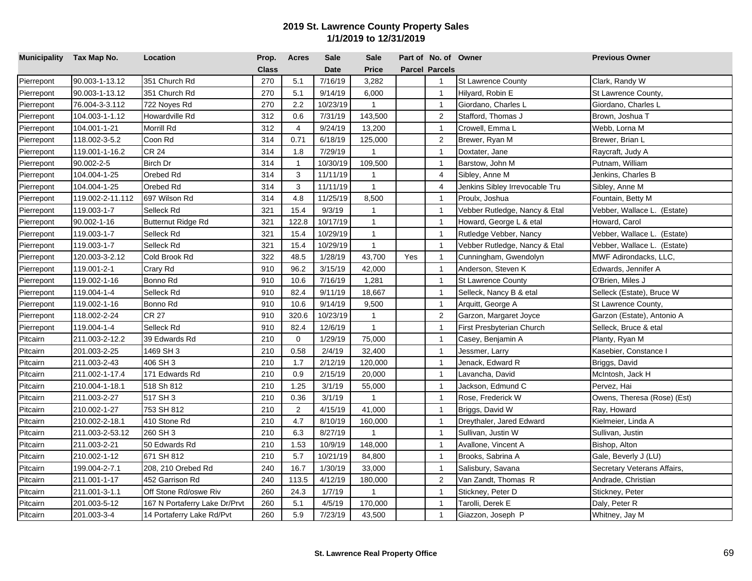| Municipality Tax Map No. |                  | Location                      | Prop.        | <b>Acres</b>   | <b>Sale</b> | <b>Sale</b>  |     | Part of No. of Owner  |                                | <b>Previous Owner</b>       |
|--------------------------|------------------|-------------------------------|--------------|----------------|-------------|--------------|-----|-----------------------|--------------------------------|-----------------------------|
|                          |                  |                               | <b>Class</b> |                | <b>Date</b> | <b>Price</b> |     | <b>Parcel Parcels</b> |                                |                             |
| Pierrepont               | 90.003-1-13.12   | 351 Church Rd                 | 270          | 5.1            | 7/16/19     | 3,282        |     | $\mathbf{1}$          | St Lawrence County             | Clark, Randy W              |
| Pierrepont               | 90.003-1-13.12   | 351 Church Rd                 | 270          | 5.1            | 9/14/19     | 6,000        |     | $\overline{1}$        | Hilyard, Robin E               | St Lawrence County,         |
| Pierrepont               | 76.004-3-3.112   | 722 Noyes Rd                  | 270          | 2.2            | 10/23/19    | $\mathbf{1}$ |     | $\overline{1}$        | Giordano, Charles L            | Giordano, Charles L         |
| Pierrepont               | 104.003-1-1.12   | Howardville Rd                | 312          | 0.6            | 7/31/19     | 143,500      |     | 2                     | Stafford, Thomas J             | Brown, Joshua T             |
| Pierrepont               | 104.001-1-21     | Morrill Rd                    | 312          | $\overline{4}$ | 9/24/19     | 13,200       |     | $\mathbf{1}$          | Crowell, Emma L                | Webb, Lorna M               |
| Pierrepont               | 118.002-3-5.2    | Coon Rd                       | 314          | 0.71           | 6/18/19     | 125,000      |     | $\overline{c}$        | Brewer, Ryan M                 | Brewer, Brian L             |
| Pierrepont               | 119.001-1-16.2   | <b>CR 24</b>                  | 314          | 1.8            | 7/29/19     | $\mathbf{1}$ |     | $\mathbf{1}$          | Doxtater, Jane                 | Raycraft, Judy A            |
| Pierrepont               | 90.002-2-5       | Birch Dr                      | 314          | $\mathbf{1}$   | 10/30/19    | 109,500      |     | $\overline{1}$        | Barstow, John M                | Putnam, William             |
| Pierrepont               | 104.004-1-25     | Orebed Rd                     | 314          | 3              | 11/11/19    | $\mathbf{1}$ |     | $\overline{4}$        | Sibley, Anne M                 | Jenkins, Charles B          |
| Pierrepont               | 104.004-1-25     | Orebed Rd                     | 314          | 3              | 11/11/19    | $\mathbf{1}$ |     | $\overline{4}$        | Jenkins Sibley Irrevocable Tru | Sibley, Anne M              |
| Pierrepont               | 119.002-2-11.112 | 697 Wilson Rd                 | 314          | 4.8            | 11/25/19    | 8,500        |     | $\overline{1}$        | Proulx, Joshua                 | Fountain, Betty M           |
| Pierrepont               | 119.003-1-7      | Selleck Rd                    | 321          | 15.4           | 9/3/19      | $\mathbf{1}$ |     | $\mathbf{1}$          | Vebber Rutledge, Nancy & Etal  | Vebber, Wallace L. (Estate) |
| Pierrepont               | 90.002-1-16      | Butternut Ridge Rd            | 321          | 122.8          | 10/17/19    | $\mathbf{1}$ |     | $\mathbf{1}$          | Howard, George L & etal        | Howard, Carol               |
| Pierrepont               | 119.003-1-7      | Selleck Rd                    | 321          | 15.4           | 10/29/19    | $\mathbf{1}$ |     | $\overline{1}$        | Rutledge Vebber, Nancy         | Vebber, Wallace L. (Estate) |
| Pierrepont               | 119.003-1-7      | Selleck Rd                    | 321          | 15.4           | 10/29/19    | $\mathbf{1}$ |     | $\overline{1}$        | Vebber Rutledge, Nancy & Etal  | Vebber, Wallace L. (Estate) |
| Pierrepont               | 120.003-3-2.12   | Cold Brook Rd                 | 322          | 48.5           | 1/28/19     | 43,700       | Yes | $\mathbf{1}$          | Cunningham, Gwendolyn          | MWF Adirondacks, LLC,       |
| Pierrepont               | 119.001-2-1      | Crary Rd                      | 910          | 96.2           | 3/15/19     | 42,000       |     | $\mathbf{1}$          | Anderson, Steven K             | Edwards, Jennifer A         |
| Pierrepont               | 119.002-1-16     | Bonno Rd                      | 910          | 10.6           | 7/16/19     | 1,281        |     | $\overline{1}$        | <b>St Lawrence County</b>      | O'Brien, Miles J            |
| Pierrepont               | 119.004-1-4      | Selleck Rd                    | 910          | 82.4           | 9/11/19     | 18,667       |     | $\overline{1}$        | Selleck, Nancy B & etal        | Selleck (Estate), Bruce W   |
| Pierrepont               | 119.002-1-16     | Bonno Rd                      | 910          | 10.6           | 9/14/19     | 9,500        |     | $\mathbf{1}$          | Arquitt, George A              | St Lawrence County,         |
| Pierrepont               | 118.002-2-24     | <b>CR 27</b>                  | 910          | 320.6          | 10/23/19    | $\mathbf{1}$ |     | $\overline{c}$        | Garzon, Margaret Joyce         | Garzon (Estate), Antonio A  |
| Pierrepont               | 119.004-1-4      | Selleck Rd                    | 910          | 82.4           | 12/6/19     | $\mathbf{1}$ |     | $\overline{1}$        | First Presbyterian Church      | Selleck, Bruce & etal       |
| Pitcairn                 | 211.003-2-12.2   | 39 Edwards Rd                 | 210          | $\mathbf 0$    | 1/29/19     | 75,000       |     | $\overline{1}$        | Casey, Benjamin A              | Planty, Ryan M              |
| Pitcairn                 | 201.003-2-25     | 1469 SH 3                     | 210          | 0.58           | 2/4/19      | 32,400       |     | $\overline{1}$        | Jessmer, Larry                 | Kasebier, Constance I       |
| Pitcairn                 | 211.003-2-43     | 406 SH 3                      | 210          | 1.7            | 2/12/19     | 120,000      |     | $\overline{1}$        | Jenack, Edward R               | Briggs, David               |
| Pitcairn                 | 211.002-1-17.4   | 171 Edwards Rd                | 210          | 0.9            | 2/15/19     | 20,000       |     | $\overline{1}$        | avancha, David                 | McIntosh, Jack H            |
| Pitcairn                 | 210.004-1-18.1   | 518 Sh 812                    | 210          | 1.25           | 3/1/19      | 55,000       |     | $\overline{1}$        | Jackson, Edmund C              | Pervez, Hai                 |
| Pitcairn                 | 211.003-2-27     | 517 SH 3                      | 210          | 0.36           | 3/1/19      | $\mathbf{1}$ |     | $\mathbf{1}$          | Rose, Frederick W              | Owens, Theresa (Rose) (Est) |
| Pitcairn                 | 210.002-1-27     | 753 SH 812                    | 210          | $\overline{2}$ | 4/15/19     | 41,000       |     | $\overline{1}$        | Briggs, David W                | Ray, Howard                 |
| Pitcairn                 | 210.002-2-18.1   | 410 Stone Rd                  | 210          | 4.7            | 8/10/19     | 160,000      |     | $\overline{1}$        | Dreythaler, Jared Edward       | Kielmeier, Linda A          |
| Pitcairn                 | 211.003-2-53.12  | 260 SH 3                      | 210          | 6.3            | 8/27/19     | $\mathbf{1}$ |     | $\overline{1}$        | Sullivan, Justin W             | Sullivan, Justin            |
| Pitcairn                 | 211.003-2-21     | 50 Edwards Rd                 | 210          | 1.53           | 10/9/19     | 148,000      |     | $\overline{1}$        | Avallone, Vincent A            | Bishop, Alton               |
| Pitcairn                 | 210.002-1-12     | 671 SH 812                    | 210          | 5.7            | 10/21/19    | 84,800       |     | $\overline{1}$        | Brooks, Sabrina A              | Gale, Beverly J (LU)        |
| Pitcairn                 | 199.004-2-7.1    | 208, 210 Orebed Rd            | 240          | 16.7           | 1/30/19     | 33,000       |     | $\overline{1}$        | Salisbury, Savana              | Secretary Veterans Affairs, |
| Pitcairn                 | 211.001-1-17     | 452 Garrison Rd               | 240          | 113.5          | 4/12/19     | 180,000      |     | 2                     | Van Zandt, Thomas R            | Andrade, Christian          |
| Pitcairn                 | 211.001-3-1.1    | Off Stone Rd/oswe Riv         | 260          | 24.3           | 1/7/19      | $\mathbf{1}$ |     | $\overline{1}$        | Stickney, Peter D              | Stickney, Peter             |
| Pitcairn                 | 201.003-5-12     | 167 N Portaferry Lake Dr/Prvt | 260          | 5.1            | 4/5/19      | 170,000      |     | $\overline{1}$        | Tarolli, Derek E               | Daly, Peter R               |
| Pitcairn                 | 201.003-3-4      | 14 Portaferry Lake Rd/Pvt     | 260          | 5.9            | 7/23/19     | 43,500       |     | $\mathbf{1}$          | Giazzon, Joseph P              | Whitney, Jay M              |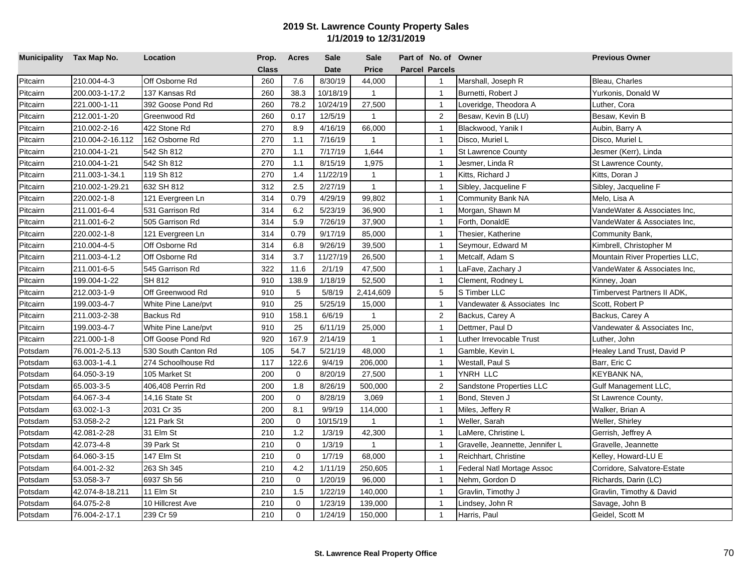| Municipality Tax Map No. |                  | Location            | Prop.        | <b>Acres</b> | <b>Sale</b> | <b>Sale</b>  | Part of No. of Owner  |                                 | <b>Previous Owner</b>          |
|--------------------------|------------------|---------------------|--------------|--------------|-------------|--------------|-----------------------|---------------------------------|--------------------------------|
|                          |                  |                     | <b>Class</b> |              | <b>Date</b> | <b>Price</b> | <b>Parcel Parcels</b> |                                 |                                |
| Pitcairn                 | 210.004-4-3      | Off Osborne Rd      | 260          | 7.6          | 8/30/19     | 44,000       | $\overline{1}$        | Marshall, Joseph R              | Bleau, Charles                 |
| Pitcairn                 | 200.003-1-17.2   | 137 Kansas Rd       | 260          | 38.3         | 10/18/19    | $\mathbf{1}$ | $\overline{1}$        | Burnetti, Robert J              | Yurkonis, Donald W             |
| Pitcairn                 | 221.000-1-11     | 392 Goose Pond Rd   | 260          | 78.2         | 10/24/19    | 27,500       | $\overline{1}$        | Loveridge, Theodora A           | Luther, Cora                   |
| Pitcairn                 | 212.001-1-20     | Greenwood Rd        | 260          | 0.17         | 12/5/19     | $\mathbf{1}$ | 2                     | Besaw, Kevin B (LU)             | Besaw, Kevin B                 |
| Pitcairn                 | 210.002-2-16     | 422 Stone Rd        | 270          | 8.9          | 4/16/19     | 66,000       | $\overline{1}$        | Blackwood, Yanik I              | Aubin, Barry A                 |
| Pitcairn                 | 210.004-2-16.112 | 162 Osborne Rd      | 270          | 1.1          | 7/16/19     | $\mathbf{1}$ | $\overline{1}$        | Disco, Muriel L                 | Disco, Muriel L                |
| Pitcairn                 | 210.004-1-21     | 542 Sh 812          | 270          | 1.1          | 7/17/19     | 1,644        | $\overline{1}$        | <b>St Lawrence County</b>       | Jesmer (Kerr), Linda           |
| Pitcairn                 | 210.004-1-21     | 542 Sh 812          | 270          | 1.1          | 8/15/19     | 1,975        | $\overline{1}$        | Jesmer, Linda R                 | St Lawrence County,            |
| Pitcairn                 | 211.003-1-34.1   | 119 Sh 812          | 270          | 1.4          | 11/22/19    | $\mathbf{1}$ | $\overline{1}$        | Kitts, Richard J                | Kitts, Doran J                 |
| Pitcairn                 | 210.002-1-29.21  | 632 SH 812          | 312          | 2.5          | 2/27/19     | $\mathbf{1}$ | $\overline{1}$        | Sibley, Jacqueline F            | Sibley, Jacqueline F           |
| Pitcairn                 | 220.002-1-8      | 121 Evergreen Ln    | 314          | 0.79         | 4/29/19     | 99,802       | $\overline{1}$        | Community Bank NA               | Melo, Lisa A                   |
| Pitcairn                 | 211.001-6-4      | 531 Garrison Rd     | 314          | 6.2          | 5/23/19     | 36,900       | $\mathbf{1}$          | Morgan, Shawn M                 | VandeWater & Associates Inc,   |
| Pitcairn                 | 211.001-6-2      | 505 Garrison Rd     | 314          | 5.9          | 7/26/19     | 37,900       | $\mathbf{1}$          | Forth, DonaldE                  | VandeWater & Associates Inc.   |
| Pitcairn                 | 220.002-1-8      | 121 Evergreen Ln    | 314          | 0.79         | 9/17/19     | 85,000       | $\overline{1}$        | Thesier, Katherine              | Community Bank,                |
| Pitcairn                 | 210.004-4-5      | Off Osborne Rd      | 314          | 6.8          | 9/26/19     | 39,500       | $\overline{1}$        | Seymour, Edward M               | Kimbrell, Christopher M        |
| Pitcairn                 | 211.003-4-1.2    | Off Osborne Rd      | 314          | 3.7          | 11/27/19    | 26,500       | $\overline{1}$        | Metcalf, Adam S                 | Mountain River Properties LLC, |
| Pitcairn                 | 211.001-6-5      | 545 Garrison Rd     | 322          | 11.6         | 2/1/19      | 47,500       | $\mathbf{1}$          | LaFave, Zachary J               | VandeWater & Associates Inc,   |
| Pitcairn                 | 199.004-1-22     | SH 812              | 910          | 138.9        | 1/18/19     | 52,500       | $\overline{1}$        | Clement, Rodney L               | Kinney, Joan                   |
| Pitcairn                 | 212.003-1-9      | Off Greenwood Rd    | 910          | 5            | 5/8/19      | 2,414,609    | $\,$ 5 $\,$           | S Timber LLC                    | Timbervest Partners II ADK,    |
| Pitcairn                 | 199.003-4-7      | White Pine Lane/pvt | 910          | 25           | 5/25/19     | 15,000       | $\overline{1}$        | Vandewater & Associates Inc     | Scott, Robert P                |
| Pitcairn                 | 211.003-2-38     | Backus Rd           | 910          | 158.1        | 6/6/19      | $\mathbf{1}$ | $\overline{c}$        | Backus, Carey A                 | Backus, Carey A                |
| Pitcairn                 | 199.003-4-7      | White Pine Lane/pvt | 910          | 25           | 6/11/19     | 25,000       | $\overline{1}$        | Dettmer, Paul D                 | Vandewater & Associates Inc,   |
| Pitcairn                 | 221.000-1-8      | Off Goose Pond Rd   | 920          | 167.9        | 2/14/19     | $\mathbf{1}$ | $\overline{1}$        | Luther Irrevocable Trust        | Luther, John                   |
| Potsdam                  | 76.001-2-5.13    | 530 South Canton Rd | 105          | 54.7         | 5/21/19     | 48,000       | $\overline{1}$        | Gamble, Kevin L                 | Healey Land Trust, David P     |
| Potsdam                  | 63.003-1-4.1     | 274 Schoolhouse Rd  | 117          | 122.6        | 9/4/19      | 206,000      | $\overline{1}$        | Westall, Paul S                 | Barr, Eric C                   |
| Potsdam                  | 64.050-3-19      | 105 Market St       | 200          | $\mathbf 0$  | 8/20/19     | 27,500       | $\overline{1}$        | YNRH LLC                        | KEYBANK NA,                    |
| Potsdam                  | 65.003-3-5       | 406,408 Perrin Rd   | 200          | 1.8          | 8/26/19     | 500,000      | 2                     | Sandstone Properties LLC        | Gulf Management LLC,           |
| Potsdam                  | 64.067-3-4       | 14,16 State St      | 200          | $\mathbf 0$  | 8/28/19     | 3,069        | $\overline{1}$        | Bond, Steven J                  | St Lawrence County,            |
| Potsdam                  | 63.002-1-3       | 2031 Cr 35          | 200          | 8.1          | 9/9/19      | 114,000      | $\overline{1}$        | Miles, Jeffery R                | Walker, Brian A                |
| Potsdam                  | 53.058-2-2       | 121 Park St         | 200          | $\mathbf 0$  | 10/15/19    | $\mathbf{1}$ | $\overline{1}$        | Weller, Sarah                   | Weller, Shirley                |
| Potsdam                  | 42.081-2-28      | 31 Elm St           | 210          | 1.2          | 1/3/19      | 42,300       | $\overline{1}$        | LaMere, Christine L             | Gerrish, Jeffrey A             |
| Potsdam                  | 42.073-4-8       | 39 Park St          | 210          | $\mathbf 0$  | 1/3/19      | $\mathbf{1}$ | $\overline{1}$        | Gravelle, Jeannette, Jennifer L | Gravelle, Jeannette            |
| Potsdam                  | 64.060-3-15      | 147 Elm St          | 210          | $\mathbf 0$  | 1/7/19      | 68,000       | $\overline{1}$        | Reichhart, Christine            | Kelley, Howard-LU E            |
| Potsdam                  | 64.001-2-32      | 263 Sh 345          | 210          | 4.2          | 1/11/19     | 250,605      | $\overline{1}$        | Federal Natl Mortage Assoc      | Corridore, Salvatore-Estate    |
| Potsdam                  | 53.058-3-7       | 6937 Sh 56          | 210          | $\mathbf 0$  | 1/20/19     | 96,000       | $\overline{1}$        | Nehm, Gordon D                  | Richards, Darin (LC)           |
| Potsdam                  | 42.074-8-18.211  | 11 Elm St           | 210          | 1.5          | 1/22/19     | 140,000      | $\mathbf{1}$          | Gravlin, Timothy J              | Gravlin, Timothy & David       |
| Potsdam                  | 64.075-2-8       | 10 Hillcrest Ave    | 210          | $\mathbf 0$  | 1/23/19     | 139,000      | $\overline{1}$        | Lindsey, John R                 | Savage, John B                 |
| Potsdam                  | 76.004-2-17.1    | 239 Cr 59           | 210          | $\mathbf 0$  | 1/24/19     | 150,000      | $\mathbf{1}$          | Harris, Paul                    | Geidel, Scott M                |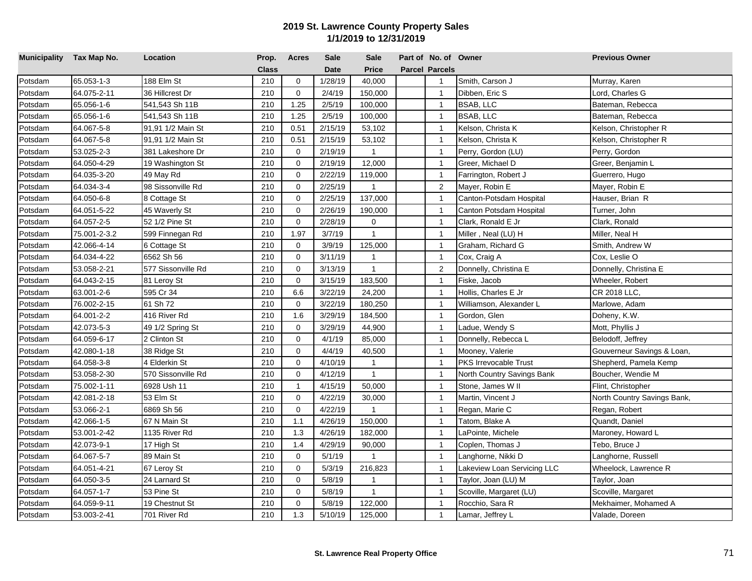| Municipality Tax Map No. |              | Location           | Prop.        | <b>Acres</b> | Sale        | <b>Sale</b>    | Part of No. of Owner  |                              | <b>Previous Owner</b>       |
|--------------------------|--------------|--------------------|--------------|--------------|-------------|----------------|-----------------------|------------------------------|-----------------------------|
|                          |              |                    | <b>Class</b> |              | <b>Date</b> | <b>Price</b>   | <b>Parcel Parcels</b> |                              |                             |
| Potsdam                  | 65.053-1-3   | 188 Elm St         | 210          | $\mathbf 0$  | 1/28/19     | 40,000         | $\mathbf{1}$          | Smith, Carson J              | Murray, Karen               |
| Potsdam                  | 64.075-2-11  | 36 Hillcrest Dr    | 210          | $\mathbf 0$  | 2/4/19      | 150,000        | $\overline{1}$        | Dibben, Eric S               | Lord, Charles G             |
| Potsdam                  | 65.056-1-6   | 541,543 Sh 11B     | 210          | 1.25         | 2/5/19      | 100,000        | $\overline{1}$        | BSAB, LLC                    | Bateman, Rebecca            |
| Potsdam                  | 65.056-1-6   | 541,543 Sh 11B     | 210          | 1.25         | 2/5/19      | 100,000        | $\overline{1}$        | BSAB, LLC                    | Bateman, Rebecca            |
| Potsdam                  | 64.067-5-8   | 91,91 1/2 Main St  | 210          | 0.51         | 2/15/19     | 53,102         | $\overline{1}$        | Kelson, Christa K            | Kelson, Christopher R       |
| Potsdam                  | 64.067-5-8   | 91,91 1/2 Main St  | 210          | 0.51         | 2/15/19     | 53,102         | $\mathbf{1}$          | Kelson, Christa K            | Kelson, Christopher R       |
| Potsdam                  | 53.025-2-3   | 381 Lakeshore Dr   | 210          | $\mathbf 0$  | 2/19/19     | $\mathbf{1}$   | $\overline{1}$        | Perry, Gordon (LU)           | Perry, Gordon               |
| Potsdam                  | 64.050-4-29  | 19 Washington St   | 210          | $\mathbf 0$  | 2/19/19     | 12,000         | $\overline{1}$        | Greer, Michael D             | Greer, Benjamin L           |
| Potsdam                  | 64.035-3-20  | 49 May Rd          | 210          | $\mathbf 0$  | 2/22/19     | 119,000        | $\overline{1}$        | Farrington, Robert J         | Guerrero, Hugo              |
| Potsdam                  | 64.034-3-4   | 98 Sissonville Rd  | 210          | $\mathbf 0$  | 2/25/19     | $\mathbf{1}$   | $\overline{2}$        | Mayer, Robin E               | Mayer, Robin E              |
| Potsdam                  | 64.050-6-8   | 8 Cottage St       | 210          | $\mathbf 0$  | 2/25/19     | 137,000        | $\overline{1}$        | Canton-Potsdam Hospital      | Hauser, Brian R             |
| Potsdam                  | 64.051-5-22  | 45 Waverly St      | 210          | $\mathbf 0$  | 2/26/19     | 190,000        | $\overline{1}$        | Canton Potsdam Hospital      | Turner, John                |
| Potsdam                  | 64.057-2-5   | 52 1/2 Pine St     | 210          | $\mathbf 0$  | 2/28/19     | $\mathbf 0$    | $\mathbf{1}$          | Clark, Ronald E Jr           | Clark, Ronald               |
| Potsdam                  | 75.001-2-3.2 | 599 Finnegan Rd    | 210          | 1.97         | 3/7/19      | $\mathbf{1}$   | $\overline{1}$        | Miller, Neal (LU) H          | Miller, Neal H              |
| Potsdam                  | 42.066-4-14  | 6 Cottage St       | 210          | $\mathbf 0$  | 3/9/19      | 125,000        | $\overline{1}$        | Graham, Richard G            | Smith, Andrew W             |
| Potsdam                  | 64.034-4-22  | 6562 Sh 56         | 210          | $\mathbf 0$  | 3/11/19     | $\mathbf{1}$   | $\overline{1}$        | Cox, Craig A                 | Cox, Leslie O               |
| Potsdam                  | 53.058-2-21  | 577 Sissonville Rd | 210          | $\mathbf 0$  | 3/13/19     | $\mathbf{1}$   | $\overline{2}$        | Donnelly, Christina E        | Donnelly, Christina E       |
| Potsdam                  | 64.043-2-15  | 81 Leroy St        | 210          | $\mathbf 0$  | 3/15/19     | 183,500        | $\overline{1}$        | Fiske, Jacob                 | Wheeler, Robert             |
| Potsdam                  | 63.001-2-6   | 595 Cr 34          | 210          | 6.6          | 3/22/19     | 24,200         | $\overline{1}$        | Hollis, Charles E Jr         | CR 2018 LLC,                |
| Potsdam                  | 76.002-2-15  | 61 Sh 72           | 210          | $\Omega$     | 3/22/19     | 180,250        | $\overline{1}$        | Williamson, Alexander L      | Marlowe, Adam               |
| Potsdam                  | 64.001-2-2   | 416 River Rd       | 210          | 1.6          | 3/29/19     | 184,500        | $\overline{1}$        | Gordon, Glen                 | Doheny, K.W.                |
| Potsdam                  | 42.073-5-3   | 49 1/2 Spring St   | 210          | $\mathbf 0$  | 3/29/19     | 44,900         | $\overline{1}$        | Ladue, Wendy S               | Mott, Phyllis J             |
| Potsdam                  | 64.059-6-17  | 2 Clinton St       | 210          | $\mathbf 0$  | 4/1/19      | 85,000         | $\overline{1}$        | Donnelly, Rebecca L          | Belodoff, Jeffrey           |
| Potsdam                  | 42.080-1-18  | 38 Ridge St        | 210          | $\mathbf 0$  | 4/4/19      | 40,500         | $\overline{1}$        | Mooney, Valerie              | Gouverneur Savings & Loan,  |
| Potsdam                  | 64.058-3-8   | 4 Elderkin St      | 210          | $\mathbf 0$  | 4/10/19     | $\mathbf{1}$   | $\overline{1}$        | <b>PKS Irrevocable Trust</b> | Shepherd, Pamela Kemp       |
| Potsdam                  | 53.058-2-30  | 570 Sissonville Rd | 210          | $\mathbf 0$  | 4/12/19     | $\mathbf{1}$   | $\overline{1}$        | North Country Savings Bank   | Boucher, Wendie M           |
| Potsdam                  | 75.002-1-11  | 6928 Ush 11        | 210          | $\mathbf{1}$ | 4/15/19     | 50,000         | $\overline{1}$        | Stone, James W II            | Flint, Christopher          |
| Potsdam                  | 42.081-2-18  | 53 Elm St          | 210          | $\mathbf 0$  | 4/22/19     | 30,000         | $\overline{1}$        | Martin, Vincent J            | North Country Savings Bank, |
| Potsdam                  | 53.066-2-1   | 6869 Sh 56         | 210          | $\mathbf 0$  | 4/22/19     | $\mathbf{1}$   | $\overline{1}$        | Regan, Marie C               | Regan, Robert               |
| Potsdam                  | 42.066-1-5   | 67 N Main St       | 210          | 1.1          | 4/26/19     | 150,000        | $\overline{1}$        | Tatom, Blake A               | Quandt, Daniel              |
| Potsdam                  | 53.001-2-42  | 1135 River Rd      | 210          | 1.3          | 4/26/19     | 182,000        | $\overline{1}$        | LaPointe, Michele            | Maroney, Howard L           |
| Potsdam                  | 42.073-9-1   | 17 High St         | 210          | 1.4          | 4/29/19     | 90,000         | $\overline{1}$        | Coplen, Thomas J             | Tebo, Bruce J               |
| Potsdam                  | 64.067-5-7   | 89 Main St         | 210          | $\mathbf 0$  | 5/1/19      | $\overline{1}$ | $\overline{1}$        | Langhorne, Nikki D           | Langhorne, Russell          |
| Potsdam                  | 64.051-4-21  | 67 Leroy St        | 210          | $\mathbf 0$  | 5/3/19      | 216,823        | $\overline{1}$        | akeview Loan Servicing LLC   | Wheelock, Lawrence R        |
| Potsdam                  | 64.050-3-5   | 24 Larnard St      | 210          | $\mathbf 0$  | 5/8/19      | -1             | $\overline{1}$        | Taylor, Joan (LU) M          | Taylor, Joan                |
| Potsdam                  | 64.057-1-7   | 53 Pine St         | 210          | $\mathbf 0$  | 5/8/19      | $\mathbf{1}$   | $\mathbf{1}$          | Scoville, Margaret (LU)      | Scoville, Margaret          |
| Potsdam                  | 64.059-9-11  | 19 Chestnut St     | 210          | $\mathbf 0$  | 5/8/19      | 122,000        | $\mathbf{1}$          | Rocchio, Sara R              | Mekhaimer, Mohamed A        |
| Potsdam                  | 53.003-2-41  | 701 River Rd       | 210          | 1.3          | 5/10/19     | 125,000        | $\mathbf{1}$          | Lamar, Jeffrey L             | Valade, Doreen              |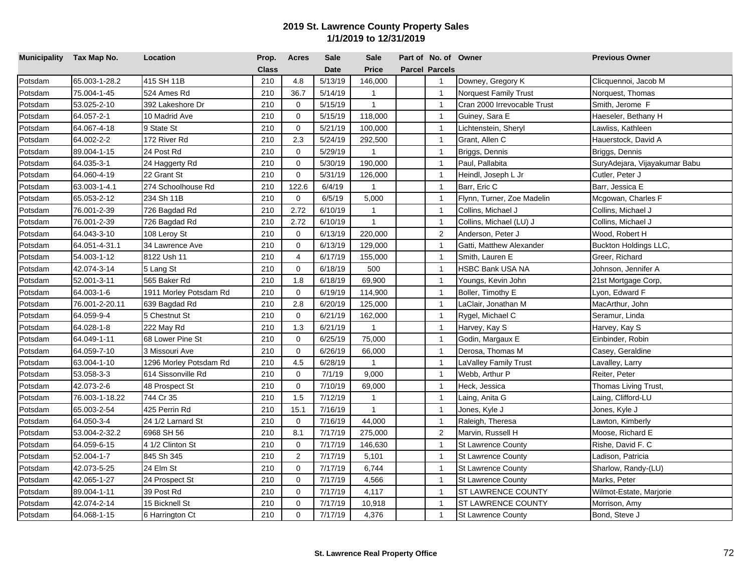| Municipality Tax Map No. |                | Location               | Prop.        | <b>Acres</b>   | <b>Sale</b> | <b>Sale</b>  | Part of No. of Owner  |                              | <b>Previous Owner</b>         |
|--------------------------|----------------|------------------------|--------------|----------------|-------------|--------------|-----------------------|------------------------------|-------------------------------|
|                          |                |                        | <b>Class</b> |                | <b>Date</b> | <b>Price</b> | <b>Parcel Parcels</b> |                              |                               |
| Potsdam                  | 65.003-1-28.2  | 415 SH 11B             | 210          | 4.8            | 5/13/19     | 146,000      | $\mathbf{1}$          | Downey, Gregory K            | Clicquennoi, Jacob M          |
| Potsdam                  | 75.004-1-45    | 524 Ames Rd            | 210          | 36.7           | 5/14/19     | $\mathbf{1}$ | $\overline{1}$        | <b>Norquest Family Trust</b> | Norquest, Thomas              |
| Potsdam                  | 53.025-2-10    | 392 Lakeshore Dr       | 210          | $\mathbf 0$    | 5/15/19     | $\mathbf{1}$ | $\overline{1}$        | Cran 2000 Irrevocable Trust  | Smith, Jerome F               |
| Potsdam                  | 64.057-2-1     | 10 Madrid Ave          | 210          | $\mathbf 0$    | 5/15/19     | 118,000      | $\overline{1}$        | Guiney, Sara E               | Haeseler, Bethany H           |
| Potsdam                  | 64.067-4-18    | 9 State St             | 210          | $\mathbf 0$    | 5/21/19     | 100,000      | $\overline{1}$        | Lichtenstein, Sheryl         | Lawliss, Kathleen             |
| Potsdam                  | 64.002-2-2     | 172 River Rd           | 210          | 2.3            | 5/24/19     | 292,500      | $\mathbf{1}$          | Grant, Allen C               | Hauerstock, David A           |
| Potsdam                  | 89.004-1-15    | 24 Post Rd             | 210          | $\mathbf 0$    | 5/29/19     | $\mathbf{1}$ | $\overline{1}$        | Briggs, Dennis               | Briggs, Dennis                |
| Potsdam                  | 64.035-3-1     | 24 Haggerty Rd         | 210          | $\mathbf 0$    | 5/30/19     | 190,000      | $\overline{1}$        | Paul, Pallabita              | SuryAdejara, Vijayakumar Babu |
| Potsdam                  | 64.060-4-19    | 22 Grant St            | 210          | $\mathbf 0$    | 5/31/19     | 126,000      | $\overline{1}$        | Heindl, Joseph L Jr          | Cutler, Peter J               |
| Potsdam                  | 63.003-1-4.1   | 274 Schoolhouse Rd     | 210          | 122.6          | 6/4/19      | $\mathbf{1}$ | $\overline{1}$        | Barr, Eric C                 | Barr, Jessica E               |
| Potsdam                  | 65.053-2-12    | 234 Sh 11B             | 210          | 0              | 6/5/19      | 5,000        | $\overline{1}$        | Flynn, Turner, Zoe Madelin   | Mcgowan, Charles F            |
| Potsdam                  | 76.001-2-39    | 726 Bagdad Rd          | 210          | 2.72           | 6/10/19     | $\mathbf{1}$ | $\mathbf{1}$          | Collins, Michael J           | Collins, Michael J            |
| Potsdam                  | 76.001-2-39    | 726 Bagdad Rd          | 210          | 2.72           | 6/10/19     | $\mathbf{1}$ | $\mathbf{1}$          | Collins, Michael (LU) J      | Collins, Michael J            |
| Potsdam                  | 64.043-3-10    | 108 Leroy St           | 210          | $\mathbf 0$    | 6/13/19     | 220,000      | 2                     | Anderson, Peter J            | Wood, Robert H                |
| Potsdam                  | 64.051-4-31.1  | 34 Lawrence Ave        | 210          | $\mathbf 0$    | 6/13/19     | 129,000      | $\mathbf{1}$          | Gatti, Matthew Alexander     | Buckton Holdings LLC,         |
| Potsdam                  | 54.003-1-12    | 8122 Ush 11            | 210          | $\overline{4}$ | 6/17/19     | 155,000      | $\overline{1}$        | Smith, Lauren E              | Greer, Richard                |
| Potsdam                  | 42.074-3-14    | 5 Lang St              | 210          | $\mathbf 0$    | 6/18/19     | 500          | $\overline{1}$        | <b>HSBC Bank USA NA</b>      | Johnson, Jennifer A           |
| Potsdam                  | 52.001-3-11    | 565 Baker Rd           | 210          | 1.8            | 6/18/19     | 69,900       | $\overline{1}$        | Youngs, Kevin John           | 21st Mortgage Corp,           |
| Potsdam                  | 64.003-1-6     | 1911 Morley Potsdam Rd | 210          | $\mathbf 0$    | 6/19/19     | 114,900      | $\overline{1}$        | Boller, Timothy E            | Lyon, Edward F                |
| Potsdam                  | 76.001-2-20.11 | 639 Bagdad Rd          | 210          | 2.8            | 6/20/19     | 125,000      | $\overline{1}$        | aClair, Jonathan M           | MacArthur, John               |
| Potsdam                  | 64.059-9-4     | 5 Chestnut St          | 210          | $\mathbf 0$    | 6/21/19     | 162,000      | $\mathbf{1}$          | Rygel, Michael C             | Seramur, Linda                |
| Potsdam                  | 64.028-1-8     | 222 May Rd             | 210          | 1.3            | 6/21/19     | $\mathbf{1}$ | $\overline{1}$        | Harvey, Kay S                | Harvey, Kay S                 |
| Potsdam                  | 64.049-1-11    | 68 Lower Pine St       | 210          | $\mathbf 0$    | 6/25/19     | 75,000       | $\overline{1}$        | Godin, Margaux E             | Einbinder, Robin              |
| Potsdam                  | 64.059-7-10    | 3 Missouri Ave         | 210          | $\mathbf 0$    | 6/26/19     | 66,000       | $\overline{1}$        | Derosa, Thomas M             | Casey, Geraldine              |
| Potsdam                  | 63.004-1-10    | 1296 Morley Potsdam Rd | 210          | 4.5            | 6/28/19     | $\mathbf{1}$ | $\overline{1}$        | LaValley Family Trust        | Lavalley, Larry               |
| Potsdam                  | 53.058-3-3     | 614 Sissonville Rd     | 210          | $\mathbf 0$    | 7/1/19      | 9,000        | $\overline{1}$        | Webb, Arthur P               | Reiter, Peter                 |
| Potsdam                  | 42.073-2-6     | 48 Prospect St         | 210          | $\mathbf 0$    | 7/10/19     | 69,000       | $\overline{1}$        | Heck, Jessica                | Thomas Living Trust,          |
| Potsdam                  | 76.003-1-18.22 | 744 Cr 35              | 210          | 1.5            | 7/12/19     | $\mathbf{1}$ | $\mathbf{1}$          | Laing, Anita G               | Laing, Clifford-LU            |
| Potsdam                  | 65.003-2-54    | 425 Perrin Rd          | 210          | 15.1           | 7/16/19     | $\mathbf{1}$ | $\overline{1}$        | Jones, Kyle J                | Jones, Kyle J                 |
| Potsdam                  | 64.050-3-4     | 24 1/2 Larnard St      | 210          | $\overline{0}$ | 7/16/19     | 44,000       | $\mathbf{1}$          | Raleigh, Theresa             | Lawton, Kimberly              |
| Potsdam                  | 53.004-2-32.2  | 6968 SH 56             | 210          | 8.1            | 7/17/19     | 275,000      | $\overline{2}$        | Marvin, Russell H            | Moose, Richard E              |
| Potsdam                  | 64.059-6-15    | 4 1/2 Clinton St       | 210          | $\mathbf 0$    | 7/17/19     | 146,630      | $\mathbf{1}$          | <b>St Lawrence County</b>    | Rishe, David F. C             |
| Potsdam                  | 52.004-1-7     | 845 Sh 345             | 210          | 2              | 7/17/19     | 5,101        | $\overline{1}$        | <b>St Lawrence County</b>    | Ladison, Patricia             |
| Potsdam                  | 42.073-5-25    | 24 Elm St              | 210          | $\mathbf 0$    | 7/17/19     | 6,744        | $\overline{1}$        | <b>St Lawrence County</b>    | Sharlow, Randy-(LU)           |
| Potsdam                  | 42.065-1-27    | 24 Prospect St         | 210          | $\mathbf 0$    | 7/17/19     | 4,566        | $\mathbf{1}$          | <b>St Lawrence County</b>    | Marks, Peter                  |
| Potsdam                  | 89.004-1-11    | 39 Post Rd             | 210          | $\mathbf 0$    | 7/17/19     | 4,117        | $\mathbf{1}$          | <b>ST LAWRENCE COUNTY</b>    | Wilmot-Estate, Marjorie       |
| Potsdam                  | 42.074-2-14    | 15 Bicknell St         | 210          | $\mathbf 0$    | 7/17/19     | 10,918       | $\overline{1}$        | ST LAWRENCE COUNTY           | Morrison, Amy                 |
| Potsdam                  | 64.068-1-15    | 6 Harrington Ct        | 210          | $\mathbf 0$    | 7/17/19     | 4,376        | $\mathbf{1}$          | <b>St Lawrence County</b>    | Bond, Steve J                 |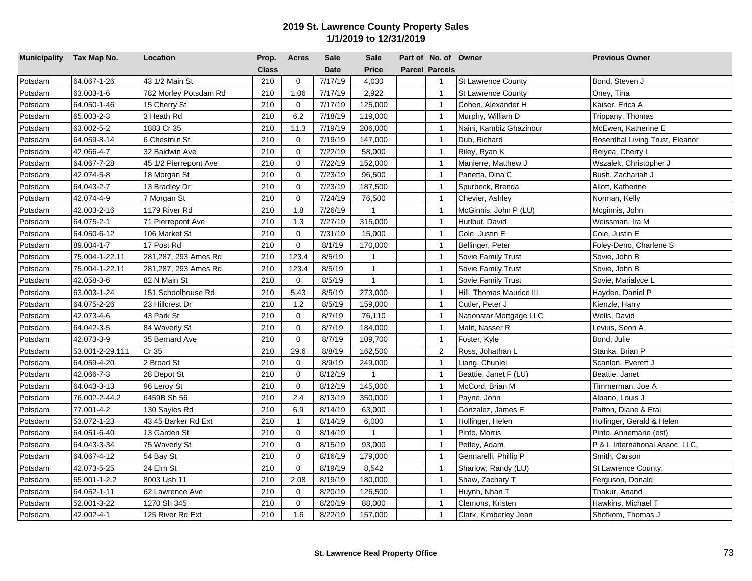| Municipality Tax Map No. |                 | Location              | Prop.        | <b>Acres</b> | <b>Sale</b> | <b>Sale</b>    | Part of No. of Owner  |                           | <b>Previous Owner</b>           |
|--------------------------|-----------------|-----------------------|--------------|--------------|-------------|----------------|-----------------------|---------------------------|---------------------------------|
|                          |                 |                       | <b>Class</b> |              | <b>Date</b> | <b>Price</b>   | <b>Parcel Parcels</b> |                           |                                 |
| Potsdam                  | 64.067-1-26     | 43 1/2 Main St        | 210          | $\mathbf 0$  | 7/17/19     | 4,030          | $\mathbf{1}$          | St Lawrence County        | Bond, Steven J                  |
| Potsdam                  | 63.003-1-6      | 782 Morley Potsdam Rd | 210          | 1.06         | 7/17/19     | 2,922          | $\overline{1}$        | <b>St Lawrence County</b> | Oney, Tina                      |
| Potsdam                  | 64.050-1-46     | 15 Cherry St          | 210          | $\mathbf 0$  | 7/17/19     | 125,000        | $\overline{1}$        | Cohen, Alexander H        | Kaiser, Erica A                 |
| Potsdam                  | 65.003-2-3      | 3 Heath Rd            | 210          | 6.2          | 7/18/19     | 119,000        | $\overline{1}$        | Murphy, William D         | Trippany, Thomas                |
| Potsdam                  | 63.002-5-2      | 1883 Cr 35            | 210          | 11.3         | 7/19/19     | 206,000        | $\overline{1}$        | Naini, Kambiz Ghazinour   | McEwen, Katherine E             |
| Potsdam                  | 64.059-8-14     | 6 Chestnut St         | 210          | $\mathbf 0$  | 7/19/19     | 147,000        | $\overline{1}$        | Dub, Richard              | Rosenthal Living Trust, Eleanor |
| Potsdam                  | 42.066-4-7      | 32 Baldwin Ave        | 210          | $\mathbf 0$  | 7/22/19     | 58,000         | $\overline{1}$        | Riley, Ryan K             | Relyea, Cherry L                |
| Potsdam                  | 64.067-7-28     | 45 1/2 Pierrepont Ave | 210          | $\mathbf 0$  | 7/22/19     | 152,000        | $\overline{1}$        | Manierre, Matthew J       | Wszalek, Christopher J          |
| Potsdam                  | 42.074-5-8      | 18 Morgan St          | 210          | $\mathbf 0$  | 7/23/19     | 96,500         | $\overline{1}$        | Panetta, Dina C           | Bush, Zachariah J               |
| Potsdam                  | 64.043-2-7      | 13 Bradley Dr         | 210          | $\mathbf 0$  | 7/23/19     | 187,500        | $\overline{1}$        | Spurbeck, Brenda          | Allott, Katherine               |
| Potsdam                  | 42.074-4-9      | 7 Morgan St           | 210          | $\mathbf 0$  | 7/24/19     | 76,500         | $\overline{1}$        | Chevier, Ashley           | Norman, Kelly                   |
| Potsdam                  | 42.003-2-16     | 1179 River Rd         | 210          | 1.8          | 7/26/19     | $\overline{1}$ | $\overline{1}$        | McGinnis, John P (LU)     | Mcginnis, John                  |
| Potsdam                  | 64.075-2-1      | 71 Pierrepont Ave     | 210          | 1.3          | 7/27/19     | 315,000        | $\mathbf{1}$          | Hurlbut, David            | Weissman, Ira M                 |
| Potsdam                  | 64.050-6-12     | 106 Market St         | 210          | $\mathbf 0$  | 7/31/19     | 15,000         | $\overline{1}$        | Cole, Justin E            | Cole, Justin E                  |
| Potsdam                  | 89.004-1-7      | 17 Post Rd            | 210          | $\mathbf 0$  | 8/1/19      | 170,000        | $\overline{1}$        | Bellinger, Peter          | Foley-Deno, Charlene S          |
| Potsdam                  | 75.004-1-22.11  | 281,287, 293 Ames Rd  | 210          | 123.4        | 8/5/19      | $\mathbf{1}$   | $\overline{1}$        | Sovie Family Trust        | Sovie, John B                   |
| Potsdam                  | 75.004-1-22.11  | 281,287, 293 Ames Rd  | 210          | 123.4        | 8/5/19      | $\mathbf{1}$   | $\mathbf{1}$          | Sovie Family Trust        | Sovie, John B                   |
| Potsdam                  | 42.058-3-6      | 82 N Main St          | 210          | $\Omega$     | 8/5/19      | $\mathbf{1}$   | $\overline{1}$        | Sovie Family Trust        | Sovie, Marialyce L              |
| Potsdam                  | 63.003-1-24     | 151 Schoolhouse Rd    | 210          | 5.43         | 8/5/19      | 273,000        | $\overline{1}$        | Hill, Thomas Maurice III  | Hayden, Daniel P                |
| Potsdam                  | 64.075-2-26     | 23 Hillcrest Dr       | 210          | 1.2          | 8/5/19      | 159,000        | $\overline{1}$        | Cutler, Peter J           | Kienzle, Harry                  |
| Potsdam                  | 42.073-4-6      | 43 Park St            | 210          | $\mathbf 0$  | 8/7/19      | 76,110         | $\overline{1}$        | Nationstar Mortgage LLC   | Wells, David                    |
| Potsdam                  | 64.042-3-5      | 84 Waverly St         | 210          | $\mathbf 0$  | 8/7/19      | 184,000        | $\overline{1}$        | Malit, Nasser R           | Levius, Seon A                  |
| Potsdam                  | 42.073-3-9      | 35 Bernard Ave        | 210          | $\mathbf 0$  | 8/7/19      | 109,700        | $\mathbf{1}$          | Foster, Kyle              | Bond, Julie                     |
| Potsdam                  | 53.001-2-29.111 | Cr 35                 | 210          | 29.6         | 8/8/19      | 162,500        | 2                     | Ross, Johathan L          | Stanka, Brian P                 |
| Potsdam                  | 64.059-4-20     | 2 Broad St            | 210          | $\mathbf 0$  | 8/9/19      | 249,000        | $\overline{1}$        | Liang, Chunlei            | Scanlon, Everett J              |
| Potsdam                  | 42.066-7-3      | 28 Depot St           | 210          | $\mathbf 0$  | 8/12/19     | $\mathbf{1}$   | $\overline{1}$        | Beattie, Janet F (LU)     | Beattie, Janet                  |
| Potsdam                  | 64.043-3-13     | 96 Leroy St           | 210          | $\mathbf 0$  | 8/12/19     | 145,000        | $\overline{1}$        | McCord, Brian M           | Timmerman, Joe A                |
| Potsdam                  | 76.002-2-44.2   | 6459B Sh 56           | 210          | 2.4          | 8/13/19     | 350,000        | $\overline{1}$        | Payne, John               | Albano, Louis J                 |
| Potsdam                  | 77.001-4-2      | 130 Sayles Rd         | 210          | 6.9          | 8/14/19     | 63,000         | $\overline{1}$        | Gonzalez, James E         | Patton, Diane & Etal            |
| Potsdam                  | 53.072-1-23     | 43,45 Barker Rd Ext   | 210          | $\mathbf{1}$ | 8/14/19     | 6,000          | $\overline{1}$        | Hollinger, Helen          | Hollinger, Gerald & Helen       |
| Potsdam                  | 64.051-6-40     | 13 Garden St          | 210          | $\mathbf 0$  | 8/14/19     | $\mathbf{1}$   | $\overline{1}$        | Pinto, Morris             | Pinto, Annemarie (est)          |
| Potsdam                  | 64.043-3-34     | 75 Waverly St         | 210          | $\mathbf 0$  | 8/15/19     | 93,000         | $\overline{1}$        | Petley, Adam              | P & L International Assoc. LLC, |
| Potsdam                  | 64.067-4-12     | 54 Bay St             | 210          | $\mathbf 0$  | 8/16/19     | 179,000        | $\overline{1}$        | Gennarelli, Phillip P     | Smith, Carson                   |
| Potsdam                  | 42.073-5-25     | 24 Elm St             | 210          | $\mathbf 0$  | 8/19/19     | 8,542          | $\overline{1}$        | Sharlow, Randy (LU)       | St Lawrence County,             |
| Potsdam                  | 65.001-1-2.2    | 8003 Ush 11           | 210          | 2.08         | 8/19/19     | 180,000        | $\overline{1}$        | Shaw, Zachary T           | Ferguson, Donald                |
| Potsdam                  | 64.052-1-11     | 62 Lawrence Ave       | 210          | $\mathbf 0$  | 8/20/19     | 126,500        | $\mathbf{1}$          | Huynh, Nhan T             | Thakur, Anand                   |
| Potsdam                  | 52.001-3-22     | 1270 Sh 345           | 210          | $\mathbf 0$  | 8/20/19     | 88,000         | $\mathbf{1}$          | Clemons, Kristen          | Hawkins, Michael T              |
| Potsdam                  | 42.002-4-1      | 125 River Rd Ext      | 210          | 1.6          | 8/22/19     | 157,000        | $\mathbf{1}$          | Clark, Kimberley Jean     | Shofkom, Thomas J               |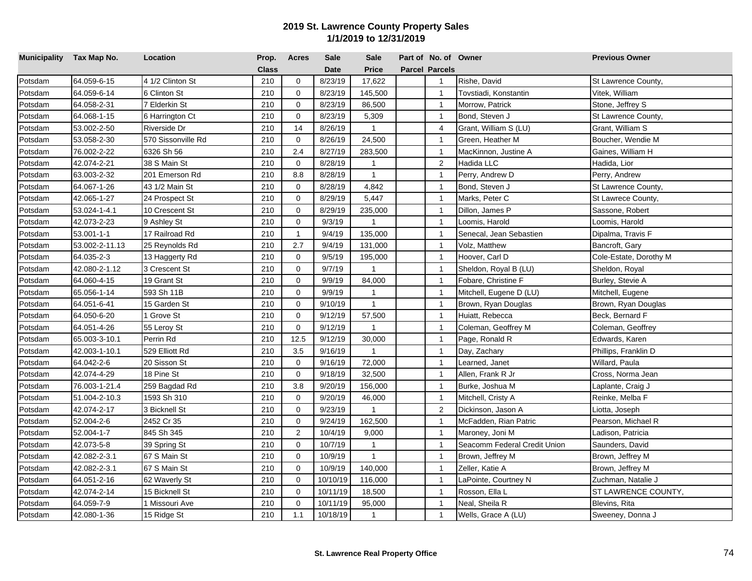| Municipality Tax Map No. |                | Location           | Prop.        | <b>Acres</b>   | <b>Sale</b> | <b>Sale</b>    | Part of No. of Owner  |                              | <b>Previous Owner</b>  |
|--------------------------|----------------|--------------------|--------------|----------------|-------------|----------------|-----------------------|------------------------------|------------------------|
|                          |                |                    | <b>Class</b> |                | <b>Date</b> | <b>Price</b>   | <b>Parcel Parcels</b> |                              |                        |
| Potsdam                  | 64.059-6-15    | 4 1/2 Clinton St   | 210          | $\mathbf 0$    | 8/23/19     | 17,622         | $\mathbf{1}$          | Rishe, David                 | St Lawrence County,    |
| Potsdam                  | 64.059-6-14    | 6 Clinton St       | 210          | $\mathbf 0$    | 8/23/19     | 145,500        | $\overline{1}$        | Tovstiadi, Konstantin        | Vitek, William         |
| Potsdam                  | 64.058-2-31    | 7 Elderkin St      | 210          | $\mathbf 0$    | 8/23/19     | 86,500         | $\overline{1}$        | Morrow, Patrick              | Stone, Jeffrey S       |
| Potsdam                  | 64.068-1-15    | 6 Harrington Ct    | 210          | $\mathbf 0$    | 8/23/19     | 5,309          | $\overline{1}$        | Bond, Steven J               | St Lawrence County,    |
| Potsdam                  | 53.002-2-50    | Riverside Dr       | 210          | 14             | 8/26/19     | $\mathbf{1}$   | $\overline{4}$        | Grant, William S (LU)        | Grant, William S       |
| Potsdam                  | 53.058-2-30    | 570 Sissonville Rd | 210          | $\mathbf 0$    | 8/26/19     | 24,500         | $\mathbf{1}$          | Green, Heather M             | Boucher, Wendie M      |
| Potsdam                  | 76.002-2-22    | 6326 Sh 56         | 210          | 2.4            | 8/27/19     | 283,500        | $\overline{1}$        | MacKinnon, Justine A         | Gaines, William H      |
| Potsdam                  | 42.074-2-21    | 38 S Main St       | 210          | $\overline{0}$ | 8/28/19     | $\mathbf{1}$   | 2                     | Hadida LLC                   | Hadida, Lior           |
| Potsdam                  | 63.003-2-32    | 201 Emerson Rd     | 210          | 8.8            | 8/28/19     | $\mathbf{1}$   | $\overline{1}$        | Perry, Andrew D              | Perry, Andrew          |
| Potsdam                  | 64.067-1-26    | 43 1/2 Main St     | 210          | $\mathbf 0$    | 8/28/19     | 4,842          | $\overline{1}$        | Bond, Steven J               | St Lawrence County,    |
| Potsdam                  | 42.065-1-27    | 24 Prospect St     | 210          | $\mathbf 0$    | 8/29/19     | 5,447          | $\overline{1}$        | Marks, Peter C               | St Lawrece County,     |
| Potsdam                  | 53.024-1-4.1   | 10 Crescent St     | 210          | $\mathbf 0$    | 8/29/19     | 235,000        | $\overline{1}$        | Dillon, James P              | Sassone, Robert        |
| Potsdam                  | 42.073-2-23    | 9 Ashley St        | 210          | $\mathbf 0$    | 9/3/19      | $\overline{1}$ | $\mathbf{1}$          | Loomis, Harold               | Loomis, Harold         |
| Potsdam                  | 53.001-1-1     | 17 Railroad Rd     | 210          | $\mathbf{1}$   | 9/4/19      | 135,000        | $\overline{1}$        | Senecal, Jean Sebastien      | Dipalma, Travis F      |
| Potsdam                  | 53.002-2-11.13 | 25 Reynolds Rd     | 210          | 2.7            | 9/4/19      | 131,000        | $\overline{1}$        | Volz, Matthew                | Bancroft, Gary         |
| Potsdam                  | 64.035-2-3     | 13 Haggerty Rd     | 210          | $\mathbf 0$    | 9/5/19      | 195,000        | $\overline{1}$        | Hoover, Carl D               | Cole-Estate, Dorothy M |
| Potsdam                  | 42.080-2-1.12  | 3 Crescent St      | 210          | $\mathbf 0$    | 9/7/19      | $\overline{1}$ | $\mathbf{1}$          | Sheldon, Royal B (LU)        | Sheldon, Royal         |
| Potsdam                  | 64.060-4-15    | 19 Grant St        | 210          | $\mathbf 0$    | 9/9/19      | 84,000         | $\overline{1}$        | Fobare, Christine F          | Burley, Stevie A       |
| Potsdam                  | 65.056-1-14    | 593 Sh 11B         | 210          | $\mathbf 0$    | 9/9/19      | $\mathbf{1}$   | $\overline{1}$        | Mitchell, Eugene D (LU)      | Mitchell, Eugene       |
| Potsdam                  | 64.051-6-41    | 15 Garden St       | 210          | $\Omega$       | 9/10/19     | $\mathbf{1}$   | $\overline{1}$        | Brown, Ryan Douglas          | Brown, Ryan Douglas    |
| Potsdam                  | 64.050-6-20    | 1 Grove St         | 210          | $\mathbf 0$    | 9/12/19     | 57,500         | $\overline{1}$        | Huiatt, Rebecca              | Beck, Bernard F        |
| Potsdam                  | 64.051-4-26    | 55 Leroy St        | 210          | $\mathbf 0$    | 9/12/19     | $\mathbf{1}$   | $\overline{1}$        | Coleman, Geoffrey M          | Coleman, Geoffrey      |
| Potsdam                  | 65.003-3-10.1  | Perrin Rd          | 210          | 12.5           | 9/12/19     | 30,000         | $\overline{1}$        | Page, Ronald R               | Edwards, Karen         |
| Potsdam                  | 42.003-1-10.1  | 529 Elliott Rd     | 210          | 3.5            | 9/16/19     | $\mathbf{1}$   | $\overline{1}$        | Day, Zachary                 | Phillips, Franklin D   |
| Potsdam                  | 64.042-2-6     | 20 Sisson St       | 210          | $\mathbf 0$    | 9/16/19     | 72,000         | $\overline{1}$        | earned, Janet                | Willard, Paula         |
| Potsdam                  | 42.074-4-29    | 18 Pine St         | 210          | $\mathbf 0$    | 9/18/19     | 32,500         | $\overline{1}$        | Allen, Frank R Jr            | Cross, Norma Jean      |
| Potsdam                  | 76.003-1-21.4  | 259 Bagdad Rd      | 210          | 3.8            | 9/20/19     | 156,000        | $\overline{1}$        | Burke, Joshua M              | Laplante, Craig J      |
| Potsdam                  | 51.004-2-10.3  | 1593 Sh 310        | 210          | $\mathbf 0$    | 9/20/19     | 46,000         | $\overline{1}$        | Mitchell, Cristy A           | Reinke, Melba F        |
| Potsdam                  | 42.074-2-17    | 3 Bicknell St      | 210          | $\mathbf 0$    | 9/23/19     | $\mathbf{1}$   | 2                     | Dickinson, Jason A           | Liotta, Joseph         |
| Potsdam                  | 52.004-2-6     | 2452 Cr 35         | 210          | $\mathbf 0$    | 9/24/19     | 162,500        | $\mathbf{1}$          | McFadden, Rian Patric        | Pearson, Michael R     |
| Potsdam                  | 52.004-1-7     | 845 Sh 345         | 210          | $\mathbf{2}$   | 10/4/19     | 9,000          | $\overline{1}$        | Maroney, Joni M              | Ladison, Patricia      |
| Potsdam                  | 42.073-5-8     | 39 Spring St       | 210          | $\mathbf 0$    | 10/7/19     | $\mathbf{1}$   | $\overline{1}$        | Seacomm Federal Credit Union | Saunders, David        |
| Potsdam                  | 42.082-2-3.1   | 67 S Main St       | 210          | $\mathbf 0$    | 10/9/19     | $\mathbf{1}$   | $\overline{1}$        | Brown, Jeffrey M             | Brown, Jeffrey M       |
| Potsdam                  | 42.082-2-3.1   | 67 S Main St       | 210          | $\mathbf 0$    | 10/9/19     | 140,000        | $\overline{1}$        | Zeller, Katie A              | Brown, Jeffrey M       |
| Potsdam                  | 64.051-2-16    | 62 Waverly St      | 210          | $\mathbf 0$    | 10/10/19    | 116,000        | $\overline{1}$        | LaPointe, Courtney N         | Zuchman, Natalie J     |
| Potsdam                  | 42.074-2-14    | 15 Bicknell St     | 210          | $\mathbf 0$    | 10/11/19    | 18,500         | $\mathbf{1}$          | Rosson, Ella L               | ST LAWRENCE COUNTY,    |
| Potsdam                  | 64.059-7-9     | 1 Missouri Ave     | 210          | $\mathbf 0$    | 10/11/19    | 95,000         | $\overline{1}$        | Neal, Sheila R               | Blevins, Rita          |
| Potsdam                  | 42.080-1-36    | 15 Ridge St        | 210          | 1.1            | 10/18/19    | $\mathbf{1}$   | $\mathbf{1}$          | Wells, Grace A (LU)          | Sweeney, Donna J       |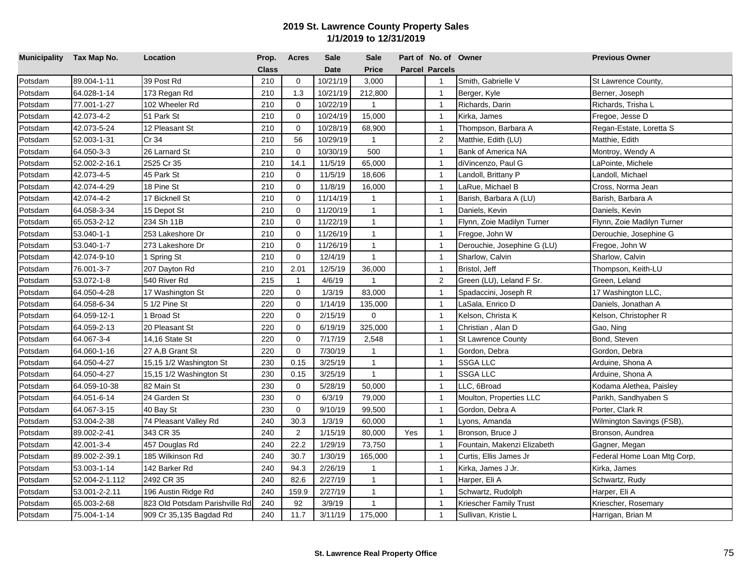| Municipality Tax Map No. |                | Location                       | Prop.        | <b>Acres</b>   | <b>Sale</b> | <b>Sale</b>  |     | Part of No. of Owner  |                              | <b>Previous Owner</b>       |
|--------------------------|----------------|--------------------------------|--------------|----------------|-------------|--------------|-----|-----------------------|------------------------------|-----------------------------|
|                          |                |                                | <b>Class</b> |                | <b>Date</b> | <b>Price</b> |     | <b>Parcel Parcels</b> |                              |                             |
| Potsdam                  | 89.004-1-11    | 39 Post Rd                     | 210          | $\mathbf 0$    | 10/21/19    | 3,000        |     | $\mathbf{1}$          | Smith, Gabrielle V           | St Lawrence County,         |
| Potsdam                  | 64.028-1-14    | 173 Regan Rd                   | 210          | 1.3            | 10/21/19    | 212,800      |     | $\overline{1}$        | Berger, Kyle                 | Berner, Joseph              |
| Potsdam                  | 77.001-1-27    | 102 Wheeler Rd                 | 210          | $\mathbf 0$    | 10/22/19    | $\mathbf{1}$ |     | $\overline{1}$        | Richards, Darin              | Richards, Trisha L          |
| Potsdam                  | 42.073-4-2     | 51 Park St                     | 210          | $\mathbf 0$    | 10/24/19    | 15,000       |     | $\overline{1}$        | Kirka, James                 | Fregoe, Jesse D             |
| Potsdam                  | 42.073-5-24    | 12 Pleasant St                 | 210          | $\mathbf 0$    | 10/28/19    | 68,900       |     | $\overline{1}$        | Thompson, Barbara A          | Regan-Estate, Loretta S     |
| Potsdam                  | 52.003-1-31    | Cr 34                          | 210          | 56             | 10/29/19    | $\mathbf{1}$ |     | 2                     | Matthie, Edith (LU)          | Matthie, Edith              |
| Potsdam                  | 64.050-3-3     | 26 Larnard St                  | 210          | $\mathbf 0$    | 10/30/19    | 500          |     | $\overline{1}$        | Bank of America NA           | Montroy, Wendy A            |
| Potsdam                  | 52.002-2-16.1  | 2525 Cr 35                     | 210          | 14.1           | 11/5/19     | 65,000       |     | $\overline{1}$        | diVincenzo, Paul G           | LaPointe, Michele           |
| Potsdam                  | 42.073-4-5     | 45 Park St                     | 210          | $\mathbf 0$    | 11/5/19     | 18,606       |     | $\overline{1}$        | Landoll, Brittany P          | Landoll, Michael            |
| Potsdam                  | 42.074-4-29    | 18 Pine St                     | 210          | $\mathbf 0$    | 11/8/19     | 16,000       |     | $\overline{1}$        | LaRue, Michael B             | Cross, Norma Jean           |
| Potsdam                  | 42.074-4-2     | 17 Bicknell St                 | 210          | $\mathbf 0$    | 11/14/19    | $\mathbf{1}$ |     | $\overline{1}$        | Barish, Barbara A (LU)       | Barish, Barbara A           |
| Potsdam                  | 64.058-3-34    | 15 Depot St                    | 210          | $\mathbf 0$    | 11/20/19    | $\mathbf{1}$ |     | $\overline{1}$        | Daniels, Kevin               | Daniels, Kevin              |
| Potsdam                  | 65.053-2-12    | 234 Sh 11B                     | 210          | $\Omega$       | 11/22/19    | $\mathbf{1}$ |     | $\mathbf{1}$          | Flynn, Zoie Madilyn Turner   | Flynn, Zoie Madilyn Turner  |
| Potsdam                  | 53.040-1-1     | 253 Lakeshore Dr               | 210          | $\mathbf 0$    | 11/26/19    | $\mathbf{1}$ |     | $\overline{1}$        | Fregoe, John W               | Derouchie, Josephine G      |
| Potsdam                  | 53.040-1-7     | 273 Lakeshore Dr               | 210          | $\mathbf 0$    | 11/26/19    | $\mathbf{1}$ |     | $\overline{1}$        | Derouchie, Josephine G (LU)  | Fregoe, John W              |
| Potsdam                  | 42.074-9-10    | 1 Spring St                    | 210          | $\mathbf 0$    | 12/4/19     | $\mathbf{1}$ |     | $\overline{1}$        | Sharlow, Calvin              | Sharlow, Calvin             |
| Potsdam                  | 76.001-3-7     | 207 Dayton Rd                  | 210          | 2.01           | 12/5/19     | 36,000       |     | $\overline{1}$        | Bristol, Jeff                | Thompson, Keith-LU          |
| Potsdam                  | 53.072-1-8     | 540 River Rd                   | 215          | $\overline{1}$ | 4/6/19      | $\mathbf{1}$ |     | $\overline{2}$        | Green (LU), Leland F Sr.     | Green, Leland               |
| Potsdam                  | 64.050-4-28    | 17 Washington St               | 220          | $\mathbf 0$    | 1/3/19      | 83,000       |     | $\overline{1}$        | Spadaccini, Joseph R         | 17 Washington LLC,          |
| Potsdam                  | 64.058-6-34    | 5 1/2 Pine St                  | 220          | $\Omega$       | 1/14/19     | 135,000      |     | $\overline{1}$        | <sub>-</sub> aSala, Enrico D | Daniels, Jonathan A         |
| Potsdam                  | 64.059-12-1    | 1 Broad St                     | 220          | $\mathbf 0$    | 2/15/19     | 0            |     | $\overline{1}$        | Kelson, Christa K            | Kelson, Christopher R       |
| Potsdam                  | 64.059-2-13    | 20 Pleasant St                 | 220          | $\mathbf 0$    | 6/19/19     | 325,000      |     | $\overline{1}$        | Christian, Alan D            | Gao, Ning                   |
| Potsdam                  | 64.067-3-4     | 14,16 State St                 | 220          | $\mathbf 0$    | 7/17/19     | 2,548        |     | $\overline{1}$        | <b>St Lawrence County</b>    | Bond, Steven                |
| Potsdam                  | 64.060-1-16    | 27 A,B Grant St                | 220          | $\mathbf 0$    | 7/30/19     | $\mathbf{1}$ |     | $\overline{1}$        | Gordon, Debra                | Gordon, Debra               |
| Potsdam                  | 64.050-4-27    | 15,15 1/2 Washington St        | 230          | 0.15           | 3/25/19     | $\mathbf{1}$ |     | $\overline{1}$        | <b>SSGA LLC</b>              | Arduine, Shona A            |
| Potsdam                  | 64.050-4-27    | 15,15 1/2 Washington St        | 230          | 0.15           | 3/25/19     | $\mathbf{1}$ |     | $\overline{1}$        | SSGA LLC                     | Arduine, Shona A            |
| Potsdam                  | 64.059-10-38   | 82 Main St                     | 230          | $\mathbf{0}$   | 5/28/19     | 50,000       |     | $\overline{1}$        | LLC, 6Broad                  | Kodama Alethea, Paisley     |
| Potsdam                  | 64.051-6-14    | 24 Garden St                   | 230          | $\mathbf 0$    | 6/3/19      | 79,000       |     | $\overline{1}$        | Moulton, Properties LLC      | Parikh, Sandhyaben S        |
| Potsdam                  | 64.067-3-15    | 40 Bay St                      | 230          | $\mathbf 0$    | 9/10/19     | 99,500       |     | $\overline{1}$        | Gordon, Debra A              | Porter, Clark R             |
| Potsdam                  | 53.004-2-38    | 74 Pleasant Valley Rd          | 240          | 30.3           | 1/3/19      | 60,000       |     | $\overline{1}$        | Lyons, Amanda                | Wilmington Savings (FSB),   |
| Potsdam                  | 89.002-2-41    | 343 CR 35                      | 240          | 2              | 1/15/19     | 80,000       | Yes | $\overline{1}$        | Bronson, Bruce J             | Bronson, Aundrea            |
| Potsdam                  | 42.001-3-4     | 457 Douglas Rd                 | 240          | 22.2           | 1/29/19     | 73,750       |     | $\overline{1}$        | Fountain, Makenzi Elizabeth  | Gagner, Megan               |
| Potsdam                  | 89.002-2-39.1  | 185 Wilkinson Rd               | 240          | 30.7           | 1/30/19     | 165,000      |     | $\overline{1}$        | Curtis, Ellis James Jr       | Federal Home Loan Mtg Corp, |
| Potsdam                  | 53.003-1-14    | 142 Barker Rd                  | 240          | 94.3           | 2/26/19     | $\mathbf{1}$ |     | $\overline{1}$        | Kirka, James J Jr.           | Kirka, James                |
| Potsdam                  | 52.004-2-1.112 | 2492 CR 35                     | 240          | 82.6           | 2/27/19     | $\mathbf{1}$ |     | $\overline{1}$        | Harper, Eli A                | Schwartz, Rudy              |
| Potsdam                  | 53.001-2-2.11  | 196 Austin Ridge Rd            | 240          | 159.9          | 2/27/19     | $\mathbf{1}$ |     | $\mathbf{1}$          | Schwartz, Rudolph            | Harper, Eli A               |
| Potsdam                  | 65.003-2-68    | 823 Old Potsdam Parishville Rd | 240          | 92             | 3/9/19      | $\mathbf{1}$ |     | $\mathbf{1}$          | Kriescher Family Trust       | Kriescher, Rosemary         |
| Potsdam                  | 75.004-1-14    | 909 Cr 35,135 Bagdad Rd        | 240          | 11.7           | 3/11/19     | 175,000      |     | $\mathbf{1}$          | Sullivan, Kristie L          | Harrigan, Brian M           |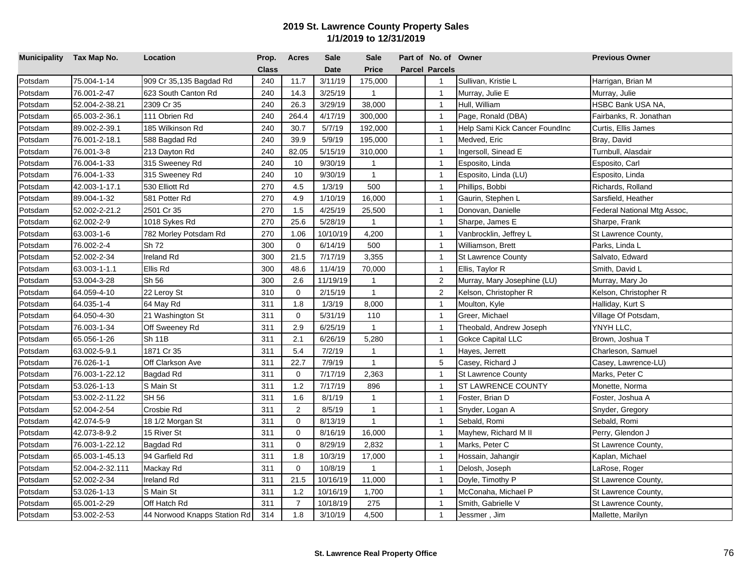| Municipality Tax Map No. |                 | Location                     | Prop.        | <b>Acres</b>   | <b>Sale</b> | <b>Sale</b>    | Part of No. of Owner  |                                | <b>Previous Owner</b>       |
|--------------------------|-----------------|------------------------------|--------------|----------------|-------------|----------------|-----------------------|--------------------------------|-----------------------------|
|                          |                 |                              | <b>Class</b> |                | <b>Date</b> | <b>Price</b>   | <b>Parcel Parcels</b> |                                |                             |
| Potsdam                  | 75.004-1-14     | 909 Cr 35,135 Bagdad Rd      | 240          | 11.7           | 3/11/19     | 175,000        | $\mathbf{1}$          | Sullivan, Kristie L            | Harrigan, Brian M           |
| Potsdam                  | 76.001-2-47     | 623 South Canton Rd          | 240          | 14.3           | 3/25/19     | $\mathbf{1}$   | $\overline{1}$        | Murray, Julie E                | Murray, Julie               |
| Potsdam                  | 52.004-2-38.21  | 2309 Cr 35                   | 240          | 26.3           | 3/29/19     | 38,000         | $\overline{1}$        | Hull, William                  | HSBC Bank USA NA,           |
| Potsdam                  | 65.003-2-36.1   | 111 Obrien Rd                | 240          | 264.4          | 4/17/19     | 300,000        | $\overline{1}$        | Page, Ronald (DBA)             | Fairbanks, R. Jonathan      |
| Potsdam                  | 89.002-2-39.1   | 185 Wilkinson Rd             | 240          | 30.7           | 5/7/19      | 192,000        | $\overline{1}$        | Help Sami Kick Cancer FoundInc | Curtis, Ellis James         |
| Potsdam                  | 76.001-2-18.1   | 588 Bagdad Rd                | 240          | 39.9           | 5/9/19      | 195,000        | $\mathbf{1}$          | Medved, Eric                   | Bray, David                 |
| Potsdam                  | 76.001-3-8      | 213 Dayton Rd                | 240          | 82.05          | 5/15/19     | 310,000        | $\overline{1}$        | Ingersoll, Sinead E            | Turnbull, Alasdair          |
| Potsdam                  | 76.004-1-33     | 315 Sweeney Rd               | 240          | 10             | 9/30/19     | $\mathbf{1}$   | $\overline{1}$        | Esposito, Linda                | Esposito, Carl              |
| Potsdam                  | 76.004-1-33     | 315 Sweeney Rd               | 240          | 10             | 9/30/19     | $\overline{1}$ | $\overline{1}$        | Esposito, Linda (LU)           | Esposito, Linda             |
| Potsdam                  | 42.003-1-17.1   | 530 Elliott Rd               | 270          | 4.5            | 1/3/19      | 500            | $\overline{1}$        | Phillips, Bobbi                | Richards, Rolland           |
| Potsdam                  | 89.004-1-32     | 581 Potter Rd                | 270          | 4.9            | 1/10/19     | 16,000         | $\overline{1}$        | Gaurin, Stephen L              | Sarsfield, Heather          |
| Potsdam                  | 52.002-2-21.2   | 2501 Cr 35                   | 270          | 1.5            | 4/25/19     | 25,500         | $\overline{1}$        | Donovan, Danielle              | Federal National Mtg Assoc, |
| Potsdam                  | 62.002-2-9      | 1018 Sykes Rd                | 270          | 25.6           | 5/28/19     | $\mathbf{1}$   | $\mathbf{1}$          | Sharpe, James E                | Sharpe, Frank               |
| Potsdam                  | 63.003-1-6      | 782 Morley Potsdam Rd        | 270          | 1.06           | 10/10/19    | 4,200          | $\overline{1}$        | Vanbrocklin, Jeffrey L         | St Lawrence County,         |
| Potsdam                  | 76.002-2-4      | Sh 72                        | 300          | $\mathbf 0$    | 6/14/19     | 500            | $\overline{1}$        | Williamson, Brett              | Parks, Linda L              |
| Potsdam                  | 52.002-2-34     | Ireland Rd                   | 300          | 21.5           | 7/17/19     | 3,355          | $\overline{1}$        | St Lawrence County             | Salvato, Edward             |
| Potsdam                  | 63.003-1-1.1    | Ellis Rd                     | 300          | 48.6           | 11/4/19     | 70,000         | $\mathbf{1}$          | Ellis, Taylor R                | Smith, David L              |
| Potsdam                  | 53.004-3-28     | Sh 56                        | 300          | 2.6            | 11/19/19    | $\mathbf{1}$   | $\overline{2}$        | Murray, Mary Josephine (LU)    | Murray, Mary Jo             |
| Potsdam                  | 64.059-4-10     | 22 Leroy St                  | 310          | $\mathbf 0$    | 2/15/19     | $\mathbf{1}$   | $\overline{c}$        | Kelson, Christopher R          | Kelson, Christopher R       |
| Potsdam                  | 64.035-1-4      | 64 May Rd                    | 311          | 1.8            | 1/3/19      | 8,000          | $\mathbf{1}$          | Moulton, Kyle                  | Halliday, Kurt S            |
| Potsdam                  | 64.050-4-30     | 21 Washington St             | 311          | $\mathbf 0$    | 5/31/19     | 110            | $\overline{1}$        | Greer, Michael                 | Village Of Potsdam,         |
| Potsdam                  | 76.003-1-34     | Off Sweeney Rd               | 311          | 2.9            | 6/25/19     | $\mathbf{1}$   | $\overline{1}$        | Theobald, Andrew Joseph        | YNYH LLC,                   |
| Potsdam                  | 65.056-1-26     | Sh 11B                       | 311          | 2.1            | 6/26/19     | 5,280          | $\overline{1}$        | <b>Gokce Capital LLC</b>       | Brown, Joshua T             |
| Potsdam                  | 63.002-5-9.1    | 1871 Cr 35                   | 311          | 5.4            | 7/2/19      | $\mathbf{1}$   | $\overline{1}$        | Hayes, Jerrett                 | Charleson, Samuel           |
| Potsdam                  | 76.026-1-1      | Off Clarkson Ave             | 311          | 22.7           | 7/9/19      | $\mathbf{1}$   | $\sqrt{5}$            | Casey, Richard J               | Casey, Lawrence-LU)         |
| Potsdam                  | 76.003-1-22.12  | Bagdad Rd                    | 311          | $\mathbf 0$    | 7/17/19     | 2,363          | $\overline{1}$        | <b>St Lawrence County</b>      | Marks, Peter C              |
| Potsdam                  | 53.026-1-13     | S Main St                    | 311          | 1.2            | 7/17/19     | 896            | $\mathbf{1}$          | ST LAWRENCE COUNTY             | Monette, Norma              |
| Potsdam                  | 53.002-2-11.22  | SH 56                        | 311          | 1.6            | 8/1/19      | $\mathbf{1}$   | $\overline{1}$        | Foster, Brian D                | Foster, Joshua A            |
| Potsdam                  | 52.004-2-54     | Crosbie Rd                   | 311          | 2              | 8/5/19      | $\mathbf{1}$   | $\overline{1}$        | Snyder, Logan A                | Snyder, Gregory             |
| Potsdam                  | 42.074-5-9      | 18 1/2 Morgan St             | 311          | $\mathbf 0$    | 8/13/19     | $\mathbf{1}$   | $\overline{1}$        | Sebald, Romi                   | Sebald, Romi                |
| Potsdam                  | 42.073-8-9.2    | 15 River St                  | 311          | $\mathbf 0$    | 8/16/19     | 16,000         | $\overline{1}$        | Mayhew, Richard M II           | Perry, Glendon J            |
| Potsdam                  | 76.003-1-22.12  | Bagdad Rd                    | 311          | $\mathbf 0$    | 8/29/19     | 2,832          | $\overline{1}$        | Marks, Peter C                 | St Lawrence County,         |
| Potsdam                  | 65.003-1-45.13  | 94 Garfield Rd               | 311          | 1.8            | 10/3/19     | 17,000         | $\overline{1}$        | Hossain, Jahangir              | Kaplan, Michael             |
| Potsdam                  | 52.004-2-32.111 | Mackay Rd                    | 311          | $\mathbf 0$    | 10/8/19     | $\mathbf{1}$   | $\overline{1}$        | Delosh, Joseph                 | LaRose, Roger               |
| Potsdam                  | 52.002-2-34     | Ireland Rd                   | 311          | 21.5           | 10/16/19    | 11,000         | $\overline{1}$        | Doyle, Timothy P               | St Lawrence County,         |
| Potsdam                  | 53.026-1-13     | S Main St                    | 311          | 1.2            | 10/16/19    | 1,700          | $\mathbf{1}$          | McConaha, Michael P            | St Lawrence County,         |
| Potsdam                  | 65.001-2-29     | Off Hatch Rd                 | 311          | $\overline{7}$ | 10/18/19    | 275            | $\mathbf{1}$          | Smith, Gabrielle V             | St Lawrence County,         |
| Potsdam                  | 53.002-2-53     | 44 Norwood Knapps Station Rd | 314          | 1.8            | 3/10/19     | 4,500          | $\mathbf{1}$          | Jessmer, Jim                   | Mallette, Marilyn           |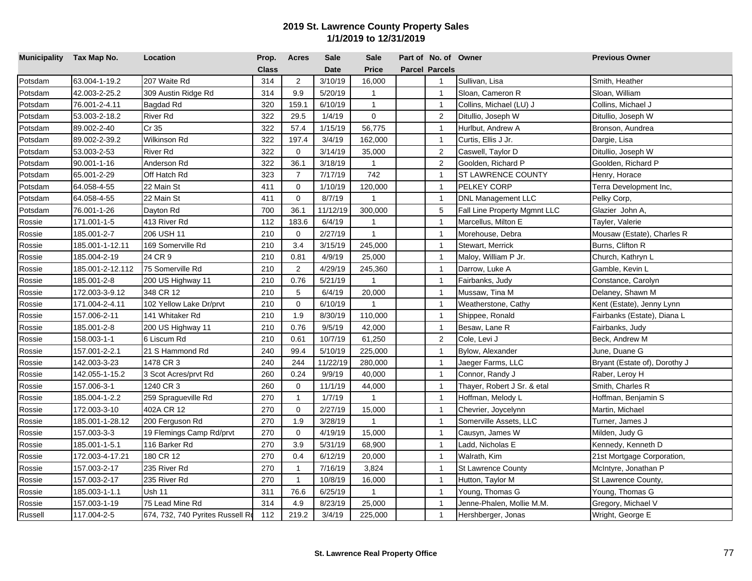| Municipality Tax Map No. |                  | Location                         | Prop.        | <b>Acres</b>   | <b>Sale</b> | <b>Sale</b>    | Part of No. of Owner  |                              | <b>Previous Owner</b>         |
|--------------------------|------------------|----------------------------------|--------------|----------------|-------------|----------------|-----------------------|------------------------------|-------------------------------|
|                          |                  |                                  | <b>Class</b> |                | <b>Date</b> | Price          | <b>Parcel Parcels</b> |                              |                               |
| Potsdam                  | 63.004-1-19.2    | 207 Waite Rd                     | 314          | 2              | 3/10/19     | 16,000         | $\mathbf{1}$          | Sullivan, Lisa               | Smith, Heather                |
| Potsdam                  | 42.003-2-25.2    | 309 Austin Ridge Rd              | 314          | 9.9            | 5/20/19     | $\mathbf{1}$   | $\mathbf{1}$          | Sloan, Cameron R             | Sloan, William                |
| Potsdam                  | 76.001-2-4.11    | Bagdad Rd                        | 320          | 159.1          | 6/10/19     | $\mathbf{1}$   | $\overline{1}$        | Collins, Michael (LU) J      | Collins, Michael J            |
| Potsdam                  | 53.003-2-18.2    | River Rd                         | 322          | 29.5           | 1/4/19      | $\mathbf 0$    | 2                     | Ditullio, Joseph W           | Ditullio, Joseph W            |
| Potsdam                  | 89.002-2-40      | Cr 35                            | 322          | 57.4           | 1/15/19     | 56,775         | $\mathbf{1}$          | Hurlbut, Andrew A            | Bronson, Aundrea              |
| Potsdam                  | 89.002-2-39.2    | Wilkinson Rd                     | 322          | 197.4          | 3/4/19      | 162,000        | $\mathbf{1}$          | Curtis, Ellis J Jr.          | Dargie, Lisa                  |
| Potsdam                  | 53.003-2-53      | River Rd                         | 322          | 0              | 3/14/19     | 35,000         | $\overline{2}$        | Caswell, Taylor D            | Ditullio, Joseph W            |
| Potsdam                  | 90.001-1-16      | Anderson Rd                      | 322          | 36.1           | 3/18/19     | $\mathbf{1}$   | $\overline{2}$        | Goolden, Richard P           | Goolden, Richard P            |
| Potsdam                  | 65.001-2-29      | Off Hatch Rd                     | 323          | $\overline{7}$ | 7/17/19     | 742            | $\mathbf{1}$          | ST LAWRENCE COUNTY           | Henry, Horace                 |
| Potsdam                  | 64.058-4-55      | 22 Main St                       | 411          | $\mathbf 0$    | 1/10/19     | 120,000        | $\mathbf{1}$          | PELKEY CORP                  | Terra Development Inc,        |
| Potsdam                  | 64.058-4-55      | 22 Main St                       | 411          | 0              | 8/7/19      | $\mathbf{1}$   | $\overline{1}$        | <b>DNL Management LLC</b>    | Pelky Corp,                   |
| Potsdam                  | 76.001-1-26      | Dayton Rd                        | 700          | 36.1           | 11/12/19    | 300,000        | 5                     | Fall Line Property Mgmnt LLC | Glazier John A,               |
| Rossie                   | 171.001-1-5      | 413 River Rd                     | 112          | 183.6          | 6/4/19      | $\mathbf{1}$   | $\mathbf{1}$          | Marcellus, Milton E          | Tayler, Valerie               |
| Rossie                   | 185.001-2-7      | 206 USH 11                       | 210          | $\mathbf 0$    | 2/27/19     | $\mathbf{1}$   | $\overline{1}$        | Morehouse, Debra             | Mousaw (Estate), Charles R    |
| Rossie                   | 185.001-1-12.11  | 169 Somerville Rd                | 210          | 3.4            | 3/15/19     | 245,000        | $\overline{1}$        | Stewart, Merrick             | Burns, Clifton R              |
| Rossie                   | 185.004-2-19     | 24 CR 9                          | 210          | 0.81           | 4/9/19      | 25,000         | $\overline{1}$        | Maloy, William P Jr.         | Church, Kathryn L             |
| Rossie                   | 185.001-2-12.112 | 75 Somerville Rd                 | 210          | $\overline{2}$ | 4/29/19     | 245,360        | $\mathbf{1}$          | Darrow, Luke A               | Gamble, Kevin L               |
| Rossie                   | 185.001-2-8      | 200 US Highway 11                | 210          | 0.76           | 5/21/19     | $\overline{1}$ | $\overline{1}$        | Fairbanks, Judy              | Constance, Carolyn            |
| Rossie                   | 172.003-3-9.12   | 348 CR 12                        | 210          | 5              | 6/4/19      | 20,000         | $\overline{1}$        | Mussaw, Tina M               | Delaney, Shawn M              |
| Rossie                   | 171.004-2-4.11   | 102 Yellow Lake Dr/prvt          | 210          | $\Omega$       | 6/10/19     | $\mathbf{1}$   | $\overline{1}$        | Weatherstone, Cathy          | Kent (Estate), Jenny Lynn     |
| Rossie                   | 157.006-2-11     | 141 Whitaker Rd                  | 210          | 1.9            | 8/30/19     | 110,000        | $\mathbf{1}$          | Shippee, Ronald              | Fairbanks (Estate), Diana L   |
| Rossie                   | 185.001-2-8      | 200 US Highway 11                | 210          | 0.76           | 9/5/19      | 42,000         | $\overline{1}$        | Besaw, Lane R                | Fairbanks, Judy               |
| Rossie                   | 158.003-1-1      | 6 Liscum Rd                      | 210          | 0.61           | 10/7/19     | 61,250         | 2                     | Cole, Levi J                 | Beck, Andrew M                |
| Rossie                   | 157.001-2-2.1    | 21 S Hammond Rd                  | 240          | 99.4           | 5/10/19     | 225,000        | $\overline{1}$        | Bylow, Alexander             | June, Duane G                 |
| Rossie                   | 142.003-3-23     | 1478 CR 3                        | 240          | 244            | 11/22/19    | 280,000        | $\mathbf{1}$          | Jaeger Farms, LLC            | Bryant (Estate of), Dorothy J |
| Rossie                   | 142.055-1-15.2   | 3 Scot Acres/prvt Rd             | 260          | 0.24           | 9/9/19      | 40,000         | $\overline{1}$        | Connor, Randy J              | Raber, Leroy H                |
| Rossie                   | 157.006-3-1      | 1240 CR 3                        | 260          | $\mathbf 0$    | 11/1/19     | 44,000         | $\overline{1}$        | Thayer, Robert J Sr. & etal  | Smith, Charles R              |
| Rossie                   | 185.004-1-2.2    | 259 Spragueville Rd              | 270          | $\mathbf{1}$   | 1/7/19      | $\mathbf{1}$   | $\mathbf{1}$          | Hoffman, Melody L            | Hoffman, Benjamin S           |
| Rossie                   | 172.003-3-10     | 402A CR 12                       | 270          | 0              | 2/27/19     | 15,000         | $\mathbf{1}$          | Chevrier, Joycelynn          | Martin, Michael               |
| Rossie                   | 185.001-1-28.12  | 200 Ferguson Rd                  | 270          | 1.9            | 3/28/19     | $\mathbf{1}$   | $\overline{1}$        | Somerville Assets, LLC       | Turner, James J               |
| Rossie                   | 157.003-3-3      | 19 Flemings Camp Rd/prvt         | 270          | $\mathbf 0$    | 4/19/19     | 15,000         | $\overline{1}$        | Causyn, James W              | Milden, Judy G                |
| Rossie                   | 185.001-1-5.1    | 116 Barker Rd                    | 270          | 3.9            | 5/31/19     | 68,900         | $\overline{1}$        | Ladd, Nicholas E             | Kennedy, Kenneth D            |
| Rossie                   | 172.003-4-17.21  | 180 CR 12                        | 270          | 0.4            | 6/12/19     | 20,000         | $\mathbf{1}$          | Walrath, Kim                 | 21st Mortgage Corporation,    |
| Rossie                   | 157.003-2-17     | 235 River Rd                     | 270          | $\mathbf{1}$   | 7/16/19     | 3,824          | $\mathbf{1}$          | <b>St Lawrence County</b>    | McIntyre, Jonathan P          |
| Rossie                   | 157.003-2-17     | 235 River Rd                     | 270          | $\mathbf{1}$   | 10/8/19     | 16,000         | $\overline{1}$        | Hutton, Taylor M             | St Lawrence County,           |
| Rossie                   | 185.003-1-1.1    | Ush 11                           | 311          | 76.6           | 6/25/19     | $\mathbf{1}$   | $\mathbf{1}$          | Young, Thomas G              | Young, Thomas G               |
| Rossie                   | 157.003-1-19     | 75 Lead Mine Rd                  | 314          | 4.9            | 8/23/19     | 25,000         | $\mathbf{1}$          | Jenne-Phalen, Mollie M.M.    | Gregory, Michael V            |
| Russell                  | 117.004-2-5      | 674, 732, 740 Pyrites Russell Ro | 112          | 219.2          | 3/4/19      | 225,000        | $\mathbf{1}$          | Hershberger, Jonas           | Wright, George E              |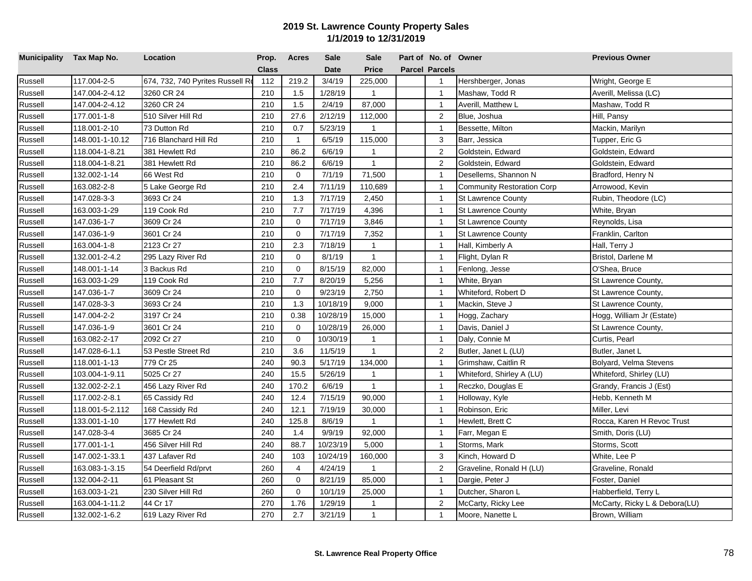| Municipality Tax Map No. |                 | Location                         | Prop.        | <b>Acres</b> | <b>Sale</b> | <b>Sale</b>    | Part of No. of Owner  |                                   | <b>Previous Owner</b>         |
|--------------------------|-----------------|----------------------------------|--------------|--------------|-------------|----------------|-----------------------|-----------------------------------|-------------------------------|
|                          |                 |                                  | <b>Class</b> |              | <b>Date</b> | Price          | <b>Parcel Parcels</b> |                                   |                               |
| Russell                  | 117.004-2-5     | 674, 732, 740 Pyrites Russell Ro | 112          | 219.2        | 3/4/19      | 225,000        | $\overline{1}$        | Hershberger, Jonas                | Wright, George E              |
| Russell                  | 147.004-2-4.12  | 3260 CR 24                       | 210          | 1.5          | 1/28/19     | $\mathbf{1}$   | $\mathbf{1}$          | Mashaw, Todd R                    | Averill, Melissa (LC)         |
| Russell                  | 147.004-2-4.12  | 3260 CR 24                       | 210          | 1.5          | 2/4/19      | 87,000         | $\overline{1}$        | Averill, Matthew L                | Mashaw, Todd R                |
| Russell                  | 177.001-1-8     | 510 Silver Hill Rd               | 210          | 27.6         | 2/12/19     | 112,000        | 2                     | Blue, Joshua                      | Hill, Pansy                   |
| Russell                  | 118.001-2-10    | 73 Dutton Rd                     | 210          | 0.7          | 5/23/19     | $\mathbf{1}$   | $\overline{1}$        | Bessette, Milton                  | Mackin, Marilyn               |
| Russell                  | 148.001-1-10.12 | 716 Blanchard Hill Rd            | 210          | $\mathbf{1}$ | 6/5/19      | 115,000        | 3                     | Barr, Jessica                     | Tupper, Eric G                |
| Russell                  | 118.004-1-8.21  | 381 Hewlett Rd                   | 210          | 86.2         | 6/6/19      | $\mathbf{1}$   | $\overline{2}$        | Goldstein, Edward                 | Goldstein, Edward             |
| Russell                  | 118.004-1-8.21  | 381 Hewlett Rd                   | 210          | 86.2         | 6/6/19      | $\mathbf{1}$   | $\overline{c}$        | Goldstein, Edward                 | Goldstein, Edward             |
| Russell                  | 132.002-1-14    | 66 West Rd                       | 210          | $\mathbf 0$  | 7/1/19      | 71,500         | $\overline{1}$        | Desellems, Shannon N              | Bradford, Henry N             |
| Russell                  | 163.082-2-8     | 5 Lake George Rd                 | 210          | 2.4          | 7/11/19     | 110,689        | $\mathbf{1}$          | <b>Community Restoration Corp</b> | Arrowood, Kevin               |
| Russell                  | 147.028-3-3     | 3693 Cr 24                       | 210          | 1.3          | 7/17/19     | 2,450          | $\overline{1}$        | <b>St Lawrence County</b>         | Rubin, Theodore (LC)          |
| Russell                  | 163.003-1-29    | 119 Cook Rd                      | 210          | 7.7          | 7/17/19     | 4,396          | $\overline{1}$        | <b>St Lawrence County</b>         | White, Bryan                  |
| Russell                  | 147.036-1-7     | 3609 Cr 24                       | 210          | $\mathbf 0$  | 7/17/19     | 3,846          | $\overline{1}$        | <b>St Lawrence County</b>         | Reynolds, Lisa                |
| Russell                  | 147.036-1-9     | 3601 Cr 24                       | 210          | $\mathbf 0$  | 7/17/19     | 7,352          | $\mathbf{1}$          | <b>St Lawrence County</b>         | Franklin, Carlton             |
| Russell                  | 163.004-1-8     | 2123 Cr 27                       | 210          | 2.3          | 7/18/19     | $\mathbf{1}$   | $\overline{1}$        | Hall, Kimberly A                  | Hall, Terry J                 |
| Russell                  | 132.001-2-4.2   | 295 Lazy River Rd                | 210          | $\mathbf 0$  | 8/1/19      | $\mathbf{1}$   | $\overline{1}$        | Flight, Dylan R                   | Bristol, Darlene M            |
| Russell                  | 148.001-1-14    | 3 Backus Rd                      | 210          | $\mathbf 0$  | 8/15/19     | 82,000         | $\overline{1}$        | Fenlong, Jesse                    | O'Shea, Bruce                 |
| Russell                  | 163.003-1-29    | 119 Cook Rd                      | 210          | 7.7          | 8/20/19     | 5,256          | $\overline{1}$        | White, Bryan                      | St Lawrence County,           |
| Russell                  | 147.036-1-7     | 3609 Cr 24                       | 210          | $\mathbf 0$  | 9/23/19     | 2,750          | $\overline{1}$        | Whiteford, Robert D               | St Lawrence County,           |
| Russell                  | 147.028-3-3     | 3693 Cr 24                       | 210          | 1.3          | 10/18/19    | 9,000          | $\overline{1}$        | Mackin, Steve J                   | St Lawrence County,           |
| Russell                  | 147.004-2-2     | 3197 Cr 24                       | 210          | 0.38         | 10/28/19    | 15,000         | $\mathbf{1}$          | Hogg, Zachary                     | Hogg, William Jr (Estate)     |
| Russell                  | 147.036-1-9     | 3601 Cr 24                       | 210          | $\mathbf 0$  | 10/28/19    | 26,000         | $\overline{1}$        | Davis, Daniel J                   | St Lawrence County,           |
| Russell                  | 163.082-2-17    | 2092 Cr 27                       | 210          | $\mathbf 0$  | 10/30/19    | $\mathbf{1}$   | $\overline{1}$        | Daly, Connie M                    | Curtis, Pearl                 |
| Russell                  | 147.028-6-1.1   | 53 Pestle Street Rd              | 210          | 3.6          | 11/5/19     | $\mathbf{1}$   | $\sqrt{2}$            | Butler, Janet L (LU)              | Butler, Janet L               |
| Russell                  | 118.001-1-13    | 779 Cr 25                        | 240          | 90.3         | 5/17/19     | 134,000        | $\mathbf{1}$          | Grimshaw, Caitlin R               | Bolyard, Velma Stevens        |
| Russell                  | 103.004-1-9.11  | 5025 Cr 27                       | 240          | 15.5         | 5/26/19     | $\mathbf{1}$   | $\overline{1}$        | Whiteford, Shirley A (LU)         | Whiteford, Shirley (LU)       |
| Russell                  | 132.002-2-2.1   | 456 Lazy River Rd                | 240          | 170.2        | 6/6/19      | $\mathbf{1}$   | $\mathbf{1}$          | Reczko, Douglas E                 | Grandy, Francis J (Est)       |
| Russell                  | 117.002-2-8.1   | 65 Cassidy Rd                    | 240          | 12.4         | 7/15/19     | 90,000         | $\mathbf{1}$          | Holloway, Kyle                    | Hebb, Kenneth M               |
| Russell                  | 118.001-5-2.112 | 168 Cassidy Rd                   | 240          | 12.1         | 7/19/19     | 30,000         | $\mathbf{1}$          | Robinson, Eric                    | Miller, Levi                  |
| Russell                  | 133.001-1-10    | 177 Hewlett Rd                   | 240          | 125.8        | 8/6/19      | $\mathbf{1}$   | $\overline{1}$        | Hewlett, Brett C                  | Rocca, Karen H Revoc Trust    |
| Russell                  | 147.028-3-4     | 3685 Cr 24                       | 240          | 1.4          | 9/9/19      | 92,000         | $\overline{1}$        | Farr, Megan E                     | Smith, Doris (LU)             |
| Russell                  | 177.001-1-1     | 456 Silver Hill Rd               | 240          | 88.7         | 10/23/19    | 5,000          | $\overline{1}$        | Storms, Mark                      | Storms, Scott                 |
| Russell                  | 147.002-1-33.1  | 437 Lafaver Rd                   | 240          | 103          | 10/24/19    | 160,000        | $\mathbf{3}$          | Kinch, Howard D                   | White, Lee P                  |
| Russell                  | 163.083-1-3.15  | 54 Deerfield Rd/prvt             | 260          | 4            | 4/24/19     | $\mathbf{1}$   | $\overline{c}$        | Graveline, Ronald H (LU)          | Graveline, Ronald             |
| Russell                  | 132.004-2-11    | 61 Pleasant St                   | 260          | 0            | 8/21/19     | 85,000         | $\overline{1}$        | Dargie, Peter J                   | Foster, Daniel                |
| Russell                  | 163.003-1-21    | 230 Silver Hill Rd               | 260          | $\mathbf 0$  | 10/1/19     | 25,000         | $\mathbf{1}$          | Dutcher, Sharon L                 | Habberfield, Terry L          |
| Russell                  | 163.004-1-11.2  | 44 Cr 17                         | 270          | 1.76         | 1/29/19     | $\overline{1}$ | 2                     | McCarty, Ricky Lee                | McCarty, Ricky L & Debora(LU) |
| Russell                  | 132.002-1-6.2   | 619 Lazy River Rd                | 270          | 2.7          | 3/21/19     | $\mathbf{1}$   | $\mathbf{1}$          | Moore, Nanette L                  | Brown, William                |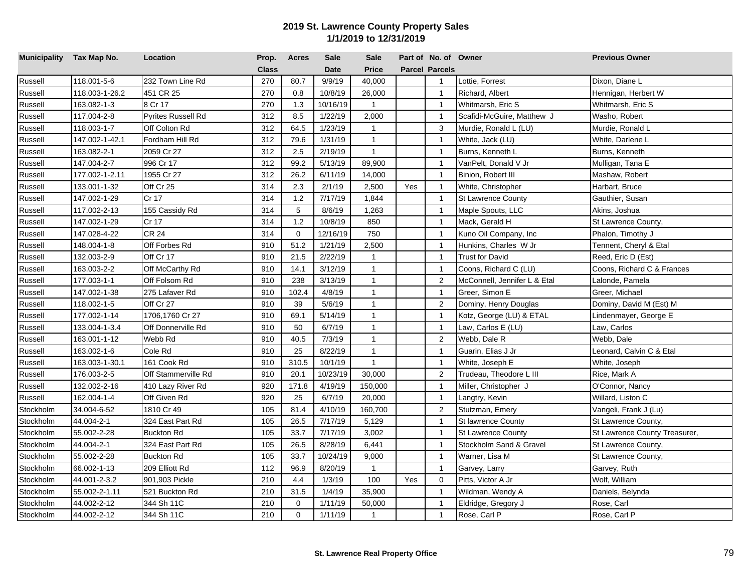| Municipality Tax Map No. |                | Location                  | Prop.        | <b>Acres</b> | <b>Sale</b> | <b>Sale</b>  |     | Part of No. of Owner  |                              | <b>Previous Owner</b>         |
|--------------------------|----------------|---------------------------|--------------|--------------|-------------|--------------|-----|-----------------------|------------------------------|-------------------------------|
|                          |                |                           | <b>Class</b> |              | <b>Date</b> | Price        |     | <b>Parcel Parcels</b> |                              |                               |
| Russell                  | 118.001-5-6    | 232 Town Line Rd          | 270          | 80.7         | 9/9/19      | 40,000       |     | $\mathbf{1}$          | Lottie, Forrest              | Dixon, Diane L                |
| Russell                  | 118.003-1-26.2 | 451 CR 25                 | 270          | 0.8          | 10/8/19     | 26,000       |     | $\mathbf{1}$          | Richard, Albert              | Hennigan, Herbert W           |
| Russell                  | 163.082-1-3    | 8 Cr 17                   | 270          | 1.3          | 10/16/19    | $\mathbf{1}$ |     | $\overline{1}$        | Whitmarsh, Eric S            | Whitmarsh, Eric S             |
| Russell                  | 117.004-2-8    | <b>Pyrites Russell Rd</b> | 312          | 8.5          | 1/22/19     | 2,000        |     | $\overline{1}$        | Scafidi-McGuire, Matthew J   | Washo, Robert                 |
| Russell                  | 118.003-1-7    | Off Colton Rd             | 312          | 64.5         | 1/23/19     | $\mathbf{1}$ |     | 3                     | Murdie, Ronald L (LU)        | Murdie, Ronald L              |
| Russell                  | 147.002-1-42.1 | Fordham Hill Rd           | 312          | 79.6         | 1/31/19     | $\mathbf{1}$ |     | $\overline{1}$        | White, Jack (LU)             | White, Darlene L              |
| Russell                  | 163.082-2-1    | 2059 Cr 27                | 312          | 2.5          | 2/19/19     | $\mathbf{1}$ |     | $\overline{1}$        | Burns, Kenneth L             | Burns, Kenneth                |
| Russell                  | 147.004-2-7    | 996 Cr 17                 | 312          | 99.2         | 5/13/19     | 89,900       |     | $\overline{1}$        | VanPelt, Donald V Jr         | Mulligan, Tana E              |
| Russell                  | 177.002-1-2.11 | 1955 Cr 27                | 312          | 26.2         | 6/11/19     | 14,000       |     | $\overline{1}$        | Binion, Robert III           | Mashaw, Robert                |
| Russell                  | 133.001-1-32   | Off Cr 25                 | 314          | 2.3          | 2/1/19      | 2,500        | Yes | $\mathbf{1}$          | White, Christopher           | Harbart, Bruce                |
| Russell                  | 147.002-1-29   | Cr 17                     | 314          | 1.2          | 7/17/19     | 1,844        |     | $\overline{1}$        | <b>St Lawrence County</b>    | Gauthier, Susan               |
| Russell                  | 117.002-2-13   | 155 Cassidy Rd            | 314          | 5            | 8/6/19      | 1,263        |     | $\overline{1}$        | Maple Spouts, LLC            | Akins, Joshua                 |
| Russell                  | 147.002-1-29   | Cr 17                     | 314          | 1.2          | 10/8/19     | 850          |     | $\mathbf{1}$          | Mack, Gerald H               | St Lawrence County,           |
| Russell                  | 147.028-4-22   | <b>CR 24</b>              | 314          | $\mathbf 0$  | 12/16/19    | 750          |     | $\overline{1}$        | Kuno Oil Company, Inc.       | Phalon, Timothy J             |
| Russell                  | 148.004-1-8    | Off Forbes Rd             | 910          | 51.2         | 1/21/19     | 2,500        |     | $\overline{1}$        | Hunkins, Charles W Jr        | Tennent, Cheryl & Etal        |
| Russell                  | 132.003-2-9    | Off Cr 17                 | 910          | 21.5         | 2/22/19     | $\mathbf{1}$ |     | $\overline{1}$        | Trust for David              | Reed, Eric D (Est)            |
| Russell                  | 163.003-2-2    | Off McCarthy Rd           | 910          | 14.1         | 3/12/19     | $\mathbf{1}$ |     | $\mathbf{1}$          | Coons, Richard C (LU)        | Coons, Richard C & Frances    |
| Russell                  | 177.003-1-1    | Off Folsom Rd             | 910          | 238          | 3/13/19     | $\mathbf{1}$ |     | $\overline{2}$        | McConnell, Jennifer L & Etal | Lalonde, Pamela               |
| Russell                  | 147.002-1-38   | 275 Lafaver Rd            | 910          | 102.4        | 4/8/19      | $\mathbf{1}$ |     | $\overline{1}$        | Greer, Simon E               | Greer, Michael                |
| Russell                  | 118.002-1-5    | Off Cr 27                 | 910          | 39           | 5/6/19      | $\mathbf{1}$ |     | 2                     | Dominy, Henry Douglas        | Dominy, David M (Est) M       |
| Russell                  | 177.002-1-14   | 1706,1760 Cr 27           | 910          | 69.1         | 5/14/19     | $\mathbf{1}$ |     | $\mathbf{1}$          | Kotz, George (LU) & ETAL     | Lindenmayer, George E         |
| Russell                  | 133.004-1-3.4  | Off Donnerville Rd        | 910          | 50           | 6/7/19      | $\mathbf{1}$ |     | $\overline{1}$        | Law, Carlos E (LU)           | Law, Carlos                   |
| Russell                  | 163.001-1-12   | Webb Rd                   | 910          | 40.5         | 7/3/19      | $\mathbf{1}$ |     | 2                     | Webb, Dale R                 | Webb, Dale                    |
| Russell                  | 163.002-1-6    | Cole Rd                   | 910          | 25           | 8/22/19     | $\mathbf{1}$ |     | $\overline{1}$        | Guarin, Elias J Jr           | Leonard, Calvin C & Etal      |
| Russell                  | 163.003-1-30.1 | 161 Cook Rd               | 910          | 310.5        | 10/1/19     | $\mathbf{1}$ |     | $\overline{1}$        | White, Joseph E              | White, Joseph                 |
| Russell                  | 176.003-2-5    | Off Stammerville Rd       | 910          | 20.1         | 10/23/19    | 30,000       |     | 2                     | Trudeau, Theodore L III      | Rice, Mark A                  |
| Russell                  | 132.002-2-16   | 410 Lazy River Rd         | 920          | 171.8        | 4/19/19     | 150,000      |     | $\overline{1}$        | Miller, Christopher J        | O'Connor, Nancy               |
| Russell                  | 162.004-1-4    | Off Given Rd              | 920          | 25           | 6/7/19      | 20,000       |     | $\overline{1}$        | Langtry, Kevin               | Willard, Liston C             |
| Stockholm                | 34.004-6-52    | 1810 Cr 49                | 105          | 81.4         | 4/10/19     | 160,700      |     | 2                     | Stutzman, Emery              | Vangeli, Frank J (Lu)         |
| Stockholm                | 44.004-2-1     | 324 East Part Rd          | 105          | 26.5         | 7/17/19     | 5,129        |     | $\overline{1}$        | <b>St lawrence County</b>    | St Lawrence County,           |
| Stockholm                | 55.002-2-28    | <b>Buckton Rd</b>         | 105          | 33.7         | 7/17/19     | 3,002        |     | $\overline{1}$        | <b>St Lawrence County</b>    | St Lawrence County Treasurer, |
| Stockholm                | 44.004-2-1     | 324 East Part Rd          | 105          | 26.5         | 8/28/19     | 6,441        |     | $\overline{1}$        | Stockholm Sand & Gravel      | St Lawrence County,           |
| Stockholm                | 55.002-2-28    | <b>Buckton Rd</b>         | 105          | 33.7         | 10/24/19    | 9,000        |     | $\mathbf{1}$          | Warner, Lisa M               | St Lawrence County,           |
| Stockholm                | 66.002-1-13    | 209 Elliott Rd            | 112          | 96.9         | 8/20/19     | $\mathbf{1}$ |     | $\mathbf{1}$          | Garvey, Larry                | Garvey, Ruth                  |
| Stockholm                | 44.001-2-3.2   | 901,903 Pickle            | 210          | 4.4          | 1/3/19      | 100          | Yes | 0                     | Pitts, Victor A Jr           | Wolf, William                 |
| Stockholm                | 55.002-2-1.11  | 521 Buckton Rd            | 210          | 31.5         | 1/4/19      | 35,900       |     | $\mathbf{1}$          | Wildman, Wendy A             | Daniels, Belynda              |
| Stockholm                | 44.002-2-12    | 344 Sh 11C                | 210          | 0            | 1/11/19     | 50,000       |     | $\overline{1}$        | Eldridge, Gregory J          | Rose, Carl                    |
| Stockholm                | 44.002-2-12    | 344 Sh 11C                | 210          | $\mathbf 0$  | 1/11/19     | $\mathbf{1}$ |     | $\mathbf{1}$          | Rose, Carl P                 | Rose, Carl P                  |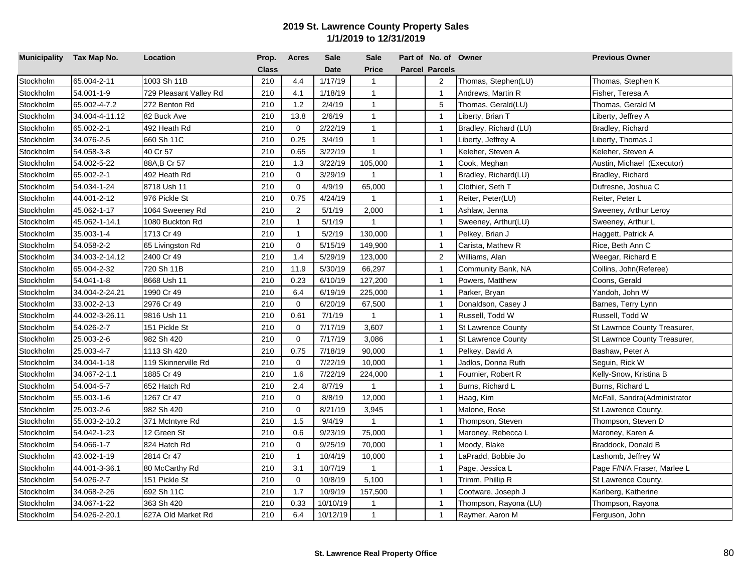| Municipality Tax Map No. |                | Location               | Prop.        | <b>Acres</b> | <b>Sale</b> | <b>Sale</b>  | Part of No. of Owner  |                           | <b>Previous Owner</b>        |
|--------------------------|----------------|------------------------|--------------|--------------|-------------|--------------|-----------------------|---------------------------|------------------------------|
|                          |                |                        | <b>Class</b> |              | <b>Date</b> | <b>Price</b> | <b>Parcel Parcels</b> |                           |                              |
| Stockholm                | 65.004-2-11    | 1003 Sh 11B            | 210          | 4.4          | 1/17/19     | $\mathbf{1}$ | 2                     | Thomas, Stephen(LU)       | Thomas, Stephen K            |
| Stockholm                | 54.001-1-9     | 729 Pleasant Valley Rd | 210          | 4.1          | 1/18/19     | $\mathbf{1}$ | $\mathbf{1}$          | Andrews, Martin R         | Fisher, Teresa A             |
| Stockholm                | 65.002-4-7.2   | 272 Benton Rd          | 210          | 1.2          | 2/4/19      | $\mathbf{1}$ | 5                     | Thomas, Gerald(LU)        | Thomas, Gerald M             |
| Stockholm                | 34.004-4-11.12 | 82 Buck Ave            | 210          | 13.8         | 2/6/19      | $\mathbf{1}$ | $\overline{1}$        | Liberty, Brian T          | Liberty, Jeffrey A           |
| Stockholm                | 65.002-2-1     | 492 Heath Rd           | 210          | $\mathbf 0$  | 2/22/19     | $\mathbf{1}$ | $\mathbf{1}$          | Bradley, Richard (LU)     | Bradley, Richard             |
| Stockholm                | 34.076-2-5     | 660 Sh 11C             | 210          | 0.25         | 3/4/19      | $\mathbf{1}$ | $\overline{1}$        | Liberty, Jeffrey A        | Liberty, Thomas J            |
| Stockholm                | 54.058-3-8     | 40 Cr 57               | 210          | 0.65         | 3/22/19     | $\mathbf{1}$ | $\overline{1}$        | Keleher, Steven A         | Keleher, Steven A            |
| Stockholm                | 54.002-5-22    | 88A, B Cr 57           | 210          | 1.3          | 3/22/19     | 105,000      | $\overline{1}$        | Cook, Meghan              | Austin, Michael (Executor)   |
| Stockholm                | 65.002-2-1     | 492 Heath Rd           | 210          | $\mathbf 0$  | 3/29/19     | $\mathbf{1}$ | $\overline{1}$        | Bradley, Richard(LU)      | Bradley, Richard             |
| Stockholm                | 54.034-1-24    | 8718 Ush 11            | 210          | $\mathbf 0$  | 4/9/19      | 65,000       | $\overline{1}$        | Clothier, Seth T          | Dufresne, Joshua C           |
| Stockholm                | 44.001-2-12    | 976 Pickle St          | 210          | 0.75         | 4/24/19     | $\mathbf{1}$ | $\overline{1}$        | Reiter, Peter(LU)         | Reiter, Peter L              |
| Stockholm                | 45.062-1-17    | 1064 Sweeney Rd        | 210          | 2            | 5/1/19      | 2,000        | $\mathbf{1}$          | Ashlaw, Jenna             | Sweeney, Arthur Leroy        |
| Stockholm                | 45.062-1-14.1  | 1080 Buckton Rd        | 210          | $\mathbf{1}$ | 5/1/19      | $\mathbf{1}$ | $\mathbf{1}$          | Sweeney, Arthur(LU)       | Sweeney, Arthur L            |
| Stockholm                | 35.003-1-4     | 1713 Cr 49             | 210          | $\mathbf{1}$ | 5/2/19      | 130,000      | $\overline{1}$        | Pelkey, Brian J           | Haggett, Patrick A           |
| Stockholm                | 54.058-2-2     | 65 Livingston Rd       | 210          | $\mathbf 0$  | 5/15/19     | 149,900      | $\overline{1}$        | Carista, Mathew R         | Rice, Beth Ann C             |
| Stockholm                | 34.003-2-14.12 | 2400 Cr 49             | 210          | 1.4          | 5/29/19     | 123,000      | 2                     | Williams, Alan            | Weegar, Richard E            |
| Stockholm                | 65.004-2-32    | 720 Sh 11B             | 210          | 11.9         | 5/30/19     | 66,297       | $\overline{1}$        | Community Bank, NA        | Collins, John(Referee)       |
| Stockholm                | 54.041-1-8     | 8668 Ush 11            | 210          | 0.23         | 6/10/19     | 127,200      | $\overline{1}$        | Powers, Matthew           | Coons, Gerald                |
| Stockholm                | 34.004-2-24.21 | 1990 Cr 49             | 210          | 6.4          | 6/19/19     | 225,000      | $\overline{1}$        | Parker, Bryan             | Yandoh, John W               |
| Stockholm                | 33.002-2-13    | 2976 Cr 49             | 210          | $\Omega$     | 6/20/19     | 67,500       | $\mathbf{1}$          | Donaldson, Casey J        | Barnes, Terry Lynn           |
| Stockholm                | 44.002-3-26.11 | 9816 Ush 11            | 210          | 0.61         | 7/1/19      | $\mathbf{1}$ | $\mathbf{1}$          | Russell, Todd W           | Russell, Todd W              |
| Stockholm                | 54.026-2-7     | 151 Pickle St          | 210          | $\mathbf 0$  | 7/17/19     | 3,607        | $\overline{1}$        | <b>St Lawrence County</b> | St Lawrnce County Treasurer, |
| Stockholm                | 25.003-2-6     | 982 Sh 420             | 210          | $\mathbf 0$  | 7/17/19     | 3,086        | $\overline{1}$        | <b>St Lawrence County</b> | St Lawrnce County Treasurer, |
| Stockholm                | 25.003-4-7     | 1113 Sh 420            | 210          | 0.75         | 7/18/19     | 90,000       | $\overline{1}$        | Pelkey, David A           | Bashaw, Peter A              |
| Stockholm                | 34.004-1-18    | 119 Skinnerville Rd    | 210          | $\mathbf 0$  | 7/22/19     | 10,000       | $\overline{1}$        | Jadlos, Donna Ruth        | Seguin, Rick W               |
| Stockholm                | 34.067-2-1.1   | 1885 Cr 49             | 210          | 1.6          | 7/22/19     | 224,000      | $\overline{1}$        | Fournier, Robert R        | Kelly-Snow, Kristina B       |
| Stockholm                | 54.004-5-7     | 652 Hatch Rd           | 210          | 2.4          | 8/7/19      | $\mathbf{1}$ | $\overline{1}$        | Burns, Richard L          | Burns, Richard L             |
| Stockholm                | 55.003-1-6     | 1267 Cr 47             | 210          | $\mathbf 0$  | 8/8/19      | 12,000       | $\mathbf{1}$          | Haag, Kim                 | McFall, Sandra(Administrator |
| Stockholm                | 25.003-2-6     | 982 Sh 420             | 210          | $\mathbf 0$  | 8/21/19     | 3,945        | $\overline{1}$        | Malone, Rose              | St Lawrence County,          |
| Stockholm                | 55.003-2-10.2  | 371 McIntyre Rd        | 210          | 1.5          | 9/4/19      | $\mathbf{1}$ | $\overline{1}$        | Thompson, Steven          | Thompson, Steven D           |
| Stockholm                | 54.042-1-23    | 12 Green St            | 210          | 0.6          | 9/23/19     | 75,000       | $\overline{1}$        | Maroney, Rebecca L        | Maroney, Karen A             |
| Stockholm                | 54.066-1-7     | 824 Hatch Rd           | 210          | $\mathbf 0$  | 9/25/19     | 70,000       | $\overline{1}$        | Moody, Blake              | Braddock, Donald B           |
| Stockholm                | 43.002-1-19    | 2814 Cr 47             | 210          | $\mathbf{1}$ | 10/4/19     | 10,000       | $\overline{1}$        | LaPradd, Bobbie Jo        | Lashomb, Jeffrey W           |
| Stockholm                | 44.001-3-36.1  | 80 McCarthy Rd         | 210          | 3.1          | 10/7/19     | $\mathbf{1}$ | $\mathbf{1}$          | Page, Jessica L           | Page F/N/A Fraser, Marlee L  |
| Stockholm                | 54.026-2-7     | 151 Pickle St          | 210          | $\mathbf 0$  | 10/8/19     | 5,100        | $\mathbf{1}$          | Trimm, Phillip R          | St Lawrence County,          |
| Stockholm                | 34.068-2-26    | 692 Sh 11C             | 210          | 1.7          | 10/9/19     | 157,500      | $\mathbf{1}$          | Cootware, Joseph J        | Karlberg, Katherine          |
| Stockholm                | 34.067-1-22    | 363 Sh 420             | 210          | 0.33         | 10/10/19    | 1            | $\overline{1}$        | Thompson, Rayona (LU)     | Thompson, Rayona             |
| Stockholm                | 54.026-2-20.1  | 627A Old Market Rd     | 210          | 6.4          | 10/12/19    | $\mathbf{1}$ | $\mathbf{1}$          | Raymer, Aaron M           | Ferguson, John               |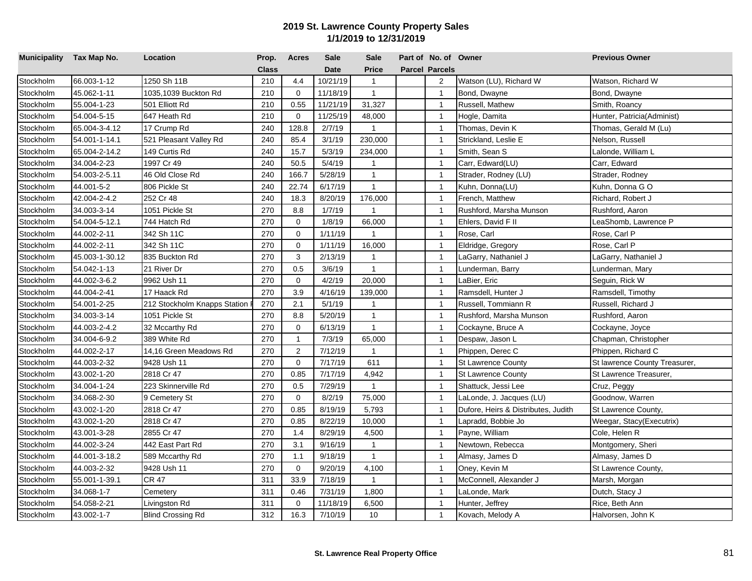| Municipality Tax Map No. |                | Location                     | Prop.        | <b>Acres</b>   | <b>Sale</b> | <b>Sale</b>  | Part of No. of Owner  |                                     | <b>Previous Owner</b>         |
|--------------------------|----------------|------------------------------|--------------|----------------|-------------|--------------|-----------------------|-------------------------------------|-------------------------------|
|                          |                |                              | <b>Class</b> |                | <b>Date</b> | <b>Price</b> | <b>Parcel Parcels</b> |                                     |                               |
| Stockholm                | 66.003-1-12    | 1250 Sh 11B                  | 210          | 4.4            | 10/21/19    | $\mathbf{1}$ | 2                     | Watson (LU), Richard W              | Watson, Richard W             |
| Stockholm                | 45.062-1-11    | 1035,1039 Buckton Rd         | 210          | $\mathbf 0$    | 11/18/19    | $\mathbf{1}$ | $\overline{1}$        | Bond, Dwayne                        | Bond, Dwayne                  |
| Stockholm                | 55.004-1-23    | 501 Elliott Rd               | 210          | 0.55           | 11/21/19    | 31,327       | $\overline{1}$        | Russell, Mathew                     | Smith, Roancy                 |
| Stockholm                | 54.004-5-15    | 647 Heath Rd                 | 210          | $\mathbf 0$    | 11/25/19    | 48,000       | $\overline{1}$        | Hogle, Damita                       | Hunter, Patricia(Administ)    |
| Stockholm                | 65.004-3-4.12  | 17 Crump Rd                  | 240          | 128.8          | 2/7/19      | $\mathbf{1}$ | $\overline{1}$        | Thomas, Devin K                     | Thomas, Gerald M (Lu)         |
| Stockholm                | 54.001-1-14.1  | 521 Pleasant Valley Rd       | 240          | 85.4           | 3/1/19      | 230,000      | $\overline{1}$        | Strickland, Leslie E                | Nelson, Russell               |
| Stockholm                | 65.004-2-14.2  | 149 Curtis Rd                | 240          | 15.7           | 5/3/19      | 234,000      | $\overline{1}$        | Smith, Sean S                       | Lalonde, William L            |
| Stockholm                | 34.004-2-23    | 1997 Cr 49                   | 240          | 50.5           | 5/4/19      | $\mathbf{1}$ | $\overline{1}$        | Carr, Edward(LU)                    | Carr, Edward                  |
| Stockholm                | 54.003-2-5.11  | 46 Old Close Rd              | 240          | 166.7          | 5/28/19     | $\mathbf{1}$ | $\overline{1}$        | Strader, Rodney (LU)                | Strader, Rodney               |
| Stockholm                | 44.001-5-2     | 806 Pickle St                | 240          | 22.74          | 6/17/19     | $\mathbf{1}$ | $\overline{1}$        | Kuhn, Donna(LU)                     | Kuhn, Donna GO                |
| Stockholm                | 42.004-2-4.2   | 252 Cr 48                    | 240          | 18.3           | 8/20/19     | 176,000      | $\overline{1}$        | French, Matthew                     | Richard, Robert J             |
| Stockholm                | 34.003-3-14    | 1051 Pickle St               | 270          | 8.8            | 1/7/19      | $\mathbf{1}$ | $\overline{1}$        | Rushford, Marsha Munson             | Rushford, Aaron               |
| Stockholm                | 54.004-5-12.1  | 744 Hatch Rd                 | 270          | $\Omega$       | 1/8/19      | 66,000       | $\mathbf{1}$          | Ehlers, David F II                  | LeaShomb, Lawrence P          |
| Stockholm                | 44.002-2-11    | 342 Sh 11C                   | 270          | $\Omega$       | 1/11/19     | $\mathbf{1}$ | $\overline{1}$        | Rose, Carl                          | Rose, Carl P                  |
| Stockholm                | 44.002-2-11    | 342 Sh 11C                   | 270          | $\mathbf 0$    | 1/11/19     | 16,000       | $\overline{1}$        | Eldridge, Gregory                   | Rose, Carl P                  |
| Stockholm                | 45.003-1-30.12 | 835 Buckton Rd               | 270          | 3              | 2/13/19     | $\mathbf{1}$ | $\overline{1}$        | LaGarry, Nathaniel J                | LaGarry, Nathaniel J          |
| Stockholm                | 54.042-1-13    | 21 River Dr                  | 270          | 0.5            | 3/6/19      | $\mathbf{1}$ | $\overline{1}$        | Lunderman, Barry                    | Lunderman, Mary               |
| Stockholm                | 44.002-3-6.2   | 9962 Ush 11                  | 270          | $\Omega$       | 4/2/19      | 20,000       | $\overline{1}$        | aBier, Eric                         | Seguin, Rick W                |
| Stockholm                | 44.004-2-41    | 17 Haack Rd                  | 270          | 3.9            | 4/16/19     | 139,000      | $\overline{1}$        | Ramsdell, Hunter J                  | Ramsdell, Timothy             |
| Stockholm                | 54.001-2-25    | 212 Stockholm Knapps Station | 270          | 2.1            | 5/1/19      | $\mathbf{1}$ | $\overline{1}$        | Russell, Tommiann R                 | Russell, Richard J            |
| Stockholm                | 34.003-3-14    | 1051 Pickle St               | 270          | 8.8            | 5/20/19     | $\mathbf{1}$ | $\mathbf{1}$          | Rushford, Marsha Munson             | Rushford, Aaron               |
| Stockholm                | 44.003-2-4.2   | 32 Mccarthy Rd               | 270          | $\mathbf 0$    | 6/13/19     | $\mathbf{1}$ | $\overline{1}$        | Cockayne, Bruce A                   | Cockayne, Joyce               |
| Stockholm                | 34.004-6-9.2   | 389 White Rd                 | 270          | $\mathbf{1}$   | 7/3/19      | 65,000       | $\overline{1}$        | Despaw, Jason L                     | Chapman, Christopher          |
| Stockholm                | 44.002-2-17    | 14,16 Green Meadows Rd       | 270          | $\overline{2}$ | 7/12/19     | $\mathbf{1}$ | $\overline{1}$        | Phippen, Derec C                    | Phippen, Richard C            |
| Stockholm                | 44.003-2-32    | 9428 Ush 11                  | 270          | $\mathbf 0$    | 7/17/19     | 611          | $\overline{1}$        | <b>St Lawrence County</b>           | St lawrence County Treasurer, |
| Stockholm                | 43.002-1-20    | 2818 Cr 47                   | 270          | 0.85           | 7/17/19     | 4,942        | $\overline{1}$        | <b>St Lawrence County</b>           | St Lawrence Treasurer,        |
| Stockholm                | 34.004-1-24    | 223 Skinnerville Rd          | 270          | 0.5            | 7/29/19     | $\mathbf{1}$ | $\overline{1}$        | Shattuck, Jessi Lee                 | Cruz, Peggy                   |
| Stockholm                | 34.068-2-30    | 9 Cemetery St                | 270          | $\mathbf 0$    | 8/2/19      | 75,000       | $\overline{1}$        | LaLonde, J. Jacques (LU)            | Goodnow, Warren               |
| Stockholm                | 43.002-1-20    | 2818 Cr 47                   | 270          | 0.85           | 8/19/19     | 5,793        | $\overline{1}$        | Dufore, Heirs & Distributes, Judith | St Lawrence County,           |
| Stockholm                | 43.002-1-20    | 2818 Cr 47                   | 270          | 0.85           | 8/22/19     | 10,000       | $\overline{1}$        | Lapradd, Bobbie Jo                  | Weegar, Stacy(Executrix)      |
| Stockholm                | 43.001-3-28    | 2855 Cr 47                   | 270          | 1.4            | 8/29/19     | 4,500        | $\overline{1}$        | Payne, William                      | Cole, Helen R                 |
| Stockholm                | 44.002-3-24    | 442 East Part Rd             | 270          | 3.1            | 9/16/19     | $\mathbf{1}$ | $\overline{1}$        | Newtown, Rebecca                    | Montgomery, Sheri             |
| Stockholm                | 44.001-3-18.2  | 589 Mccarthy Rd              | 270          | 1.1            | 9/18/19     | $\mathbf{1}$ | $\overline{1}$        | Almasy, James D                     | Almasy, James D               |
| Stockholm                | 44.003-2-32    | 9428 Ush 11                  | 270          | $\mathbf 0$    | 9/20/19     | 4,100        | $\overline{1}$        | Oney, Kevin M                       | St Lawrence County,           |
| Stockholm                | 55.001-1-39.1  | <b>CR 47</b>                 | 311          | 33.9           | 7/18/19     | $\mathbf{1}$ | $\overline{1}$        | McConnell, Alexander J              | Marsh, Morgan                 |
| Stockholm                | 34.068-1-7     | Cemetery                     | 311          | 0.46           | 7/31/19     | 1,800        | $\mathbf{1}$          | LaLonde, Mark                       | Dutch, Stacy J                |
| Stockholm                | 54.058-2-21    | Livingston Rd                | 311          | 0              | 11/18/19    | 6,500        | $\mathbf{1}$          | Hunter, Jeffrey                     | Rice, Beth Ann                |
| Stockholm                | 43.002-1-7     | <b>Blind Crossing Rd</b>     | 312          | 16.3           | 7/10/19     | 10           | $\mathbf{1}$          | Kovach, Melody A                    | Halvorsen, John K             |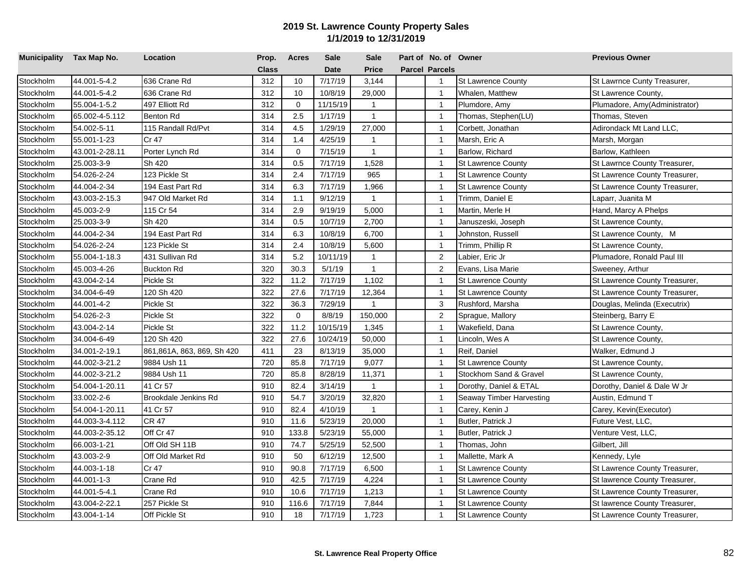| Municipality Tax Map No. |                | Location                   | Prop.        | <b>Acres</b> | <b>Sale</b> | <b>Sale</b>    | Part of No. of Owner    |                           | <b>Previous Owner</b>         |
|--------------------------|----------------|----------------------------|--------------|--------------|-------------|----------------|-------------------------|---------------------------|-------------------------------|
|                          |                |                            | <b>Class</b> |              | <b>Date</b> | <b>Price</b>   | <b>Parcel Parcels</b>   |                           |                               |
| Stockholm                | 44.001-5-4.2   | 636 Crane Rd               | 312          | 10           | 7/17/19     | 3,144          | $\overline{\mathbf{1}}$ | <b>St Lawrence County</b> | St Lawrnce Cunty Treasurer,   |
| Stockholm                | 44.001-5-4.2   | 636 Crane Rd               | 312          | 10           | 10/8/19     | 29,000         | $\overline{1}$          | Whalen, Matthew           | St Lawrence County,           |
| Stockholm                | 55.004-1-5.2   | 497 Elliott Rd             | 312          | $\mathbf 0$  | 11/15/19    | $\mathbf{1}$   | $\overline{1}$          | Plumdore, Amy             | Plumadore, Amy(Administrator) |
| Stockholm                | 65.002-4-5.112 | Benton Rd                  | 314          | 2.5          | 1/17/19     | $\mathbf{1}$   | $\overline{1}$          | Thomas, Stephen(LU)       | Thomas, Steven                |
| Stockholm                | 54.002-5-11    | 115 Randall Rd/Pvt         | 314          | 4.5          | 1/29/19     | 27,000         | $\overline{1}$          | Corbett, Jonathan         | Adirondack Mt Land LLC,       |
| Stockholm                | 55.001-1-23    | Cr 47                      | 314          | 1.4          | 4/25/19     | $\overline{1}$ | $\overline{1}$          | Marsh, Eric A             | Marsh, Morgan                 |
| Stockholm                | 43.001-2-28.11 | Porter Lynch Rd            | 314          | $\mathbf 0$  | 7/15/19     | $\mathbf{1}$   | $\overline{1}$          | Barlow, Richard           | Barlow, Kathleen              |
| Stockholm                | 25.003-3-9     | Sh 420                     | 314          | 0.5          | 7/17/19     | 1,528          | $\overline{1}$          | <b>St Lawrence County</b> | St Lawrnce County Treasurer,  |
| Stockholm                | 54.026-2-24    | 123 Pickle St              | 314          | 2.4          | 7/17/19     | 965            | $\overline{1}$          | <b>St Lawrence County</b> | St Lawrence County Treasurer, |
| Stockholm                | 44.004-2-34    | 194 East Part Rd           | 314          | 6.3          | 7/17/19     | 1,966          | $\overline{1}$          | <b>St Lawrence County</b> | St Lawrence County Treasurer, |
| Stockholm                | 43.003-2-15.3  | 947 Old Market Rd          | 314          | 1.1          | 9/12/19     | $\mathbf{1}$   | $\overline{1}$          | Trimm, Daniel E           | Laparr, Juanita M             |
| Stockholm                | 45.003-2-9     | 115 Cr 54                  | 314          | 2.9          | 9/19/19     | 5,000          | $\overline{1}$          | Martin, Merle H           | Hand, Marcy A Phelps          |
| Stockholm                | 25.003-3-9     | Sh 420                     | 314          | 0.5          | 10/7/19     | 2,700          | $\overline{1}$          | Januszeski, Joseph        | St Lawrence County,           |
| Stockholm                | 44.004-2-34    | 194 East Part Rd           | 314          | 6.3          | 10/8/19     | 6,700          | $\overline{1}$          | Johnston, Russell         | St Lawrence County, M         |
| Stockholm                | 54.026-2-24    | 123 Pickle St              | 314          | 2.4          | 10/8/19     | 5,600          | $\overline{1}$          | Trimm, Phillip R          | St Lawrence County,           |
| Stockholm                | 55.004-1-18.3  | 431 Sullivan Rd            | 314          | 5.2          | 10/11/19    | $\mathbf{1}$   | $\overline{2}$          | Labier, Eric Jr           | Plumadore, Ronald Paul III    |
| Stockholm                | 45.003-4-26    | <b>Buckton Rd</b>          | 320          | 30.3         | 5/1/19      | $\overline{1}$ | $\overline{c}$          | Evans, Lisa Marie         | Sweeney, Arthur               |
| Stockholm                | 43.004-2-14    | Pickle St                  | 322          | 11.2         | 7/17/19     | 1,102          | $\overline{1}$          | <b>St Lawrence County</b> | St Lawrence County Treasurer, |
| Stockholm                | 34.004-6-49    | 120 Sh 420                 | 322          | 27.6         | 7/17/19     | 12,364         | $\overline{1}$          | <b>St Lawrence County</b> | St Lawrence County Treasurer, |
| Stockholm                | 44.001-4-2     | Pickle St                  | 322          | 36.3         | 7/29/19     | $\overline{1}$ | 3                       | Rushford, Marsha          | Douglas, Melinda (Executrix)  |
| Stockholm                | 54.026-2-3     | Pickle St                  | 322          | $\mathbf 0$  | 8/8/19      | 150,000        | $\overline{c}$          | Sprague, Mallory          | Steinberg, Barry E            |
| Stockholm                | 43.004-2-14    | Pickle St                  | 322          | 11.2         | 10/15/19    | 1,345          | $\overline{1}$          | Wakefield, Dana           | St Lawrence County,           |
| Stockholm                | 34.004-6-49    | 120 Sh 420                 | 322          | 27.6         | 10/24/19    | 50,000         | $\overline{1}$          | Lincoln, Wes A            | St Lawrence County,           |
| Stockholm                | 34.001-2-19.1  | 861,861A, 863, 869, Sh 420 | 411          | 23           | 8/13/19     | 35,000         | $\overline{1}$          | Reif, Daniel              | Walker, Edmund J              |
| Stockholm                | 44.002-3-21.2  | 9884 Ush 11                | 720          | 85.8         | 7/17/19     | 9,077          | $\overline{1}$          | <b>St Lawrence County</b> | St Lawrence County,           |
| Stockholm                | 44.002-3-21.2  | 9884 Ush 11                | 720          | 85.8         | 8/28/19     | 11,371         | $\overline{1}$          | Stockhom Sand & Gravel    | St Lawrence County,           |
| Stockholm                | 54.004-1-20.11 | 41 Cr 57                   | 910          | 82.4         | 3/14/19     | $\overline{1}$ | $\mathbf{1}$            | Dorothy, Daniel & ETAL    | Dorothy, Daniel & Dale W Jr   |
| Stockholm                | 33.002-2-6     | Brookdale Jenkins Rd       | 910          | 54.7         | 3/20/19     | 32,820         | $\overline{1}$          | Seaway Timber Harvesting  | Austin, Edmund T              |
| Stockholm                | 54.004-1-20.11 | 41 Cr 57                   | 910          | 82.4         | 4/10/19     | $\overline{1}$ | $\overline{1}$          | Carey, Kenin J            | Carey, Kevin(Executor)        |
| Stockholm                | 44.003-3-4.112 | <b>CR 47</b>               | 910          | 11.6         | 5/23/19     | 20,000         | $\overline{1}$          | Butler, Patrick J         | Future Vest, LLC,             |
| Stockholm                | 44.003-2-35.12 | Off Cr 47                  | 910          | 133.8        | 5/23/19     | 55,000         | $\overline{1}$          | Butler, Patrick J         | Venture Vest, LLC,            |
| Stockholm                | 66.003-1-21    | Off Old SH 11B             | 910          | 74.7         | 5/25/19     | 52,500         | $\overline{1}$          | Thomas, John              | Gilbert, Jill                 |
| Stockholm                | 43.003-2-9     | Off Old Market Rd          | 910          | 50           | 6/12/19     | 12,500         | $\overline{1}$          | Mallette, Mark A          | Kennedy, Lyle                 |
| Stockholm                | 44.003-1-18    | Cr 47                      | 910          | 90.8         | 7/17/19     | 6,500          | $\overline{1}$          | <b>St Lawrence County</b> | St Lawrence County Treasurer, |
| Stockholm                | 44.001-1-3     | Crane Rd                   | 910          | 42.5         | 7/17/19     | 4,224          | $\overline{1}$          | <b>St Lawrence County</b> | St lawrence County Treasurer, |
| Stockholm                | 44.001-5-4.1   | Crane Rd                   | 910          | 10.6         | 7/17/19     | 1,213          | $\overline{1}$          | <b>St Lawrence County</b> | St Lawrence County Treasurer, |
| Stockholm                | 43.004-2-22.1  | 257 Pickle St              | 910          | 116.6        | 7/17/19     | 7,844          | $\overline{1}$          | <b>St Lawrence County</b> | St lawrence County Treasurer, |
| Stockholm                | 43.004-1-14    | <b>Off Pickle St</b>       | 910          | 18           | 7/17/19     | 1,723          | $\overline{1}$          | <b>St Lawrence County</b> | St Lawrence County Treasurer, |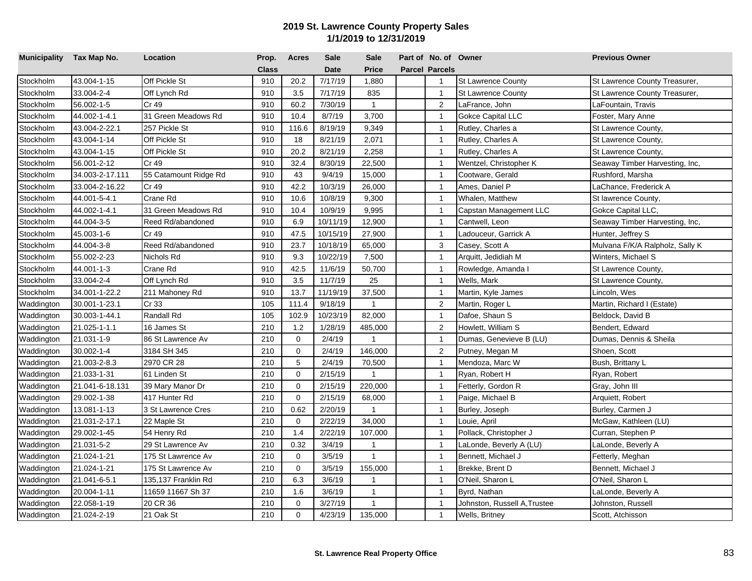| Municipality Tax Map No. |                 | Location              | Prop.        | <b>Acres</b> | <b>Sale</b> | <b>Sale</b>    | Part of No. of Owner  |                              | <b>Previous Owner</b>           |
|--------------------------|-----------------|-----------------------|--------------|--------------|-------------|----------------|-----------------------|------------------------------|---------------------------------|
|                          |                 |                       | <b>Class</b> |              | <b>Date</b> | <b>Price</b>   | <b>Parcel Parcels</b> |                              |                                 |
| Stockholm                | 43.004-1-15     | Off Pickle St         | 910          | 20.2         | 7/17/19     | 1,880          | $\overline{1}$        | <b>St Lawrence County</b>    | St Lawrence County Treasurer,   |
| Stockholm                | 33.004-2-4      | Off Lynch Rd          | 910          | 3.5          | 7/17/19     | 835            | $\mathbf{1}$          | <b>St Lawrence County</b>    | St Lawrence County Treasurer,   |
| Stockholm                | 56.002-1-5      | Cr 49                 | 910          | 60.2         | 7/30/19     | $\mathbf{1}$   | $\overline{2}$        | LaFrance, John               | LaFountain, Travis              |
| Stockholm                | 44.002-1-4.1    | 31 Green Meadows Rd   | 910          | 10.4         | 8/7/19      | 3,700          | $\overline{1}$        | <b>Gokce Capital LLC</b>     | Foster, Mary Anne               |
| Stockholm                | 43.004-2-22.1   | 257 Pickle St         | 910          | 116.6        | 8/19/19     | 9,349          | $\mathbf{1}$          | Rutley, Charles a            | St Lawrence County,             |
| Stockholm                | 43.004-1-14     | Off Pickle St         | 910          | 18           | 8/21/19     | 2,071          | $\overline{1}$        | Rutley, Charles A            | St Lawrence County,             |
| Stockholm                | 43.004-1-15     | Off Pickle St         | 910          | 20.2         | 8/21/19     | 2,258          | $\mathbf{1}$          | Rutley, Charles A            | St Lawrence County,             |
| Stockholm                | 56.001-2-12     | Cr 49                 | 910          | 32.4         | 8/30/19     | 22,500         | $\overline{1}$        | Wentzel, Christopher K       | Seaway Timber Harvesting, Inc,  |
| Stockholm                | 34.003-2-17.111 | 55 Catamount Ridge Rd | 910          | 43           | 9/4/19      | 15,000         | $\mathbf{1}$          | Cootware, Gerald             | Rushford, Marsha                |
| Stockholm                | 33.004-2-16.22  | Cr 49                 | 910          | 42.2         | 10/3/19     | 26,000         | $\mathbf{1}$          | Ames, Daniel P               | LaChance, Frederick A           |
| Stockholm                | 44.001-5-4.1    | Crane Rd              | 910          | 10.6         | 10/8/19     | 9,300          | $\overline{1}$        | Whalen, Matthew              | St lawrence County,             |
| Stockholm                | 44.002-1-4.1    | 31 Green Meadows Rd   | 910          | 10.4         | 10/9/19     | 9,995          | $\overline{1}$        | Capstan Management LLC       | Gokce Capital LLC,              |
| Stockholm                | 44.004-3-5      | Reed Rd/abandoned     | 910          | 6.9          | 10/11/19    | 12,900         | $\mathbf{1}$          | Cantwell, Leon               | Seaway Timber Harvesting, Inc,  |
| Stockholm                | 45.003-1-6      | Cr 49                 | 910          | 47.5         | 10/15/19    | 27,900         | $\overline{1}$        | Ladouceur, Garrick A         | Hunter, Jeffrey S               |
| Stockholm                | 44.004-3-8      | Reed Rd/abandoned     | 910          | 23.7         | 10/18/19    | 65,000         | 3                     | Casey, Scott A               | Mulvana F/K/A Ralpholz, Sally K |
| Stockholm                | 55.002-2-23     | Nichols Rd            | 910          | 9.3          | 10/22/19    | 7,500          | $\overline{1}$        | Arquitt, Jedidiah M          | Winters, Michael S              |
| Stockholm                | 44.001-1-3      | Crane Rd              | 910          | 42.5         | 11/6/19     | 50,700         | $\overline{1}$        | Rowledge, Amanda I           | St Lawrence County,             |
| Stockholm                | 33.004-2-4      | Off Lynch Rd          | 910          | 3.5          | 11/7/19     | 25             | $\overline{1}$        | Wells, Mark                  | St Lawrence County,             |
| Stockholm                | 34.001-1-22.2   | 211 Mahoney Rd        | 910          | 13.7         | 11/19/19    | 37,500         | $\overline{1}$        | Martin, Kyle James           | Lincoln, Wes                    |
| Waddington               | 30.001-1-23.1   | Cr 33                 | 105          | 111.4        | 9/18/19     | $\overline{1}$ | $\overline{c}$        | Martin, Roger L              | Martin, Richard I (Estate)      |
| Waddington               | 30.003-1-44.1   | Randall Rd            | 105          | 102.9        | 10/23/19    | 82,000         | $\overline{1}$        | Dafoe, Shaun S               | Beldock, David B                |
| Waddington               | 21.025-1-1.1    | 16 James St           | 210          | 1.2          | 1/28/19     | 485,000        | 2                     | Howlett, William S           | Bendert, Edward                 |
| Waddington               | 21.031-1-9      | 86 St Lawrence Av     | 210          | $\mathbf 0$  | 2/4/19      | $\overline{1}$ | $\overline{1}$        | Dumas, Genevieve B (LU)      | Dumas, Dennis & Sheila          |
| Waddington               | 30.002-1-4      | 3184 SH 345           | 210          | $\mathbf 0$  | 2/4/19      | 146,000        | $\sqrt{2}$            | Putney, Megan M              | Shoen, Scott                    |
| Waddington               | 21.003-2-8.3    | 2970 CR 28            | 210          | 5            | 2/4/19      | 70,500         | $\overline{1}$        | Mendoza, Marc W              | Bush, Brittany L                |
| Waddington               | 21.033-1-31     | 61 Linden St          | 210          | $\mathbf 0$  | 2/15/19     | $\overline{1}$ | $\overline{1}$        | Ryan, Robert H               | Ryan, Robert                    |
| Waddington               | 21.041-6-18.131 | 39 Mary Manor Dr      | 210          | $\mathbf 0$  | 2/15/19     | 220,000        | $\overline{1}$        | Fetterly, Gordon R           | Gray, John III                  |
| Waddington               | 29.002-1-38     | 417 Hunter Rd         | 210          | $\mathbf 0$  | 2/15/19     | 68,000         | $\overline{1}$        | Paige, Michael B             | Arquiett, Robert                |
| Waddington               | 13.081-1-13     | 3 St Lawrence Cres    | 210          | 0.62         | 2/20/19     | $\mathbf{1}$   | $\overline{1}$        | Burley, Joseph               | Burley, Carmen J                |
| Waddington               | 21.031-2-17.1   | 22 Maple St           | 210          | $\mathbf 0$  | 2/22/19     | 34,000         | $\overline{1}$        | Louie, April                 | McGaw, Kathleen (LU)            |
| Waddington               | 29.002-1-45     | 54 Henry Rd           | 210          | 1.4          | 2/22/19     | 107,000        | $\overline{1}$        | Pollack, Christopher J       | Curran, Stephen P               |
| Waddington               | 21.031-5-2      | 29 St Lawrence Av     | 210          | 0.32         | 3/4/19      | $\overline{1}$ | $\overline{1}$        | LaLonde, Beverly A (LU)      | LaLonde, Beverly A              |
| Waddington               | 21.024-1-21     | 175 St Lawrence Av    | 210          | $\mathbf 0$  | 3/5/19      | $\mathbf{1}$   | $\mathbf{1}$          | Bennett, Michael J           | Fetterly, Meghan                |
| Waddington               | 21.024-1-21     | 175 St Lawrence Av    | 210          | $\mathbf 0$  | 3/5/19      | 155,000        | $\overline{1}$        | Brekke, Brent D              | Bennett, Michael J              |
| Waddington               | 21.041-6-5.1    | 135,137 Franklin Rd   | 210          | 6.3          | 3/6/19      | $\mathbf{1}$   | $\overline{1}$        | O'Neil, Sharon L             | O'Neil, Sharon L                |
| Waddington               | 20.004-1-11     | 11659 11667 Sh 37     | 210          | 1.6          | 3/6/19      | $\overline{1}$ | $\overline{1}$        | Byrd, Nathan                 | LaLonde, Beverly A              |
| Waddington               | 22.058-1-19     | 20 CR 36              | 210          | $\mathbf 0$  | 3/27/19     | $\mathbf{1}$   | $\mathbf{1}$          | Johnston, Russell A, Trustee | Johnston, Russell               |
| Waddington               | 21.024-2-19     | 21 Oak St             | 210          | $\mathbf 0$  | 4/23/19     | 135,000        | $\mathbf{1}$          | Wells, Britney               | Scott, Atchisson                |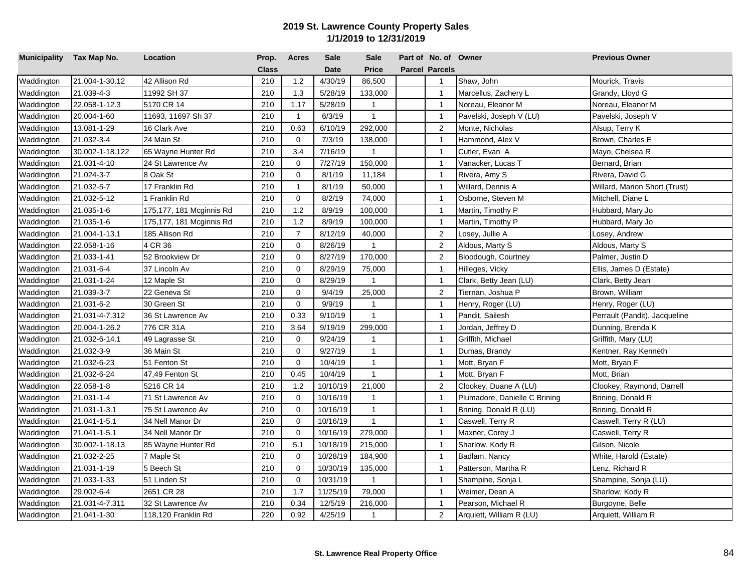| Municipality Tax Map No. |                 | Location                 | Prop.        | <b>Acres</b>   | <b>Sale</b> | <b>Sale</b>    | Part of No. of Owner  |                               | <b>Previous Owner</b>         |
|--------------------------|-----------------|--------------------------|--------------|----------------|-------------|----------------|-----------------------|-------------------------------|-------------------------------|
|                          |                 |                          | <b>Class</b> |                | <b>Date</b> | <b>Price</b>   | <b>Parcel Parcels</b> |                               |                               |
| Waddington               | 21.004-1-30.12  | 42 Allison Rd            | 210          | 1.2            | 4/30/19     | 86,500         | $\overline{1}$        | Shaw, John                    | Mourick, Travis               |
| Waddington               | 21.039-4-3      | 11992 SH 37              | 210          | 1.3            | 5/28/19     | 133,000        | $\mathbf{1}$          | Marcellus, Zachery L          | Grandy, Lloyd G               |
| Waddington               | 22.058-1-12.3   | 5170 CR 14               | 210          | 1.17           | 5/28/19     | $\mathbf{1}$   | $\overline{1}$        | Noreau, Eleanor M             | Noreau, Eleanor M             |
| Waddington               | 20.004-1-60     | 11693, 11697 Sh 37       | 210          | $\mathbf{1}$   | 6/3/19      | $\mathbf{1}$   | $\overline{1}$        | Pavelski, Joseph V (LU)       | Pavelski, Joseph V            |
| Waddington               | 13.081-1-29     | 16 Clark Ave             | 210          | 0.63           | 6/10/19     | 292,000        | $\overline{2}$        | Monte, Nicholas               | Alsup, Terry K                |
| Waddington               | 21.032-3-4      | 24 Main St               | 210          | $\mathbf 0$    | 7/3/19      | 138,000        | $\overline{1}$        | Hammond, Alex V               | Brown, Charles E              |
| Waddington               | 30.002-1-18.122 | 65 Wayne Hunter Rd       | 210          | 3.4            | 7/16/19     | $\mathbf{1}$   | $\overline{1}$        | Cutler, Evan A                | Mayo, Chelsea R               |
| Waddington               | 21.031-4-10     | 24 St Lawrence Av        | 210          | 0              | 7/27/19     | 150,000        | $\overline{1}$        | Vanacker, Lucas T             | Bernard, Brian                |
| Waddington               | 21.024-3-7      | 8 Oak St                 | 210          | $\mathbf 0$    | 8/1/19      | 11,184         | $\overline{1}$        | Rivera, Amy S                 | Rivera, David G               |
| Waddington               | 21.032-5-7      | 17 Franklin Rd           | 210          | $\mathbf{1}$   | 8/1/19      | 50,000         | $\overline{1}$        | Willard, Dennis A             | Willard, Marion Short (Trust) |
| Waddington               | 21.032-5-12     | 1 Franklin Rd            | 210          | 0              | 8/2/19      | 74,000         | $\overline{1}$        | Osborne, Steven M             | Mitchell, Diane L             |
| Waddington               | 21.035-1-6      | 175,177, 181 Mcginnis Rd | 210          | 1.2            | 8/9/19      | 100,000        | $\mathbf{1}$          | Martin, Timothy P             | Hubbard, Mary Jo              |
| Waddington               | 21.035-1-6      | 175,177, 181 Mcginnis Rd | 210          | 1.2            | 8/9/19      | 100,000        | $\mathbf{1}$          | Martin, Timothy P             | Hubbard, Mary Jo              |
| Waddington               | 21.004-1-13.1   | 185 Allison Rd           | 210          | $\overline{7}$ | 8/12/19     | 40,000         | 2                     | Losey, Jullie A               | _osey, Andrew                 |
| Waddington               | 22.058-1-16     | 4 CR 36                  | 210          | $\mathbf 0$    | 8/26/19     | $\mathbf{1}$   | $\sqrt{2}$            | Aldous, Marty S               | Aldous, Marty S               |
| Waddington               | 21.033-1-41     | 52 Brookview Dr          | 210          | $\Omega$       | 8/27/19     | 170,000        | 2                     | Bloodough, Courtney           | Palmer, Justin D              |
| Waddington               | 21.031-6-4      | 37 Lincoln Av            | 210          | $\mathbf 0$    | 8/29/19     | 75,000         | $\mathbf{1}$          | Hilleges, Vicky               | Ellis, James D (Estate)       |
| Waddington               | 21.031-1-24     | 12 Maple St              | 210          | $\mathbf 0$    | 8/29/19     | 1              | $\overline{1}$        | Clark, Betty Jean (LU)        | Clark, Betty Jean             |
| Waddington               | 21.039-3-7      | 22 Geneva St             | 210          | $\mathbf 0$    | 9/4/19      | 25,000         | $\overline{2}$        | Tiernan, Joshua P             | Brown, William                |
| Waddington               | 21.031-6-2      | 30 Green St              | 210          | $\Omega$       | 9/9/19      | $\mathbf{1}$   | $\mathbf{1}$          | Henry, Roger (LU)             | Henry, Roger (LU)             |
| Waddington               | 21.031-4-7.312  | 36 St Lawrence Av        | 210          | 0.33           | 9/10/19     | $\overline{1}$ | $\overline{1}$        | Pandit, Sailesh               | Perrault (Pandit), Jacqueline |
| Waddington               | 20.004-1-26.2   | 776 CR 31A               | 210          | 3.64           | 9/19/19     | 299,000        | $\overline{1}$        | Jordan, Jeffrey D             | Dunning, Brenda K             |
| Waddington               | 21.032-6-14.1   | 49 Lagrasse St           | 210          | $\mathbf 0$    | 9/24/19     | $\mathbf{1}$   | $\overline{1}$        | Griffith, Michael             | Griffith, Mary (LU)           |
| Waddington               | 21.032-3-9      | 36 Main St               | 210          | $\mathbf 0$    | 9/27/19     | $\mathbf{1}$   | $\overline{1}$        | Dumas, Brandy                 | Kentner, Ray Kenneth          |
| Waddington               | 21.032-6-23     | 51 Fenton St             | 210          | $\mathbf 0$    | 10/4/19     | $\mathbf{1}$   | $\overline{1}$        | Mott, Bryan F                 | Mott, Bryan F                 |
| Waddington               | 21.032-6-24     | 47,49 Fenton St          | 210          | 0.45           | 10/4/19     | $\mathbf{1}$   | $\overline{1}$        | Mott, Bryan F                 | Mott, Brian                   |
| Waddington               | 22.058-1-8      | 5216 CR 14               | 210          | 1.2            | 10/10/19    | 21,000         | 2                     | Clookey, Duane A (LU)         | Clookey, Raymond, Darrell     |
| Waddington               | 21.031-1-4      | 71 St Lawrence Av        | 210          | $\mathbf 0$    | 10/16/19    | $\mathbf{1}$   | $\mathbf{1}$          | Plumadore, Danielle C Brining | Brining, Donald R             |
| Waddington               | 21.031-1-3.1    | 75 St Lawrence Av        | 210          | $\mathbf 0$    | 10/16/19    | $\mathbf{1}$   | $\overline{1}$        | Brining, Donald R (LU)        | Brining, Donald R             |
| Waddington               | 21.041-1-5.1    | 34 Nell Manor Dr         | 210          | $\mathbf 0$    | 10/16/19    | $\mathbf{1}$   | $\overline{1}$        | Caswell, Terry R              | Caswell, Terry R (LU)         |
| Waddington               | 21.041-1-5.1    | 34 Nell Manor Dr         | 210          | $\mathbf 0$    | 10/16/19    | 279,000        | $\overline{1}$        | Maxner, Corey J               | Caswell, Terry R              |
| Waddington               | 30.002-1-18.13  | 85 Wayne Hunter Rd       | 210          | 5.1            | 10/18/19    | 215,000        | $\mathbf{1}$          | Sharlow, Kody R               | Gilson, Nicole                |
| Waddington               | 21.032-2-25     | 7 Maple St               | 210          | $\mathbf 0$    | 10/28/19    | 184,900        | $\overline{1}$        | Badlam, Nancy                 | White, Harold (Estate)        |
| Waddington               | 21.031-1-19     | 5 Beech St               | 210          | 0              | 10/30/19    | 135,000        | $\overline{1}$        | Patterson, Martha R           | Lenz, Richard R               |
| Waddington               | 21.033-1-33     | 51 Linden St             | 210          | 0              | 10/31/19    | $\mathbf{1}$   | $\mathbf{1}$          | Shampine, Sonja L             | Shampine, Sonja (LU)          |
| Waddington               | 29.002-6-4      | 2651 CR 28               | 210          | 1.7            | 11/25/19    | 79,000         | $\mathbf{1}$          | Weimer, Dean A                | Sharlow, Kody R               |
| Waddington               | 21.031-4-7.311  | 32 St Lawrence Av        | 210          | 0.34           | 12/5/19     | 216,000        | $\overline{1}$        | Pearson, Michael R            | Burgoyne, Belle               |
| Waddington               | 21.041-1-30     | 118,120 Franklin Rd      | 220          | 0.92           | 4/25/19     | $\mathbf{1}$   | $\overline{2}$        | Arquiett, William R (LU)      | Arquiett, William R           |